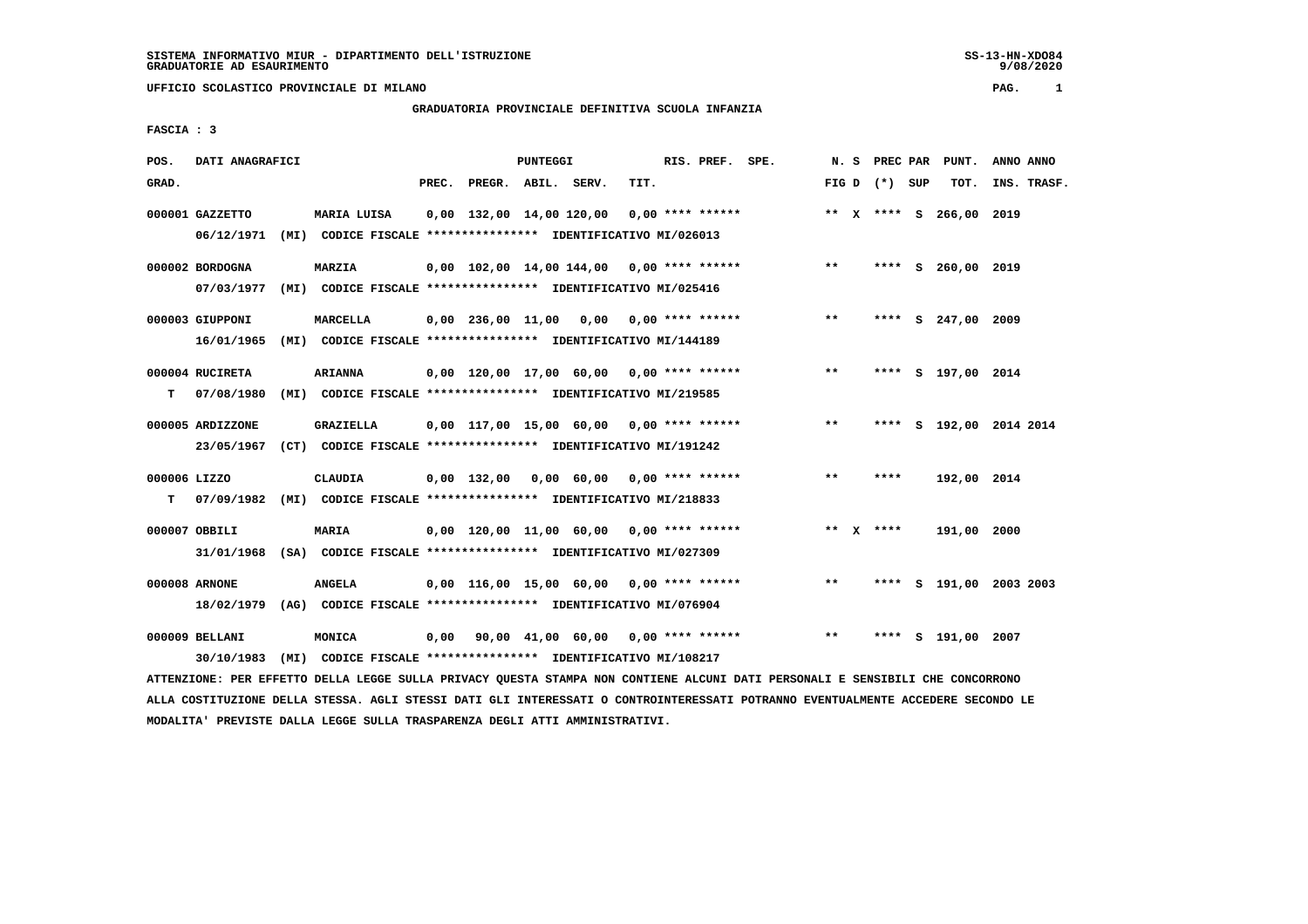# **GRADUATORIA PROVINCIALE DEFINITIVA SCUOLA INFANZIA**

 **FASCIA : 3**

| POS.         | DATI ANAGRAFICI  |                                                               |                          | <b>PUNTEGGI</b> |                                             |      | RIS. PREF. SPE. |                 |      | N. S PREC PAR PUNT.     | ANNO ANNO               |
|--------------|------------------|---------------------------------------------------------------|--------------------------|-----------------|---------------------------------------------|------|-----------------|-----------------|------|-------------------------|-------------------------|
| GRAD.        |                  |                                                               | PREC. PREGR. ABIL. SERV. |                 |                                             | TIT. |                 | FIG D $(*)$ SUP |      | тот.                    | INS. TRASF.             |
|              | 000001 GAZZETTO  | MARIA LUISA                                                   |                          |                 | $0,00$ 132,00 14,00 120,00 0,00 **** ****** |      |                 |                 |      | ** X **** S 266,00 2019 |                         |
|              | 06/12/1971       | (MI) CODICE FISCALE **************** IDENTIFICATIVO MI/026013 |                          |                 |                                             |      |                 |                 |      |                         |                         |
|              | 000002 BORDOGNA  | <b>MARZIA</b>                                                 |                          |                 | $0,00$ 102,00 14,00 144,00 0,00 **** ****** |      |                 | $***$           |      | **** S 260,00 2019      |                         |
|              | 07/03/1977       | (MI) CODICE FISCALE **************** IDENTIFICATIVO MI/025416 |                          |                 |                                             |      |                 |                 |      |                         |                         |
|              | 000003 GIUPPONI  | MARCELLA                                                      |                          |                 | $0,00$ 236,00 11,00 0,00 0,00 **** ******   |      |                 | $***$           |      | **** S 247,00 2009      |                         |
|              | 16/01/1965       | (MI) CODICE FISCALE **************** IDENTIFICATIVO MI/144189 |                          |                 |                                             |      |                 |                 |      |                         |                         |
|              | 000004 RUCIRETA  | <b>ARIANNA</b>                                                |                          |                 | $0,00$ 120,00 17,00 60,00 0,00 **** ******  |      |                 | $***$           |      | **** S 197,00 2014      |                         |
| T.           | 07/08/1980       | (MI) CODICE FISCALE **************** IDENTIFICATIVO MI/219585 |                          |                 |                                             |      |                 |                 |      |                         |                         |
|              | 000005 ARDIZZONE | GRAZIELLA                                                     |                          |                 | $0,00$ 117,00 15,00 60,00 0,00 **** ******  |      |                 | $***$           |      |                         | **** S 192,00 2014 2014 |
|              | 23/05/1967       | (CT) CODICE FISCALE **************** IDENTIFICATIVO MI/191242 |                          |                 |                                             |      |                 |                 |      |                         |                         |
| 000006 LIZZO |                  | CLAUDIA                                                       |                          |                 | $0,00$ 132,00 0,00 60,00 0,00 **** ******   |      |                 | $***$           | **** | 192,00 2014             |                         |
| т            | 07/09/1982       | (MI) CODICE FISCALE **************** IDENTIFICATIVO MI/218833 |                          |                 |                                             |      |                 |                 |      |                         |                         |
|              | 000007 OBBILI    | <b>MARIA</b>                                                  |                          |                 | $0,00$ 120,00 11,00 60,00 0,00 **** ******  |      |                 | ** $X$ ****     |      | 191,00 2000             |                         |
|              | 31/01/1968       | (SA) CODICE FISCALE **************** IDENTIFICATIVO MI/027309 |                          |                 |                                             |      |                 |                 |      |                         |                         |
|              | 000008 ARNONE    | <b>ANGELA</b>                                                 |                          |                 | $0,00$ 116,00 15,00 60,00 0,00 **** ******  |      |                 | $* *$           |      |                         | **** S 191,00 2003 2003 |
|              | 18/02/1979       | (AG) CODICE FISCALE **************** IDENTIFICATIVO MI/076904 |                          |                 |                                             |      |                 |                 |      |                         |                         |
|              |                  |                                                               |                          |                 |                                             |      |                 |                 |      |                         |                         |
|              | 000009 BELLANI   | MONICA                                                        |                          |                 | $0,00$ 90,00 41,00 60,00 0,00 **** ******   |      |                 | $***$           |      | **** S 191,00 2007      |                         |
|              | 30/10/1983       | (MI) CODICE FISCALE **************** IDENTIFICATIVO MI/108217 |                          |                 |                                             |      |                 |                 |      |                         |                         |

 **ATTENZIONE: PER EFFETTO DELLA LEGGE SULLA PRIVACY QUESTA STAMPA NON CONTIENE ALCUNI DATI PERSONALI E SENSIBILI CHE CONCORRONO ALLA COSTITUZIONE DELLA STESSA. AGLI STESSI DATI GLI INTERESSATI O CONTROINTERESSATI POTRANNO EVENTUALMENTE ACCEDERE SECONDO LE MODALITA' PREVISTE DALLA LEGGE SULLA TRASPARENZA DEGLI ATTI AMMINISTRATIVI.**

9/08/2020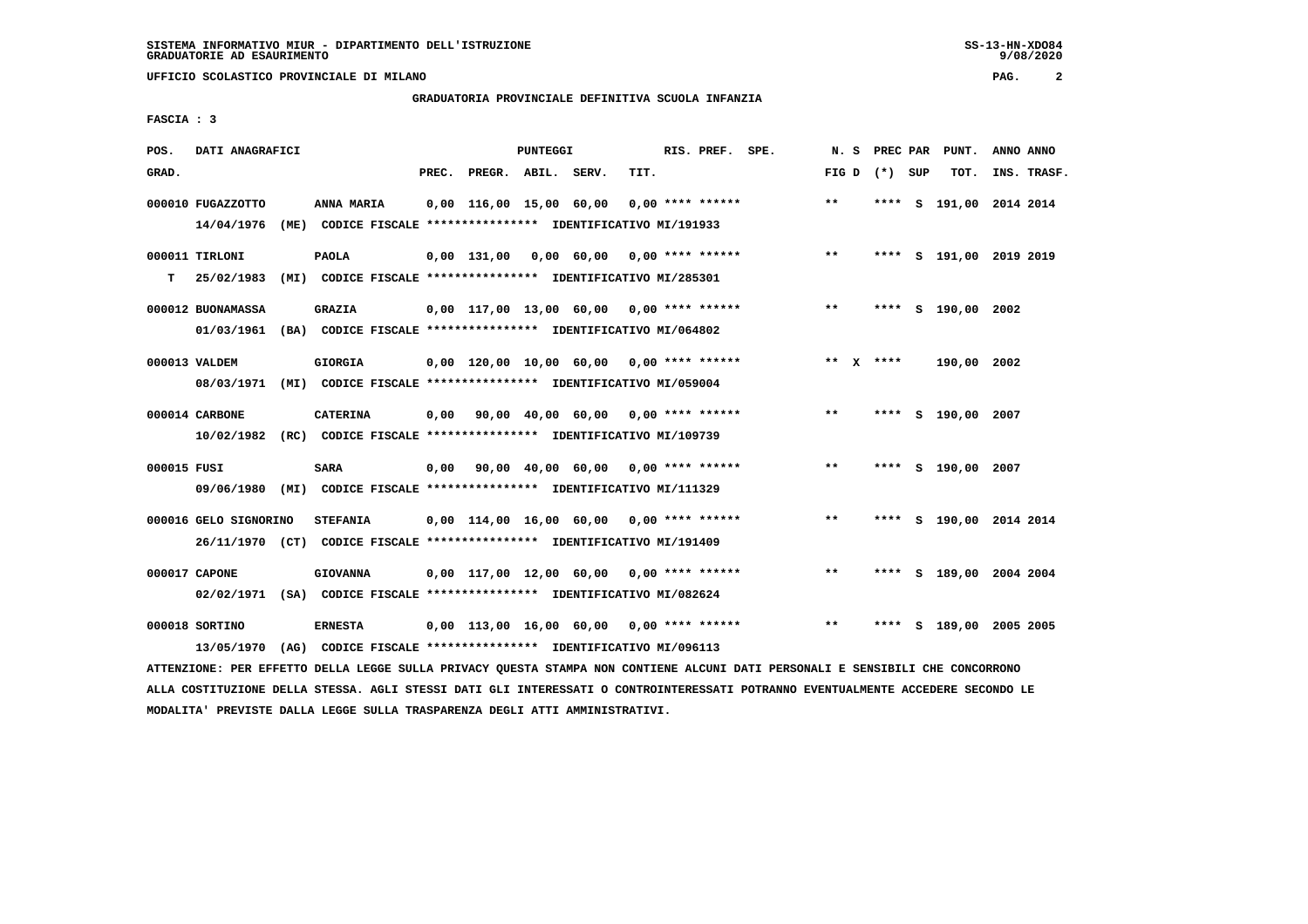#### **GRADUATORIA PROVINCIALE DEFINITIVA SCUOLA INFANZIA**

 **FASCIA : 3**

| POS.        | DATI ANAGRAFICI       |                                                                                                                               |       |                         | PUNTEGGI |                                                         |      | RIS. PREF. SPE.    |                                                 | N. S            |  | PREC PAR | PUNT.                   | ANNO ANNO |             |
|-------------|-----------------------|-------------------------------------------------------------------------------------------------------------------------------|-------|-------------------------|----------|---------------------------------------------------------|------|--------------------|-------------------------------------------------|-----------------|--|----------|-------------------------|-----------|-------------|
| GRAD.       |                       |                                                                                                                               | PREC. | PREGR. ABIL. SERV.      |          |                                                         | TIT. |                    |                                                 | FIG D $(*)$ SUP |  |          | TOT.                    |           | INS. TRASF. |
|             | 000010 FUGAZZOTTO     | ANNA MARIA                                                                                                                    |       | 0,00 116,00 15,00 60,00 |          |                                                         |      | $0.00$ **** ****** |                                                 | $**$            |  |          | **** S 191,00 2014 2014 |           |             |
|             | 14/04/1976            | (ME) CODICE FISCALE **************** IDENTIFICATIVO MI/191933                                                                 |       |                         |          |                                                         |      |                    |                                                 |                 |  |          |                         |           |             |
|             | 000011 TIRLONI        | <b>PAOLA</b>                                                                                                                  |       |                         |          | $0,00$ 131,00 0,00 60,00 0,00 **** ******               |      |                    |                                                 | $***$           |  |          | **** S 191,00 2019 2019 |           |             |
| т           | 25/02/1983            | (MI) CODICE FISCALE **************** IDENTIFICATIVO MI/285301                                                                 |       |                         |          |                                                         |      |                    |                                                 |                 |  |          |                         |           |             |
|             | 000012 BUONAMASSA     | <b>GRAZIA</b>                                                                                                                 |       |                         |          | 0,00 117,00 13,00 60,00 0,00 **** ******                |      |                    |                                                 | $* *$           |  |          | **** S 190,00 2002      |           |             |
|             |                       | 01/03/1961 (BA) CODICE FISCALE *************** IDENTIFICATIVO MI/064802                                                       |       |                         |          |                                                         |      |                    |                                                 |                 |  |          |                         |           |             |
|             | 000013 VALDEM         | <b>GIORGIA</b>                                                                                                                |       |                         |          | $0,00$ 120,00 10,00 60,00 0,00 **** ******              |      |                    |                                                 | ** $X$ ****     |  |          | 190,00 2002             |           |             |
|             |                       | 08/03/1971 (MI) CODICE FISCALE *************** IDENTIFICATIVO MI/059004                                                       |       |                         |          |                                                         |      |                    |                                                 |                 |  |          |                         |           |             |
|             | 000014 CARBONE        | <b>CATERINA</b>                                                                                                               |       |                         |          | $0,00$ $90,00$ $40,00$ $60,00$ $0,00$ $***$ **** ****** |      |                    |                                                 | **              |  |          | **** S 190,00 2007      |           |             |
|             |                       | 10/02/1982 (RC) CODICE FISCALE *************** IDENTIFICATIVO MI/109739                                                       |       |                         |          |                                                         |      |                    |                                                 |                 |  |          |                         |           |             |
| 000015 FUSI |                       | SARA                                                                                                                          | 0,00  |                         |          | 90,00 40,00 60,00 0,00 **** ******                      |      |                    |                                                 | $* *$           |  |          | **** S 190,00 2007      |           |             |
|             |                       | 09/06/1980 (MI) CODICE FISCALE *************** IDENTIFICATIVO MI/111329                                                       |       |                         |          |                                                         |      |                    |                                                 |                 |  |          |                         |           |             |
|             | 000016 GELO SIGNORINO | <b>STEFANIA</b>                                                                                                               |       |                         |          | $0,00$ 114,00 16,00 60,00 0,00 **** ******              |      |                    |                                                 | $***$           |  |          | **** S 190,00 2014 2014 |           |             |
|             |                       | 26/11/1970 (CT) CODICE FISCALE *************** IDENTIFICATIVO MI/191409                                                       |       |                         |          |                                                         |      |                    |                                                 |                 |  |          |                         |           |             |
|             | 000017 CAPONE         | <b>GIOVANNA</b>                                                                                                               |       |                         |          | $0.00$ 117.00 12.00 60.00 0.00 **** ******              |      |                    |                                                 | $***$           |  |          | **** S 189,00 2004 2004 |           |             |
|             |                       | 02/02/1971 (SA) CODICE FISCALE *************** IDENTIFICATIVO MI/082624                                                       |       |                         |          |                                                         |      |                    |                                                 |                 |  |          |                         |           |             |
|             | 000018 SORTINO        | <b>ERNESTA</b>                                                                                                                |       |                         |          |                                                         |      |                    | 0,00 113,00 16,00 60,00 0,00 **** ****** *** ** |                 |  |          | **** S 189,00 2005 2005 |           |             |
|             | 13/05/1970            | (AG) CODICE FISCALE **************** IDENTIFICATIVO MI/096113                                                                 |       |                         |          |                                                         |      |                    |                                                 |                 |  |          |                         |           |             |
|             |                       | ATTENZIONE: PER EFFETTO DELLA LEGGE SULLA PRIVACY QUESTA STAMPA NON CONTIENE ALCUNI DATI PERSONALI E SENSIBILI CHE CONCORRONO |       |                         |          |                                                         |      |                    |                                                 |                 |  |          |                         |           |             |

 **ALLA COSTITUZIONE DELLA STESSA. AGLI STESSI DATI GLI INTERESSATI O CONTROINTERESSATI POTRANNO EVENTUALMENTE ACCEDERE SECONDO LE MODALITA' PREVISTE DALLA LEGGE SULLA TRASPARENZA DEGLI ATTI AMMINISTRATIVI.**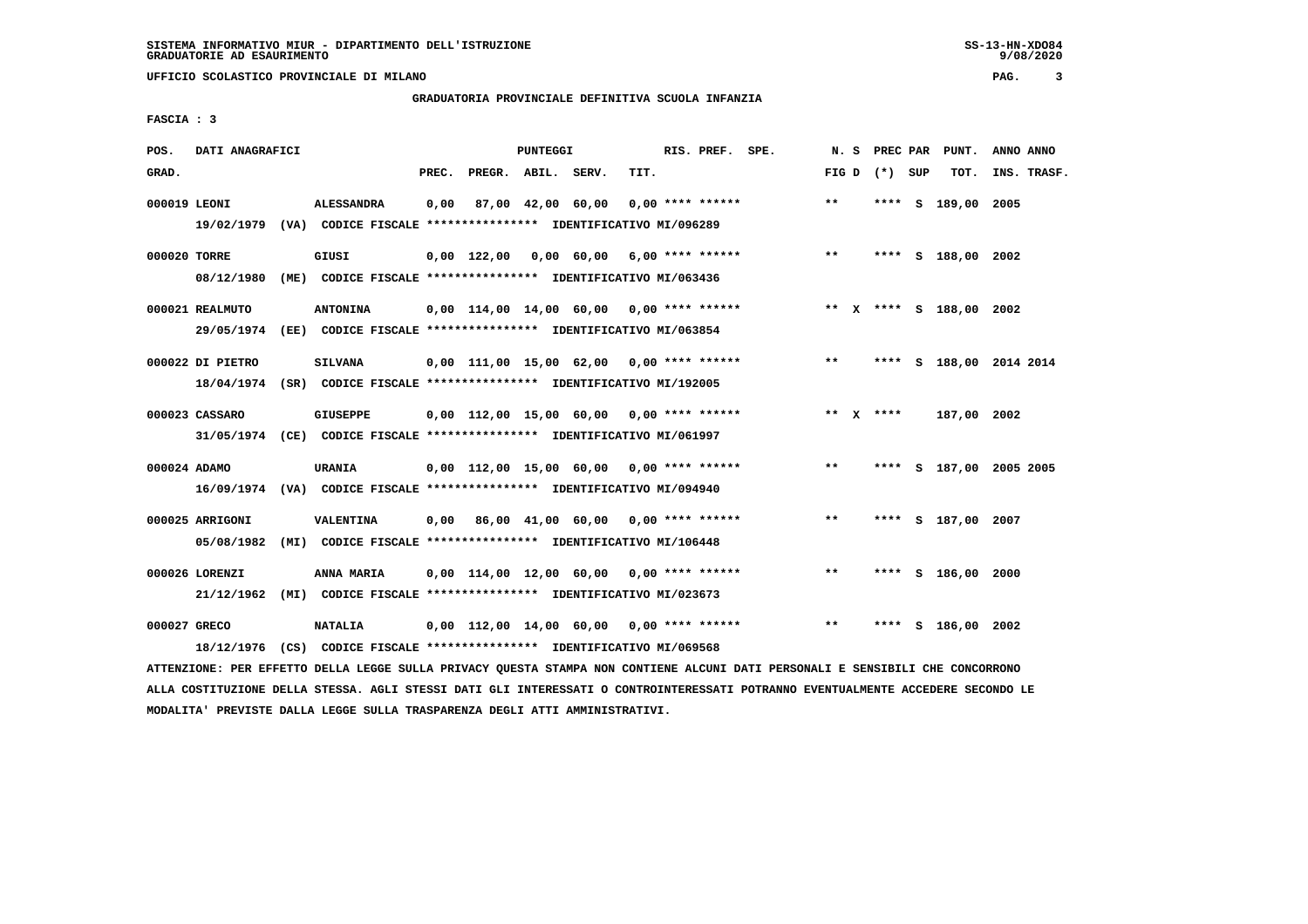**UFFICIO SCOLASTICO PROVINCIALE DI MILANO PAG. 3**

# **GRADUATORIA PROVINCIALE DEFINITIVA SCUOLA INFANZIA**

 **FASCIA : 3**

| POS.         | DATI ANAGRAFICI               |                                                                                              |       |                    | PUNTEGGI |                                            |      | RIS. PREF. SPE. |                                                                            | N. S              |      | PREC PAR PUNT.     | ANNO ANNO               |
|--------------|-------------------------------|----------------------------------------------------------------------------------------------|-------|--------------------|----------|--------------------------------------------|------|-----------------|----------------------------------------------------------------------------|-------------------|------|--------------------|-------------------------|
| GRAD.        |                               |                                                                                              | PREC. | PREGR. ABIL. SERV. |          |                                            | TIT. |                 |                                                                            | FIG $D$ $(*)$ SUP |      | TOT.               | INS. TRASF.             |
| 000019 LEONI |                               | <b>ALESSANDRA</b><br>19/02/1979 (VA) CODICE FISCALE *************** IDENTIFICATIVO MI/096289 | 0,00  |                    |          | 87,00 42,00 60,00 0,00 **** ******         |      |                 |                                                                            | $**$              |      | **** S 189,00 2005 |                         |
| 000020 TORRE | 08/12/1980                    | GIUSI<br>(ME) CODICE FISCALE **************** IDENTIFICATIVO MI/063436                       |       |                    |          | $0,00$ 122,00 0,00 60,00 6,00 **** ******  |      |                 |                                                                            | $***$             |      | **** S 188,00 2002 |                         |
|              | 000021 REALMUTO<br>29/05/1974 | <b>ANTONINA</b><br>(EE) CODICE FISCALE **************** IDENTIFICATIVO MI/063854             |       |                    |          |                                            |      |                 | $0,00$ 114,00 14,00 60,00 0,00 **** ****** **** *** ** **** \$ 188,00 2002 |                   |      |                    |                         |
|              | 000022 DI PIETRO              | <b>SILVANA</b><br>18/04/1974 (SR) CODICE FISCALE *************** IDENTIFICATIVO MI/192005    |       |                    |          | $0.00$ 111,00 15,00 62,00 0,00 **** ****** |      |                 |                                                                            | $***$             |      |                    | **** S 188,00 2014 2014 |
|              | 000023 CASSARO                | <b>GIUSEPPE</b><br>31/05/1974 (CE) CODICE FISCALE *************** IDENTIFICATIVO MI/061997   |       |                    |          | $0.00$ 112.00 15.00 60.00 0.00 **** ****** |      |                 |                                                                            | ** X ****         |      | 187,00 2002        |                         |
| 000024 ADAMO |                               | URANIA<br>16/09/1974 (VA) CODICE FISCALE *************** IDENTIFICATIVO MI/094940            |       |                    |          | 0,00 112,00 15,00 60,00 0,00 **** ******   |      |                 |                                                                            | $***$             |      |                    | **** S 187,00 2005 2005 |
|              | 000025 ARRIGONI<br>05/08/1982 | <b>VALENTINA</b><br>(MI) CODICE FISCALE **************** IDENTIFICATIVO MI/106448            |       |                    |          | $0,00$ 86,00 41,00 60,00 0,00 **** ******  |      |                 |                                                                            | $***$             |      | **** S 187,00 2007 |                         |
|              | 000026 LORENZI<br>21/12/1962  | ANNA MARIA<br>(MI) CODICE FISCALE **************** IDENTIFICATIVO MI/023673                  |       |                    |          | $0,00$ 114,00 12,00 60,00 0,00 **** ****** |      |                 |                                                                            | $* *$             |      | **** S 186,00 2000 |                         |
| 000027 GRECO | 18/12/1976                    | <b>NATALIA</b><br>(CS) CODICE FISCALE **************** IDENTIFICATIVO MI/069568              |       |                    |          | $0,00$ 112,00 14,00 60,00 0,00 **** ****** |      |                 |                                                                            | $***$             | **** | S 186,00 2002      |                         |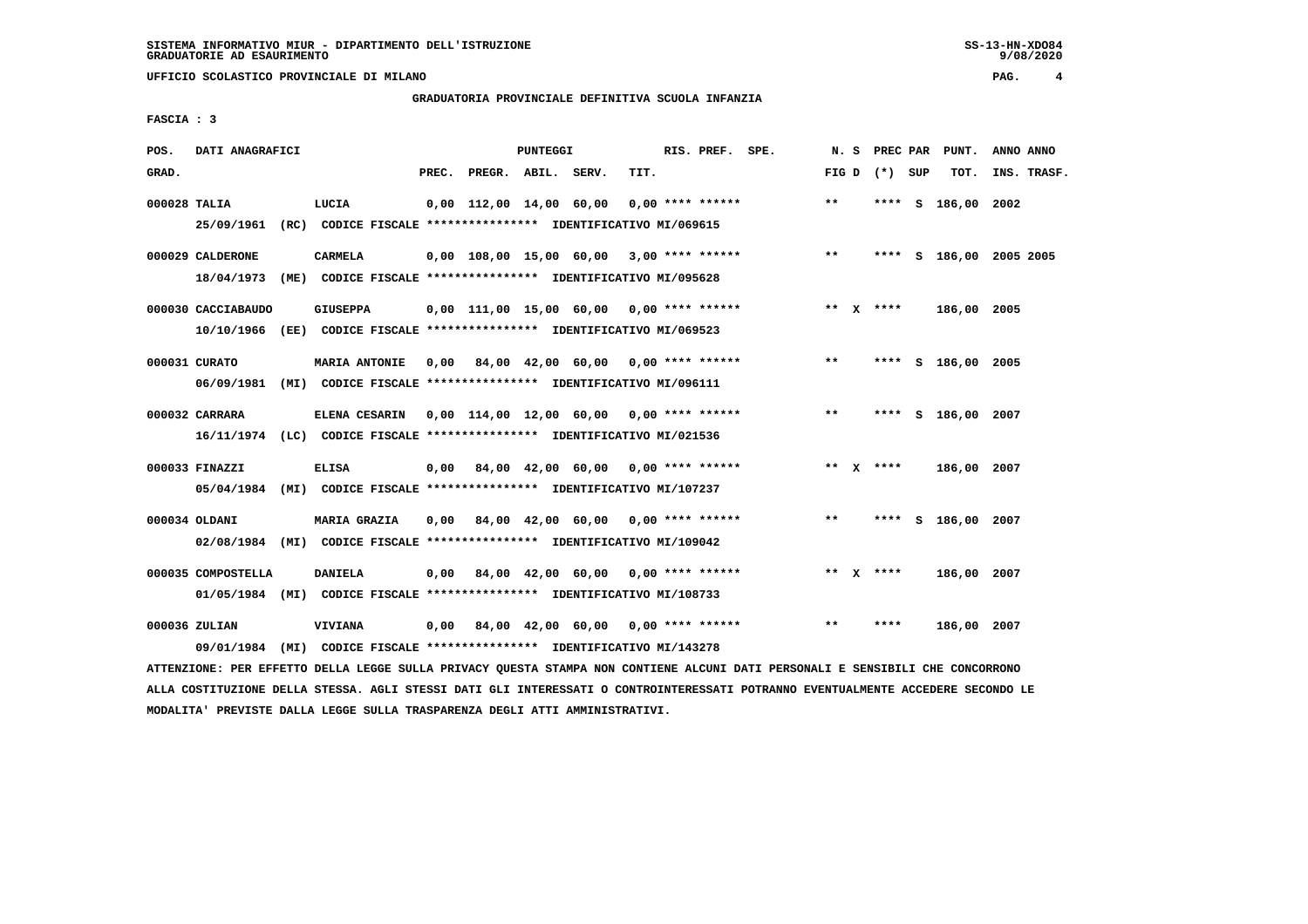# **GRADUATORIA PROVINCIALE DEFINITIVA SCUOLA INFANZIA**

 **FASCIA : 3**

| POS.         | DATI ANAGRAFICI    |                                                                         |      |                          | PUNTEGGI |                                           |      | RIS. PREF. SPE. |                                            |               |                 | N. S PREC PAR PUNT.     | ANNO ANNO   |
|--------------|--------------------|-------------------------------------------------------------------------|------|--------------------------|----------|-------------------------------------------|------|-----------------|--------------------------------------------|---------------|-----------------|-------------------------|-------------|
| GRAD.        |                    |                                                                         |      | PREC. PREGR. ABIL. SERV. |          |                                           | TIT. |                 |                                            |               | FIG D $(*)$ SUP | TOT.                    | INS. TRASF. |
| 000028 TALIA |                    | LUCIA                                                                   |      |                          |          | 0,00 112,00 14,00 60,00                   |      |                 | $0.00$ **** ******                         | $**$          |                 | **** S 186,00 2002      |             |
|              |                    | 25/09/1961 (RC) CODICE FISCALE *************** IDENTIFICATIVO MI/069615 |      |                          |          |                                           |      |                 |                                            |               |                 |                         |             |
|              | 000029 CALDERONE   | <b>CARMELA</b>                                                          |      |                          |          |                                           |      |                 | $0,00$ 108,00 15,00 60,00 3,00 **** ****** | $\star \star$ |                 | **** S 186,00 2005 2005 |             |
|              | 18/04/1973         | (ME) CODICE FISCALE **************** IDENTIFICATIVO MI/095628           |      |                          |          |                                           |      |                 |                                            |               |                 |                         |             |
|              | 000030 CACCIABAUDO | GIUSEPPA                                                                |      |                          |          |                                           |      |                 | 0,00 111,00 15,00 60,00 0,00 **** ******   |               | ** $X$ ****     | 186,00 2005             |             |
|              |                    | 10/10/1966 (EE) CODICE FISCALE *************** IDENTIFICATIVO MI/069523 |      |                          |          |                                           |      |                 |                                            |               |                 |                         |             |
|              | 000031 CURATO      | <b>MARIA ANTONIE</b>                                                    |      |                          |          | $0.00$ 84.00 42.00 60.00 0.00 **** ****** |      |                 |                                            | $***$         |                 | **** S 186,00 2005      |             |
|              |                    | 06/09/1981 (MI) CODICE FISCALE *************** IDENTIFICATIVO MI/096111 |      |                          |          |                                           |      |                 |                                            |               |                 |                         |             |
|              | 000032 CARRARA     | ELENA CESARIN 0,00 114,00 12,00 60,00 0,00 **** ******                  |      |                          |          |                                           |      |                 |                                            | $***$         |                 | **** S 186,00 2007      |             |
|              |                    | 16/11/1974 (LC) CODICE FISCALE *************** IDENTIFICATIVO MI/021536 |      |                          |          |                                           |      |                 |                                            |               |                 |                         |             |
|              | 000033 FINAZZI     | ELISA                                                                   |      |                          |          | $0.00$ 84.00 42.00 60.00 0.00 **** ****** |      |                 |                                            |               | ** $X$ ****     | 186,00 2007             |             |
|              |                    | 05/04/1984 (MI) CODICE FISCALE *************** IDENTIFICATIVO MI/107237 |      |                          |          |                                           |      |                 |                                            |               |                 |                         |             |
|              | 000034 OLDANI      | MARIA GRAZIA                                                            |      |                          |          | $0,00$ 84,00 42,00 60,00 0,00 **** ****** |      |                 |                                            | $* *$         |                 | **** S 186,00 2007      |             |
|              |                    | 02/08/1984 (MI) CODICE FISCALE *************** IDENTIFICATIVO MI/109042 |      |                          |          |                                           |      |                 |                                            |               |                 |                         |             |
|              | 000035 COMPOSTELLA | <b>DANIELA</b>                                                          |      |                          |          | $0,00$ 84,00 42,00 60,00 0,00 **** ****** |      |                 |                                            |               | ** $X$ ****     | 186,00 2007             |             |
|              |                    | 01/05/1984 (MI) CODICE FISCALE *************** IDENTIFICATIVO MI/108733 |      |                          |          |                                           |      |                 |                                            |               |                 |                         |             |
|              |                    |                                                                         |      |                          |          |                                           |      |                 |                                            |               |                 |                         |             |
|              | 000036 ZULIAN      | VIVIANA                                                                 | 0,00 |                          |          | 84,00 42,00 60,00 0,00 **** ******        |      |                 |                                            | $***$         | ****            | 186,00 2007             |             |
|              | 09/01/1984         | (MI) CODICE FISCALE **************** IDENTIFICATIVO MI/143278           |      |                          |          |                                           |      |                 |                                            |               |                 |                         |             |

 **ATTENZIONE: PER EFFETTO DELLA LEGGE SULLA PRIVACY QUESTA STAMPA NON CONTIENE ALCUNI DATI PERSONALI E SENSIBILI CHE CONCORRONO ALLA COSTITUZIONE DELLA STESSA. AGLI STESSI DATI GLI INTERESSATI O CONTROINTERESSATI POTRANNO EVENTUALMENTE ACCEDERE SECONDO LE MODALITA' PREVISTE DALLA LEGGE SULLA TRASPARENZA DEGLI ATTI AMMINISTRATIVI.**

 $9/08/2020$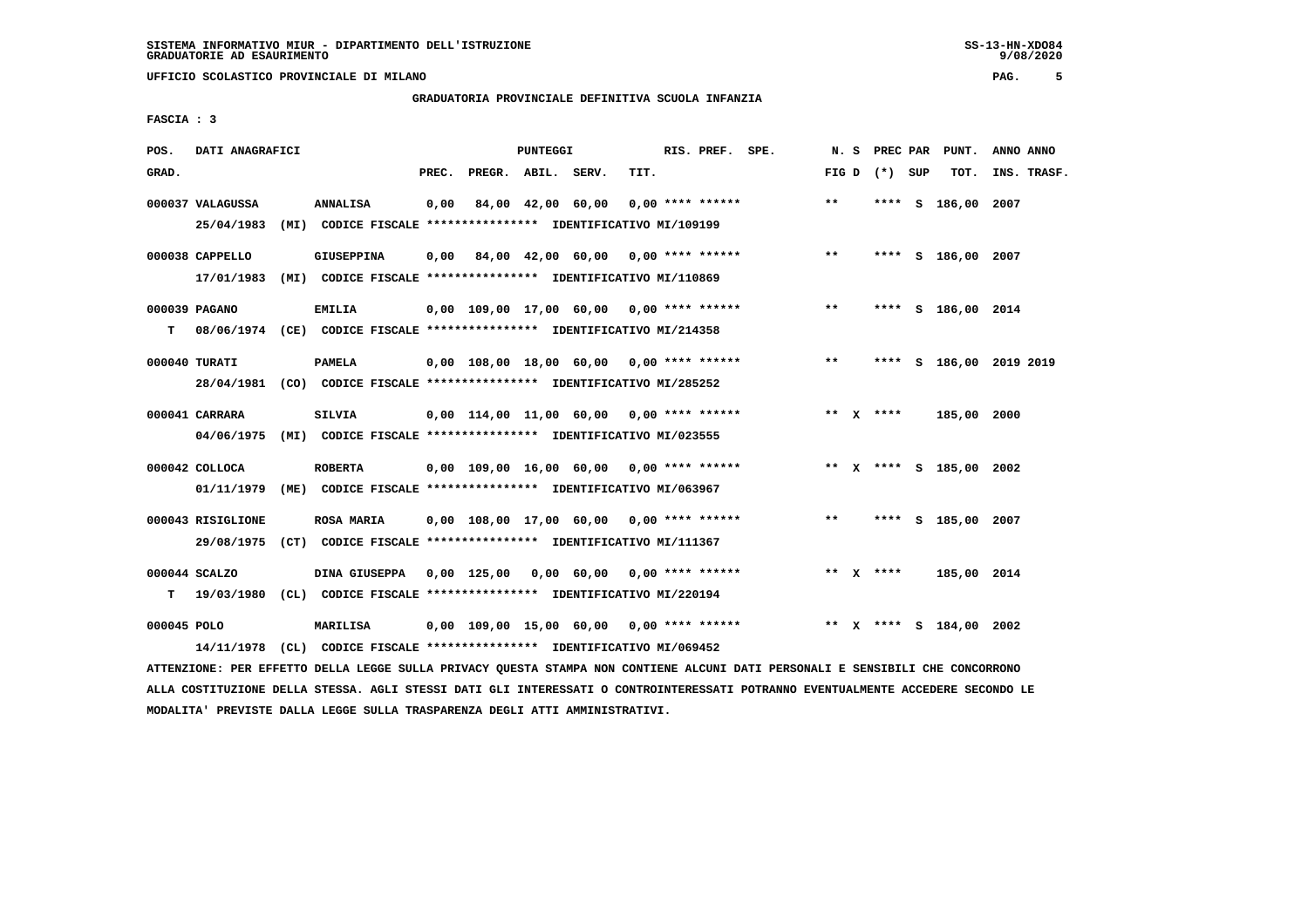# **GRADUATORIA PROVINCIALE DEFINITIVA SCUOLA INFANZIA**

 **FASCIA : 3**

| POS.        | DATI ANAGRAFICI                |                                                                                              |       |                    | PUNTEGGI |                                            |      | RIS. PREF. SPE.    |                                          | N. S  |                 | PREC PAR PUNT.          | ANNO ANNO |             |
|-------------|--------------------------------|----------------------------------------------------------------------------------------------|-------|--------------------|----------|--------------------------------------------|------|--------------------|------------------------------------------|-------|-----------------|-------------------------|-----------|-------------|
| GRAD.       |                                |                                                                                              | PREC. | PREGR. ABIL. SERV. |          |                                            | TIT. |                    |                                          |       | FIG D $(*)$ SUP | тот.                    |           | INS. TRASF. |
|             | 000037 VALAGUSSA<br>25/04/1983 | ANNALISA<br>(MI) CODICE FISCALE **************** IDENTIFICATIVO MI/109199                    | 0,00  |                    |          | 84,00 42,00 60,00                          |      | $0.00$ **** ****** |                                          | $* *$ |                 | **** S 186,00 2007      |           |             |
|             | 000038 CAPPELLO<br>17/01/1983  | <b>GIUSEPPINA</b><br>(MI) CODICE FISCALE **************** IDENTIFICATIVO MI/110869           |       |                    |          |                                            |      |                    | 0,00 84,00 42,00 60,00 0,00 **** ******  | $***$ |                 | **** S 186,00 2007      |           |             |
| т           | 000039 PAGANO                  | <b>EMILIA</b><br>08/06/1974 (CE) CODICE FISCALE *************** IDENTIFICATIVO MI/214358     |       |                    |          | 0,00 109,00 17,00 60,00 0,00 **** ******   |      |                    |                                          | $***$ |                 | **** S 186,00 2014      |           |             |
|             | 000040 TURATI                  | <b>PAMELA</b><br>28/04/1981 (CO) CODICE FISCALE *************** IDENTIFICATIVO MI/285252     |       |                    |          | 0,00 108,00 18,00 60,00 0,00 **** ******   |      |                    |                                          | $***$ |                 | **** S 186,00 2019 2019 |           |             |
|             | 000041 CARRARA<br>04/06/1975   | <b>SILVIA</b><br>(MI) CODICE FISCALE *************** IDENTIFICATIVO MI/023555                |       |                    |          |                                            |      |                    | 0,00 114,00 11,00 60,00 0,00 **** ****** |       | ** $X$ ****     | 185,00 2000             |           |             |
|             | $000042$ COLLOCA               | <b>ROBERTA</b><br>01/11/1979 (ME) CODICE FISCALE *************** IDENTIFICATIVO MI/063967    |       |                    |          | 0,00 109,00 16,00 60,00 0,00 **** ******   |      |                    |                                          |       |                 | ** X **** S 185,00 2002 |           |             |
|             | 000043 RISIGLIONE              | <b>ROSA MARIA</b><br>29/08/1975 (CT) CODICE FISCALE *************** IDENTIFICATIVO MI/111367 |       |                    |          | 0,00 108,00 17,00 60,00 0,00 **** ******   |      |                    |                                          | $* *$ |                 | **** S 185,00 2007      |           |             |
| т           | 000044 SCALZO                  | DINA GIUSEPPA<br>19/03/1980 (CL) CODICE FISCALE *************** IDENTIFICATIVO MI/220194     |       |                    |          | $0.00$ 125,00 0.00 60.00 0.00 **** ******  |      |                    |                                          |       | ** $X$ ****     | 185,00 2014             |           |             |
| 000045 POLO | 14/11/1978                     | <b>MARILISA</b><br>(CL) CODICE FISCALE **************** IDENTIFICATIVO MI/069452             |       |                    |          | $0,00$ 109,00 15,00 60,00 0,00 **** ****** |      |                    |                                          |       |                 | ** X **** S 184,00 2002 |           |             |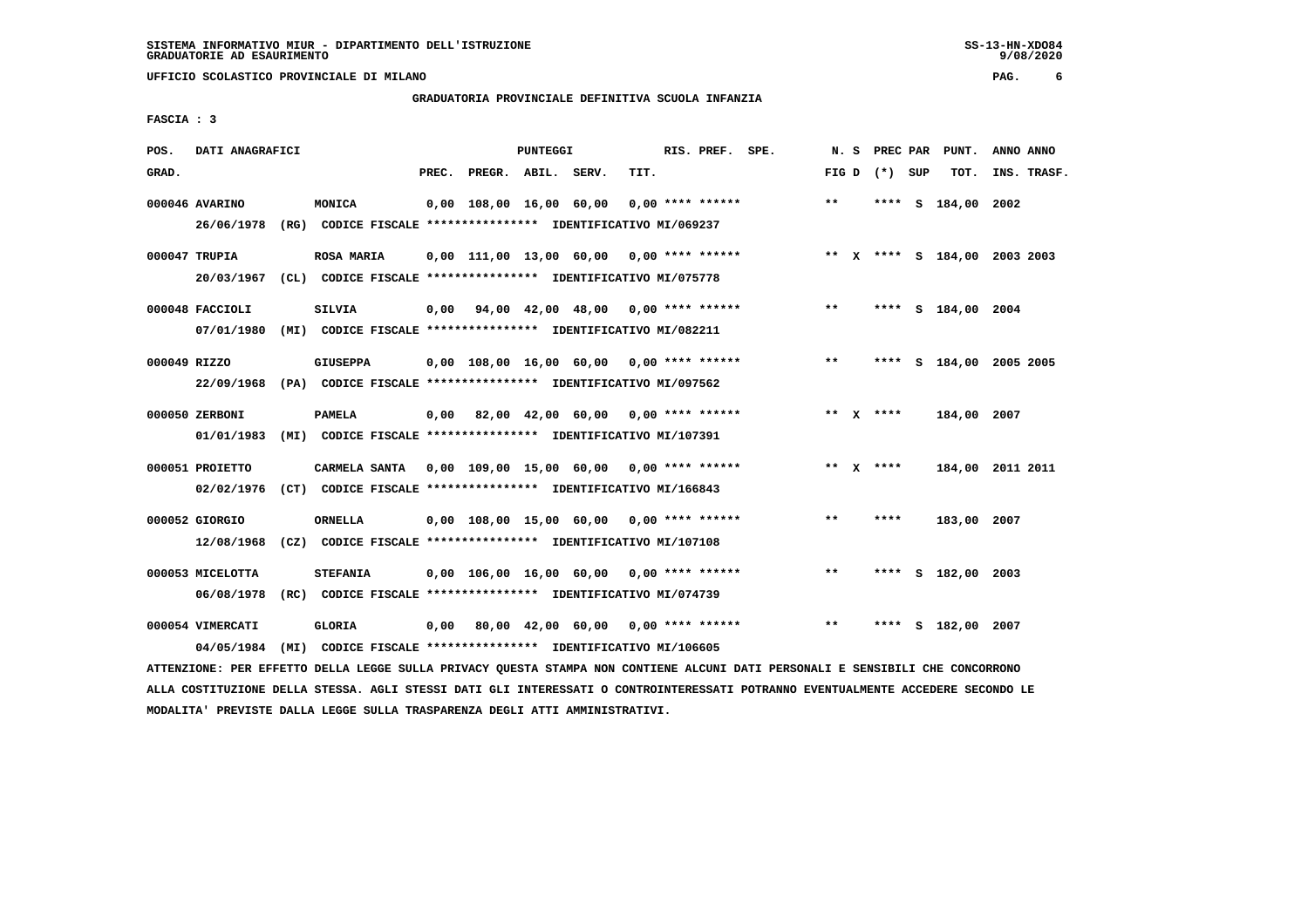**UFFICIO SCOLASTICO PROVINCIALE DI MILANO PAG. 6**

# **GRADUATORIA PROVINCIALE DEFINITIVA SCUOLA INFANZIA**

 **FASCIA : 3**

| POS.         | DATI ANAGRAFICI  |      |                                                                          |       |                                            | <b>PUNTEGGI</b> |                                    |      | RIS. PREF.         | SPE. | N.S   | PREC PAR        |    | PUNT.                        | ANNO ANNO |             |
|--------------|------------------|------|--------------------------------------------------------------------------|-------|--------------------------------------------|-----------------|------------------------------------|------|--------------------|------|-------|-----------------|----|------------------------------|-----------|-------------|
| GRAD.        |                  |      |                                                                          | PREC. |                                            | PREGR. ABIL.    | SERV.                              | TIT. |                    |      |       | FIG D $(*)$ SUP |    | TOT.                         |           | INS. TRASF. |
|              |                  |      |                                                                          |       |                                            |                 |                                    |      |                    |      |       |                 |    |                              |           |             |
|              | 000046 AVARINO   |      | MONICA                                                                   |       | 0,00 108,00 16,00 60,00                    |                 |                                    |      | $0.00$ **** ****** |      | $**$  |                 |    | **** S 184,00 2002           |           |             |
|              | 26/06/1978       |      | (RG) CODICE FISCALE **************** IDENTIFICATIVO MI/069237            |       |                                            |                 |                                    |      |                    |      |       |                 |    |                              |           |             |
|              | 000047 TRUPIA    |      | <b>ROSA MARIA</b>                                                        |       | 0,00 111,00 13,00 60,00                    |                 |                                    |      | $0,00$ **** ****** |      |       |                 |    | ** X **** S 184,00 2003 2003 |           |             |
|              |                  |      |                                                                          |       |                                            |                 |                                    |      |                    |      |       |                 |    |                              |           |             |
|              | 20/03/1967       |      | (CL) CODICE FISCALE **************** IDENTIFICATIVO MI/075778            |       |                                            |                 |                                    |      |                    |      |       |                 |    |                              |           |             |
|              | 000048 FACCIOLI  |      | <b>SILVIA</b>                                                            | 0,00  |                                            |                 | 94,00 42,00 48,00 0,00 **** ****** |      |                    |      | $***$ |                 |    | **** S 184,00 2004           |           |             |
|              | 07/01/1980       |      | (MI) CODICE FISCALE **************** IDENTIFICATIVO MI/082211            |       |                                            |                 |                                    |      |                    |      |       |                 |    |                              |           |             |
|              |                  |      |                                                                          |       |                                            |                 |                                    |      |                    |      |       |                 |    |                              |           |             |
| 000049 RIZZO |                  |      | <b>GIUSEPPA</b>                                                          |       | $0.00$ 108.00 16.00 60.00 0.00 **** ****** |                 |                                    |      |                    |      | $***$ |                 |    | **** S 184,00 2005 2005      |           |             |
|              |                  |      | 22/09/1968 (PA) CODICE FISCALE **************** IDENTIFICATIVO MI/097562 |       |                                            |                 |                                    |      |                    |      |       |                 |    |                              |           |             |
|              |                  |      |                                                                          |       |                                            |                 |                                    |      |                    |      |       |                 |    |                              |           |             |
|              | 000050 ZERBONI   |      | <b>PAMELA</b>                                                            |       | $0,00$ 82,00 42,00 60,00 0,00 **** ******  |                 |                                    |      |                    |      |       | ** $X$ ****     |    | 184,00 2007                  |           |             |
|              | 01/01/1983       |      | (MI) CODICE FISCALE **************** IDENTIFICATIVO MI/107391            |       |                                            |                 |                                    |      |                    |      |       |                 |    |                              |           |             |
|              |                  |      |                                                                          |       |                                            |                 |                                    |      |                    |      |       |                 |    |                              |           |             |
|              | 000051 PROIETTO  |      | CARMELA SANTA 0,00 109,00 15,00 60,00 0,00 **** ******                   |       |                                            |                 |                                    |      |                    |      |       | ** $X$ ****     |    | 184,00 2011 2011             |           |             |
|              | 02/02/1976       |      | (CT) CODICE FISCALE **************** IDENTIFICATIVO MI/166843            |       |                                            |                 |                                    |      |                    |      |       |                 |    |                              |           |             |
|              | 000052 GIORGIO   |      | <b>ORNELLA</b>                                                           |       | 0,00 108,00 15,00 60,00                    |                 |                                    |      | $0.00$ **** ****** |      | $***$ | ****            |    | 183,00 2007                  |           |             |
|              | 12/08/1968       |      | (CZ) CODICE FISCALE **************** IDENTIFICATIVO MI/107108            |       |                                            |                 |                                    |      |                    |      |       |                 |    |                              |           |             |
|              |                  |      |                                                                          |       |                                            |                 |                                    |      |                    |      |       |                 |    |                              |           |             |
|              | 000053 MICELOTTA |      | <b>STEFANIA</b>                                                          |       | $0,00$ 106,00 16,00 60,00 0,00 **** ****** |                 |                                    |      |                    |      | $* *$ | ****            | S. | 182,00 2003                  |           |             |
|              | 06/08/1978       |      | (RC) CODICE FISCALE **************** IDENTIFICATIVO MI/074739            |       |                                            |                 |                                    |      |                    |      |       |                 |    |                              |           |             |
|              |                  |      |                                                                          |       |                                            |                 |                                    |      |                    |      |       |                 |    |                              |           |             |
|              | 000054 VIMERCATI |      | <b>GLORIA</b>                                                            | 0,00  |                                            |                 | 80,00 42,00 60,00 0,00 **** ****** |      |                    |      | $* *$ | ****            | s  | 182,00 2007                  |           |             |
|              | 04/05/1984       | (MI) | CODICE FISCALE **************** IDENTIFICATIVO MI/106605                 |       |                                            |                 |                                    |      |                    |      |       |                 |    |                              |           |             |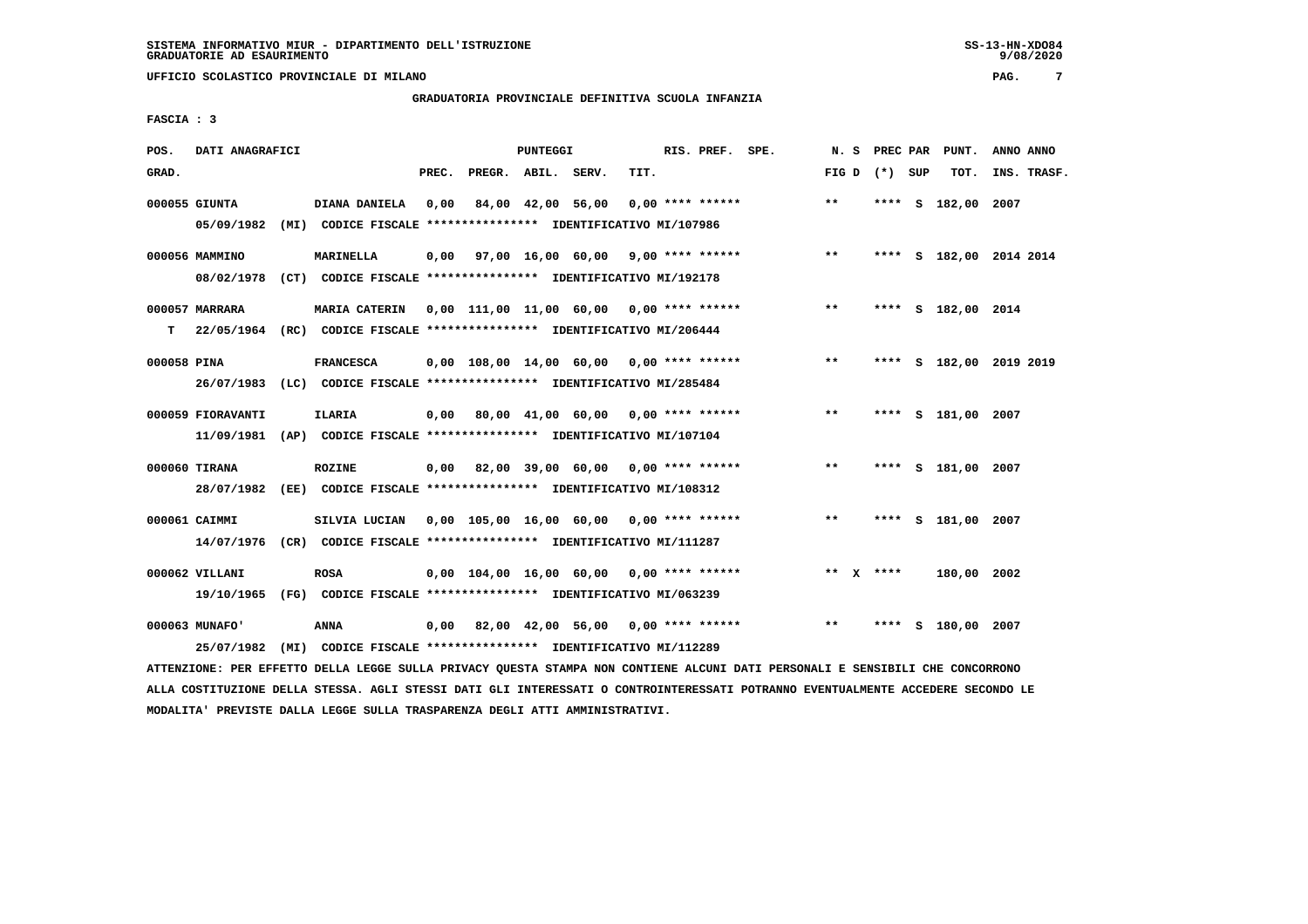# **GRADUATORIA PROVINCIALE DEFINITIVA SCUOLA INFANZIA**

 **FASCIA : 3**

| POS.        | DATI ANAGRAFICI              |                                                                                                                                    |       |                    | PUNTEGGI |                                            |      | RIS. PREF. SPE. |                                           | N.S               |      | PREC PAR PUNT.     | ANNO ANNO               |
|-------------|------------------------------|------------------------------------------------------------------------------------------------------------------------------------|-------|--------------------|----------|--------------------------------------------|------|-----------------|-------------------------------------------|-------------------|------|--------------------|-------------------------|
| GRAD.       |                              |                                                                                                                                    | PREC. | PREGR. ABIL. SERV. |          |                                            | TIT. |                 |                                           | FIG $D$ $(*)$ SUP |      | TOT.               | INS. TRASF.             |
|             | 000055 GIUNTA<br>05/09/1982  | DIANA DANIELA<br>(MI) CODICE FISCALE **************** IDENTIFICATIVO MI/107986                                                     | 0,00  |                    |          | 84,00 42,00 56,00 0,00 **** ******         |      |                 |                                           | $***$             |      | **** S 182,00 2007 |                         |
|             | 000056 MAMMINO               | <b>MARINELLA</b><br>08/02/1978 (CT) CODICE FISCALE **************** IDENTIFICATIVO MI/192178                                       |       |                    |          |                                            |      |                 | 0,00 97,00 16,00 60,00 9,00 **** ******   | $* *$             |      |                    | **** S 182,00 2014 2014 |
| T.          | 000057 MARRARA               | MARIA CATERIN 0,00 111,00 11,00 60,00 0,00 **** ******<br>22/05/1964 (RC) CODICE FISCALE **************** IDENTIFICATIVO MI/206444 |       |                    |          |                                            |      |                 |                                           | $***$             |      | **** S 182,00 2014 |                         |
| 000058 PINA |                              | <b>FRANCESCA</b><br>26/07/1983 (LC) CODICE FISCALE *************** IDENTIFICATIVO MI/285484                                        |       |                    |          |                                            |      |                 | 0,00 108,00 14,00 60,00 0,00 **** ******  | $***$             |      |                    | **** S 182,00 2019 2019 |
|             | 000059 FIORAVANTI            | <b>ILARIA</b><br>11/09/1981 (AP) CODICE FISCALE *************** IDENTIFICATIVO MI/107104                                           |       |                    |          | 0,00 80,00 41,00 60,00 0,00 **** ******    |      |                 |                                           | $* *$             |      | **** S 181,00 2007 |                         |
|             | 000060 TIRANA                | <b>ROZINE</b><br>28/07/1982 (EE) CODICE FISCALE *************** IDENTIFICATIVO MI/108312                                           |       |                    |          |                                            |      |                 | $0,00$ 82,00 39,00 60,00 0,00 **** ****** | $\star\star$      |      | **** S 181,00 2007 |                         |
|             | 000061 CAIMMI                | 14/07/1976 (CR) CODICE FISCALE *************** IDENTIFICATIVO MI/111287                                                            |       |                    |          |                                            |      |                 |                                           | $***$             |      | **** S 181,00 2007 |                         |
|             | 000062 VILLANI               | <b>ROSA</b><br>19/10/1965 (FG) CODICE FISCALE *************** IDENTIFICATIVO MI/063239                                             |       |                    |          | $0,00$ 104,00 16,00 60,00 0,00 **** ****** |      |                 |                                           | ** $X$ ****       |      | 180,00 2002        |                         |
|             | 000063 MUNAFO'<br>25/07/1982 | <b>ANNA</b><br>(MI) CODICE FISCALE **************** IDENTIFICATIVO MI/112289                                                       |       |                    |          | 0,00 82,00 42,00 56,00 0,00 **** ******    |      |                 |                                           | $**$              | **** | S 180,00 2007      |                         |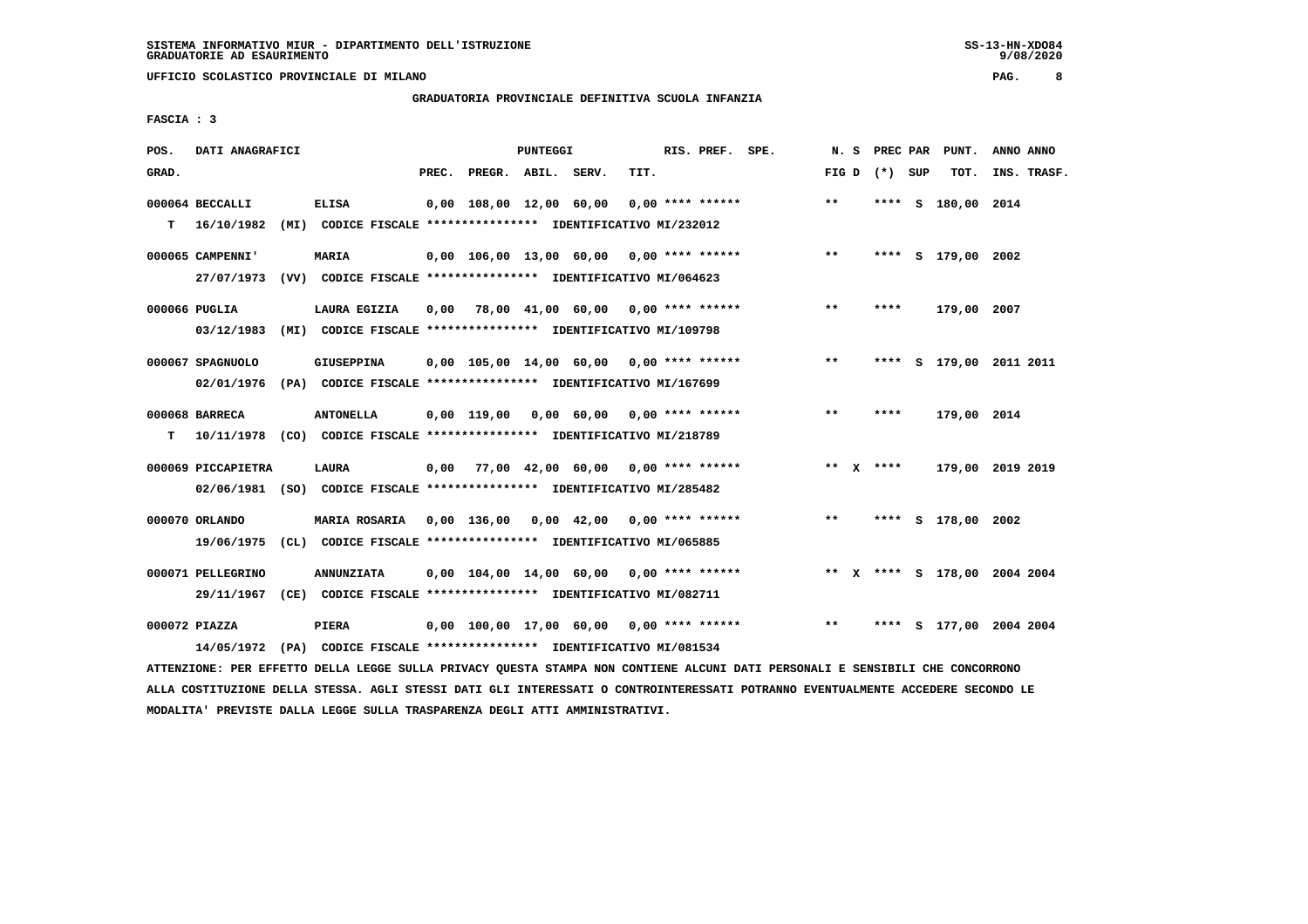**UFFICIO SCOLASTICO PROVINCIALE DI MILANO PAG. 8**

# **GRADUATORIA PROVINCIALE DEFINITIVA SCUOLA INFANZIA**

 **FASCIA : 3**

| POS.  | DATI ANAGRAFICI    |                                                                          |       |                         | PUNTEGGI |                                            |      | RIS. PREF. SPE.    | N.S   |                 | PREC PAR PUNT.               | ANNO ANNO   |  |
|-------|--------------------|--------------------------------------------------------------------------|-------|-------------------------|----------|--------------------------------------------|------|--------------------|-------|-----------------|------------------------------|-------------|--|
| GRAD. |                    |                                                                          | PREC. | PREGR. ABIL. SERV.      |          |                                            | TIT. |                    |       | FIG D $(*)$ SUP | TOT.                         | INS. TRASF. |  |
|       | 000064 BECCALLI    | <b>ELISA</b>                                                             |       | 0,00 108,00 12,00 60,00 |          |                                            |      | $0.00$ **** ****** | $**$  |                 | **** S 180,00 2014           |             |  |
| т     | 16/10/1982         | (MI) CODICE FISCALE **************** IDENTIFICATIVO MI/232012            |       |                         |          |                                            |      |                    |       |                 |                              |             |  |
|       | 000065 CAMPENNI'   | <b>MARIA</b>                                                             |       |                         |          | $0.00$ 106.00 13,00 60,00 0,00 **** ****** |      |                    | $***$ |                 | **** S 179,00 2002           |             |  |
|       | 27/07/1973         | (VV) CODICE FISCALE **************** IDENTIFICATIVO MI/064623            |       |                         |          |                                            |      |                    |       |                 |                              |             |  |
|       | 000066 PUGLIA      | LAURA EGIZIA                                                             | 0,00  |                         |          | 78,00 41,00 60,00 0,00 **** ******         |      |                    | $***$ | ****            | 179,00 2007                  |             |  |
|       | 03/12/1983         | (MI) CODICE FISCALE **************** IDENTIFICATIVO MI/109798            |       |                         |          |                                            |      |                    |       |                 |                              |             |  |
|       | 000067 SPAGNUOLO   | GIUSEPPINA                                                               |       |                         |          | $0,00$ 105,00 14,00 60,00 0,00 **** ****** |      |                    | $**$  | ****            | S 179,00 2011 2011           |             |  |
|       | 02/01/1976         | (PA) CODICE FISCALE *************** IDENTIFICATIVO MI/167699             |       |                         |          |                                            |      |                    |       |                 |                              |             |  |
|       | 000068 BARRECA     | <b>ANTONELLA</b>                                                         |       |                         |          | $0.00$ 119.00 0.00 60.00 0.00 **** ******  |      |                    | $***$ | ****            | 179,00 2014                  |             |  |
| т     |                    | 10/11/1978 (CO) CODICE FISCALE *************** IDENTIFICATIVO MI/218789  |       |                         |          |                                            |      |                    |       |                 |                              |             |  |
|       | 000069 PICCAPIETRA | <b>LAURA</b>                                                             |       |                         |          | $0,00$ 77,00 42,00 60,00 0,00 **** ******  |      |                    |       | ** $X$ ****     | 179,00 2019 2019             |             |  |
|       |                    | 02/06/1981 (SO) CODICE FISCALE **************** IDENTIFICATIVO MI/285482 |       |                         |          |                                            |      |                    |       |                 |                              |             |  |
|       | 000070 ORLANDO     | MARIA ROSARIA                                                            |       | 0,00 136,00             |          | $0,00$ 42,00 0,00 **** ******              |      |                    | $***$ |                 | **** S 178,00 2002           |             |  |
|       | 19/06/1975         | (CL) CODICE FISCALE **************** IDENTIFICATIVO MI/065885            |       |                         |          |                                            |      |                    |       |                 |                              |             |  |
|       | 000071 PELLEGRINO  | <b>ANNUNZIATA</b>                                                        |       |                         |          | $0.00$ 104.00 14.00 60.00 0.00 **** ****** |      |                    |       |                 | ** X **** S 178,00 2004 2004 |             |  |
|       |                    | 29/11/1967 (CE) CODICE FISCALE *************** IDENTIFICATIVO MI/082711  |       |                         |          |                                            |      |                    |       |                 |                              |             |  |
|       | 000072 PIAZZA      | <b>PIERA</b>                                                             |       |                         |          | $0.00$ 100.00 17.00 60.00 0.00 **** ****** |      |                    | **    | ****            | S 177,00 2004 2004           |             |  |
|       |                    | 14/05/1972 (PA) CODICE FISCALE *************** IDENTIFICATIVO MI/081534  |       |                         |          |                                            |      |                    |       |                 |                              |             |  |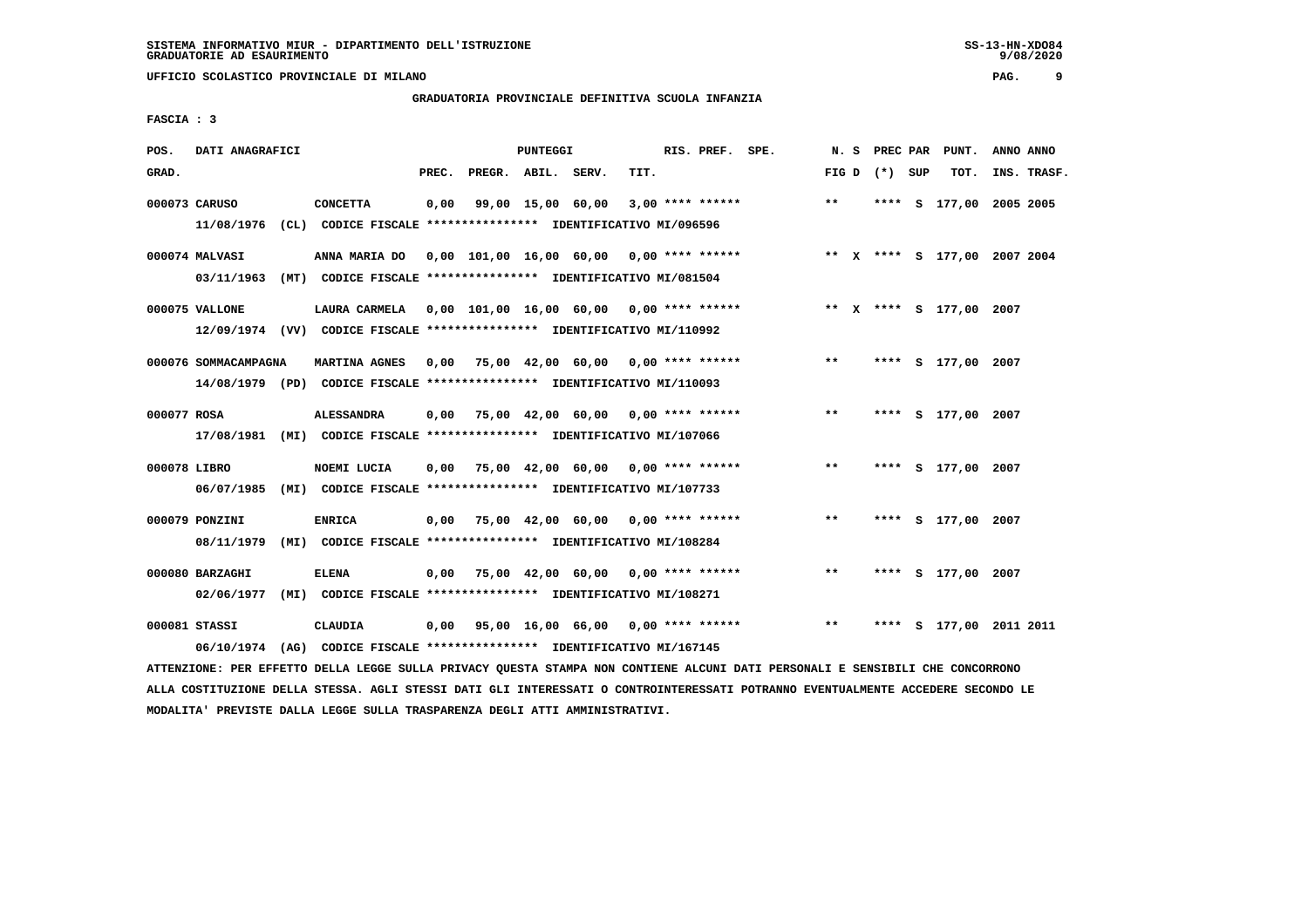# **GRADUATORIA PROVINCIALE DEFINITIVA SCUOLA INFANZIA**

 **FASCIA : 3**

| POS.         | DATI ANAGRAFICI               |                                                                                                  |       |                    | <b>PUNTEGGI</b> |                                            |      | RIS. PREF. SPE.    |                              | N.S   | PREC PAR        | PUNT.                   | ANNO ANNO |             |
|--------------|-------------------------------|--------------------------------------------------------------------------------------------------|-------|--------------------|-----------------|--------------------------------------------|------|--------------------|------------------------------|-------|-----------------|-------------------------|-----------|-------------|
| GRAD.        |                               |                                                                                                  | PREC. | PREGR. ABIL. SERV. |                 |                                            | TIT. |                    |                              |       | FIG D $(*)$ SUP | TOT.                    |           | INS. TRASF. |
|              | 000073 CARUSO                 | <b>CONCETTA</b><br>11/08/1976 (CL) CODICE FISCALE *************** IDENTIFICATIVO MI/096596       | 0,00  |                    |                 | 99,00 15,00 60,00                          |      | $3,00$ **** ****** |                              | $* *$ |                 | **** S 177,00 2005 2005 |           |             |
|              | 000074 MALVASI<br>03/11/1963  | ANNA MARIA DO<br>(MT) CODICE FISCALE **************** IDENTIFICATIVO MI/081504                   |       |                    |                 | $0,00$ 101,00 16,00 60,00 0,00 **** ****** |      |                    | ** X **** S 177,00 2007 2004 |       |                 |                         |           |             |
|              | 000075 VALLONE                | 12/09/1974 (VV) CODICE FISCALE *************** IDENTIFICATIVO MI/110992                          |       |                    |                 |                                            |      |                    |                              |       |                 | ** x **** s 177,00 2007 |           |             |
|              | 000076 SOMMACAMPAGNA          | <b>MARTINA AGNES</b><br>14/08/1979 (PD) CODICE FISCALE **************** IDENTIFICATIVO MI/110093 | 0,00  |                    |                 | 75,00 42,00 60,00 0,00 **** ******         |      |                    |                              | $***$ |                 | **** S 177,00 2007      |           |             |
| 000077 ROSA  |                               | <b>ALESSANDRA</b><br>17/08/1981 (MI) CODICE FISCALE *************** IDENTIFICATIVO MI/107066     |       |                    |                 | $0.00$ 75.00 42.00 60.00 0.00 **** ******  |      |                    |                              | $**$  |                 | **** S 177,00 2007      |           |             |
| 000078 LIBRO | 06/07/1985                    | NOEMI LUCIA<br>(MI) CODICE FISCALE **************** IDENTIFICATIVO MI/107733                     | 0,00  |                    |                 | 75,00 42,00 60,00 0,00 **** ******         |      |                    |                              | $***$ |                 | **** S 177,00 2007      |           |             |
|              | 000079 PONZINI<br>08/11/1979  | <b>ENRICA</b><br>(MI) CODICE FISCALE **************** IDENTIFICATIVO MI/108284                   | 0,00  |                    |                 | 75,00 42,00 60,00 0,00 **** ******         |      |                    |                              | $***$ |                 | **** S 177,00 2007      |           |             |
|              | 000080 BARZAGHI<br>02/06/1977 | <b>ELENA</b><br>(MI) CODICE FISCALE **************** IDENTIFICATIVO MI/108271                    | 0,00  |                    |                 | 75,00 42,00 60,00 0,00 **** ******         |      |                    |                              | $***$ |                 | **** S 177,00 2007      |           |             |
|              | 000081 STASSI<br>06/10/1974   | CLAUDIA<br>(AG) CODICE FISCALE **************** IDENTIFICATIVO MI/167145                         |       |                    |                 | 0,00 95,00 16,00 66,00 0,00 **** ******    |      |                    |                              | $***$ |                 | **** S 177,00 2011 2011 |           |             |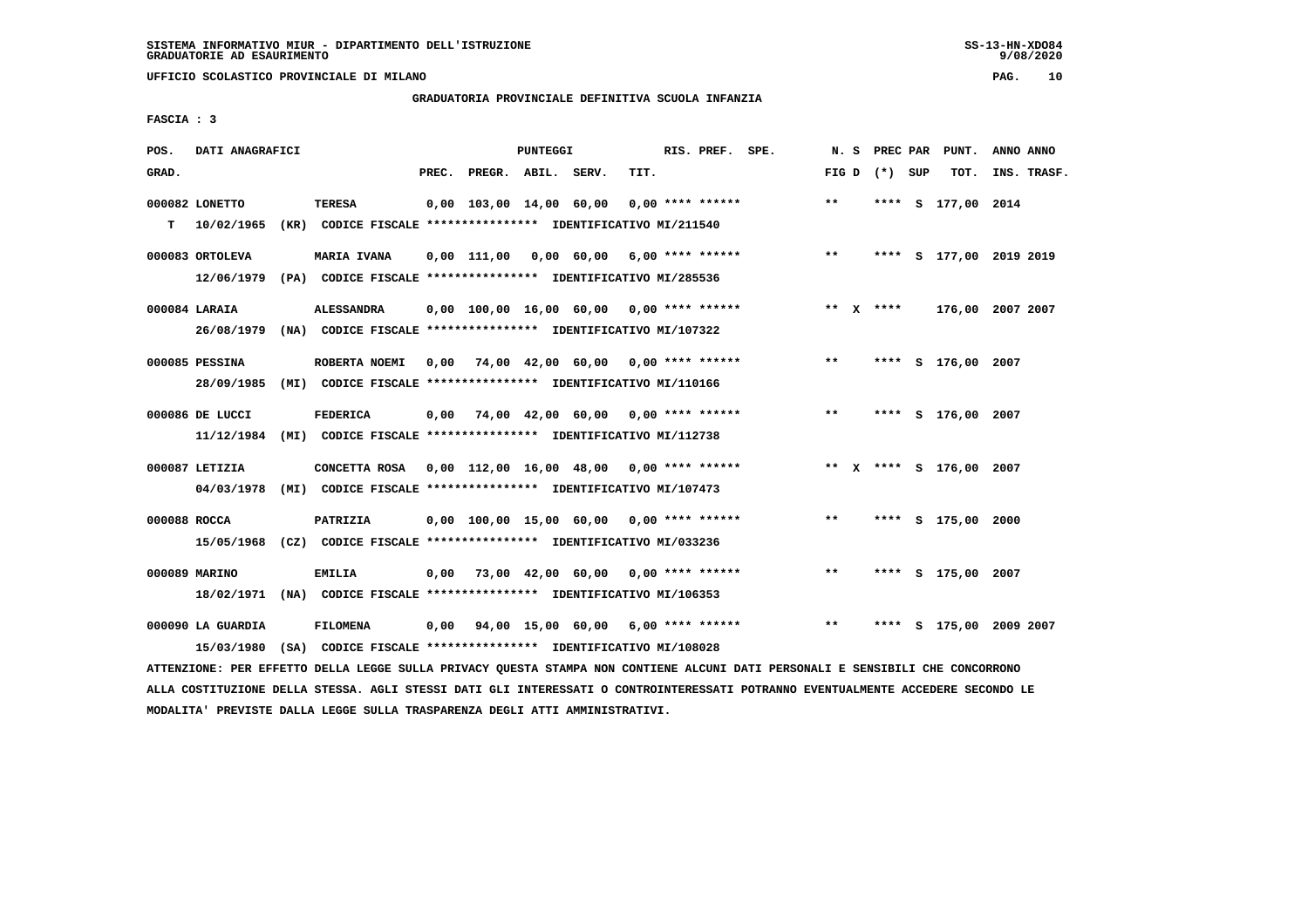**UFFICIO SCOLASTICO PROVINCIALE DI MILANO PAG. 10**

# **GRADUATORIA PROVINCIALE DEFINITIVA SCUOLA INFANZIA**

 **FASCIA : 3**

| POS.         | DATI ANAGRAFICI               |                                                                                                                         |       |                                                         | PUNTEGGI |      | RIS. PREF. SPE.    |                                                  | N. S  |                 | PREC PAR PUNT.          | ANNO ANNO |             |
|--------------|-------------------------------|-------------------------------------------------------------------------------------------------------------------------|-------|---------------------------------------------------------|----------|------|--------------------|--------------------------------------------------|-------|-----------------|-------------------------|-----------|-------------|
| GRAD.        |                               |                                                                                                                         | PREC. | PREGR. ABIL. SERV.                                      |          | TIT. |                    |                                                  |       | FIG D $(*)$ SUP | TOT.                    |           | INS. TRASF. |
| T.           | 000082 LONETTO<br>10/02/1965  | <b>TERESA</b><br>(KR) CODICE FISCALE **************** IDENTIFICATIVO MI/211540                                          |       | 0,00 103,00 14,00 60,00                                 |          |      | $0.00$ **** ****** |                                                  | $***$ |                 | **** S 177,00 2014      |           |             |
|              | 000083 ORTOLEVA<br>12/06/1979 | <b>MARIA IVANA</b><br>(PA) CODICE FISCALE **************** IDENTIFICATIVO MI/285536                                     |       |                                                         |          |      |                    | $0,00$ 111,00 0,00 60,00 6,00 **** ****** *** ** |       |                 | **** S 177,00 2019 2019 |           |             |
|              | 000084 LARAIA                 | <b>ALESSANDRA</b><br>26/08/1979 (NA) CODICE FISCALE *************** IDENTIFICATIVO MI/107322                            |       |                                                         |          |      |                    | $0,00$ 100,00 16,00 60,00 0,00 **** ******       |       | ** $X$ ****     | 176,00 2007 2007        |           |             |
|              | 000085 PESSINA<br>28/09/1985  | ROBERTA NOEMI<br>(MI) CODICE FISCALE **************** IDENTIFICATIVO MI/110166                                          |       | $0,00$ $74,00$ $42,00$ $60,00$ $0,00$ $***$ **** ****** |          |      |                    |                                                  | $* *$ |                 | **** S 176,00 2007      |           |             |
|              | 000086 DE LUCCI               | <b>FEDERICA</b><br>11/12/1984 (MI) CODICE FISCALE *************** IDENTIFICATIVO MI/112738                              |       | $0,00$ $74,00$ $42,00$ $60,00$ $0,00$ $***$ **** ****** |          |      |                    |                                                  | $**$  |                 | **** S 176,00 2007      |           |             |
|              | 000087 LETIZIA<br>04/03/1978  | CONCETTA ROSA 0,00 112,00 16,00 48,00 0,00 **** ******<br>(MI) CODICE FISCALE **************** IDENTIFICATIVO MI/107473 |       |                                                         |          |      |                    |                                                  |       |                 | ** X **** S 176,00 2007 |           |             |
| 000088 ROCCA |                               | PATRIZIA<br>15/05/1968 (CZ) CODICE FISCALE *************** IDENTIFICATIVO MI/033236                                     |       | $0,00$ 100,00 15,00 60,00 0,00 **** ******              |          |      |                    |                                                  | $***$ |                 | **** S 175,00 2000      |           |             |
|              | 000089 MARINO                 | <b>EMILIA</b><br>18/02/1971 (NA) CODICE FISCALE *************** IDENTIFICATIVO MI/106353                                | 0,00  | 73,00 42,00 60,00 0,00 **** ******                      |          |      |                    |                                                  | **    |                 | **** S 175,00 2007      |           |             |
|              | 000090 LA GUARDIA             | <b>FILOMENA</b><br>15/03/1980 (SA) CODICE FISCALE *************** IDENTIFICATIVO MI/108028                              |       | $0,00$ $94,00$ $15,00$ $60,00$ $6,00$ **** ******       |          |      |                    |                                                  | $**$  | ****            | S 175,00 2009 2007      |           |             |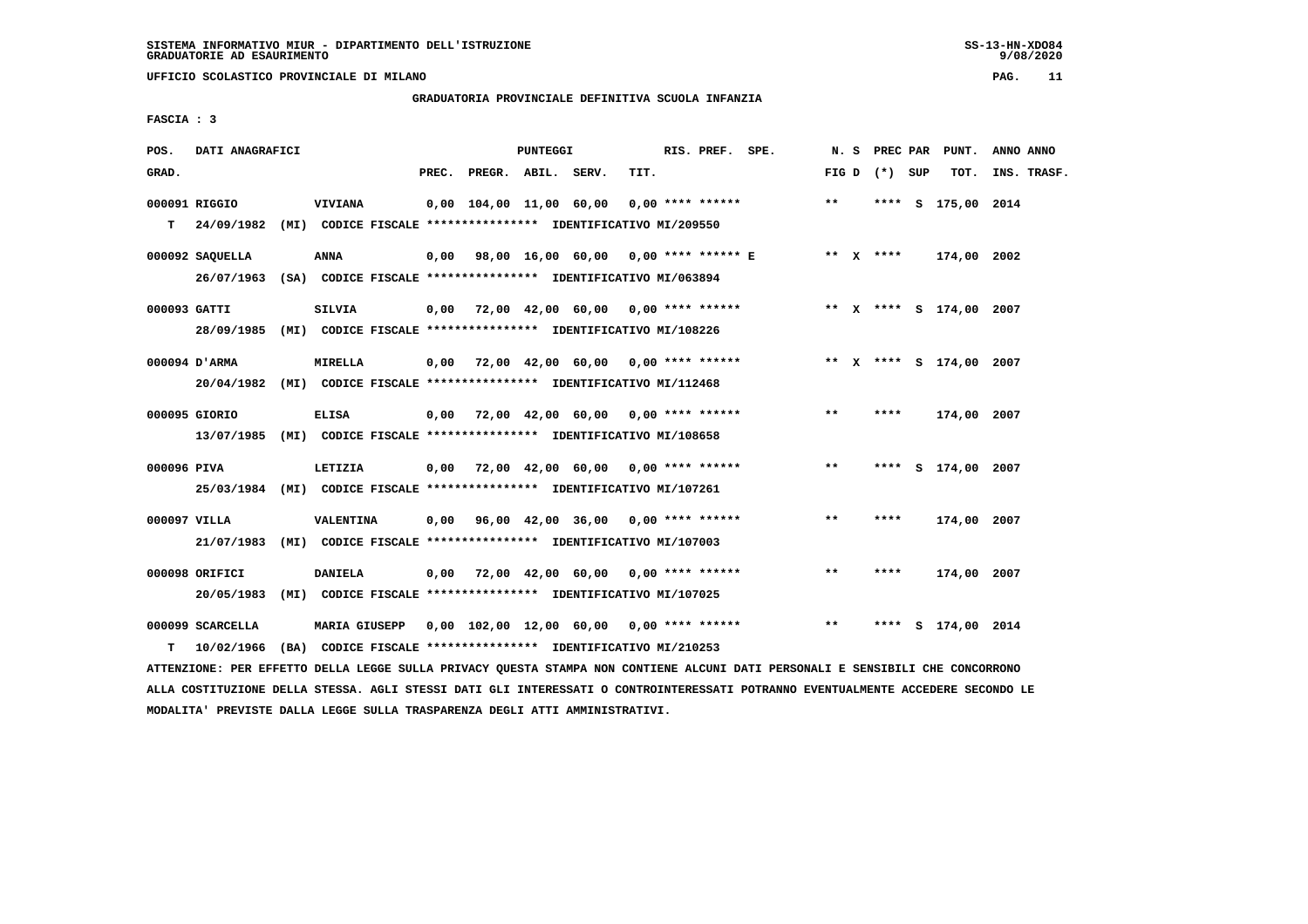#### **GRADUATORIA PROVINCIALE DEFINITIVA SCUOLA INFANZIA**

 **FASCIA : 3**

| POS.         | DATI ANAGRAFICI                                                          |                  |       |                    | <b>PUNTEGGI</b> |                                                               |      | RIS. PREF. | SPE. | N. S  | PREC PAR        | PUNT.                   | ANNO ANNO |             |
|--------------|--------------------------------------------------------------------------|------------------|-------|--------------------|-----------------|---------------------------------------------------------------|------|------------|------|-------|-----------------|-------------------------|-----------|-------------|
| GRAD.        |                                                                          |                  | PREC. | PREGR. ABIL. SERV. |                 |                                                               | TIT. |            |      |       | FIG D $(*)$ SUP | TOT.                    |           | INS. TRASF. |
|              |                                                                          |                  |       |                    |                 |                                                               |      |            |      |       |                 |                         |           |             |
|              | 000091 RIGGIO                                                            | <b>VIVIANA</b>   |       |                    |                 | 0,00 104,00 11,00 60,00 0,00 **** ******                      |      |            |      | $* *$ |                 | **** S 175,00 2014      |           |             |
| т            | 24/09/1982 (MI) CODICE FISCALE **************** IDENTIFICATIVO MI/209550 |                  |       |                    |                 |                                                               |      |            |      |       |                 |                         |           |             |
|              | 000092 SAQUELLA                                                          | <b>ANNA</b>      |       |                    |                 | 0,00 98,00 16,00 60,00 0,00 **** ****** E                     |      |            |      |       | ** $X$ ****     | 174,00 2002             |           |             |
|              | 26/07/1963 (SA) CODICE FISCALE *************** IDENTIFICATIVO MI/063894  |                  |       |                    |                 |                                                               |      |            |      |       |                 |                         |           |             |
|              |                                                                          |                  |       |                    |                 |                                                               |      |            |      |       |                 |                         |           |             |
| 000093 GATTI |                                                                          | <b>SILVIA</b>    |       |                    |                 | $0,00$ 72,00 42,00 60,00 0,00 **** ******                     |      |            |      |       |                 | ** X **** S 174,00 2007 |           |             |
|              | 28/09/1985 (MI) CODICE FISCALE *************** IDENTIFICATIVO MI/108226  |                  |       |                    |                 |                                                               |      |            |      |       |                 |                         |           |             |
|              | 000094 D'ARMA                                                            | <b>MIRELLA</b>   |       |                    |                 | $0,00$ $72,00$ $42,00$ $60,00$ $0,00$ $***$ **** *****        |      |            |      |       |                 | ** x **** s 174,00 2007 |           |             |
|              |                                                                          |                  |       |                    |                 |                                                               |      |            |      |       |                 |                         |           |             |
|              | 20/04/1982 (MI) CODICE FISCALE *************** IDENTIFICATIVO MI/112468  |                  |       |                    |                 |                                                               |      |            |      |       |                 |                         |           |             |
|              | 000095 GIORIO                                                            | <b>ELISA</b>     |       |                    |                 | $0,00$ 72,00 42,00 60,00 0,00 **** ******                     |      |            |      | $***$ | ****            | 174,00 2007             |           |             |
|              | 13/07/1985 (MI) CODICE FISCALE *************** IDENTIFICATIVO MI/108658  |                  |       |                    |                 |                                                               |      |            |      |       |                 |                         |           |             |
|              |                                                                          |                  |       |                    |                 |                                                               |      |            |      |       |                 |                         |           |             |
| 000096 PIVA  |                                                                          | LETIZIA          |       |                    |                 | $0,00$ $72,00$ $42,00$ $60,00$ $0,00$ $***$ **** ******       |      |            |      | $* *$ |                 | **** S 174,00 2007      |           |             |
|              | 25/03/1984 (MI) CODICE FISCALE *************** IDENTIFICATIVO MI/107261  |                  |       |                    |                 |                                                               |      |            |      |       |                 |                         |           |             |
| 000097 VILLA |                                                                          | <b>VALENTINA</b> |       |                    |                 | $0,00$ $96,00$ $42,00$ $36,00$ $0,00$ $***$ **** ******       |      |            |      | $***$ | ****            | 174,00 2007             |           |             |
|              | 21/07/1983 (MI) CODICE FISCALE *************** IDENTIFICATIVO MI/107003  |                  |       |                    |                 |                                                               |      |            |      |       |                 |                         |           |             |
|              |                                                                          |                  |       |                    |                 |                                                               |      |            |      |       |                 |                         |           |             |
|              | 000098 ORIFICI                                                           | <b>DANIELA</b>   |       |                    |                 | $0,00$ 72,00 42,00 60,00 0,00 **** ******                     |      |            |      | $* *$ | ****            | 174,00 2007             |           |             |
|              | 20/05/1983                                                               |                  |       |                    |                 | (MI) CODICE FISCALE **************** IDENTIFICATIVO MI/107025 |      |            |      |       |                 |                         |           |             |
|              |                                                                          |                  |       |                    |                 |                                                               |      |            |      |       |                 |                         |           |             |
|              | 000099 SCARCELLA                                                         |                  |       |                    |                 | MARIA GIUSEPP 0,00 102,00 12,00 60,00 0,00 **** ******        |      |            |      | $* *$ | ****            | S 174,00 2014           |           |             |
| т            | 10/02/1966                                                               |                  |       |                    |                 | (BA) CODICE FISCALE **************** IDENTIFICATIVO MI/210253 |      |            |      |       |                 |                         |           |             |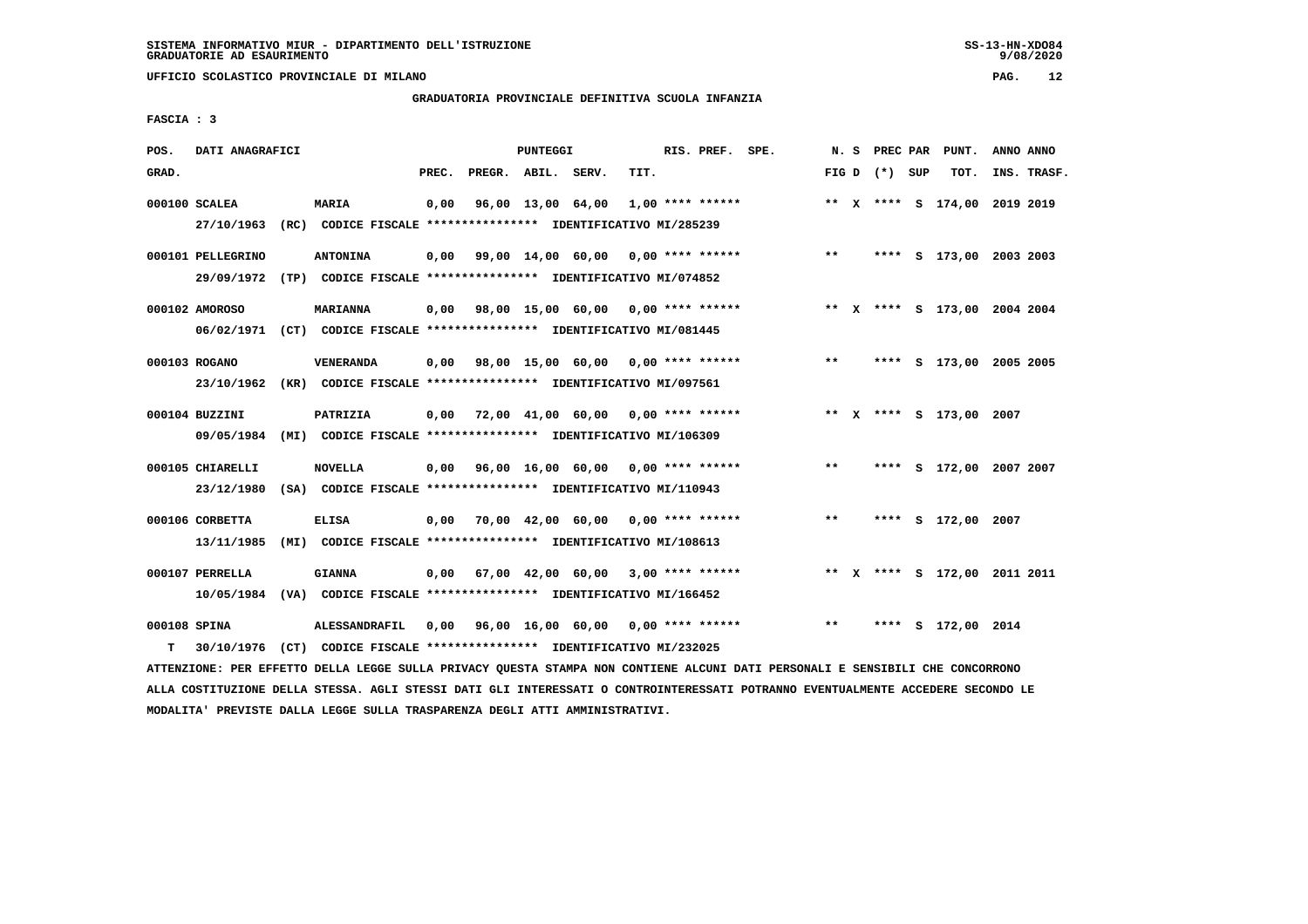**UFFICIO SCOLASTICO PROVINCIALE DI MILANO PAG. 12**

# **GRADUATORIA PROVINCIALE DEFINITIVA SCUOLA INFANZIA**

 **FASCIA : 3**

| POS.               | DATI ANAGRAFICI                |                                                                                            |       |                    | PUNTEGGI |                                                         |      | RIS. PREF. SPE. |                                           |              |                 | N. S PREC PAR PUNT.          | ANNO ANNO |             |
|--------------------|--------------------------------|--------------------------------------------------------------------------------------------|-------|--------------------|----------|---------------------------------------------------------|------|-----------------|-------------------------------------------|--------------|-----------------|------------------------------|-----------|-------------|
| GRAD.              |                                |                                                                                            | PREC. | PREGR. ABIL. SERV. |          |                                                         | TIT. |                 |                                           |              | FIG D $(*)$ SUP | тот.                         |           | INS. TRASF. |
|                    | 000100 SCALEA                  | <b>MARIA</b><br>27/10/1963 (RC) CODICE FISCALE **************** IDENTIFICATIVO MI/285239   | 0,00  |                    |          | $96,00$ 13,00 64,00 1,00 **** ******                    |      |                 |                                           |              |                 | ** X **** S 174,00 2019 2019 |           |             |
|                    | 000101 PELLEGRINO              | <b>ANTONINA</b><br>29/09/1972 (TP) CODICE FISCALE *************** IDENTIFICATIVO MI/074852 |       |                    |          | 0,00 99,00 14,00 60,00 0,00 **** ******                 |      |                 |                                           | $\star\star$ |                 | **** S 173,00 2003 2003      |           |             |
|                    | 000102 AMOROSO                 | <b>MARIANNA</b><br>06/02/1971 (CT) CODICE FISCALE *************** IDENTIFICATIVO MI/081445 |       |                    |          | 0,00 98,00 15,00 60,00 0,00 **** ******                 |      |                 |                                           |              |                 | ** X **** S 173,00 2004 2004 |           |             |
|                    | 000103 ROGANO                  | VENERANDA<br>23/10/1962 (KR) CODICE FISCALE *************** IDENTIFICATIVO MI/097561       |       |                    |          | 0,00 98,00 15,00 60,00 0,00 **** ******                 |      |                 |                                           | $***$        |                 | **** S 173,00 2005 2005      |           |             |
|                    | 000104 BUZZINI                 | <b>PATRIZIA</b><br>09/05/1984 (MI) CODICE FISCALE *************** IDENTIFICATIVO MI/106309 |       |                    |          | $0,00$ $72,00$ $41,00$ $60,00$ $0,00$ $***$ **** ****** |      |                 |                                           |              |                 | ** X **** S 173,00 2007      |           |             |
|                    | 000105 CHIARELLI<br>23/12/1980 | <b>NOVELLA</b><br>(SA) CODICE FISCALE **************** IDENTIFICATIVO MI/110943            |       |                    |          | $0,00$ 96,00 16,00 60,00 0,00 **** ******               |      |                 |                                           | $***$        |                 | **** S 172,00 2007 2007      |           |             |
|                    | 000106 CORBETTA<br>13/11/1985  | <b>ELISA</b><br>(MI) CODICE FISCALE **************** IDENTIFICATIVO MI/108613              |       |                    |          | $0,00$ 70,00 42,00 60,00 0,00 **** ******               |      |                 |                                           | $***$        |                 | **** S 172,00 2007           |           |             |
|                    | 000107 PERRELLA                | <b>GIANNA</b><br>10/05/1984 (VA) CODICE FISCALE *************** IDENTIFICATIVO MI/166452   |       |                    |          |                                                         |      |                 | $0,00$ 67,00 42,00 60,00 3,00 **** ****** |              |                 | ** X **** S 172,00 2011 2011 |           |             |
| 000108 SPINA<br>T. |                                | ALESSANDRAFIL<br>30/10/1976 (CT) CODICE FISCALE **************** IDENTIFICATIVO MI/232025  |       |                    |          | 0,00 96,00 16,00 60,00 0,00 **** ******                 |      |                 |                                           | $***$        |                 | **** S 172,00 2014           |           |             |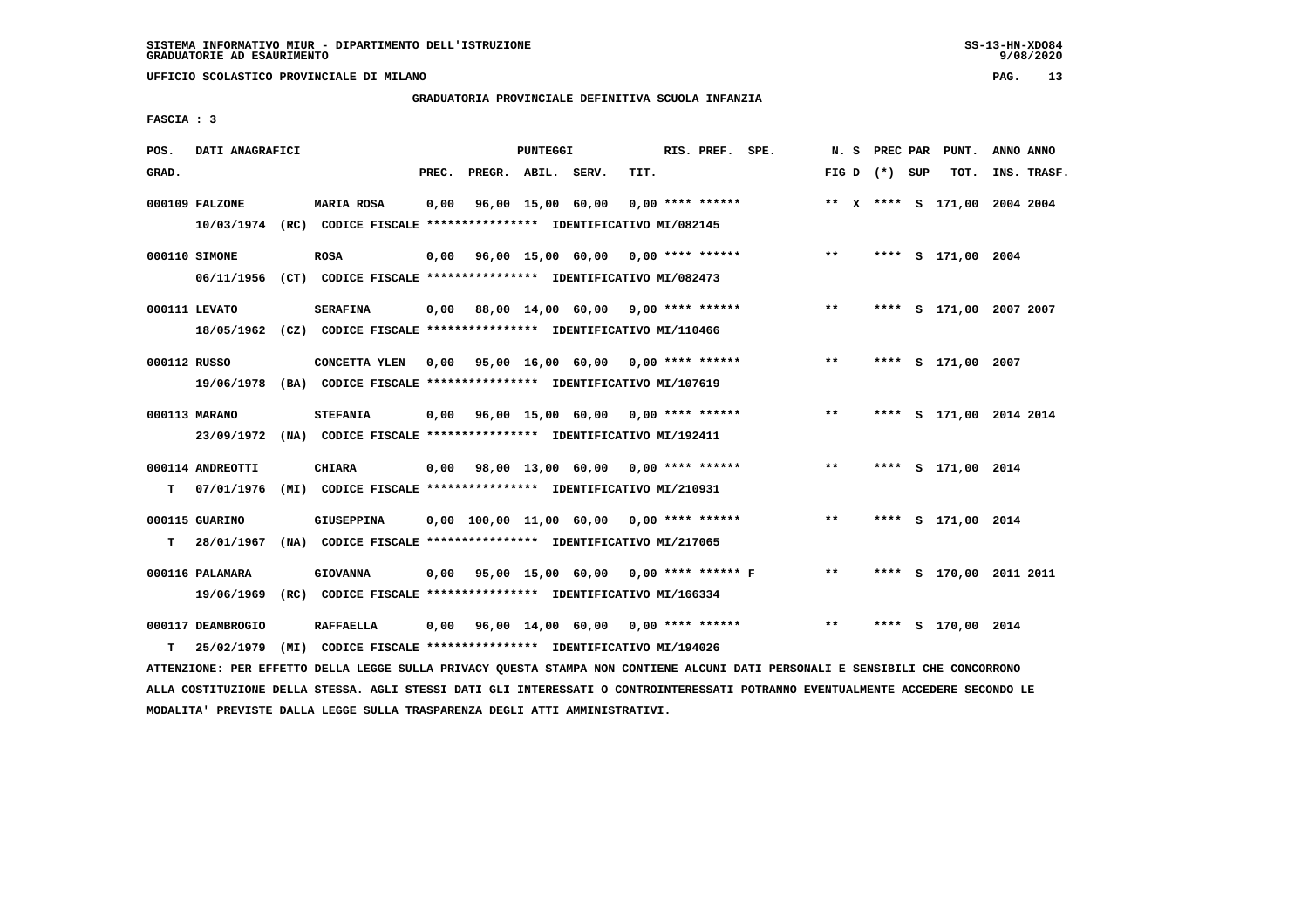# **GRADUATORIA PROVINCIALE DEFINITIVA SCUOLA INFANZIA**

 **FASCIA : 3**

| POS.         | DATI ANAGRAFICI   |                                                                         |       |                    | PUNTEGGI |                                                         |      | RIS. PREF. SPE.    |                                              |       |                 | N. S PREC PAR PUNT.          | ANNO ANNO |             |
|--------------|-------------------|-------------------------------------------------------------------------|-------|--------------------|----------|---------------------------------------------------------|------|--------------------|----------------------------------------------|-------|-----------------|------------------------------|-----------|-------------|
| GRAD.        |                   |                                                                         | PREC. | PREGR. ABIL. SERV. |          |                                                         | TIT. |                    |                                              |       | FIG D $(*)$ SUP | TOT.                         |           | INS. TRASF. |
|              | 000109 FALZONE    | <b>MARIA ROSA</b>                                                       | 0,00  |                    |          | 96,00 15,00 60,00                                       |      | $0.00$ **** ****** |                                              |       |                 | ** X **** S 171,00 2004 2004 |           |             |
|              |                   | 10/03/1974 (RC) CODICE FISCALE *************** IDENTIFICATIVO MI/082145 |       |                    |          |                                                         |      |                    |                                              |       |                 |                              |           |             |
|              | 000110 SIMONE     | <b>ROSA</b>                                                             | 0,00  |                    |          |                                                         |      |                    | 96,00 15,00 60,00 0,00 **** ****** *** **    |       |                 | **** S 171,00 2004           |           |             |
|              |                   | 06/11/1956 (CT) CODICE FISCALE *************** IDENTIFICATIVO MI/082473 |       |                    |          |                                                         |      |                    |                                              |       |                 |                              |           |             |
|              | 000111 LEVATO     | <b>SERAFINA</b>                                                         |       |                    |          |                                                         |      |                    | $0,00$ 88,00 14,00 60,00 9,00 **** ******    | $***$ |                 | **** S 171,00 2007 2007      |           |             |
|              |                   | 18/05/1962 (CZ) CODICE FISCALE *************** IDENTIFICATIVO MI/110466 |       |                    |          |                                                         |      |                    |                                              |       |                 |                              |           |             |
| 000112 RUSSO |                   | CONCETTA YLEN                                                           |       |                    |          | 0,00 95,00 16,00 60,00 0,00 **** ******                 |      |                    |                                              | $***$ |                 | **** S 171,00 2007           |           |             |
|              |                   | 19/06/1978 (BA) CODICE FISCALE *************** IDENTIFICATIVO MI/107619 |       |                    |          |                                                         |      |                    |                                              |       |                 |                              |           |             |
|              | 000113 MARANO     | <b>STEFANIA</b>                                                         |       |                    |          | 0,00 96,00 15,00 60,00 0,00 **** ******                 |      |                    |                                              | $***$ |                 | **** S 171,00 2014 2014      |           |             |
|              |                   | 23/09/1972 (NA) CODICE FISCALE *************** IDENTIFICATIVO MI/192411 |       |                    |          |                                                         |      |                    |                                              |       |                 |                              |           |             |
|              | 000114 ANDREOTTI  | <b>CHIARA</b>                                                           |       |                    |          | $0,00$ 98,00 13,00 60,00 0,00 **** ******               |      |                    |                                              | $***$ |                 | **** S 171,00 2014           |           |             |
| т            | 07/01/1976        | (MI) CODICE FISCALE **************** IDENTIFICATIVO MI/210931           |       |                    |          |                                                         |      |                    |                                              |       |                 |                              |           |             |
|              | 000115 GUARINO    | GIUSEPPINA                                                              |       |                    |          | $0,00$ 100,00 11,00 60,00 0,00 **** ******              |      |                    |                                              | $***$ |                 | **** S 171,00 2014           |           |             |
| т            | 28/01/1967        | (NA) CODICE FISCALE **************** IDENTIFICATIVO MI/217065           |       |                    |          |                                                         |      |                    |                                              |       |                 |                              |           |             |
|              | 000116 PALAMARA   | <b>GIOVANNA</b>                                                         |       |                    |          |                                                         |      |                    | 0,00 95,00 15,00 60,00 0,00 **** ****** F ** |       |                 | **** S 170,00 2011 2011      |           |             |
|              | 19/06/1969        | (RC) CODICE FISCALE **************** IDENTIFICATIVO MI/166334           |       |                    |          |                                                         |      |                    |                                              |       |                 |                              |           |             |
|              | 000117 DEAMBROGIO | <b>RAFFAELLA</b>                                                        |       |                    |          | $0,00$ $96,00$ $14,00$ $60,00$ $0.00$ $***$ **** ****** |      |                    |                                              | $***$ | ****            | s 170,00 2014                |           |             |
| т            |                   | 25/02/1979 (MI) CODICE FISCALE *************** IDENTIFICATIVO MI/194026 |       |                    |          |                                                         |      |                    |                                              |       |                 |                              |           |             |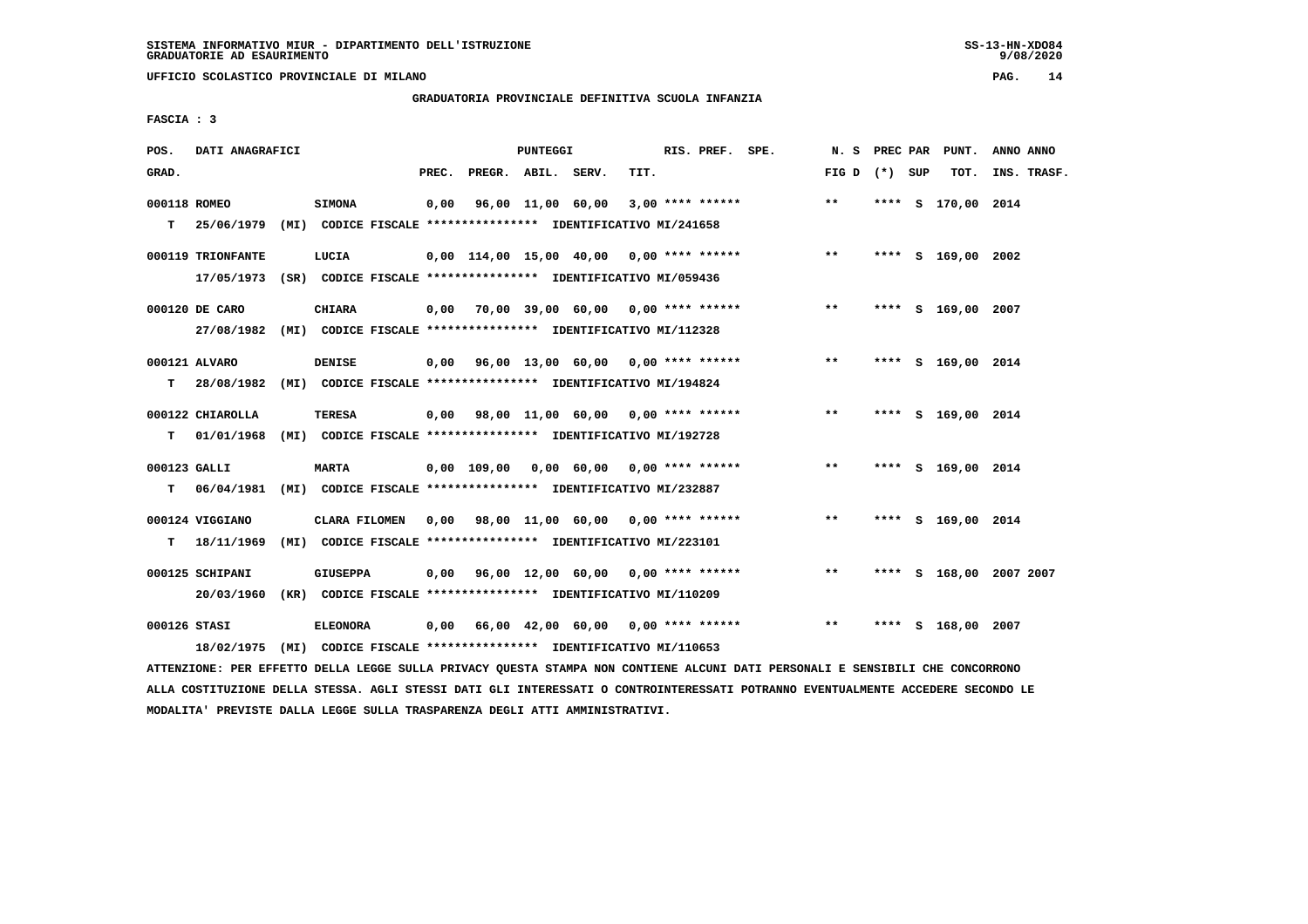**UFFICIO SCOLASTICO PROVINCIALE DI MILANO PAG. 14**

# **GRADUATORIA PROVINCIALE DEFINITIVA SCUOLA INFANZIA**

 **FASCIA : 3**

| POS.               | DATI ANAGRAFICI   |                                                                                          |       |                                                         | <b>PUNTEGGI</b> |      | RIS. PREF. SPE.    |                                           |                 |  | N. S PREC PAR PUNT. | ANNO ANNO               |
|--------------------|-------------------|------------------------------------------------------------------------------------------|-------|---------------------------------------------------------|-----------------|------|--------------------|-------------------------------------------|-----------------|--|---------------------|-------------------------|
| GRAD.              |                   |                                                                                          | PREC. | PREGR. ABIL. SERV.                                      |                 | TIT. |                    |                                           | FIG D $(*)$ SUP |  | TOT.                | INS. TRASF.             |
| 000118 ROMEO<br>T. |                   | <b>SIMONA</b><br>25/06/1979 (MI) CODICE FISCALE *************** IDENTIFICATIVO MI/241658 | 0,00  | 96,00 11,00 60,00                                       |                 |      | $3,00$ **** ****** |                                           | $**$            |  | **** S 170,00 2014  |                         |
|                    |                   |                                                                                          |       |                                                         |                 |      |                    |                                           |                 |  |                     |                         |
|                    | 000119 TRIONFANTE | LUCIA                                                                                    |       |                                                         |                 |      |                    | 0,00 114,00 15,00 40,00 0,00 **** ******  | $* *$           |  | **** S 169,00 2002  |                         |
|                    |                   | 17/05/1973 (SR) CODICE FISCALE *************** IDENTIFICATIVO MI/059436                  |       |                                                         |                 |      |                    |                                           |                 |  |                     |                         |
|                    | 000120 DE CARO    | <b>CHIARA</b>                                                                            |       | $0,00$ $70,00$ $39,00$ $60,00$ $0,00$ $***$ **** ****** |                 |      |                    |                                           | $***$           |  | **** S 169,00 2007  |                         |
|                    |                   | 27/08/1982 (MI) CODICE FISCALE *************** IDENTIFICATIVO MI/112328                  |       |                                                         |                 |      |                    |                                           |                 |  |                     |                         |
|                    | 000121 ALVARO     |                                                                                          |       | 0,00 96,00 13,00 60,00 0,00 **** ******                 |                 |      |                    |                                           | $**$            |  | **** S 169,00 2014  |                         |
| т                  |                   | <b>DENISE</b><br>28/08/1982 (MI) CODICE FISCALE *************** IDENTIFICATIVO MI/194824 |       |                                                         |                 |      |                    |                                           |                 |  |                     |                         |
|                    |                   |                                                                                          |       |                                                         |                 |      |                    |                                           |                 |  |                     |                         |
|                    | 000122 CHIAROLLA  | <b>TERESA</b>                                                                            |       | 0,00 98,00 11,00 60,00 0,00 **** ******                 |                 |      |                    |                                           | $***$           |  | **** S 169,00 2014  |                         |
| T.                 |                   | 01/01/1968 (MI) CODICE FISCALE **************** IDENTIFICATIVO MI/192728                 |       |                                                         |                 |      |                    |                                           |                 |  |                     |                         |
| 000123 GALLI       |                   | <b>MARTA</b>                                                                             |       |                                                         |                 |      |                    | $0,00$ 109,00 0,00 60,00 0,00 **** ****** | $***$           |  | **** S 169,00 2014  |                         |
| T.                 | 06/04/1981        | (MI) CODICE FISCALE **************** IDENTIFICATIVO MI/232887                            |       |                                                         |                 |      |                    |                                           |                 |  |                     |                         |
|                    | 000124 VIGGIANO   | CLARA FILOMEN                                                                            |       | $0.00$ 98.00 11.00 60.00 0.00 **** ******               |                 |      |                    |                                           | $***$           |  | **** S 169,00 2014  |                         |
|                    | $T = 18/11/1969$  | (MI) CODICE FISCALE **************** IDENTIFICATIVO MI/223101                            |       |                                                         |                 |      |                    |                                           |                 |  |                     |                         |
|                    |                   |                                                                                          |       |                                                         |                 |      |                    |                                           |                 |  |                     |                         |
|                    | 000125 SCHIPANI   | <b>GIUSEPPA</b>                                                                          |       | $0,00$ 96,00 12,00 60,00 0,00 **** ******               |                 |      |                    |                                           | $* *$           |  |                     | **** S 168,00 2007 2007 |
|                    | 20/03/1960        | (KR) CODICE FISCALE **************** IDENTIFICATIVO MI/110209                            |       |                                                         |                 |      |                    |                                           |                 |  |                     |                         |
| 000126 STASI       |                   | <b>ELEONORA</b>                                                                          |       | 0,00 66,00 42,00 60,00 0,00 **** ******                 |                 |      |                    |                                           | $* *$           |  | **** S 168,00 2007  |                         |
|                    |                   | 18/02/1975 (MI) CODICE FISCALE *************** IDENTIFICATIVO MI/110653                  |       |                                                         |                 |      |                    |                                           |                 |  |                     |                         |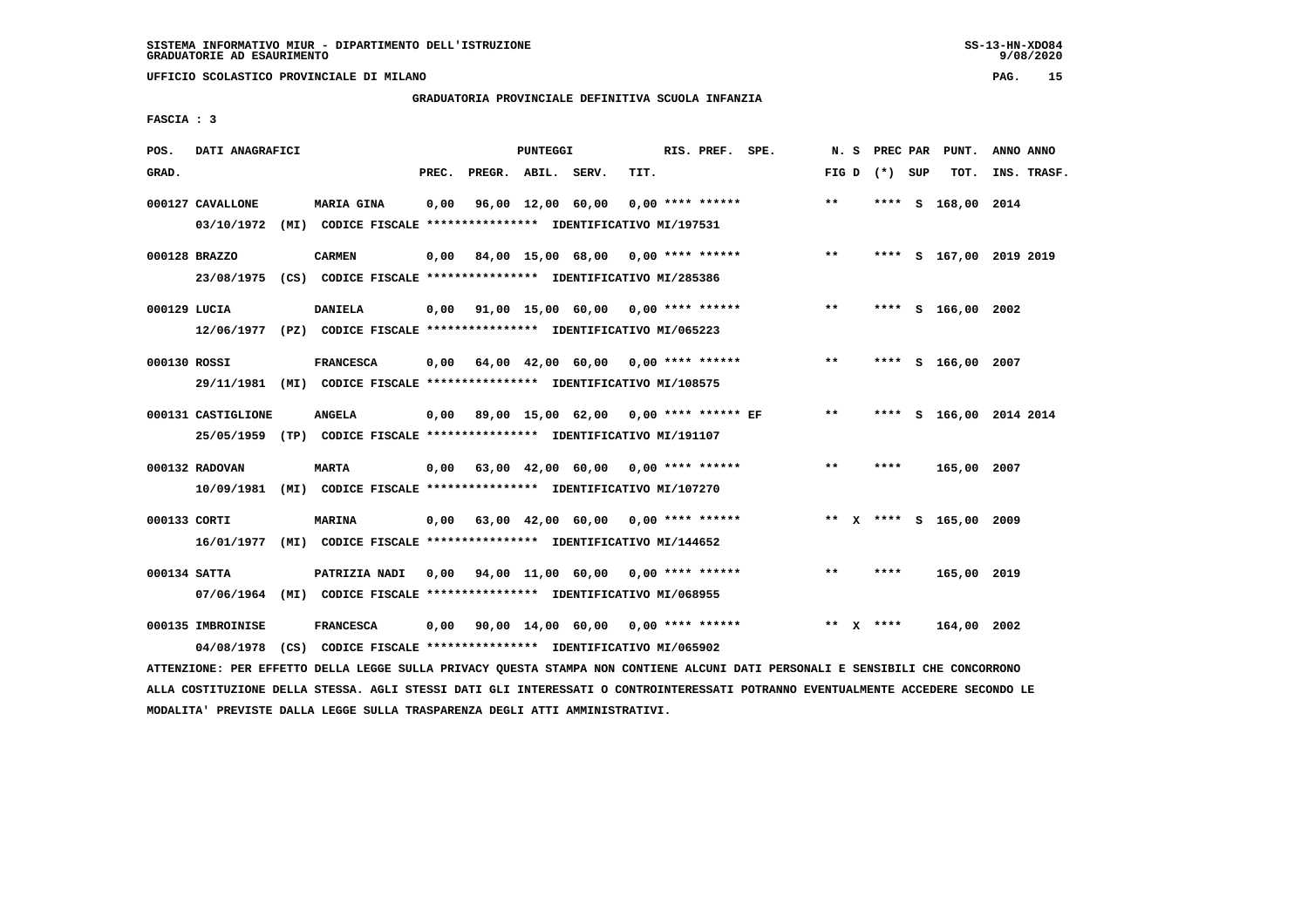**UFFICIO SCOLASTICO PROVINCIALE DI MILANO PAG. 15**

#### **GRADUATORIA PROVINCIALE DEFINITIVA SCUOLA INFANZIA**

 **FASCIA : 3**

| POS.         | DATI ANAGRAFICI                 |                                                                                             |       |                    | <b>PUNTEGGI</b> |                                                         |      | RIS. PREF. SPE.    |       |                 | N. S PREC PAR PUNT.     | ANNO ANNO |             |
|--------------|---------------------------------|---------------------------------------------------------------------------------------------|-------|--------------------|-----------------|---------------------------------------------------------|------|--------------------|-------|-----------------|-------------------------|-----------|-------------|
| GRAD.        |                                 |                                                                                             | PREC. | PREGR. ABIL. SERV. |                 |                                                         | TIT. |                    |       | FIG D $(*)$ SUP | тот.                    |           | INS. TRASF. |
|              | 000127 CAVALLONE                | MARIA GINA<br>03/10/1972 (MI) CODICE FISCALE *************** IDENTIFICATIVO MI/197531       | 0,00  |                    |                 | 96,00 12,00 60,00                                       |      | $0.00$ **** ****** | $**$  |                 | **** S 168,00 2014      |           |             |
|              | 000128 BRAZZO                   | <b>CARMEN</b><br>23/08/1975 (CS) CODICE FISCALE *************** IDENTIFICATIVO MI/285386    |       |                    |                 | $0,00$ 84,00 15,00 68,00 0,00 **** ******               |      |                    | $***$ |                 | **** S 167,00 2019 2019 |           |             |
| 000129 LUCIA |                                 | <b>DANIELA</b><br>12/06/1977 (PZ) CODICE FISCALE *************** IDENTIFICATIVO MI/065223   |       |                    |                 | $0.00$ $91.00$ $15.00$ $60.00$ $0.00$ $***$ **** ****** |      |                    | $***$ |                 | **** S 166,00 2002      |           |             |
| 000130 ROSSI |                                 | <b>FRANCESCA</b><br>29/11/1981 (MI) CODICE FISCALE *************** IDENTIFICATIVO MI/108575 |       |                    |                 | $0.00$ 64.00 42.00 60.00 0.00 **** ******               |      |                    | $***$ |                 | **** S 166,00 2007      |           |             |
|              | 000131 CASTIGLIONE              | <b>ANGELA</b><br>25/05/1959 (TP) CODICE FISCALE **************** IDENTIFICATIVO MI/191107   |       |                    |                 | 0,00 89,00 15,00 62,00 0,00 **** ****** EF              |      |                    | $***$ | ****            | S 166,00 2014 2014      |           |             |
|              | 000132 RADOVAN                  | <b>MARTA</b><br>10/09/1981 (MI) CODICE FISCALE **************** IDENTIFICATIVO MI/107270    |       |                    |                 | $0,00$ 63,00 42,00 60,00 0,00 **** ******               |      |                    | $* *$ | ****            | 165,00 2007             |           |             |
| 000133 CORTI |                                 | <b>MARINA</b><br>16/01/1977 (MI) CODICE FISCALE *************** IDENTIFICATIVO MI/144652    |       |                    |                 | $0,00$ 63,00 42,00 60,00 0,00 **** ******               |      |                    |       |                 | ** X **** S 165,00 2009 |           |             |
| 000134 SATTA |                                 | PATRIZIA NADI<br>07/06/1964 (MI) CODICE FISCALE *************** IDENTIFICATIVO MI/068955    | 0,00  |                    |                 | 94,00 11,00 60,00 0,00 **** ******                      |      |                    | $**$  | ****            | 165,00 2019             |           |             |
|              | 000135 IMBROINISE<br>04/08/1978 | <b>FRANCESCA</b><br>(CS) CODICE FISCALE **************** IDENTIFICATIVO MI/065902           | 0,00  |                    |                 | 90,00 14,00 60,00 0,00 **** ******                      |      |                    |       | ** $X$ ****     | 164,00 2002             |           |             |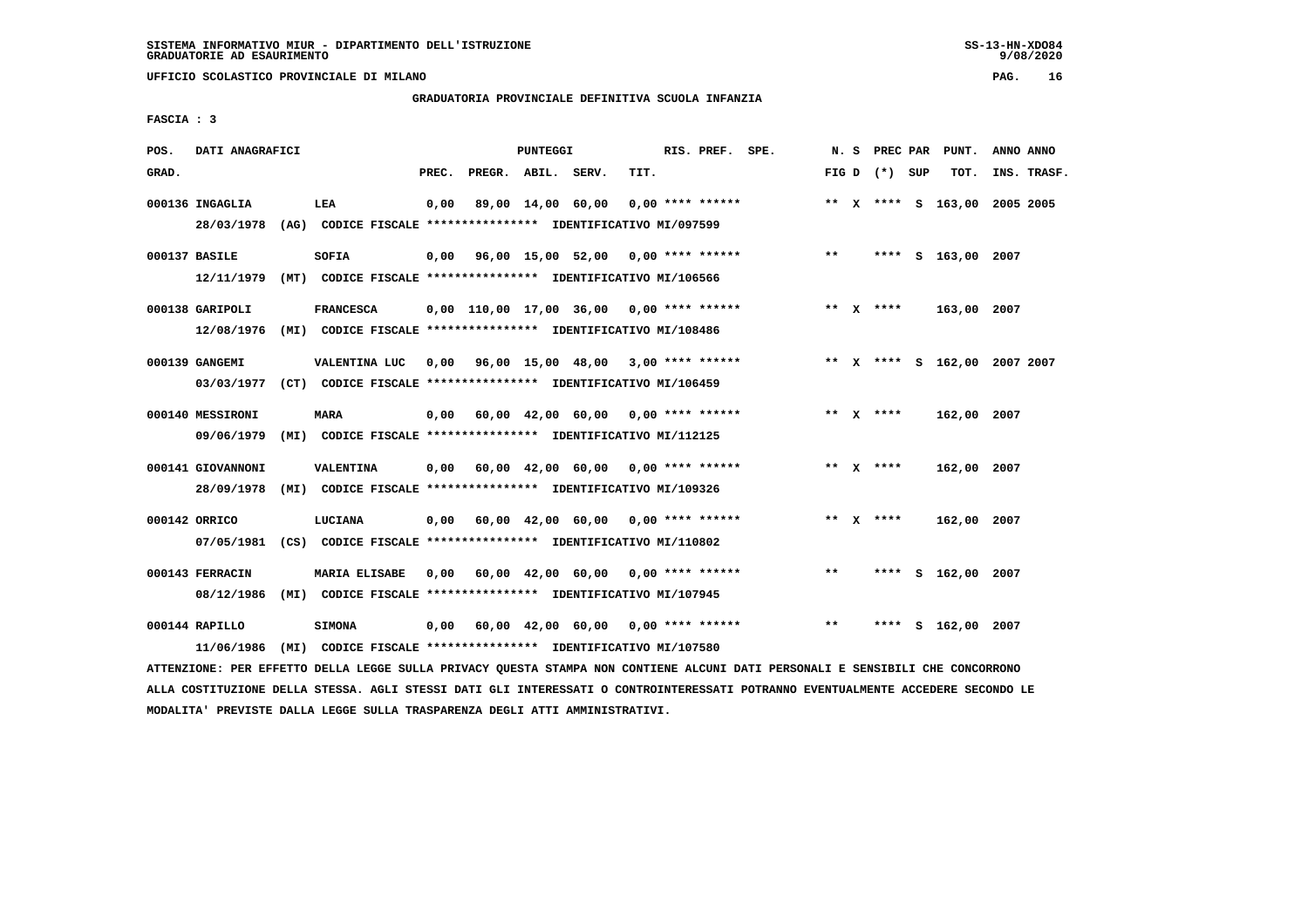**UFFICIO SCOLASTICO PROVINCIALE DI MILANO PAG. 16**

# **GRADUATORIA PROVINCIALE DEFINITIVA SCUOLA INFANZIA**

 **FASCIA : 3**

| POS.  | DATI ANAGRAFICI                 |      |                                                                                       |       |                    | PUNTEGGI |                                            |      | RIS. PREF. SPE.    |       |                 | N. S PREC PAR PUNT.          | ANNO ANNO |             |
|-------|---------------------------------|------|---------------------------------------------------------------------------------------|-------|--------------------|----------|--------------------------------------------|------|--------------------|-------|-----------------|------------------------------|-----------|-------------|
| GRAD. |                                 |      |                                                                                       | PREC. | PREGR. ABIL. SERV. |          |                                            | TIT. |                    |       | FIG D $(*)$ SUP | тот.                         |           | INS. TRASF. |
|       | 000136 INGAGLIA<br>28/03/1978   |      | LEA<br>(AG) CODICE FISCALE **************** IDENTIFICATIVO MI/097599                  | 0,00  |                    |          | 89,00 14,00 60,00                          |      | $0.00$ **** ****** |       |                 | ** X **** S 163,00 2005 2005 |           |             |
|       | 000137 BASILE<br>12/11/1979     |      | SOFIA<br>(MT) CODICE FISCALE **************** IDENTIFICATIVO MI/106566                |       |                    |          | $0,00$ 96,00 15,00 52,00 0,00 **** ******  |      |                    | $***$ |                 | **** S 163,00 2007           |           |             |
|       | 000138 GARIPOLI<br>12/08/1976   |      | <b>FRANCESCA</b><br>(MI) CODICE FISCALE **************** IDENTIFICATIVO MI/108486     |       |                    |          | $0,00$ 110,00 17,00 36,00 0,00 **** ****** |      |                    |       | ** $X$ ****     | 163,00 2007                  |           |             |
|       | 000139 GANGEMI<br>03/03/1977    |      | VALENTINA LUC<br>(CT) CODICE FISCALE **************** IDENTIFICATIVO MI/106459        | 0.00  |                    |          | 96,00 15,00 48,00 3,00 **** ******         |      |                    |       |                 | ** X **** S 162,00 2007 2007 |           |             |
|       | 000140 MESSIRONI<br>09/06/1979  |      | MARA<br>(MI) CODICE FISCALE **************** IDENTIFICATIVO MI/112125                 | 0,00  |                    |          | 60,00 42,00 60,00 0,00 **** ******         |      |                    |       | ** $X$ ****     | 162,00 2007                  |           |             |
|       | 000141 GIOVANNONI<br>28/09/1978 |      | <b>VALENTINA</b><br>(MI) CODICE FISCALE **************** IDENTIFICATIVO MI/109326     |       |                    |          | $0,00$ 60,00 42,00 60,00 0,00 **** ******  |      |                    |       | ** $X$ ****     | 162,00 2007                  |           |             |
|       | 000142 ORRICO                   |      | LUCIANA<br>07/05/1981 (CS) CODICE FISCALE *************** IDENTIFICATIVO MI/110802    |       |                    |          | $0,00$ 60,00 42,00 60,00 0,00 **** ******  |      |                    |       | ** $X$ ****     | 162,00 2007                  |           |             |
|       | 000143 FERRACIN<br>08/12/1986   |      | <b>MARIA ELISABE</b><br>(MI) CODICE FISCALE **************** IDENTIFICATIVO MI/107945 | 0,00  |                    |          | 60,00 42,00 60,00 0,00 **** ******         |      |                    | $***$ |                 | **** S 162,00 2007           |           |             |
|       | $000144$ RAPILLO<br>11/06/1986  | (MI) | <b>SIMONA</b><br>CODICE FISCALE **************** IDENTIFICATIVO MI/107580             | 0,00  |                    |          | 60,00 42,00 60,00 0,00 **** ******         |      |                    | $**$  |                 | **** S 162,00 2007           |           |             |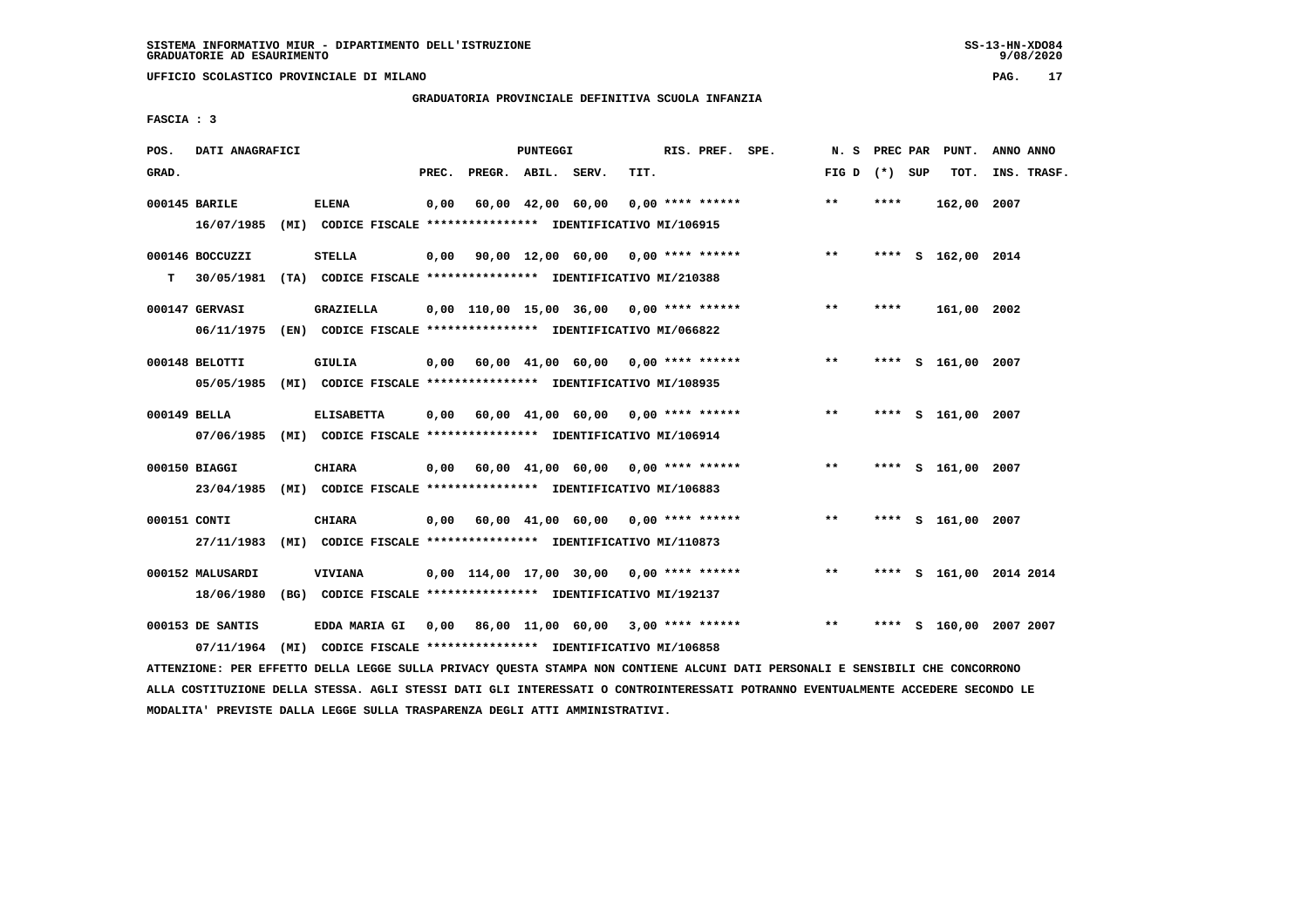**UFFICIO SCOLASTICO PROVINCIALE DI MILANO PAG. 17**

# **GRADUATORIA PROVINCIALE DEFINITIVA SCUOLA INFANZIA**

 **FASCIA : 3**

| POS.  | DATI ANAGRAFICI                |                                                                                                                                  |       |                                           | PUNTEGGI |                   |      | RIS. PREF. SPE.    |                                           |                 |      | N. S PREC PAR PUNT. | ANNO ANNO               |
|-------|--------------------------------|----------------------------------------------------------------------------------------------------------------------------------|-------|-------------------------------------------|----------|-------------------|------|--------------------|-------------------------------------------|-----------------|------|---------------------|-------------------------|
| GRAD. |                                |                                                                                                                                  | PREC. | PREGR. ABIL. SERV.                        |          |                   | TIT. |                    |                                           | FIG D $(*)$ SUP |      | TOT.                | INS. TRASF.             |
|       | 000145 BARILE                  | <b>ELENA</b><br>16/07/1985 (MI) CODICE FISCALE *************** IDENTIFICATIVO MI/106915                                          | 0,00  |                                           |          | 60,00 42,00 60,00 |      | $0.00$ **** ****** |                                           | $***$           | **** | 162,00 2007         |                         |
| т     | 000146 BOCCUZZI                | <b>STELLA</b><br>30/05/1981 (TA) CODICE FISCALE *************** IDENTIFICATIVO MI/210388                                         |       |                                           |          |                   |      |                    | $0,00$ 90,00 12,00 60,00 0,00 **** ****** | $***$           |      | **** S 162,00 2014  |                         |
|       | 000147 GERVASI                 | GRAZIELLA<br>06/11/1975 (EN) CODICE FISCALE *************** IDENTIFICATIVO MI/066822                                             |       | 0,00 110,00 15,00 36,00 0,00 **** ******  |          |                   |      |                    |                                           | $***$           | **** | 161,00 2002         |                         |
|       | 000148 BELOTTI                 | <b>GIULIA</b><br>05/05/1985 (MI) CODICE FISCALE *************** IDENTIFICATIVO MI/108935                                         |       | 0,00 60,00 41,00 60,00 0,00 **** ******   |          |                   |      |                    |                                           | $* *$           |      | **** S 161,00 2007  |                         |
|       | 000149 BELLA                   | <b>ELISABETTA</b><br>07/06/1985 (MI) CODICE FISCALE *************** IDENTIFICATIVO MI/106914                                     |       | $0.00$ 60.00 41.00 60.00 0.00 **** ****** |          |                   |      |                    |                                           | $***$           |      | **** S 161,00 2007  |                         |
|       | 000150 BIAGGI                  | <b>CHIARA</b><br>23/04/1985 (MI) CODICE FISCALE *************** IDENTIFICATIVO MI/106883                                         |       |                                           |          |                   |      |                    | $0,00$ 60,00 41,00 60,00 0,00 **** ****** | $***$           |      | **** S 161,00 2007  |                         |
|       | 000151 CONTI<br>27/11/1983     | <b>CHIARA</b><br>(MI) CODICE FISCALE **************** IDENTIFICATIVO MI/110873                                                   |       | $0,00$ 60,00 41,00 60,00 0,00 **** ****** |          |                   |      |                    |                                           | $***$           |      | **** S 161,00 2007  |                         |
|       | 000152 MALUSARDI<br>18/06/1980 | <b>VIVIANA</b><br>(BG) CODICE FISCALE **************** IDENTIFICATIVO MI/192137                                                  |       | 0,00 114,00 17,00 30,00 0,00 **** ******  |          |                   |      |                    |                                           | $***$           |      |                     | **** S 161,00 2014 2014 |
|       | 000153 DE SANTIS               | EDDA MARIA GI 0,00 86,00 11,00 60,00 3,00 **** ******<br>07/11/1964 (MI) CODICE FISCALE *************** IDENTIFICATIVO MI/106858 |       |                                           |          |                   |      |                    |                                           | $***$           |      |                     | **** S 160,00 2007 2007 |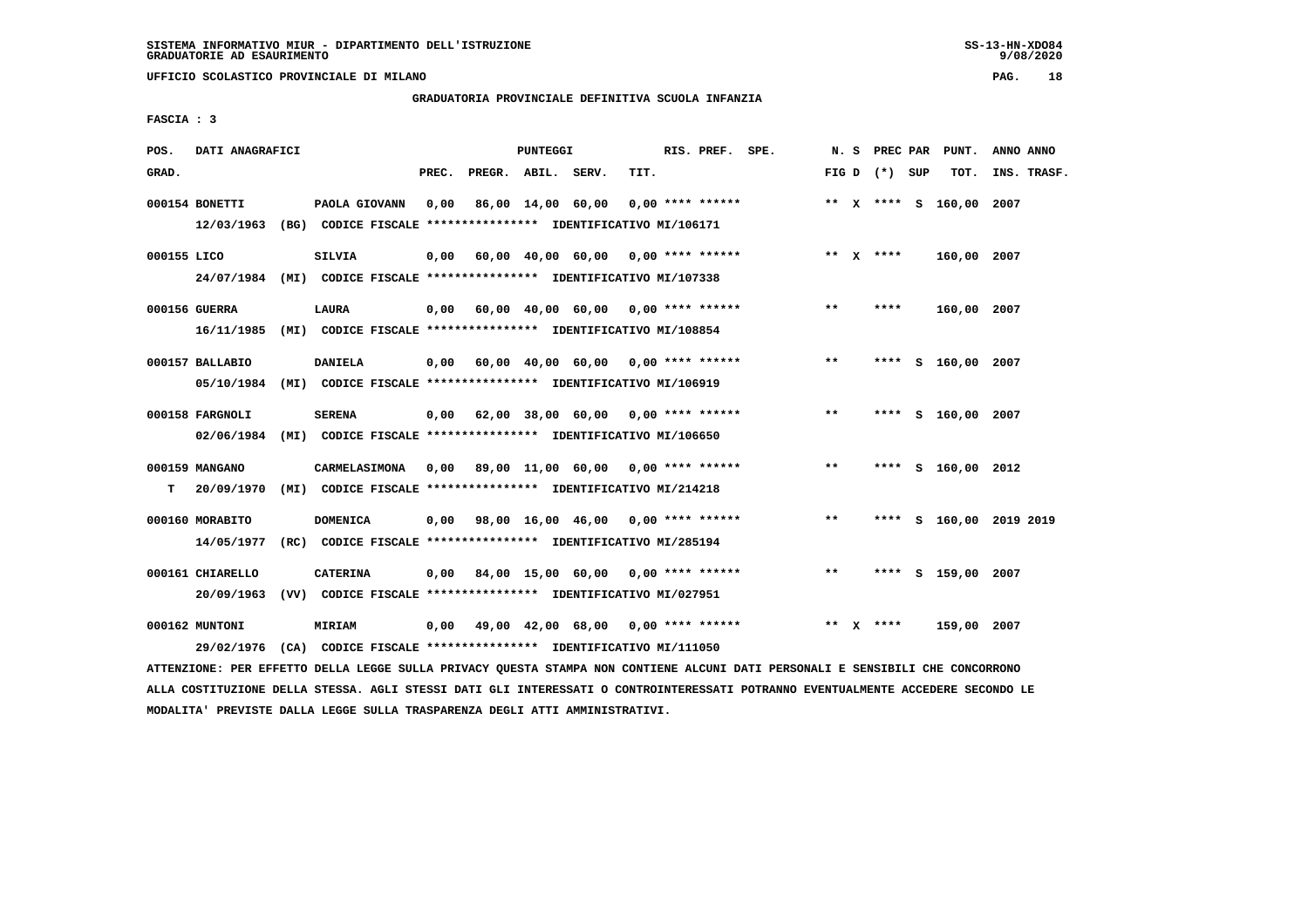**UFFICIO SCOLASTICO PROVINCIALE DI MILANO PAG. 18**

#### **GRADUATORIA PROVINCIALE DEFINITIVA SCUOLA INFANZIA**

 **FASCIA : 3**

| POS.        | DATI ANAGRAFICI                |                                                                                          |       |                    | PUNTEGGI |                                         |      | RIS. PREF. SPE.    | N.S   |                 | PREC PAR PUNT.          | ANNO ANNO          |
|-------------|--------------------------------|------------------------------------------------------------------------------------------|-------|--------------------|----------|-----------------------------------------|------|--------------------|-------|-----------------|-------------------------|--------------------|
| GRAD.       |                                |                                                                                          | PREC. | PREGR. ABIL. SERV. |          |                                         | TIT. |                    |       | FIG D $(*)$ SUP | TOT.                    | INS. TRASF.        |
|             | 000154 BONETTI<br>12/03/1963   | PAOLA GIOVANN<br>(BG) CODICE FISCALE **************** IDENTIFICATIVO MI/106171           | 0.00  |                    |          | 86,00 14,00 60,00                       |      | $0.00$ **** ****** |       |                 | ** X **** S 160,00 2007 |                    |
| 000155 LICO | 24/07/1984                     | SILVIA<br>(MI) CODICE FISCALE **************** IDENTIFICATIVO MI/107338                  | 0.00  |                    |          | 60,00 40,00 60,00 0,00 **** ******      |      |                    |       | ** $X$ ****     | 160,00 2007             |                    |
|             | 000156 GUERRA<br>16/11/1985    | <b>LAURA</b><br>(MI) CODICE FISCALE **************** IDENTIFICATIVO MI/108854            | 0,00  |                    |          | 60,00 40,00 60,00 0,00 **** ******      |      |                    | $***$ | ****            | 160,00 2007             |                    |
|             | 000157 BALLABIO<br>05/10/1984  | <b>DANIELA</b><br>(MI) CODICE FISCALE **************** IDENTIFICATIVO MI/106919          | 0,00  |                    |          | 60,00 40,00 60,00 0,00 **** ******      |      |                    | $**$  |                 | **** S 160,00 2007      |                    |
|             | 000158 FARGNOLI                | <b>SERENA</b><br>02/06/1984 (MI) CODICE FISCALE *************** IDENTIFICATIVO MI/106650 | 0,00  |                    |          | 62,00 38,00 60,00 0,00 **** ******      |      |                    | $***$ | ****            | S 160,00 2007           |                    |
| т           | 000159 MANGANO<br>20/09/1970   | <b>CARMELASIMONA</b><br>(MI) CODICE FISCALE **************** IDENTIFICATIVO MI/214218    |       |                    |          | 0,00 89,00 11,00 60,00 0,00 **** ****** |      |                    | $* *$ |                 | **** S 160,00 2012      |                    |
|             | 000160 MORABITO<br>14/05/1977  | <b>DOMENICA</b><br>(RC) CODICE FISCALE **************** IDENTIFICATIVO MI/285194         |       |                    |          | 0,00 98,00 16,00 46,00 0,00 **** ****** |      |                    | $* *$ | ****            |                         | S 160,00 2019 2019 |
|             | 000161 CHIARELLO<br>20/09/1963 | CATERINA<br>(VV) CODICE FISCALE **************** IDENTIFICATIVO MI/027951                | 0,00  |                    |          | 84,00 15,00 60,00                       |      | $0.00$ **** ****** | **    |                 | **** S 159,00 2007      |                    |
|             | 000162 MUNTONI<br>29/02/1976   | <b>MIRIAM</b><br>(CA) CODICE FISCALE **************** IDENTIFICATIVO MI/111050           | 0,00  |                    |          | 49,00 42,00 68,00 0,00 **** ******      |      |                    |       | ** $X$ ****     | 159,00 2007             |                    |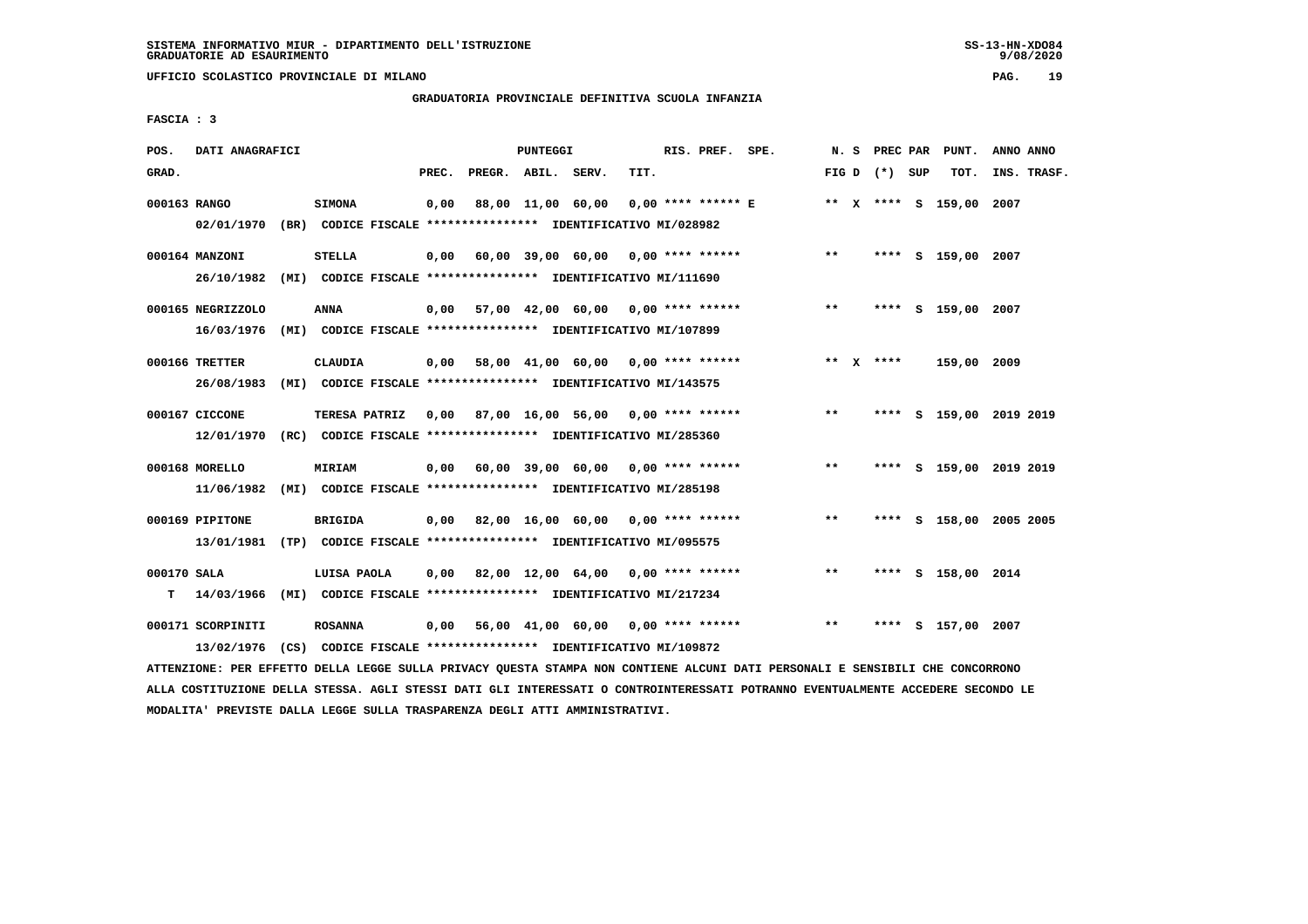**UFFICIO SCOLASTICO PROVINCIALE DI MILANO PAG. 19**

# **GRADUATORIA PROVINCIALE DEFINITIVA SCUOLA INFANZIA**

 **FASCIA : 3**

| POS.         | DATI ANAGRAFICI                                                         |                      |       |                    | PUNTEGGI |                                                               |      | RIS. PREF. SPE. |                                    |       |                   | N. S PREC PAR PUNT.     | ANNO ANNO   |  |
|--------------|-------------------------------------------------------------------------|----------------------|-------|--------------------|----------|---------------------------------------------------------------|------|-----------------|------------------------------------|-------|-------------------|-------------------------|-------------|--|
| GRAD.        |                                                                         |                      | PREC. | PREGR. ABIL. SERV. |          |                                                               | TIT. |                 |                                    |       | FIG $D$ $(*)$ SUP | TOT.                    | INS. TRASF. |  |
| 000163 RANGO |                                                                         | <b>SIMONA</b>        | 0,00  |                    |          | 88,00 11,00 60,00                                             |      |                 | $0.00$ **** ****** E               |       |                   | ** X **** S 159,00 2007 |             |  |
|              | 02/01/1970 (BR) CODICE FISCALE *************** IDENTIFICATIVO MI/028982 |                      |       |                    |          |                                                               |      |                 |                                    |       |                   |                         |             |  |
|              | 000164 MANZONI                                                          | <b>STELLA</b>        | 0,00  |                    |          | 60,00 39,00 60,00 0,00 **** ******                            |      |                 |                                    | $* *$ |                   | **** S 159,00 2007      |             |  |
|              | 26/10/1982                                                              |                      |       |                    |          | (MI) CODICE FISCALE **************** IDENTIFICATIVO MI/111690 |      |                 |                                    |       |                   |                         |             |  |
|              | 000165 NEGRIZZOLO                                                       | ANNA                 |       |                    |          | $0.00$ 57,00 42,00 60,00 0,00 **** ******                     |      |                 |                                    | $***$ |                   | **** S 159,00 2007      |             |  |
|              | 16/03/1976                                                              |                      |       |                    |          | (MI) CODICE FISCALE **************** IDENTIFICATIVO MI/107899 |      |                 |                                    |       |                   |                         |             |  |
|              | 000166 TRETTER                                                          | <b>CLAUDIA</b>       | 0,00  |                    |          |                                                               |      |                 | 58,00 41,00 60,00 0,00 **** ****** |       | ** $X$ ****       | 159,00 2009             |             |  |
|              | 26/08/1983                                                              |                      |       |                    |          | (MI) CODICE FISCALE **************** IDENTIFICATIVO MI/143575 |      |                 |                                    |       |                   |                         |             |  |
|              | 000167 CICCONE                                                          | <b>TERESA PATRIZ</b> |       |                    |          | 0,00 87,00 16,00 56,00 0,00 **** ******                       |      |                 |                                    | $***$ |                   | **** S 159,00 2019 2019 |             |  |
|              | 12/01/1970                                                              |                      |       |                    |          | (RC) CODICE FISCALE **************** IDENTIFICATIVO MI/285360 |      |                 |                                    |       |                   |                         |             |  |
|              | 000168 MORELLO                                                          | MIRIAM               |       |                    |          | $0,00$ 60,00 39,00 60,00 0,00 **** ******                     |      |                 |                                    | $***$ |                   | **** S 159,00 2019 2019 |             |  |
|              | 11/06/1982                                                              |                      |       |                    |          | (MI) CODICE FISCALE **************** IDENTIFICATIVO MI/285198 |      |                 |                                    |       |                   |                         |             |  |
|              | 000169 PIPITONE                                                         | <b>BRIGIDA</b>       | 0,00  |                    |          | 82,00 16,00 60,00 0,00 **** ******                            |      |                 |                                    | $***$ |                   | **** S 158,00 2005 2005 |             |  |
|              | 13/01/1981 (TP) CODICE FISCALE *************** IDENTIFICATIVO MI/095575 |                      |       |                    |          |                                                               |      |                 |                                    |       |                   |                         |             |  |
| 000170 SALA  |                                                                         | LUISA PAOLA          | 0.00  |                    |          | 82,00 12,00 64,00 0,00 **** ******                            |      |                 |                                    | $***$ |                   | **** S 158,00 2014      |             |  |
|              | T 14/03/1966                                                            |                      |       |                    |          | (MI) CODICE FISCALE **************** IDENTIFICATIVO MI/217234 |      |                 |                                    |       |                   |                         |             |  |
|              | 000171 SCORPINITI                                                       | <b>ROSANNA</b>       | 0,00  |                    |          | 56,00 41,00 60,00 0,00 **** ******                            |      |                 |                                    | $***$ |                   | **** S 157,00 2007      |             |  |
|              | 13/02/1976 (CS) CODICE FISCALE *************** IDENTIFICATIVO MI/109872 |                      |       |                    |          |                                                               |      |                 |                                    |       |                   |                         |             |  |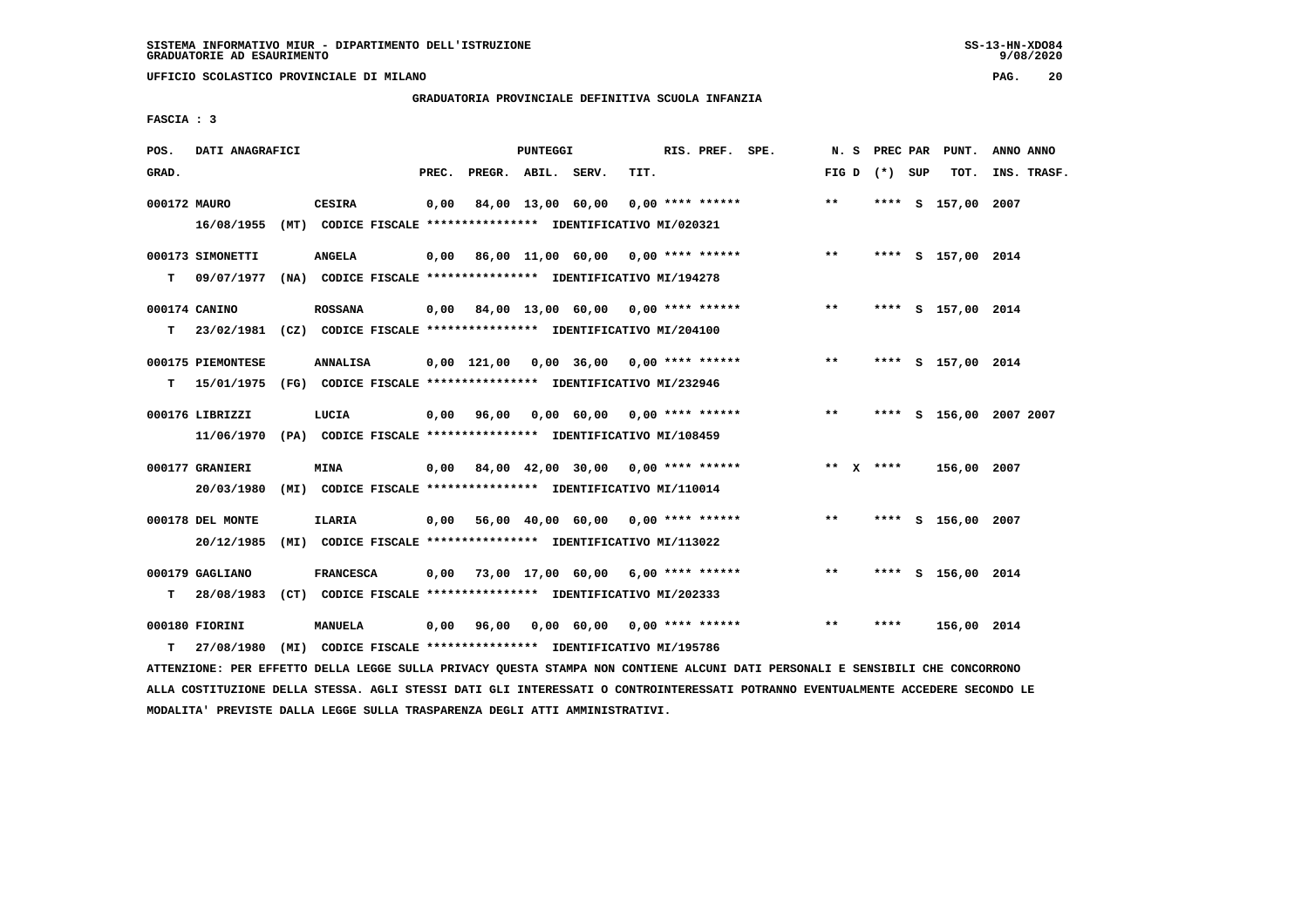**UFFICIO SCOLASTICO PROVINCIALE DI MILANO PAG. 20**

# **GRADUATORIA PROVINCIALE DEFINITIVA SCUOLA INFANZIA**

 **FASCIA : 3**

| POS.         | DATI ANAGRAFICI                                                                              |                                                                                   |       |                    | PUNTEGGI |                                           |      | RIS. PREF. SPE.    |                                                  |                 |      | N. S PREC PAR PUNT.     | ANNO ANNO |             |
|--------------|----------------------------------------------------------------------------------------------|-----------------------------------------------------------------------------------|-------|--------------------|----------|-------------------------------------------|------|--------------------|--------------------------------------------------|-----------------|------|-------------------------|-----------|-------------|
| GRAD.        |                                                                                              |                                                                                   | PREC. | PREGR. ABIL. SERV. |          |                                           | TIT. |                    |                                                  | FIG D $(*)$ SUP |      | TOT.                    |           | INS. TRASF. |
| 000172 MAURO | 16/08/1955                                                                                   | <b>CESIRA</b><br>(MT) CODICE FISCALE **************** IDENTIFICATIVO MI/020321    | 0,00  |                    |          | 84,00 13,00 60,00                         |      | $0.00$ **** ****** |                                                  | $***$           |      | **** S 157,00 2007      |           |             |
| т            | 000173 SIMONETTI<br>09/07/1977                                                               | <b>ANGELA</b><br>(NA) CODICE FISCALE **************** IDENTIFICATIVO MI/194278    |       |                    |          |                                           |      |                    | $0,00$ 86,00 11,00 60,00 0,00 **** ****** *** ** |                 |      | **** S 157,00 2014      |           |             |
|              | 000174 CANINO                                                                                | <b>ROSSANA</b>                                                                    |       |                    |          | $0,00$ 84,00 13,00 60,00 0,00 **** ****** |      |                    |                                                  | $\star\star$    |      | **** S 157,00 2014      |           |             |
| т            | 23/02/1981 (CZ) CODICE FISCALE *************** IDENTIFICATIVO MI/204100<br>000175 PIEMONTESE | <b>ANNALISA</b>                                                                   |       |                    |          | 0,00 121,00 0,00 36,00 0,00 **** ******   |      |                    |                                                  | $***$           |      | **** S 157,00 2014      |           |             |
| т            | 15/01/1975 (FG) CODICE FISCALE **************** IDENTIFICATIVO MI/232946<br>000176 LIBRIZZI  | LUCIA                                                                             |       | 0,00 96,00         |          | 0,00 60,00 0,00 **** ******               |      |                    |                                                  | $***$           |      | **** S 156,00 2007 2007 |           |             |
|              | 11/06/1970<br>000177 GRANIERI                                                                | (PA) CODICE FISCALE **************** IDENTIFICATIVO MI/108459<br><b>MINA</b>      |       |                    |          |                                           |      |                    | $0,00$ 84,00 42,00 30,00 0,00 **** ******        | ** $X$ ****     |      | 156,00 2007             |           |             |
|              | 20/03/1980<br>000178 DEL MONTE                                                               | (MI) CODICE FISCALE **************** IDENTIFICATIVO MI/110014<br><b>ILARIA</b>    |       |                    |          | $0,00$ 56,00 40,00 60,00 0,00 **** ****** |      |                    |                                                  | $***$           |      | **** S 156,00 2007      |           |             |
|              | 20/12/1985<br>000179 GAGLIANO                                                                | (MI) CODICE FISCALE **************** IDENTIFICATIVO MI/113022<br><b>FRANCESCA</b> |       |                    |          | $0,00$ 73,00 17,00 60,00 6,00 **** ****** |      |                    |                                                  | $***$           |      | **** S 156,00 2014      |           |             |
|              | $T = 28/08/1983$<br>000180 FIORINI                                                           | (CT) CODICE FISCALE **************** IDENTIFICATIVO MI/202333<br>MANUELA          |       | 0,00 96,00         |          | 0,00 60,00 0,00 **** ******               |      |                    |                                                  | $* *$           | **** | 156,00 2014             |           |             |
| т            | 27/08/1980                                                                                   | (MI) CODICE FISCALE **************** IDENTIFICATIVO MI/195786                     |       |                    |          |                                           |      |                    |                                                  |                 |      |                         |           |             |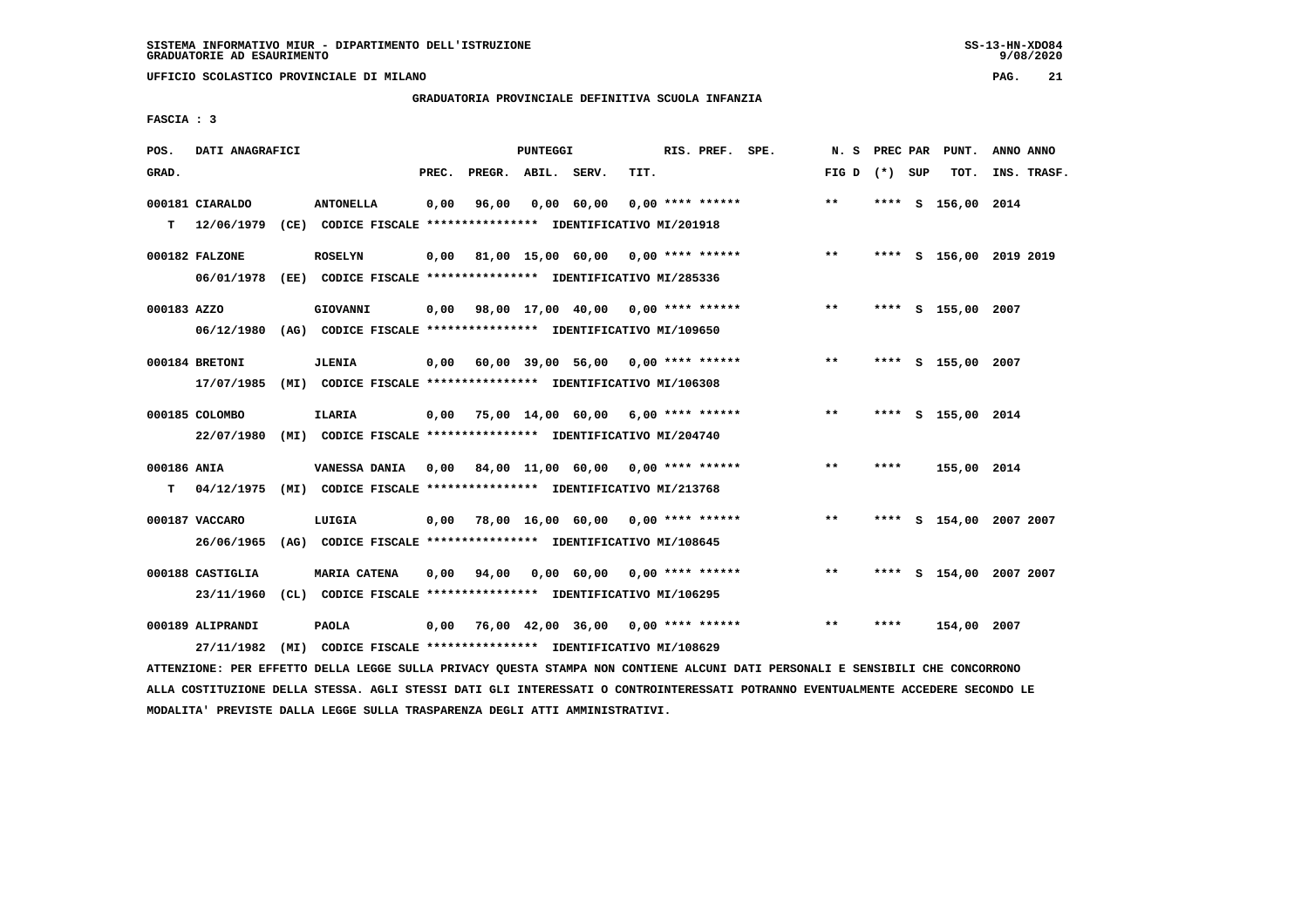**UFFICIO SCOLASTICO PROVINCIALE DI MILANO PAG. 21**

#### **GRADUATORIA PROVINCIALE DEFINITIVA SCUOLA INFANZIA**

 **FASCIA : 3**

| POS.             | DATI ANAGRAFICI                |                                                                                             |       |                    | PUNTEGGI |                                           |      | RIS. PREF. SPE.    | N.S   | PREC PAR | PUNT.                   | ANNO ANNO |             |
|------------------|--------------------------------|---------------------------------------------------------------------------------------------|-------|--------------------|----------|-------------------------------------------|------|--------------------|-------|----------|-------------------------|-----------|-------------|
| GRAD.            |                                |                                                                                             | PREC. | PREGR. ABIL. SERV. |          |                                           | TIT. |                    | FIG D | (*) SUP  | TOT.                    |           | INS. TRASF. |
| T.               | 000181 CIARALDO<br>12/06/1979  | <b>ANTONELLA</b><br>(CE) CODICE FISCALE **************** IDENTIFICATIVO MI/201918           | 0,00  | 96,00              |          | 0,00 60,00                                |      | $0.00$ **** ****** | $* *$ |          | **** S 156,00 2014      |           |             |
|                  | 000182 FALZONE<br>06/01/1978   | <b>ROSELYN</b><br>(EE) CODICE FISCALE *************** IDENTIFICATIVO MI/285336              | 0,00  |                    |          | 81,00 15,00 60,00 0,00 **** ******        |      |                    | $***$ |          | **** S 156,00 2019 2019 |           |             |
| 000183 AZZO      |                                | <b>GIOVANNI</b><br>06/12/1980 (AG) CODICE FISCALE **************** IDENTIFICATIVO MI/109650 | 0,00  |                    |          | 98,00 17,00 40,00 0,00 **** ******        |      |                    | $* *$ |          | **** S 155,00 2007      |           |             |
|                  | 000184 BRETONI<br>17/07/1985   | <b>JLENIA</b><br>(MI) CODICE FISCALE *************** IDENTIFICATIVO MI/106308               | 0,00  |                    |          | 60,00 39,00 56,00 0,00 **** ******        |      |                    | $***$ |          | **** S 155,00 2007      |           |             |
|                  | 000185 COLOMBO<br>22/07/1980   | ILARIA<br>(MI) CODICE FISCALE **************** IDENTIFICATIVO MI/204740                     |       |                    |          | $0,00$ 75,00 14,00 60,00 6,00 **** ****** |      |                    | $***$ | ****     | S 155,00 2014           |           |             |
| 000186 ANIA<br>т | 04/12/1975                     | VANESSA DANIA<br>(MI) CODICE FISCALE **************** IDENTIFICATIVO MI/213768              | 0,00  |                    |          | 84,00 11,00 60,00 0,00 **** ******        |      |                    | $***$ | ****     | 155,00 2014             |           |             |
|                  | 000187 VACCARO<br>26/06/1965   | LUIGIA<br>(AG) CODICE FISCALE **************** IDENTIFICATIVO MI/108645                     | 0,00  |                    |          | 78,00 16,00 60,00 0,00 **** ******        |      |                    | $***$ |          | **** S 154,00 2007 2007 |           |             |
|                  | 000188 CASTIGLIA<br>23/11/1960 | MARIA CATENA<br>(CL) CODICE FISCALE **************** IDENTIFICATIVO MI/106295               | 0,00  | 94,00              |          | $0,00$ 60,00 0,00 **** ******             |      |                    | $***$ | ****     | S 154,00 2007 2007      |           |             |
|                  | 000189 ALIPRANDI<br>27/11/1982 | PAOLA<br>(MI) CODICE FISCALE **************** IDENTIFICATIVO MI/108629                      | 0,00  |                    |          | 76,00 42,00 36,00 0,00 **** ******        |      |                    | $***$ | ****     | 154,00 2007             |           |             |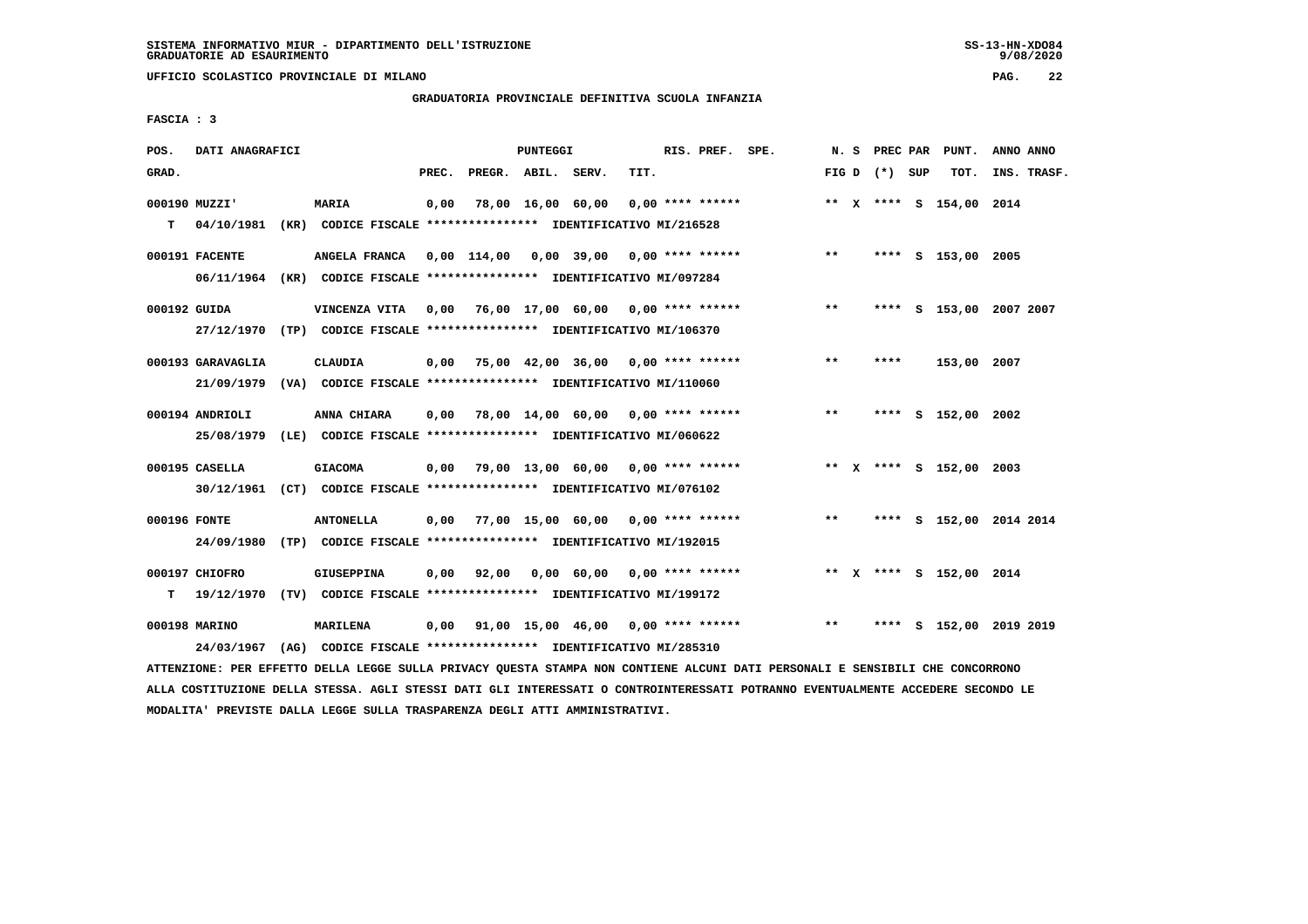**UFFICIO SCOLASTICO PROVINCIALE DI MILANO PAG. 22**

#### **GRADUATORIA PROVINCIALE DEFINITIVA SCUOLA INFANZIA**

 **FASCIA : 3**

| POS.         | DATI ANAGRAFICI   |                                                                                                                               |       |                    | PUNTEGGI |                                                        |      | RIS. PREF. SPE. |                                                                        |       |                 | N. S PREC PAR PUNT.     | ANNO ANNO |                  |
|--------------|-------------------|-------------------------------------------------------------------------------------------------------------------------------|-------|--------------------|----------|--------------------------------------------------------|------|-----------------|------------------------------------------------------------------------|-------|-----------------|-------------------------|-----------|------------------|
| GRAD.        |                   |                                                                                                                               | PREC. | PREGR. ABIL. SERV. |          |                                                        | TIT. |                 |                                                                        |       | FIG D $(*)$ SUP |                         |           | TOT. INS. TRASF. |
|              | 000190 MUZZI'     | <b>MARIA</b>                                                                                                                  | 0,00  |                    |          |                                                        |      |                 | 78,00 16,00 60,00 0,00 **** ******             ** x **** s 154,00 2014 |       |                 |                         |           |                  |
|              | $T = 04/10/1981$  | (KR) CODICE FISCALE **************** IDENTIFICATIVO MI/216528                                                                 |       |                    |          |                                                        |      |                 |                                                                        |       |                 |                         |           |                  |
|              | 000191 FACENTE    | ANGELA FRANCA 0,00 114,00 0,00 39,00 0,00 **** ******                                                                         |       |                    |          |                                                        |      |                 |                                                                        | $***$ |                 | **** S 153,00 2005      |           |                  |
|              |                   | 06/11/1964 (KR) CODICE FISCALE *************** IDENTIFICATIVO MI/097284                                                       |       |                    |          |                                                        |      |                 |                                                                        |       |                 |                         |           |                  |
| 000192 GUIDA |                   | VINCENZA VITA 0,00 76,00 17,00 60,00 0,00 **** ******                                                                         |       |                    |          |                                                        |      |                 |                                                                        | $***$ |                 | **** S 153,00 2007 2007 |           |                  |
|              |                   | 27/12/1970 (TP) CODICE FISCALE *************** IDENTIFICATIVO MI/106370                                                       |       |                    |          |                                                        |      |                 |                                                                        |       |                 |                         |           |                  |
|              | 000193 GARAVAGLIA | CLAUDIA                                                                                                                       |       |                    |          | $0,00$ 75,00 42,00 36,00 0,00 **** ******              |      |                 |                                                                        | $***$ | ****            | 153,00 2007             |           |                  |
|              |                   | 21/09/1979 (VA) CODICE FISCALE *************** IDENTIFICATIVO MI/110060                                                       |       |                    |          |                                                        |      |                 |                                                                        |       |                 |                         |           |                  |
|              | 000194 ANDRIOLI   | ANNA CHIARA                                                                                                                   |       |                    |          | $0,00$ 78,00 14,00 60,00 0,00 **** ******              |      |                 |                                                                        | $***$ |                 | **** S 152,00 2002      |           |                  |
|              |                   | 25/08/1979 (LE) CODICE FISCALE *************** IDENTIFICATIVO MI/060622                                                       |       |                    |          |                                                        |      |                 |                                                                        |       |                 |                         |           |                  |
|              | 000195 CASELLA    | <b>GIACOMA</b>                                                                                                                |       |                    |          |                                                        |      |                 | 0,00 79,00 13,00 60,00 0,00 **** ******                                |       |                 | ** X **** S 152,00 2003 |           |                  |
|              |                   | 30/12/1961 (CT) CODICE FISCALE *************** IDENTIFICATIVO MI/076102                                                       |       |                    |          |                                                        |      |                 |                                                                        |       |                 |                         |           |                  |
| 000196 FONTE |                   | <b>ANTONELLA</b>                                                                                                              |       |                    |          |                                                        |      |                 | $0,00$ 77,00 15,00 60,00 0,00 **** ******                              | $***$ |                 | **** S 152,00 2014 2014 |           |                  |
|              |                   | 24/09/1980 (TP) CODICE FISCALE *************** IDENTIFICATIVO MI/192015                                                       |       |                    |          |                                                        |      |                 |                                                                        |       |                 |                         |           |                  |
|              | 000197 CHIOFRO    | GIUSEPPINA                                                                                                                    |       |                    |          | $0,00$ $92,00$ $0,00$ $60,00$ $0,00$ $***$ **** ****** |      |                 |                                                                        |       |                 | ** X **** S 152,00 2014 |           |                  |
|              |                   | T 19/12/1970 (TV) CODICE FISCALE *************** IDENTIFICATIVO MI/199172                                                     |       |                    |          |                                                        |      |                 |                                                                        |       |                 |                         |           |                  |
|              | 000198 MARINO     | <b>MARILENA</b>                                                                                                               |       |                    |          |                                                        |      |                 | $0,00$ $91,00$ $15,00$ $46,00$ $0,00$ $***$ $***$ $***$                |       |                 | **** S 152,00 2019 2019 |           |                  |
|              | 24/03/1967        | (AG) CODICE FISCALE **************** IDENTIFICATIVO MI/285310                                                                 |       |                    |          |                                                        |      |                 |                                                                        |       |                 |                         |           |                  |
|              |                   | ATTENZIONE: PER EFFETTO DELLA LEGGE SULLA PRIVACY QUESTA STAMPA NON CONTIENE ALCUNI DATI PERSONALI E SENSIBILI CHE CONCORRONO |       |                    |          |                                                        |      |                 |                                                                        |       |                 |                         |           |                  |

 **ALLA COSTITUZIONE DELLA STESSA. AGLI STESSI DATI GLI INTERESSATI O CONTROINTERESSATI POTRANNO EVENTUALMENTE ACCEDERE SECONDO LE MODALITA' PREVISTE DALLA LEGGE SULLA TRASPARENZA DEGLI ATTI AMMINISTRATIVI.**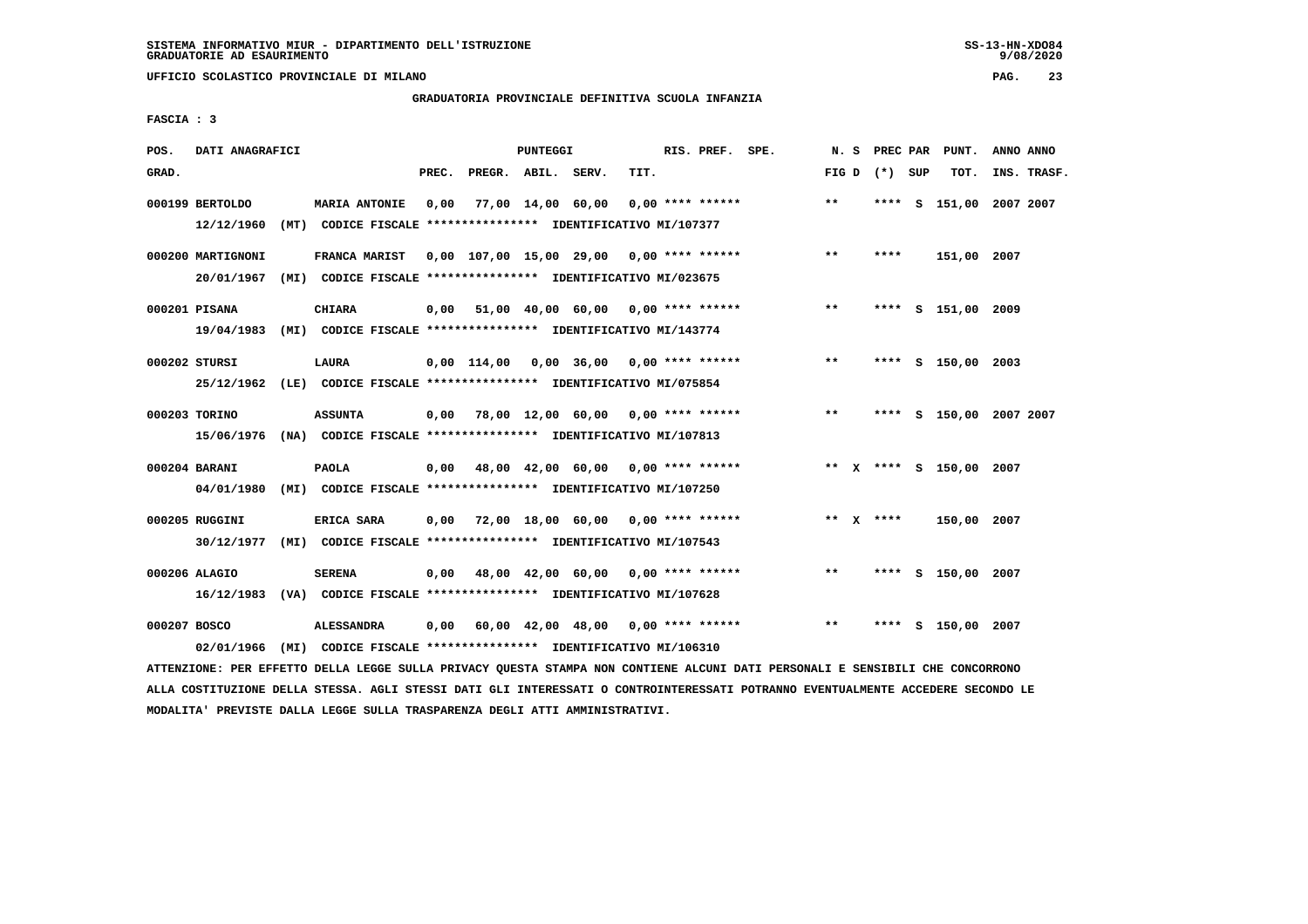**UFFICIO SCOLASTICO PROVINCIALE DI MILANO PAG. 23**

# **GRADUATORIA PROVINCIALE DEFINITIVA SCUOLA INFANZIA**

 **FASCIA : 3**

| POS.         | DATI ANAGRAFICI                                                          |                                                                                       |       |                   | PUNTEGGI |                                                  |      | RIS. PREF. SPE.    | N.S   |                 | PREC PAR PUNT.          | ANNO ANNO |             |
|--------------|--------------------------------------------------------------------------|---------------------------------------------------------------------------------------|-------|-------------------|----------|--------------------------------------------------|------|--------------------|-------|-----------------|-------------------------|-----------|-------------|
| GRAD.        |                                                                          |                                                                                       | PREC. | PREGR. ABIL.      |          | SERV.                                            | TIT. |                    |       | FIG D $(*)$ SUP | TOT.                    |           | INS. TRASF. |
|              | 000199 BERTOLDO<br>12/12/1960                                            | <b>MARIA ANTONIE</b><br>(MT) CODICE FISCALE **************** IDENTIFICATIVO MI/107377 | 0.00  | 77,00 14,00 60,00 |          |                                                  |      | $0.00$ **** ****** | $***$ |                 | **** S 151,00 2007 2007 |           |             |
|              |                                                                          |                                                                                       |       |                   |          |                                                  |      |                    |       |                 |                         |           |             |
|              | 000200 MARTIGNONI                                                        | FRANCA MARIST                                                                         |       |                   |          | 0,00 107,00 15,00 29,00 0,00 **** ******         |      |                    | $**$  | ****            | 151,00 2007             |           |             |
|              | 20/01/1967                                                               | (MI) CODICE FISCALE **************** IDENTIFICATIVO MI/023675                         |       |                   |          |                                                  |      |                    |       |                 |                         |           |             |
|              | 000201 PISANA                                                            | <b>CHIARA</b>                                                                         |       |                   |          | $0,00$ 51,00 40,00 60,00 0,00 **** ******        |      |                    | $***$ |                 | **** S 151,00 2009      |           |             |
|              | 19/04/1983 (MI) CODICE FISCALE *************** IDENTIFICATIVO MI/143774  |                                                                                       |       |                   |          |                                                  |      |                    |       |                 |                         |           |             |
|              | 000202 STURSI                                                            | <b>LAURA</b>                                                                          |       |                   |          | $0.00$ 114.00 0.00 36.00 0.00 **** ******        |      |                    | $***$ |                 | **** S 150,00 2003      |           |             |
|              | 25/12/1962 (LE) CODICE FISCALE *************** IDENTIFICATIVO MI/075854  |                                                                                       |       |                   |          |                                                  |      |                    |       |                 |                         |           |             |
|              | 000203 TORINO                                                            | <b>ASSUNTA</b>                                                                        |       |                   |          | 0,00 78,00 12,00 60,00 0,00 **** ******          |      |                    | $***$ |                 | **** S 150,00 2007 2007 |           |             |
|              | 15/06/1976 (NA) CODICE FISCALE **************** IDENTIFICATIVO MI/107813 |                                                                                       |       |                   |          |                                                  |      |                    |       |                 |                         |           |             |
|              |                                                                          |                                                                                       |       |                   |          |                                                  |      |                    |       |                 |                         |           |             |
|              | 000204 BARANI                                                            | <b>PAOLA</b>                                                                          |       |                   |          | $0.00$ 48.00 42.00 60.00 0.00 **** ******        |      |                    |       |                 | ** X **** S 150,00 2007 |           |             |
|              | 04/01/1980 (MI) CODICE FISCALE *************** IDENTIFICATIVO MI/107250  |                                                                                       |       |                   |          |                                                  |      |                    |       |                 |                         |           |             |
|              | 000205 RUGGINI                                                           | ERICA SARA                                                                            | 0,00  |                   |          | 72,00 18,00 60,00 0,00 **** ******               |      |                    |       | ** $X$ ****     | 150,00 2007             |           |             |
|              | 30/12/1977 (MI) CODICE FISCALE *************** IDENTIFICATIVO MI/107543  |                                                                                       |       |                   |          |                                                  |      |                    |       |                 |                         |           |             |
|              | 000206 ALAGIO                                                            | <b>SERENA</b>                                                                         |       |                   |          | $0,00$ 48,00 42,00 60,00 0,00 **** ******        |      |                    | $**$  | ****            | s 150,00 2007           |           |             |
|              | 16/12/1983 (VA) CODICE FISCALE *************** IDENTIFICATIVO MI/107628  |                                                                                       |       |                   |          |                                                  |      |                    |       |                 |                         |           |             |
| 000207 BOSCO |                                                                          | <b>ALESSANDRA</b>                                                                     | 0.00  |                   |          | $60,00$ $42,00$ $48,00$ $0,00$ $***$ **** ****** |      |                    | $**$  | ****            | s 150,00 2007           |           |             |
|              | 02/01/1966                                                               | (MI) CODICE FISCALE **************** IDENTIFICATIVO MI/106310                         |       |                   |          |                                                  |      |                    |       |                 |                         |           |             |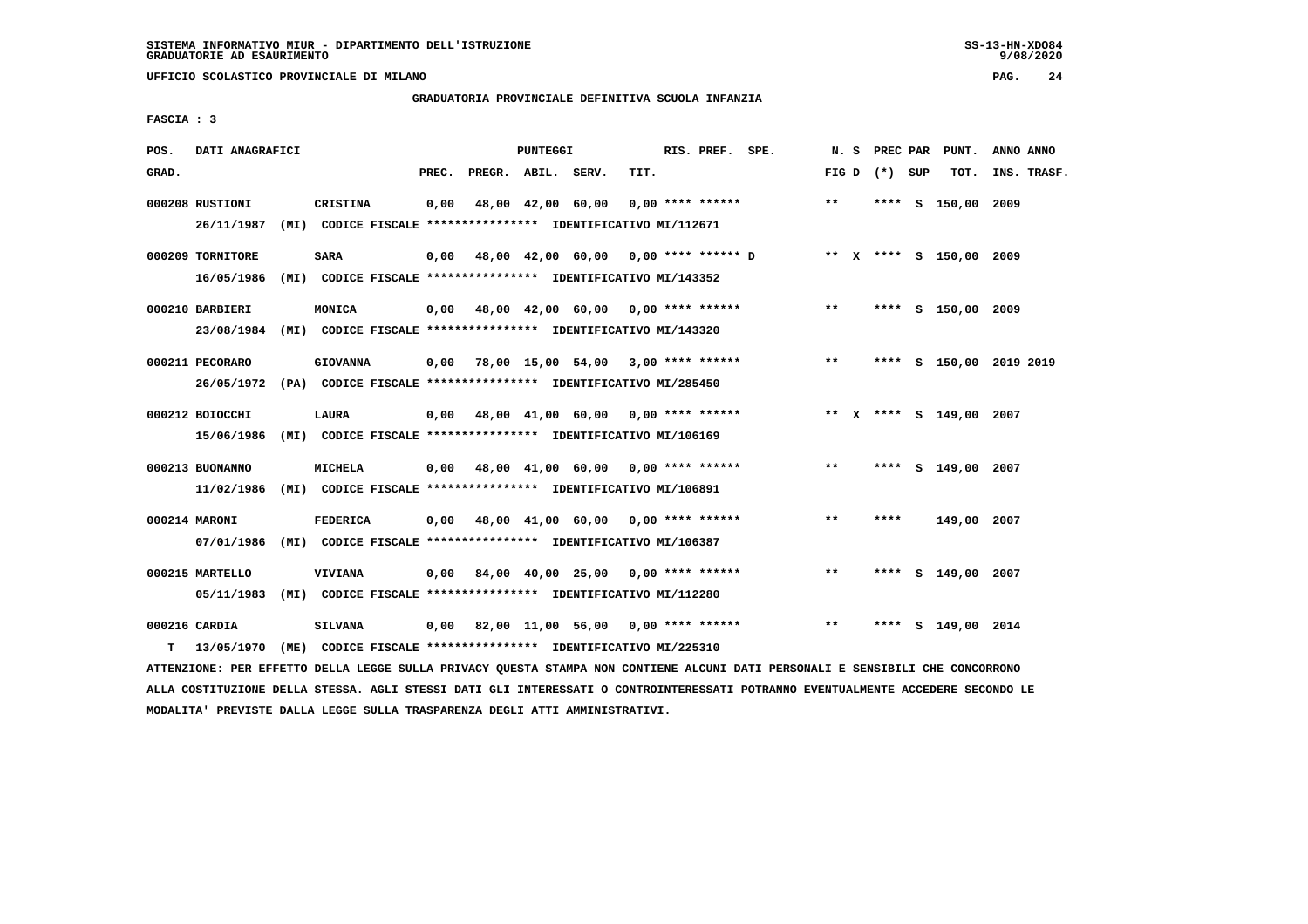**UFFICIO SCOLASTICO PROVINCIALE DI MILANO PAG. 24**

# **GRADUATORIA PROVINCIALE DEFINITIVA SCUOLA INFANZIA**

 **FASCIA : 3**

| POS.  | DATI ANAGRAFICI                                                         |      |                 |       |                   | PUNTEGGI |                                                               |      | RIS. PREF.         | SPE.                                      | N. S  | PREC PAR        | PUNT.                   | ANNO ANNO |             |
|-------|-------------------------------------------------------------------------|------|-----------------|-------|-------------------|----------|---------------------------------------------------------------|------|--------------------|-------------------------------------------|-------|-----------------|-------------------------|-----------|-------------|
| GRAD. |                                                                         |      |                 | PREC. | PREGR. ABIL.      |          | SERV.                                                         | TIT. |                    |                                           |       | FIG D $(*)$ SUP | TOT.                    |           | INS. TRASF. |
|       |                                                                         |      |                 |       |                   |          |                                                               |      |                    |                                           |       |                 |                         |           |             |
|       | 000208 RUSTIONI                                                         |      | <b>CRISTINA</b> | 0,00  | 48,00 42,00 60,00 |          |                                                               |      | $0.00$ **** ****** |                                           | $***$ |                 | **** S 150,00 2009      |           |             |
|       | 26/11/1987                                                              |      |                 |       |                   |          | (MI) CODICE FISCALE **************** IDENTIFICATIVO MI/112671 |      |                    |                                           |       |                 |                         |           |             |
|       | 000209 TORNITORE                                                        |      | SARA            |       |                   |          |                                                               |      |                    | 0,00 48,00 42,00 60,00 0,00 **** ****** D |       |                 | ** X **** S 150,00 2009 |           |             |
|       | 16/05/1986                                                              |      |                 |       |                   |          | (MI) CODICE FISCALE **************** IDENTIFICATIVO MI/143352 |      |                    |                                           |       |                 |                         |           |             |
|       |                                                                         |      |                 |       |                   |          |                                                               |      |                    |                                           |       |                 |                         |           |             |
|       | 000210 BARBIERI                                                         |      | MONICA          |       |                   |          | $0,00$ 48,00 42,00 60,00 0,00 **** ******                     |      |                    |                                           | $***$ |                 | **** S 150,00 2009      |           |             |
|       | 23/08/1984                                                              |      |                 |       |                   |          | (MI) CODICE FISCALE **************** IDENTIFICATIVO MI/143320 |      |                    |                                           |       |                 |                         |           |             |
|       |                                                                         |      |                 |       |                   |          |                                                               |      |                    |                                           |       |                 |                         |           |             |
|       | 000211 PECORARO                                                         |      | <b>GIOVANNA</b> | 0,00  |                   |          | 78,00 15,00 54,00 3,00 **** ******                            |      |                    |                                           | $***$ |                 | **** S 150,00 2019 2019 |           |             |
|       | 26/05/1972 (PA) CODICE FISCALE *************** IDENTIFICATIVO MI/285450 |      |                 |       |                   |          |                                                               |      |                    |                                           |       |                 |                         |           |             |
|       |                                                                         |      |                 |       |                   |          |                                                               |      |                    |                                           |       |                 |                         |           |             |
|       | 000212 BOIOCCHI                                                         |      | LAURA           |       |                   |          | $0,00$ 48,00 41,00 60,00 0,00 **** ******                     |      |                    |                                           |       |                 | ** X **** S 149,00 2007 |           |             |
|       | 15/06/1986                                                              |      |                 |       |                   |          | (MI) CODICE FISCALE **************** IDENTIFICATIVO MI/106169 |      |                    |                                           |       |                 |                         |           |             |
|       |                                                                         |      |                 |       |                   |          |                                                               |      |                    |                                           |       |                 |                         |           |             |
|       | 000213 BUONANNO                                                         |      | MICHELA         |       |                   |          | $0,00$ 48,00 41,00 60,00 0,00 **** ******                     |      |                    |                                           | $***$ |                 | **** S 149,00 2007      |           |             |
|       | 11/02/1986                                                              |      |                 |       |                   |          | (MI) CODICE FISCALE **************** IDENTIFICATIVO MI/106891 |      |                    |                                           |       |                 |                         |           |             |
|       |                                                                         |      |                 |       |                   |          |                                                               |      |                    |                                           |       |                 |                         |           |             |
|       | 000214 MARONI                                                           |      | <b>FEDERICA</b> |       |                   |          | 0,00 48,00 41,00 60,00                                        |      | $0.00$ **** ****** |                                           | **    | ****            | 149,00                  | 2007      |             |
|       | 07/01/1986 (MI) CODICE FISCALE *************** IDENTIFICATIVO MI/106387 |      |                 |       |                   |          |                                                               |      |                    |                                           |       |                 |                         |           |             |
|       |                                                                         |      |                 |       |                   |          |                                                               |      |                    |                                           |       |                 |                         |           |             |
|       | 000215 MARTELLO                                                         |      | VIVIANA         | 0,00  |                   |          | 84,00 40,00 25,00 0,00 **** ******                            |      |                    |                                           | $* *$ | ****            | S 149,00 2007           |           |             |
|       | 05/11/1983                                                              |      |                 |       |                   |          | (MI) CODICE FISCALE **************** IDENTIFICATIVO MI/112280 |      |                    |                                           |       |                 |                         |           |             |
|       | 000216 CARDIA                                                           |      | <b>SILVANA</b>  |       |                   |          | $0,00$ 82,00 11,00 56,00 0,00 **** ******                     |      |                    |                                           | $* *$ | ****            | S 149,00 2014           |           |             |
|       |                                                                         |      |                 |       |                   |          |                                                               |      |                    |                                           |       |                 |                         |           |             |
| т     | 13/05/1970                                                              | (ME) |                 |       |                   |          | CODICE FISCALE **************** IDENTIFICATIVO MI/225310      |      |                    |                                           |       |                 |                         |           |             |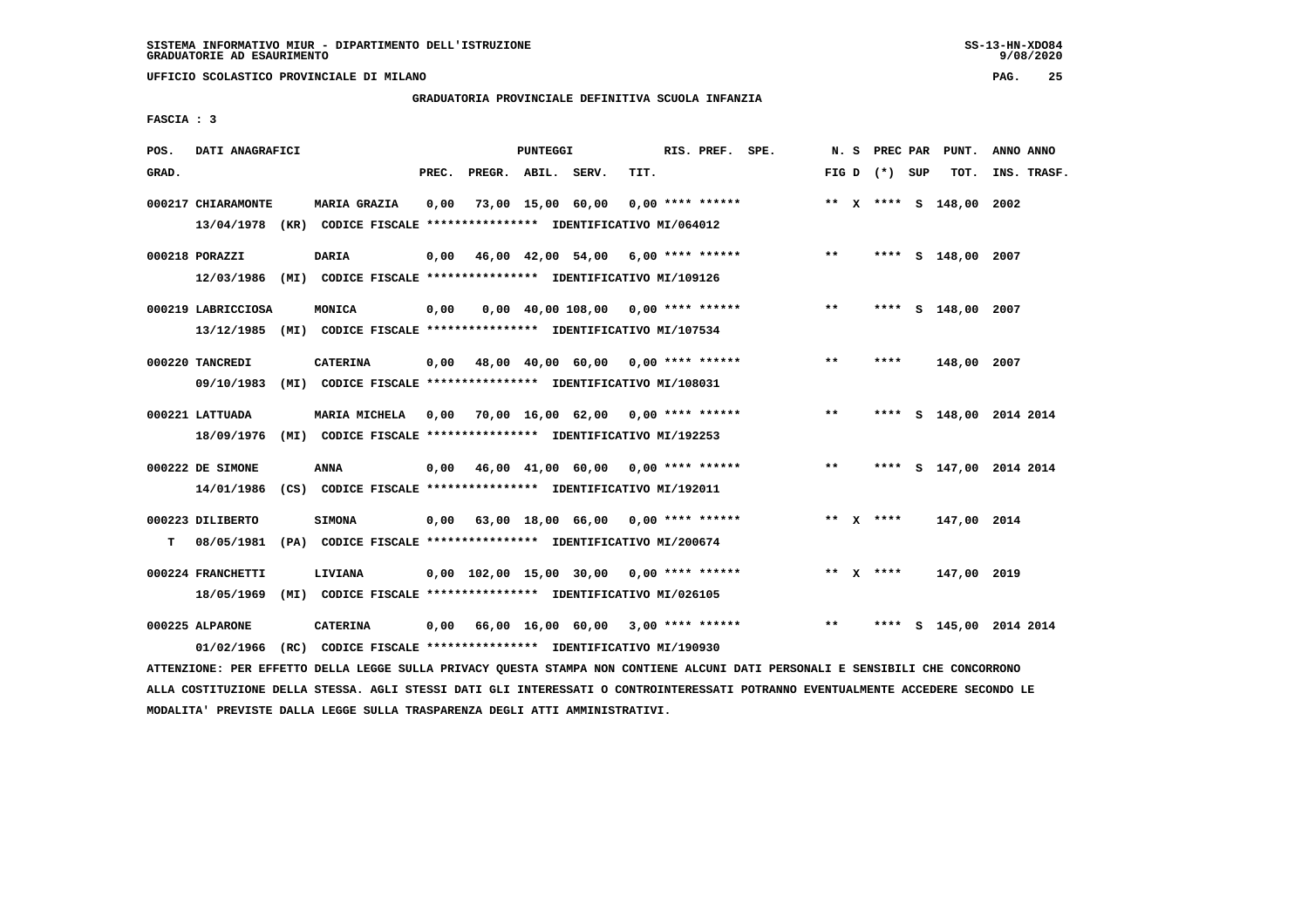**UFFICIO SCOLASTICO PROVINCIALE DI MILANO PAG. 25**

# **GRADUATORIA PROVINCIALE DEFINITIVA SCUOLA INFANZIA**

 **FASCIA : 3**

| POS.  | DATI ANAGRAFICI    |                                                                          |       |                    | PUNTEGGI |                                            |      | RIS. PREF. SPE.    |       | N. S PREC PAR   | PUNT.                   | ANNO ANNO |             |
|-------|--------------------|--------------------------------------------------------------------------|-------|--------------------|----------|--------------------------------------------|------|--------------------|-------|-----------------|-------------------------|-----------|-------------|
| GRAD. |                    |                                                                          | PREC. | PREGR. ABIL. SERV. |          |                                            | TIT. |                    |       | FIG D $(*)$ SUP | TOT.                    |           | INS. TRASF. |
|       | 000217 CHIARAMONTE | <b>MARIA GRAZIA</b>                                                      | 0,00  |                    |          | 73,00 15,00 60,00                          |      | $0.00$ **** ****** |       |                 | ** X **** S 148,00      | 2002      |             |
|       |                    | 13/04/1978 (KR) CODICE FISCALE **************** IDENTIFICATIVO MI/064012 |       |                    |          |                                            |      |                    |       |                 |                         |           |             |
|       | 000218 PORAZZI     | <b>DARIA</b>                                                             | 0,00  |                    |          | 46,00 42,00 54,00 6,00 **** ******         |      |                    | $***$ |                 | **** S 148,00 2007      |           |             |
|       | 12/03/1986         | (MI) CODICE FISCALE **************** IDENTIFICATIVO MI/109126            |       |                    |          |                                            |      |                    |       |                 |                         |           |             |
|       | 000219 LABRICCIOSA | MONICA                                                                   | 0,00  |                    |          | $0,00$ 40,00 108,00 0,00 **** ******       |      |                    | $***$ |                 | **** S 148,00 2007      |           |             |
|       |                    | 13/12/1985 (MI) CODICE FISCALE *************** IDENTIFICATIVO MI/107534  |       |                    |          |                                            |      |                    |       |                 |                         |           |             |
|       | 000220 TANCREDI    | <b>CATERINA</b>                                                          | 0,00  |                    |          | 48,00 40,00 60,00 0,00 **** ******         |      |                    | $* *$ | ****            | 148,00 2007             |           |             |
|       | 09/10/1983         | (MI) CODICE FISCALE **************** IDENTIFICATIVO MI/108031            |       |                    |          |                                            |      |                    |       |                 |                         |           |             |
|       | 000221 LATTUADA    | MARIA MICHELA 0,00 70,00 16,00 62,00 0,00 **** ******                    |       |                    |          |                                            |      |                    | $***$ |                 | **** S 148,00 2014 2014 |           |             |
|       | 18/09/1976         | (MI) CODICE FISCALE **************** IDENTIFICATIVO MI/192253            |       |                    |          |                                            |      |                    |       |                 |                         |           |             |
|       | 000222 DE SIMONE   | ANNA                                                                     | 0,00  |                    |          | 46,00 41,00 60,00 0,00 **** ******         |      |                    | $* *$ | ****            | S 147,00 2014 2014      |           |             |
|       | 14/01/1986         | (CS) CODICE FISCALE **************** IDENTIFICATIVO MI/192011            |       |                    |          |                                            |      |                    |       |                 |                         |           |             |
|       | 000223 DILIBERTO   | <b>SIMONA</b>                                                            |       |                    |          | $0,00$ 63,00 18,00 66,00 0,00 **** ******  |      |                    |       | ** Y ****       | 147,00 2014             |           |             |
| т     | 08/05/1981         | (PA) CODICE FISCALE **************** IDENTIFICATIVO MI/200674            |       |                    |          |                                            |      |                    |       |                 |                         |           |             |
|       | 000224 FRANCHETTI  | LIVIANA                                                                  |       |                    |          | $0,00$ 102,00 15,00 30,00 0,00 **** ****** |      |                    |       | ** $X$ ****     | 147,00 2019             |           |             |
|       | 18/05/1969         | (MI) CODICE FISCALE **************** IDENTIFICATIVO MI/026105            |       |                    |          |                                            |      |                    |       |                 |                         |           |             |
|       | 000225 ALPARONE    | <b>CATERINA</b>                                                          | 0,00  |                    |          | 66,00 16,00 60,00 3,00 **** ******         |      |                    | $* *$ | ****            | S 145,00 2014 2014      |           |             |
|       | 01/02/1966         | (RC) CODICE FISCALE **************** IDENTIFICATIVO MI/190930            |       |                    |          |                                            |      |                    |       |                 |                         |           |             |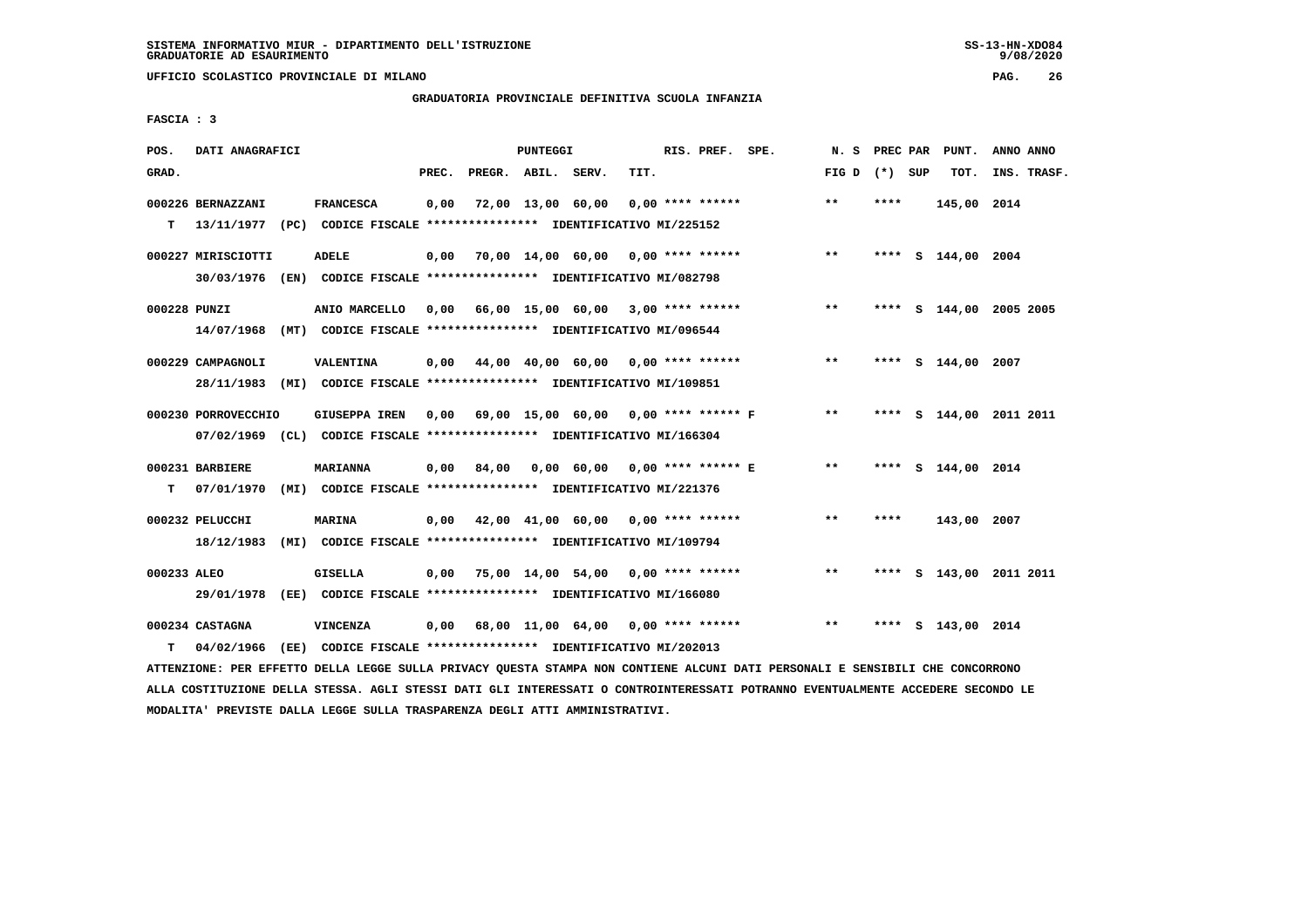**UFFICIO SCOLASTICO PROVINCIALE DI MILANO PAG. 26**

# **GRADUATORIA PROVINCIALE DEFINITIVA SCUOLA INFANZIA**

 **FASCIA : 3**

| POS.         | DATI ANAGRAFICI     |                                                                         |       |                    | PUNTEGGI |                                                        |      | RIS. PREF. SPE.    |                                           | N.S             |      | PREC PAR PUNT.     | ANNO ANNO               |  |
|--------------|---------------------|-------------------------------------------------------------------------|-------|--------------------|----------|--------------------------------------------------------|------|--------------------|-------------------------------------------|-----------------|------|--------------------|-------------------------|--|
| GRAD.        |                     |                                                                         | PREC. | PREGR. ABIL. SERV. |          |                                                        | TIT. |                    |                                           | FIG D $(*)$ SUP |      | TOT.               | INS. TRASF.             |  |
|              | 000226 BERNAZZANI   | <b>FRANCESCA</b>                                                        | 0,00  |                    |          | 72,00 13,00 60,00                                      |      | $0.00$ **** ****** |                                           | $***$           | **** | 145,00 2014        |                         |  |
| т            |                     | 13/11/1977 (PC) CODICE FISCALE *************** IDENTIFICATIVO MI/225152 |       |                    |          |                                                        |      |                    |                                           |                 |      |                    |                         |  |
|              | 000227 MIRISCIOTTI  | <b>ADELE</b>                                                            | 0.00  |                    |          | 70,00 14,00 60,00 0,00 **** ******                     |      |                    |                                           | $***$           |      | **** S 144,00 2004 |                         |  |
|              |                     | 30/03/1976 (EN) CODICE FISCALE *************** IDENTIFICATIVO MI/082798 |       |                    |          |                                                        |      |                    |                                           |                 |      |                    |                         |  |
| 000228 PUNZI |                     | ANIO MARCELLO                                                           |       |                    |          |                                                        |      |                    | 0,00 66,00 15,00 60,00 3,00 **** ******   | $***$           |      |                    | **** S 144,00 2005 2005 |  |
|              | 14/07/1968          | (MT) CODICE FISCALE *************** IDENTIFICATIVO MI/096544            |       |                    |          |                                                        |      |                    |                                           |                 |      |                    |                         |  |
|              | 000229 CAMPAGNOLI   | <b>VALENTINA</b>                                                        |       |                    |          | $0,00$ $44,00$ $40,00$ $60,00$ $0,00$ $***$ **** ***** |      |                    |                                           | $***$           |      | **** S 144,00 2007 |                         |  |
|              |                     | 28/11/1983 (MI) CODICE FISCALE *************** IDENTIFICATIVO MI/109851 |       |                    |          |                                                        |      |                    |                                           |                 |      |                    |                         |  |
|              | 000230 PORROVECCHIO | <b>GIUSEPPA IREN</b>                                                    |       |                    |          |                                                        |      |                    | 0,00 69,00 15,00 60,00 0,00 **** ****** F | $***$           |      |                    | **** S 144,00 2011 2011 |  |
|              |                     | 07/02/1969 (CL) CODICE FISCALE *************** IDENTIFICATIVO MI/166304 |       |                    |          |                                                        |      |                    |                                           |                 |      |                    |                         |  |
|              |                     |                                                                         |       |                    |          |                                                        |      |                    |                                           |                 |      |                    |                         |  |
|              | 000231 BARBIERE     | <b>MARIANNA</b>                                                         | 0.00  | 84,00              |          | 0,00 60,00 0,00 **** ****** E                          |      |                    |                                           | $***$           |      | **** S 144,00 2014 |                         |  |
| т            | 07/01/1970          | (MI) CODICE FISCALE **************** IDENTIFICATIVO MI/221376           |       |                    |          |                                                        |      |                    |                                           |                 |      |                    |                         |  |
|              | 000232 PELUCCHI     | <b>MARINA</b>                                                           |       |                    |          | 0,00 42,00 41,00 60,00 0,00 **** ******                |      |                    |                                           | $* *$           | **** | 143,00 2007        |                         |  |
|              | 18/12/1983          | (MI) CODICE FISCALE **************** IDENTIFICATIVO MI/109794           |       |                    |          |                                                        |      |                    |                                           |                 |      |                    |                         |  |
| 000233 ALEO  |                     | GISELLA                                                                 |       |                    |          | $0,00$ 75,00 14,00 54,00 0,00 **** ******              |      |                    |                                           | $* *$           | **** |                    | S 143,00 2011 2011      |  |
|              |                     | 29/01/1978 (EE) CODICE FISCALE *************** IDENTIFICATIVO MI/166080 |       |                    |          |                                                        |      |                    |                                           |                 |      |                    |                         |  |
|              | 000234 CASTAGNA     | VINCENZA                                                                |       |                    |          | 68,00 11,00 64,00 0,00 **** ******                     |      |                    |                                           | $***$           | **** | S 143,00 2014      |                         |  |
| т            | 04/02/1966          | (EE) CODICE FISCALE **************** IDENTIFICATIVO MI/202013           | 0,00  |                    |          |                                                        |      |                    |                                           |                 |      |                    |                         |  |
|              |                     |                                                                         |       |                    |          |                                                        |      |                    |                                           |                 |      |                    |                         |  |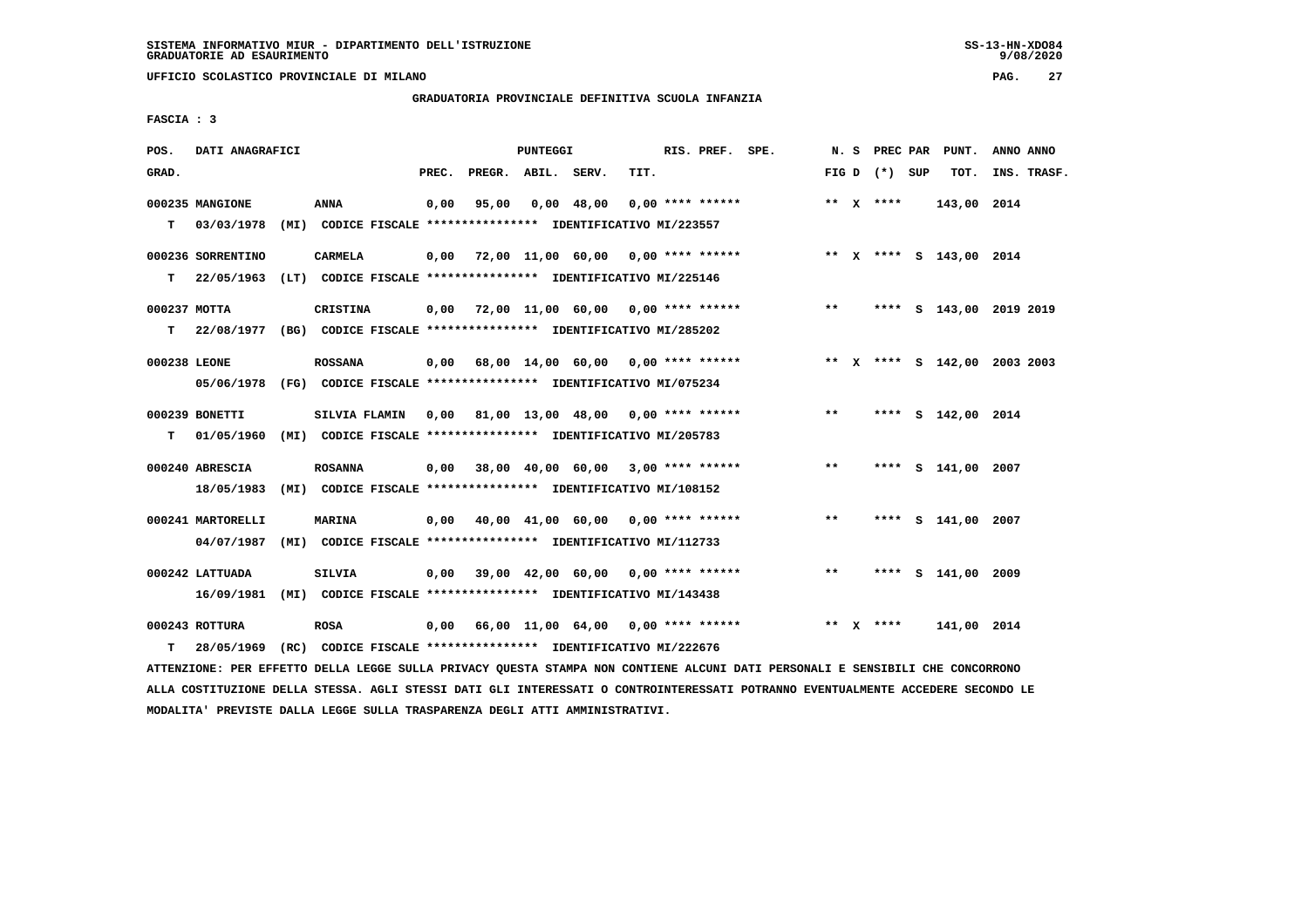**UFFICIO SCOLASTICO PROVINCIALE DI MILANO PAG. 27**

# **GRADUATORIA PROVINCIALE DEFINITIVA SCUOLA INFANZIA**

 **FASCIA : 3**

| POS.              | DATI ANAGRAFICI                                                                             |                 |       |                    | PUNTEGGI |                                                                                                            |      | RIS. PREF. SPE.    |                                                                     |       |                 | N. S PREC PAR PUNT.          | ANNO ANNO   |  |
|-------------------|---------------------------------------------------------------------------------------------|-----------------|-------|--------------------|----------|------------------------------------------------------------------------------------------------------------|------|--------------------|---------------------------------------------------------------------|-------|-----------------|------------------------------|-------------|--|
| GRAD.             |                                                                                             |                 | PREC. | PREGR. ABIL. SERV. |          |                                                                                                            | TIT. |                    |                                                                     |       | FIG D $(*)$ SUP | TOT.                         | INS. TRASF. |  |
| T.                | 000235 MANGIONE<br>03/03/1978 (MI) CODICE FISCALE **************** IDENTIFICATIVO MI/223557 | <b>ANNA</b>     | 0,00  | 95,00              |          | 0,00 48,00                                                                                                 |      | $0.00$ **** ****** |                                                                     |       | ** $X$ ****     | 143,00 2014                  |             |  |
| т                 | 000236 SORRENTINO<br>22/05/1963                                                             | <b>CARMELA</b>  |       |                    |          | (LT) CODICE FISCALE *************** IDENTIFICATIVO MI/225146                                               |      |                    | 0,00 72,00 11,00 60,00 0,00 **** ****** **** ** **** \$ 143,00 2014 |       |                 |                              |             |  |
| 000237 MOTTA<br>т | 22/08/1977 (BG) CODICE FISCALE **************** IDENTIFICATIVO MI/285202                    | <b>CRISTINA</b> |       |                    |          | $0,00$ 72,00 11,00 60,00 0,00 **** ******                                                                  |      |                    |                                                                     | $***$ |                 | **** S 143,00 2019 2019      |             |  |
| 000238 LEONE      | 05/06/1978 (FG) CODICE FISCALE *************** IDENTIFICATIVO MI/075234                     | <b>ROSSANA</b>  |       |                    |          |                                                                                                            |      |                    | 0,00 68,00 14,00 60,00 0,00 **** ******                             |       |                 | ** X **** S 142,00 2003 2003 |             |  |
| т                 | 000239 BONETTI<br>01/05/1960 (MI) CODICE FISCALE **************** IDENTIFICATIVO MI/205783  | SILVIA FLAMIN   |       |                    |          | 0,00 81,00 13,00 48,00 0,00 **** ******                                                                    |      |                    |                                                                     | $* *$ |                 | **** S 142,00 2014           |             |  |
|                   | 000240 ABRESCIA<br>18/05/1983 (MI) CODICE FISCALE **************** IDENTIFICATIVO MI/108152 | <b>ROSANNA</b>  |       |                    |          | $0,00$ 38,00 40,00 60,00 3,00 **** ******                                                                  |      |                    |                                                                     | $* *$ |                 | **** S 141,00 2007           |             |  |
|                   | 000241 MARTORELLI<br>04/07/1987                                                             | <b>MARINA</b>   |       |                    |          | 0,00 40,00 41,00 60,00 0,00 **** ******<br>(MI) CODICE FISCALE **************** IDENTIFICATIVO MI/112733   |      |                    |                                                                     | $* *$ |                 | **** S 141,00 2007           |             |  |
|                   | 000242 LATTUADA<br>16/09/1981                                                               | SILVIA          |       |                    |          | $0,00$ 39,00 42,00 60,00 0,00 **** ******<br>(MI) CODICE FISCALE **************** IDENTIFICATIVO MI/143438 |      |                    |                                                                     | $***$ |                 | **** S 141,00 2009           |             |  |
| T.                | 000243 ROTTURA<br>28/05/1969                                                                | <b>ROSA</b>     |       |                    |          | $0,00$ 66,00 11,00 64,00 0,00 **** ******<br>(RC) CODICE FISCALE **************** IDENTIFICATIVO MI/222676 |      |                    |                                                                     |       | ** $X$ ****     | 141,00 2014                  |             |  |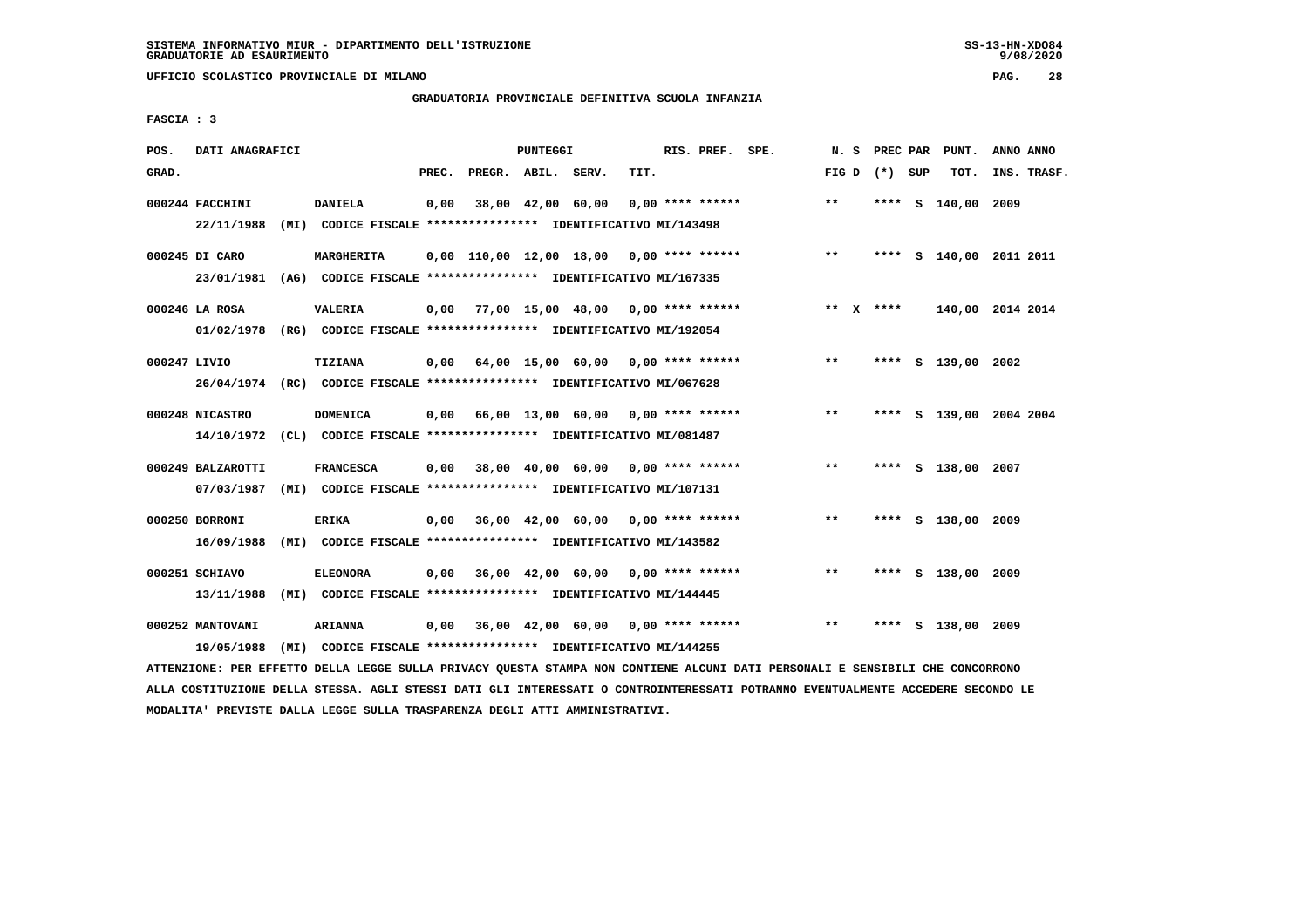**UFFICIO SCOLASTICO PROVINCIALE DI MILANO PAG. 28**

# **GRADUATORIA PROVINCIALE DEFINITIVA SCUOLA INFANZIA**

 **FASCIA : 3**

| POS.         | DATI ANAGRAFICI                 |      |                                                                                            |       |                    | PUNTEGGI |                                           |      | RIS. PREF. SPE.    |                                            | N. S            |      | PREC PAR PUNT.          | ANNO ANNO |             |
|--------------|---------------------------------|------|--------------------------------------------------------------------------------------------|-------|--------------------|----------|-------------------------------------------|------|--------------------|--------------------------------------------|-----------------|------|-------------------------|-----------|-------------|
| GRAD.        |                                 |      |                                                                                            | PREC. | PREGR. ABIL. SERV. |          |                                           | TIT. |                    |                                            | FIG D $(*)$ SUP |      | TOT.                    |           | INS. TRASF. |
|              | 000244 FACCHINI<br>22/11/1988   |      | <b>DANIELA</b><br>(MI) CODICE FISCALE **************** IDENTIFICATIVO MI/143498            | 0,00  |                    |          | 38,00 42,00 60,00                         |      | $0.00$ **** ****** |                                            | $***$           |      | **** S 140,00 2009      |           |             |
|              | 000245 DI CARO<br>23/01/1981    |      | MARGHERITA<br>(AG) CODICE FISCALE **************** IDENTIFICATIVO MI/167335                |       |                    |          |                                           |      |                    | $0,00$ 110,00 12,00 18,00 0,00 **** ****** | $***$           | **** | S 140,00 2011 2011      |           |             |
|              | 000246 LA ROSA                  |      | <b>VALERIA</b><br>01/02/1978 (RG) CODICE FISCALE *************** IDENTIFICATIVO MI/192054  |       |                    |          | $0,00$ 77,00 15,00 48,00 0,00 **** ****** |      |                    |                                            | ** $X$ ****     |      | 140,00 2014 2014        |           |             |
| 000247 LIVIO |                                 |      | TIZIANA<br>26/04/1974 (RC) CODICE FISCALE **************** IDENTIFICATIVO MI/067628        |       |                    |          | $0.00$ 64.00 15.00 60.00 0.00 **** ****** |      |                    |                                            | $***$           |      | **** S 139,00 2002      |           |             |
|              | 000248 NICASTRO                 |      | <b>DOMENICA</b><br>14/10/1972 (CL) CODICE FISCALE *************** IDENTIFICATIVO MI/081487 | 0,00  |                    |          | 66,00 13,00 60,00 0,00 **** ******        |      |                    |                                            | $* *$           |      | **** S 139,00 2004 2004 |           |             |
|              | 000249 BALZAROTTI<br>07/03/1987 |      | <b>FRANCESCA</b><br>(MI) CODICE FISCALE **************** IDENTIFICATIVO MI/107131          |       |                    |          | $0,00$ 38,00 40,00 60,00 0,00 **** ****** |      |                    |                                            | $***$           |      | **** S 138,00 2007      |           |             |
|              | 000250 BORRONI<br>16/09/1988    |      | <b>ERIKA</b><br>(MI) CODICE FISCALE **************** IDENTIFICATIVO MI/143582              |       |                    |          | 0,00 36,00 42,00 60,00                    |      | $0.00$ **** ****** |                                            | $\star\star$    |      | **** S 138,00 2009      |           |             |
|              | 000251 SCHIAVO<br>13/11/1988    | (MI) | <b>ELEONORA</b><br>CODICE FISCALE **************** IDENTIFICATIVO MI/144445                | 0.00  |                    |          | 36,00 42,00 60,00 0,00 **** ******        |      |                    |                                            | $***$           |      | **** S 138,00 2009      |           |             |
|              | 000252 MANTOVANI<br>19/05/1988  | (MI) | <b>ARIANNA</b><br>CODICE FISCALE **************** IDENTIFICATIVO MI/144255                 | 0.00  |                    |          | 36,00 42,00 60,00 0,00 **** ******        |      |                    |                                            | $* *$           | **** | S 138,00 2009           |           |             |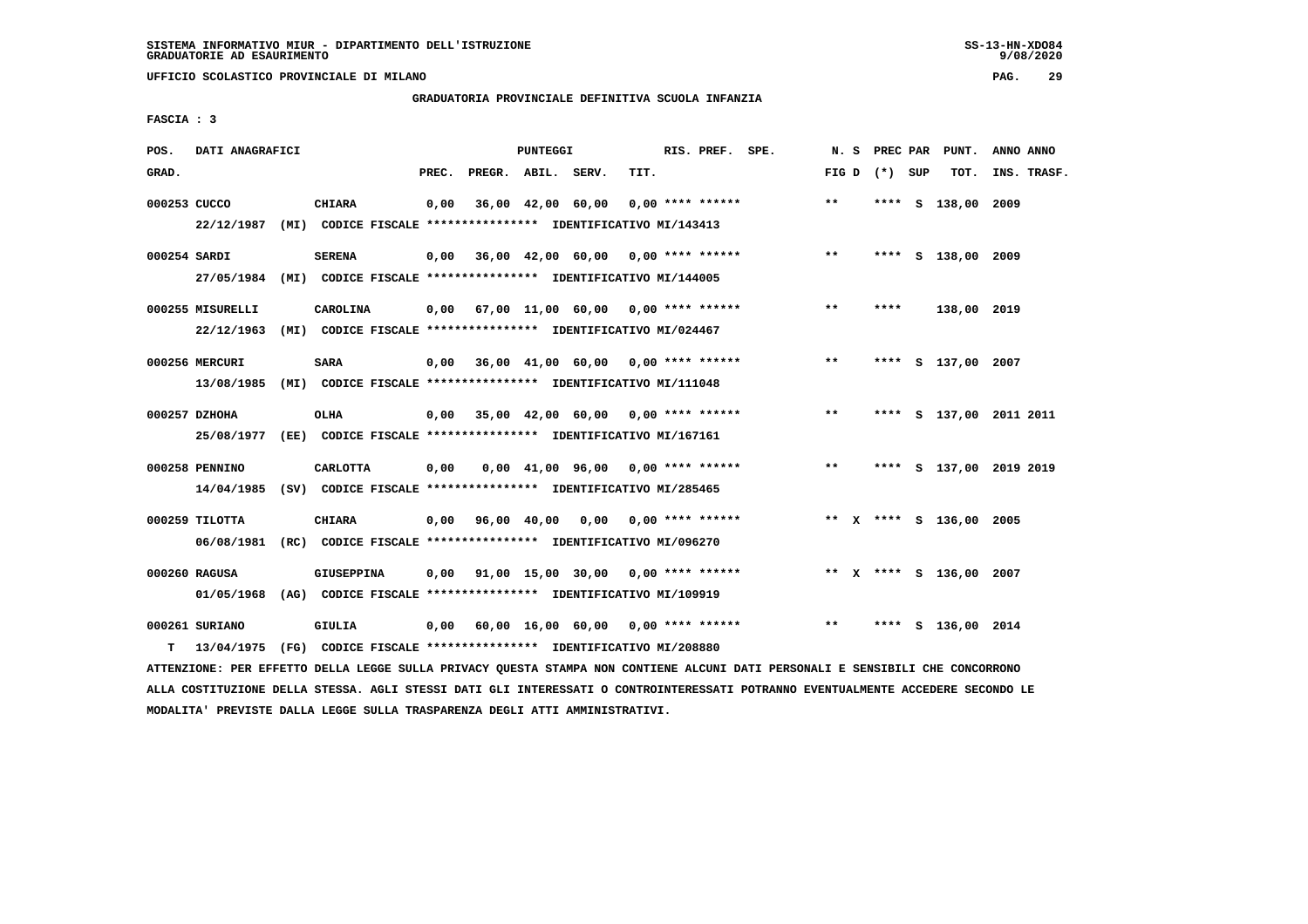**UFFICIO SCOLASTICO PROVINCIALE DI MILANO PAG. 29**

# **GRADUATORIA PROVINCIALE DEFINITIVA SCUOLA INFANZIA**

 **FASCIA : 3**

| POS.         | DATI ANAGRAFICI                |                                                                                              |       |                    | PUNTEGGI |                                           |      | RIS. PREF. SPE.    |       |                 | N. S PREC PAR PUNT.     | ANNO ANNO |             |
|--------------|--------------------------------|----------------------------------------------------------------------------------------------|-------|--------------------|----------|-------------------------------------------|------|--------------------|-------|-----------------|-------------------------|-----------|-------------|
| GRAD.        |                                |                                                                                              | PREC. | PREGR. ABIL. SERV. |          |                                           | TIT. |                    |       | FIG D $(*)$ SUP | тот.                    |           | INS. TRASF. |
| 000253 CUCCO |                                | <b>CHIARA</b><br>22/12/1987 (MI) CODICE FISCALE *************** IDENTIFICATIVO MI/143413     | 0,00  |                    |          | 36,00 42,00 60,00                         |      | $0.00$ **** ****** | $***$ |                 | **** S 138,00 2009      |           |             |
| 000254 SARDI | 27/05/1984                     | <b>SERENA</b><br>(MI) CODICE FISCALE **************** IDENTIFICATIVO MI/144005               |       |                    |          | $0,00$ 36,00 42,00 60,00 0,00 **** ****** |      |                    | $***$ |                 | **** S 138,00 2009      |           |             |
|              | 000255 MISURELLI<br>22/12/1963 | CAROLINA<br>(MI) CODICE FISCALE **************** IDENTIFICATIVO MI/024467                    | 0,00  |                    |          | 67,00 11,00 60,00 0,00 **** ******        |      |                    | $***$ | ****            | 138,00 2019             |           |             |
|              | 000256 MERCURI<br>13/08/1985   | <b>SARA</b><br>(MI) CODICE FISCALE **************** IDENTIFICATIVO MI/111048                 | 0,00  |                    |          | 36,00 41,00 60,00 0,00 **** ******        |      |                    | $***$ |                 | **** S 137,00 2007      |           |             |
|              | 000257 DZHOHA                  | OLHA<br>25/08/1977 (EE) CODICE FISCALE *************** IDENTIFICATIVO MI/167161              |       |                    |          | $0.00$ 35.00 42.00 60.00 0.00 **** ****** |      |                    | $***$ |                 | **** S 137,00 2011 2011 |           |             |
|              | 000258 PENNINO                 | <b>CARLOTTA</b><br>14/04/1985 (SV) CODICE FISCALE *************** IDENTIFICATIVO MI/285465   | 0,00  |                    |          | 0,00 41,00 96,00 0,00 **** ******         |      |                    | $* *$ |                 | **** S 137,00 2019 2019 |           |             |
|              | 000259 TILOTTA                 | <b>CHIARA</b><br>06/08/1981 (RC) CODICE FISCALE *************** IDENTIFICATIVO MI/096270     |       |                    |          | $0.00$ 96.00 40.00 0.00 0.00 **** ******  |      |                    |       |                 | ** X **** S 136,00 2005 |           |             |
|              | 000260 RAGUSA                  | <b>GIUSEPPINA</b><br>01/05/1968 (AG) CODICE FISCALE *************** IDENTIFICATIVO MI/109919 | 0.00  |                    |          | 91,00 15,00 30,00 0,00 **** ******        |      |                    |       |                 | ** X **** S 136,00 2007 |           |             |
| т            | 000261 SURIANO<br>13/04/1975   | GIULIA<br>(FG) CODICE FISCALE **************** IDENTIFICATIVO MI/208880                      |       |                    |          | $0,00$ 60,00 16,00 60,00 0,00 **** ****** |      |                    | $**$  |                 | **** S 136,00 2014      |           |             |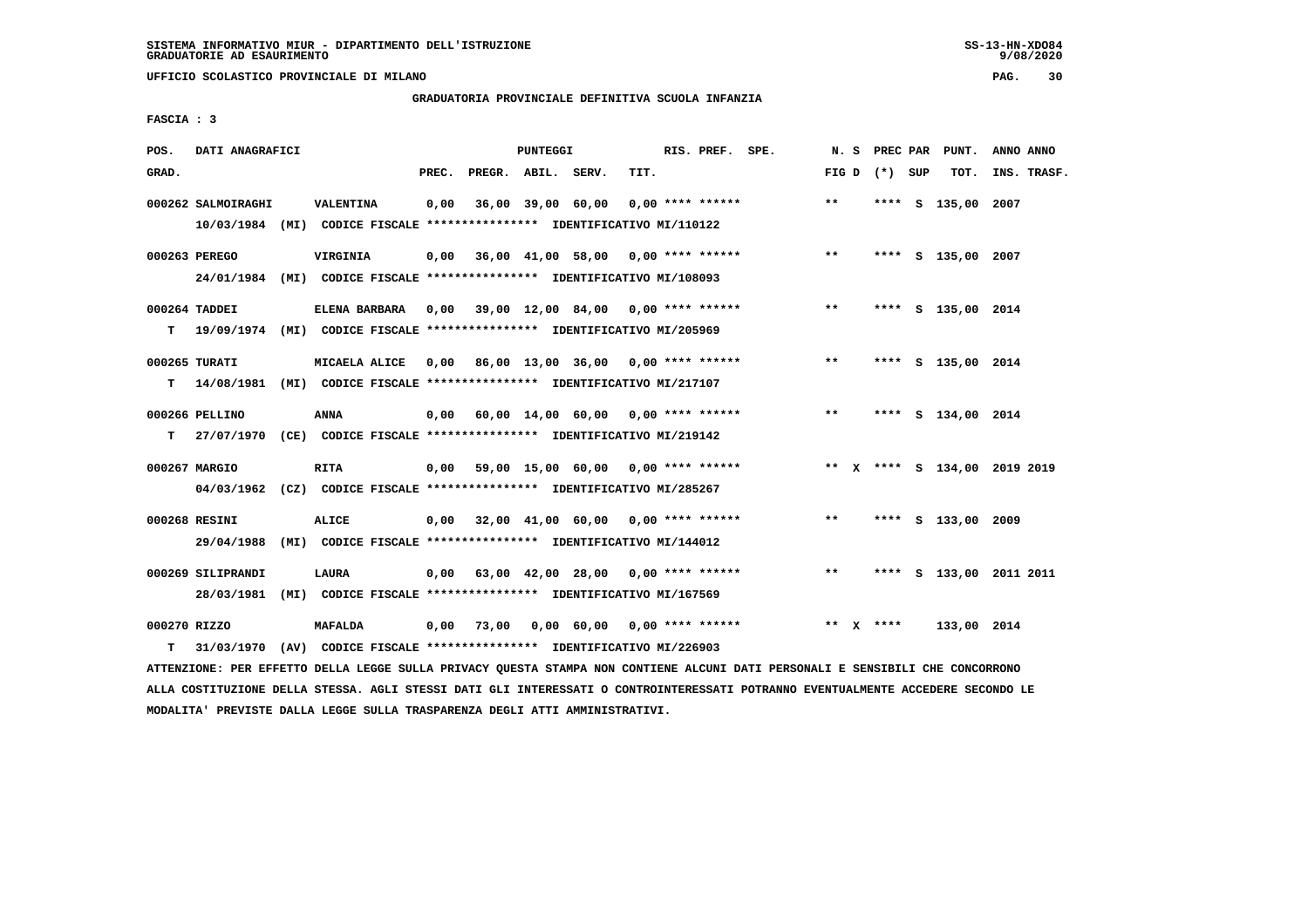**UFFICIO SCOLASTICO PROVINCIALE DI MILANO PAG. 30**

# **GRADUATORIA PROVINCIALE DEFINITIVA SCUOLA INFANZIA**

 **FASCIA : 3**

| POS.         | DATI ANAGRAFICI    |                                                                          |       |                    | PUNTEGGI |                                           |      | RIS. PREF. SPE.    |                                                                          |               |                 | N. S PREC PAR PUNT. | ANNO ANNO               |
|--------------|--------------------|--------------------------------------------------------------------------|-------|--------------------|----------|-------------------------------------------|------|--------------------|--------------------------------------------------------------------------|---------------|-----------------|---------------------|-------------------------|
| GRAD.        |                    |                                                                          | PREC. | PREGR. ABIL. SERV. |          |                                           | TIT. |                    |                                                                          |               | FIG D $(*)$ SUP | TOT.                | INS. TRASF.             |
|              | 000262 SALMOIRAGHI | VALENTINA                                                                | 0,00  |                    |          | 36,00 39,00 60,00                         |      | $0.00$ **** ****** |                                                                          | $**$          |                 | **** S 135,00 2007  |                         |
|              |                    | 10/03/1984 (MI) CODICE FISCALE *************** IDENTIFICATIVO MI/110122  |       |                    |          |                                           |      |                    |                                                                          |               |                 |                     |                         |
|              | 000263 PEREGO      | VIRGINIA                                                                 |       |                    |          |                                           |      |                    | $0,00$ 36,00 41,00 58,00 0,00 **** ****** *** **                         |               |                 | **** S 135,00 2007  |                         |
|              |                    | 24/01/1984 (MI) CODICE FISCALE *************** IDENTIFICATIVO MI/108093  |       |                    |          |                                           |      |                    |                                                                          |               |                 |                     |                         |
|              | 000264 TADDEI      | ELENA BARBARA 0,00 39,00 12,00 84,00 0,00 **** ******                    |       |                    |          |                                           |      |                    |                                                                          | $\star \star$ |                 | **** S 135,00 2014  |                         |
| T.           |                    | 19/09/1974 (MI) CODICE FISCALE **************** IDENTIFICATIVO MI/205969 |       |                    |          |                                           |      |                    |                                                                          |               |                 |                     |                         |
|              | 000265 TURATI      | MICAELA ALICE                                                            |       |                    |          | 0,00 86,00 13,00 36,00 0,00 **** ******   |      |                    |                                                                          | $***$         |                 | **** S 135,00 2014  |                         |
| т            |                    | 14/08/1981 (MI) CODICE FISCALE **************** IDENTIFICATIVO MI/217107 |       |                    |          |                                           |      |                    |                                                                          |               |                 |                     |                         |
|              | 000266 PELLINO     | ANNA                                                                     |       |                    |          | 0,00 60,00 14,00 60,00 0,00 **** ******   |      |                    |                                                                          | $***$         |                 | **** S 134,00 2014  |                         |
| T.           |                    | 27/07/1970 (CE) CODICE FISCALE **************** IDENTIFICATIVO MI/219142 |       |                    |          |                                           |      |                    |                                                                          |               |                 |                     |                         |
|              | 000267 MARGIO      | RITA                                                                     |       |                    |          |                                           |      |                    | 0,00 59,00 15,00 60,00 0,00 **** ****** * *** * **** \$ 134,00 2019 2019 |               |                 |                     |                         |
|              |                    | 04/03/1962 (CZ) CODICE FISCALE *************** IDENTIFICATIVO MI/285267  |       |                    |          |                                           |      |                    |                                                                          |               |                 |                     |                         |
|              |                    |                                                                          |       |                    |          |                                           |      |                    |                                                                          |               |                 |                     |                         |
|              | 000268 RESINI      | <b>ALICE</b>                                                             |       |                    |          | $0,00$ 32,00 41,00 60,00 0,00 **** ****** |      |                    |                                                                          | $* *$         |                 | **** S 133,00 2009  |                         |
|              |                    | 29/04/1988 (MI) CODICE FISCALE *************** IDENTIFICATIVO MI/144012  |       |                    |          |                                           |      |                    |                                                                          |               |                 |                     |                         |
|              | 000269 SILIPRANDI  | <b>LAURA</b>                                                             |       |                    |          | $0,00$ 63,00 42,00 28,00 0,00 **** ****** |      |                    |                                                                          | $***$         |                 |                     | **** S 133,00 2011 2011 |
|              |                    | 28/03/1981 (MI) CODICE FISCALE *************** IDENTIFICATIVO MI/167569  |       |                    |          |                                           |      |                    |                                                                          |               |                 |                     |                         |
| 000270 RIZZO |                    | <b>MAFALDA</b>                                                           |       | 0,00 73,00         |          |                                           |      |                    | $0.00 \quad 60.00 \quad 0.00$ **** ******                                |               | ** $X$ ****     | 133,00 2014         |                         |
| т            |                    | 31/03/1970 (AV) CODICE FISCALE **************** IDENTIFICATIVO MI/226903 |       |                    |          |                                           |      |                    |                                                                          |               |                 |                     |                         |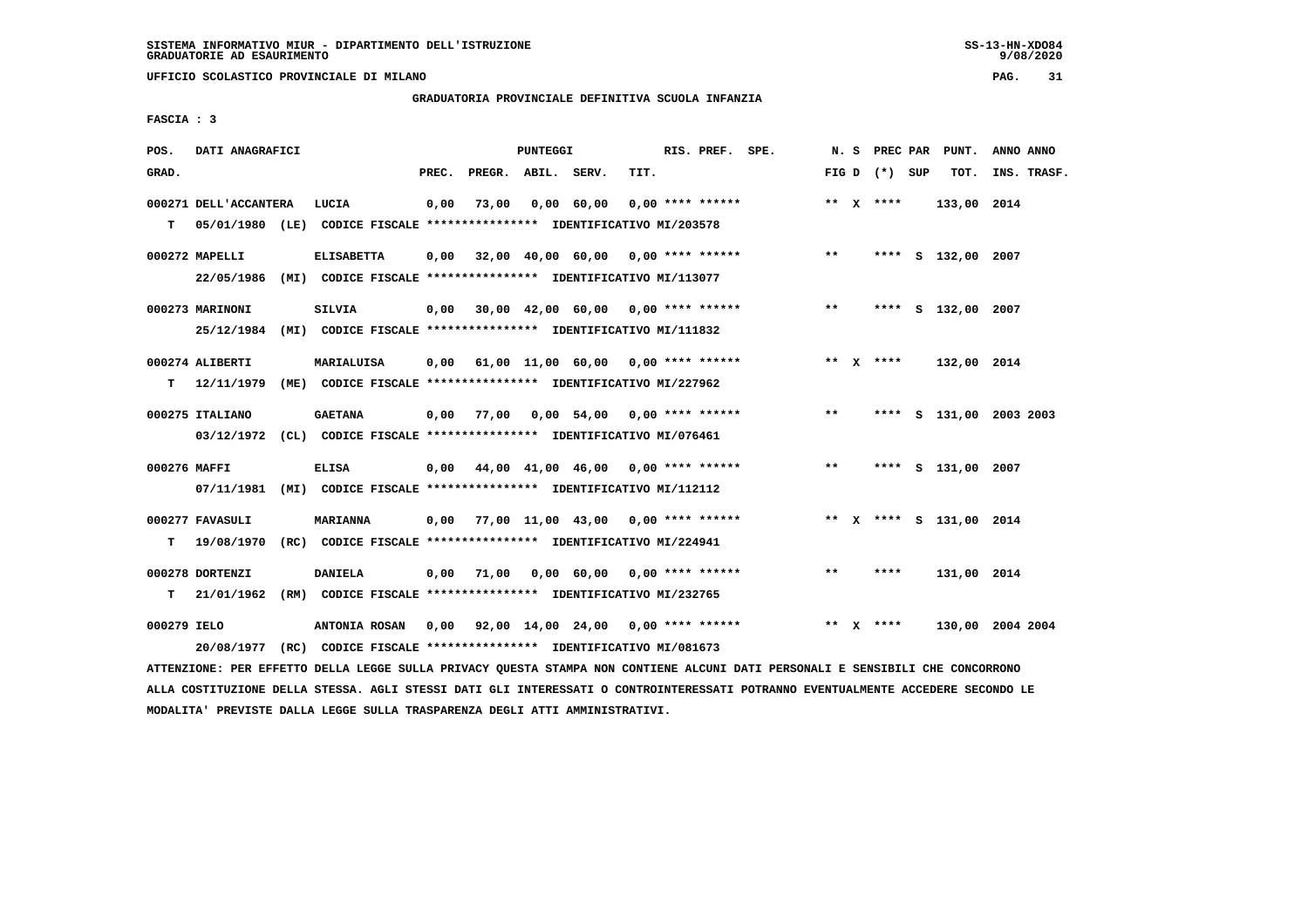**UFFICIO SCOLASTICO PROVINCIALE DI MILANO PAG. 31**

# **GRADUATORIA PROVINCIALE DEFINITIVA SCUOLA INFANZIA**

 **FASCIA : 3**

| POS.         | DATI ANAGRAFICI       |                                                                                   |       |                    | PUNTEGGI |                                              |      | RIS. PREF. SPE. |                                                        |       | N. S |                   | PREC PAR PUNT.          | ANNO ANNO   |  |
|--------------|-----------------------|-----------------------------------------------------------------------------------|-------|--------------------|----------|----------------------------------------------|------|-----------------|--------------------------------------------------------|-------|------|-------------------|-------------------------|-------------|--|
| GRAD.        |                       |                                                                                   | PREC. | PREGR. ABIL. SERV. |          |                                              | TIT. |                 |                                                        |       |      | FIG $D$ $(*)$ SUP | тот.                    | INS. TRASF. |  |
|              | 000271 DELL'ACCANTERA | LUCIA<br>05/01/1980 (LE) CODICE FISCALE **************** IDENTIFICATIVO MI/203578 | 0,00  | 73,00              |          | 0,00 60,00 0,00 **** ******                  |      |                 |                                                        |       |      | ** $X$ ****       | 133,00 2014             |             |  |
| т            |                       |                                                                                   |       |                    |          |                                              |      |                 |                                                        |       |      |                   |                         |             |  |
|              | 000272 MAPELLI        | <b>ELISABETTA</b>                                                                 |       |                    |          |                                              |      |                 | $0,00$ 32,00 40,00 60,00 0,00 **** ******              | $***$ |      |                   | **** S 132,00 2007      |             |  |
|              | 22/05/1986            | (MI) CODICE FISCALE **************** IDENTIFICATIVO MI/113077                     |       |                    |          |                                              |      |                 |                                                        |       |      |                   |                         |             |  |
|              | 000273 MARINONI       | <b>SILVIA</b>                                                                     |       |                    |          | $0,00$ 30,00 42,00 60,00 0,00 **** ******    |      |                 |                                                        | $***$ |      |                   | **** S 132,00 2007      |             |  |
|              |                       | 25/12/1984 (MI) CODICE FISCALE *************** IDENTIFICATIVO MI/111832           |       |                    |          |                                              |      |                 |                                                        |       |      |                   |                         |             |  |
|              | 000274 ALIBERTI       | MARIALUISA                                                                        |       |                    |          |                                              |      |                 | 0,00 61,00 11,00 60,00 0,00 **** ******                |       |      | ** X ****         | 132,00 2014             |             |  |
| т            |                       | 12/11/1979 (ME) CODICE FISCALE *************** IDENTIFICATIVO MI/227962           |       |                    |          |                                              |      |                 |                                                        |       |      |                   |                         |             |  |
|              | 000275 ITALIANO       | <b>GAETANA</b>                                                                    |       |                    |          | $0,00$ 77,00 $0,00$ 54,00 $0,00$ **** ****** |      |                 |                                                        | $***$ |      | ****              | S 131,00 2003 2003      |             |  |
|              |                       | 03/12/1972 (CL) CODICE FISCALE *************** IDENTIFICATIVO MI/076461           |       |                    |          |                                              |      |                 |                                                        |       |      |                   |                         |             |  |
| 000276 MAFFI |                       | <b>ELISA</b>                                                                      |       |                    |          |                                              |      |                 | $0,00$ $44,00$ $41,00$ $46,00$ $0,00$ $***$ **** ***** | $***$ |      | ****              | S 131,00 2007           |             |  |
|              | 07/11/1981            | (MI) CODICE FISCALE **************** IDENTIFICATIVO MI/112112                     |       |                    |          |                                              |      |                 |                                                        |       |      |                   |                         |             |  |
|              | 000277 FAVASULI       | <b>MARIANNA</b>                                                                   | 0,00  |                    |          | 77,00 11,00 43,00 0,00 **** ******           |      |                 |                                                        |       |      |                   | ** X **** S 131,00 2014 |             |  |
| т            | 19/08/1970            | (RC) CODICE FISCALE **************** IDENTIFICATIVO MI/224941                     |       |                    |          |                                              |      |                 |                                                        |       |      |                   |                         |             |  |
|              |                       |                                                                                   |       |                    |          |                                              |      |                 |                                                        |       |      |                   |                         |             |  |
|              | 000278 DORTENZI       | <b>DANIELA</b>                                                                    |       | $0,00$ 71,00       |          | 0,00 60,00 0,00 **** ******                  |      |                 |                                                        | $***$ |      | ****              | 131,00 2014             |             |  |
| T.           | 21/01/1962            | (RM) CODICE FISCALE **************** IDENTIFICATIVO MI/232765                     |       |                    |          |                                              |      |                 |                                                        |       |      |                   |                         |             |  |
| 000279 IELO  |                       | <b>ANTONIA ROSAN</b>                                                              |       |                    |          |                                              |      |                 | 0,00 92,00 14,00 24,00 0,00 **** ******                |       |      | ** $X$ ****       | 130,00 2004 2004        |             |  |
|              |                       | 20/08/1977 (RC) CODICE FISCALE *************** IDENTIFICATIVO MI/081673           |       |                    |          |                                              |      |                 |                                                        |       |      |                   |                         |             |  |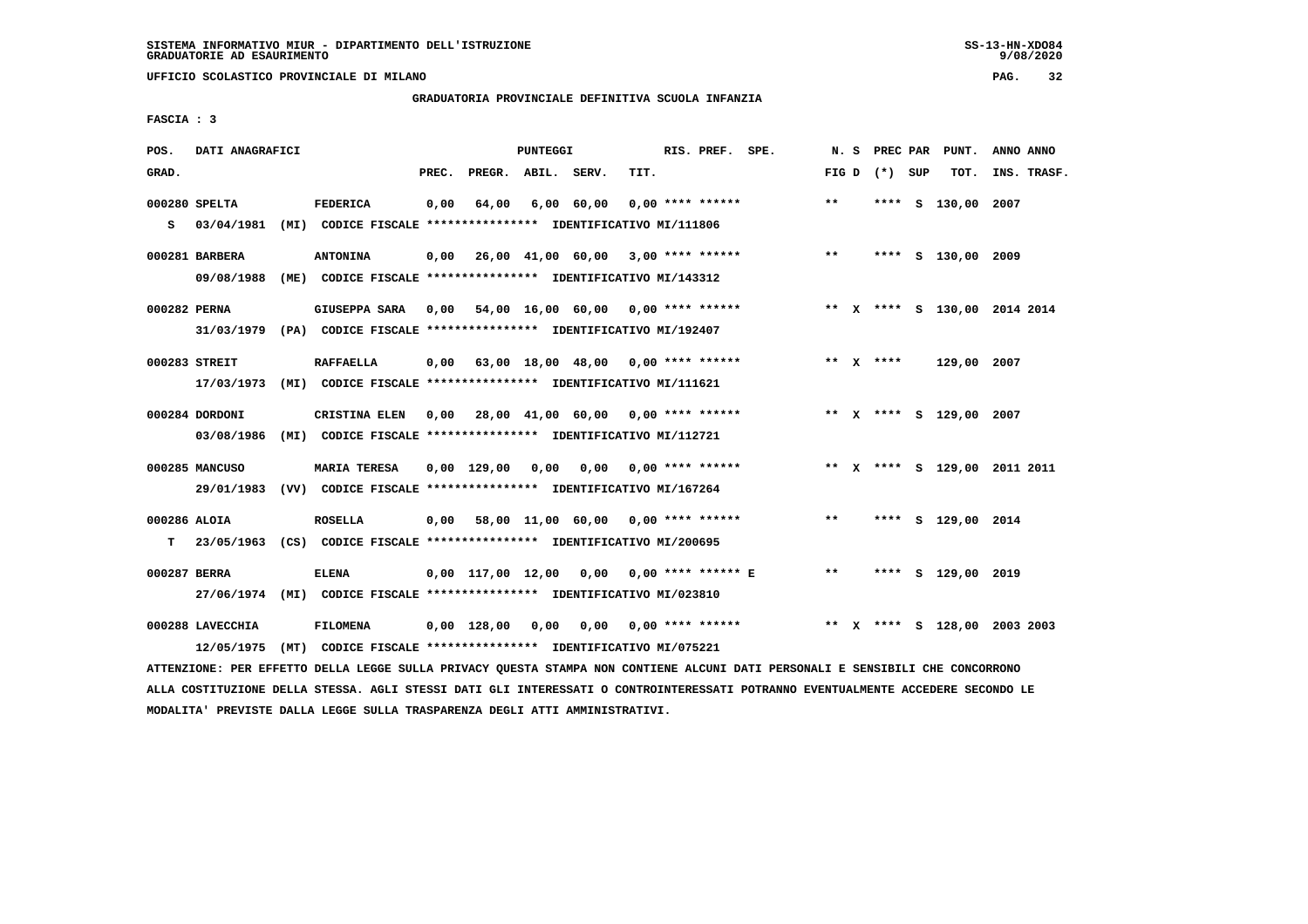**UFFICIO SCOLASTICO PROVINCIALE DI MILANO PAG. 32**

# **GRADUATORIA PROVINCIALE DEFINITIVA SCUOLA INFANZIA**

 **FASCIA : 3**

| POS.               | DATI ANAGRAFICI                   |      |                                                                                                |       |                    | PUNTEGGI |                                           |      | RIS. PREF. SPE. |                                                                           | N.S   |                 | PREC PAR PUNT.          | ANNO ANNO                    |
|--------------------|-----------------------------------|------|------------------------------------------------------------------------------------------------|-------|--------------------|----------|-------------------------------------------|------|-----------------|---------------------------------------------------------------------------|-------|-----------------|-------------------------|------------------------------|
| GRAD.              |                                   |      |                                                                                                | PREC. | PREGR. ABIL. SERV. |          |                                           | TIT. |                 |                                                                           |       | FIG D $(*)$ SUP | TOT.                    | INS. TRASF.                  |
|                    | 000280 SPELTA<br>$S = 03/04/1981$ |      | <b>FEDERICA</b><br>(MI) CODICE FISCALE **************** IDENTIFICATIVO MI/111806               | 0,00  | 64,00              |          | 6,00 60,00 0,00 **** ******               |      |                 |                                                                           | $* *$ |                 | **** S 130,00 2007      |                              |
|                    | 000281 BARBERA<br>09/08/1988      |      | <b>ANTONINA</b><br>(ME) CODICE FISCALE **************** IDENTIFICATIVO MI/143312               |       |                    |          |                                           |      |                 | $0,00$ 26,00 41,00 60,00 3,00 **** ******                                 | $***$ |                 | **** S 130,00 2009      |                              |
| 000282 PERNA       |                                   |      | GIUSEPPA SARA<br>31/03/1979 (PA) CODICE FISCALE *************** IDENTIFICATIVO MI/192407       |       |                    |          |                                           |      |                 | 0,00 54,00 16,00 60,00 0,00 **** ******      ** x **** s 130,00 2014 2014 |       |                 |                         |                              |
|                    | 000283 STREIT<br>17/03/1973       |      | <b>RAFFAELLA</b><br>(MI) CODICE FISCALE **************** IDENTIFICATIVO MI/111621              |       |                    |          | $0,00$ 63,00 18,00 48,00 0,00 **** ****** |      |                 |                                                                           |       | ** x ****       | 129,00 2007             |                              |
|                    | 000284 DORDONI<br>03/08/1986      |      | CRISTINA ELEN<br>(MI) CODICE FISCALE **************** IDENTIFICATIVO MI/112721                 |       |                    |          |                                           |      |                 | 0,00 28,00 41,00 60,00 0,00 **** ******                                   |       |                 | ** X **** S 129,00 2007 |                              |
|                    | 000285 MANCUSO                    |      | <b>MARIA TERESA</b><br>29/01/1983 (VV) CODICE FISCALE *************** IDENTIFICATIVO MI/167264 |       |                    |          | 0,00 129,00 0,00 0,00 0,00 **** ******    |      |                 |                                                                           |       |                 |                         | ** X **** S 129,00 2011 2011 |
| 000286 ALOIA<br>T. |                                   |      | <b>ROSELLA</b><br>23/05/1963 (CS) CODICE FISCALE **************** IDENTIFICATIVO MI/200695     |       |                    |          |                                           |      |                 | 0,00 58,00 11,00 60,00 0,00 **** ******                                   | $***$ |                 | **** S 129,00 2014      |                              |
| 000287 BERRA       |                                   |      | <b>ELENA</b><br>27/06/1974 (MI) CODICE FISCALE *************** IDENTIFICATIVO MI/023810        |       |                    |          |                                           |      |                 | 0,00 117,00 12,00 0,00 0,00 **** ****** E                                 | $***$ |                 | **** S 129,00 2019      |                              |
|                    | 000288 LAVECCHIA<br>12/05/1975    | (MT) | <b>FILOMENA</b><br>CODICE FISCALE **************** IDENTIFICATIVO MI/075221                    |       | 0,00 128,00        |          | $0,00$ $0,00$ $0,00$ $***$ **** ******    |      |                 |                                                                           |       |                 |                         | ** X **** S 128,00 2003 2003 |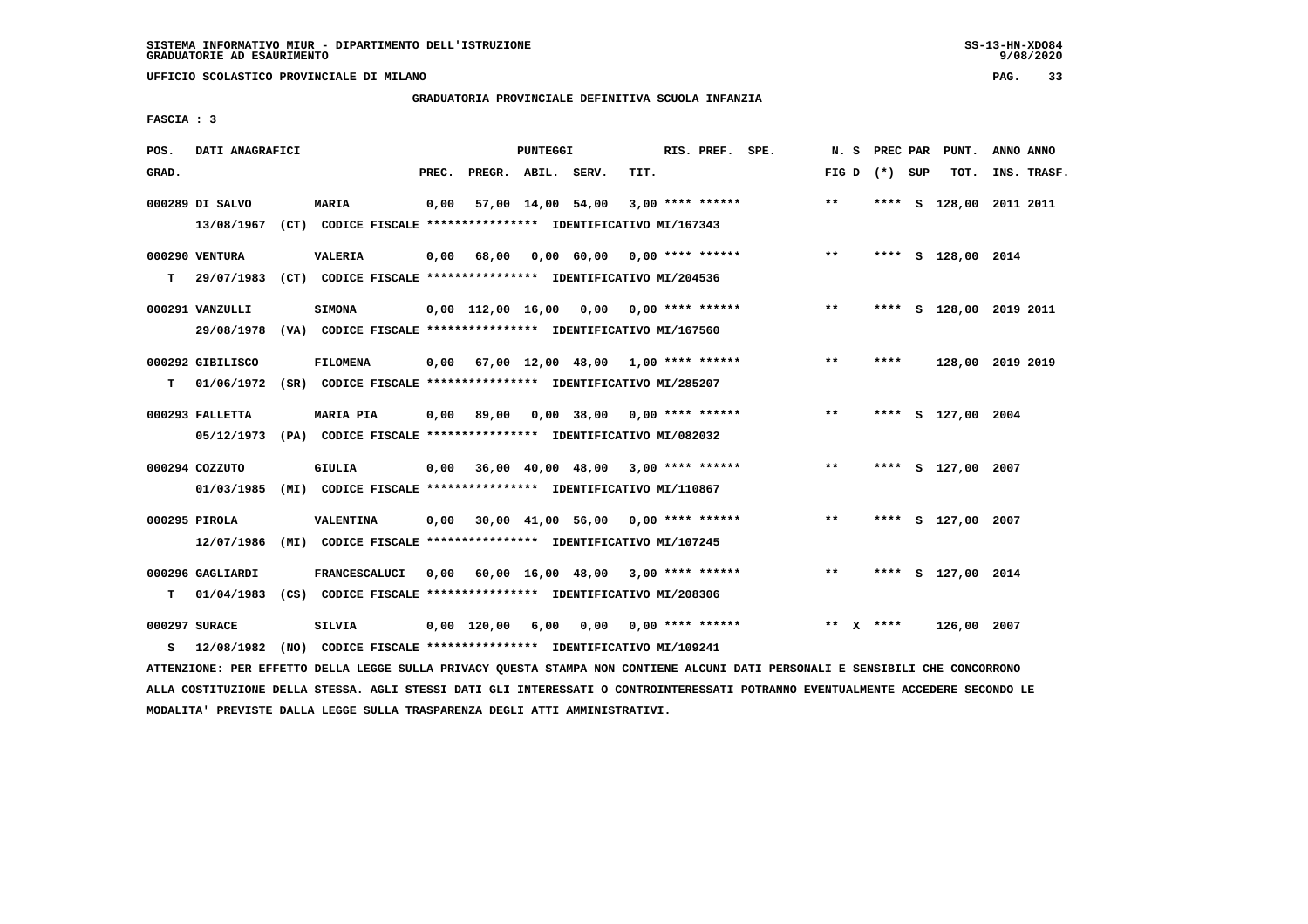**UFFICIO SCOLASTICO PROVINCIALE DI MILANO PAG. 33**

# **GRADUATORIA PROVINCIALE DEFINITIVA SCUOLA INFANZIA**

 **FASCIA : 3**

| POS.  | DATI ANAGRAFICI                |                                                                                            |       |                                           | PUNTEGGI |                               |      | RIS. PREF. SPE.           | N. S  | PREC PAR        | PUNT.              | ANNO ANNO |             |
|-------|--------------------------------|--------------------------------------------------------------------------------------------|-------|-------------------------------------------|----------|-------------------------------|------|---------------------------|-------|-----------------|--------------------|-----------|-------------|
| GRAD. |                                |                                                                                            | PREC. | PREGR. ABIL. SERV.                        |          |                               | TIT. |                           |       | FIG D $(*)$ SUP | TOT.               |           | INS. TRASF. |
|       | 000289 DI SALVO<br>13/08/1967  | MARIA<br>(CT) CODICE FISCALE **************** IDENTIFICATIVO MI/167343                     | 0.00  |                                           |          | 57,00 14,00 54,00             |      | $3.00*********$           | $***$ | ****            | S 128,00 2011 2011 |           |             |
| т     | 000290 VENTURA<br>29/07/1983   | <b>VALERIA</b><br>(CT) CODICE FISCALE **************** IDENTIFICATIVO MI/204536            | 0.00  | 68,00                                     |          | 0,00 60,00                    |      | $0.00$ **** ******        | $***$ |                 | **** S 128,00 2014 |           |             |
|       | 000291 VANZULLI<br>29/08/1978  | <b>SIMONA</b><br>(VA) CODICE FISCALE **************** IDENTIFICATIVO MI/167560             |       | $0,00$ 112,00 16,00 0,00 0,00 **** ****** |          |                               |      |                           | $***$ | ****            | s 128,00 2019 2011 |           |             |
| т     | 000292 GIBILISCO               | <b>FILOMENA</b><br>01/06/1972 (SR) CODICE FISCALE *************** IDENTIFICATIVO MI/285207 |       | $0.00$ 67.00 12.00 48.00 1.00 **** ****** |          |                               |      |                           | $***$ | ****            | 128,00 2019 2019   |           |             |
|       | 000293 FALLETTA                | MARIA PIA<br>05/12/1973 (PA) CODICE FISCALE **************** IDENTIFICATIVO MI/082032      | 0,00  | 89,00                                     |          | $0.00$ 38,00 0.00 **** ****** |      |                           | $**$  | ****            | S 127,00 2004      |           |             |
|       | 000294 COZZUTO<br>01/03/1985   | GIULIA<br>(MI) CODICE FISCALE **************** IDENTIFICATIVO MI/110867                    |       | $0,00$ 36,00 40,00 48,00 3,00 **** ****** |          |                               |      |                           | $**$  | ****            | S 127,00 2007      |           |             |
|       | 000295 PIROLA<br>12/07/1986    | <b>VALENTINA</b><br>(MI) CODICE FISCALE **************** IDENTIFICATIVO MI/107245          |       | 0,00 30,00 41,00 56,00                    |          |                               |      | $0.00$ **** ******        | $**$  | ****            | S 127,00 2007      |           |             |
| т     | 000296 GAGLIARDI<br>01/04/1983 | <b>FRANCESCALUCI</b><br>(CS) CODICE FISCALE **************** IDENTIFICATIVO MI/208306      | 0.00  |                                           |          | 60,00 16,00 48,00             |      | $3,00$ **** ******        | $***$ | ****            | S 127,00 2014      |           |             |
| s     | 000297 SURACE<br>12/08/1982    | <b>SILVIA</b><br>(NO) CODICE FISCALE **************** IDENTIFICATIVO MI/109241             |       | $0.00$ 120.00                             | 6,00     |                               |      | $0,00$ $0,00$ **** ****** |       | ** $X$ ****     | 126,00 2007        |           |             |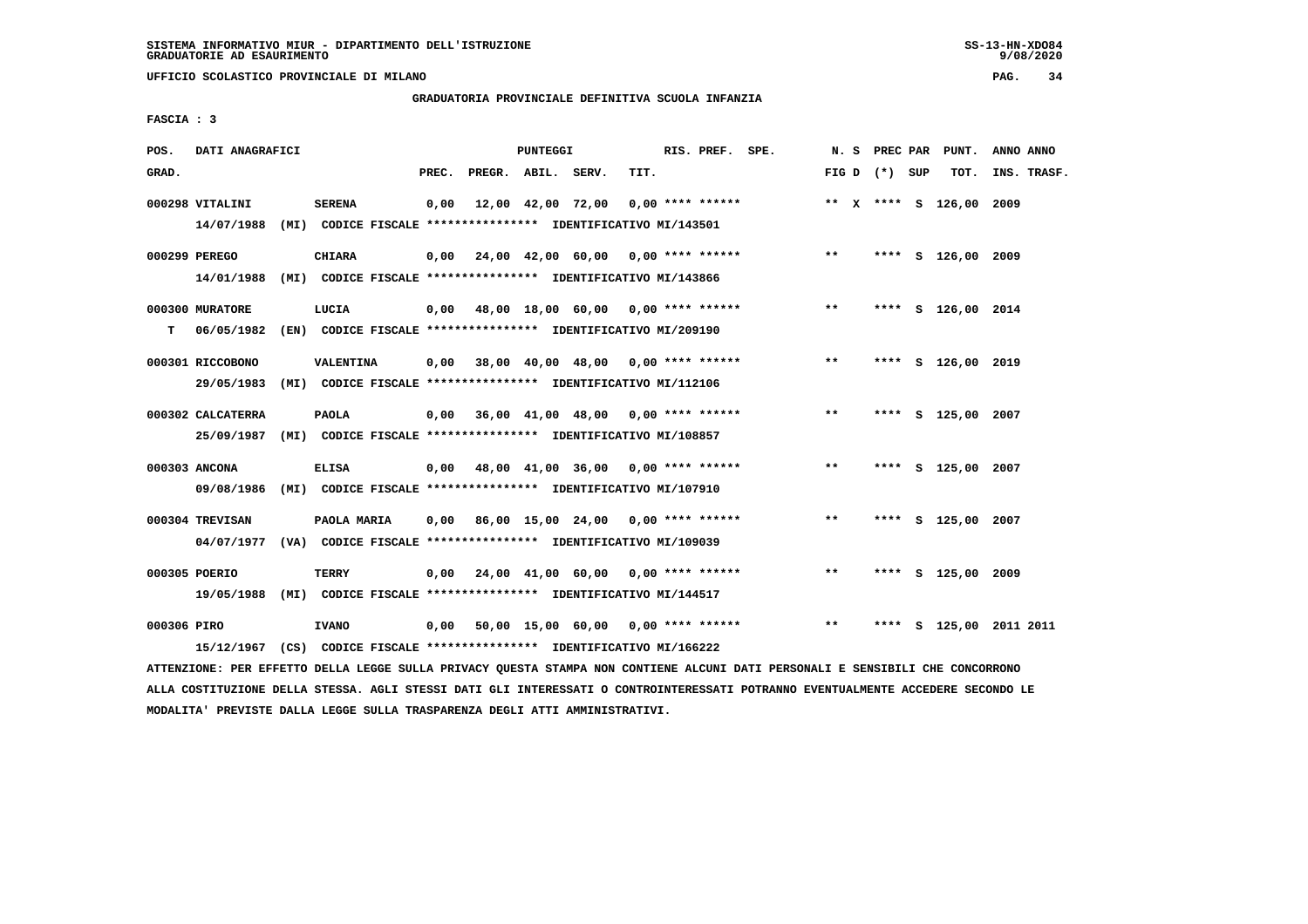**UFFICIO SCOLASTICO PROVINCIALE DI MILANO PAG. 34**

# **GRADUATORIA PROVINCIALE DEFINITIVA SCUOLA INFANZIA**

 **FASCIA : 3**

| POS.        | DATI ANAGRAFICI                 |                                                                                         |       |                    | PUNTEGGI |                                           |      | RIS. PREF. SPE. |                                    |               |                 | N. S PREC PAR PUNT.     | ANNO ANNO               |
|-------------|---------------------------------|-----------------------------------------------------------------------------------------|-------|--------------------|----------|-------------------------------------------|------|-----------------|------------------------------------|---------------|-----------------|-------------------------|-------------------------|
| GRAD.       |                                 |                                                                                         | PREC. | PREGR. ABIL. SERV. |          |                                           | TIT. |                 |                                    |               | FIG D $(*)$ SUP | TOT.                    | INS. TRASF.             |
|             | 000298 VITALINI<br>14/07/1988   | <b>SERENA</b><br>(MI) CODICE FISCALE **************** IDENTIFICATIVO MI/143501          | 0,00  |                    |          | 12,00 42,00 72,00                         |      |                 | $0.00$ **** ******                 |               |                 | ** X **** S 126,00 2009 |                         |
|             | 000299 PEREGO<br>14/01/1988     | <b>CHIARA</b><br>(MI) CODICE FISCALE **************** IDENTIFICATIVO MI/143866          | 0,00  |                    |          |                                           |      |                 | 24,00 42,00 60,00 0,00 **** ****** | $\star \star$ |                 | **** S 126,00 2009      |                         |
| т           | 000300 MURATORE<br>06/05/1982   | LUCIA<br>(EN) CODICE FISCALE **************** IDENTIFICATIVO MI/209190                  |       |                    |          | 0,00 48,00 18,00 60,00 0,00 **** ******   |      |                 |                                    | $***$         |                 | **** S 126,00 2014      |                         |
|             | 000301 RICCOBONO<br>29/05/1983  | <b>VALENTINA</b><br>(MI) CODICE FISCALE **************** IDENTIFICATIVO MI/112106       | 0,00  |                    |          | 38,00 40,00 48,00 0,00 **** ******        |      |                 |                                    | $***$         |                 | **** S 126,00 2019      |                         |
|             | 000302 CALCATERRA<br>25/09/1987 | PAOLA<br>(MI) CODICE FISCALE **************** IDENTIFICATIVO MI/108857                  |       |                    |          | 0,00 36,00 41,00 48,00 0,00 **** ******   |      |                 |                                    | $***$         |                 | **** S 125,00 2007      |                         |
|             | 000303 ANCONA<br>09/08/1986     | <b>ELISA</b><br>(MI) CODICE FISCALE **************** IDENTIFICATIVO MI/107910           |       |                    |          | $0,00$ 48,00 41,00 36,00 0,00 **** ****** |      |                 |                                    | $***$         |                 | **** S 125,00 2007      |                         |
|             | 000304 TREVISAN                 | PAOLA MARIA<br>04/07/1977 (VA) CODICE FISCALE *************** IDENTIFICATIVO MI/109039  |       |                    |          | $0,00$ 86,00 15,00 24,00 0,00 **** ****** |      |                 |                                    | $***$         |                 | **** S 125,00 2007      |                         |
|             | 000305 POERIO                   | TERRY<br>19/05/1988 (MI) CODICE FISCALE *************** IDENTIFICATIVO MI/144517        |       |                    |          | 0,00 24,00 41,00 60,00 0,00 **** ******   |      |                 |                                    | $* *$         |                 | **** S 125,00 2009      |                         |
| 000306 PIRO |                                 | <b>IVANO</b><br>15/12/1967 (CS) CODICE FISCALE *************** IDENTIFICATIVO MI/166222 |       |                    |          | 0,00 50,00 15,00 60,00 0,00 **** ******   |      |                 |                                    | $* *$         |                 |                         | **** S 125,00 2011 2011 |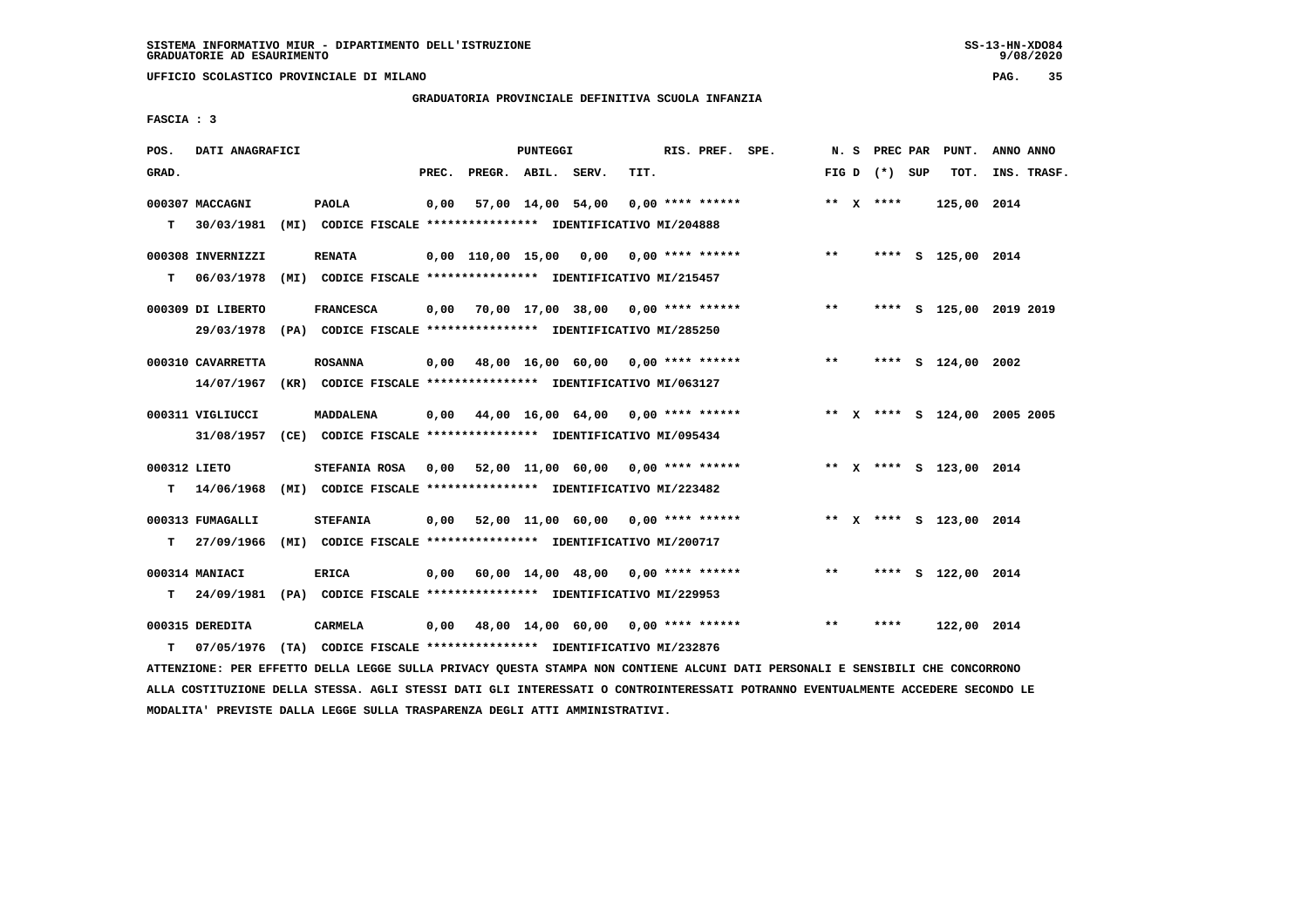**UFFICIO SCOLASTICO PROVINCIALE DI MILANO PAG. 35**

# **GRADUATORIA PROVINCIALE DEFINITIVA SCUOLA INFANZIA**

 **FASCIA : 3**

| POS.              | DATI ANAGRAFICI                 |                                                                                             |       |                    | PUNTEGGI |                                                         |      | RIS. PREF. SPE. |                                                                        |       |                 | N. S PREC PAR PUNT.     | ANNO ANNO                    |
|-------------------|---------------------------------|---------------------------------------------------------------------------------------------|-------|--------------------|----------|---------------------------------------------------------|------|-----------------|------------------------------------------------------------------------|-------|-----------------|-------------------------|------------------------------|
| GRAD.             |                                 |                                                                                             | PREC. | PREGR. ABIL. SERV. |          |                                                         | TIT. |                 |                                                                        |       | FIG D $(*)$ SUP | тот.                    | INS. TRASF.                  |
| T.                | 000307 MACCAGNI<br>30/03/1981   | <b>PAOLA</b><br>(MI) CODICE FISCALE **************** IDENTIFICATIVO MI/204888               |       |                    |          | $0,00$ 57,00 14,00 54,00 0,00 **** ******               |      |                 |                                                                        |       | ** $X$ ****     | 125,00 2014             |                              |
| т                 | 000308 INVERNIZZI<br>06/03/1978 | <b>RENATA</b><br>(MI) CODICE FISCALE **************** IDENTIFICATIVO MI/215457              |       |                    |          |                                                         |      |                 | 0,00 110,00 15,00 0,00 0,00 **** ******                                | $* *$ |                 | **** S 125,00 2014      |                              |
|                   | 000309 DI LIBERTO               | <b>FRANCESCA</b><br>29/03/1978 (PA) CODICE FISCALE *************** IDENTIFICATIVO MI/285250 |       |                    |          | $0.00$ 70.00 17.00 38.00 0.00 **** ******               |      |                 |                                                                        | $***$ |                 |                         | **** S 125,00 2019 2019      |
|                   | 000310 CAVARRETTA<br>14/07/1967 | <b>ROSANNA</b><br>(KR) CODICE FISCALE **************** IDENTIFICATIVO MI/063127             |       |                    |          | 0,00 48,00 16,00 60,00 0,00 **** ******                 |      |                 |                                                                        | $***$ |                 | **** S 124,00 2002      |                              |
|                   | 000311 VIGLIUCCI                | MADDALENA<br>31/08/1957 (CE) CODICE FISCALE *************** IDENTIFICATIVO MI/095434        |       |                    |          | $0.00$ $44.00$ $16.00$ $64.00$ $0.00$ $***$ **** ****** |      |                 |                                                                        |       |                 |                         | ** X **** S 124,00 2005 2005 |
| 000312 LIETO<br>т | 14/06/1968                      | STEFANIA ROSA<br>(MI) CODICE FISCALE **************** IDENTIFICATIVO MI/223482              |       |                    |          |                                                         |      |                 | 0,00 52,00 11,00 60,00 0,00 **** ****** *** ** ** * *** \$ 123,00 2014 |       |                 |                         |                              |
| т                 | 000313 FUMAGALLI<br>27/09/1966  | <b>STEFANIA</b><br>(MI) CODICE FISCALE **************** IDENTIFICATIVO MI/200717            |       |                    |          | $0,00$ 52,00 11,00 60,00 0,00 **** ******               |      |                 |                                                                        |       |                 | ** x **** s 123,00 2014 |                              |
|                   | 000314 MANIACI                  | <b>ERICA</b><br>T 24/09/1981 (PA) CODICE FISCALE *************** IDENTIFICATIVO MI/229953   |       |                    |          | $0,00$ 60,00 14,00 48,00 0,00 **** ******               |      |                 |                                                                        | $***$ |                 | **** S 122,00 2014      |                              |
| т                 | 000315 DEREDITA<br>07/05/1976   | CARMELA<br>(TA) CODICE FISCALE **************** IDENTIFICATIVO MI/232876                    |       |                    |          | $0,00$ 48,00 14,00 60,00 0,00 **** ******               |      |                 |                                                                        | $***$ | ****            | 122,00 2014             |                              |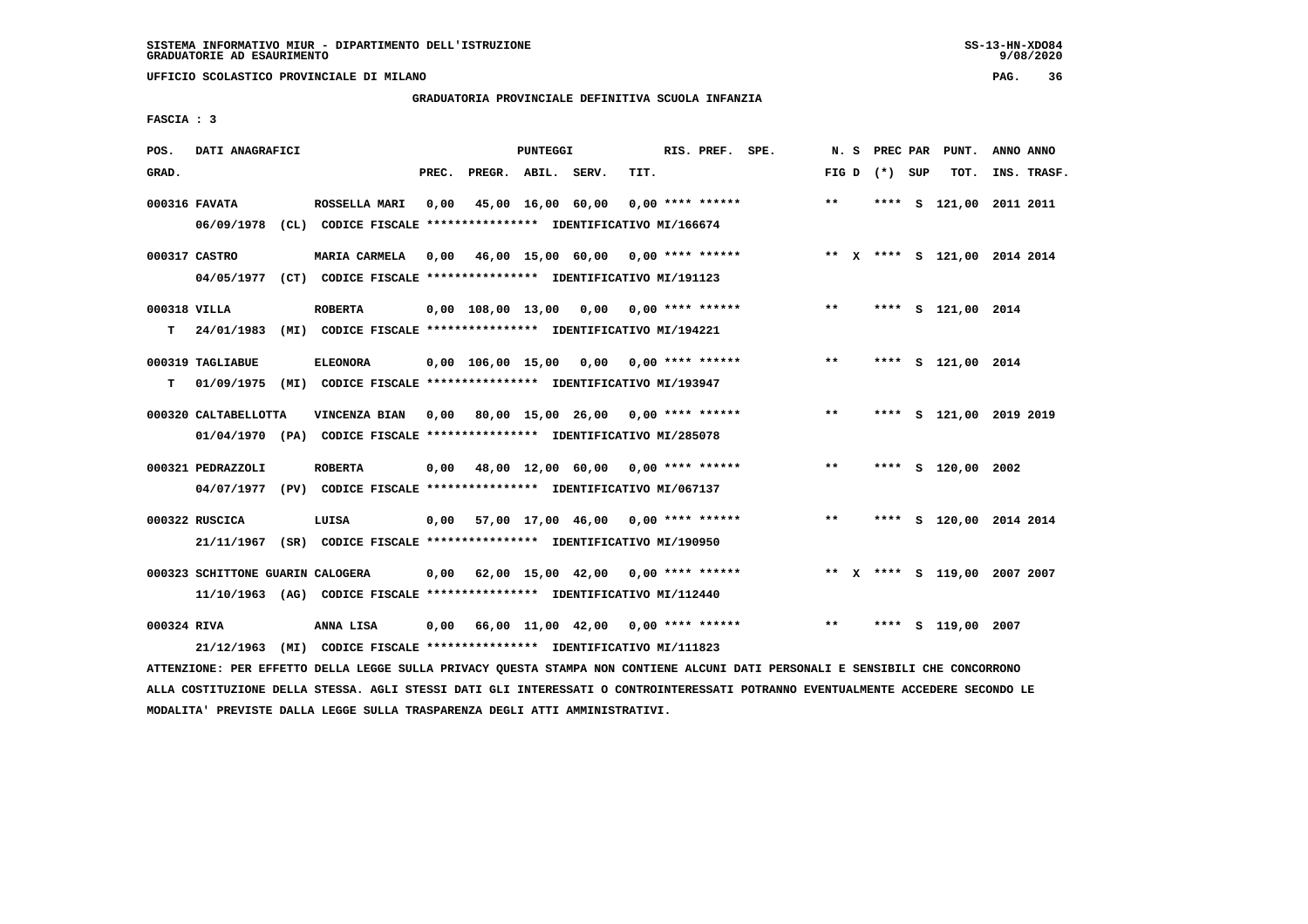**UFFICIO SCOLASTICO PROVINCIALE DI MILANO PAG. 36**

# **GRADUATORIA PROVINCIALE DEFINITIVA SCUOLA INFANZIA**

 **FASCIA : 3**

| POS.         | DATI ANAGRAFICI                                                          |      |                                                          |       |                                           | PUNTEGGI |                   |      | RIS. PREF.         | SPE.                                                                         |       | N.S | PREC PAR        | PUNT.                        | ANNO ANNO   |  |
|--------------|--------------------------------------------------------------------------|------|----------------------------------------------------------|-------|-------------------------------------------|----------|-------------------|------|--------------------|------------------------------------------------------------------------------|-------|-----|-----------------|------------------------------|-------------|--|
| GRAD.        |                                                                          |      |                                                          | PREC. | PREGR. ABIL. SERV.                        |          |                   | TIT. |                    |                                                                              |       |     | FIG D $(*)$ SUP | TOT.                         | INS. TRASF. |  |
|              | 000316 FAVATA                                                            |      | ROSSELLA MARI                                            | 0,00  | 45,00 16,00 60,00                         |          |                   |      | 0,00 **** ******   |                                                                              | $***$ |     |                 | **** S 121,00 2011 2011      |             |  |
|              |                                                                          |      |                                                          |       |                                           |          |                   |      |                    |                                                                              |       |     |                 |                              |             |  |
|              | 06/09/1978 (CL) CODICE FISCALE *************** IDENTIFICATIVO MI/166674  |      |                                                          |       |                                           |          |                   |      |                    |                                                                              |       |     |                 |                              |             |  |
|              | 000317 CASTRO                                                            |      | <b>MARIA CARMELA</b>                                     |       |                                           |          |                   |      |                    | 0,00 46,00 15,00 60,00 0,00 **** ****** **** *** ** **** \$ 121,00 2014 2014 |       |     |                 |                              |             |  |
|              | 04/05/1977 (CT) CODICE FISCALE *************** IDENTIFICATIVO MI/191123  |      |                                                          |       |                                           |          |                   |      |                    |                                                                              |       |     |                 |                              |             |  |
| 000318 VILLA |                                                                          |      | <b>ROBERTA</b>                                           |       |                                           |          |                   |      |                    | 0,00 108,00 13,00 0,00 0,00 **** ******                                      | $***$ |     |                 | **** S 121,00 2014           |             |  |
|              |                                                                          |      |                                                          |       |                                           |          |                   |      |                    |                                                                              |       |     |                 |                              |             |  |
| т            | 24/01/1983                                                               | (MI) | CODICE FISCALE **************** IDENTIFICATIVO MI/194221 |       |                                           |          |                   |      |                    |                                                                              |       |     |                 |                              |             |  |
|              | 000319 TAGLIABUE                                                         |      | <b>ELEONORA</b>                                          |       | $0,00$ $106,00$ $15,00$ $0,00$            |          |                   |      | 0,00 **** ******   |                                                                              | $***$ |     |                 | **** S 121,00 2014           |             |  |
| т            | 01/09/1975 (MI) CODICE FISCALE *************** IDENTIFICATIVO MI/193947  |      |                                                          |       |                                           |          |                   |      |                    |                                                                              |       |     |                 |                              |             |  |
|              | 000320 CALTABELLOTTA                                                     |      | VINCENZA BIAN                                            |       | $0.00$ 80.00 15.00 26.00 0.00 **** ****** |          |                   |      |                    |                                                                              | $* *$ |     | ****            | S 121,00 2019 2019           |             |  |
|              |                                                                          |      |                                                          |       |                                           |          |                   |      |                    |                                                                              |       |     |                 |                              |             |  |
|              | 01/04/1970 (PA) CODICE FISCALE *************** IDENTIFICATIVO MI/285078  |      |                                                          |       |                                           |          |                   |      |                    |                                                                              |       |     |                 |                              |             |  |
|              | 000321 PEDRAZZOLI                                                        |      | <b>ROBERTA</b>                                           |       | $0,00$ 48,00 12,00 60,00 0,00 **** ****** |          |                   |      |                    |                                                                              | $***$ |     |                 | **** S 120,00 2002           |             |  |
|              | 04/07/1977 (PV) CODICE FISCALE *************** IDENTIFICATIVO MI/067137  |      |                                                          |       |                                           |          |                   |      |                    |                                                                              |       |     |                 |                              |             |  |
|              | 000322 RUSCICA                                                           |      | LUISA                                                    |       | $0,00$ 57,00 17,00 46,00 0,00 **** ****** |          |                   |      |                    |                                                                              | **    |     | ****            | S 120,00 2014 2014           |             |  |
|              | 21/11/1967 (SR) CODICE FISCALE *************** IDENTIFICATIVO MI/190950  |      |                                                          |       |                                           |          |                   |      |                    |                                                                              |       |     |                 |                              |             |  |
|              |                                                                          |      |                                                          |       |                                           |          |                   |      |                    |                                                                              |       |     |                 |                              |             |  |
|              | 000323 SCHITTONE GUARIN CALOGERA                                         |      |                                                          | 0.00  |                                           |          | 62,00 15,00 42,00 |      | $0.00$ **** ****** |                                                                              |       |     |                 | ** X **** S 119,00 2007 2007 |             |  |
|              | 11/10/1963 (AG) CODICE FISCALE **************** IDENTIFICATIVO MI/112440 |      |                                                          |       |                                           |          |                   |      |                    |                                                                              |       |     |                 |                              |             |  |
| 000324 RIVA  |                                                                          |      | ANNA LISA                                                |       | $0.00$ 66.00 11.00 42.00 0.00 **** ****** |          |                   |      |                    |                                                                              | $***$ |     | ****            | S 119,00 2007                |             |  |
|              | 21/12/1963                                                               | (MI) | CODICE FISCALE **************** IDENTIFICATIVO MI/111823 |       |                                           |          |                   |      |                    |                                                                              |       |     |                 |                              |             |  |
|              |                                                                          |      |                                                          |       |                                           |          |                   |      |                    |                                                                              |       |     |                 |                              |             |  |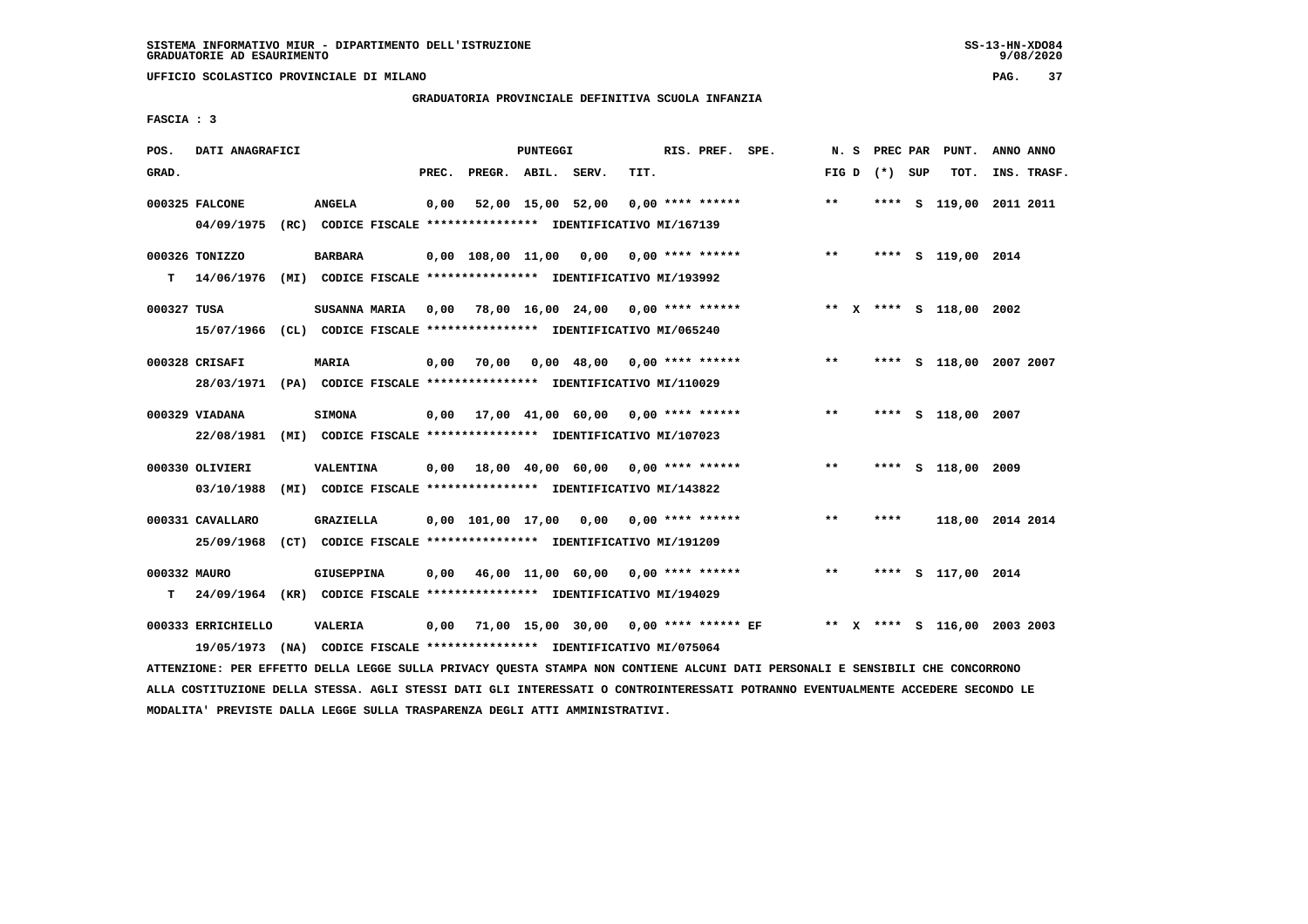**UFFICIO SCOLASTICO PROVINCIALE DI MILANO PAG. 37**

# **GRADUATORIA PROVINCIALE DEFINITIVA SCUOLA INFANZIA**

 **FASCIA : 3**

| POS.         | DATI ANAGRAFICI                                                                               |                |       |                    | PUNTEGGI |                                                                                                       |      | RIS. PREF. SPE. |                                                                                      | N. S  |                 | PREC PAR PUNT.               | ANNO ANNO |             |
|--------------|-----------------------------------------------------------------------------------------------|----------------|-------|--------------------|----------|-------------------------------------------------------------------------------------------------------|------|-----------------|--------------------------------------------------------------------------------------|-------|-----------------|------------------------------|-----------|-------------|
| GRAD.        |                                                                                               |                | PREC. | PREGR. ABIL. SERV. |          |                                                                                                       | TIT. |                 |                                                                                      |       | FIG D $(*)$ SUP | TOT.                         |           | INS. TRASF. |
|              | 000325 FALCONE<br>04/09/1975 (RC) CODICE FISCALE *************** IDENTIFICATIVO MI/167139     | ANGELA         | 0,00  |                    |          | 52,00 15,00 52,00 0,00 **** ******                                                                    |      |                 |                                                                                      | $***$ |                 | **** S 119,00 2011 2011      |           |             |
| т            | 000326 TONIZZO<br>14/06/1976 (MI) CODICE FISCALE *************** IDENTIFICATIVO MI/193992     | <b>BARBARA</b> |       |                    |          |                                                                                                       |      |                 | $0,00$ $108,00$ $11,00$ $0,00$ $0,00$ $***$ **** ****** *** **                       |       |                 | **** S 119,00 2014           |           |             |
| 000327 TUSA  | 15/07/1966 (CL) CODICE FISCALE *************** IDENTIFICATIVO MI/065240                       |                |       |                    |          |                                                                                                       |      |                 | SUSANNA MARIA 0,00 78,00 16,00 24,00 0,00 **** ****** **** *** ** **** S 118,00 2002 |       |                 |                              |           |             |
|              | 000328 CRISAFI<br>28/03/1971 (PA) CODICE FISCALE *************** IDENTIFICATIVO MI/110029     | <b>MARIA</b>   | 0,00  | 70,00              |          | $0,00$ 48,00 0,00 **** ******                                                                         |      |                 |                                                                                      | $* *$ |                 | **** S 118,00 2007 2007      |           |             |
|              | 000329 VIADANA<br>22/08/1981 (MI) CODICE FISCALE *************** IDENTIFICATIVO MI/107023     | <b>SIMONA</b>  |       |                    |          | 0,00 17,00 41,00 60,00 0,00 **** ******                                                               |      |                 |                                                                                      | $* *$ |                 | **** S 118,00 2007           |           |             |
|              | 000330 OLIVIERI<br>03/10/1988                                                                 | VALENTINA      |       |                    |          | (MI) CODICE FISCALE **************** IDENTIFICATIVO MI/143822                                         |      |                 | $0,00$ 18,00 40,00 60,00 0,00 **** ******                                            | $* *$ |                 | **** S 118,00 2009           |           |             |
|              | 000331 CAVALLARO<br>25/09/1968                                                                | GRAZIELLA      |       |                    |          | $0.00 101.00 17.00 0.00 0.00 ******$<br>(CT) CODICE FISCALE **************** IDENTIFICATIVO MI/191209 |      |                 |                                                                                      | $**$  | ****            | 118,00 2014 2014             |           |             |
| 000332 MAURO | T 24/09/1964 (KR) CODICE FISCALE *************** IDENTIFICATIVO MI/194029                     | GIUSEPPINA     | 0,00  |                    |          | 46,00 11,00 60,00 0,00 **** ******                                                                    |      |                 |                                                                                      | $* *$ |                 | **** S 117,00 2014           |           |             |
|              | 000333 ERRICHIELLO<br>19/05/1973 (NA) CODICE FISCALE *************** IDENTIFICATIVO MI/075064 | VALERIA        |       |                    |          |                                                                                                       |      |                 | 0,00 71,00 15,00 30,00 0,00 **** ****** EF                                           |       |                 | ** X **** S 116,00 2003 2003 |           |             |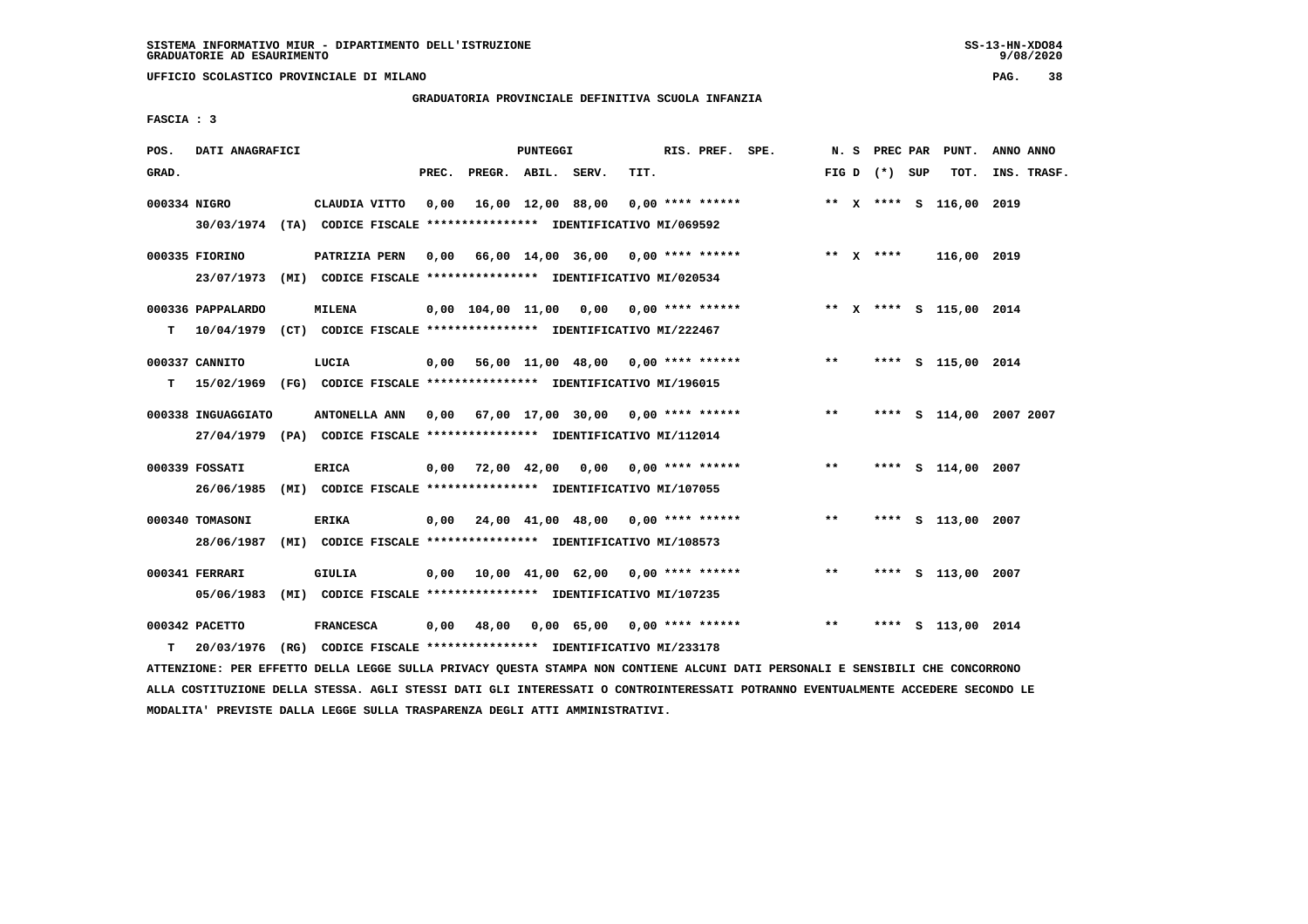**UFFICIO SCOLASTICO PROVINCIALE DI MILANO PAG. 38**

# **GRADUATORIA PROVINCIALE DEFINITIVA SCUOLA INFANZIA**

 **FASCIA : 3**

| POS.         | DATI ANAGRAFICI                                                            |                  |       |                    | PUNTEGGI |                                                               |      | RIS. PREF. SPE. |                                                           |              |                 | N. S PREC PAR PUNT.     | ANNO ANNO |             |
|--------------|----------------------------------------------------------------------------|------------------|-------|--------------------|----------|---------------------------------------------------------------|------|-----------------|-----------------------------------------------------------|--------------|-----------------|-------------------------|-----------|-------------|
| GRAD.        |                                                                            |                  | PREC. | PREGR. ABIL. SERV. |          |                                                               | TIT. |                 |                                                           |              | FIG D $(*)$ SUP | тот.                    |           | INS. TRASF. |
| 000334 NIGRO |                                                                            | CLAUDIA VITTO    | 0,00  |                    |          | 16,00 12,00 88,00 0,00 **** ******                            |      |                 |                                                           |              |                 | ** X **** S 116,00 2019 |           |             |
|              | 30/03/1974 (TA) CODICE FISCALE *************** IDENTIFICATIVO MI/069592    |                  |       |                    |          |                                                               |      |                 |                                                           |              |                 |                         |           |             |
|              | 000335 FIORINO                                                             | PATRIZIA PERN    |       |                    |          |                                                               |      |                 | 0,00    66,00    14,00    36,00    0,00    ****    ****** |              | ** $X$ ****     | 116,00 2019             |           |             |
|              | 23/07/1973 (MI) CODICE FISCALE *************** IDENTIFICATIVO MI/020534    |                  |       |                    |          |                                                               |      |                 |                                                           |              |                 |                         |           |             |
|              | 000336 PAPPALARDO                                                          | <b>MILENA</b>    |       |                    |          | $0,00$ $104,00$ $11,00$ $0,00$ $0,00$ **** ******             |      |                 |                                                           |              |                 | ** x **** s 115,00 2014 |           |             |
| T.           | 10/04/1979 (CT) CODICE FISCALE *************** IDENTIFICATIVO MI/222467    |                  |       |                    |          |                                                               |      |                 |                                                           |              |                 |                         |           |             |
|              | 000337 CANNITO                                                             | LUCIA            |       |                    |          |                                                               |      |                 | 0,00 56,00 11,00 48,00 0,00 **** ******                   | $\star\star$ |                 | **** S 115,00 2014      |           |             |
|              | T 15/02/1969 (FG) CODICE FISCALE **************** IDENTIFICATIVO MI/196015 |                  |       |                    |          |                                                               |      |                 |                                                           |              |                 |                         |           |             |
|              | 000338 INGUAGGIATO                                                         |                  |       |                    |          | ANTONELLA ANN 0,00 67,00 17,00 30,00 0,00 **** ******         |      |                 |                                                           | $**$         |                 | **** S 114,00 2007 2007 |           |             |
|              | 27/04/1979 (PA) CODICE FISCALE *************** IDENTIFICATIVO MI/112014    |                  |       |                    |          |                                                               |      |                 |                                                           |              |                 |                         |           |             |
|              | 000339 FOSSATI                                                             | ERICA            |       |                    |          | $0,00$ $72,00$ $42,00$ $0,00$ $0,00$ $***$ **** ******        |      |                 |                                                           | $* *$        |                 | **** S 114,00 2007      |           |             |
|              | 26/06/1985 (MI) CODICE FISCALE *************** IDENTIFICATIVO MI/107055    |                  |       |                    |          |                                                               |      |                 |                                                           |              |                 |                         |           |             |
|              | 000340 TOMASONI                                                            | <b>ERIKA</b>     |       |                    |          | $0,00$ $24,00$ $41,00$ $48,00$ $0,00$ **** ******             |      |                 |                                                           | $***$        |                 | **** S 113,00 2007      |           |             |
|              | 28/06/1987                                                                 |                  |       |                    |          | (MI) CODICE FISCALE **************** IDENTIFICATIVO MI/108573 |      |                 |                                                           |              |                 |                         |           |             |
|              | 000341 FERRARI                                                             | GIULIA           |       |                    |          | $0.00$ 10.00 41.00 62.00 0.00 **** ******                     |      |                 |                                                           | $* *$        |                 | **** S 113,00 2007      |           |             |
|              | 05/06/1983 (MI) CODICE FISCALE *************** IDENTIFICATIVO MI/107235    |                  |       |                    |          |                                                               |      |                 |                                                           |              |                 |                         |           |             |
|              | 000342 PACETTO                                                             | <b>FRANCESCA</b> |       | $0,00$ 48,00       |          | 0,00 65,00 0,00 **** ******                                   |      |                 |                                                           | $***$        |                 | **** S 113,00 2014      |           |             |
| т            | 20/03/1976                                                                 |                  |       |                    |          | (RG) CODICE FISCALE **************** IDENTIFICATIVO MI/233178 |      |                 |                                                           |              |                 |                         |           |             |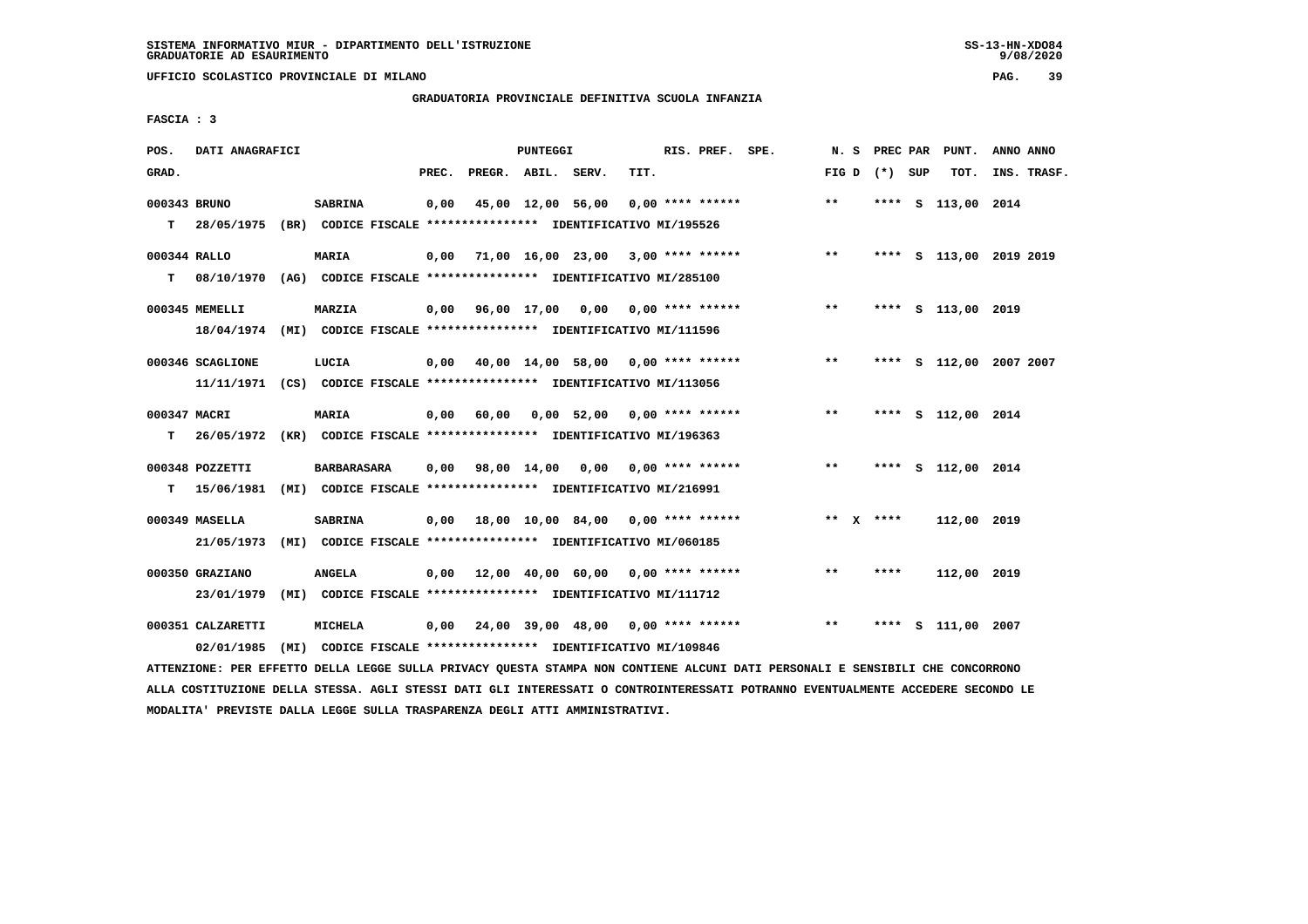**UFFICIO SCOLASTICO PROVINCIALE DI MILANO PAG. 39**

# **GRADUATORIA PROVINCIALE DEFINITIVA SCUOLA INFANZIA**

 **FASCIA : 3**

| POS.         | DATI ANAGRAFICI                                                          |                                                               |       |                    | PUNTEGGI |                                                   |      | RIS. PREF. SPE.    |                                           |       |                 | N. S PREC PAR PUNT.     | ANNO ANNO |             |
|--------------|--------------------------------------------------------------------------|---------------------------------------------------------------|-------|--------------------|----------|---------------------------------------------------|------|--------------------|-------------------------------------------|-------|-----------------|-------------------------|-----------|-------------|
| GRAD.        |                                                                          |                                                               | PREC. | PREGR. ABIL. SERV. |          |                                                   | TIT. |                    |                                           |       | FIG D $(*)$ SUP | тот.                    |           | INS. TRASF. |
|              |                                                                          |                                                               |       |                    |          |                                                   |      |                    |                                           |       |                 |                         |           |             |
| 000343 BRUNO |                                                                          | <b>SABRINA</b>                                                | 0,00  |                    |          | 45,00 12,00 56,00                                 |      | $0.00$ **** ****** |                                           | $***$ |                 | **** S 113,00 2014      |           |             |
| T.           | 28/05/1975 (BR) CODICE FISCALE *************** IDENTIFICATIVO MI/195526  |                                                               |       |                    |          |                                                   |      |                    |                                           |       |                 |                         |           |             |
|              |                                                                          |                                                               |       |                    |          |                                                   |      |                    |                                           | $***$ |                 |                         |           |             |
| 000344 RALLO |                                                                          | <b>MARIA</b>                                                  |       |                    |          |                                                   |      |                    | $0,00$ 71,00 16,00 23,00 3,00 **** ****** |       |                 | **** S 113,00 2019 2019 |           |             |
| T.           | 08/10/1970 (AG) CODICE FISCALE **************** IDENTIFICATIVO MI/285100 |                                                               |       |                    |          |                                                   |      |                    |                                           |       |                 |                         |           |             |
|              | 000345 MEMELLI                                                           | <b>MARZIA</b>                                                 |       |                    |          |                                                   |      |                    | $0,00$ 96,00 17,00 0,00 0,00 **** ******  | $***$ |                 | **** S 113,00 2019      |           |             |
|              | 18/04/1974 (MI) CODICE FISCALE *************** IDENTIFICATIVO MI/111596  |                                                               |       |                    |          |                                                   |      |                    |                                           |       |                 |                         |           |             |
|              |                                                                          |                                                               |       |                    |          |                                                   |      |                    |                                           |       |                 |                         |           |             |
|              | 000346 SCAGLIONE                                                         | LUCIA                                                         |       |                    |          | $0,00$ $40,00$ $14,00$ $58,00$ $0,00$ **** ****** |      |                    |                                           | $***$ |                 | **** S 112,00 2007 2007 |           |             |
|              | 11/11/1971 (CS) CODICE FISCALE *************** IDENTIFICATIVO MI/113056  |                                                               |       |                    |          |                                                   |      |                    |                                           |       |                 |                         |           |             |
| 000347 MACRI |                                                                          | MARIA                                                         | 0,00  | 60,00              |          | $0.00$ 52.00 0.00 **** ******                     |      |                    |                                           | $***$ |                 | **** S 112,00 2014      |           |             |
| T.           | 26/05/1972 (KR) CODICE FISCALE *************** IDENTIFICATIVO MI/196363  |                                                               |       |                    |          |                                                   |      |                    |                                           |       |                 |                         |           |             |
|              |                                                                          |                                                               |       |                    |          |                                                   |      |                    |                                           |       |                 |                         |           |             |
|              | 000348 POZZETTI                                                          | <b>BARBARASARA</b>                                            |       |                    |          | 0,00 98,00 14,00 0,00 0,00 **** ******            |      |                    |                                           | $***$ |                 | **** S 112,00 2014      |           |             |
| T.           | 15/06/1981 (MI) CODICE FISCALE **************** IDENTIFICATIVO MI/216991 |                                                               |       |                    |          |                                                   |      |                    |                                           |       |                 |                         |           |             |
|              | 000349 MASELLA                                                           | <b>SABRINA</b>                                                |       |                    |          | $0,00$ 18,00 10,00 84,00 0,00 **** ******         |      |                    |                                           |       | ** $X$ ****     | 112,00 2019             |           |             |
|              |                                                                          |                                                               |       |                    |          |                                                   |      |                    |                                           |       |                 |                         |           |             |
|              | 21/05/1973 (MI) CODICE FISCALE *************** IDENTIFICATIVO MI/060185  |                                                               |       |                    |          |                                                   |      |                    |                                           |       |                 |                         |           |             |
|              | 000350 GRAZIANO                                                          | <b>ANGELA</b>                                                 |       |                    |          | $0.00$ 12.00 40.00 60.00 0.00 **** ******         |      |                    |                                           | $***$ | ****            | 112,00 2019             |           |             |
|              | 23/01/1979                                                               | (MI) CODICE FISCALE **************** IDENTIFICATIVO MI/111712 |       |                    |          |                                                   |      |                    |                                           |       |                 |                         |           |             |
|              |                                                                          |                                                               |       |                    |          |                                                   |      |                    |                                           |       |                 |                         |           |             |
|              | 000351 CALZARETTI                                                        | MICHELA                                                       |       |                    |          | $0.00$ 24,00 39,00 48,00 0,00 **** ******         |      |                    |                                           | $**$  | ****            | S 111,00 2007           |           |             |
|              | 02/01/1985                                                               | (MI) CODICE FISCALE **************** IDENTIFICATIVO MI/109846 |       |                    |          |                                                   |      |                    |                                           |       |                 |                         |           |             |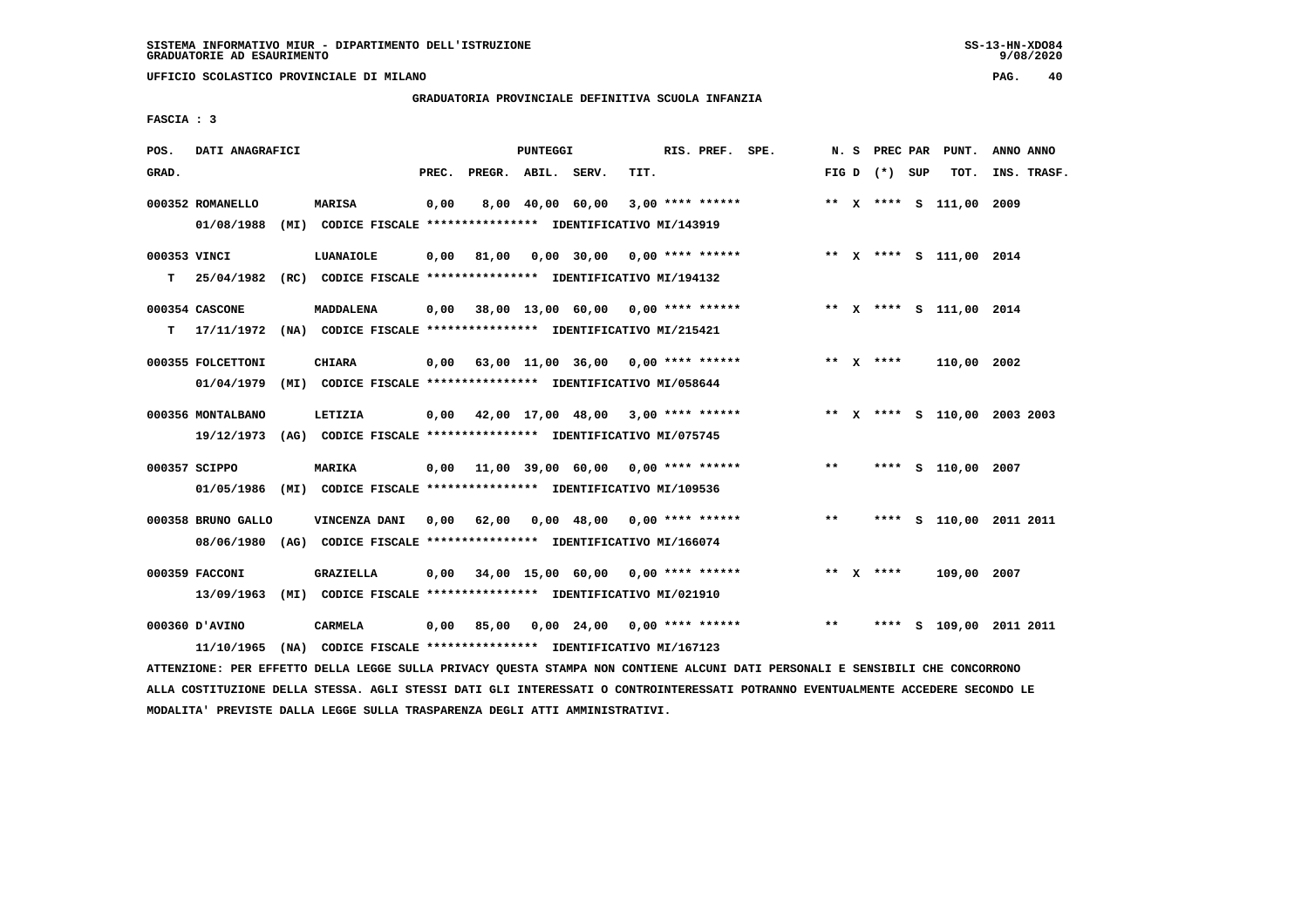**UFFICIO SCOLASTICO PROVINCIALE DI MILANO PAG. 40**

# **GRADUATORIA PROVINCIALE DEFINITIVA SCUOLA INFANZIA**

 **FASCIA : 3**

| POS.  | DATI ANAGRAFICI    |                                                                                                                                                                                           |       |                    | PUNTEGGI |                                           |      | RIS. PREF. SPE.    |                                                                        |               |                 | N. S PREC PAR PUNT.     | ANNO ANNO                    |
|-------|--------------------|-------------------------------------------------------------------------------------------------------------------------------------------------------------------------------------------|-------|--------------------|----------|-------------------------------------------|------|--------------------|------------------------------------------------------------------------|---------------|-----------------|-------------------------|------------------------------|
| GRAD. |                    |                                                                                                                                                                                           | PREC. | PREGR. ABIL. SERV. |          |                                           | TIT. |                    |                                                                        |               | FIG D $(*)$ SUP | тот.                    | INS. TRASF.                  |
|       | 000352 ROMANELLO   | <b>MARISA</b>                                                                                                                                                                             | 0,00  |                    |          | 8,00 40,00 60,00                          |      | $3,00$ **** ****** |                                                                        |               |                 | ** X **** S 111,00 2009 |                              |
|       | 01/08/1988         | (MI) CODICE FISCALE **************** IDENTIFICATIVO MI/143919                                                                                                                             |       |                    |          |                                           |      |                    |                                                                        |               |                 |                         |                              |
|       | 000353 VINCI       | LUANAIOLE                                                                                                                                                                                 |       | $0,00$ 81,00       |          | 0,00 30,00 0,00 **** ******               |      |                    |                                                                        |               |                 | ** X **** S 111,00 2014 |                              |
| т     |                    | 25/04/1982 (RC) CODICE FISCALE **************** IDENTIFICATIVO MI/194132                                                                                                                  |       |                    |          |                                           |      |                    |                                                                        |               |                 |                         |                              |
|       | 000354 CASCONE     | MADDALENA                                                                                                                                                                                 |       |                    |          |                                           |      |                    | 0,00 38,00 13,00 60,00 0,00 **** ****** **** *** ** *** \$ 111,00 2014 |               |                 |                         |                              |
| т     |                    | 17/11/1972 (NA) CODICE FISCALE **************** IDENTIFICATIVO MI/215421                                                                                                                  |       |                    |          |                                           |      |                    |                                                                        |               |                 |                         |                              |
|       | 000355 FOLCETTONI  | CHIARA                                                                                                                                                                                    |       |                    |          | $0,00$ 63,00 11,00 36,00 0,00 **** ****** |      |                    |                                                                        |               | ** $X$ ****     | 110,00 2002             |                              |
|       |                    | 01/04/1979 (MI) CODICE FISCALE *************** IDENTIFICATIVO MI/058644                                                                                                                   |       |                    |          |                                           |      |                    |                                                                        |               |                 |                         |                              |
|       | 000356 MONTALBANO  | LETIZIA                                                                                                                                                                                   |       |                    |          | $0,00$ 42,00 17,00 48,00 3,00 **** ****** |      |                    |                                                                        |               |                 |                         | ** X **** S 110,00 2003 2003 |
|       |                    | 19/12/1973 (AG) CODICE FISCALE **************** IDENTIFICATIVO MI/075745                                                                                                                  |       |                    |          |                                           |      |                    |                                                                        |               |                 |                         |                              |
|       | 000357 SCIPPO      | MARIKA                                                                                                                                                                                    |       |                    |          | $0,00$ 11,00 39,00 60,00 0,00 **** ****** |      |                    |                                                                        | $***$         |                 | **** S 110,00 2007      |                              |
|       |                    | 01/05/1986 (MI) CODICE FISCALE *************** IDENTIFICATIVO MI/109536                                                                                                                   |       |                    |          |                                           |      |                    |                                                                        |               |                 |                         |                              |
|       | 000358 BRUNO GALLO | VINCENZA DANI 0,00 62,00                                                                                                                                                                  |       |                    |          |                                           |      |                    | 0,00 48,00 0,00 **** ******                                            | $\star \star$ |                 |                         | **** S 110,00 2011 2011      |
|       |                    | 08/06/1980 (AG) CODICE FISCALE *************** IDENTIFICATIVO MI/166074                                                                                                                   |       |                    |          |                                           |      |                    |                                                                        |               |                 |                         |                              |
|       | 000359 FACCONI     | <b>GRAZIELLA</b>                                                                                                                                                                          |       |                    |          | $0,00$ 34,00 15,00 60,00 0,00 **** ****** |      |                    |                                                                        |               | ** $X$ ****     | 109,00 2007             |                              |
|       |                    | 13/09/1963 (MI) CODICE FISCALE **************** IDENTIFICATIVO MI/021910                                                                                                                  |       |                    |          |                                           |      |                    |                                                                        |               |                 |                         |                              |
|       | 000360 D'AVINO     | CARMELA                                                                                                                                                                                   | 0,00  | 85,00              |          | 0,00 24,00 0,00 **** ******               |      |                    |                                                                        | $\star \star$ |                 |                         | **** S 109,00 2011 2011      |
|       |                    | 11/10/1965 (NA) CODICE FISCALE *************** IDENTIFICATIVO MI/167123<br>RESERVED ARTIS IRAAN AUIIS BARULAU AURANS AMSUBS UAU AAUWINUM SIAUSI BAWI BEBAAUSIF M AMUAFRIIF AUM AAUAABBAUA |       |                    |          |                                           |      |                    |                                                                        |               |                 |                         |                              |

 **ATTENZIONE: PER EFFETTO DELLA LEGGE SULLA PRIVACY QUESTA STAMPA NON CONTIENE ALCUNI DATI PERSONALI E SENSIBILI CHE CONCORRONO ALLA COSTITUZIONE DELLA STESSA. AGLI STESSI DATI GLI INTERESSATI O CONTROINTERESSATI POTRANNO EVENTUALMENTE ACCEDERE SECONDO LE MODALITA' PREVISTE DALLA LEGGE SULLA TRASPARENZA DEGLI ATTI AMMINISTRATIVI.**

 $9/08/2020$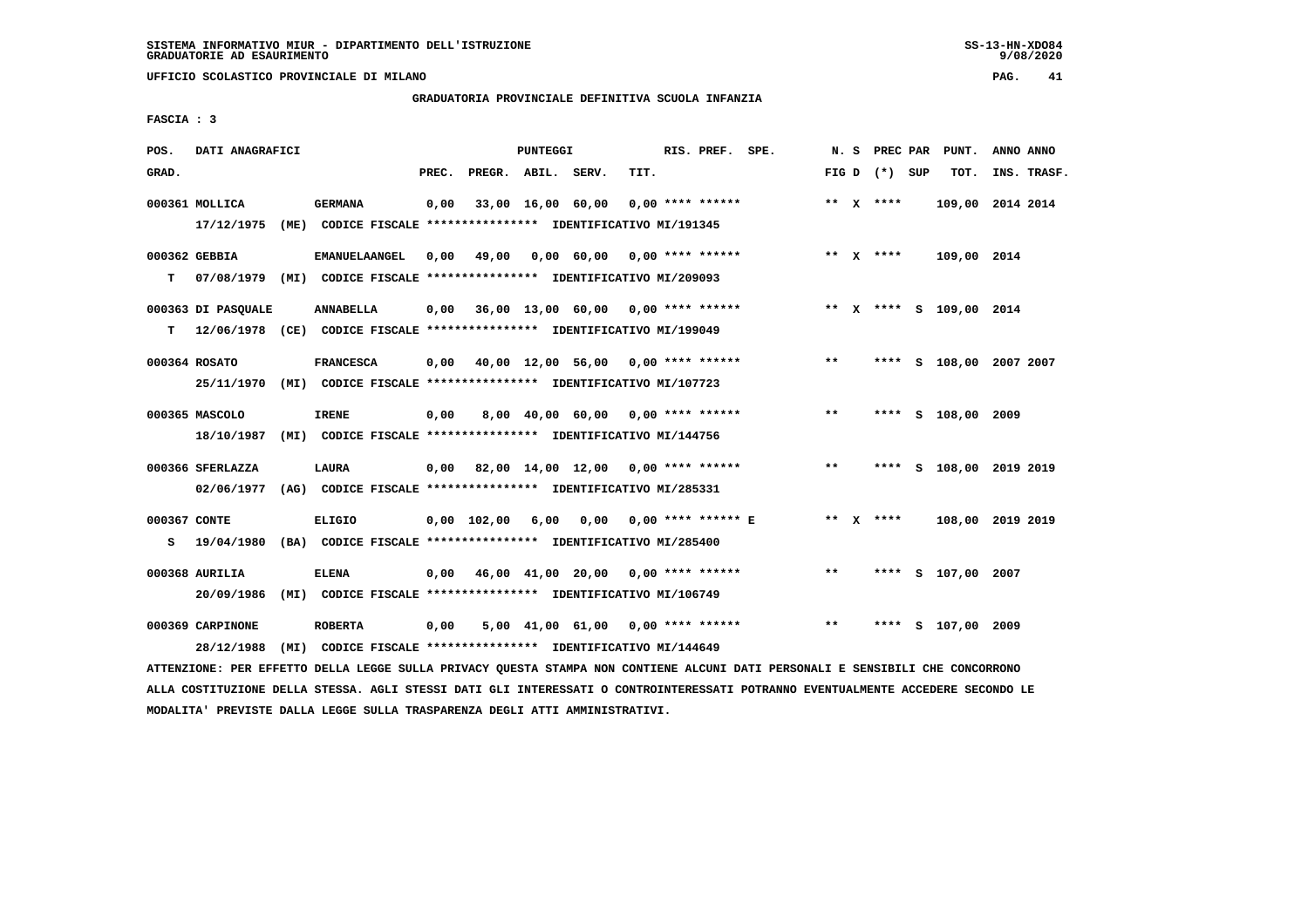**UFFICIO SCOLASTICO PROVINCIALE DI MILANO PAG. 41**

# **GRADUATORIA PROVINCIALE DEFINITIVA SCUOLA INFANZIA**

 **FASCIA : 3**

| POS.              | DATI ANAGRAFICI                                                                                 |                      |                                                               |       |                        | <b>PUNTEGGI</b> |                                           |      | RIS. PREF. SPE.    |                         |       | N. S PREC PAR   | PUNT.                   | ANNO ANNO |             |
|-------------------|-------------------------------------------------------------------------------------------------|----------------------|---------------------------------------------------------------|-------|------------------------|-----------------|-------------------------------------------|------|--------------------|-------------------------|-------|-----------------|-------------------------|-----------|-------------|
| GRAD.             |                                                                                                 |                      |                                                               | PREC. | PREGR. ABIL. SERV.     |                 |                                           | TIT. |                    |                         |       | FIG D $(*)$ SUP | TOT.                    |           | INS. TRASF. |
|                   | 000361 MOLLICA<br>17/12/1975 (ME) CODICE FISCALE *************** IDENTIFICATIVO MI/191345       | <b>GERMANA</b>       |                                                               | 0,00  |                        |                 | 33,00 16,00 60,00                         |      | $0.00$ **** ****** |                         |       | ** $X$ ****     | 109,00 2014 2014        |           |             |
| T.                | 000362 GEBBIA<br>07/08/1979 (MI) CODICE FISCALE *************** IDENTIFICATIVO MI/209093        | <b>EMANUELAANGEL</b> |                                                               | 0,00  | 49,00                  |                 | $0,00$ 60,00 0,00 **** ******             |      |                    |                         |       | ** $X$ ****     | 109,00 2014             |           |             |
|                   | 000363 DI PASQUALE<br>T 12/06/1978 (CE) CODICE FISCALE *************** IDENTIFICATIVO MI/199049 | ANNABELLA            |                                                               |       |                        |                 | $0,00$ 36,00 13,00 60,00 0,00 **** ****** |      |                    |                         |       |                 | ** X **** S 109,00 2014 |           |             |
|                   | 000364 ROSATO<br>25/11/1970 (MI) CODICE FISCALE *************** IDENTIFICATIVO MI/107723        | <b>FRANCESCA</b>     |                                                               |       |                        |                 | $0,00$ 40,00 12,00 56,00 0,00 **** ****** |      |                    |                         | $***$ |                 | **** S 108,00 2007 2007 |           |             |
|                   | 000365 MASCOLO<br>18/10/1987                                                                    | <b>IRENE</b>         | (MI) CODICE FISCALE **************** IDENTIFICATIVO MI/144756 | 0,00  |                        |                 | 8,00 40,00 60,00 0,00 **** ******         |      |                    |                         | **    |                 | **** S 108,00 2009      |           |             |
|                   | 000366 SFERLAZZA<br>02/06/1977 (AG) CODICE FISCALE **************** IDENTIFICATIVO MI/285331    | LAURA                |                                                               |       |                        |                 | $0.00$ 82.00 14.00 12.00 0.00 **** ****** |      |                    |                         | $***$ |                 | **** S 108,00 2019 2019 |           |             |
| 000367 CONTE<br>s | 19/04/1980                                                                                      | <b>ELIGIO</b>        | (BA) CODICE FISCALE **************** IDENTIFICATIVO MI/285400 |       | $0,00$ $102,00$ $6,00$ |                 |                                           |      |                    | 0,00 0,00 **** ****** E |       | ** $X$ ****     | 108,00 2019 2019        |           |             |
|                   | 000368 AURILIA<br>20/09/1986                                                                    | <b>ELENA</b>         | (MI) CODICE FISCALE **************** IDENTIFICATIVO MI/106749 |       |                        |                 | $0,00$ 46,00 41,00 20,00 0,00 **** ****** |      |                    |                         | $***$ |                 | **** S 107,00 2007      |           |             |
|                   | 000369 CARPINONE<br>28/12/1988                                                                  | <b>ROBERTA</b>       | (MI) CODICE FISCALE **************** IDENTIFICATIVO MI/144649 | 0,00  |                        |                 | 5,00 41,00 61,00                          |      | $0.00$ **** ****** |                         | $* *$ | ****            | S 107,00 2009           |           |             |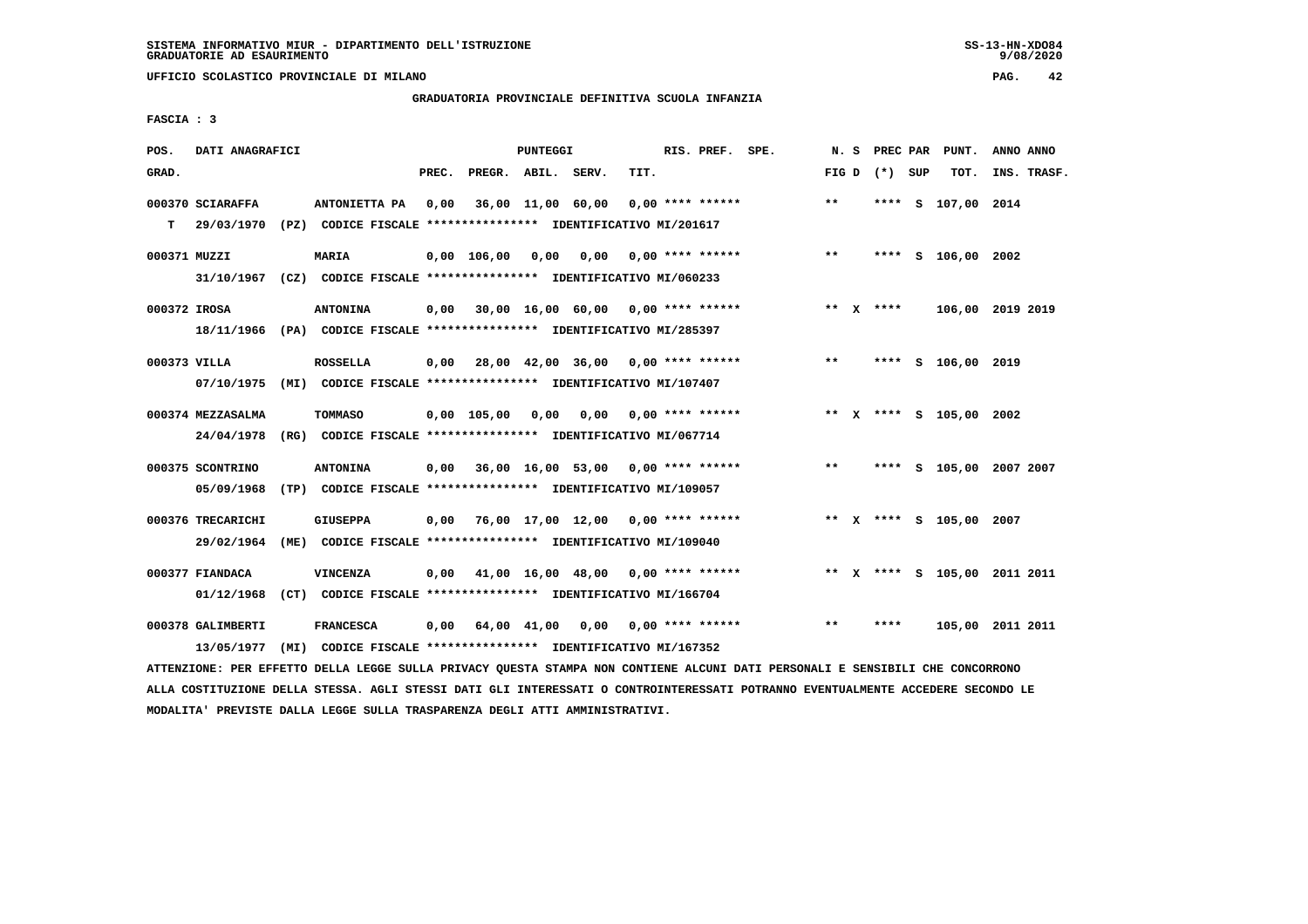**UFFICIO SCOLASTICO PROVINCIALE DI MILANO PAG. 42**

#### **GRADUATORIA PROVINCIALE DEFINITIVA SCUOLA INFANZIA**

 **FASCIA : 3**

| POS.         | DATI ANAGRAFICI   |                                                                                                                               |       |                    | PUNTEGGI |                                           |      | RIS. PREF. SPE. |                                           | N. S  |                 | PREC PAR PUNT.          | ANNO ANNO |             |
|--------------|-------------------|-------------------------------------------------------------------------------------------------------------------------------|-------|--------------------|----------|-------------------------------------------|------|-----------------|-------------------------------------------|-------|-----------------|-------------------------|-----------|-------------|
| GRAD.        |                   |                                                                                                                               | PREC. | PREGR. ABIL. SERV. |          |                                           | TIT. |                 |                                           |       | FIG D $(*)$ SUP | тот.                    |           | INS. TRASF. |
|              | 000370 SCIARAFFA  | ANTONIETTA PA                                                                                                                 | 0,00  |                    |          | 36,00 11,00 60,00 0,00 **** ******        |      |                 |                                           | $***$ |                 | **** S 107,00 2014      |           |             |
| T.           |                   | 29/03/1970 (PZ) CODICE FISCALE *************** IDENTIFICATIVO MI/201617                                                       |       |                    |          |                                           |      |                 |                                           |       |                 |                         |           |             |
| 000371 MUZZI |                   | <b>MARIA</b>                                                                                                                  |       |                    |          | $0,00$ 106,00 0,00 0,00 0,00 **** ******  |      |                 |                                           | $***$ |                 | **** S 106,00 2002      |           |             |
|              |                   | 31/10/1967 (CZ) CODICE FISCALE *************** IDENTIFICATIVO MI/060233                                                       |       |                    |          |                                           |      |                 |                                           |       |                 |                         |           |             |
| 000372 IROSA |                   | <b>ANTONINA</b>                                                                                                               |       |                    |          | 0,00 30,00 16,00 60,00 0,00 **** ******   |      |                 |                                           |       | ** X ****       | 106,00 2019 2019        |           |             |
|              |                   | 18/11/1966 (PA) CODICE FISCALE *************** IDENTIFICATIVO MI/285397                                                       |       |                    |          |                                           |      |                 |                                           |       |                 |                         |           |             |
| 000373 VILLA |                   | <b>ROSSELLA</b>                                                                                                               |       |                    |          |                                           |      |                 | $0,00$ 28,00 42,00 36,00 0,00 **** ****** | $***$ |                 | **** S 106,00 2019      |           |             |
|              |                   | 07/10/1975 (MI) CODICE FISCALE **************** IDENTIFICATIVO MI/107407                                                      |       |                    |          |                                           |      |                 |                                           |       |                 |                         |           |             |
|              | 000374 MEZZASALMA | TOMMASO                                                                                                                       |       |                    |          | 0,00 105,00 0,00 0,00 0,00 **** ******    |      |                 |                                           |       |                 | ** X **** S 105,00 2002 |           |             |
|              |                   | 24/04/1978 (RG) CODICE FISCALE *************** IDENTIFICATIVO MI/067714                                                       |       |                    |          |                                           |      |                 |                                           |       |                 |                         |           |             |
|              | 000375 SCONTRINO  | <b>ANTONINA</b>                                                                                                               |       |                    |          | $0,00$ 36,00 16,00 53,00 0,00 **** ****** |      |                 |                                           | $***$ |                 | **** S 105,00 2007 2007 |           |             |
|              | 05/09/1968        | (TP) CODICE FISCALE *************** IDENTIFICATIVO MI/109057                                                                  |       |                    |          |                                           |      |                 |                                           |       |                 |                         |           |             |
|              | 000376 TRECARICHI | <b>GIUSEPPA</b>                                                                                                               |       |                    |          | $0,00$ 76,00 17,00 12,00 0,00 **** ****** |      |                 |                                           |       |                 | ** X **** S 105,00 2007 |           |             |
|              | 29/02/1964        | (ME) CODICE FISCALE **************** IDENTIFICATIVO MI/109040                                                                 |       |                    |          |                                           |      |                 |                                           |       |                 |                         |           |             |
|              | 000377 FIANDACA   | <b>VINCENZA</b>                                                                                                               |       |                    |          | $0,00$ 41,00 16,00 48,00 0,00 **** ****** |      |                 | ** X **** S 105,00 2011 2011              |       |                 |                         |           |             |
|              |                   | 01/12/1968 (CT) CODICE FISCALE *************** IDENTIFICATIVO MI/166704                                                       |       |                    |          |                                           |      |                 |                                           |       |                 |                         |           |             |
|              | 000378 GALIMBERTI | <b>FRANCESCA</b>                                                                                                              |       |                    |          |                                           |      |                 | 0,00 64,00 41,00 0,00 0,00 **** ******    | $***$ | ****            | 105,00 2011 2011        |           |             |
|              | 13/05/1977        | (MI) CODICE FISCALE **************** IDENTIFICATIVO MI/167352                                                                 |       |                    |          |                                           |      |                 |                                           |       |                 |                         |           |             |
|              |                   | ATTENZIONE: PER EFFETTO DELLA LEGGE SULLA PRIVACY QUESTA STAMPA NON CONTIENE ALCUNI DATI PERSONALI E SENSIBILI CHE CONCORRONO |       |                    |          |                                           |      |                 |                                           |       |                 |                         |           |             |

 **ALLA COSTITUZIONE DELLA STESSA. AGLI STESSI DATI GLI INTERESSATI O CONTROINTERESSATI POTRANNO EVENTUALMENTE ACCEDERE SECONDO LE MODALITA' PREVISTE DALLA LEGGE SULLA TRASPARENZA DEGLI ATTI AMMINISTRATIVI.**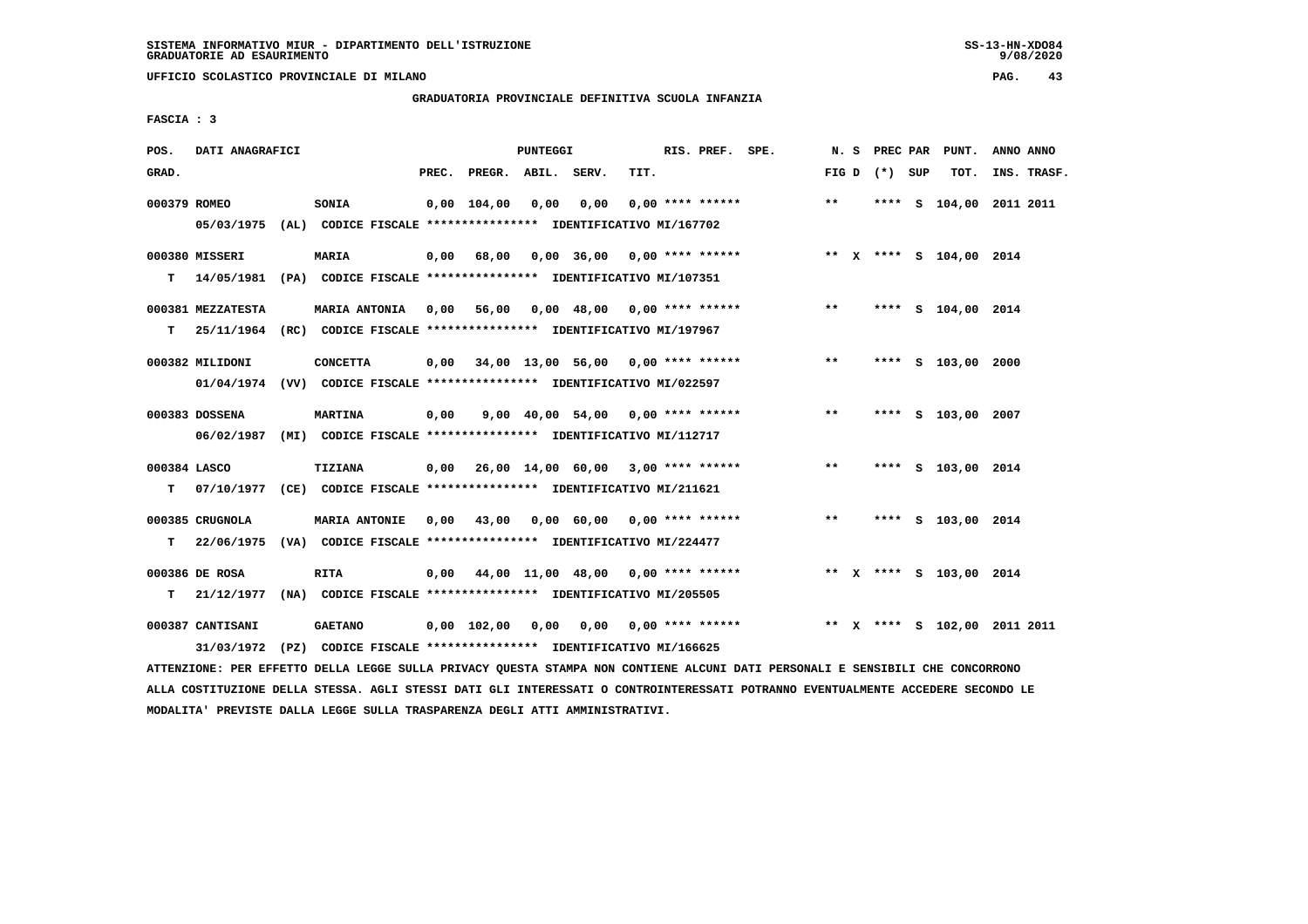**UFFICIO SCOLASTICO PROVINCIALE DI MILANO PAG. 43**

# **GRADUATORIA PROVINCIALE DEFINITIVA SCUOLA INFANZIA**

 **FASCIA : 3**

| POS.               | DATI ANAGRAFICI                     |                                                                                                  |       |                                   | PUNTEGGI |                                     |      | RIS. PREF. SPE.    |                                                           | N.S   |                 | PREC PAR PUNT.               | ANNO ANNO |             |
|--------------------|-------------------------------------|--------------------------------------------------------------------------------------------------|-------|-----------------------------------|----------|-------------------------------------|------|--------------------|-----------------------------------------------------------|-------|-----------------|------------------------------|-----------|-------------|
| GRAD.              |                                     |                                                                                                  | PREC. | PREGR. ABIL. SERV.                |          |                                     | TIT. |                    |                                                           |       | FIG D $(*)$ SUP | TOT.                         |           | INS. TRASF. |
| 000379 ROMEO       |                                     | SONIA<br>05/03/1975 (AL) CODICE FISCALE *************** IDENTIFICATIVO MI/167702                 |       | 0,00 104,00                       | 0,00     | 0,00                                |      | $0.00$ **** ****** |                                                           | $**$  |                 | **** S 104,00 2011 2011      |           |             |
| т                  | 000380 MISSERI                      | <b>MARIA</b><br>14/05/1981 (PA) CODICE FISCALE **************** IDENTIFICATIVO MI/107351         | 0,00  | 68,00                             |          |                                     |      |                    | 0,00 36,00 0,00 **** ****** **** *** X **** S 104,00 2014 |       |                 |                              |           |             |
|                    | 000381 MEZZATESTA                   | MARIA ANTONIA 0,00<br>T  25/11/1964 (RC) CODICE FISCALE *************** IDENTIFICATIVO MI/197967 |       | 56,00                             |          | 0,00 48,00 0,00 **** ******         |      |                    |                                                           | $***$ |                 | **** S 104,00 2014           |           |             |
|                    | 000382 MILIDONI                     | <b>CONCETTA</b><br>01/04/1974 (VV) CODICE FISCALE *************** IDENTIFICATIVO MI/022597       | 0,00  |                                   |          |                                     |      |                    | 34,00 13,00 56,00 0,00 **** ******                        | $***$ |                 | **** S 103,00 2000           |           |             |
|                    | 000383 DOSSENA                      | <b>MARTINA</b><br>06/02/1987 (MI) CODICE FISCALE *************** IDENTIFICATIVO MI/112717        | 0,00  |                                   |          | 9,00 $40,00$ 54,00 0,00 **** ****** |      |                    |                                                           | $* *$ |                 | **** S 103,00 2007           |           |             |
| 000384 LASCO<br>T. |                                     | <b>TIZIANA</b><br>07/10/1977 (CE) CODICE FISCALE **************** IDENTIFICATIVO MI/211621       |       |                                   |          |                                     |      |                    | $0,00$ 26,00 14,00 60,00 3,00 **** ******                 | $***$ |                 | **** S 103,00 2014           |           |             |
|                    | 000385 CRUGNOLA<br>$T = 22/06/1975$ | <b>MARIA ANTONIE</b><br>(VA) CODICE FISCALE *************** IDENTIFICATIVO MI/224477             | 0,00  | 43,00 0,00 60,00 0,00 **** ****** |          |                                     |      |                    |                                                           | $* *$ |                 | **** S 103,00 2014           |           |             |
|                    | 000386 DE ROSA<br>T 21/12/1977      | <b>RITA</b><br>(NA) CODICE FISCALE **************** IDENTIFICATIVO MI/205505                     |       |                                   |          |                                     |      |                    | $0,00$ $44,00$ $11,00$ $48,00$ $0,00$ $***$ **** ******   |       |                 | ** X **** S 103,00 2014      |           |             |
|                    | 000387 CANTISANI<br>31/03/1972      | <b>GAETANO</b><br>(PZ) CODICE FISCALE **************** IDENTIFICATIVO MI/166625                  |       | $0.00\quad 102.00$                |          |                                     |      |                    | $0,00$ $0,00$ $0,00$ $***$ **** ******                    |       |                 | ** X **** S 102,00 2011 2011 |           |             |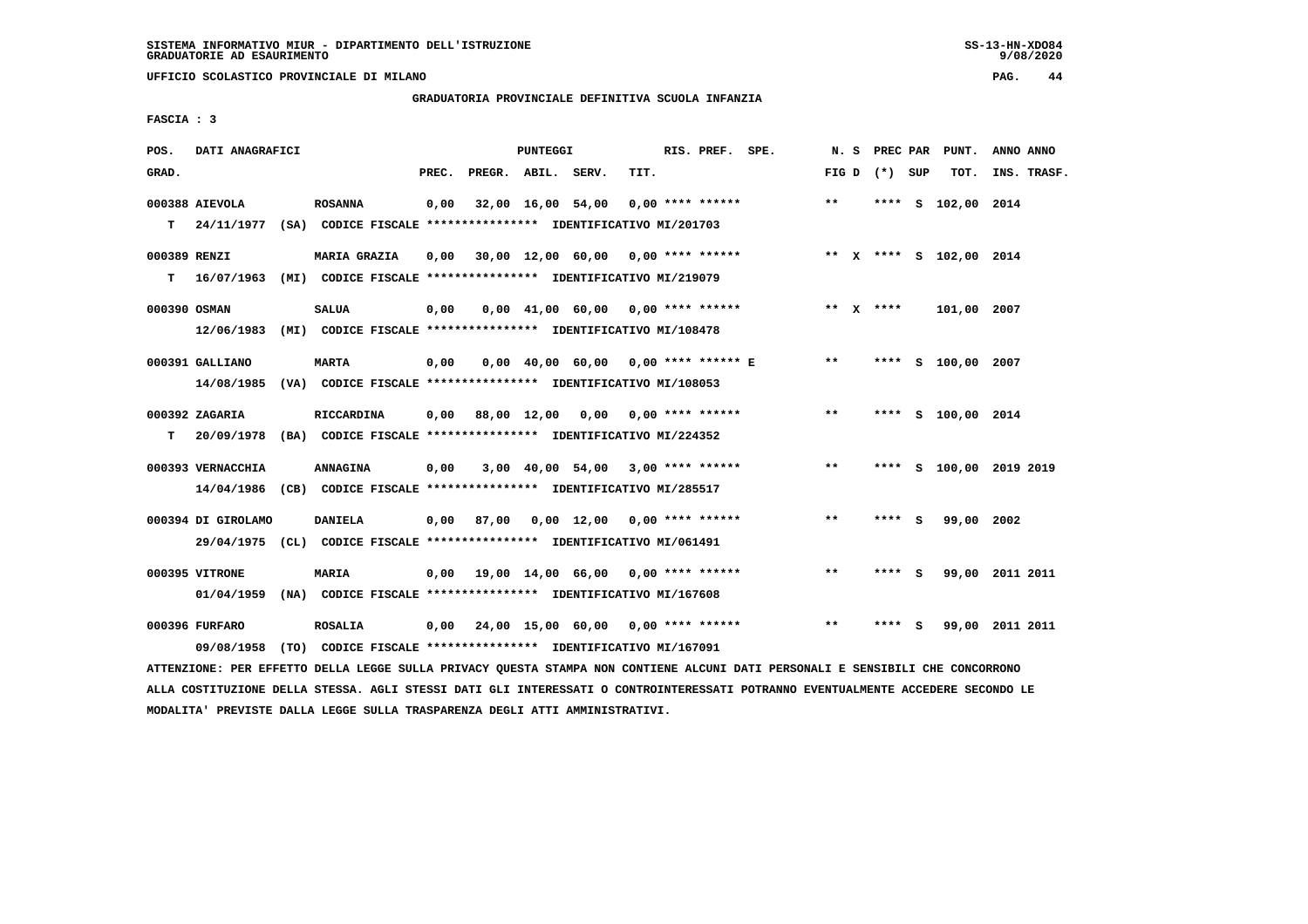**UFFICIO SCOLASTICO PROVINCIALE DI MILANO PAG. 44**

### **GRADUATORIA PROVINCIALE DEFINITIVA SCUOLA INFANZIA**

 **FASCIA : 3**

| POS.         | DATI ANAGRAFICI    |                                                                           |       |                    | PUNTEGGI |                                         |      | RIS. PREF. SPE.    |                                                                   | N. S         |                 |     | PREC PAR PUNT.          | ANNO ANNO   |  |
|--------------|--------------------|---------------------------------------------------------------------------|-------|--------------------|----------|-----------------------------------------|------|--------------------|-------------------------------------------------------------------|--------------|-----------------|-----|-------------------------|-------------|--|
| GRAD.        |                    |                                                                           | PREC. | PREGR. ABIL. SERV. |          |                                         | TIT. |                    |                                                                   |              | FIG D $(*)$ SUP |     | тот.                    | INS. TRASF. |  |
|              | 000388 AIEVOLA     | <b>ROSANNA</b>                                                            | 0,00  |                    |          | 32,00 16,00 54,00                       |      | $0.00$ **** ****** |                                                                   | $**$         |                 |     | **** S 102,00 2014      |             |  |
|              |                    | T 24/11/1977 (SA) CODICE FISCALE *************** IDENTIFICATIVO MI/201703 |       |                    |          |                                         |      |                    |                                                                   |              |                 |     |                         |             |  |
| 000389 RENZI |                    | <b>MARIA GRAZIA</b>                                                       | 0,00  |                    |          |                                         |      |                    | 30,00 12,00 60,00  0,00 **** ******       ** x **** s 102,00 2014 |              |                 |     |                         |             |  |
|              |                    | T 16/07/1963 (MI) CODICE FISCALE *************** IDENTIFICATIVO MI/219079 |       |                    |          |                                         |      |                    |                                                                   |              |                 |     |                         |             |  |
| 000390 OSMAN |                    | <b>SALUA</b>                                                              | 0,00  |                    |          |                                         |      |                    | $0,00$ 41,00 60,00 0,00 **** ******                               |              | ** X ****       |     | 101,00 2007             |             |  |
|              | 12/06/1983         | (MI) CODICE FISCALE **************** IDENTIFICATIVO MI/108478             |       |                    |          |                                         |      |                    |                                                                   |              |                 |     |                         |             |  |
|              | 000391 GALLIANO    | <b>MARTA</b>                                                              | 0,00  |                    |          |                                         |      |                    | $0,00$ 40,00 60,00 0,00 **** ****** E **                          |              |                 |     | **** S 100,00 2007      |             |  |
|              |                    | 14/08/1985 (VA) CODICE FISCALE *************** IDENTIFICATIVO MI/108053   |       |                    |          |                                         |      |                    |                                                                   |              |                 |     |                         |             |  |
|              | 000392 ZAGARIA     | RICCARDINA                                                                | 0,00  |                    |          | 88,00 12,00 0,00                        |      |                    | $0.00$ **** ******                                                | $***$        |                 |     | **** S 100,00 2014      |             |  |
| т            |                    | 20/09/1978 (BA) CODICE FISCALE **************** IDENTIFICATIVO MI/224352  |       |                    |          |                                         |      |                    |                                                                   |              |                 |     |                         |             |  |
|              | 000393 VERNACCHIA  | <b>ANNAGINA</b>                                                           | 0,00  |                    |          | $3,00$ 40,00 54,00 3,00 **** ******     |      |                    |                                                                   | $***$        |                 |     | **** S 100,00 2019 2019 |             |  |
|              |                    | 14/04/1986 (CB) CODICE FISCALE *************** IDENTIFICATIVO MI/285517   |       |                    |          |                                         |      |                    |                                                                   |              |                 |     |                         |             |  |
|              | 000394 DI GIROLAMO | <b>DANIELA</b>                                                            |       | 0,00 87,00         |          | 0,00 12,00 0,00 **** ******             |      |                    |                                                                   | $* *$        | ****            | - S | 99,00 2002              |             |  |
|              |                    | 29/04/1975 (CL) CODICE FISCALE **************** IDENTIFICATIVO MI/061491  |       |                    |          |                                         |      |                    |                                                                   |              |                 |     |                         |             |  |
|              | 000395 VITRONE     | <b>MARIA</b>                                                              |       |                    |          | 0,00 19,00 14,00 66,00 0,00 **** ****** |      |                    |                                                                   | $\star\star$ | **** S          |     | 99,00 2011 2011         |             |  |
|              |                    | 01/04/1959 (NA) CODICE FISCALE **************** IDENTIFICATIVO MI/167608  |       |                    |          |                                         |      |                    |                                                                   |              |                 |     |                         |             |  |
|              | 000396 FURFARO     | <b>ROSALIA</b>                                                            |       |                    |          |                                         |      |                    | $0,00$ 24,00 15,00 60,00 0,00 **** ******                         | $***$        | **** S          |     | 99,00 2011 2011         |             |  |
|              |                    | 09/08/1958 (TO) CODICE FISCALE *************** IDENTIFICATIVO MI/167091   |       |                    |          |                                         |      |                    |                                                                   |              |                 |     |                         |             |  |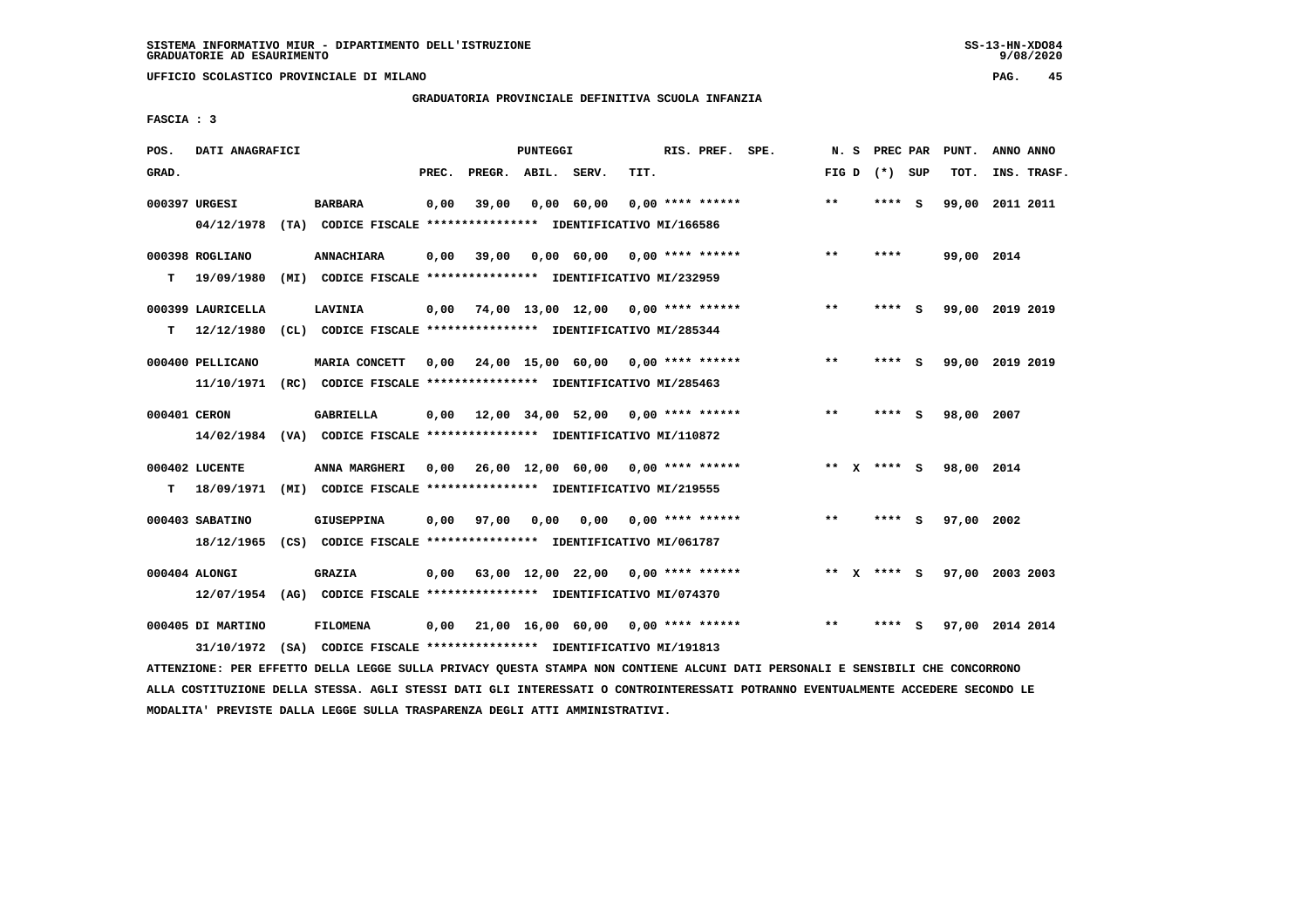**UFFICIO SCOLASTICO PROVINCIALE DI MILANO PAG. 45**

# **GRADUATORIA PROVINCIALE DEFINITIVA SCUOLA INFANZIA**

 **FASCIA : 3**

| POS.         | DATI ANAGRAFICI   |                                                                          |       |                    | <b>PUNTEGGI</b> |                                     |      | RIS. PREF. SPE.    | N.S   |              | PREC PAR        |     | PUNT.      | ANNO ANNO       |
|--------------|-------------------|--------------------------------------------------------------------------|-------|--------------------|-----------------|-------------------------------------|------|--------------------|-------|--------------|-----------------|-----|------------|-----------------|
| GRAD.        |                   |                                                                          | PREC. | PREGR. ABIL. SERV. |                 |                                     | TIT. |                    |       |              | FIG D $(*)$ SUP |     | TOT.       | INS. TRASF.     |
|              | 000397 URGESI     | <b>BARBARA</b>                                                           | 0,00  | 39,00              |                 | 0,00 60,00                          |      | $0,00$ **** ****** | $***$ |              | ****            | - S |            | 99,00 2011 2011 |
|              | 04/12/1978        | (TA) CODICE FISCALE **************** IDENTIFICATIVO MI/166586            |       |                    |                 |                                     |      |                    |       |              |                 |     |            |                 |
|              | 000398 ROGLIANO   | <b>ANNACHIARA</b>                                                        | 0,00  | 39,00              |                 | $0.00 \t 60.00 \t 0.00$ **** ****** |      |                    | $* *$ |              | ****            |     | 99,00 2014 |                 |
| т            | 19/09/1980        | (MI) CODICE FISCALE **************** IDENTIFICATIVO MI/232959            |       |                    |                 |                                     |      |                    |       |              |                 |     |            |                 |
|              | 000399 LAURICELLA | LAVINIA                                                                  | 0,00  |                    |                 | 74,00 13,00 12,00 0,00 **** ******  |      |                    | $* *$ |              | ****            | - S |            | 99,00 2019 2019 |
| т            | 12/12/1980        | (CL) CODICE FISCALE **************** IDENTIFICATIVO MI/285344            |       |                    |                 |                                     |      |                    |       |              |                 |     |            |                 |
|              | 000400 PELLICANO  | MARIA CONCETT                                                            | 0.00  |                    |                 | 24,00 15,00 60,00 0,00 **** ******  |      |                    | $* *$ |              | **** S          |     |            | 99,00 2019 2019 |
|              | 11/10/1971        | (RC) CODICE FISCALE **************** IDENTIFICATIVO MI/285463            |       |                    |                 |                                     |      |                    |       |              |                 |     |            |                 |
| 000401 CERON |                   | <b>GABRIELLA</b>                                                         | 0,00  |                    |                 | 12,00 34,00 52,00 0,00 **** ******  |      |                    | $* *$ |              | ****            | - 5 | 98,00 2007 |                 |
|              | 14/02/1984        | (VA) CODICE FISCALE **************** IDENTIFICATIVO MI/110872            |       |                    |                 |                                     |      |                    |       |              |                 |     |            |                 |
|              | 000402 LUCENTE    | ANNA MARGHERI                                                            | 0.00  |                    |                 | 26,00 12,00 60,00 0,00 **** ******  |      |                    |       |              | ** x **** S     |     | 98,00 2014 |                 |
| т            | 18/09/1971        | (MI) CODICE FISCALE **************** IDENTIFICATIVO MI/219555            |       |                    |                 |                                     |      |                    |       |              |                 |     |            |                 |
|              | 000403 SABATINO   | <b>GIUSEPPINA</b>                                                        | 0.00  | 97,00              | 0.00            | 0.00                                |      | $0.00$ **** ****** | $* *$ |              | ****            | - S | 97,00 2002 |                 |
|              | 18/12/1965        | (CS) CODICE FISCALE *************** IDENTIFICATIVO MI/061787             |       |                    |                 |                                     |      |                    |       |              |                 |     |            |                 |
|              | 000404 ALONGI     | <b>GRAZIA</b>                                                            | 0,00  |                    |                 | 63,00 12,00 22,00 0,00 **** ******  |      |                    | $***$ | $\mathbf{x}$ | **** S          |     |            | 97,00 2003 2003 |
|              |                   | 12/07/1954 (AG) CODICE FISCALE **************** IDENTIFICATIVO MI/074370 |       |                    |                 |                                     |      |                    |       |              |                 |     |            |                 |
|              | 000405 DI MARTINO | <b>FILOMENA</b>                                                          | 0,00  |                    |                 | 21,00 16,00 60,00 0,00 **** ******  |      |                    | $***$ |              | ****            | - S |            | 97,00 2014 2014 |
|              |                   | 31/10/1972 (SA) CODICE FISCALE *************** IDENTIFICATIVO MI/191813  |       |                    |                 |                                     |      |                    |       |              |                 |     |            |                 |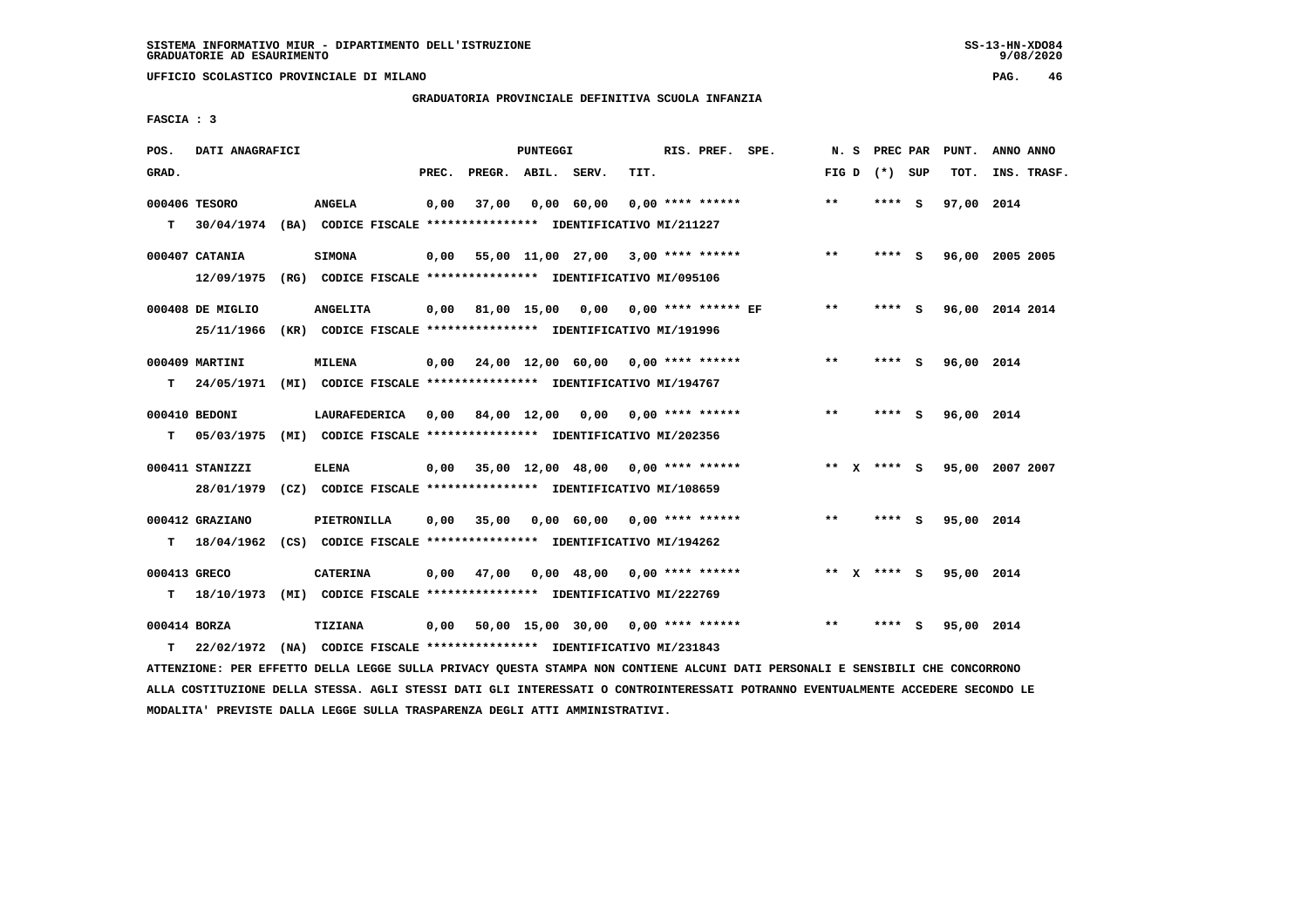**UFFICIO SCOLASTICO PROVINCIALE DI MILANO PAG. 46**

# **GRADUATORIA PROVINCIALE DEFINITIVA SCUOLA INFANZIA**

 **FASCIA : 3**

| POS.         | DATI ANAGRAFICI  |                                                                          |       |                    | PUNTEGGI |                                             |      | RIS. PREF. SPE.    | N.S   | PREC PAR        | PUNT.      | ANNO ANNO       |
|--------------|------------------|--------------------------------------------------------------------------|-------|--------------------|----------|---------------------------------------------|------|--------------------|-------|-----------------|------------|-----------------|
| GRAD.        |                  |                                                                          | PREC. | PREGR. ABIL. SERV. |          |                                             | TIT. |                    |       | FIG D $(*)$ SUP | TOT.       | INS. TRASF.     |
|              | 000406 TESORO    | <b>ANGELA</b>                                                            | 0,00  | 37,00              |          | 0,00 60,00                                  |      | $0.00$ **** ****** | **    | **** S          | 97,00 2014 |                 |
| T.           |                  | 30/04/1974 (BA) CODICE FISCALE **************** IDENTIFICATIVO MI/211227 |       |                    |          |                                             |      |                    |       |                 |            |                 |
|              | 000407 CATANIA   | <b>SIMONA</b>                                                            | 0,00  |                    |          | 55,00 11,00 27,00 3,00 **** ******          |      |                    | $***$ | **** S          |            | 96,00 2005 2005 |
|              | 12/09/1975       | (RG) CODICE FISCALE **************** IDENTIFICATIVO MI/095106            |       |                    |          |                                             |      |                    |       |                 |            |                 |
|              | 000408 DE MIGLIO | <b>ANGELITA</b>                                                          |       |                    |          | $0,00$ 81,00 15,00 0,00 0,00 **** ****** EF |      |                    | $***$ | **** S          |            | 96,00 2014 2014 |
|              | 25/11/1966       | (KR) CODICE FISCALE **************** IDENTIFICATIVO MI/191996            |       |                    |          |                                             |      |                    |       |                 |            |                 |
|              | 000409 MARTINI   | <b>MILENA</b>                                                            |       |                    |          | $0,00$ 24,00 12,00 60,00 0,00 **** ******   |      |                    | $* *$ | **** S          | 96,00 2014 |                 |
| т            | 24/05/1971       | (MI) CODICE FISCALE **************** IDENTIFICATIVO MI/194767            |       |                    |          |                                             |      |                    |       |                 |            |                 |
|              |                  |                                                                          |       |                    |          |                                             |      |                    |       |                 |            |                 |
|              | 000410 BEDONI    | LAURAFEDERICA                                                            |       |                    |          | $0.00$ 84.00 12.00 0.00 0.00 **** ******    |      |                    | $* *$ | **** S          | 96,00 2014 |                 |
| т            | 05/03/1975       | (MI) CODICE FISCALE **************** IDENTIFICATIVO MI/202356            |       |                    |          |                                             |      |                    |       |                 |            |                 |
|              | 000411 STANIZZI  | <b>ELENA</b>                                                             | 0.00  |                    |          | 35,00 12,00 48,00 0,00 **** ******          |      |                    |       | ** x **** s     |            | 95,00 2007 2007 |
|              | 28/01/1979       | (CZ) CODICE FISCALE **************** IDENTIFICATIVO MI/108659            |       |                    |          |                                             |      |                    |       |                 |            |                 |
|              | 000412 GRAZIANO  | PIETRONILLA                                                              | 0,00  | 35,00              |          | $0,00$ 60,00 0,00 **** ******               |      |                    | $***$ | **** S          | 95,00 2014 |                 |
| т            | 18/04/1962       | (CS) CODICE FISCALE **************** IDENTIFICATIVO MI/194262            |       |                    |          |                                             |      |                    |       |                 |            |                 |
|              |                  |                                                                          |       |                    |          |                                             |      |                    |       |                 |            |                 |
| 000413 GRECO |                  | <b>CATERINA</b>                                                          | 0,00  | 47,00              |          | $0,00$ 48,00 0,00 **** ******               |      |                    |       | ** $X$ **** S   | 95,00 2014 |                 |
| т            |                  | 18/10/1973 (MI) CODICE FISCALE **************** IDENTIFICATIVO MI/222769 |       |                    |          |                                             |      |                    |       |                 |            |                 |
| 000414 BORZA |                  | TIZIANA                                                                  | 0,00  |                    |          | 50,00 15,00 30,00 0,00 **** ******          |      |                    | $**$  | **** S          | 95,00 2014 |                 |
| т            |                  | 22/02/1972 (NA) CODICE FISCALE **************** IDENTIFICATIVO MI/231843 |       |                    |          |                                             |      |                    |       |                 |            |                 |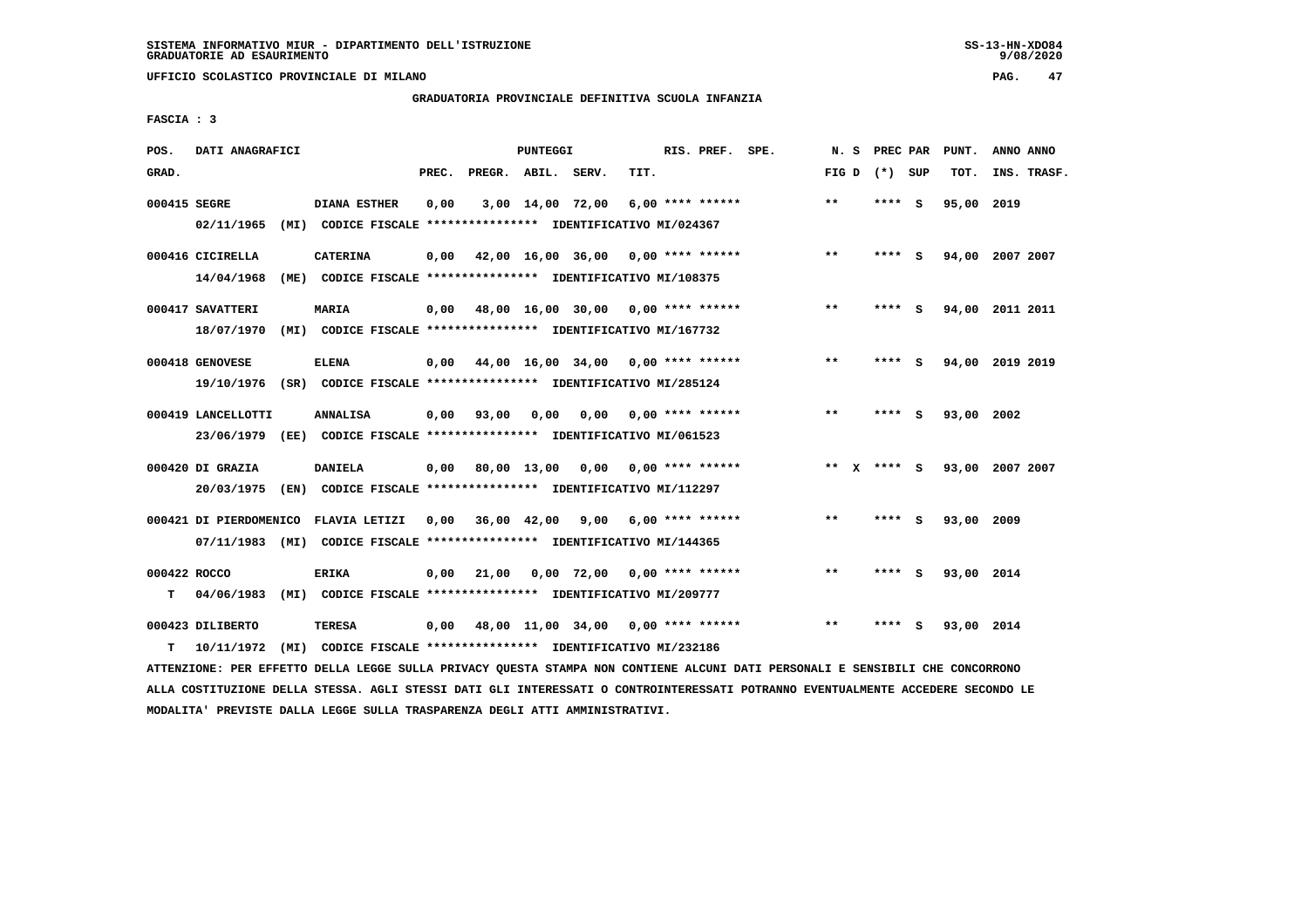**UFFICIO SCOLASTICO PROVINCIALE DI MILANO PAG. 47**

### **GRADUATORIA PROVINCIALE DEFINITIVA SCUOLA INFANZIA**

 **FASCIA : 3**

| POS.         | DATI ANAGRAFICI        |                                                                         |       |                    | PUNTEGGI |                                    |      | RIS. PREF. SPE.    | N.S   | PREC PAR    |     | PUNT.           | ANNO ANNO |             |
|--------------|------------------------|-------------------------------------------------------------------------|-------|--------------------|----------|------------------------------------|------|--------------------|-------|-------------|-----|-----------------|-----------|-------------|
| GRAD.        |                        |                                                                         | PREC. | PREGR. ABIL. SERV. |          |                                    | TIT. |                    | FIG D | (*) SUP     |     | TOT.            |           | INS. TRASF. |
| 000415 SEGRE |                        | <b>DIANA ESTHER</b>                                                     | 0,00  | 3,00 14,00 72,00   |          |                                    |      | $6,00$ **** ****** | $***$ | **** S      |     | 95,00           | 2019      |             |
|              | 02/11/1965             | (MI) CODICE FISCALE **************** IDENTIFICATIVO MI/024367           |       |                    |          |                                    |      |                    |       |             |     |                 |           |             |
|              | 000416 CICIRELLA       | CATERINA                                                                | 0,00  |                    |          | 42,00 16,00 36,00 0,00 **** ****** |      |                    | $***$ | **** S      |     | 94,00 2007 2007 |           |             |
|              | 14/04/1968             | (ME) CODICE FISCALE **************** IDENTIFICATIVO MI/108375           |       |                    |          |                                    |      |                    |       |             |     |                 |           |             |
|              | 000417 SAVATTERI       | <b>MARIA</b>                                                            | 0,00  |                    |          | 48,00 16,00 30,00 0,00 **** ****** |      |                    | $**$  | **** S      |     | 94,00 2011 2011 |           |             |
|              | 18/07/1970             | (MI) CODICE FISCALE **************** IDENTIFICATIVO MI/167732           |       |                    |          |                                    |      |                    |       |             |     |                 |           |             |
|              | 000418 GENOVESE        | <b>ELENA</b>                                                            | 0,00  |                    |          | 44,00 16,00 34,00 0,00 **** ****** |      |                    | $* *$ | ****        | - 5 | 94,00 2019 2019 |           |             |
|              | 19/10/1976             | (SR) CODICE FISCALE **************** IDENTIFICATIVO MI/285124           |       |                    |          |                                    |      |                    |       |             |     |                 |           |             |
|              | 000419 LANCELLOTTI     | <b>ANNALISA</b>                                                         | 0,00  | 93,00              | 0.00     | 0.00                               |      | $0.00$ **** ****** | $**$  | ****        | - S | 93,00           | 2002      |             |
|              | 23/06/1979             | (EE) CODICE FISCALE **************** IDENTIFICATIVO MI/061523           |       |                    |          |                                    |      |                    |       |             |     |                 |           |             |
|              | 000420 DI GRAZIA       | <b>DANIELA</b>                                                          | 0,00  |                    |          | 80,00 13,00 0,00 0,00 **** ******  |      |                    |       | ** X **** S |     | 93,00 2007 2007 |           |             |
|              | 20/03/1975             | (EN) CODICE FISCALE *************** IDENTIFICATIVO MI/112297            |       |                    |          |                                    |      |                    |       |             |     |                 |           |             |
|              | 000421 DI PIERDOMENICO | FLAVIA LETIZI                                                           | 0,00  | 36,00 42,00        |          | $9,00$ 6,00 **** ******            |      |                    | **    | **** S      |     | 93,00 2009      |           |             |
|              |                        | 07/11/1983 (MI) CODICE FISCALE *************** IDENTIFICATIVO MI/144365 |       |                    |          |                                    |      |                    |       |             |     |                 |           |             |
| 000422 ROCCO |                        | <b>ERIKA</b>                                                            | 0,00  | 21,00              |          | $0,00$ 72,00 0,00 **** ******      |      |                    | $**$  | ****        | - S | 93,00 2014      |           |             |
| т            | 04/06/1983             | (MI) CODICE FISCALE **************** IDENTIFICATIVO MI/209777           |       |                    |          |                                    |      |                    |       |             |     |                 |           |             |
|              | 000423 DILIBERTO       | TERESA                                                                  | 0,00  | 48,00 11,00 34,00  |          |                                    |      | $0.00$ **** ****** | $* *$ | ****        | - S | 93,00 2014      |           |             |
| т            | 10/11/1972             | (MI) CODICE FISCALE **************** IDENTIFICATIVO MI/232186           |       |                    |          |                                    |      |                    |       |             |     |                 |           |             |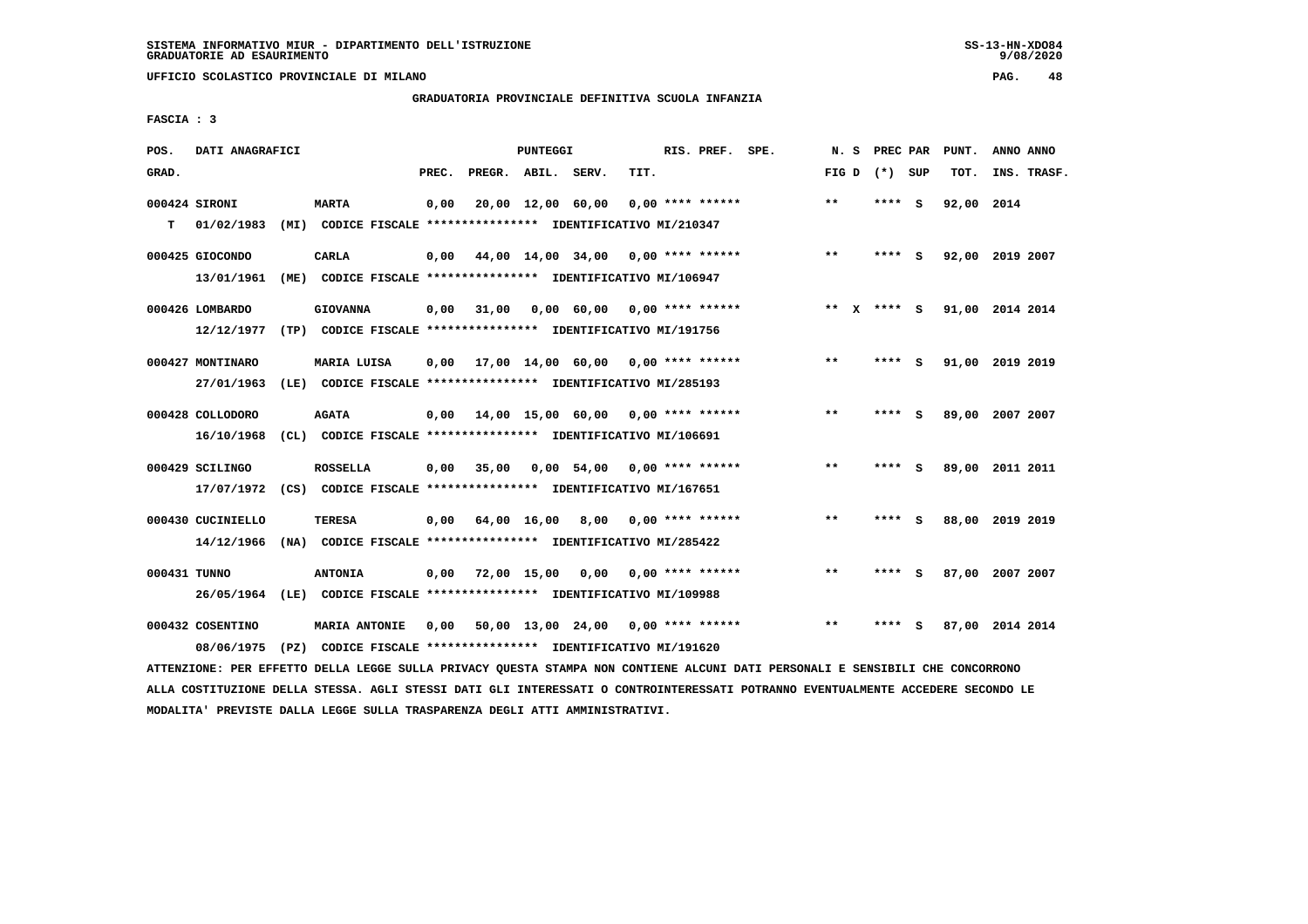**UFFICIO SCOLASTICO PROVINCIALE DI MILANO PAG. 48**

# **GRADUATORIA PROVINCIALE DEFINITIVA SCUOLA INFANZIA**

 **FASCIA : 3**

| POS.         | DATI ANAGRAFICI                 |      |                                                                                       |       |                    | <b>PUNTEGGI</b>   |                                            |      | RIS. PREF. SPE.    | N.S                   | PREC PAR |          | PUNT. | ANNO ANNO       |  |
|--------------|---------------------------------|------|---------------------------------------------------------------------------------------|-------|--------------------|-------------------|--------------------------------------------|------|--------------------|-----------------------|----------|----------|-------|-----------------|--|
| GRAD.        |                                 |      |                                                                                       | PREC. | PREGR. ABIL. SERV. |                   |                                            | TIT. |                    | FIG D                 | (*) SUP  |          | TOT.  | INS. TRASF.     |  |
| T.           | 000424 SIRONI<br>01/02/1983     |      | <b>MARTA</b><br>(MI) CODICE FISCALE **************** IDENTIFICATIVO MI/210347         | 0,00  |                    | 20,00 12,00 60,00 |                                            |      | $0.00$ **** ****** | $***$                 | ****     | <b>S</b> | 92,00 | 2014            |  |
|              | 000425 GIOCONDO<br>13/01/1961   | (ME) | CARLA<br>CODICE FISCALE **************** IDENTIFICATIVO MI/106947                     | 0,00  |                    |                   | 44,00 14,00 34,00                          |      | $0.00$ **** ****** | $***$                 | ****     | <b>S</b> |       | 92,00 2019 2007 |  |
|              | 000426 LOMBARDO<br>12/12/1977   |      | <b>GIOVANNA</b><br>(TP) CODICE FISCALE **************** IDENTIFICATIVO MI/191756      | 0,00  | 31,00              |                   | 0,00 60,00                                 |      | 0,00 **** ******   | $* *$<br>$\mathbf{x}$ | $***$ S  |          |       | 91,00 2014 2014 |  |
|              | 000427 MONTINARO<br>27/01/1963  |      | MARIA LUISA<br>(LE) CODICE FISCALE **************** IDENTIFICATIVO MI/285193          | 0,00  |                    |                   | $17,00$ $14,00$ $60,00$ $0,00$ **** ****** |      |                    | $* *$                 | ****     | - 5      |       | 91,00 2019 2019 |  |
|              | 000428 COLLODORO<br>16/10/1968  |      | <b>AGATA</b><br>(CL) CODICE FISCALE **************** IDENTIFICATIVO MI/106691         | 0,00  | 14,00 15,00 60,00  |                   |                                            |      | 0,00 **** ******   | $* *$                 | ****     | - S      | 89,00 | 2007 2007       |  |
|              | 000429 SCILINGO<br>17/07/1972   |      | <b>ROSSELLA</b><br>(CS) CODICE FISCALE **************** IDENTIFICATIVO MI/167651      | 0,00  | 35,00              |                   | $0,00$ 54,00                               |      | 0,00 **** ******   | $***$                 | ****     | - S      |       | 89,00 2011 2011 |  |
|              | 000430 CUCINIELLO<br>14/12/1966 | (NA) | <b>TERESA</b><br>CODICE FISCALE **************** IDENTIFICATIVO MI/285422             | 0,00  |                    | 64,00 16,00       | 8,00                                       |      | 0,00 **** ******   | $***$                 | ****     | - S      |       | 88,00 2019 2019 |  |
| 000431 TUNNO | 26/05/1964                      |      | <b>ANTONIA</b><br>(LE) CODICE FISCALE **************** IDENTIFICATIVO MI/109988       | 0,00  |                    | 72,00 15,00       | 0,00                                       |      | $0.00$ **** ****** | $**$                  | ****     | - S      | 87,00 | 2007 2007       |  |
|              | 000432 COSENTINO<br>08/06/1975  |      | <b>MARIA ANTONIE</b><br>(PZ) CODICE FISCALE **************** IDENTIFICATIVO MI/191620 | 0,00  |                    |                   | 50,00 13,00 24,00                          |      | $0.00$ **** ****** | $***$                 | ****     | s        |       | 87,00 2014 2014 |  |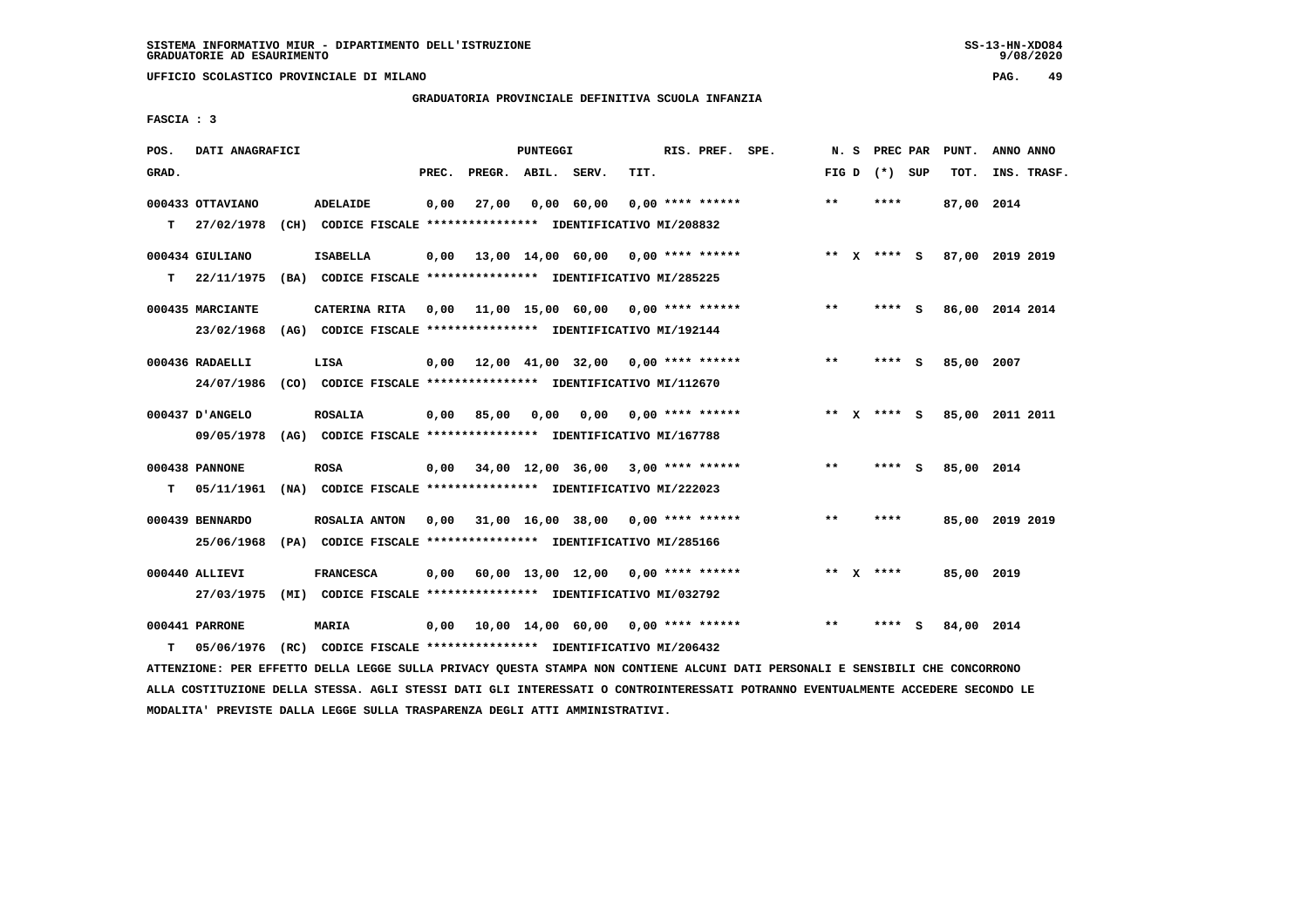**UFFICIO SCOLASTICO PROVINCIALE DI MILANO PAG. 49**

# **GRADUATORIA PROVINCIALE DEFINITIVA SCUOLA INFANZIA**

 **FASCIA : 3**

| POS.  | DATI ANAGRAFICI                |      |                                                                                   |       |                    | PUNTEGGI |                                                         |      | RIS. PREF. SPE.    | N.S   |              | PREC PAR        |     | PUNT.      | ANNO ANNO       |
|-------|--------------------------------|------|-----------------------------------------------------------------------------------|-------|--------------------|----------|---------------------------------------------------------|------|--------------------|-------|--------------|-----------------|-----|------------|-----------------|
| GRAD. |                                |      |                                                                                   | PREC. | PREGR. ABIL. SERV. |          |                                                         | TIT. |                    |       |              | FIG D $(*)$ SUP |     | TOT.       | INS. TRASF.     |
| т     | 000433 OTTAVIANO<br>27/02/1978 |      | ADELAIDE<br>(CH) CODICE FISCALE **************** IDENTIFICATIVO MI/208832         | 0,00  | 27,00              |          | 0,00 60,00                                              |      | $0.00$ **** ****** | $* *$ |              | ****            |     | 87,00 2014 |                 |
| т     | 000434 GIULIANO<br>22/11/1975  | (BA) | <b>ISABELLA</b><br>CODICE FISCALE **************** IDENTIFICATIVO MI/285225       | 0,00  |                    |          | 13,00 14,00 60,00 0,00 **** ******                      |      |                    |       |              | ** $X$ **** S   |     |            | 87,00 2019 2019 |
|       | 000435 MARCIANTE<br>23/02/1968 |      | CATERINA RITA<br>(AG) CODICE FISCALE **************** IDENTIFICATIVO MI/192144    | 0,00  |                    |          | 11,00 15,00 60,00 0,00 **** ******                      |      |                    | $***$ |              | **** S          |     |            | 86,00 2014 2014 |
|       | 000436 RADAELLI<br>24/07/1986  |      | LISA<br>(CO) CODICE FISCALE **************** IDENTIFICATIVO MI/112670             | 0.00  |                    |          | $12,00$ $41,00$ $32,00$ $0,00$ **** ******              |      |                    | **    |              | ****            | - S | 85,00      | 2007            |
|       | 000437 D'ANGELO<br>09/05/1978  |      | <b>ROSALIA</b><br>(AG) CODICE FISCALE **************** IDENTIFICATIVO MI/167788   | 0,00  | 85,00              | 0,00     | 0,00                                                    |      | $0,00$ **** ****** | $***$ | $\mathbf{x}$ | **** S          |     |            | 85,00 2011 2011 |
| T.    | 000438 PANNONE<br>05/11/1961   |      | <b>ROSA</b><br>(NA) CODICE FISCALE **************** IDENTIFICATIVO MI/222023      |       |                    |          | $0,00$ $34,00$ $12,00$ $36,00$ $3,00$ $***$ **** ****** |      |                    | $* *$ |              | ****            | - S | 85,00 2014 |                 |
|       | 000439 BENNARDO<br>25/06/1968  |      | ROSALIA ANTON<br>(PA) CODICE FISCALE **************** IDENTIFICATIVO MI/285166    | 0,00  |                    |          | 31,00 16,00 38,00 0,00 **** ******                      |      |                    | $* *$ |              | ****            |     |            | 85,00 2019 2019 |
|       | 000440 ALLIEVI<br>27/03/1975   |      | <b>FRANCESCA</b><br>(MI) CODICE FISCALE **************** IDENTIFICATIVO MI/032792 | 0,00  |                    |          | $60,00$ 13,00 12,00 0,00 **** ******                    |      |                    |       |              | ** $X$ ****     |     | 85,00 2019 |                 |
| т     | 000441 PARRONE<br>05/06/1976   |      | <b>MARIA</b><br>(RC) CODICE FISCALE **************** IDENTIFICATIVO MI/206432     | 0,00  |                    |          | 10,00 14,00 60,00 0,00 **** ******                      |      |                    | $***$ |              | ****            | - S | 84,00 2014 |                 |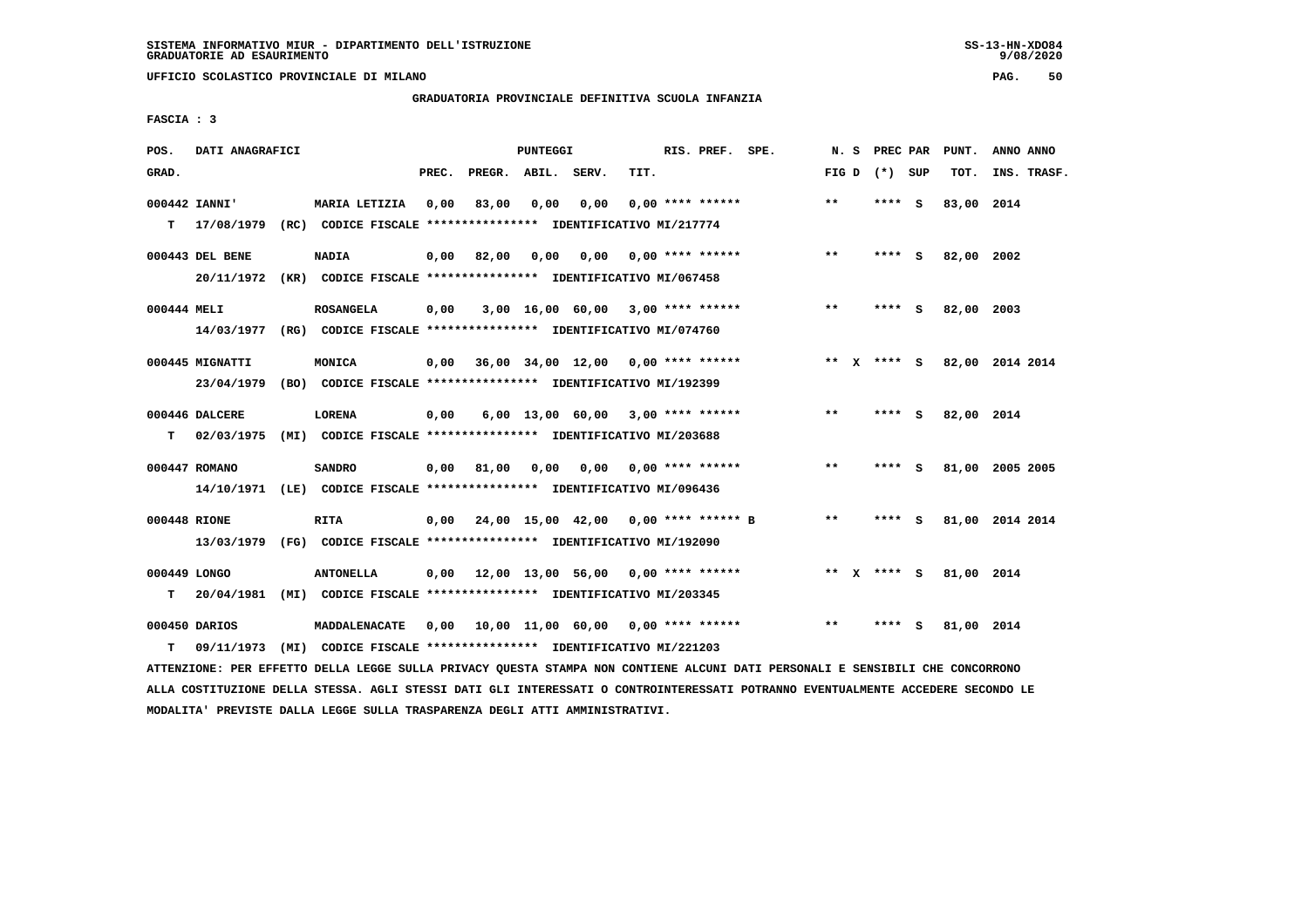**UFFICIO SCOLASTICO PROVINCIALE DI MILANO PAG. 50**

## **GRADUATORIA PROVINCIALE DEFINITIVA SCUOLA INFANZIA**

 **FASCIA : 3**

| POS.        | DATI ANAGRAFICI              |                                                                                                                                                                                                |       |                    | PUNTEGGI |                                           |      | RIS. PREF. SPE.           |                                             | N. S  | PREC PAR        | PUNT.      | ANNO ANNO                   |
|-------------|------------------------------|------------------------------------------------------------------------------------------------------------------------------------------------------------------------------------------------|-------|--------------------|----------|-------------------------------------------|------|---------------------------|---------------------------------------------|-------|-----------------|------------|-----------------------------|
| GRAD.       |                              |                                                                                                                                                                                                | PREC. | PREGR. ABIL. SERV. |          |                                           | TIT. |                           |                                             |       | FIG D $(*)$ SUP | TOT.       | INS. TRASF.                 |
|             | 000442 IANNI'                | MARIA LETIZIA                                                                                                                                                                                  | 0,00  | 83,00              | 0,00     | 0,00                                      |      | $0.00$ **** ******        |                                             | $***$ | **** S          | 83,00 2014 |                             |
| T.          | 17/08/1979                   | (RC) CODICE FISCALE **************** IDENTIFICATIVO MI/217774                                                                                                                                  |       |                    |          |                                           |      |                           |                                             |       |                 |            |                             |
|             | 000443 DEL BENE              | <b>NADIA</b>                                                                                                                                                                                   | 0.00  | 82,00              | 0.00     |                                           |      | $0.00$ $0.00$ **** ****** |                                             | $***$ | **** S          | 82,00 2002 |                             |
|             |                              | 20/11/1972 (KR) CODICE FISCALE *************** IDENTIFICATIVO MI/067458                                                                                                                        |       |                    |          |                                           |      |                           |                                             |       |                 |            |                             |
| 000444 MELI |                              | <b>ROSANGELA</b>                                                                                                                                                                               | 0,00  |                    |          | $3,00$ 16,00 60,00 3,00 **** ******       |      |                           |                                             | $**$  | **** S          | 82,00 2003 |                             |
|             | 14/03/1977                   | (RG) CODICE FISCALE **************** IDENTIFICATIVO MI/074760                                                                                                                                  |       |                    |          |                                           |      |                           |                                             |       |                 |            |                             |
|             | 000445 MIGNATTI              | MONICA                                                                                                                                                                                         | 0,00  |                    |          | 36,00 34,00 12,00 0,00 **** ******        |      |                           |                                             |       |                 |            | ** X **** S 82,00 2014 2014 |
|             | 23/04/1979                   | (BO) CODICE FISCALE **************** IDENTIFICATIVO MI/192399                                                                                                                                  |       |                    |          |                                           |      |                           |                                             |       |                 |            |                             |
|             |                              |                                                                                                                                                                                                |       |                    |          |                                           |      |                           |                                             | $***$ |                 |            |                             |
| т           | 000446 DALCERE<br>02/03/1975 | LORENA<br>(MI) CODICE FISCALE **************** IDENTIFICATIVO MI/203688                                                                                                                        | 0,00  |                    |          | 6,00 13,00 60,00 3,00 **** ******         |      |                           |                                             |       | **** S          | 82,00 2014 |                             |
|             |                              |                                                                                                                                                                                                |       |                    |          |                                           |      |                           |                                             |       |                 |            |                             |
|             | 000447 ROMANO                | <b>SANDRO</b>                                                                                                                                                                                  |       | 0.00 81.00         |          | $0,00$ $0,00$ $0,00$ $***$ **** ******    |      |                           |                                             | $**$  | **** S          |            | 81,00 2005 2005             |
|             |                              | 14/10/1971 (LE) CODICE FISCALE *************** IDENTIFICATIVO MI/096436                                                                                                                        |       |                    |          |                                           |      |                           |                                             |       |                 |            |                             |
|             | 000448 RIONE                 | <b>RITA</b>                                                                                                                                                                                    |       |                    |          |                                           |      |                           | $0,00$ 24,00 15,00 42,00 0,00 **** ****** B | $* *$ | $***$ S         |            | 81,00 2014 2014             |
|             |                              | 13/03/1979 (FG) CODICE FISCALE **************** IDENTIFICATIVO MI/192090                                                                                                                       |       |                    |          |                                           |      |                           |                                             |       |                 |            |                             |
|             | 000449 LONGO                 | <b>ANTONELLA</b>                                                                                                                                                                               |       |                    |          | $0,00$ 12,00 13,00 56,00 0,00 **** ****** |      |                           |                                             |       | ** $x$ **** S   | 81,00 2014 |                             |
| т           | 20/04/1981                   | (MI) CODICE FISCALE **************** IDENTIFICATIVO MI/203345                                                                                                                                  |       |                    |          |                                           |      |                           |                                             |       |                 |            |                             |
|             |                              |                                                                                                                                                                                                |       |                    |          |                                           |      |                           |                                             |       |                 |            |                             |
|             | 000450 DARIOS                | MADDALENACATE                                                                                                                                                                                  | 0,00  |                    |          | 10,00 11,00 60,00 0,00 **** ******        |      |                           |                                             | $***$ | **** S          | 81,00 2014 |                             |
| т           | 09/11/1973                   | (MI) CODICE FISCALE *************** IDENTIFICATIVO MI/221203<br>ARENISTOVE, ARA PREDENC ARIIA IROGE GUIIA ARIULOU OURGEA GEAVAA VON GOVETENT ALGUII AARI ARAGONAIII H-GENSIAIII GUI GOVGAAROVO |       |                    |          |                                           |      |                           |                                             |       |                 |            |                             |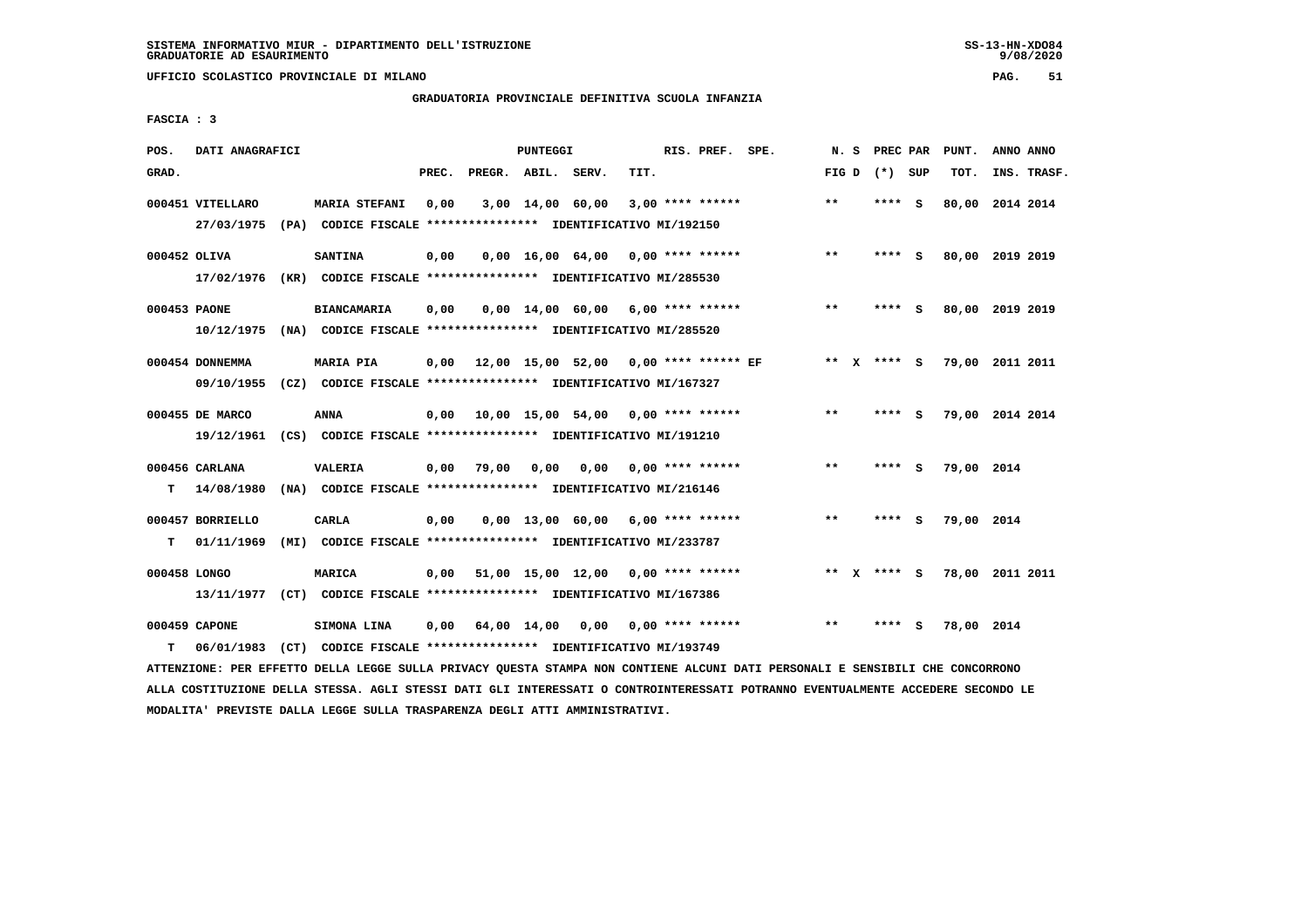**UFFICIO SCOLASTICO PROVINCIALE DI MILANO PAG. 51**

# **GRADUATORIA PROVINCIALE DEFINITIVA SCUOLA INFANZIA**

 **FASCIA : 3**

| POS.         | DATI ANAGRAFICI                |                                                                                           |       |                    | PUNTEGGI    |                                              |      | RIS. PREF. SPE.         |       | N. S PREC PAR |     | PUNT.      | ANNO ANNO       |
|--------------|--------------------------------|-------------------------------------------------------------------------------------------|-------|--------------------|-------------|----------------------------------------------|------|-------------------------|-------|---------------|-----|------------|-----------------|
| GRAD.        |                                |                                                                                           | PREC. | PREGR. ABIL. SERV. |             |                                              | TIT. |                         | FIG D | (*) SUP       |     | TOT.       | INS. TRASF.     |
|              | 000451 VITELLARO<br>27/03/1975 | <b>MARIA STEFANI</b><br>(PA) CODICE FISCALE *************** IDENTIFICATIVO MI/192150      | 0,00  |                    |             | 3,00 14,00 60,00                             |      | $3,00$ **** ******      | $***$ | **** S        |     |            | 80,00 2014 2014 |
|              |                                |                                                                                           |       |                    |             |                                              |      |                         |       |               |     |            |                 |
|              | 000452 OLIVA                   | <b>SANTINA</b>                                                                            | 0,00  |                    |             | $0,00$ 16,00 64,00 0,00 **** ******          |      |                         | $***$ | ****          | - S |            | 80,00 2019 2019 |
|              |                                | 17/02/1976 (KR) CODICE FISCALE *************** IDENTIFICATIVO MI/285530                   |       |                    |             |                                              |      |                         |       |               |     |            |                 |
| 000453 PAONE |                                | <b>BIANCAMARIA</b>                                                                        | 0,00  |                    |             | $0,00$ 14,00 60,00 6,00 **** ******          |      |                         | $**$  | ****          | - S |            | 80,00 2019 2019 |
|              |                                | 10/12/1975 (NA) CODICE FISCALE *************** IDENTIFICATIVO MI/285520                   |       |                    |             |                                              |      |                         |       |               |     |            |                 |
|              | 000454 DONNEMMA                | <b>MARIA PIA</b>                                                                          |       |                    |             | $0,00$ 12,00 15,00 52,00 0,00 **** ****** EF |      |                         |       | ** x **** S   |     |            | 79,00 2011 2011 |
|              |                                | 09/10/1955 (CZ) CODICE FISCALE *************** IDENTIFICATIVO MI/167327                   |       |                    |             |                                              |      |                         |       |               |     |            |                 |
|              |                                |                                                                                           |       |                    |             |                                              |      |                         |       |               |     |            |                 |
|              | 000455 DE MARCO                | ANNA                                                                                      |       |                    |             | 0,00 10,00 15,00 54,00                       |      | 0,00 **** ******        | $***$ | **** S        |     |            | 79,00 2014 2014 |
|              | 19/12/1961                     | (CS) CODICE FISCALE *************** IDENTIFICATIVO MI/191210                              |       |                    |             |                                              |      |                         |       |               |     |            |                 |
|              | 000456 CARLANA                 | VALERIA                                                                                   | 0,00  | 79,00              | 0,00        | 0.00                                         |      | $0.00$ **** ******      | $**$  | **** S        |     | 79,00 2014 |                 |
| T.           | 14/08/1980                     | (NA) CODICE FISCALE **************** IDENTIFICATIVO MI/216146                             |       |                    |             |                                              |      |                         |       |               |     |            |                 |
|              | 000457 BORRIELLO               | <b>CARLA</b>                                                                              | 0,00  |                    |             | $0.00$ 13.00 60.00 6.00 **** ******          |      |                         | $**$  | **** S        |     | 79,00 2014 |                 |
| т            | 01/11/1969                     | (MI) CODICE FISCALE **************** IDENTIFICATIVO MI/233787                             |       |                    |             |                                              |      |                         |       |               |     |            |                 |
|              |                                |                                                                                           |       |                    |             |                                              |      |                         |       |               |     |            |                 |
| 000458 LONGO |                                | <b>MARICA</b><br>13/11/1977 (CT) CODICE FISCALE **************** IDENTIFICATIVO MI/167386 | 0,00  |                    |             | $51,00$ 15,00 12,00 0,00 **** ******         |      |                         |       | ** x **** S   |     |            | 78,00 2011 2011 |
|              |                                |                                                                                           |       |                    |             |                                              |      |                         |       |               |     |            |                 |
|              | 000459 CAPONE                  | SIMONA LINA                                                                               | 0,00  |                    | 64,00 14,00 |                                              |      | $0,00$ 0,00 **** ****** | $***$ | ****          | - S | 78,00 2014 |                 |
| т            | 06/01/1983                     | (CT) CODICE FISCALE **************** IDENTIFICATIVO MI/193749                             |       |                    |             |                                              |      |                         |       |               |     |            |                 |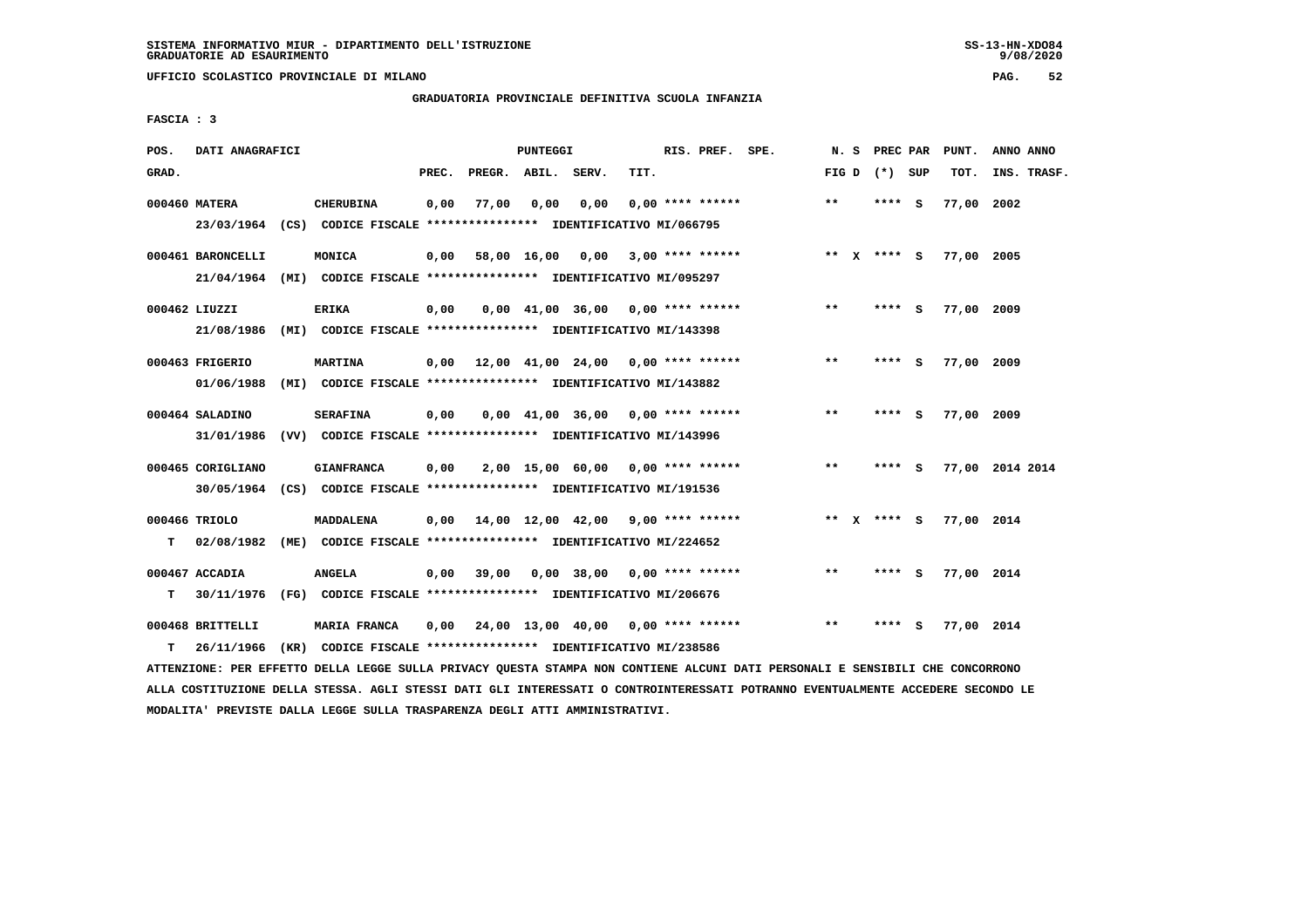**UFFICIO SCOLASTICO PROVINCIALE DI MILANO PAG. 52**

# **GRADUATORIA PROVINCIALE DEFINITIVA SCUOLA INFANZIA**

 **FASCIA : 3**

| POS.  | DATI ANAGRAFICI               |                                                                                             |       |                    | PUNTEGGI |                                                               |      | RIS. PREF. SPE.    | N. S  | PREC PAR        |     | PUNT.      | ANNO ANNO       |  |
|-------|-------------------------------|---------------------------------------------------------------------------------------------|-------|--------------------|----------|---------------------------------------------------------------|------|--------------------|-------|-----------------|-----|------------|-----------------|--|
| GRAD. |                               |                                                                                             | PREC. | PREGR. ABIL. SERV. |          |                                                               | TIT. |                    |       | FIG D $(*)$ SUP |     | тот.       | INS. TRASF.     |  |
|       | 000460 MATERA                 | <b>CHERUBINA</b><br>23/03/1964 (CS) CODICE FISCALE *************** IDENTIFICATIVO MI/066795 | 0,00  | 77,00              | 0.00     | 0.00                                                          |      | $0.00$ **** ****** | $***$ | **** S          |     | 77,00 2002 |                 |  |
|       |                               |                                                                                             |       |                    |          |                                                               |      |                    |       |                 |     |            |                 |  |
|       | 000461 BARONCELLI             | MONICA                                                                                      |       |                    |          | $0,00$ 58,00 16,00 0,00 3,00 **** ******                      |      |                    |       | ** $X$ **** S   |     | 77,00 2005 |                 |  |
|       |                               | 21/04/1964 (MI) CODICE FISCALE *************** IDENTIFICATIVO MI/095297                     |       |                    |          |                                                               |      |                    |       |                 |     |            |                 |  |
|       | 000462 LIUZZI                 | <b>ERIKA</b>                                                                                | 0,00  |                    |          | $0,00$ 41,00 36,00 0,00 **** ******                           |      |                    | $***$ | **** S          |     | 77,00 2009 |                 |  |
|       | 21/08/1986                    | (MI) CODICE FISCALE **************** IDENTIFICATIVO MI/143398                               |       |                    |          |                                                               |      |                    |       |                 |     |            |                 |  |
|       |                               |                                                                                             |       |                    |          |                                                               |      |                    | $***$ |                 |     |            |                 |  |
|       | 000463 FRIGERIO<br>01/06/1988 | <b>MARTINA</b><br>(MI) CODICE FISCALE **************** IDENTIFICATIVO MI/143882             |       |                    |          | $0.00$ 12.00 41.00 24.00 0.00 **** ******                     |      |                    |       | **** S          |     | 77,00 2009 |                 |  |
|       |                               |                                                                                             |       |                    |          |                                                               |      |                    |       |                 |     |            |                 |  |
|       | 000464 SALADINO               | <b>SERAFINA</b>                                                                             | 0,00  |                    |          | $0.00 \quad 41.00 \quad 36.00 \quad 0.00 \quad *** \quad ***$ |      |                    | $* *$ | ****            | - S | 77,00 2009 |                 |  |
|       | 31/01/1986                    | (VV) CODICE FISCALE *************** IDENTIFICATIVO MI/143996                                |       |                    |          |                                                               |      |                    |       |                 |     |            |                 |  |
|       | 000465 CORIGLIANO             | <b>GIANFRANCA</b>                                                                           | 0,00  |                    |          | 2,00 15,00 60,00 0,00 **** ******                             |      |                    | $***$ | $***$ S         |     |            | 77,00 2014 2014 |  |
|       |                               | 30/05/1964 (CS) CODICE FISCALE *************** IDENTIFICATIVO MI/191536                     |       |                    |          |                                                               |      |                    |       |                 |     |            |                 |  |
|       |                               |                                                                                             |       |                    |          |                                                               |      |                    |       |                 |     |            |                 |  |
|       | 000466 TRIOLO                 | MADDALENA                                                                                   |       |                    |          | $0,00$ 14,00 12,00 42,00 9,00 **** ******                     |      |                    |       | ** $X$ **** S   |     | 77,00 2014 |                 |  |
| т     | 02/08/1982                    | (ME) CODICE FISCALE **************** IDENTIFICATIVO MI/224652                               |       |                    |          |                                                               |      |                    |       |                 |     |            |                 |  |
|       | 000467 ACCADIA                | <b>ANGELA</b>                                                                               | 0,00  | 39,00              |          | $0.00$ 38,00 0.00 **** ******                                 |      |                    | $***$ | ****            | - S | 77,00 2014 |                 |  |
| т     | 30/11/1976                    | (FG) CODICE FISCALE **************** IDENTIFICATIVO MI/206676                               |       |                    |          |                                                               |      |                    |       |                 |     |            |                 |  |
|       | 000468 BRITTELLI              | MARIA FRANCA                                                                                | 0.00  |                    |          | 24,00 13,00 40,00 0,00 **** ******                            |      |                    | $* *$ | ****            | - S | 77,00 2014 |                 |  |
| т     | 26/11/1966                    | (KR) CODICE FISCALE **************** IDENTIFICATIVO MI/238586                               |       |                    |          |                                                               |      |                    |       |                 |     |            |                 |  |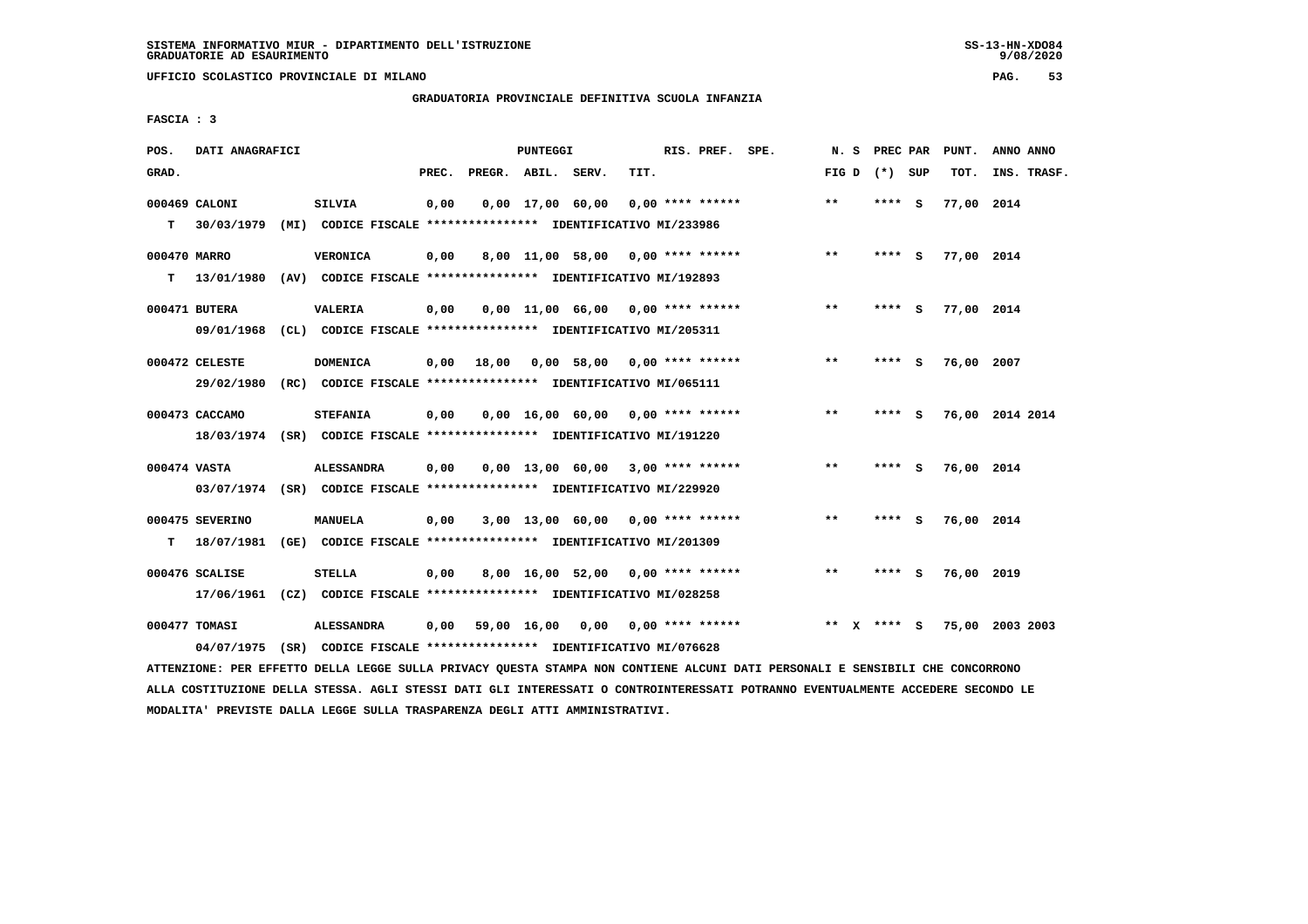**UFFICIO SCOLASTICO PROVINCIALE DI MILANO PAG. 53**

# **GRADUATORIA PROVINCIALE DEFINITIVA SCUOLA INFANZIA**

 **FASCIA : 3**

| POS.         | DATI ANAGRAFICI |                                                                          |       |                    | PUNTEGGI |                                     |      | RIS. PREF. SPE. | N. S    | <b>PREC PAR</b> |     | PUNT.      | ANNO ANNO       |
|--------------|-----------------|--------------------------------------------------------------------------|-------|--------------------|----------|-------------------------------------|------|-----------------|---------|-----------------|-----|------------|-----------------|
| GRAD.        |                 |                                                                          | PREC. | PREGR. ABIL. SERV. |          |                                     | TIT. |                 |         | FIG D $(*)$ SUP |     | TOT.       | INS. TRASF.     |
|              | 000469 CALONI   | <b>SILVIA</b>                                                            | 0,00  |                    |          | $0,00$ 17,00 60,00 0,00 **** ****** |      |                 | $***$   | $***$ S         |     | 77,00 2014 |                 |
| T.           |                 | 30/03/1979 (MI) CODICE FISCALE **************** IDENTIFICATIVO MI/233986 |       |                    |          |                                     |      |                 |         |                 |     |            |                 |
| 000470 MARRO |                 | <b>VERONICA</b>                                                          | 0,00  |                    |          | 8,00 11,00 58,00 0,00 **** ******   |      |                 | $***$   | $***$ S         |     | 77,00 2014 |                 |
| т            |                 | 13/01/1980 (AV) CODICE FISCALE *************** IDENTIFICATIVO MI/192893  |       |                    |          |                                     |      |                 |         |                 |     |            |                 |
|              | 000471 BUTERA   | VALERIA                                                                  | 0,00  |                    |          | $0.00$ 11.00 66.00 0.00 **** ****** |      |                 | $***$   | **** S          |     | 77,00 2014 |                 |
|              |                 | 09/01/1968 (CL) CODICE FISCALE *************** IDENTIFICATIVO MI/205311  |       |                    |          |                                     |      |                 |         |                 |     |            |                 |
|              | 000472 CELESTE  | <b>DOMENICA</b>                                                          | 0.00  | 18,00              |          | 0,00 58,00 0,00 **** ******         |      |                 | $* *$   | ****            | - S | 76,00 2007 |                 |
|              |                 | 29/02/1980 (RC) CODICE FISCALE *************** IDENTIFICATIVO MI/065111  |       |                    |          |                                     |      |                 |         |                 |     |            |                 |
|              | 000473 CACCAMO  | <b>STEFANIA</b>                                                          | 0,00  |                    |          | $0.00$ 16.00 60.00 0.00 **** ****** |      |                 | $***$   | **** S          |     |            | 76,00 2014 2014 |
|              |                 | 18/03/1974 (SR) CODICE FISCALE *************** IDENTIFICATIVO MI/191220  |       |                    |          |                                     |      |                 |         |                 |     |            |                 |
| 000474 VASTA |                 | <b>ALESSANDRA</b>                                                        | 0,00  |                    |          | $0,00$ 13,00 60,00 3,00 **** ****** |      |                 | $***$   | **** S          |     | 76,00 2014 |                 |
|              |                 | 03/07/1974 (SR) CODICE FISCALE *************** IDENTIFICATIVO MI/229920  |       |                    |          |                                     |      |                 |         |                 |     |            |                 |
|              | 000475 SEVERINO | <b>MANUELA</b>                                                           | 0,00  |                    |          | $3,00$ 13,00 60,00 0,00 **** ****** |      |                 | $***$   | **** S          |     | 76,00 2014 |                 |
| т            | 18/07/1981      | (GE) CODICE FISCALE **************** IDENTIFICATIVO MI/201309            |       |                    |          |                                     |      |                 |         |                 |     |            |                 |
|              | 000476 SCALISE  | <b>STELLA</b>                                                            | 0,00  |                    |          | 8,00 16,00 52,00 0,00 **** ******   |      |                 | $***$   | **** S          |     | 76,00 2019 |                 |
|              |                 | 17/06/1961 (CZ) CODICE FISCALE *************** IDENTIFICATIVO MI/028258  |       |                    |          |                                     |      |                 |         |                 |     |            |                 |
|              | 000477 TOMASI   | <b>ALESSANDRA</b>                                                        | 0,00  |                    |          | 59,00 16,00 0,00 0,00 **** ******   |      |                 | $***$ X | **** S          |     |            | 75,00 2003 2003 |
|              | 04/07/1975      | (SR) CODICE FISCALE **************** IDENTIFICATIVO MI/076628            |       |                    |          |                                     |      |                 |         |                 |     |            |                 |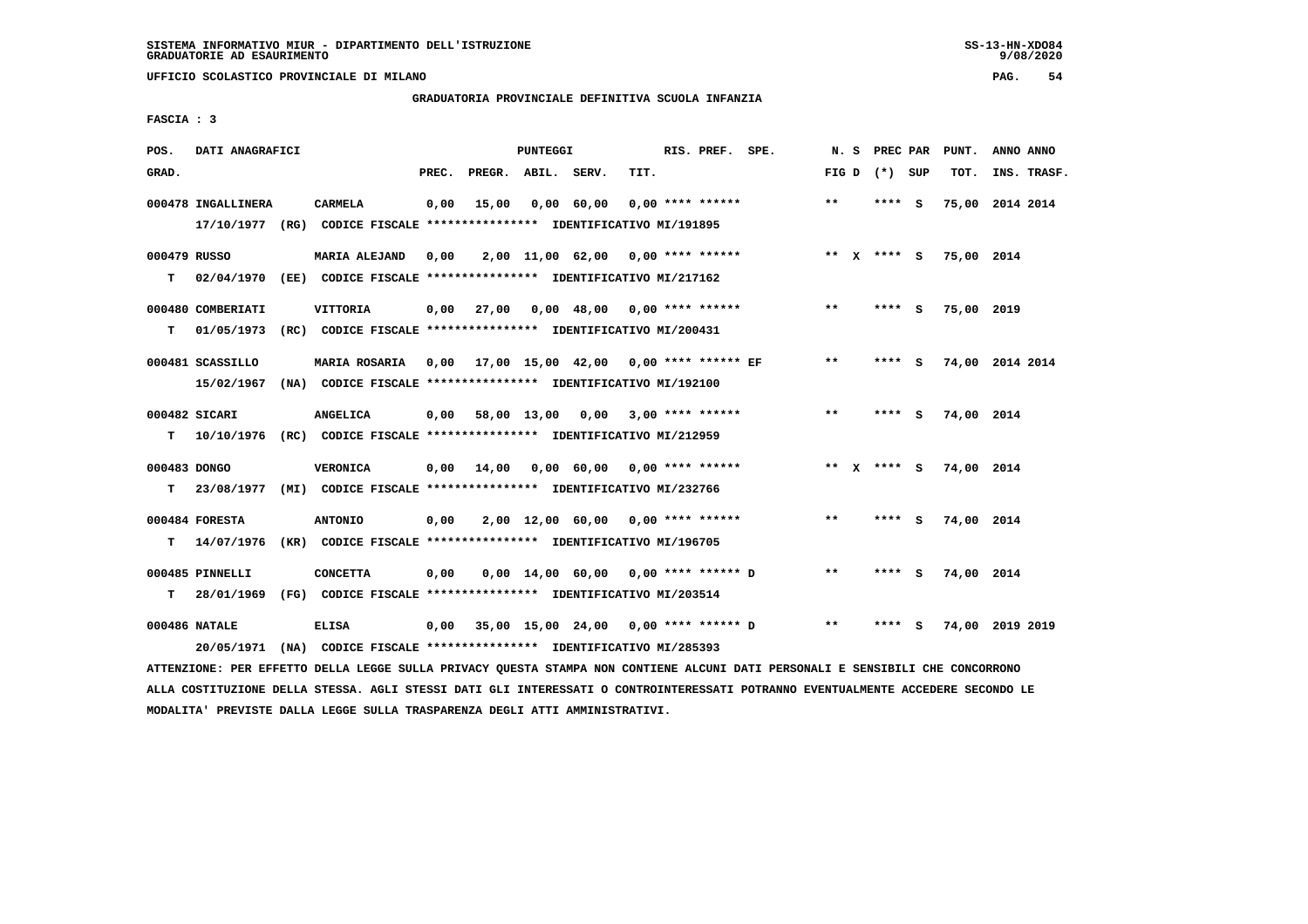**UFFICIO SCOLASTICO PROVINCIALE DI MILANO PAG. 54**

# **GRADUATORIA PROVINCIALE DEFINITIVA SCUOLA INFANZIA**

 **FASCIA : 3**

| POS.         | DATI ANAGRAFICI    |                                                                                                                               |       |                    | PUNTEGGI |                                          |      | RIS. PREF. SPE.    |                                         |       |                 | N. S PREC PAR PUNT.    | ANNO ANNO |             |
|--------------|--------------------|-------------------------------------------------------------------------------------------------------------------------------|-------|--------------------|----------|------------------------------------------|------|--------------------|-----------------------------------------|-------|-----------------|------------------------|-----------|-------------|
| GRAD.        |                    |                                                                                                                               | PREC. | PREGR. ABIL. SERV. |          |                                          | TIT. |                    |                                         |       | FIG D $(*)$ SUP | TOT.                   |           | INS. TRASF. |
|              | 000478 INGALLINERA | CARMELA                                                                                                                       | 0,00  | 15,00              |          | 0,00 60,00                               |      | $0,00$ **** ****** |                                         | $***$ | **** S          | 75,00 2014 2014        |           |             |
|              |                    | 17/10/1977 (RG) CODICE FISCALE *************** IDENTIFICATIVO MI/191895                                                       |       |                    |          |                                          |      |                    |                                         |       |                 |                        |           |             |
| 000479 RUSSO |                    | <b>MARIA ALEJAND</b>                                                                                                          | 0,00  |                    |          | 2,00 11,00 62,00 0,00 **** ******        |      |                    |                                         |       |                 | ** x **** s 75,00 2014 |           |             |
| т            |                    | 02/04/1970 (EE) CODICE FISCALE *************** IDENTIFICATIVO MI/217162                                                       |       |                    |          |                                          |      |                    |                                         |       |                 |                        |           |             |
|              | 000480 COMBERIATI  | VITTORIA                                                                                                                      |       |                    |          | $0,00$ 27,00 0,00 48,00 0,00 **** ****** |      |                    |                                         | $* *$ | $***$ S         | 75,00 2019             |           |             |
| т            | 01/05/1973         | (RC) CODICE FISCALE **************** IDENTIFICATIVO MI/200431                                                                 |       |                    |          |                                          |      |                    |                                         |       |                 |                        |           |             |
|              | 000481 SCASSILLO   | <b>MARIA ROSARIA</b>                                                                                                          |       |                    |          |                                          |      |                    |                                         | $***$ | **** S          | 74,00 2014 2014        |           |             |
|              | 15/02/1967         | (NA) CODICE FISCALE **************** IDENTIFICATIVO MI/192100                                                                 |       |                    |          |                                          |      |                    |                                         |       |                 |                        |           |             |
|              | 000482 SICARI      | ANGELICA                                                                                                                      |       |                    |          | $0,00$ 58,00 13,00 0,00 3,00 **** ****** |      |                    |                                         | $***$ | **** S          | 74,00 2014             |           |             |
|              |                    | T  10/10/1976 (RC) CODICE FISCALE **************** IDENTIFICATIVO MI/212959                                                   |       |                    |          |                                          |      |                    |                                         |       |                 |                        |           |             |
| 000483 DONGO |                    | <b>VERONICA</b>                                                                                                               | 0,00  | 14,00              |          | 0,00 60,00 0,00 **** ******              |      |                    |                                         |       | ** x **** S     | 74,00 2014             |           |             |
|              |                    | T 23/08/1977 (MI) CODICE FISCALE *************** IDENTIFICATIVO MI/232766                                                     |       |                    |          |                                          |      |                    |                                         |       |                 |                        |           |             |
|              | 000484 FORESTA     | <b>ANTONIO</b>                                                                                                                | 0,00  |                    |          | 2,00 12,00 60,00 0,00 **** ******        |      |                    |                                         | $**$  | **** S          | 74,00 2014             |           |             |
| т            | 14/07/1976         | (KR) CODICE FISCALE **************** IDENTIFICATIVO MI/196705                                                                 |       |                    |          |                                          |      |                    |                                         |       |                 |                        |           |             |
|              | 000485 PINNELLI    | <b>CONCETTA</b>                                                                                                               | 0,00  |                    |          | $0,00$ 14,00 60,00 0,00 **** ****** D    |      |                    |                                         | $***$ | $***$ S         | 74,00 2014             |           |             |
| т            |                    | 28/01/1969 (FG) CODICE FISCALE *************** IDENTIFICATIVO MI/203514                                                       |       |                    |          |                                          |      |                    |                                         |       |                 |                        |           |             |
|              | 000486 NATALE      | ELISA                                                                                                                         | 0,00  |                    |          |                                          |      |                    | 35,00 15,00 24,00 0,00 **** ****** D ** |       | **** S          | 74,00 2019 2019        |           |             |
|              | 20/05/1971         | (NA) CODICE FISCALE **************** IDENTIFICATIVO MI/285393                                                                 |       |                    |          |                                          |      |                    |                                         |       |                 |                        |           |             |
|              |                    | ATTENZIONE: PER EFFETTO DELLA LEGGE SULLA PRIVACY QUESTA STAMPA NON CONTIENE ALCUNI DATI PERSONALI E SENSIBILI CHE CONCORRONO |       |                    |          |                                          |      |                    |                                         |       |                 |                        |           |             |

 **ALLA COSTITUZIONE DELLA STESSA. AGLI STESSI DATI GLI INTERESSATI O CONTROINTERESSATI POTRANNO EVENTUALMENTE ACCEDERE SECONDO LE MODALITA' PREVISTE DALLA LEGGE SULLA TRASPARENZA DEGLI ATTI AMMINISTRATIVI.**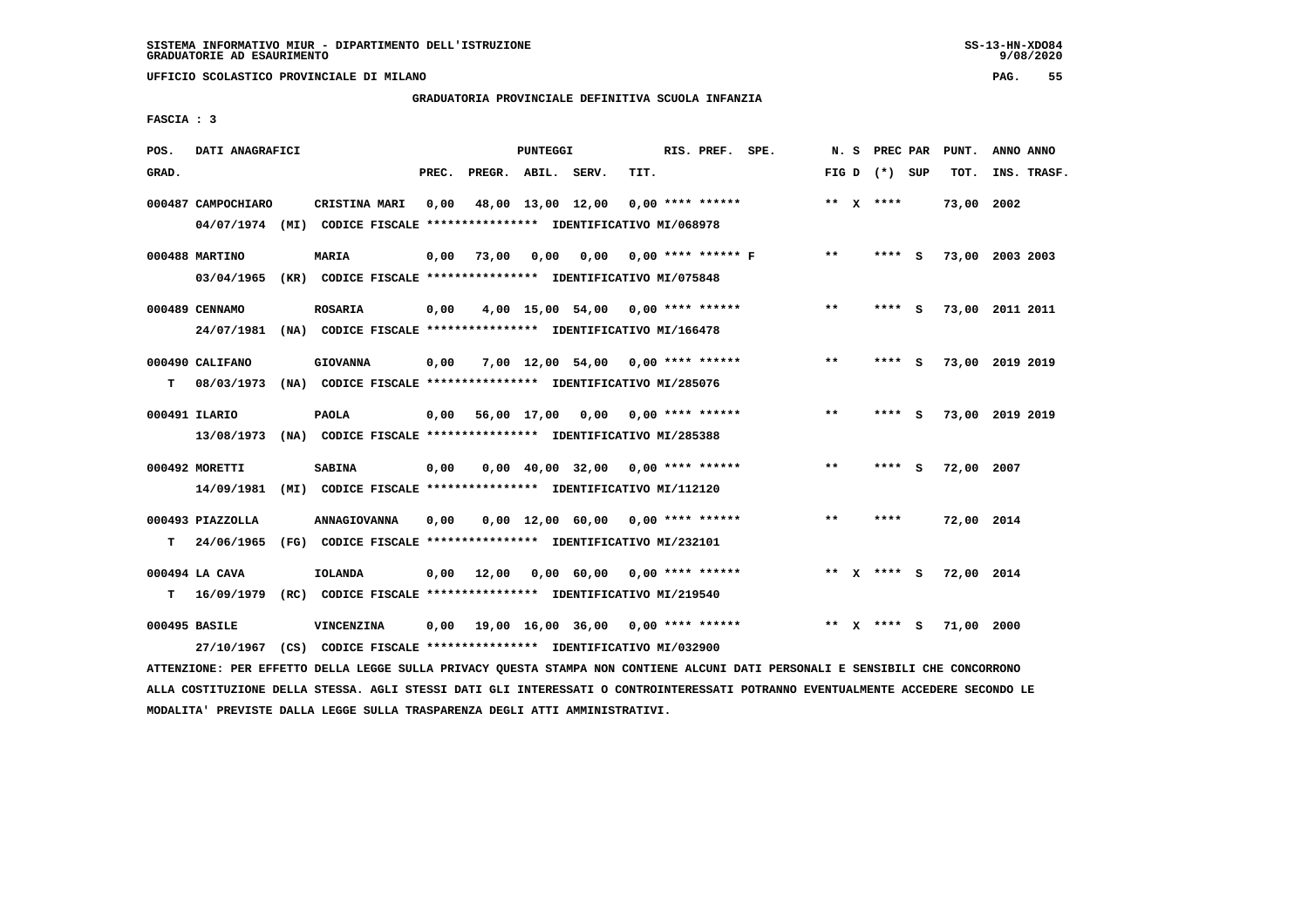**UFFICIO SCOLASTICO PROVINCIALE DI MILANO PAG. 55**

# **GRADUATORIA PROVINCIALE DEFINITIVA SCUOLA INFANZIA**

 **FASCIA : 3**

| POS.  | DATI ANAGRAFICI                  |      |                                                                                  |       |                    | PUNTEGGI |                                          |      | RIS. PREF. SPE.    |                      |       | N.S      | PREC PAR        |     | PUNT.      | ANNO ANNO       |
|-------|----------------------------------|------|----------------------------------------------------------------------------------|-------|--------------------|----------|------------------------------------------|------|--------------------|----------------------|-------|----------|-----------------|-----|------------|-----------------|
| GRAD. |                                  |      |                                                                                  | PREC. | PREGR. ABIL. SERV. |          |                                          | TIT. |                    |                      |       |          | FIG D $(*)$ SUP |     | TOT.       | INS. TRASF.     |
|       | 000487 CAMPOCHIARO<br>04/07/1974 |      | CRISTINA MARI<br>(MI) CODICE FISCALE **************** IDENTIFICATIVO MI/068978   | 0,00  |                    |          | 48,00 13,00 12,00                        |      | $0.00$ **** ****** |                      |       |          | ** $X$ ****     |     | 73,00 2002 |                 |
|       | 000488 MARTINO<br>03/04/1965     |      | <b>MARIA</b><br>(KR) CODICE FISCALE **************** IDENTIFICATIVO MI/075848    | 0,00  | 73,00              | 0,00     | 0,00                                     |      |                    | $0.00$ **** ****** F | $***$ |          | $***$ S         |     |            | 73,00 2003 2003 |
|       | 000489 CENNAMO<br>24/07/1981     |      | <b>ROSARIA</b><br>(NA) CODICE FISCALE **************** IDENTIFICATIVO MI/166478  | 0,00  |                    |          | 4,00 15,00 54,00 0,00 **** ******        |      |                    |                      | $***$ |          | **** S          |     |            | 73,00 2011 2011 |
| т     | 000490 CALIFANO<br>08/03/1973    |      | <b>GIOVANNA</b><br>(NA) CODICE FISCALE **************** IDENTIFICATIVO MI/285076 | 0,00  |                    |          | $7,00$ 12,00 54,00 0,00 **** ******      |      |                    |                      | $* *$ |          | ****            | - S |            | 73,00 2019 2019 |
|       | 000491 ILARIO<br>13/08/1973      |      | <b>PAOLA</b><br>(NA) CODICE FISCALE **************** IDENTIFICATIVO MI/285388    | 0.00  |                    |          | 56,00 17,00 0,00 0,00 **** ******        |      |                    |                      | $* *$ |          | ****            | - S |            | 73,00 2019 2019 |
|       | 000492 MORETTI<br>14/09/1981     |      | <b>SABINA</b><br>(MI) CODICE FISCALE **************** IDENTIFICATIVO MI/112120   | 0,00  |                    |          | $0,00$ 40,00 32,00 0,00 **** ******      |      |                    |                      | $* *$ |          | ****            | - S | 72,00 2007 |                 |
| т     | 000493 PIAZZOLLA<br>24/06/1965   |      | ANNAGIOVANNA<br>(FG) CODICE FISCALE **************** IDENTIFICATIVO MI/232101    | 0,00  |                    |          | $0,00$ 12,00 60,00 0,00 **** ******      |      |                    |                      | $* *$ |          | ****            |     | 72,00 2014 |                 |
| т     | 000494 LA CAVA<br>16/09/1979     | (RC) | IOLANDA<br>CODICE FISCALE **************** IDENTIFICATIVO MI/219540              | 0.00  | 12,00              |          | $0.00 \t 60.00 \t 0.00 \t *** \t *** \t$ |      |                    |                      |       |          | ** x **** S     |     | 72,00 2014 |                 |
|       | 000495 BASILE<br>27/10/1967      |      | VINCENZINA<br>(CS) CODICE FISCALE **************** IDENTIFICATIVO MI/032900      | 0.00  |                    |          | 19,00 16,00 36,00 0,00 **** ******       |      |                    |                      | $* *$ | <b>X</b> | **** S          |     | 71,00 2000 |                 |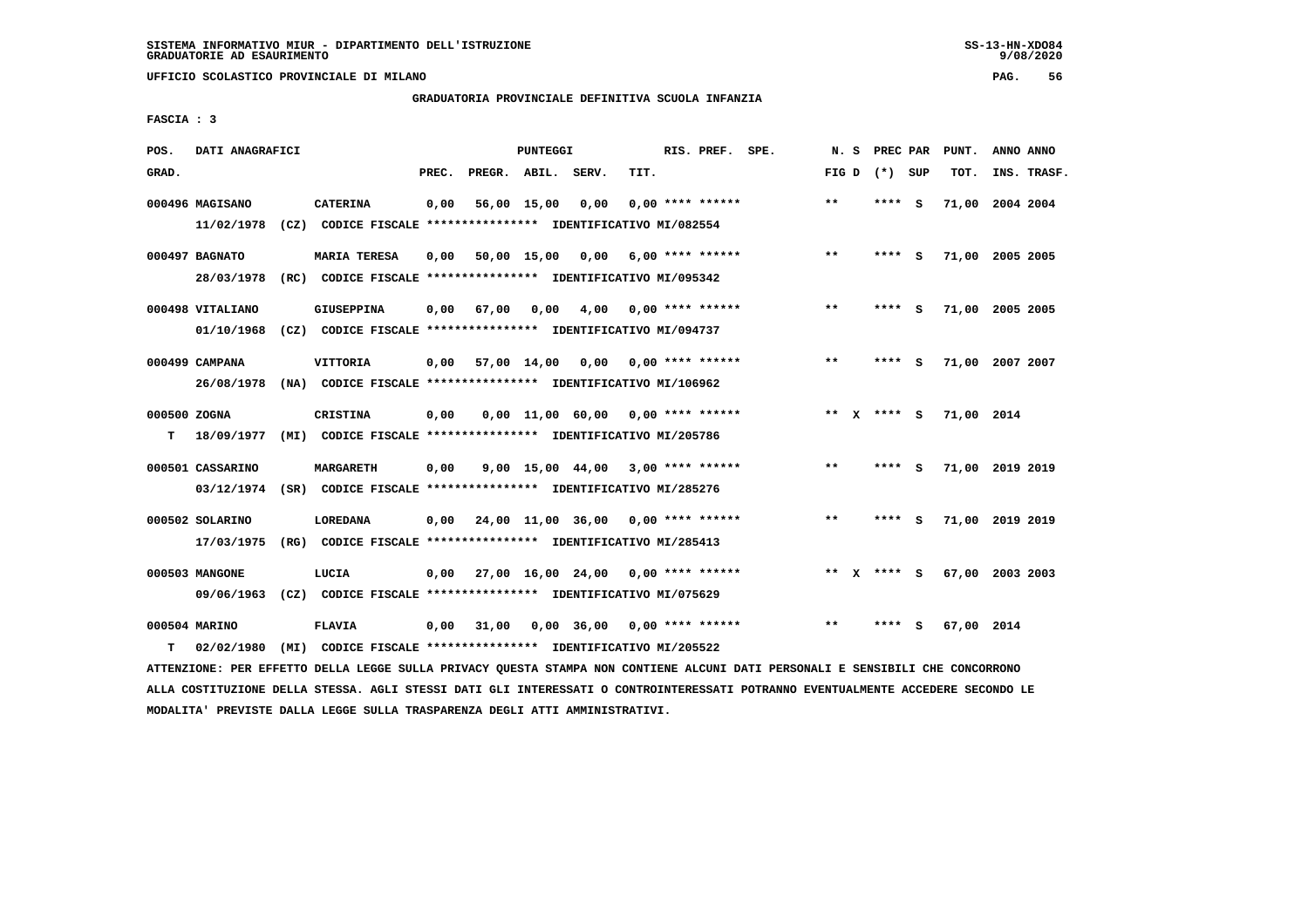**UFFICIO SCOLASTICO PROVINCIALE DI MILANO PAG. 56**

# **GRADUATORIA PROVINCIALE DEFINITIVA SCUOLA INFANZIA**

 **FASCIA : 3**

| POS.              | DATI ANAGRAFICI                |                                                                                      |       |                    | PUNTEGGI    |                                      |      | RIS. PREF. SPE.    | N.S         | PREC PAR |     | PUNT.      | ANNO ANNO       |
|-------------------|--------------------------------|--------------------------------------------------------------------------------------|-------|--------------------|-------------|--------------------------------------|------|--------------------|-------------|----------|-----|------------|-----------------|
| GRAD.             |                                |                                                                                      | PREC. | PREGR. ABIL. SERV. |             |                                      | TIT. |                    | FIG D       | (*) SUP  |     | TOT.       | INS. TRASF.     |
|                   | 000496 MAGISANO<br>11/02/1978  | <b>CATERINA</b><br>(CZ) CODICE FISCALE **************** IDENTIFICATIVO MI/082554     | 0,00  |                    | 56,00 15,00 | 0,00                                 |      | $0.00$ **** ****** | $***$       | **** S   |     |            | 71,00 2004 2004 |
|                   | 000497 BAGNATO<br>28/03/1978   | <b>MARIA TERESA</b><br>(RC) CODICE FISCALE **************** IDENTIFICATIVO MI/095342 | 0,00  |                    |             | 50,00 15,00 0,00                     |      | $6,00$ **** ****** | $**$        | ****     | - S |            | 71,00 2005 2005 |
|                   | 000498 VITALIANO<br>01/10/1968 | <b>GIUSEPPINA</b><br>(CZ) CODICE FISCALE **************** IDENTIFICATIVO MI/094737   | 0,00  | 67,00              | 0,00        | 4,00                                 |      | 0,00 **** ******   | $**$        | ****     | - S |            | 71,00 2005 2005 |
|                   | 000499 CAMPANA<br>26/08/1978   | VITTORIA<br>(NA) CODICE FISCALE **************** IDENTIFICATIVO MI/106962            | 0,00  |                    | 57,00 14,00 | 0,00                                 |      | $0.00$ **** ****** | $* *$       |          | - S |            | 71,00 2007 2007 |
| 000500 ZOGNA<br>т | 18/09/1977                     | CRISTINA<br>(MI) CODICE FISCALE **************** IDENTIFICATIVO MI/205786            | 0,00  |                    |             | $0.00$ 11.00 60.00 0.00 **** ******  |      |                    | ** X **** S |          |     | 71,00 2014 |                 |
|                   | 000501 CASSARINO<br>03/12/1974 | <b>MARGARETH</b><br>(SR) CODICE FISCALE **************** IDENTIFICATIVO MI/285276    | 0,00  |                    |             | $9,00$ 15,00 44,00 3,00 **** ******  |      |                    | $***$       | ****     | - S |            | 71,00 2019 2019 |
|                   | 000502 SOLARINO<br>17/03/1975  | LOREDANA<br>(RG) CODICE FISCALE **************** IDENTIFICATIVO MI/285413            | 0.00  |                    |             | 24,00 11,00 36,00 0,00 **** ******   |      |                    | $***$       | ****     | - S |            | 71,00 2019 2019 |
|                   | 000503 MANGONE<br>09/06/1963   | LUCIA<br>(CZ) CODICE FISCALE **************** IDENTIFICATIVO MI/075629               | 0,00  |                    |             | $27,00$ 16,00 24,00 0,00 **** ****** |      |                    | ** x **** s |          |     |            | 67,00 2003 2003 |
| т                 | 000504 MARINO<br>02/02/1980    | <b>FLAVIA</b><br>(MI) CODICE FISCALE **************** IDENTIFICATIVO MI/205522       | 0,00  | 31,00              |             | $0,00$ 36,00 0,00 **** ******        |      |                    | $* *$       |          | s   | 67,00 2014 |                 |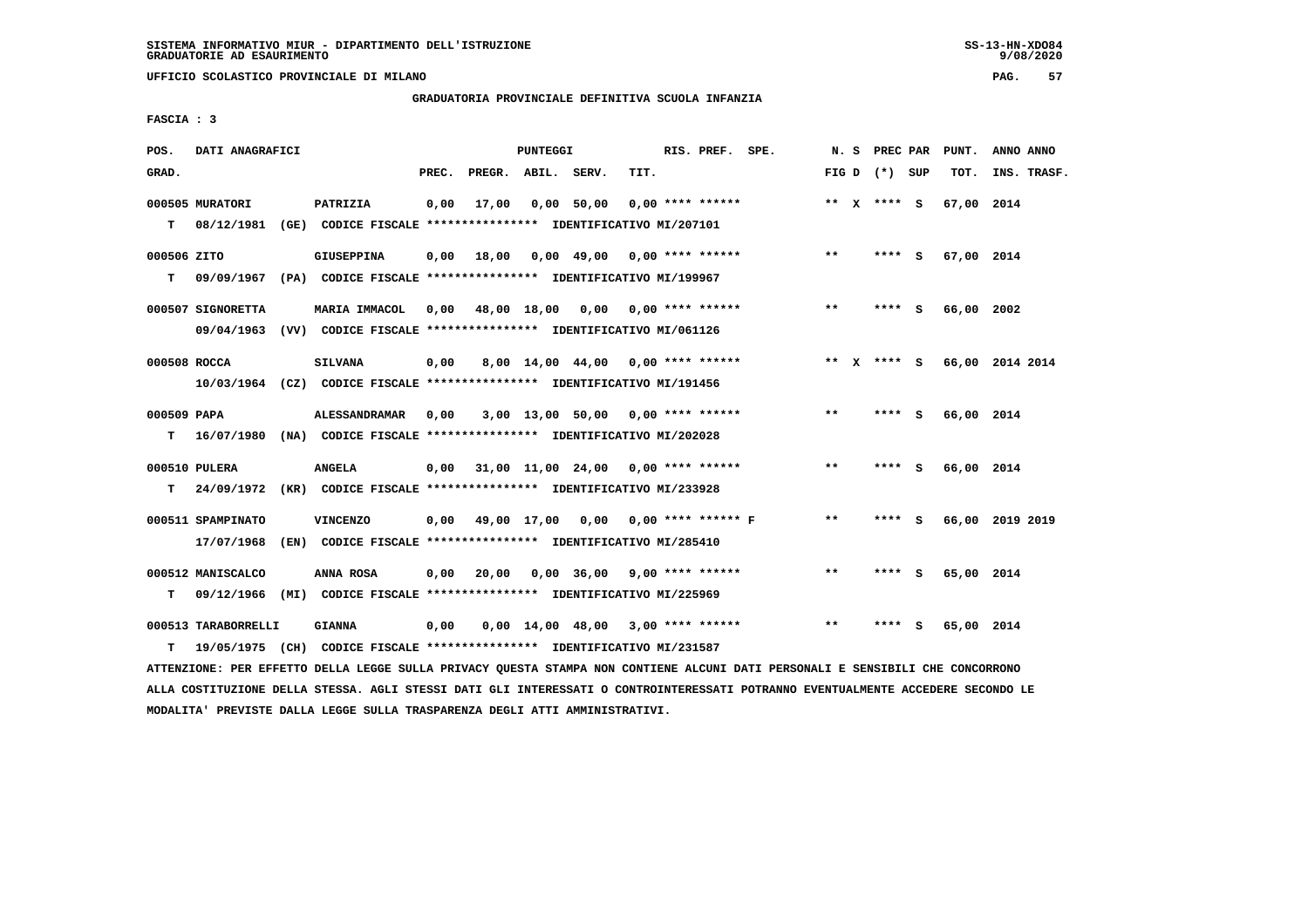**UFFICIO SCOLASTICO PROVINCIALE DI MILANO PAG. 57**

# **GRADUATORIA PROVINCIALE DEFINITIVA SCUOLA INFANZIA**

 **FASCIA : 3**

| POS.              | DATI ANAGRAFICI                     |                                                                                                  |       |                    | PUNTEGGI |                                          |      | RIS. PREF. SPE.    | N. S  | <b>PREC PAR</b> |     | PUNT.      | ANNO ANNO       |
|-------------------|-------------------------------------|--------------------------------------------------------------------------------------------------|-------|--------------------|----------|------------------------------------------|------|--------------------|-------|-----------------|-----|------------|-----------------|
| GRAD.             |                                     |                                                                                                  | PREC. | PREGR. ABIL. SERV. |          |                                          | TIT. |                    |       | FIG D $(*)$ SUP |     | TOT.       | INS. TRASF.     |
|                   | 000505 MURATORI<br>$T = 08/12/1981$ | PATRIZIA<br>(GE) CODICE FISCALE **************** IDENTIFICATIVO MI/207101                        | 0,00  | 17,00              |          | 0,00 50,00                               |      | $0.00$ **** ****** |       | ** x **** S     |     | 67,00 2014 |                 |
| 000506 ZITO<br>T. |                                     | GIUSEPPINA<br>09/09/1967 (PA) CODICE FISCALE **************** IDENTIFICATIVO MI/199967           | 0,00  | 18,00              |          | 0,00 49,00 0,00 **** ******              |      |                    | $***$ | **** S          |     | 67,00 2014 |                 |
|                   | 000507 SIGNORETTA                   | <b>MARIA IMMACOL</b><br>09/04/1963 (VV) CODICE FISCALE *************** IDENTIFICATIVO MI/061126  |       |                    |          | 0,00 48,00 18,00 0,00 0,00 **** ******   |      |                    | $***$ | **** S          |     | 66,00 2002 |                 |
| 000508 ROCCA      |                                     | <b>SILVANA</b><br>10/03/1964 (CZ) CODICE FISCALE *************** IDENTIFICATIVO MI/191456        | 0,00  |                    |          | 8,00 14,00 44,00 0,00 **** ******        |      |                    | ** X  | **** S          |     |            | 66,00 2014 2014 |
| 000509 PAPA<br>т  |                                     | <b>ALESSANDRAMAR</b><br>16/07/1980 (NA) CODICE FISCALE **************** IDENTIFICATIVO MI/202028 | 0,00  |                    |          | $3,00$ 13,00 50,00 0,00 **** ******      |      |                    | $* *$ | **** S          |     | 66,00 2014 |                 |
| т                 | 000510 PULERA                       | <b>ANGELA</b><br>24/09/1972 (KR) CODICE FISCALE *************** IDENTIFICATIVO MI/233928         | 0,00  |                    |          | 31,00 11,00 24,00 0,00 **** ******       |      |                    | $***$ | **** S          |     | 66,00 2014 |                 |
|                   | 000511 SPAMPINATO<br>17/07/1968     | <b>VINCENZO</b><br>(EN) CODICE FISCALE *************** IDENTIFICATIVO MI/285410                  |       |                    |          | 0,00 49,00 17,00 0,00 0,00 **** ****** F |      |                    | $***$ | **** S          |     |            | 66,00 2019 2019 |
| т                 | 000512 MANISCALCO                   | ANNA ROSA<br>09/12/1966 (MI) CODICE FISCALE *************** IDENTIFICATIVO MI/225969             | 0,00  | 20,00              |          | $0,00$ 36,00 9,00 **** ******            |      |                    | $* *$ | **** S          |     | 65,00 2014 |                 |
| т                 | 000513 TARABORRELLI                 | <b>GIANNA</b><br>19/05/1975 (CH) CODICE FISCALE **************** IDENTIFICATIVO MI/231587        | 0,00  |                    |          | $0,00$ 14,00 48,00 3,00 **** ******      |      |                    | $**$  | ****            | - S | 65,00 2014 |                 |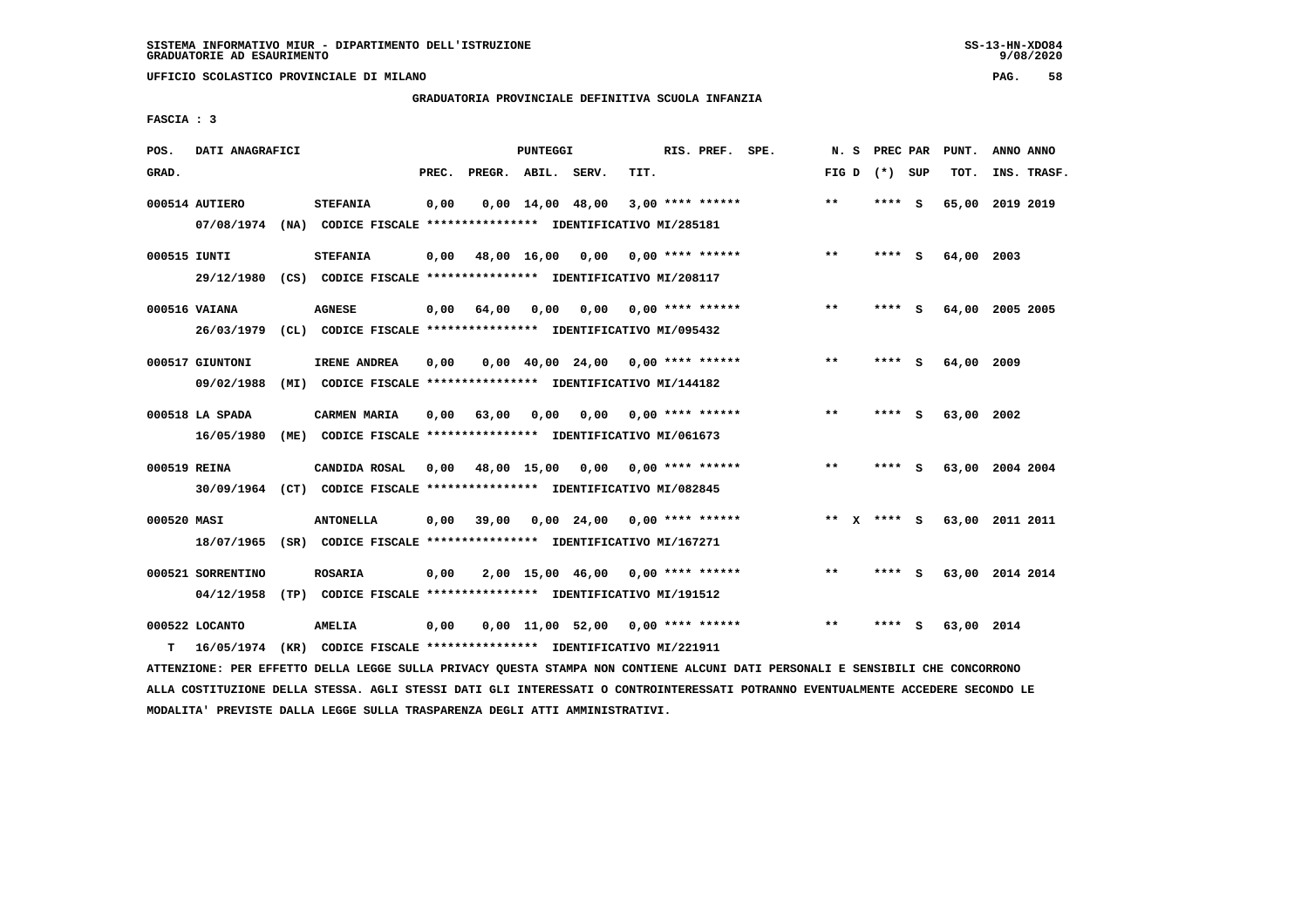**UFFICIO SCOLASTICO PROVINCIALE DI MILANO PAG. 58**

# **GRADUATORIA PROVINCIALE DEFINITIVA SCUOLA INFANZIA**

 **FASCIA : 3**

| POS.         | DATI ANAGRAFICI   |                                                                         |       |                    | PUNTEGGI |                                                               |      | RIS. PREF. SPE.         | N.S          | PREC PAR        |     | PUNT.           | ANNO ANNO       |  |
|--------------|-------------------|-------------------------------------------------------------------------|-------|--------------------|----------|---------------------------------------------------------------|------|-------------------------|--------------|-----------------|-----|-----------------|-----------------|--|
| GRAD.        |                   |                                                                         | PREC. | PREGR. ABIL. SERV. |          |                                                               | TIT. |                         |              | FIG D $(*)$ SUP |     | TOT.            | INS. TRASF.     |  |
|              | 000514 AUTIERO    | <b>STEFANIA</b>                                                         | 0,00  |                    |          | $0,00 \quad 14,00 \quad 48,00$                                |      | $3,00$ **** ******      | **           | **** S          |     | 65,00           | 2019 2019       |  |
|              |                   | 07/08/1974 (NA) CODICE FISCALE *************** IDENTIFICATIVO MI/285181 |       |                    |          |                                                               |      |                         |              |                 |     |                 |                 |  |
| 000515 IUNTI |                   | <b>STEFANIA</b>                                                         | 0,00  |                    |          | 48,00 16,00 0,00                                              |      | $0.00$ **** ******      | $**$         | $***$ S         |     | 64,00 2003      |                 |  |
|              |                   | 29/12/1980 (CS) CODICE FISCALE *************** IDENTIFICATIVO MI/208117 |       |                    |          |                                                               |      |                         |              |                 |     |                 |                 |  |
|              | 000516 VAIANA     | <b>AGNESE</b>                                                           | 0,00  | 64,00              | 0,00     |                                                               |      | $0,00$ 0,00 **** ****** | $***$        | **** S          |     | 64,00 2005 2005 |                 |  |
|              | 26/03/1979        | (CL) CODICE FISCALE **************** IDENTIFICATIVO MI/095432           |       |                    |          |                                                               |      |                         |              |                 |     |                 |                 |  |
|              | 000517 GIUNTONI   | IRENE ANDREA                                                            | 0.00  |                    |          | $0.00 \quad 40.00 \quad 24.00 \quad 0.00 \quad *** \quad ***$ |      |                         | $**$         | ****            | - S | 64,00 2009      |                 |  |
|              | 09/02/1988        | (MI) CODICE FISCALE **************** IDENTIFICATIVO MI/144182           |       |                    |          |                                                               |      |                         |              |                 |     |                 |                 |  |
|              | 000518 LA SPADA   | <b>CARMEN MARIA</b>                                                     | 0,00  | 63,00              | 0,00     | 0,00                                                          |      | $0.00$ **** ******      | $***$        | **** S          |     | 63,00 2002      |                 |  |
|              | 16/05/1980        | (ME) CODICE FISCALE **************** IDENTIFICATIVO MI/061673           |       |                    |          |                                                               |      |                         |              |                 |     |                 |                 |  |
| 000519 REINA |                   | CANDIDA ROSAL                                                           | 0,00  |                    |          | 48,00 15,00 0,00                                              |      | $0.00$ **** ******      | $\star\star$ | ****            | - 5 |                 | 63,00 2004 2004 |  |
|              |                   | 30/09/1964 (CT) CODICE FISCALE *************** IDENTIFICATIVO MI/082845 |       |                    |          |                                                               |      |                         |              |                 |     |                 |                 |  |
| 000520 MASI  |                   | <b>ANTONELLA</b>                                                        | 0.00  | 39,00              |          | $0.00 \quad 24.00 \quad 0.00 \quad *** \quad ***$             |      |                         | ** $X$       | **** S          |     | 63,00 2011 2011 |                 |  |
|              |                   | 18/07/1965 (SR) CODICE FISCALE *************** IDENTIFICATIVO MI/167271 |       |                    |          |                                                               |      |                         |              |                 |     |                 |                 |  |
|              | 000521 SORRENTINO | <b>ROSARIA</b>                                                          | 0,00  |                    |          | $2,00$ 15,00 46,00 0,00 **** ******                           |      |                         | $* *$        | **** S          |     |                 | 63,00 2014 2014 |  |
|              | 04/12/1958        | (TP) CODICE FISCALE **************** IDENTIFICATIVO MI/191512           |       |                    |          |                                                               |      |                         |              |                 |     |                 |                 |  |
|              | 000522 LOCANTO    | AMELIA                                                                  | 0,00  |                    |          | $0,00$ 11,00 52,00 0,00 **** ******                           |      |                         | $* *$        | ****            | - 5 | 63,00 2014      |                 |  |
| т            | 16/05/1974        | (KR) CODICE FISCALE **************** IDENTIFICATIVO MI/221911           |       |                    |          |                                                               |      |                         |              |                 |     |                 |                 |  |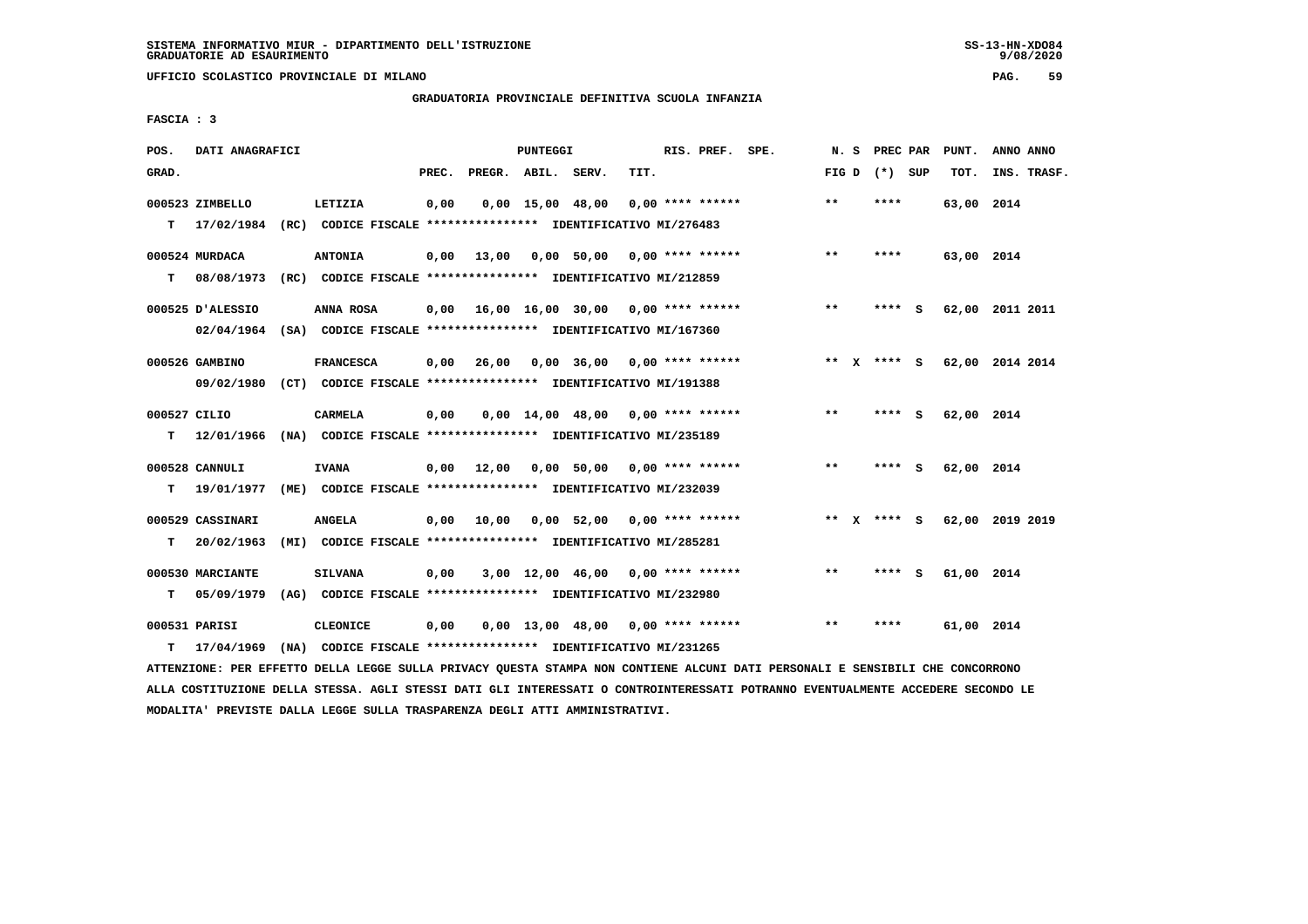**UFFICIO SCOLASTICO PROVINCIALE DI MILANO PAG. 59**

# **GRADUATORIA PROVINCIALE DEFINITIVA SCUOLA INFANZIA**

 **FASCIA : 3**

| POS.         | DATI ANAGRAFICI  |                                                                         |       |                    | PUNTEGGI           |                                     |      | RIS. PREF. SPE.    | N.S   | PREC PAR        |     | PUNT.      | ANNO ANNO       |
|--------------|------------------|-------------------------------------------------------------------------|-------|--------------------|--------------------|-------------------------------------|------|--------------------|-------|-----------------|-----|------------|-----------------|
| GRAD.        |                  |                                                                         | PREC. | PREGR. ABIL. SERV. |                    |                                     | TIT. |                    |       | FIG D $(*)$ SUP |     | TOT.       | INS. TRASF.     |
|              | 000523 ZIMBELLO  | LETIZIA                                                                 | 0,00  |                    | $0.00$ 15.00 48.00 |                                     |      | $0.00$ **** ****** | $* *$ | ****            |     | 63,00 2014 |                 |
| т            | 17/02/1984       | (RC) CODICE FISCALE **************** IDENTIFICATIVO MI/276483           |       |                    |                    |                                     |      |                    |       |                 |     |            |                 |
|              | 000524 MURDACA   | <b>ANTONIA</b>                                                          | 0,00  | 13,00              |                    | $0.00$ 50.00 0.00 **** ******       |      |                    | $***$ | ****            |     | 63,00 2014 |                 |
| т            | 08/08/1973       | (RC) CODICE FISCALE **************** IDENTIFICATIVO MI/212859           |       |                    |                    |                                     |      |                    |       |                 |     |            |                 |
|              | 000525 D'ALESSIO | ANNA ROSA                                                               | 0.00  |                    |                    | 16,00 16,00 30,00 0,00 **** ******  |      |                    | **    | **** S          |     |            | 62,00 2011 2011 |
|              |                  | 02/04/1964 (SA) CODICE FISCALE *************** IDENTIFICATIVO MI/167360 |       |                    |                    |                                     |      |                    |       |                 |     |            |                 |
|              | 000526 GAMBINO   | <b>FRANCESCA</b>                                                        | 0,00  | 26,00              |                    | $0.00$ 36.00 0.00 **** ******       |      |                    |       | ** x **** s     |     |            | 62,00 2014 2014 |
|              | 09/02/1980       | (CT) CODICE FISCALE **************** IDENTIFICATIVO MI/191388           |       |                    |                    |                                     |      |                    |       |                 |     |            |                 |
| 000527 CILIO |                  | CARMELA                                                                 | 0,00  |                    |                    | $0.00$ 14.00 48.00 0.00 **** ****** |      |                    | **    | **** S          |     | 62,00 2014 |                 |
| т            | 12/01/1966       | (NA) CODICE FISCALE **************** IDENTIFICATIVO MI/235189           |       |                    |                    |                                     |      |                    |       |                 |     |            |                 |
|              | 000528 CANNULI   | <b>IVANA</b>                                                            | 0,00  | 12,00              |                    | $0,00$ 50,00 0,00 **** ******       |      |                    | $***$ | **** S          |     | 62,00 2014 |                 |
| т            | 19/01/1977       | (ME) CODICE FISCALE **************** IDENTIFICATIVO MI/232039           |       |                    |                    |                                     |      |                    |       |                 |     |            |                 |
|              | 000529 CASSINARI | <b>ANGELA</b>                                                           | 0.00  | 10,00              |                    | $0,00$ 52,00 0,00 **** ******       |      |                    |       | ** X **** S     |     |            | 62,00 2019 2019 |
| т            | 20/02/1963       | (MI) CODICE FISCALE **************** IDENTIFICATIVO MI/285281           |       |                    |                    |                                     |      |                    |       |                 |     |            |                 |
|              | 000530 MARCIANTE | <b>SILVANA</b>                                                          | 0,00  |                    |                    | $3,00$ 12,00 46,00 0,00 **** ****** |      |                    | $* *$ | ****            | - S | 61,00 2014 |                 |
| т            | 05/09/1979       | (AG) CODICE FISCALE **************** IDENTIFICATIVO MI/232980           |       |                    |                    |                                     |      |                    |       |                 |     |            |                 |
|              | 000531 PARISI    | <b>CLEONICE</b>                                                         | 0,00  |                    |                    | $0,00$ 13,00 48,00 0,00 **** ****** |      |                    | $* *$ | ****            |     | 61,00 2014 |                 |
| T.           | 17/04/1969       | (NA) CODICE FISCALE **************** IDENTIFICATIVO MI/231265           |       |                    |                    |                                     |      |                    |       |                 |     |            |                 |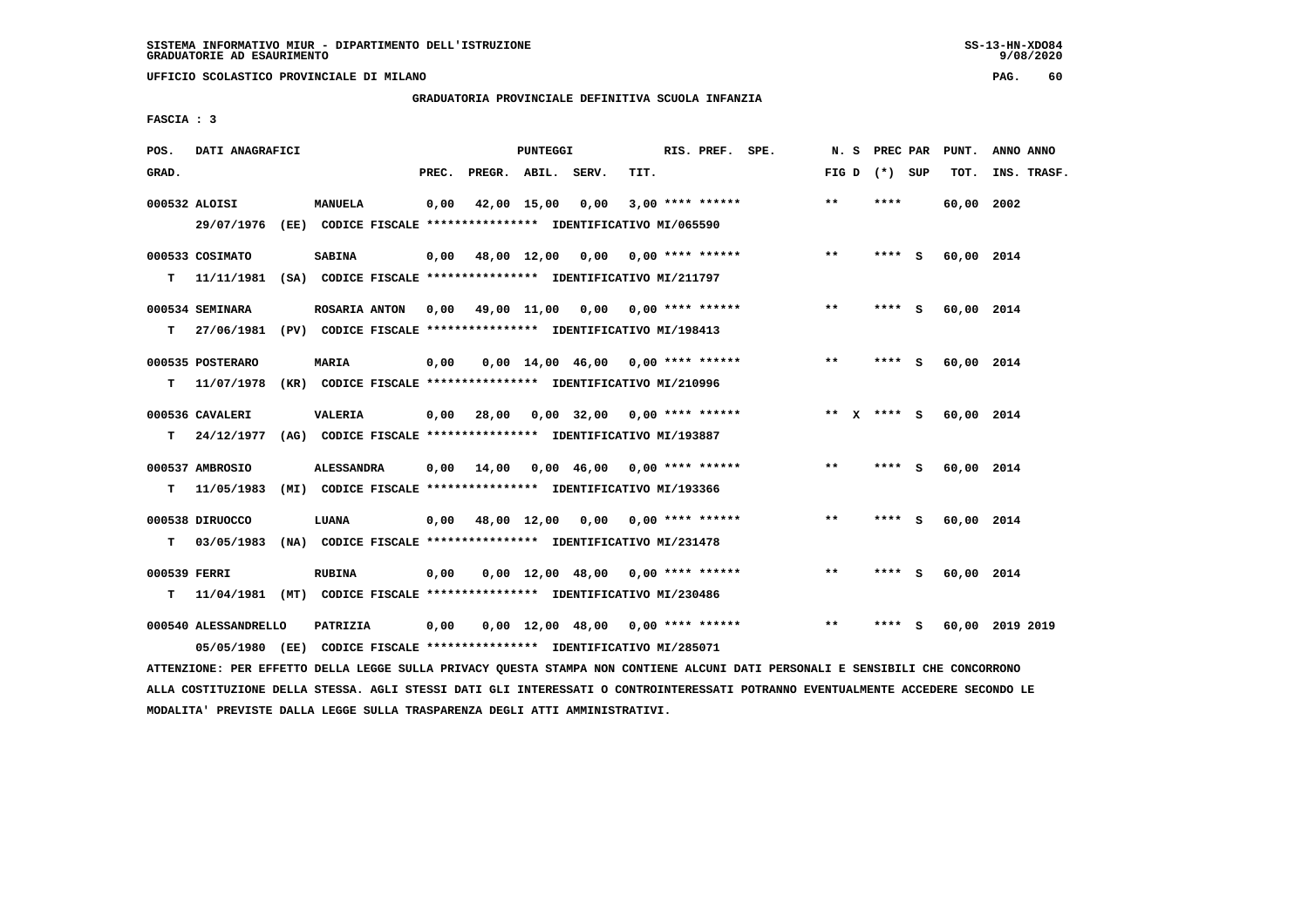**UFFICIO SCOLASTICO PROVINCIALE DI MILANO PAG. 60**

# **GRADUATORIA PROVINCIALE DEFINITIVA SCUOLA INFANZIA**

 **FASCIA : 3**

| POS.              | DATI ANAGRAFICI                                                                          |                                                                                       |       |                          | <b>PUNTEGGI</b> |                                     |      | RIS. PREF. SPE.    | N. S            | PREC PAR |     | PUNT.      | ANNO ANNO       |
|-------------------|------------------------------------------------------------------------------------------|---------------------------------------------------------------------------------------|-------|--------------------------|-----------------|-------------------------------------|------|--------------------|-----------------|----------|-----|------------|-----------------|
| GRAD.             |                                                                                          |                                                                                       | PREC. | PREGR. ABIL.             |                 | SERV.                               | TIT. |                    | FIG D $(*)$ SUP |          |     | TOT.       | INS. TRASF.     |
|                   | 000532 ALOISI<br>29/07/1976 (EE) CODICE FISCALE *************** IDENTIFICATIVO MI/065590 | <b>MANUELA</b>                                                                        | 0,00  | 42,00 15,00              |                 | 0,00                                |      | $3,00$ **** ****** | $***$           | ****     |     | 60,00 2002 |                 |
| т                 | 000533 COSIMATO<br>11/11/1981                                                            | <b>SABINA</b><br>(SA) CODICE FISCALE **************** IDENTIFICATIVO MI/211797        | 0,00  | 48,00 12,00              |                 | 0,00                                |      | $0,00$ **** ****** | $***$           | **** S   |     | 60,00 2014 |                 |
| т                 | 000534 SEMINARA<br>27/06/1981                                                            | <b>ROSARIA ANTON</b><br>(PV) CODICE FISCALE **************** IDENTIFICATIVO MI/198413 | 0,00  |                          |                 | 49,00 11,00 0,00 0,00 **** ******   |      |                    | $* *$           | **** S   |     | 60,00 2014 |                 |
| т                 | 000535 POSTERARO<br>11/07/1978                                                           | <b>MARIA</b><br>(KR) CODICE FISCALE **************** IDENTIFICATIVO MI/210996         | 0,00  |                          |                 | $0.00$ 14.00 46.00 0.00 **** ****** |      |                    | **              | ****     | - S | 60,00 2014 |                 |
| т                 | 000536 CAVALERI<br>24/12/1977                                                            | <b>VALERIA</b><br>(AG) CODICE FISCALE **************** IDENTIFICATIVO MI/193887       | 0,00  | 28,00                    |                 | $0.00$ 32.00 0.00 **** ******       |      |                    | $***$ X         | **** S   |     | 60,00 2014 |                 |
| т                 | 000537 AMBROSIO<br>11/05/1983                                                            | <b>ALESSANDRA</b><br>(MI) CODICE FISCALE **************** IDENTIFICATIVO MI/193366    | 0,00  | 14,00                    |                 | $0,00$ 46,00 0,00 **** ******       |      |                    | $***$           | **** S   |     | 60,00 2014 |                 |
| т                 | 000538 DIRUOCCO<br>03/05/1983                                                            | LUANA<br>(NA) CODICE FISCALE **************** IDENTIFICATIVO MI/231478                |       | $0.00 \t 48.00 \t 12.00$ |                 | 0,00                                |      | $0.00$ **** ****** | **              | **** S   |     | 60,00 2014 |                 |
| 000539 FERRI<br>т | 11/04/1981 (MT) CODICE FISCALE **************** IDENTIFICATIVO MI/230486                 | <b>RUBINA</b>                                                                         | 0,00  |                          |                 | $0.00$ 12.00 48.00 0.00 **** ****** |      |                    | $* *$           | **** S   |     | 60,00 2014 |                 |
|                   | 000540 ALESSANDRELLO<br>05/05/1980 (EE)                                                  | PATRIZIA<br>CODICE FISCALE **************** IDENTIFICATIVO MI/285071                  | 0,00  |                          |                 | $0,00$ 12,00 48,00 0,00 **** ****** |      |                    | $* *$           | **** S   |     |            | 60,00 2019 2019 |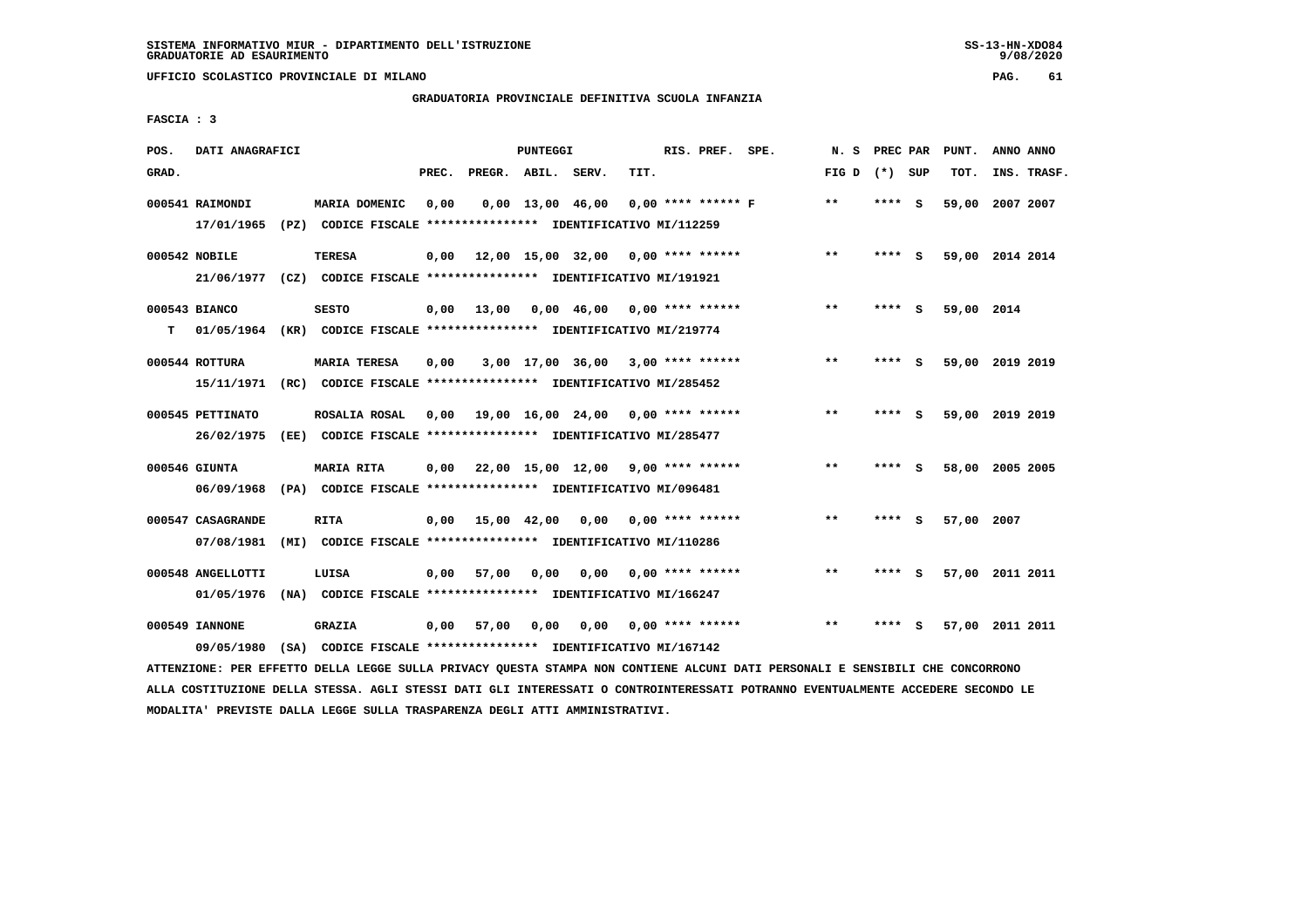**UFFICIO SCOLASTICO PROVINCIALE DI MILANO PAG. 61**

# **GRADUATORIA PROVINCIALE DEFINITIVA SCUOLA INFANZIA**

 **FASCIA : 3**

| POS.  | DATI ANAGRAFICI   |                                                                         |       |                    | PUNTEGGI |                                     |      | RIS. PREF.           | SPE. | N.S             | PREC PAR |          | PUNT.      | ANNO ANNO       |  |
|-------|-------------------|-------------------------------------------------------------------------|-------|--------------------|----------|-------------------------------------|------|----------------------|------|-----------------|----------|----------|------------|-----------------|--|
| GRAD. |                   |                                                                         | PREC. | PREGR. ABIL. SERV. |          |                                     | TIT. |                      |      | FIG D $(*)$ SUP |          |          | TOT.       | INS. TRASF.     |  |
|       | 000541 RAIMONDI   | MARIA DOMENIC                                                           | 0,00  |                    |          | $0,00$ 13,00 46,00                  |      | $0.00$ **** ****** F |      | $**$            | ****     | <b>S</b> | 59,00      | 2007 2007       |  |
|       | 17/01/1965        | (PZ) CODICE FISCALE **************** IDENTIFICATIVO MI/112259           |       |                    |          |                                     |      |                      |      |                 |          |          |            |                 |  |
|       | 000542 NOBILE     | <b>TERESA</b>                                                           | 0,00  |                    |          | 12,00 15,00 32,00                   |      | $0.00$ **** ******   |      | **              | **** S   |          |            | 59,00 2014 2014 |  |
|       | 21/06/1977        | (CZ) CODICE FISCALE **************** IDENTIFICATIVO MI/191921           |       |                    |          |                                     |      |                      |      |                 |          |          |            |                 |  |
|       | 000543 BIANCO     | <b>SESTO</b>                                                            | 0,00  | 13,00              |          | 0,00 46,00                          |      | $0.00$ **** ******   |      | **              | ****     | - S      | 59,00 2014 |                 |  |
| т     |                   | 01/05/1964 (KR) CODICE FISCALE *************** IDENTIFICATIVO MI/219774 |       |                    |          |                                     |      |                      |      |                 |          |          |            |                 |  |
|       | 000544 ROTTURA    | <b>MARIA TERESA</b>                                                     | 0,00  |                    |          | $3,00$ 17,00 36,00 3,00 **** ****** |      |                      |      | $***$           | ****     | <b>S</b> |            | 59,00 2019 2019 |  |
|       | 15/11/1971        | (RC) CODICE FISCALE **************** IDENTIFICATIVO MI/285452           |       |                    |          |                                     |      |                      |      |                 |          |          |            |                 |  |
|       | 000545 PETTINATO  | ROSALIA ROSAL                                                           | 0,00  |                    |          | 19,00 16,00 24,00                   |      | $0.00$ **** ******   |      | $\star\star$    | ****     | - S      |            | 59,00 2019 2019 |  |
|       | 26/02/1975        | (EE) CODICE FISCALE **************** IDENTIFICATIVO MI/285477           |       |                    |          |                                     |      |                      |      |                 |          |          |            |                 |  |
|       | 000546 GIUNTA     | MARIA RITA                                                              | 0,00  |                    |          | 22,00 15,00 12,00 9,00 **** ******  |      |                      |      | **              | ****     | - S      |            | 58,00 2005 2005 |  |
|       | 06/09/1968        | (PA) CODICE FISCALE **************** IDENTIFICATIVO MI/096481           |       |                    |          |                                     |      |                      |      |                 |          |          |            |                 |  |
|       | 000547 CASAGRANDE | <b>RITA</b>                                                             | 0.00  | 15,00 42,00        |          | 0.00                                |      | $0.00$ **** ******   |      | $* *$           | ****     | - S      | 57,00 2007 |                 |  |
|       | 07/08/1981        | (MI) CODICE FISCALE **************** IDENTIFICATIVO MI/110286           |       |                    |          |                                     |      |                      |      |                 |          |          |            |                 |  |
|       | 000548 ANGELLOTTI | LUISA                                                                   | 0,00  | 57,00              | 0,00     | 0.00                                |      | $0.00$ **** ******   |      | $**$            |          | - S      |            | 57,00 2011 2011 |  |
|       | 01/05/1976        | (NA) CODICE FISCALE **************** IDENTIFICATIVO MI/166247           |       |                    |          |                                     |      |                      |      |                 |          |          |            |                 |  |
|       | 000549 IANNONE    | <b>GRAZIA</b>                                                           | 0,00  | 57,00              | 0,00     | 0,00                                |      | $0.00$ **** ******   |      | $* *$           |          | s        |            | 57,00 2011 2011 |  |
|       | 09/05/1980        | (SA) CODICE FISCALE **************** IDENTIFICATIVO MI/167142           |       |                    |          |                                     |      |                      |      |                 |          |          |            |                 |  |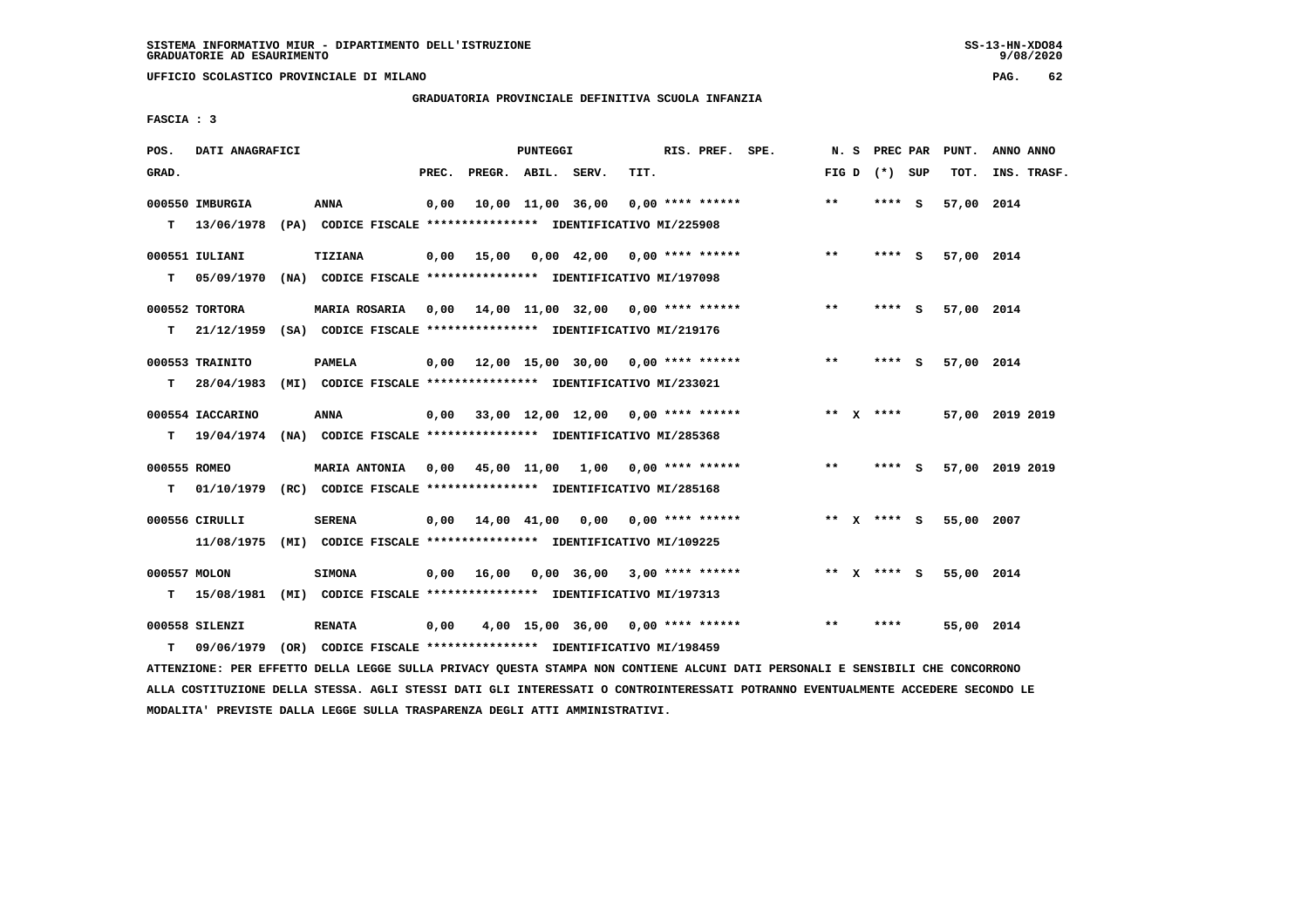**UFFICIO SCOLASTICO PROVINCIALE DI MILANO PAG. 62**

## **GRADUATORIA PROVINCIALE DEFINITIVA SCUOLA INFANZIA**

 **FASCIA : 3**

| POS.              | DATI ANAGRAFICI               |                                                                                                                                  |       |                    | PUNTEGGI |                                           |      | RIS. PREF. SPE.    | N. S            | <b>PREC PAR</b> |     | PUNT.      | ANNO ANNO       |
|-------------------|-------------------------------|----------------------------------------------------------------------------------------------------------------------------------|-------|--------------------|----------|-------------------------------------------|------|--------------------|-----------------|-----------------|-----|------------|-----------------|
| GRAD.             |                               |                                                                                                                                  | PREC. | PREGR. ABIL. SERV. |          |                                           | TIT. |                    | FIG D $(*)$ SUP |                 |     | TOT.       | INS. TRASF.     |
| т                 | 000550 IMBURGIA<br>13/06/1978 | ANNA<br>(PA) CODICE FISCALE **************** IDENTIFICATIVO MI/225908                                                            | 0,00  |                    |          | 10,00 11,00 36,00                         |      | $0.00$ **** ****** | $***$           | **** S          |     | 57,00 2014 |                 |
| т                 | 000551 IULIANI<br>05/09/1970  | TIZIANA<br>(NA) CODICE FISCALE **************** IDENTIFICATIVO MI/197098                                                         | 0,00  | 15,00              |          | 0,00 42,00 0,00 **** ******               |      |                    | $* *$           | $***$ S         |     | 57,00 2014 |                 |
| т                 | 000552 TORTORA                | MARIA ROSARIA 0,00 14,00 11,00 32,00 0,00 **** ******<br>21/12/1959 (SA) CODICE FISCALE *************** IDENTIFICATIVO MI/219176 |       |                    |          |                                           |      |                    | $***$           | **** S          |     | 57,00 2014 |                 |
| т                 | 000553 TRAINITO<br>28/04/1983 | PAMELA<br>(MI) CODICE FISCALE **************** IDENTIFICATIVO MI/233021                                                          |       |                    |          | 0,00 12,00 15,00 30,00 0,00 **** ******   |      |                    | $* *$           | ****            | - S | 57,00 2014 |                 |
| т                 | 000554 IACCARINO              | ANNA<br>19/04/1974 (NA) CODICE FISCALE **************** IDENTIFICATIVO MI/285368                                                 |       |                    |          | $0,00$ 33,00 12,00 12,00 0,00 **** ****** |      |                    | ** $X$ ****     |                 |     |            | 57,00 2019 2019 |
| 000555 ROMEO<br>т |                               | <b>MARIA ANTONIA</b><br>01/10/1979 (RC) CODICE FISCALE *************** IDENTIFICATIVO MI/285168                                  |       |                    |          | $0,00$ 45,00 11,00 1,00 0,00 **** ******  |      |                    | $\star\star$    | **** S          |     |            | 57,00 2019 2019 |
|                   | 000556 CIRULLI<br>11/08/1975  | <b>SERENA</b><br>(MI) CODICE FISCALE *************** IDENTIFICATIVO MI/109225                                                    |       |                    |          | $0.00$ 14.00 41.00 0.00 0.00 **** ******  |      |                    | ** X **** S     |                 |     | 55,00 2007 |                 |
| 000557 MOLON<br>т | 15/08/1981                    | <b>SIMONA</b><br>(MI) CODICE FISCALE **************** IDENTIFICATIVO MI/197313                                                   | 0,00  | 16,00              |          | $0,00$ 36,00 3,00 **** ******             |      |                    | ** x **** S     |                 |     | 55,00 2014 |                 |
| т                 | 000558 SILENZI<br>09/06/1979  | <b>RENATA</b><br>(OR) CODICE FISCALE **************** IDENTIFICATIVO MI/198459                                                   | 0,00  |                    |          | 4,00 15,00 36,00 0,00 **** ******         |      |                    | $***$           | ****            |     | 55,00 2014 |                 |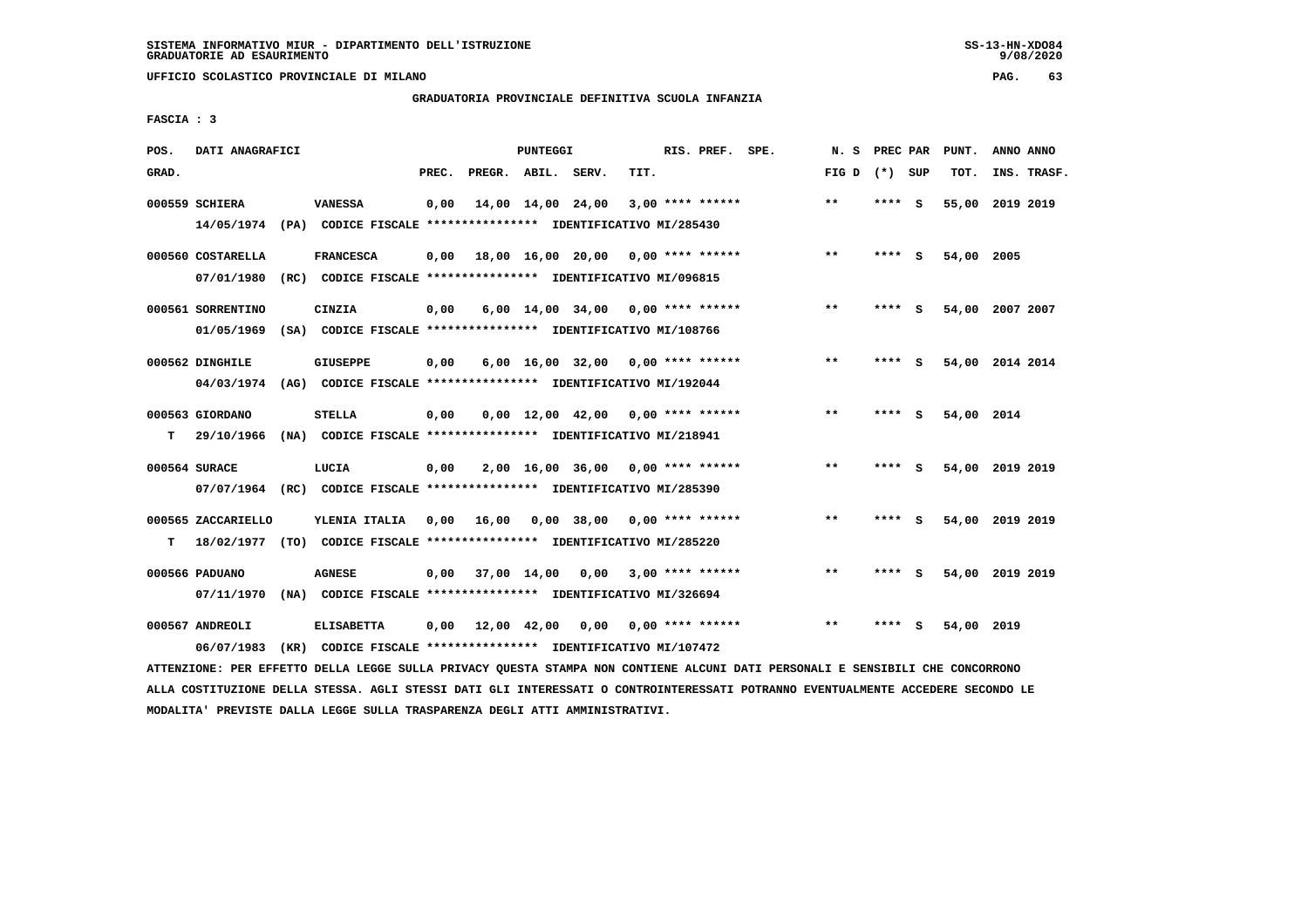**UFFICIO SCOLASTICO PROVINCIALE DI MILANO PAG. 63**

# **GRADUATORIA PROVINCIALE DEFINITIVA SCUOLA INFANZIA**

 **FASCIA : 3**

| POS.  | DATI ANAGRAFICI    |                                                                                           |       |                    | PUNTEGGI |                                     |      | RIS. PREF. SPE.    | N. S  | PREC PAR |     | PUNT.      | ANNO ANNO       |  |
|-------|--------------------|-------------------------------------------------------------------------------------------|-------|--------------------|----------|-------------------------------------|------|--------------------|-------|----------|-----|------------|-----------------|--|
| GRAD. |                    |                                                                                           | PREC. | PREGR. ABIL. SERV. |          |                                     | TIT. |                    | FIG D | (*) SUP  |     | TOT.       | INS. TRASF.     |  |
|       | 000559 SCHIERA     | <b>VANESSA</b><br>14/05/1974 (PA) CODICE FISCALE *************** IDENTIFICATIVO MI/285430 | 0,00  |                    |          | 14,00 14,00 24,00                   |      | $3,00$ **** ****** | **    | **** S   |     |            | 55,00 2019 2019 |  |
|       |                    |                                                                                           |       |                    |          |                                     |      |                    |       |          |     |            |                 |  |
|       | 000560 COSTARELLA  | <b>FRANCESCA</b>                                                                          | 0,00  |                    |          | 18,00 16,00 20,00 0,00 **** ******  |      |                    | $* *$ | ****     | - S | 54,00 2005 |                 |  |
|       | 07/01/1980         | (RC) CODICE FISCALE **************** IDENTIFICATIVO MI/096815                             |       |                    |          |                                     |      |                    |       |          |     |            |                 |  |
|       | 000561 SORRENTINO  | <b>CINZIA</b>                                                                             | 0,00  |                    |          | $6,00$ 14,00 34,00 0,00 **** ****** |      |                    | $* *$ | ****     | - S |            | 54,00 2007 2007 |  |
|       | 01/05/1969         | (SA) CODICE FISCALE *************** IDENTIFICATIVO MI/108766                              |       |                    |          |                                     |      |                    |       |          |     |            |                 |  |
|       | 000562 DINGHILE    | <b>GIUSEPPE</b>                                                                           | 0,00  |                    |          | $6,00$ 16,00 32,00 0,00 **** ****** |      |                    | $* *$ | ****     | - 5 |            | 54,00 2014 2014 |  |
|       |                    | 04/03/1974 (AG) CODICE FISCALE *************** IDENTIFICATIVO MI/192044                   |       |                    |          |                                     |      |                    |       |          |     |            |                 |  |
|       | 000563 GIORDANO    | STELLA                                                                                    | 0,00  |                    |          | $0.00$ 12.00 42.00 0.00 **** ****** |      |                    | **    | **** S   |     | 54,00 2014 |                 |  |
| т     | 29/10/1966         | (NA) CODICE FISCALE **************** IDENTIFICATIVO MI/218941                             |       |                    |          |                                     |      |                    |       |          |     |            |                 |  |
|       |                    |                                                                                           |       |                    |          |                                     |      |                    |       |          |     |            |                 |  |
|       | 000564 SURACE      | LUCIA<br>07/07/1964 (RC) CODICE FISCALE *************** IDENTIFICATIVO MI/285390          | 0,00  |                    |          | 2,00 16,00 36,00                    |      | $0.00$ **** ****** | **    | ****     | - S |            | 54,00 2019 2019 |  |
|       |                    |                                                                                           |       |                    |          |                                     |      |                    |       |          |     |            |                 |  |
|       | 000565 ZACCARIELLO | YLENIA ITALIA                                                                             | 0,00  | 16,00              |          | 0,00 38,00                          |      | 0,00 **** ******   | $* *$ | **** S   |     |            | 54,00 2019 2019 |  |
| т     |                    | 18/02/1977 (TO) CODICE FISCALE **************** IDENTIFICATIVO MI/285220                  |       |                    |          |                                     |      |                    |       |          |     |            |                 |  |
|       | 000566 PADUANO     | <b>AGNESE</b>                                                                             | 0,00  | 37,00 14,00        |          | 0,00                                |      | $3.00$ **** ****** | **    | **** S   |     |            | 54,00 2019 2019 |  |
|       | 07/11/1970         | (NA) CODICE FISCALE **************** IDENTIFICATIVO MI/326694                             |       |                    |          |                                     |      |                    |       |          |     |            |                 |  |
|       | 000567 ANDREOLI    | <b>ELISABETTA</b>                                                                         | 0,00  | 12,00 42,00        |          | 0,00                                |      | $0.00$ **** ****** | $* *$ | ****     | s   | 54,00 2019 |                 |  |
|       | 06/07/1983         | (KR) CODICE FISCALE **************** IDENTIFICATIVO MI/107472                             |       |                    |          |                                     |      |                    |       |          |     |            |                 |  |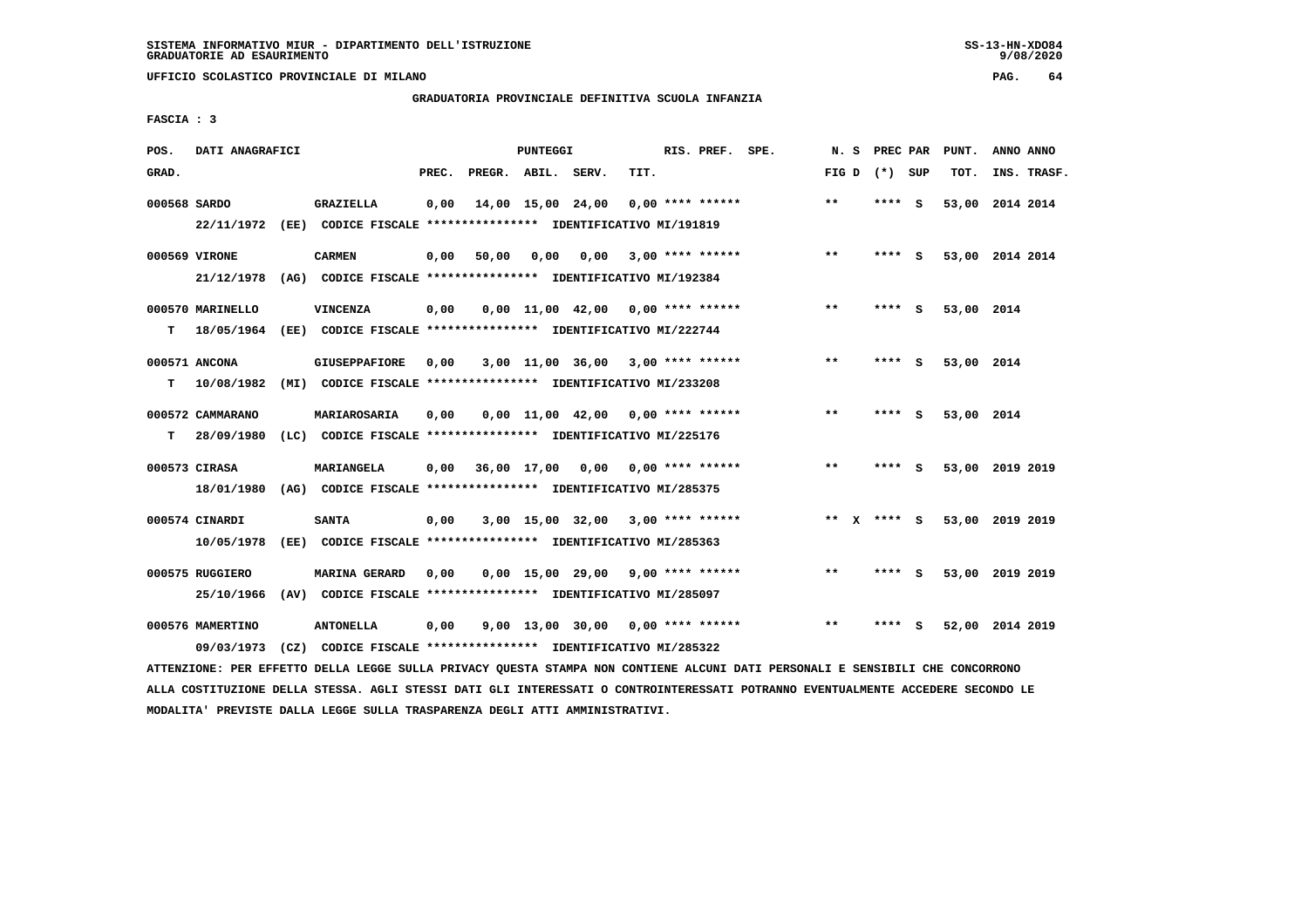**UFFICIO SCOLASTICO PROVINCIALE DI MILANO PAG. 64**

# **GRADUATORIA PROVINCIALE DEFINITIVA SCUOLA INFANZIA**

 **FASCIA : 3**

| POS.         | DATI ANAGRAFICI  |                                                               |       |                    | PUNTEGGI          |                                     |      | RIS. PREF. SPE.    | N. S         | PREC PAR        |     | PUNT.           | ANNO ANNO |             |
|--------------|------------------|---------------------------------------------------------------|-------|--------------------|-------------------|-------------------------------------|------|--------------------|--------------|-----------------|-----|-----------------|-----------|-------------|
| GRAD.        |                  |                                                               | PREC. | PREGR. ABIL. SERV. |                   |                                     | TIT. |                    |              | FIG D $(*)$ SUP |     | TOT.            |           | INS. TRASF. |
| 000568 SARDO |                  | GRAZIELLA                                                     | 0,00  |                    | 14,00 15,00 24,00 |                                     |      | $0.00$ **** ****** | $\star\star$ | **** S          |     | 53,00 2014 2014 |           |             |
|              | 22/11/1972       | (EE) CODICE FISCALE **************** IDENTIFICATIVO MI/191819 |       |                    |                   |                                     |      |                    |              |                 |     |                 |           |             |
|              | 000569 VIRONE    | <b>CARMEN</b>                                                 | 0,00  | 50,00              | 0,00              | 0.00                                |      | $3.00$ **** ****** | $**$         | **** S          |     | 53,00 2014 2014 |           |             |
|              | 21/12/1978       | (AG) CODICE FISCALE **************** IDENTIFICATIVO MI/192384 |       |                    |                   |                                     |      |                    |              |                 |     |                 |           |             |
|              | 000570 MARINELLO | <b>VINCENZA</b>                                               | 0,00  |                    |                   | $0,00$ 11,00 42,00 0,00 **** ****** |      |                    | $***$        | **** S          |     | 53,00 2014      |           |             |
| т            | 18/05/1964       | (EE) CODICE FISCALE **************** IDENTIFICATIVO MI/222744 |       |                    |                   |                                     |      |                    |              |                 |     |                 |           |             |
|              | 000571 ANCONA    | <b>GIUSEPPAFIORE</b>                                          | 0.00  |                    |                   | $3,00$ 11,00 36,00 3,00 **** ****** |      |                    | $**$         | ****            | - S | 53,00 2014      |           |             |
| т            | 10/08/1982       | (MI) CODICE FISCALE **************** IDENTIFICATIVO MI/233208 |       |                    |                   |                                     |      |                    |              |                 |     |                 |           |             |
|              | 000572 CAMMARANO | MARIAROSARIA                                                  | 0.00  |                    |                   | $0.00$ 11.00 42.00 0.00 **** ****** |      |                    | $**$         | ****            | - S | 53,00 2014      |           |             |
| т            | 28/09/1980       | (LC) CODICE FISCALE **************** IDENTIFICATIVO MI/225176 |       |                    |                   |                                     |      |                    |              |                 |     |                 |           |             |
|              | 000573 CIRASA    | MARIANGELA                                                    | 0,00  |                    |                   | 36,00 17,00 0,00 0,00 **** ******   |      |                    | $**$         | **** S          |     | 53,00 2019 2019 |           |             |
|              | 18/01/1980       | (AG) CODICE FISCALE **************** IDENTIFICATIVO MI/285375 |       |                    |                   |                                     |      |                    |              |                 |     |                 |           |             |
|              | 000574 CINARDI   | <b>SANTA</b>                                                  | 0,00  |                    |                   | $3,00$ 15,00 32,00 3,00 **** ****** |      |                    | ** $X$       | **** S          |     | 53,00 2019 2019 |           |             |
|              | 10/05/1978       | (EE) CODICE FISCALE **************** IDENTIFICATIVO MI/285363 |       |                    |                   |                                     |      |                    |              |                 |     |                 |           |             |
|              | 000575 RUGGIERO  | <b>MARINA GERARD</b>                                          | 0,00  |                    |                   | $0,00$ 15,00 29,00 9,00 **** ****** |      |                    | $* *$        | **** S          |     | 53,00 2019 2019 |           |             |
|              | 25/10/1966       | (AV) CODICE FISCALE **************** IDENTIFICATIVO MI/285097 |       |                    |                   |                                     |      |                    |              |                 |     |                 |           |             |
|              | 000576 MAMERTINO | <b>ANTONELLA</b>                                              | 0,00  |                    |                   | 9,00 13,00 30,00                    |      | $0.00$ **** ****** | $**$         | ****            | S   | 52,00 2014 2019 |           |             |
|              | 09/03/1973       | (CZ) CODICE FISCALE **************** IDENTIFICATIVO MI/285322 |       |                    |                   |                                     |      |                    |              |                 |     |                 |           |             |
|              |                  |                                                               |       |                    |                   |                                     |      |                    |              |                 |     |                 |           |             |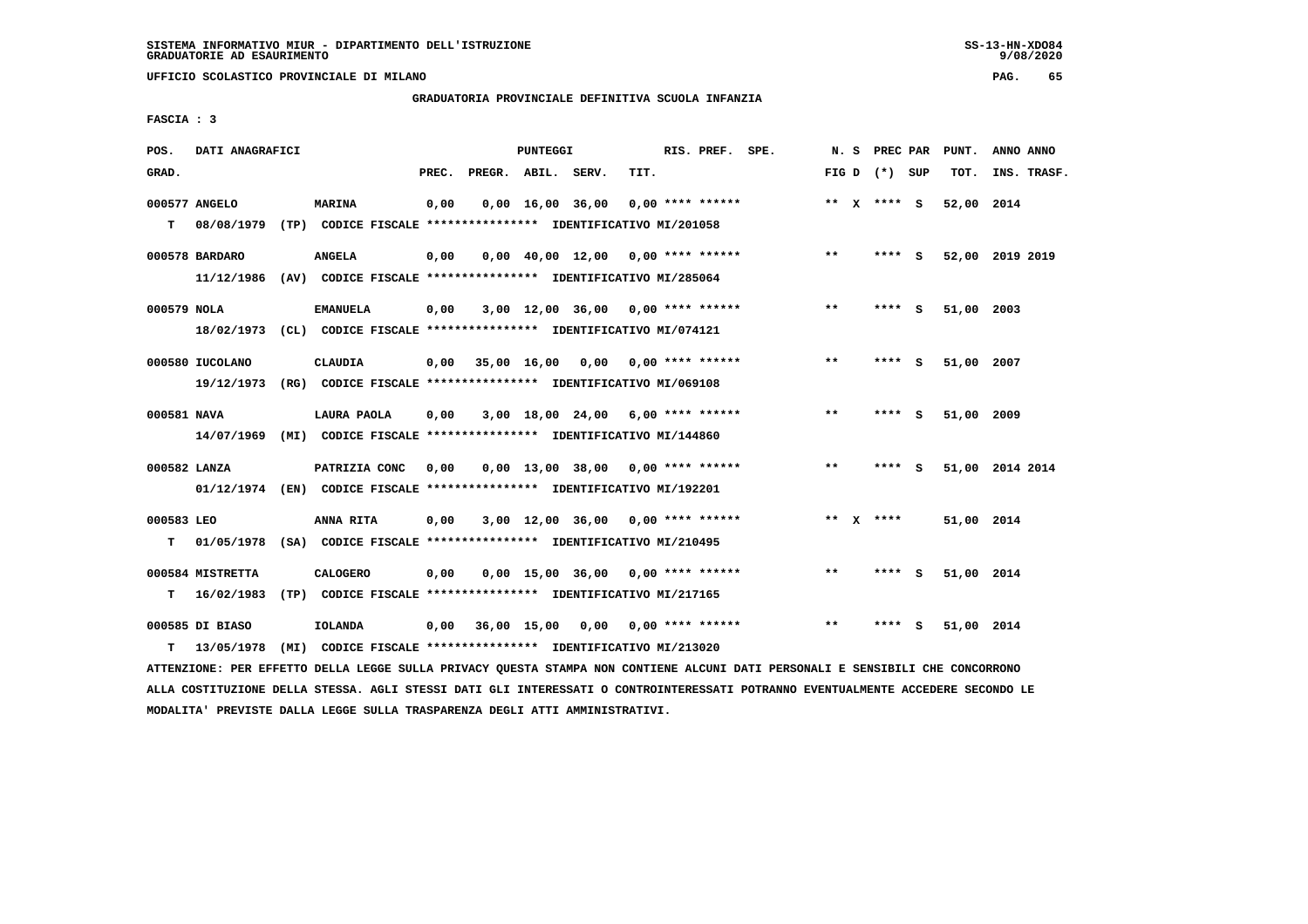**UFFICIO SCOLASTICO PROVINCIALE DI MILANO PAG. 65**

#### **GRADUATORIA PROVINCIALE DEFINITIVA SCUOLA INFANZIA**

 **FASCIA : 3**

| POS.            | DATI ANAGRAFICI                |      |                                                                                          |       |                    | PUNTEGGI |                                     |      | RIS. PREF. SPE.           | N.S   | PREC PAR        |     | PUNT.      | ANNO ANNO       |
|-----------------|--------------------------------|------|------------------------------------------------------------------------------------------|-------|--------------------|----------|-------------------------------------|------|---------------------------|-------|-----------------|-----|------------|-----------------|
| GRAD.           |                                |      |                                                                                          | PREC. | PREGR. ABIL. SERV. |          |                                     | TIT. |                           |       | FIG D $(*)$ SUP |     | TOT.       | INS. TRASF.     |
| т               | 000577 ANGELO<br>08/08/1979    |      | <b>MARINA</b><br>(TP) CODICE FISCALE **************** IDENTIFICATIVO MI/201058           | 0,00  |                    |          | $0,00 \quad 16,00 \quad 36,00$      |      | $0.00$ **** ******        |       | ** $X$ **** S   |     | 52,00 2014 |                 |
|                 | 000578 BARDARO<br>11/12/1986   |      | <b>ANGELA</b><br>(AV) CODICE FISCALE **************** IDENTIFICATIVO MI/285064           | 0,00  |                    |          | $0,00$ 40,00 12,00 0,00 **** ****** |      |                           | $***$ | **** S          |     |            | 52,00 2019 2019 |
| 000579 NOLA     | 18/02/1973                     |      | <b>EMANUELA</b><br>(CL) CODICE FISCALE **************** IDENTIFICATIVO MI/074121         | 0,00  |                    |          | $3,00$ 12,00 36,00 0,00 **** ****** |      |                           | $***$ | **** S          |     | 51,00 2003 |                 |
|                 | 000580 IUCOLANO<br>19/12/1973  |      | <b>CLAUDIA</b><br>(RG) CODICE FISCALE **************** IDENTIFICATIVO MI/069108          | 0,00  | 35,00 16,00        |          |                                     |      | $0,00$ $0,00$ **** ****** | $* *$ | ****            | s   | 51,00 2007 |                 |
| 000581 NAVA     | 14/07/1969                     |      | LAURA PAOLA<br>(MI) CODICE FISCALE **************** IDENTIFICATIVO MI/144860             | 0.00  |                    |          | $3,00$ 18,00 24,00 6,00 **** ****** |      |                           | $* *$ | ****            | - S | 51,00 2009 |                 |
| 000582 LANZA    |                                |      | PATRIZIA CONC<br>01/12/1974 (EN) CODICE FISCALE *************** IDENTIFICATIVO MI/192201 | 0,00  |                    |          | $0,00$ 13,00 38,00 0,00 **** ****** |      |                           | $***$ | ****            | - S |            | 51,00 2014 2014 |
| 000583 LEO<br>т | 01/05/1978                     |      | ANNA RITA<br>(SA) CODICE FISCALE **************** IDENTIFICATIVO MI/210495               | 0,00  |                    |          | $3,00$ 12,00 36,00 0,00 **** ****** |      |                           |       | ** $X$ ****     |     | 51,00 2014 |                 |
| т               | 000584 MISTRETTA<br>16/02/1983 |      | <b>CALOGERO</b><br>(TP) CODICE FISCALE **************** IDENTIFICATIVO MI/217165         | 0.00  |                    |          | $0.00$ 15.00 36.00 0.00 **** ****** |      |                           | $***$ | ****            | - S | 51,00 2014 |                 |
| т               | 000585 DI BIASO<br>13/05/1978  | (MI) | <b>IOLANDA</b><br>CODICE FISCALE **************** IDENTIFICATIVO MI/213020               | 0.00  |                    |          | 36,00 15,00 0,00 0,00 **** ******   |      |                           | $* *$ | ****            | - S | 51,00 2014 |                 |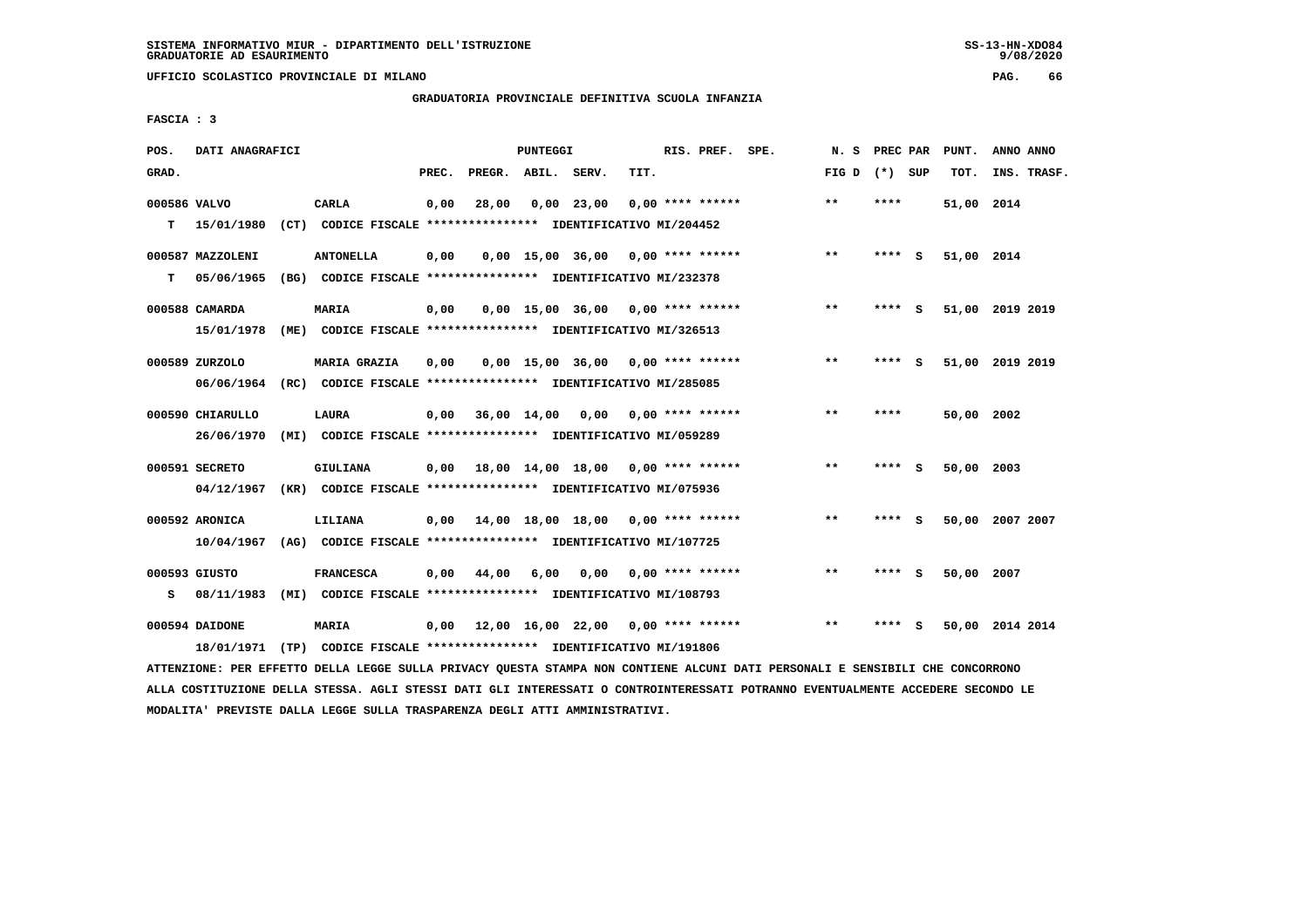**UFFICIO SCOLASTICO PROVINCIALE DI MILANO PAG. 66**

### **GRADUATORIA PROVINCIALE DEFINITIVA SCUOLA INFANZIA**

 **FASCIA : 3**

| POS.         | DATI ANAGRAFICI  |                                                               |       |                    | <b>PUNTEGGI</b> |                                     |      | RIS. PREF. SPE.    | N.S             | PREC PAR |     | PUNT.      | ANNO ANNO       |
|--------------|------------------|---------------------------------------------------------------|-------|--------------------|-----------------|-------------------------------------|------|--------------------|-----------------|----------|-----|------------|-----------------|
| GRAD.        |                  |                                                               | PREC. | PREGR. ABIL. SERV. |                 |                                     | TIT. |                    | FIG D $(*)$ SUP |          |     | TOT.       | INS. TRASF.     |
| 000586 VALVO |                  | CARLA                                                         | 0,00  | 28,00              |                 | $0,00$ 23,00                        |      | $0.00$ **** ****** | $**$            | ****     |     | 51,00 2014 |                 |
| т            | 15/01/1980       | (CT) CODICE FISCALE **************** IDENTIFICATIVO MI/204452 |       |                    |                 |                                     |      |                    |                 |          |     |            |                 |
|              | 000587 MAZZOLENI | <b>ANTONELLA</b>                                              | 0,00  |                    |                 | $0,00$ 15,00 36,00 0,00 **** ****** |      |                    | $***$           | $***$ S  |     | 51,00 2014 |                 |
| т            | 05/06/1965       | (BG) CODICE FISCALE **************** IDENTIFICATIVO MI/232378 |       |                    |                 |                                     |      |                    |                 |          |     |            |                 |
|              | 000588 CAMARDA   | <b>MARIA</b>                                                  | 0,00  |                    |                 | $0,00$ 15,00 36,00 0,00 **** ****** |      |                    | $**$            | ****     | - S |            | 51,00 2019 2019 |
|              | 15/01/1978       | (ME) CODICE FISCALE **************** IDENTIFICATIVO MI/326513 |       |                    |                 |                                     |      |                    |                 |          |     |            |                 |
|              | 000589 ZURZOLO   | <b>MARIA GRAZIA</b>                                           | 0,00  |                    |                 | $0,00$ 15,00 36,00 0,00 **** ****** |      |                    | $***$           | ****     | S.  |            | 51,00 2019 2019 |
|              | 06/06/1964       | (RC) CODICE FISCALE **************** IDENTIFICATIVO MI/285085 |       |                    |                 |                                     |      |                    |                 |          |     |            |                 |
|              | 000590 CHIARULLO | LAURA                                                         | 0,00  | 36,00 14,00        |                 | $0.00$ $0.00$ **** ******           |      |                    | $***$           | ****     |     | 50,00 2002 |                 |
|              | 26/06/1970       | (MI) CODICE FISCALE **************** IDENTIFICATIVO MI/059289 |       |                    |                 |                                     |      |                    |                 |          |     |            |                 |
|              | 000591 SECRETO   | <b>GIULIANA</b>                                               |       |                    |                 | 0,00 18,00 14,00 18,00              |      | $0.00$ **** ****** | $\star\star$    | ****     | - S | 50,00      | 2003            |
|              | 04/12/1967       | (KR) CODICE FISCALE **************** IDENTIFICATIVO MI/075936 |       |                    |                 |                                     |      |                    |                 |          |     |            |                 |
|              |                  |                                                               |       |                    |                 |                                     |      |                    |                 |          |     |            |                 |
|              | 000592 ARONICA   | LILIANA                                                       | 0,00  |                    |                 | 14,00 18,00 18,00 0,00 **** ******  |      |                    | $***$           | **** S   |     |            | 50,00 2007 2007 |
|              | 10/04/1967       | (AG) CODICE FISCALE **************** IDENTIFICATIVO MI/107725 |       |                    |                 |                                     |      |                    |                 |          |     |            |                 |
|              | 000593 GIUSTO    | <b>FRANCESCA</b>                                              | 0.00  | 44,00              | 6,00            | 0,00                                |      | 0,00 **** ******   | $**$            | **** S   |     | 50,00 2007 |                 |
| s            | 08/11/1983       | (MI) CODICE FISCALE **************** IDENTIFICATIVO MI/108793 |       |                    |                 |                                     |      |                    |                 |          |     |            |                 |
|              | 000594 DAIDONE   | <b>MARIA</b>                                                  | 0,00  |                    |                 | 12,00 16,00 22,00 0,00 **** ******  |      |                    | $* *$           |          | s   |            | 50,00 2014 2014 |
|              | 18/01/1971       | (TP) CODICE FISCALE **************** IDENTIFICATIVO MI/191806 |       |                    |                 |                                     |      |                    |                 |          |     |            |                 |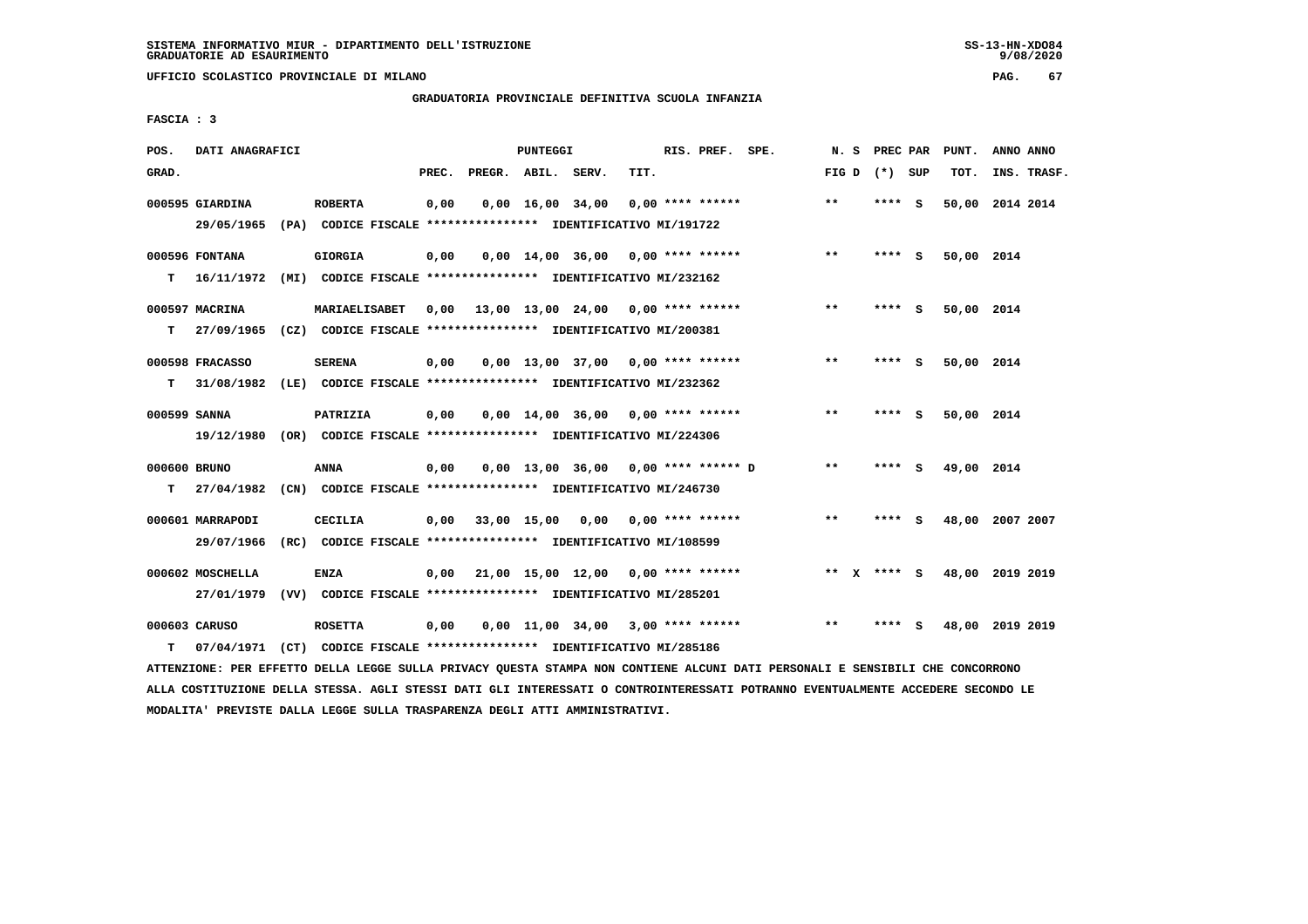**UFFICIO SCOLASTICO PROVINCIALE DI MILANO PAG. 67**

# **GRADUATORIA PROVINCIALE DEFINITIVA SCUOLA INFANZIA**

 **FASCIA : 3**

| POS.         | DATI ANAGRAFICI  |                                                                                                                               |       |                    | PUNTEGGI |                                                 |      | RIS. PREF. SPE.  |       | N. S |                 | PREC PAR PUNT. | ANNO ANNO                   |
|--------------|------------------|-------------------------------------------------------------------------------------------------------------------------------|-------|--------------------|----------|-------------------------------------------------|------|------------------|-------|------|-----------------|----------------|-----------------------------|
| GRAD.        |                  |                                                                                                                               | PREC. | PREGR. ABIL. SERV. |          |                                                 | TIT. |                  |       |      | FIG D $(*)$ SUP | TOT.           | INS. TRASF.                 |
|              | 000595 GIARDINA  | <b>ROBERTA</b>                                                                                                                | 0,00  |                    |          | 0,00 16,00 34,00                                |      | 0,00 **** ****** | $***$ |      | **** S          |                | 50,00 2014 2014             |
|              | 29/05/1965       | (PA) CODICE FISCALE **************** IDENTIFICATIVO MI/191722                                                                 |       |                    |          |                                                 |      |                  |       |      |                 |                |                             |
|              | 000596 FONTANA   | <b>GIORGIA</b>                                                                                                                | 0,00  |                    |          | $0.00$ 14.00 36.00 0.00 **** ******             |      |                  | **    |      | **** S          | 50,00 2014     |                             |
| т            |                  | 16/11/1972 (MI) CODICE FISCALE *************** IDENTIFICATIVO MI/232162                                                       |       |                    |          |                                                 |      |                  |       |      |                 |                |                             |
|              |                  |                                                                                                                               |       |                    |          |                                                 |      |                  |       |      |                 |                |                             |
|              | 000597 MACRINA   | MARIAELISABET                                                                                                                 |       |                    |          | $0,00$ 13,00 13,00 24,00 0,00 **** ******       |      |                  | $***$ |      | **** S          | 50,00 2014     |                             |
| т            |                  | 27/09/1965 (CZ) CODICE FISCALE **************** IDENTIFICATIVO MI/200381                                                      |       |                    |          |                                                 |      |                  |       |      |                 |                |                             |
|              | 000598 FRACASSO  | <b>SERENA</b>                                                                                                                 | 0,00  |                    |          | $0,00$ 13,00 37,00 0,00 **** ******             |      |                  | $***$ |      | **** S          | 50,00 2014     |                             |
| т            | 31/08/1982       | (LE) CODICE FISCALE **************** IDENTIFICATIVO MI/232362                                                                 |       |                    |          |                                                 |      |                  |       |      |                 |                |                             |
| 000599 SANNA |                  | PATRIZIA                                                                                                                      | 0,00  |                    |          | $0.00$ 14.00 36.00 0.00 **** ******             |      |                  | $**$  |      | **** S          | 50,00 2014     |                             |
|              |                  | 19/12/1980 (OR) CODICE FISCALE *************** IDENTIFICATIVO MI/224306                                                       |       |                    |          |                                                 |      |                  |       |      |                 |                |                             |
|              |                  |                                                                                                                               |       |                    |          |                                                 |      |                  |       |      |                 |                |                             |
| 000600 BRUNO |                  | <b>ANNA</b>                                                                                                                   | 0,00  |                    |          | 0,00 13,00 36,00 0,00 **** ****** D             |      |                  | $* *$ |      | $***$ S         | 49,00 2014     |                             |
| т            | 27/04/1982       | (CN) CODICE FISCALE **************** IDENTIFICATIVO MI/246730                                                                 |       |                    |          |                                                 |      |                  |       |      |                 |                |                             |
|              | 000601 MARRAPODI | <b>CECILIA</b>                                                                                                                |       |                    |          | $0,00$ 33,00 15,00 0,00 0,00 **** ******        |      |                  | $***$ |      | **** S          |                | 48,00 2007 2007             |
|              | 29/07/1966       | (RC) CODICE FISCALE **************** IDENTIFICATIVO MI/108599                                                                 |       |                    |          |                                                 |      |                  |       |      |                 |                |                             |
|              |                  |                                                                                                                               |       |                    |          |                                                 |      |                  |       |      |                 |                |                             |
|              | 000602 MOSCHELLA | <b>ENZA</b>                                                                                                                   | 0,00  |                    |          | $21,00$ $15,00$ $12,00$ $0,00$ $***$ **** ***** |      |                  |       |      |                 |                | ** X **** S 48,00 2019 2019 |
|              |                  | 27/01/1979 (VV) CODICE FISCALE *************** IDENTIFICATIVO MI/285201                                                       |       |                    |          |                                                 |      |                  |       |      |                 |                |                             |
|              | 000603 CARUSO    | <b>ROSETTA</b>                                                                                                                | 0,00  |                    |          | $0,00$ 11,00 34,00 3,00 **** ******             |      |                  | $***$ |      | **** S          |                | 48,00 2019 2019             |
| т            | 07/04/1971       | (CT) CODICE FISCALE **************** IDENTIFICATIVO MI/285186                                                                 |       |                    |          |                                                 |      |                  |       |      |                 |                |                             |
|              |                  | ATTENZIONE: PER EFFETTO DELLA LEGGE SULLA PRIVACY QUESTA STAMPA NON CONTIENE ALCUNI DATI PERSONALI E SENSIBILI CHE CONCORRONO |       |                    |          |                                                 |      |                  |       |      |                 |                |                             |

 **ALLA COSTITUZIONE DELLA STESSA. AGLI STESSI DATI GLI INTERESSATI O CONTROINTERESSATI POTRANNO EVENTUALMENTE ACCEDERE SECONDO LE MODALITA' PREVISTE DALLA LEGGE SULLA TRASPARENZA DEGLI ATTI AMMINISTRATIVI.**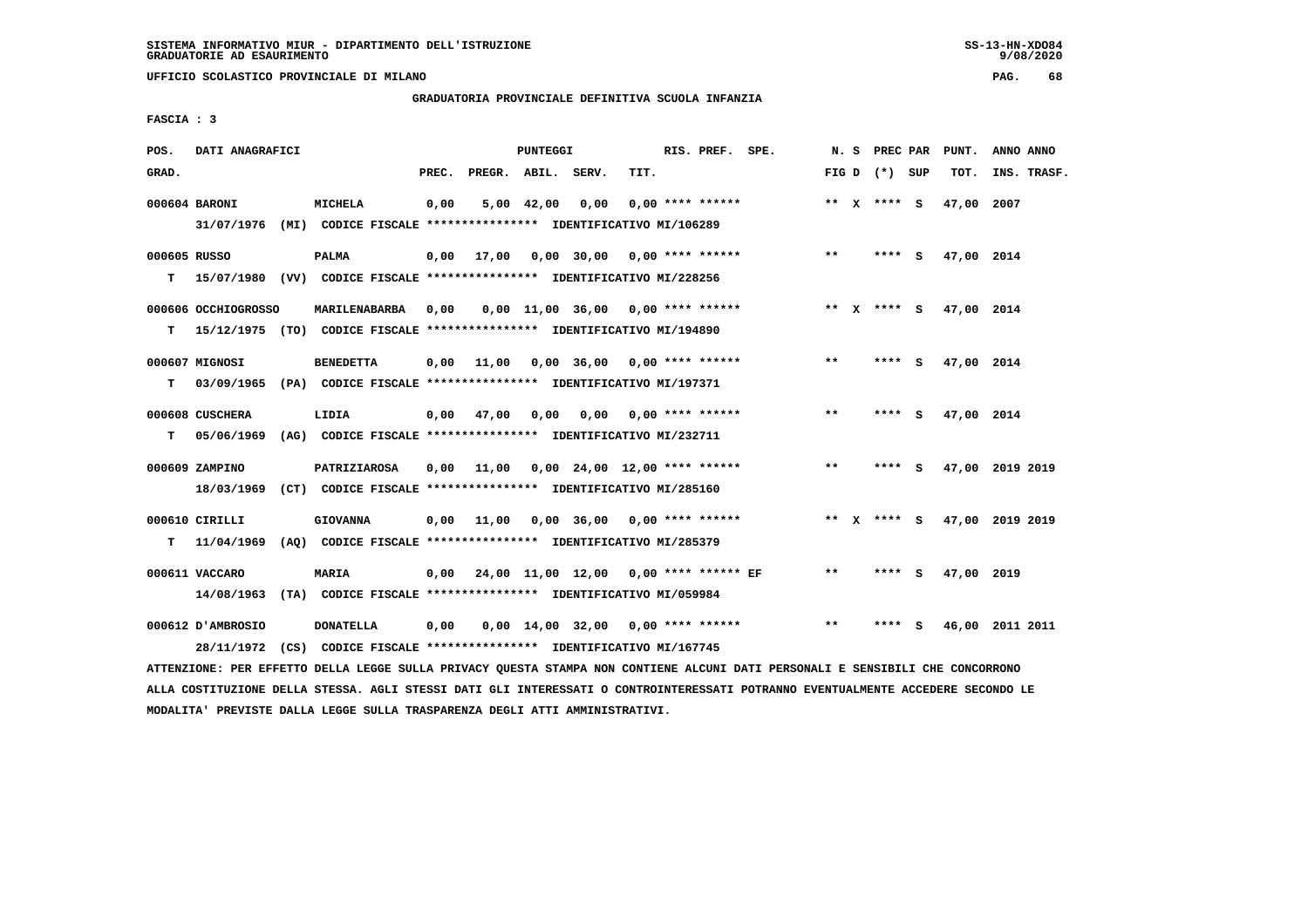**UFFICIO SCOLASTICO PROVINCIALE DI MILANO PAG. 68**

# **GRADUATORIA PROVINCIALE DEFINITIVA SCUOLA INFANZIA**

 **FASCIA : 3**

| POS.         | DATI ANAGRAFICI     |                                                                          |       |                    | <b>PUNTEGGI</b> |           |                                       | RIS. PREF. SPE. |       | N. S PREC PAR   |     | PUNT.      | ANNO ANNO       |
|--------------|---------------------|--------------------------------------------------------------------------|-------|--------------------|-----------------|-----------|---------------------------------------|-----------------|-------|-----------------|-----|------------|-----------------|
| GRAD.        |                     |                                                                          | PREC. | PREGR. ABIL. SERV. |                 |           | TIT.                                  |                 |       | FIG D $(*)$ SUP |     | TOT.       | INS. TRASF.     |
|              | 000604 BARONI       | <b>MICHELA</b>                                                           | 0,00  |                    | $5,00$ 42,00    | 0,00      | $0.00$ **** ******                    |                 |       | ** X **** S     |     | 47,00 2007 |                 |
|              | 31/07/1976          | (MI) CODICE FISCALE **************** IDENTIFICATIVO MI/106289            |       |                    |                 |           |                                       |                 |       |                 |     |            |                 |
| 000605 RUSSO |                     | <b>PALMA</b>                                                             | 0,00  | 17,00              |                 |           | 0,00 30,00 0,00 **** ******           |                 | $* *$ | **** S          |     | 47,00 2014 |                 |
| т            |                     | 15/07/1980 (VV) CODICE FISCALE *************** IDENTIFICATIVO MI/228256  |       |                    |                 |           |                                       |                 |       |                 |     |            |                 |
|              | 000606 OCCHIOGROSSO | MARILENABARBA                                                            | 0,00  |                    |                 |           | $0,00$ 11,00 36,00 0,00 **** ******   |                 | ** X  | **** S          |     | 47,00 2014 |                 |
| т            |                     | 15/12/1975 (TO) CODICE FISCALE **************** IDENTIFICATIVO MI/194890 |       |                    |                 |           |                                       |                 |       |                 |     |            |                 |
|              | 000607 MIGNOSI      | <b>BENEDETTA</b>                                                         | 0,00  | 11,00              |                 |           | $0,00$ 36,00 0,00 **** ******         |                 | $***$ | **** S          |     | 47,00 2014 |                 |
| т            |                     | 03/09/1965 (PA) CODICE FISCALE **************** IDENTIFICATIVO MI/197371 |       |                    |                 |           |                                       |                 |       |                 |     |            |                 |
|              | 000608 CUSCHERA     | LIDIA                                                                    | 0,00  | 47,00              |                 | 0,00 0,00 | $0,00$ **** ******                    |                 | $* *$ | **** S          |     | 47,00 2014 |                 |
| т            | 05/06/1969          | (AG) CODICE FISCALE **************** IDENTIFICATIVO MI/232711            |       |                    |                 |           |                                       |                 |       |                 |     |            |                 |
|              | 000609 ZAMPINO      | PATRIZIAROSA                                                             | 0,00  | 11,00              |                 |           | $0,00$ 24,00 12,00 **** ******        |                 | $* *$ | **** S          |     |            | 47,00 2019 2019 |
|              |                     | 18/03/1969 (CT) CODICE FISCALE *************** IDENTIFICATIVO MI/285160  |       |                    |                 |           |                                       |                 |       |                 |     |            |                 |
|              | 000610 CIRILLI      | <b>GIOVANNA</b>                                                          | 0,00  | 11,00              |                 |           | $0.00$ 36,00 0,00 **** ******         |                 | ** X  | **** S          |     |            | 47,00 2019 2019 |
| т            | 11/04/1969          | (AQ) CODICE FISCALE **************** IDENTIFICATIVO MI/285379            |       |                    |                 |           |                                       |                 |       |                 |     |            |                 |
|              | 000611 VACCARO      | <b>MARIA</b>                                                             | 0,00  |                    |                 |           | 24,00 11,00 12,00 0,00 **** ****** EF |                 | $***$ | **** S          |     | 47,00 2019 |                 |
|              |                     | 14/08/1963 (TA) CODICE FISCALE *************** IDENTIFICATIVO MI/059984  |       |                    |                 |           |                                       |                 |       |                 |     |            |                 |
|              |                     |                                                                          |       |                    |                 |           |                                       |                 |       |                 |     |            |                 |
|              | 000612 D'AMBROSIO   | <b>DONATELLA</b>                                                         | 0,00  |                    |                 |           | $0.00$ 14.00 32.00 0.00 **** ******   |                 | $* *$ | ****            | - S |            | 46,00 2011 2011 |
|              |                     | 28/11/1972 (CS) CODICE FISCALE *************** IDENTIFICATIVO MI/167745  |       |                    |                 |           |                                       |                 |       |                 |     |            |                 |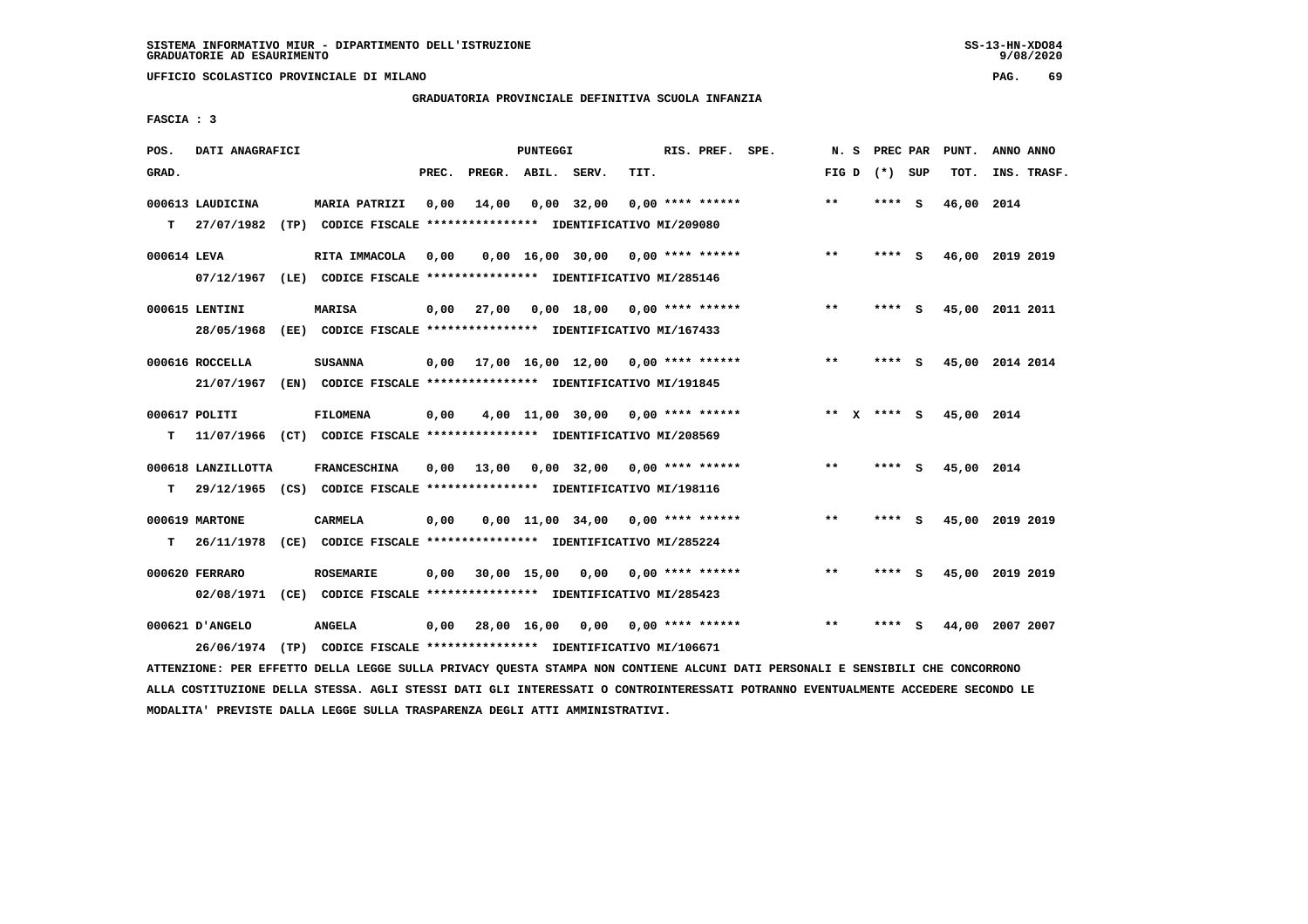**UFFICIO SCOLASTICO PROVINCIALE DI MILANO PAG. 69**

## **GRADUATORIA PROVINCIALE DEFINITIVA SCUOLA INFANZIA**

 **FASCIA : 3**

| POS.        | DATI ANAGRAFICI                |      |                                                                                       |       |                    | PUNTEGGI    |                                            |      | RIS. PREF. SPE.    | N.S         | PREC PAR |     | PUNT.      | ANNO ANNO       |
|-------------|--------------------------------|------|---------------------------------------------------------------------------------------|-------|--------------------|-------------|--------------------------------------------|------|--------------------|-------------|----------|-----|------------|-----------------|
| GRAD.       |                                |      |                                                                                       | PREC. | PREGR. ABIL. SERV. |             |                                            | TIT. |                    | FIG D       | (*) SUP  |     | TOT.       | INS. TRASF.     |
| T.          | 000613 LAUDICINA<br>27/07/1982 |      | <b>MARIA PATRIZI</b><br>(TP) CODICE FISCALE **************** IDENTIFICATIVO MI/209080 | 0,00  | 14,00              |             | $0,00$ 32,00                               |      | $0.00$ **** ****** | $* *$       | ****     | - S | 46,00      | 2014            |
|             |                                |      |                                                                                       |       |                    |             |                                            |      |                    |             |          |     |            |                 |
| 000614 LEVA |                                |      | RITA IMMACOLA                                                                         | 0,00  |                    |             | $0,00$ 16,00 30,00 0,00 **** ******        |      |                    | $***$       | ****     | - S |            | 46,00 2019 2019 |
|             | 07/12/1967                     |      | (LE) CODICE FISCALE **************** IDENTIFICATIVO MI/285146                         |       |                    |             |                                            |      |                    |             |          |     |            |                 |
|             | 000615 LENTINI                 |      | <b>MARISA</b>                                                                         | 0,00  | 27,00              |             | $0,00$ 18,00                               |      | 0,00 **** ******   | $***$       | ****     | - S |            | 45,00 2011 2011 |
|             | 28/05/1968                     | (EE) | CODICE FISCALE **************** IDENTIFICATIVO MI/167433                              |       |                    |             |                                            |      |                    |             |          |     |            |                 |
|             |                                |      |                                                                                       |       |                    |             |                                            |      |                    | $* *$       |          |     |            |                 |
|             | 000616 ROCCELLA<br>21/07/1967  |      | <b>SUSANNA</b><br>(EN) CODICE FISCALE **************** IDENTIFICATIVO MI/191845       | 0.00  |                    |             | $17,00$ $16,00$ $12,00$ $0,00$ **** ****** |      |                    |             |          | - S |            | 45,00 2014 2014 |
|             |                                |      |                                                                                       |       |                    |             |                                            |      |                    |             |          |     |            |                 |
|             | 000617 POLITI                  |      | <b>FILOMENA</b>                                                                       | 0,00  |                    |             | $4,00$ 11,00 30,00 0,00 **** ******        |      |                    | ** x **** s |          |     | 45,00 2014 |                 |
| т           | 11/07/1966                     |      | (CT) CODICE FISCALE **************** IDENTIFICATIVO MI/208569                         |       |                    |             |                                            |      |                    |             |          |     |            |                 |
|             | 000618 LANZILLOTTA             |      | <b>FRANCESCHINA</b>                                                                   | 0,00  | 13,00              |             | $0,00$ 32,00 0,00 **** ******              |      |                    | $***$       | ****     | - S | 45,00 2014 |                 |
| T.          |                                |      | 29/12/1965 (CS) CODICE FISCALE **************** IDENTIFICATIVO MI/198116              |       |                    |             |                                            |      |                    |             |          |     |            |                 |
|             |                                |      |                                                                                       |       |                    |             |                                            |      |                    |             |          |     |            |                 |
|             | 000619 MARTONE                 |      | <b>CARMELA</b>                                                                        | 0,00  |                    |             | $0.00$ 11.00 34.00 0.00 **** ******        |      |                    | $* *$       | ****     | - S |            | 45,00 2019 2019 |
| т           | 26/11/1978                     | (CE) | CODICE FISCALE **************** IDENTIFICATIVO MI/285224                              |       |                    |             |                                            |      |                    |             |          |     |            |                 |
|             | 000620 FERRARO                 |      | <b>ROSEMARIE</b>                                                                      | 0,00  |                    | 30,00 15,00 | 0,00                                       |      | $0.00$ **** ****** | $**$        | ****     | - S |            | 45,00 2019 2019 |
|             | 02/08/1971                     |      | (CE) CODICE FISCALE **************** IDENTIFICATIVO MI/285423                         |       |                    |             |                                            |      |                    |             |          |     |            |                 |
|             | 000621 D'ANGELO                |      | <b>ANGELA</b>                                                                         | 0,00  |                    | 28,00 16,00 | 0,00                                       |      | 0,00 **** ******   | $* *$       | ****     | s   | 44,00      | 2007 2007       |
|             | 26/06/1974                     | (TP) | CODICE FISCALE **************** IDENTIFICATIVO MI/106671                              |       |                    |             |                                            |      |                    |             |          |     |            |                 |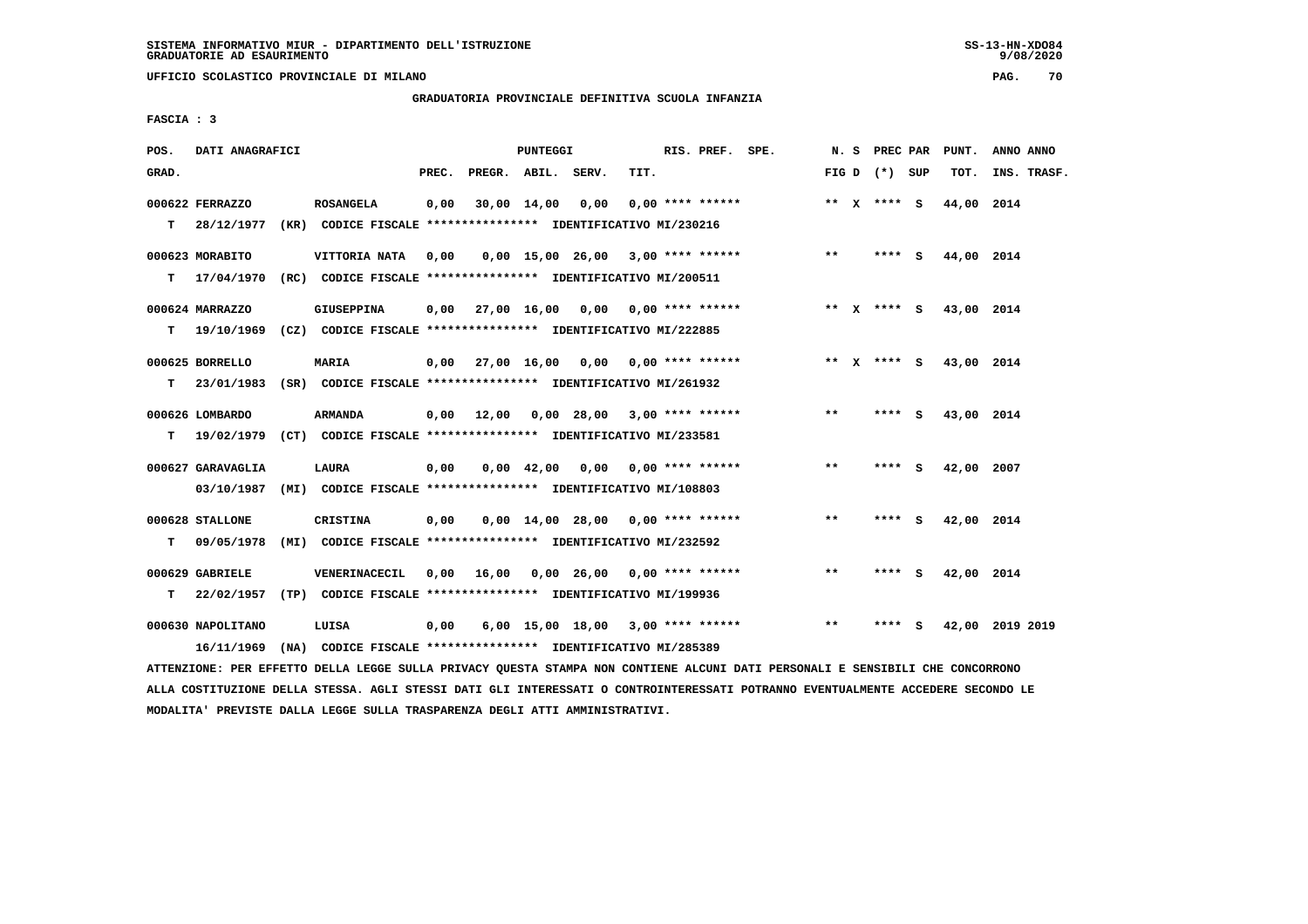**UFFICIO SCOLASTICO PROVINCIALE DI MILANO PAG. 70**

#### **GRADUATORIA PROVINCIALE DEFINITIVA SCUOLA INFANZIA**

 **FASCIA : 3**

| POS.  | DATI ANAGRAFICI   |                                                                          |       |                    | PUNTEGGI         |                                          |                    | RIS. PREF. SPE. | N.S   | <b>PREC PAR</b> |     | PUNT.      | ANNO ANNO       |
|-------|-------------------|--------------------------------------------------------------------------|-------|--------------------|------------------|------------------------------------------|--------------------|-----------------|-------|-----------------|-----|------------|-----------------|
| GRAD. |                   |                                                                          | PREC. | PREGR. ABIL. SERV. |                  |                                          | TIT.               |                 |       | FIG D $(*)$ SUP |     | TOT.       | INS. TRASF.     |
|       | 000622 FERRAZZO   | <b>ROSANGELA</b>                                                         | 0,00  |                    | 30,00 14,00 0,00 |                                          | $0.00$ **** ****** |                 |       | ** x **** S     |     | 44,00 2014 |                 |
| T.    | 28/12/1977        | (KR) CODICE FISCALE **************** IDENTIFICATIVO MI/230216            |       |                    |                  |                                          |                    |                 |       |                 |     |            |                 |
|       | 000623 MORABITO   | VITTORIA NATA                                                            | 0,00  |                    |                  | $0,00$ 15,00 26,00 3,00 **** ******      |                    |                 | $***$ | **** S          |     | 44,00 2014 |                 |
| т     | 17/04/1970        | (RC) CODICE FISCALE **************** IDENTIFICATIVO MI/200511            |       |                    |                  |                                          |                    |                 |       |                 |     |            |                 |
|       | 000624 MARRAZZO   | GIUSEPPINA                                                               |       |                    |                  | $0.00$ 27,00 16,00 0,00 0,00 **** ****** |                    |                 |       | ** X **** S     |     | 43,00 2014 |                 |
| T.    |                   | 19/10/1969 (CZ) CODICE FISCALE **************** IDENTIFICATIVO MI/222885 |       |                    |                  |                                          |                    |                 |       |                 |     |            |                 |
|       | 000625 BORRELLO   | <b>MARIA</b>                                                             |       |                    |                  | $0,00$ 27,00 16,00 0,00 0,00 **** ****** |                    |                 |       | ** x **** S     |     | 43,00 2014 |                 |
| т     | 23/01/1983        |                                                                          |       |                    |                  |                                          |                    |                 |       |                 |     |            |                 |
|       | 000626 LOMBARDO   | <b>ARMANDA</b>                                                           |       |                    |                  | $0,00$ 12,00 0,00 28,00 3,00 **** ****** |                    |                 | $***$ | **** S          |     | 43,00 2014 |                 |
| т     | 19/02/1979        | (CT) CODICE FISCALE **************** IDENTIFICATIVO MI/233581            |       |                    |                  |                                          |                    |                 |       |                 |     |            |                 |
|       | 000627 GARAVAGLIA | <b>LAURA</b>                                                             | 0,00  |                    |                  | $0,00$ 42,00 0,00 0,00 **** ******       |                    |                 | $* *$ | **** S          |     | 42,00 2007 |                 |
|       | 03/10/1987        | (MI) CODICE FISCALE **************** IDENTIFICATIVO MI/108803            |       |                    |                  |                                          |                    |                 |       |                 |     |            |                 |
|       | 000628 STALLONE   | <b>CRISTINA</b>                                                          | 0,00  |                    |                  | $0.00$ 14.00 28.00 0.00 **** ******      |                    |                 | **    | **** S          |     | 42,00 2014 |                 |
| т     | 09/05/1978        | (MI) CODICE FISCALE **************** IDENTIFICATIVO MI/232592            |       |                    |                  |                                          |                    |                 |       |                 |     |            |                 |
|       | 000629 GABRIELE   | VENERINACECIL                                                            |       |                    |                  | $0.00$ 16.00 0.00 26.00 0.00 **** ****** |                    |                 | $* *$ | ****            | - S | 42,00 2014 |                 |
| т     | 22/02/1957        | (TP) CODICE FISCALE **************** IDENTIFICATIVO MI/199936            |       |                    |                  |                                          |                    |                 |       |                 |     |            |                 |
|       | 000630 NAPOLITANO | LUISA                                                                    | 0,00  |                    |                  | $6,00$ 15,00 18,00 3,00 **** ******      |                    |                 | $* *$ | ****            | - S |            | 42,00 2019 2019 |
|       |                   | 16/11/1969 (NA) CODICE FISCALE *************** IDENTIFICATIVO MI/285389  |       |                    |                  |                                          |                    |                 |       |                 |     |            |                 |

 **ATTENZIONE: PER EFFETTO DELLA LEGGE SULLA PRIVACY QUESTA STAMPA NON CONTIENE ALCUNI DATI PERSONALI E SENSIBILI CHE CONCORRONO ALLA COSTITUZIONE DELLA STESSA. AGLI STESSI DATI GLI INTERESSATI O CONTROINTERESSATI POTRANNO EVENTUALMENTE ACCEDERE SECONDO LE MODALITA' PREVISTE DALLA LEGGE SULLA TRASPARENZA DEGLI ATTI AMMINISTRATIVI.**

 $9/08/2020$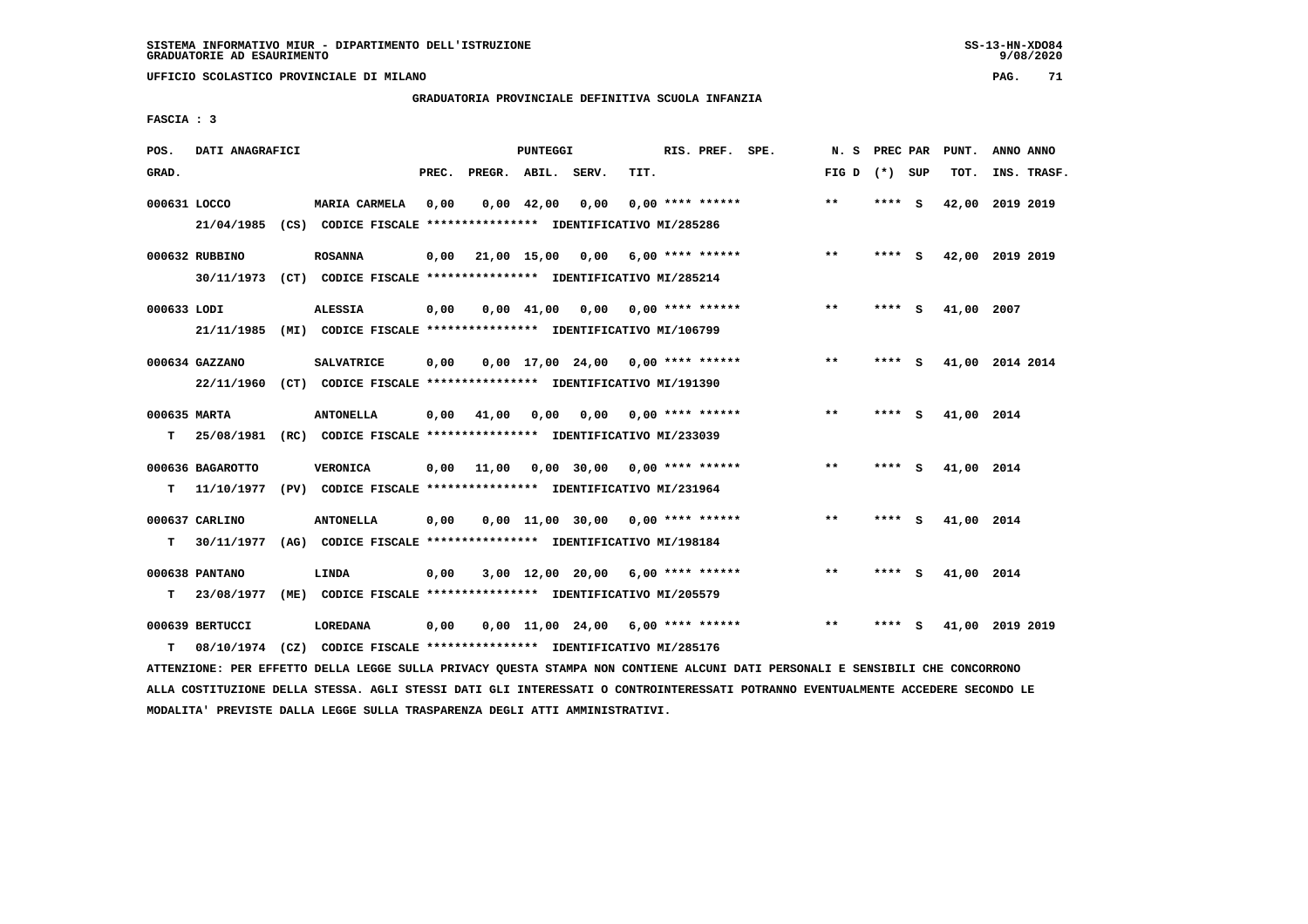**UFFICIO SCOLASTICO PROVINCIALE DI MILANO PAG. 71**

# **GRADUATORIA PROVINCIALE DEFINITIVA SCUOLA INFANZIA**

 **FASCIA : 3**

| POS.         | DATI ANAGRAFICI  |                                                                         |       |                    | PUNTEGGI           |                                     |      | RIS. PREF. SPE.           | N.S             | PREC PAR |          | PUNT.      | ANNO ANNO       |
|--------------|------------------|-------------------------------------------------------------------------|-------|--------------------|--------------------|-------------------------------------|------|---------------------------|-----------------|----------|----------|------------|-----------------|
| GRAD.        |                  |                                                                         | PREC. | PREGR. ABIL. SERV. |                    |                                     | TIT. |                           | FIG D $(*)$ SUP |          |          | TOT.       | INS. TRASF.     |
| 000631 LOCCO |                  | MARIA CARMELA                                                           | 0,00  |                    | $0,00 \quad 42,00$ | 0.00                                |      | $0.00$ **** ******        | $* *$           | ****     | <b>S</b> | 42,00      | 2019 2019       |
|              | 21/04/1985       | (CS) CODICE FISCALE **************** IDENTIFICATIVO MI/285286           |       |                    |                    |                                     |      |                           |                 |          |          |            |                 |
|              | 000632 RUBBINO   | <b>ROSANNA</b>                                                          | 0.00  | 21,00 15,00 0,00   |                    |                                     |      | 6,00 **** ******          | $***$           | $***$ S  |          |            | 42,00 2019 2019 |
|              | 30/11/1973       | (CT) CODICE FISCALE **************** IDENTIFICATIVO MI/285214           |       |                    |                    |                                     |      |                           |                 |          |          |            |                 |
| 000633 LODI  |                  | <b>ALESSIA</b>                                                          | 0,00  |                    | 0,00 41,00         |                                     |      | $0,00$ $0,00$ **** ****** | $***$           | ****     | - 5      | 41,00 2007 |                 |
|              | 21/11/1985       | (MI) CODICE FISCALE **************** IDENTIFICATIVO MI/106799           |       |                    |                    |                                     |      |                           |                 |          |          |            |                 |
|              | 000634 GAZZANO   | <b>SALVATRICE</b>                                                       | 0,00  |                    |                    | $0,00$ 17,00 24,00 0,00 **** ****** |      |                           | $***$           | **** S   |          |            | 41,00 2014 2014 |
|              |                  | 22/11/1960 (CT) CODICE FISCALE *************** IDENTIFICATIVO MI/191390 |       |                    |                    |                                     |      |                           |                 |          |          |            |                 |
| 000635 MARTA |                  | <b>ANTONELLA</b>                                                        | 0,00  | 41,00              | 0,00               | 0,00                                |      | $0.00$ **** ******        | $***$           | **** S   |          | 41,00 2014 |                 |
| т            | 25/08/1981       | (RC) CODICE FISCALE **************** IDENTIFICATIVO MI/233039           |       |                    |                    |                                     |      |                           |                 |          |          |            |                 |
|              | 000636 BAGAROTTO | <b>VERONICA</b>                                                         | 0.00  | 11,00              |                    | $0.00$ 30.00 0.00 **** ******       |      |                           | **              | **** S   |          | 41,00 2014 |                 |
| т            | 11/10/1977       | (PV) CODICE FISCALE **************** IDENTIFICATIVO MI/231964           |       |                    |                    |                                     |      |                           |                 |          |          |            |                 |
|              |                  |                                                                         |       |                    |                    |                                     |      |                           |                 |          |          |            |                 |
|              | 000637 CARLINO   | <b>ANTONELLA</b>                                                        | 0,00  |                    |                    | $0,00$ 11,00 30,00 0,00 **** ****** |      |                           | $* *$           |          | - S      | 41,00 2014 |                 |
| т            | 30/11/1977       | (AG) CODICE FISCALE *************** IDENTIFICATIVO MI/198184            |       |                    |                    |                                     |      |                           |                 |          |          |            |                 |
|              | 000638 PANTANO   | LINDA                                                                   | 0,00  |                    |                    | $3,00$ 12,00 20,00 6,00 **** ****** |      |                           | $* *$           | ****     | - S      | 41,00 2014 |                 |
| т            | 23/08/1977       | (ME) CODICE FISCALE *************** IDENTIFICATIVO MI/205579            |       |                    |                    |                                     |      |                           |                 |          |          |            |                 |
|              | 000639 BERTUCCI  | <b>LOREDANA</b>                                                         | 0,00  |                    |                    | $0,00$ 11,00 24,00 6,00 **** ****** |      |                           | $***$           | ****     | s        |            | 41,00 2019 2019 |
| т            |                  | 08/10/1974 (CZ) CODICE FISCALE *************** IDENTIFICATIVO MI/285176 |       |                    |                    |                                     |      |                           |                 |          |          |            |                 |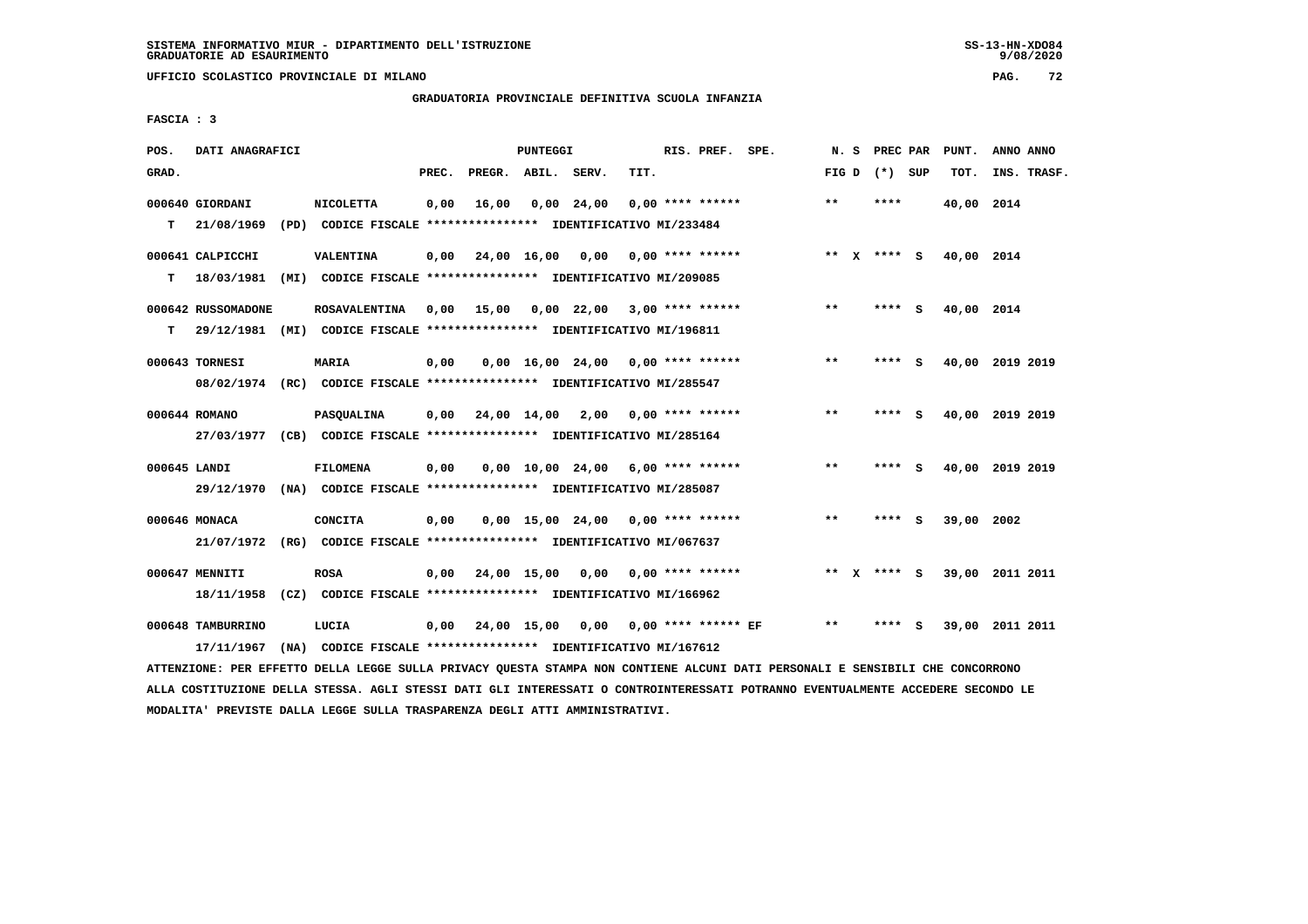**UFFICIO SCOLASTICO PROVINCIALE DI MILANO PAG. 72**

# **GRADUATORIA PROVINCIALE DEFINITIVA SCUOLA INFANZIA**

 **FASCIA : 3**

| POS.         | DATI ANAGRAFICI    |                                                                                                                               |       |                    | PUNTEGGI |                                     |      | RIS. PREF. SPE.            | N. S  |                 |     | PREC PAR PUNT.         | ANNO ANNO       |
|--------------|--------------------|-------------------------------------------------------------------------------------------------------------------------------|-------|--------------------|----------|-------------------------------------|------|----------------------------|-------|-----------------|-----|------------------------|-----------------|
| GRAD.        |                    |                                                                                                                               | PREC. | PREGR. ABIL. SERV. |          |                                     | TIT. |                            |       | FIG D $(*)$ SUP |     | TOT.                   | INS. TRASF.     |
|              | 000640 GIORDANI    | <b>NICOLETTA</b>                                                                                                              | 0,00  | 16,00              |          | $0,00$ 24,00                        |      | $0.00$ **** ******         | $* *$ | ****            |     | 40,00 2014             |                 |
| т            | 21/08/1969         | (PD) CODICE FISCALE **************** IDENTIFICATIVO MI/233484                                                                 |       |                    |          |                                     |      |                            |       |                 |     |                        |                 |
|              | 000641 CALPICCHI   | <b>VALENTINA</b>                                                                                                              | 0,00  |                    |          | 24,00 16,00 0,00 0,00 **** ******   |      |                            |       |                 |     | ** X **** S 40,00 2014 |                 |
| т            | 18/03/1981         | (MI) CODICE FISCALE **************** IDENTIFICATIVO MI/209085                                                                 |       |                    |          |                                     |      |                            |       |                 |     |                        |                 |
|              | 000642 RUSSOMADONE | <b>ROSAVALENTINA</b>                                                                                                          | 0,00  | 15,00              |          | $0.00$ 22.00 3.00 **** ******       |      |                            | $**$  | $***$ S         |     | 40,00 2014             |                 |
| T.           |                    | 29/12/1981 (MI) CODICE FISCALE **************** IDENTIFICATIVO MI/196811                                                      |       |                    |          |                                     |      |                            |       |                 |     |                        |                 |
|              | 000643 TORNESI     | <b>MARIA</b>                                                                                                                  | 0,00  |                    |          | $0.00$ 16.00 24.00 0.00 **** ****** |      |                            | $***$ | **** S          |     |                        | 40,00 2019 2019 |
|              |                    | 08/02/1974 (RC) CODICE FISCALE *************** IDENTIFICATIVO MI/285547                                                       |       |                    |          |                                     |      |                            |       |                 |     |                        |                 |
|              | 000644 ROMANO      | <b>PASQUALINA</b>                                                                                                             | 0,00  |                    |          | 24,00 14,00 2,00 0,00 **** ******   |      |                            | $***$ | **** S          |     |                        | 40,00 2019 2019 |
|              |                    | 27/03/1977 (CB) CODICE FISCALE *************** IDENTIFICATIVO MI/285164                                                       |       |                    |          |                                     |      |                            |       |                 |     |                        |                 |
| 000645 LANDI |                    | <b>FILOMENA</b>                                                                                                               | 0,00  |                    |          | $0,00$ 10,00 24,00 6,00 **** ****** |      |                            | $* *$ | **** S          |     |                        | 40,00 2019 2019 |
|              | 29/12/1970         | (NA) CODICE FISCALE **************** IDENTIFICATIVO MI/285087                                                                 |       |                    |          |                                     |      |                            |       |                 |     |                        |                 |
|              | 000646 MONACA      | <b>CONCITA</b>                                                                                                                | 0,00  |                    |          | $0,00$ 15,00 24,00 0,00 **** ****** |      |                            | **    | **** S          |     | 39,00                  | 2002            |
|              |                    | 21/07/1972 (RG) CODICE FISCALE *************** IDENTIFICATIVO MI/067637                                                       |       |                    |          |                                     |      |                            |       |                 |     |                        |                 |
|              | 000647 MENNITI     | <b>ROSA</b>                                                                                                                   | 0,00  |                    |          | 24,00 15,00 0,00 0,00 **** ******   |      |                            |       | ** X **** S     |     |                        | 39,00 2011 2011 |
|              | 18/11/1958         | (CZ) CODICE FISCALE *************** IDENTIFICATIVO MI/166962                                                                  |       |                    |          |                                     |      |                            |       |                 |     |                        |                 |
|              | 000648 TAMBURRINO  | LUCIA                                                                                                                         | 0,00  | 24,00 15,00        |          |                                     |      | $0,00$ 0,00 **** ****** EF | $***$ | ****            | - S |                        | 39,00 2011 2011 |
|              | 17/11/1967         | (NA) CODICE FISCALE **************** IDENTIFICATIVO MI/167612                                                                 |       |                    |          |                                     |      |                            |       |                 |     |                        |                 |
|              |                    | ATTENZIONE: PER EFFETTO DELLA LEGGE SULLA PRIVACY QUESTA STAMPA NON CONTIENE ALCUNI DATI PERSONALI E SENSIBILI CHE CONCORRONO |       |                    |          |                                     |      |                            |       |                 |     |                        |                 |

 **ALLA COSTITUZIONE DELLA STESSA. AGLI STESSI DATI GLI INTERESSATI O CONTROINTERESSATI POTRANNO EVENTUALMENTE ACCEDERE SECONDO LE MODALITA' PREVISTE DALLA LEGGE SULLA TRASPARENZA DEGLI ATTI AMMINISTRATIVI.**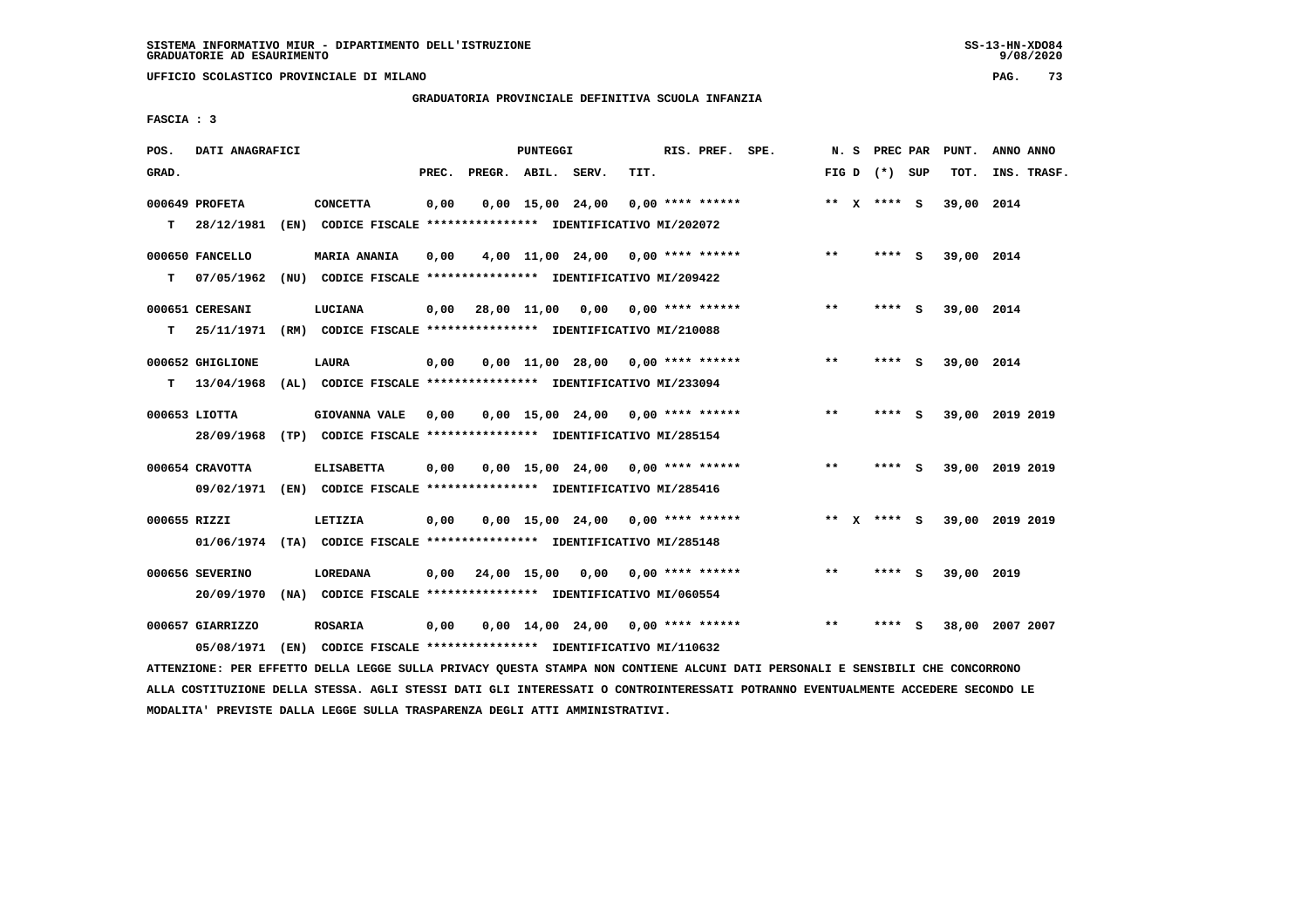**UFFICIO SCOLASTICO PROVINCIALE DI MILANO PAG. 73**

# **GRADUATORIA PROVINCIALE DEFINITIVA SCUOLA INFANZIA**

 **FASCIA : 3**

| POS.         | DATI ANAGRAFICI  |                                                                                                                               |       |                    | PUNTEGGI |                                          |      | RIS. PREF. SPE. |              |                   | N. S PREC PAR PUNT. | ANNO ANNO       |
|--------------|------------------|-------------------------------------------------------------------------------------------------------------------------------|-------|--------------------|----------|------------------------------------------|------|-----------------|--------------|-------------------|---------------------|-----------------|
| GRAD.        |                  |                                                                                                                               | PREC. | PREGR. ABIL. SERV. |          |                                          | TIT. |                 |              | FIG $D$ $(*)$ SUP | TOT.                | INS. TRASF.     |
|              | 000649 PROFETA   | <b>CONCETTA</b>                                                                                                               | 0,00  |                    |          | $0,00$ 15,00 24,00 0,00 **** ******      |      |                 |              | ** $X$ **** S     | 39,00 2014          |                 |
|              | $T = 28/12/1981$ | (EN) CODICE FISCALE **************** IDENTIFICATIVO MI/202072                                                                 |       |                    |          |                                          |      |                 |              |                   |                     |                 |
|              | 000650 FANCELLO  | <b>MARIA ANANIA</b>                                                                                                           | 0,00  |                    |          | $4,00$ 11,00 24,00 0,00 **** ******      |      |                 | $***$        | **** S            | 39,00 2014          |                 |
| т            | 07/05/1962       | (NU) CODICE FISCALE **************** IDENTIFICATIVO MI/209422                                                                 |       |                    |          |                                          |      |                 |              |                   |                     |                 |
|              |                  |                                                                                                                               |       |                    |          |                                          |      |                 |              |                   |                     |                 |
|              | 000651 CERESANI  | LUCIANA                                                                                                                       | 0,00  |                    |          | 28,00 11,00 0,00 0,00 **** ******        |      |                 | $***$        | **** S            | 39,00 2014          |                 |
| T.           | 25/11/1971       | (RM) CODICE FISCALE *************** IDENTIFICATIVO MI/210088                                                                  |       |                    |          |                                          |      |                 |              |                   |                     |                 |
|              | 000652 GHIGLIONE | <b>LAURA</b>                                                                                                                  | 0,00  |                    |          | $0,00$ 11,00 28,00 0,00 **** ******      |      |                 | $**$         | $***$ S           | 39,00 2014          |                 |
|              | $T = 13/04/1968$ | (AL) CODICE FISCALE **************** IDENTIFICATIVO MI/233094                                                                 |       |                    |          |                                          |      |                 |              |                   |                     |                 |
|              | 000653 LIOTTA    | <b>GIOVANNA VALE</b>                                                                                                          | 0,00  |                    |          | $0,00$ 15,00 24,00 0,00 **** ******      |      |                 | $* *$        | **** S            |                     | 39,00 2019 2019 |
|              | 28/09/1968       | (TP) CODICE FISCALE **************** IDENTIFICATIVO MI/285154                                                                 |       |                    |          |                                          |      |                 |              |                   |                     |                 |
|              |                  |                                                                                                                               |       |                    |          |                                          |      |                 |              |                   |                     |                 |
|              | 000654 CRAVOTTA  | <b>ELISABETTA</b>                                                                                                             | 0,00  |                    |          | $0,00$ 15,00 24,00 0,00 **** ******      |      |                 | $\star\star$ | **** S            |                     | 39,00 2019 2019 |
|              |                  | 09/02/1971 (EN) CODICE FISCALE *************** IDENTIFICATIVO MI/285416                                                       |       |                    |          |                                          |      |                 |              |                   |                     |                 |
| 000655 RIZZI |                  | LETIZIA                                                                                                                       | 0,00  |                    |          | $0,00$ 15,00 24,00 0,00 **** ******      |      |                 |              | ** $X$ **** S     |                     | 39,00 2019 2019 |
|              |                  | 01/06/1974 (TA) CODICE FISCALE **************** IDENTIFICATIVO MI/285148                                                      |       |                    |          |                                          |      |                 |              |                   |                     |                 |
|              | 000656 SEVERINO  | <b>LOREDANA</b>                                                                                                               |       |                    |          | $0,00$ 24,00 15,00 0,00 0,00 **** ****** |      |                 | $* *$        | $***$ S           | 39,00 2019          |                 |
|              | 20/09/1970       | (NA) CODICE FISCALE **************** IDENTIFICATIVO MI/060554                                                                 |       |                    |          |                                          |      |                 |              |                   |                     |                 |
|              |                  |                                                                                                                               |       |                    |          |                                          |      |                 |              |                   |                     |                 |
|              | 000657 GIARRIZZO | <b>ROSARIA</b>                                                                                                                | 0,00  |                    |          | $0,00$ 14,00 24,00 0,00 **** ******      |      |                 | $***$        | **** S            |                     | 38,00 2007 2007 |
|              | 05/08/1971       | (EN) CODICE FISCALE **************** IDENTIFICATIVO MI/110632                                                                 |       |                    |          |                                          |      |                 |              |                   |                     |                 |
|              |                  | ATTENZIONE: PER EFFETTO DELLA LEGGE SULLA PRIVACY QUESTA STAMPA NON CONTIENE ALCUNI DATI PERSONALI E SENSIBILI CHE CONCORRONO |       |                    |          |                                          |      |                 |              |                   |                     |                 |

 **ALLA COSTITUZIONE DELLA STESSA. AGLI STESSI DATI GLI INTERESSATI O CONTROINTERESSATI POTRANNO EVENTUALMENTE ACCEDERE SECONDO LE MODALITA' PREVISTE DALLA LEGGE SULLA TRASPARENZA DEGLI ATTI AMMINISTRATIVI.**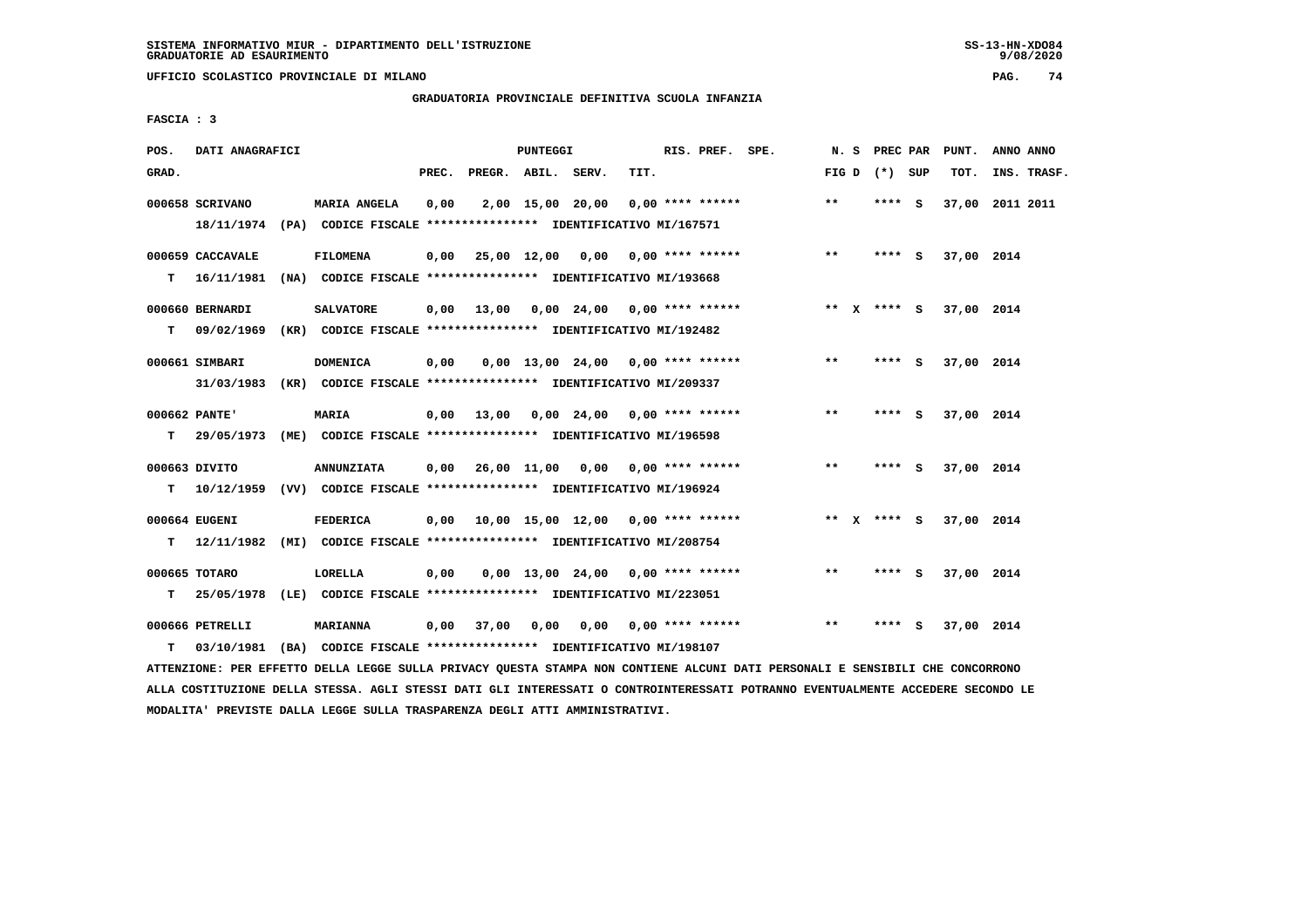**UFFICIO SCOLASTICO PROVINCIALE DI MILANO PAG. 74**

# **GRADUATORIA PROVINCIALE DEFINITIVA SCUOLA INFANZIA**

 **FASCIA : 3**

| POS.  | DATI ANAGRAFICI                |                                                                                                |       |                    | PUNTEGGI |                                           |      | RIS. PREF. SPE.    |       | N. S PREC PAR   |     | PUNT.      | ANNO ANNO       |
|-------|--------------------------------|------------------------------------------------------------------------------------------------|-------|--------------------|----------|-------------------------------------------|------|--------------------|-------|-----------------|-----|------------|-----------------|
| GRAD. |                                |                                                                                                | PREC. | PREGR. ABIL. SERV. |          |                                           | TIT. |                    |       | FIG D $(*)$ SUP |     | TOT.       | INS. TRASF.     |
|       | 000658 SCRIVANO                | <b>MARIA ANGELA</b><br>18/11/1974 (PA) CODICE FISCALE *************** IDENTIFICATIVO MI/167571 | 0,00  |                    |          | 2,00 15,00 20,00                          |      | $0.00$ **** ****** | $***$ | **** S          |     |            | 37,00 2011 2011 |
| T.    | 000659 CACCAVALE<br>16/11/1981 | <b>FILOMENA</b><br>(NA) CODICE FISCALE **************** IDENTIFICATIVO MI/193668               | 0,00  |                    |          | 25,00 12,00 0,00 0,00 **** ******         |      |                    | $***$ | $***$ S         |     | 37,00 2014 |                 |
| T.    | 000660 BERNARDI                | <b>SALVATORE</b><br>09/02/1969 (KR) CODICE FISCALE *************** IDENTIFICATIVO MI/192482    |       |                    |          | $0,00$ 13,00 0,00 24,00 0,00 **** ******  |      |                    |       | ** $X$ **** S   |     | 37,00 2014 |                 |
|       | 000661 SIMBARI                 | <b>DOMENICA</b><br>31/03/1983 (KR) CODICE FISCALE *************** IDENTIFICATIVO MI/209337     | 0,00  |                    |          | $0.00$ 13.00 24.00 0.00 **** ******       |      |                    | **    | **** S          |     | 37,00 2014 |                 |
| T.    | 000662 PANTE'                  | <b>MARIA</b><br>29/05/1973 (ME) CODICE FISCALE **************** IDENTIFICATIVO MI/196598       |       | 0,00 13,00         |          | 0,00 24,00 0,00 **** ******               |      |                    | **    | **** S          |     | 37,00 2014 |                 |
| т     | 000663 DIVITO                  | <b>ANNUNZIATA</b><br>10/12/1959 (VV) CODICE FISCALE *************** IDENTIFICATIVO MI/196924   |       |                    |          | $0,00$ $26,00$ $11,00$ $0,00$             |      | $0.00$ **** ****** | $***$ | **** $S$        |     | 37,00 2014 |                 |
| т     | 000664 EUGENI                  | <b>FEDERICA</b><br>12/11/1982 (MI) CODICE FISCALE **************** IDENTIFICATIVO MI/208754    |       |                    |          | $0,00$ 10,00 15,00 12,00 0,00 **** ****** |      |                    |       | ** $X$ **** $S$ |     | 37,00 2014 |                 |
| T.    | 000665 TOTARO                  | LORELLA<br>25/05/1978 (LE) CODICE FISCALE **************** IDENTIFICATIVO MI/223051            | 0,00  |                    |          | $0,00$ 13,00 24,00 0,00 **** ******       |      |                    | **    | **** S          |     | 37,00 2014 |                 |
| т     | 000666 PETRELLI<br>03/10/1981  | <b>MARIANNA</b><br>(BA) CODICE FISCALE **************** IDENTIFICATIVO MI/198107               |       | $0,00$ 37,00       | 0,00     | 0,00                                      |      | $0.00$ **** ****** | $* *$ | ****            | - 5 | 37,00 2014 |                 |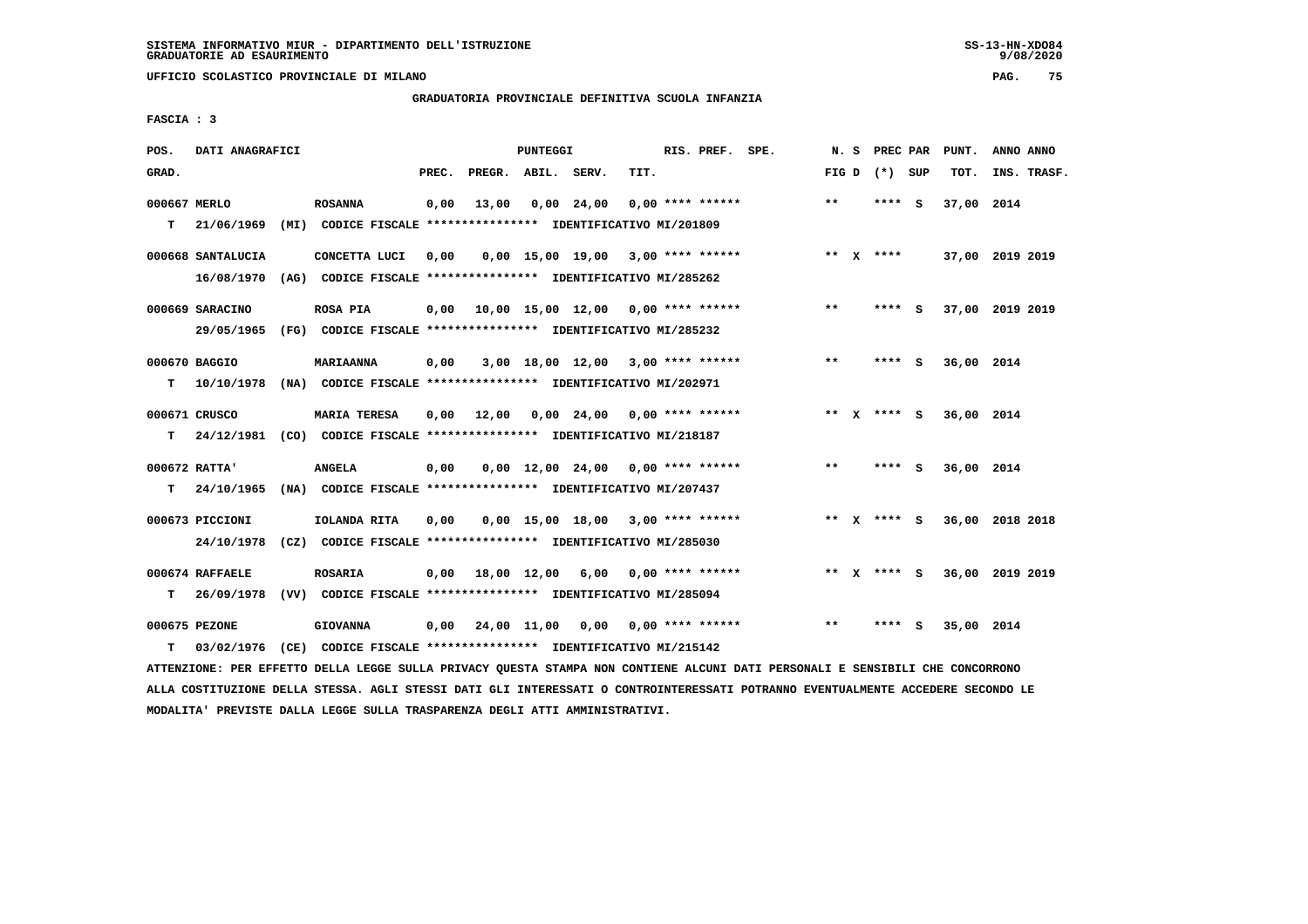**UFFICIO SCOLASTICO PROVINCIALE DI MILANO PAG. 75**

## **GRADUATORIA PROVINCIALE DEFINITIVA SCUOLA INFANZIA**

 **FASCIA : 3**

| POS.         | DATI ANAGRAFICI   |                                                                                                                              |       |                    | PUNTEGGI |                                                   |      | RIS. PREF. SPE.    | N. S  |                 | PREC PAR PUNT. | ANNO ANNO       |
|--------------|-------------------|------------------------------------------------------------------------------------------------------------------------------|-------|--------------------|----------|---------------------------------------------------|------|--------------------|-------|-----------------|----------------|-----------------|
| GRAD.        |                   |                                                                                                                              | PREC. | PREGR. ABIL. SERV. |          |                                                   | TIT. |                    |       | FIG D $(*)$ SUP | TOT.           | INS. TRASF.     |
| 000667 MERLO |                   | <b>ROSANNA</b>                                                                                                               | 0,00  | 13,00              |          | $0,00$ 24,00                                      |      | $0.00$ **** ****** | $***$ | **** S          | 37,00 2014     |                 |
| т            | 21/06/1969        | (MI) CODICE FISCALE **************** IDENTIFICATIVO MI/201809                                                                |       |                    |          |                                                   |      |                    |       |                 |                |                 |
|              | 000668 SANTALUCIA | CONCETTA LUCI                                                                                                                | 0,00  |                    |          | $0.00$ 15.00 19.00 3.00 **** ******               |      |                    |       | ** $X$ ****     |                | 37,00 2019 2019 |
|              | 16/08/1970        | (AG) CODICE FISCALE **************** IDENTIFICATIVO MI/285262                                                                |       |                    |          |                                                   |      |                    |       |                 |                |                 |
|              |                   | <b>ROSA PIA</b>                                                                                                              |       |                    |          | 0,00 10,00 15,00 12,00 0,00 **** ******           |      |                    | $***$ | **** S          |                | 37,00 2019 2019 |
|              | 000669 SARACINO   |                                                                                                                              |       |                    |          |                                                   |      |                    |       |                 |                |                 |
|              | 29/05/1965        | (FG) CODICE FISCALE *************** IDENTIFICATIVO MI/285232                                                                 |       |                    |          |                                                   |      |                    |       |                 |                |                 |
|              | 000670 BAGGIO     | MARIAANNA                                                                                                                    | 0,00  |                    |          | 3,00 18,00 12,00 3,00 **** ******                 |      |                    | $***$ | $***$ S         | 36,00 2014     |                 |
| т            | 10/10/1978        | (NA) CODICE FISCALE **************** IDENTIFICATIVO MI/202971                                                                |       |                    |          |                                                   |      |                    |       |                 |                |                 |
|              | 000671 CRUSCO     | <b>MARIA TERESA</b>                                                                                                          | 0.00  | 12,00              |          | $0.00 \quad 24.00 \quad 0.00 \quad *** \quad ***$ |      |                    |       | ** $X$ **** S   | 36,00 2014     |                 |
| т            | 24/12/1981        | (CO) CODICE FISCALE *************** IDENTIFICATIVO MI/218187                                                                 |       |                    |          |                                                   |      |                    |       |                 |                |                 |
|              | 000672 RATTA'     | <b>ANGELA</b>                                                                                                                | 0,00  |                    |          | $0.00$ 12.00 24.00 0.00 **** ******               |      |                    | $**$  | **** S          | 36,00 2014     |                 |
| т            | 24/10/1965        | (NA) CODICE FISCALE **************** IDENTIFICATIVO MI/207437                                                                |       |                    |          |                                                   |      |                    |       |                 |                |                 |
|              |                   |                                                                                                                              |       |                    |          |                                                   |      |                    |       |                 |                |                 |
|              | 000673 PICCIONI   | IOLANDA RITA                                                                                                                 | 0,00  |                    |          | 0,00 15,00 18,00 3,00 **** ******                 |      |                    |       | ** x **** s     |                | 36,00 2018 2018 |
|              | 24/10/1978        | (CZ) CODICE FISCALE **************** IDENTIFICATIVO MI/285030                                                                |       |                    |          |                                                   |      |                    |       |                 |                |                 |
|              | 000674 RAFFAELE   | <b>ROSARIA</b>                                                                                                               |       |                    |          | $0,00$ 18,00 12,00 6,00 0,00 **** ******          |      |                    |       | ** x **** S     |                | 36,00 2019 2019 |
| т            |                   | 26/09/1978 (VV) CODICE FISCALE *************** IDENTIFICATIVO MI/285094                                                      |       |                    |          |                                                   |      |                    |       |                 |                |                 |
|              | 000675 PEZONE     | <b>GIOVANNA</b>                                                                                                              | 0,00  |                    |          | 24,00 11,00 0,00 0,00 **** ******                 |      |                    | $* *$ | **** S          | 35,00 2014     |                 |
| т            |                   | 03/02/1976 (CE) CODICE FISCALE *************** IDENTIFICATIVO MI/215142                                                      |       |                    |          |                                                   |      |                    |       |                 |                |                 |
|              |                   | LEEDINGSANG ASA SEREELA ASIIL ISAAS AHIIL AASHLAH AHIINA ABINAL UAU AANESHUS ILAHU ALEE ABAAANILE S-ABUASALIS AHI AANAAAAANA |       |                    |          |                                                   |      |                    |       |                 |                |                 |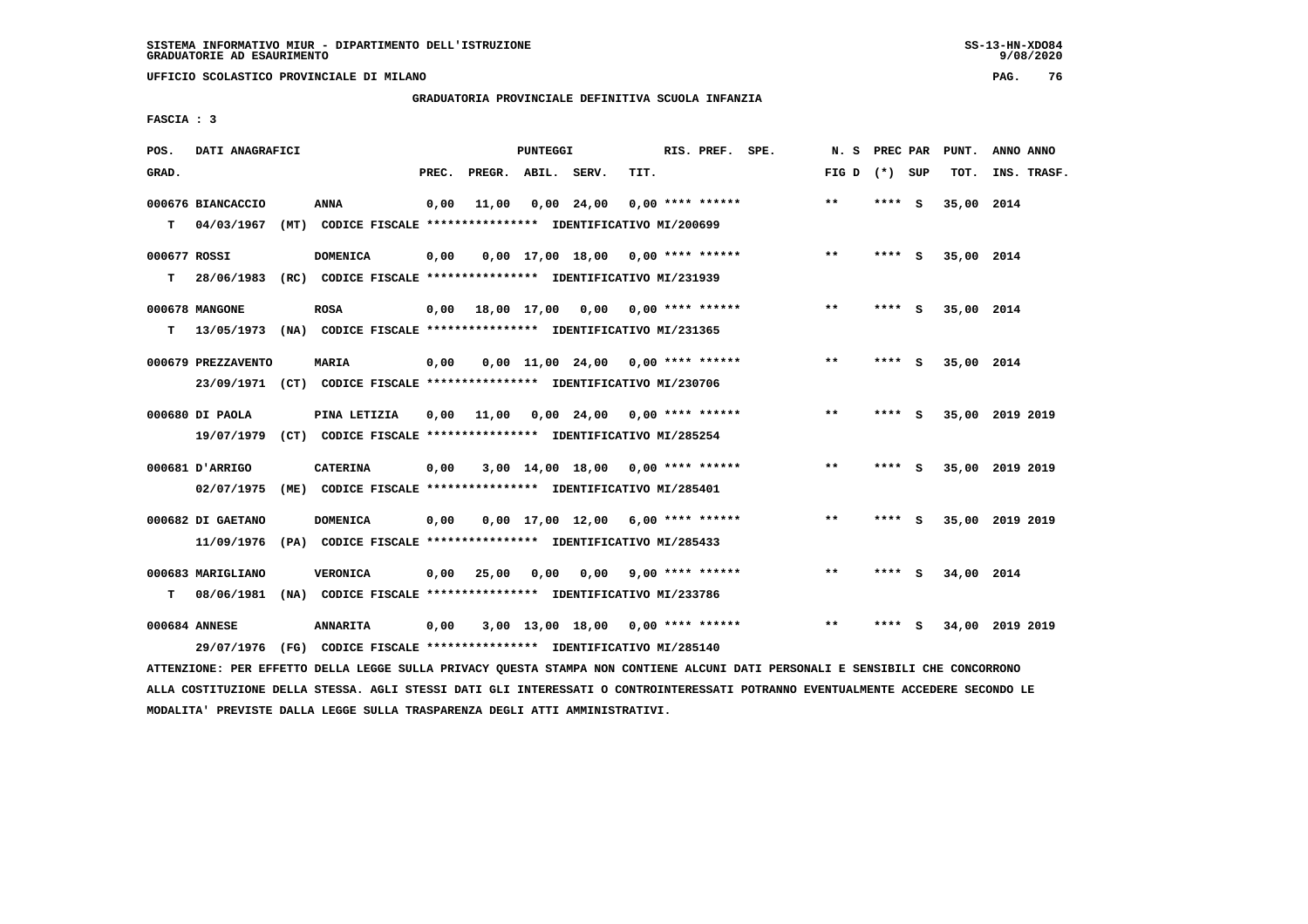**UFFICIO SCOLASTICO PROVINCIALE DI MILANO PAG. 76**

# **GRADUATORIA PROVINCIALE DEFINITIVA SCUOLA INFANZIA**

 **FASCIA : 3**

| POS.         | DATI ANAGRAFICI    |                                                                         |       |                    | PUNTEGGI |                                     |      | RIS. PREF. SPE.    | N.S             | PREC PAR |     | PUNT.      | ANNO ANNO       |
|--------------|--------------------|-------------------------------------------------------------------------|-------|--------------------|----------|-------------------------------------|------|--------------------|-----------------|----------|-----|------------|-----------------|
| GRAD.        |                    |                                                                         | PREC. | PREGR. ABIL. SERV. |          |                                     | TIT. |                    | FIG D $(*)$ SUP |          |     | TOT.       | INS. TRASF.     |
|              | 000676 BIANCACCIO  | <b>ANNA</b>                                                             | 0,00  | 11,00              |          | $0,00$ 24,00                        |      | $0.00$ **** ****** | $* *$           | $***$ S  |     | 35,00 2014 |                 |
| т            | 04/03/1967         | (MT) CODICE FISCALE **************** IDENTIFICATIVO MI/200699           |       |                    |          |                                     |      |                    |                 |          |     |            |                 |
| 000677 ROSSI |                    | <b>DOMENICA</b>                                                         | 0,00  |                    |          | $0.00$ 17.00 18.00 0.00 **** ****** |      |                    | $* *$           | **** S   |     | 35,00 2014 |                 |
| т            | 28/06/1983         | (RC) CODICE FISCALE **************** IDENTIFICATIVO MI/231939           |       |                    |          |                                     |      |                    |                 |          |     |            |                 |
|              | 000678 MANGONE     | <b>ROSA</b>                                                             | 0,00  |                    |          | 18,00 17,00 0,00 0,00 **** ******   |      |                    | $***$           | **** S   |     | 35,00 2014 |                 |
| т            | 13/05/1973         | (NA) CODICE FISCALE **************** IDENTIFICATIVO MI/231365           |       |                    |          |                                     |      |                    |                 |          |     |            |                 |
|              | 000679 PREZZAVENTO | <b>MARIA</b>                                                            | 0,00  |                    |          | $0.00$ 11.00 24.00 0.00 **** ****** |      |                    | $**$            | ****     | - S | 35,00 2014 |                 |
|              |                    | 23/09/1971 (CT) CODICE FISCALE *************** IDENTIFICATIVO MI/230706 |       |                    |          |                                     |      |                    |                 |          |     |            |                 |
|              | 000680 DI PAOLA    | PINA LETIZIA                                                            | 0.00  | 11,00              |          | 0,00 24,00                          |      | $0.00$ **** ****** | $* *$           | ****     | - S |            | 35,00 2019 2019 |
|              | 19/07/1979         | (CT) CODICE FISCALE **************** IDENTIFICATIVO MI/285254           |       |                    |          |                                     |      |                    |                 |          |     |            |                 |
|              | 000681 D'ARRIGO    | <b>CATERINA</b>                                                         | 0,00  |                    |          | $3,00$ 14,00 18,00 0,00 **** ****** |      |                    | **              | **** S   |     |            | 35,00 2019 2019 |
|              | 02/07/1975         | (ME) CODICE FISCALE **************** IDENTIFICATIVO MI/285401           |       |                    |          |                                     |      |                    |                 |          |     |            |                 |
|              | 000682 DI GAETANO  | <b>DOMENICA</b>                                                         | 0,00  |                    |          | $0.00$ 17.00 12.00 6.00 **** ****** |      |                    | $* *$           | ****     | - S |            | 35,00 2019 2019 |
|              | 11/09/1976         | (PA) CODICE FISCALE **************** IDENTIFICATIVO MI/285433           |       |                    |          |                                     |      |                    |                 |          |     |            |                 |
|              | 000683 MARIGLIANO  | <b>VERONICA</b>                                                         | 0,00  | 25,00              | 0,00     | 0,00                                |      | $9,00$ **** ****** | $* *$           | ****     | - 5 | 34,00 2014 |                 |
| т            | 08/06/1981         | (NA) CODICE FISCALE **************** IDENTIFICATIVO MI/233786           |       |                    |          |                                     |      |                    |                 |          |     |            |                 |
|              | 000684 ANNESE      | <b>ANNARITA</b>                                                         | 0,00  |                    |          | 3,00 13,00 18,00                    |      | $0.00$ **** ****** | $**$            | ****     | s   | 34,00      | 2019 2019       |
|              |                    | 29/07/1976 (FG) CODICE FISCALE *************** IDENTIFICATIVO MI/285140 |       |                    |          |                                     |      |                    |                 |          |     |            |                 |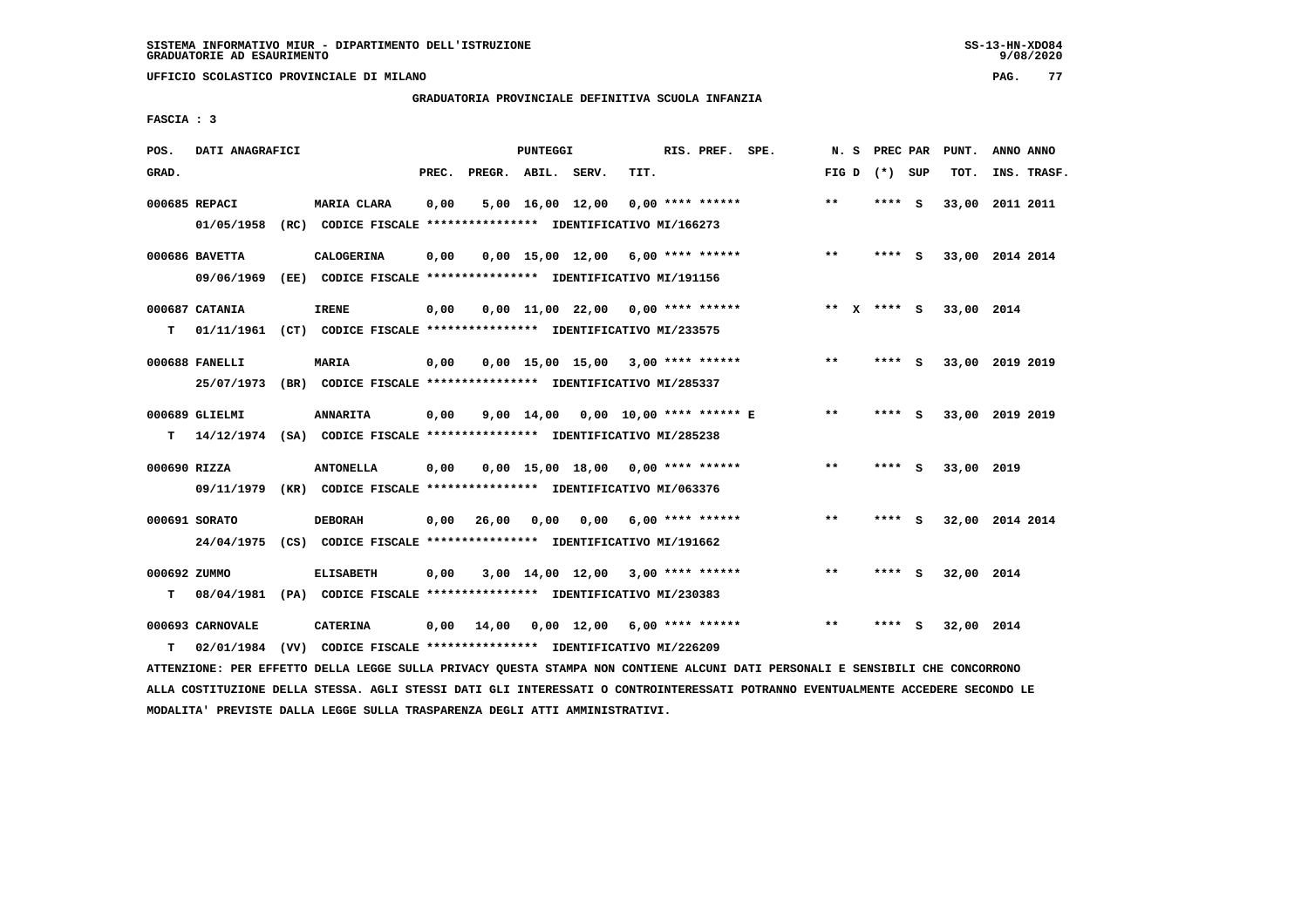**UFFICIO SCOLASTICO PROVINCIALE DI MILANO PAG. 77**

# **GRADUATORIA PROVINCIALE DEFINITIVA SCUOLA INFANZIA**

 **FASCIA : 3**

| POS.  | DATI ANAGRAFICI              |                                                                                             |       |                    | PUNTEGGI           |                                     |      | RIS. PREF. SPE.    | N.S   | PREC PAR    |     | PUNT.      | ANNO ANNO       |
|-------|------------------------------|---------------------------------------------------------------------------------------------|-------|--------------------|--------------------|-------------------------------------|------|--------------------|-------|-------------|-----|------------|-----------------|
| GRAD. |                              |                                                                                             | PREC. | PREGR. ABIL. SERV. |                    |                                     | TIT. |                    | FIG D | (*) SUP     |     | TOT.       | INS. TRASF.     |
|       | 000685 REPACI<br>01/05/1958  | MARIA CLARA<br>(RC) CODICE FISCALE **************** IDENTIFICATIVO MI/166273                | 0,00  |                    |                    | 5,00 16,00 12,00                    |      | $0.00$ **** ****** | $***$ | **** S      |     | 33,00      | 2011 2011       |
|       | 000686 BAVETTA<br>09/06/1969 | <b>CALOGERINA</b><br>(EE) CODICE FISCALE **************** IDENTIFICATIVO MI/191156          | 0,00  |                    |                    | $0.00$ 15.00 12.00 6.00 **** ****** |      |                    | $***$ | **** S      |     |            | 33,00 2014 2014 |
| т     | 000687 CATANIA               | <b>IRENE</b><br>01/11/1961 (CT) CODICE FISCALE *************** IDENTIFICATIVO MI/233575     | 0,00  |                    |                    | $0,00$ 11,00 22,00 0,00 **** ****** |      |                    |       | ** x **** S |     | 33,00 2014 |                 |
|       | 000688 FANELLI               | MARIA<br>25/07/1973 (BR) CODICE FISCALE *************** IDENTIFICATIVO MI/285337            | 0,00  |                    |                    | $0,00$ 15,00 15,00 3,00 **** ****** |      |                    | **    | **** S      |     |            | 33,00 2019 2019 |
| т     | 000689 GLIELMI               | <b>ANNARITA</b><br>14/12/1974 (SA) CODICE FISCALE *************** IDENTIFICATIVO MI/285238  | 0,00  |                    | $9,00 \quad 14,00$ | 0,00 10,00 **** ****** E            |      |                    | $* *$ | ****        | - S |            | 33,00 2019 2019 |
|       | 000690 RIZZA                 | <b>ANTONELLA</b><br>09/11/1979 (KR) CODICE FISCALE *************** IDENTIFICATIVO MI/063376 | 0,00  |                    |                    | $0,00$ 15,00 18,00 0,00 **** ****** |      |                    | $***$ | **** S      |     | 33,00 2019 |                 |
|       | 000691 SORATO                | <b>DEBORAH</b><br>24/04/1975 (CS) CODICE FISCALE **************** IDENTIFICATIVO MI/191662  | 0.00  | 26,00              | 0.00               | 0,00                                |      | 6,00 **** ******   | $***$ | **** S      |     |            | 32,00 2014 2014 |
| т     | 000692 ZUMMO<br>08/04/1981   | <b>ELISABETH</b><br>(PA) CODICE FISCALE **************** IDENTIFICATIVO MI/230383           | 0,00  |                    |                    | $3,00$ 14,00 12,00 3,00 **** ****** |      |                    | $***$ | ****        | - S | 32,00 2014 |                 |
| т     | 000693 CARNOVALE             | <b>CATERINA</b><br>02/01/1984 (VV) CODICE FISCALE *************** IDENTIFICATIVO MI/226209  | 0,00  | 14,00              |                    | 0,00 12,00                          |      | $6,00$ **** ****** | $* *$ | ****        | - S | 32,00 2014 |                 |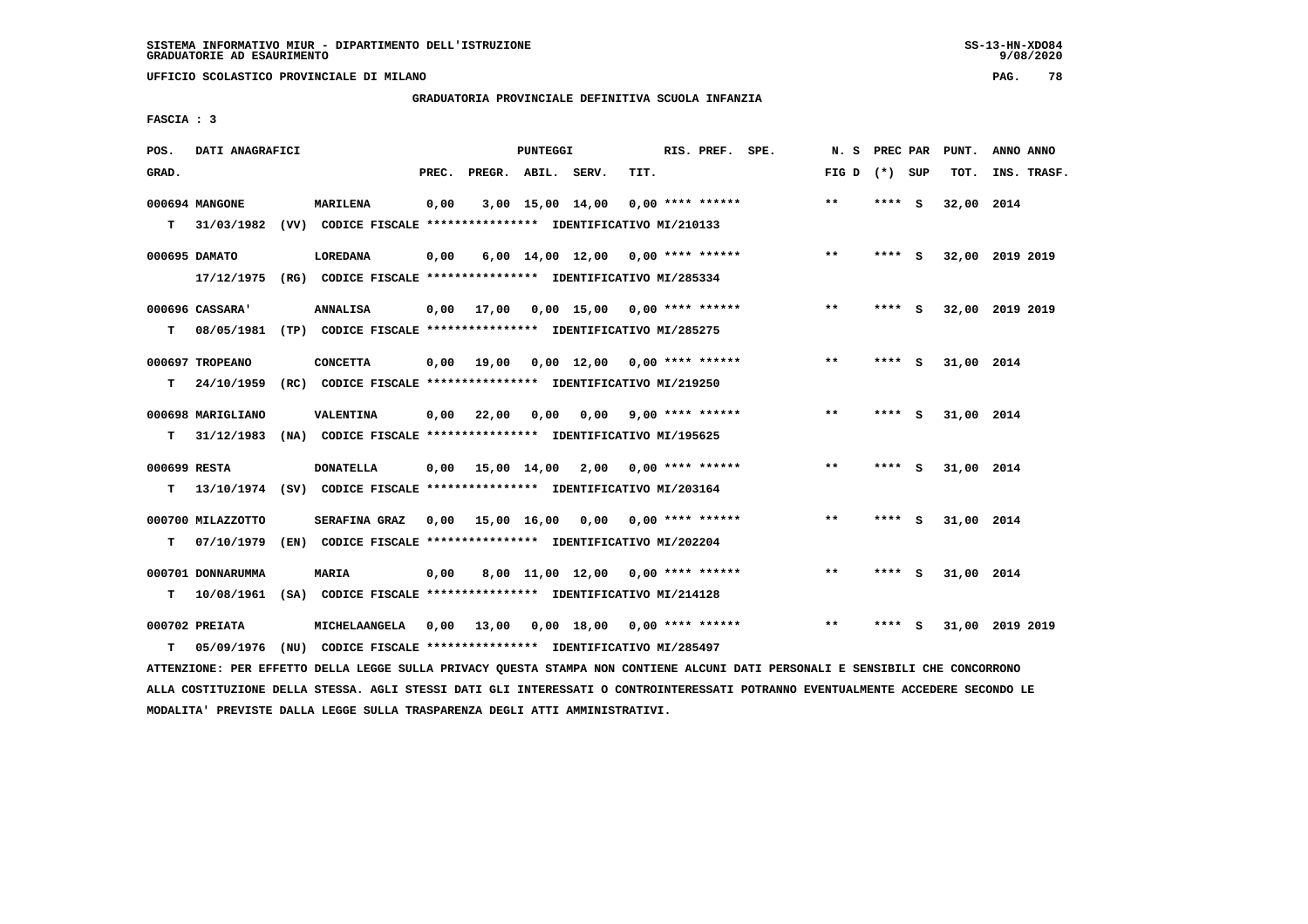**UFFICIO SCOLASTICO PROVINCIALE DI MILANO PAG. 78**

# **GRADUATORIA PROVINCIALE DEFINITIVA SCUOLA INFANZIA**

 **FASCIA : 3**

| POS.         | DATI ANAGRAFICI   |                                                                          |       |                    | PUNTEGGI |                                          |      | RIS. PREF. SPE.         | N.S             | <b>PREC PAR</b> |          | PUNT.      | ANNO ANNO       |
|--------------|-------------------|--------------------------------------------------------------------------|-------|--------------------|----------|------------------------------------------|------|-------------------------|-----------------|-----------------|----------|------------|-----------------|
| GRAD.        |                   |                                                                          | PREC. | PREGR. ABIL. SERV. |          |                                          | TIT. |                         | FIG D $(*)$ SUP |                 |          | TOT.       | INS. TRASF.     |
|              | 000694 MANGONE    | MARILENA                                                                 | 0,00  |                    |          | $3,00$ 15,00 14,00 0,00 **** ******      |      |                         | $***$           | **** S          |          | 32,00 2014 |                 |
| T.           |                   | 31/03/1982 (VV) CODICE FISCALE *************** IDENTIFICATIVO MI/210133  |       |                    |          |                                          |      |                         |                 |                 |          |            |                 |
|              | 000695 DAMATO     | LOREDANA                                                                 | 0,00  |                    |          | $6,00$ 14,00 12,00 0,00 **** ******      |      |                         | $***$           | $***$ S         |          |            | 32,00 2019 2019 |
|              | 17/12/1975        | (RG) CODICE FISCALE **************** IDENTIFICATIVO MI/285334            |       |                    |          |                                          |      |                         |                 |                 |          |            |                 |
|              | 000696 CASSARA'   | <b>ANNALISA</b>                                                          | 0,00  | 17,00              |          | $0.00$ 15.00 0.00 **** ******            |      |                         | $***$           | ****            | <b>S</b> |            | 32,00 2019 2019 |
| т            | 08/05/1981        | (TP) CODICE FISCALE *************** IDENTIFICATIVO MI/285275             |       |                    |          |                                          |      |                         |                 |                 |          |            |                 |
|              | 000697 TROPEANO   | <b>CONCETTA</b>                                                          | 0,00  | 19,00              |          | $0,00$ 12,00 0,00 **** ******            |      |                         | $***$           | **** $S$        |          | 31,00 2014 |                 |
| т            | 24/10/1959        | (RC) CODICE FISCALE **************** IDENTIFICATIVO MI/219250            |       |                    |          |                                          |      |                         |                 |                 |          |            |                 |
|              | 000698 MARIGLIANO | VALENTINA                                                                | 0.00  | 22,00              | 0.00     |                                          |      | $0.00$ 9.00 **** ****** | $* *$           | **** S          |          | 31,00 2014 |                 |
| T.           | 31/12/1983        | (NA) CODICE FISCALE **************** IDENTIFICATIVO MI/195625            |       |                    |          |                                          |      |                         |                 |                 |          |            |                 |
| 000699 RESTA |                   | <b>DONATELLA</b>                                                         |       |                    |          | $0,00$ 15,00 14,00 2,00 0,00 **** ****** |      |                         | $* *$           | **** S          |          | 31,00 2014 |                 |
| т            |                   | 13/10/1974 (SV) CODICE FISCALE **************** IDENTIFICATIVO MI/203164 |       |                    |          |                                          |      |                         |                 |                 |          |            |                 |
|              | 000700 MILAZZOTTO | SERAFINA GRAZ                                                            | 0,00  |                    |          | 15,00 16,00 0,00 0,00 **** ******        |      |                         | $***$           | **** S          |          | 31,00 2014 |                 |
| т            |                   | 07/10/1979 (EN) CODICE FISCALE *************** IDENTIFICATIVO MI/202204  |       |                    |          |                                          |      |                         |                 |                 |          |            |                 |
|              | 000701 DONNARUMMA | <b>MARIA</b>                                                             | 0,00  |                    |          | 8,00 11,00 12,00 0,00 **** ******        |      |                         | $* *$           | ****            | - S      | 31,00 2014 |                 |
| т            |                   | 10/08/1961 (SA) CODICE FISCALE **************** IDENTIFICATIVO MI/214128 |       |                    |          |                                          |      |                         |                 |                 |          |            |                 |
|              | 000702 PREIATA    | <b>MICHELAANGELA</b>                                                     |       | 0,00 13,00         |          | $0.00$ 18,00 0.00 **** ******            |      |                         | $**$            |                 | s        |            | 31,00 2019 2019 |
| т            | 05/09/1976        | (NU) CODICE FISCALE **************** IDENTIFICATIVO MI/285497            |       |                    |          |                                          |      |                         |                 |                 |          |            |                 |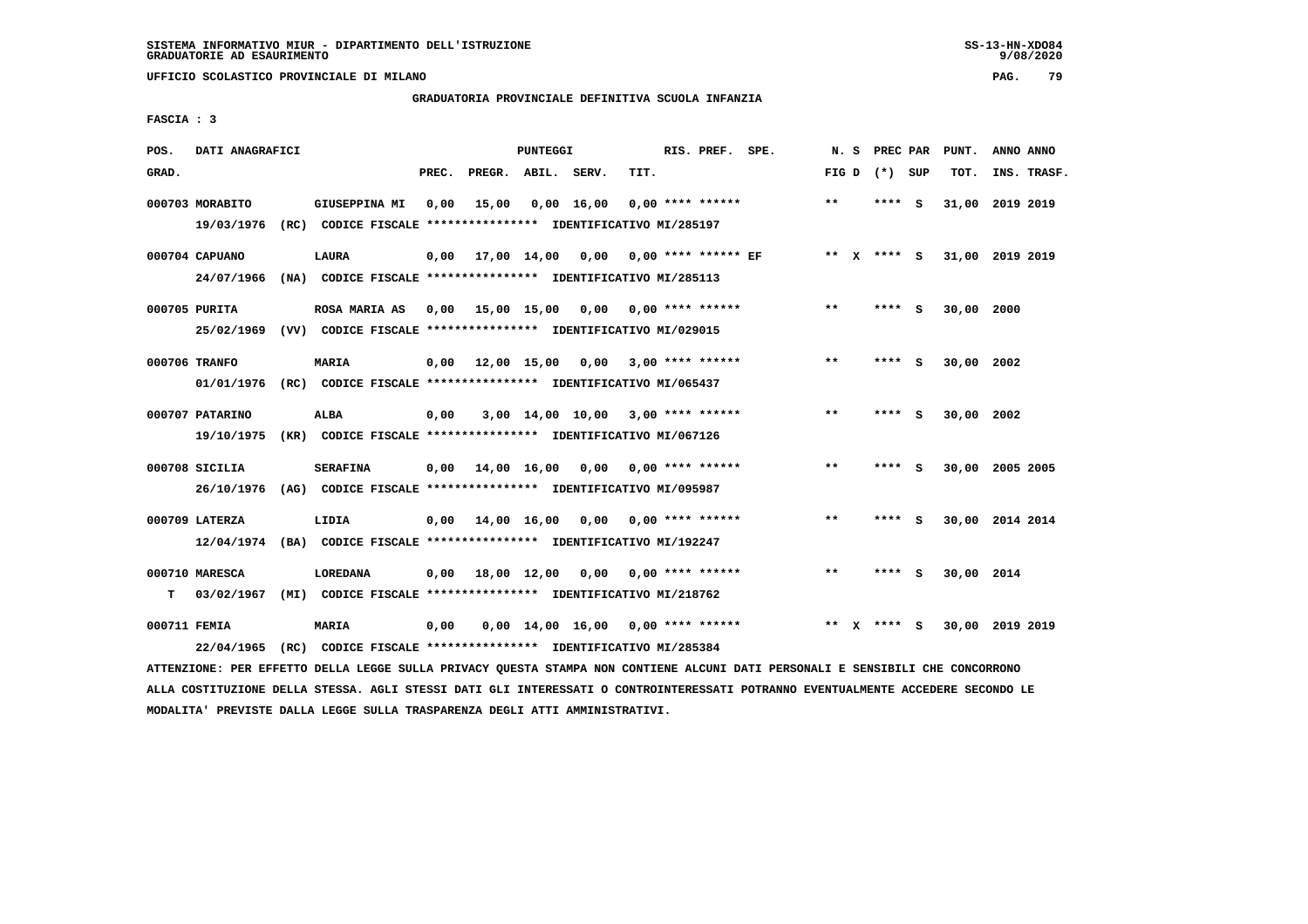**UFFICIO SCOLASTICO PROVINCIALE DI MILANO PAG. 79**

# **GRADUATORIA PROVINCIALE DEFINITIVA SCUOLA INFANZIA**

 **FASCIA : 3**

| POS.         | DATI ANAGRAFICI               |                                                                                                 |       |                    | PUNTEGGI |                                     |      | RIS. PREF. SPE.           | N. S    |              | PREC PAR |     | PUNT.           | ANNO ANNO |             |
|--------------|-------------------------------|-------------------------------------------------------------------------------------------------|-------|--------------------|----------|-------------------------------------|------|---------------------------|---------|--------------|----------|-----|-----------------|-----------|-------------|
| GRAD.        |                               |                                                                                                 | PREC. | PREGR. ABIL. SERV. |          |                                     | TIT. |                           | FIG D   |              | (*) SUP  |     | TOT.            |           | INS. TRASF. |
|              | 000703 MORABITO<br>19/03/1976 | GIUSEPPINA MI<br>(RC) CODICE FISCALE **************** IDENTIFICATIVO MI/285197                  | 0,00  | 15,00              |          | $0,00$ 16,00                        |      | $0.00$ **** ******        | $**$    |              | ****     | - S | 31,00 2019 2019 |           |             |
|              | 000704 CAPUANO<br>24/07/1966  | LAURA<br>(NA) CODICE FISCALE **************** IDENTIFICATIVO MI/285113                          | 0,00  |                    |          | 17,00 14,00 0,00                    |      | $0.00$ **** ****** EF     | $***$ X |              | **** S   |     | 31,00 2019 2019 |           |             |
|              | 000705 PURITA                 | <b>ROSA MARIA AS</b><br>25/02/1969 (VV) CODICE FISCALE *************** IDENTIFICATIVO MI/029015 | 0,00  |                    |          | 15,00 15,00 0,00 0,00 **** ******   |      |                           | $* *$   |              | **** S   |     | 30,00 2000      |           |             |
|              | 000706 TRANFO<br>01/01/1976   | MARIA<br>(RC) CODICE FISCALE *************** IDENTIFICATIVO MI/065437                           | 0,00  |                    |          | 12,00 15,00 0,00 3,00 **** ******   |      |                           | **      |              | ****     | - S | 30,00 2002      |           |             |
|              | 000707 PATARINO<br>19/10/1975 | ALBA<br>(KR) CODICE FISCALE **************** IDENTIFICATIVO MI/067126                           | 0,00  |                    |          | $3,00$ 14,00 10,00 3,00 **** ****** |      |                           | $* *$   |              | ****     | - S | 30,00 2002      |           |             |
|              | 000708 SICILIA                | <b>SERAFINA</b><br>26/10/1976 (AG) CODICE FISCALE *************** IDENTIFICATIVO MI/095987      |       | 0,00 14,00 16,00   |          | 0,00                                |      | $0.00$ **** ******        | $***$   |              | ****     | - S | 30,00 2005 2005 |           |             |
|              | 000709 LATERZA                | LIDIA<br>12/04/1974 (BA) CODICE FISCALE *************** IDENTIFICATIVO MI/192247                | 0,00  | 14,00 16,00 0,00   |          |                                     |      | $0.00$ **** ******        | $***$   |              | **** S   |     | 30,00 2014 2014 |           |             |
| т            | 000710 MARESCA<br>03/02/1967  | <b>LOREDANA</b><br>(MI) CODICE FISCALE **************** IDENTIFICATIVO MI/218762                | 0.00  | 18,00 12,00        |          |                                     |      | $0,00$ $0,00$ **** ****** | $***$   |              | ****     | - S | 30,00 2014      |           |             |
| 000711 FEMIA | 22/04/1965                    | MARIA<br>(RC) CODICE FISCALE **************** IDENTIFICATIVO MI/285384                          | 0,00  |                    |          | $0.00$ 14.00 16.00 0.00 **** ****** |      |                           | $* *$   | $\mathbf{x}$ | **** S   |     | 30,00 2019 2019 |           |             |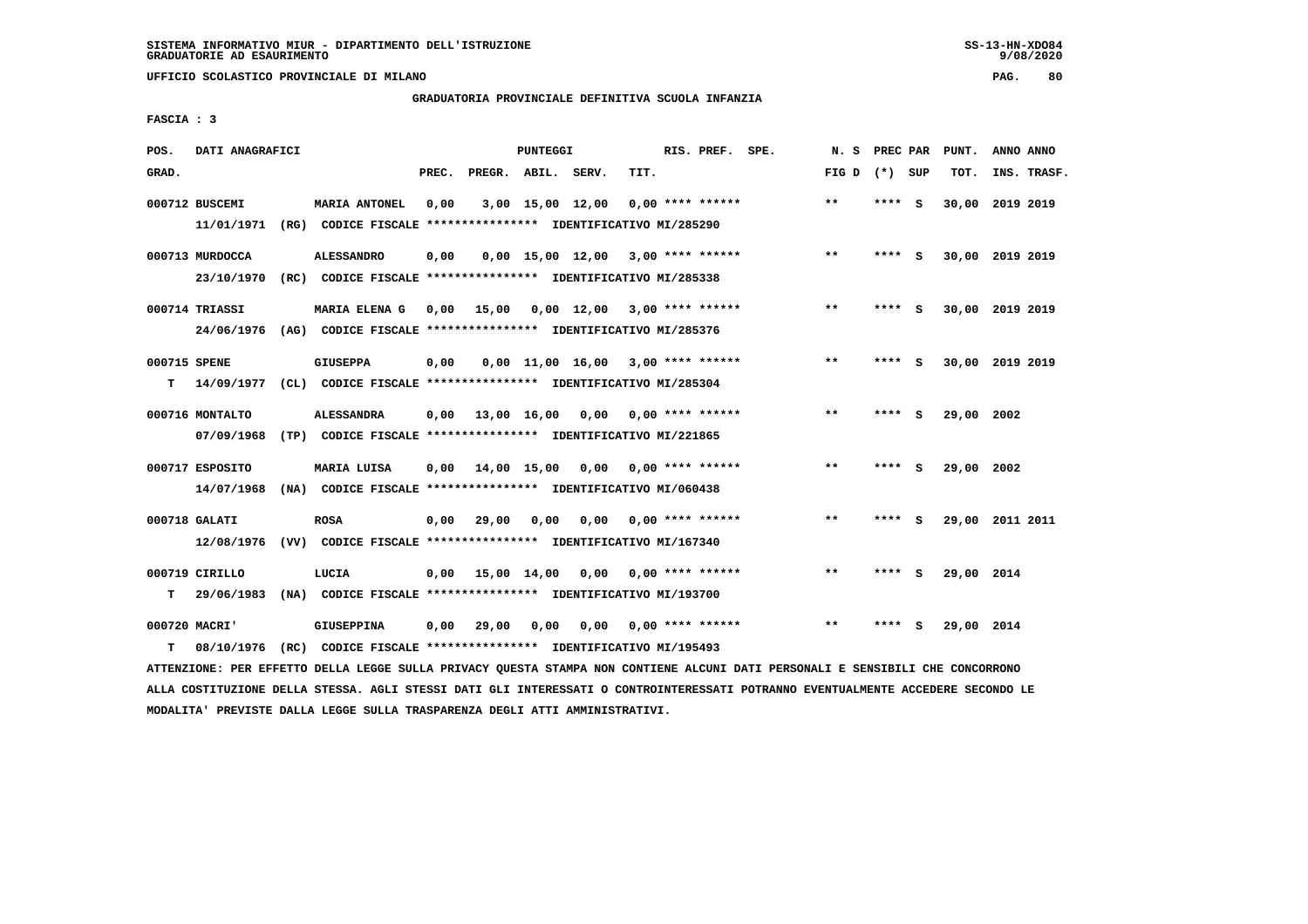**UFFICIO SCOLASTICO PROVINCIALE DI MILANO PAG. 80**

# **GRADUATORIA PROVINCIALE DEFINITIVA SCUOLA INFANZIA**

 **FASCIA : 3**

| POS.         | DATI ANAGRAFICI |                                                                         |       |                    | PUNTEGGI         |                                     |      | RIS. PREF. SPE.           | N.S             | PREC PAR |          | PUNT.           | ANNO ANNO |             |
|--------------|-----------------|-------------------------------------------------------------------------|-------|--------------------|------------------|-------------------------------------|------|---------------------------|-----------------|----------|----------|-----------------|-----------|-------------|
| GRAD.        |                 |                                                                         | PREC. | PREGR. ABIL. SERV. |                  |                                     | TIT. |                           | FIG D $(*)$ SUP |          |          | TOT.            |           | INS. TRASF. |
|              | 000712 BUSCEMI  | <b>MARIA ANTONEL</b>                                                    | 0,00  |                    | 3,00 15,00 12,00 |                                     |      | $0.00$ **** ******        | $* *$           | ****     | <b>S</b> | 30,00 2019 2019 |           |             |
|              | 11/01/1971      | (RG) CODICE FISCALE **************** IDENTIFICATIVO MI/285290           |       |                    |                  |                                     |      |                           |                 |          |          |                 |           |             |
|              | 000713 MURDOCCA | <b>ALESSANDRO</b>                                                       | 0,00  |                    |                  | $0,00$ 15,00 12,00 3,00 **** ****** |      |                           | $***$           | **** S   |          | 30,00 2019 2019 |           |             |
|              | 23/10/1970      | (RC) CODICE FISCALE **************** IDENTIFICATIVO MI/285338           |       |                    |                  |                                     |      |                           |                 |          |          |                 |           |             |
|              | 000714 TRIASSI  | MARIA ELENA G                                                           | 0.00  | 15,00              |                  | $0,00$ 12,00 3,00 **** ******       |      |                           | $* *$           | ****     | - S      | 30,00 2019 2019 |           |             |
|              | 24/06/1976      | (AG) CODICE FISCALE **************** IDENTIFICATIVO MI/285376           |       |                    |                  |                                     |      |                           |                 |          |          |                 |           |             |
| 000715 SPENE |                 | <b>GIUSEPPA</b>                                                         | 0,00  |                    |                  | $0.00$ 11.00 16.00 3.00 **** ****** |      |                           | $* *$           | ****     | - S      | 30,00 2019 2019 |           |             |
| т            | 14/09/1977      | (CL) CODICE FISCALE **************** IDENTIFICATIVO MI/285304           |       |                    |                  |                                     |      |                           |                 |          |          |                 |           |             |
|              | 000716 MONTALTO | <b>ALESSANDRA</b>                                                       | 0.00  | 13,00 16,00        |                  | 0,00                                |      | $0.00$ **** ******        | $* *$           | ****     | - S      | 29,00           | 2002      |             |
|              | 07/09/1968      | (TP) CODICE FISCALE **************** IDENTIFICATIVO MI/221865           |       |                    |                  |                                     |      |                           |                 |          |          |                 |           |             |
|              | 000717 ESPOSITO | MARIA LUISA                                                             | 0,00  | 14,00 15,00        |                  | 0,00                                |      | 0,00 **** ******          | $***$           | ****     | - S      | 29,00 2002      |           |             |
|              | 14/07/1968      | (NA) CODICE FISCALE **************** IDENTIFICATIVO MI/060438           |       |                    |                  |                                     |      |                           |                 |          |          |                 |           |             |
|              | 000718 GALATI   | <b>ROSA</b>                                                             | 0.00  | 29,00              | 0.00             | 0.00                                |      | 0,00 **** ******          | $***$           | ****     | - S      | 29,00 2011 2011 |           |             |
|              | 12/08/1976      | (VV) CODICE FISCALE **************** IDENTIFICATIVO MI/167340           |       |                    |                  |                                     |      |                           |                 |          |          |                 |           |             |
|              | 000719 CIRILLO  | LUCIA                                                                   | 0.00  |                    | 15,00 14,00      |                                     |      | $0,00$ $0,00$ **** ****** | $* *$           |          | - S      | 29,00 2014      |           |             |
| т            | 29/06/1983      | (NA) CODICE FISCALE **************** IDENTIFICATIVO MI/193700           |       |                    |                  |                                     |      |                           |                 |          |          |                 |           |             |
|              | 000720 MACRI'   | <b>GIUSEPPINA</b>                                                       | 0,00  | 29,00              | 0,00             | 0,00                                |      | $0.00$ **** ******        | $* *$           |          | s        | 29,00 2014      |           |             |
| т            |                 | 08/10/1976 (RC) CODICE FISCALE *************** IDENTIFICATIVO MI/195493 |       |                    |                  |                                     |      |                           |                 |          |          |                 |           |             |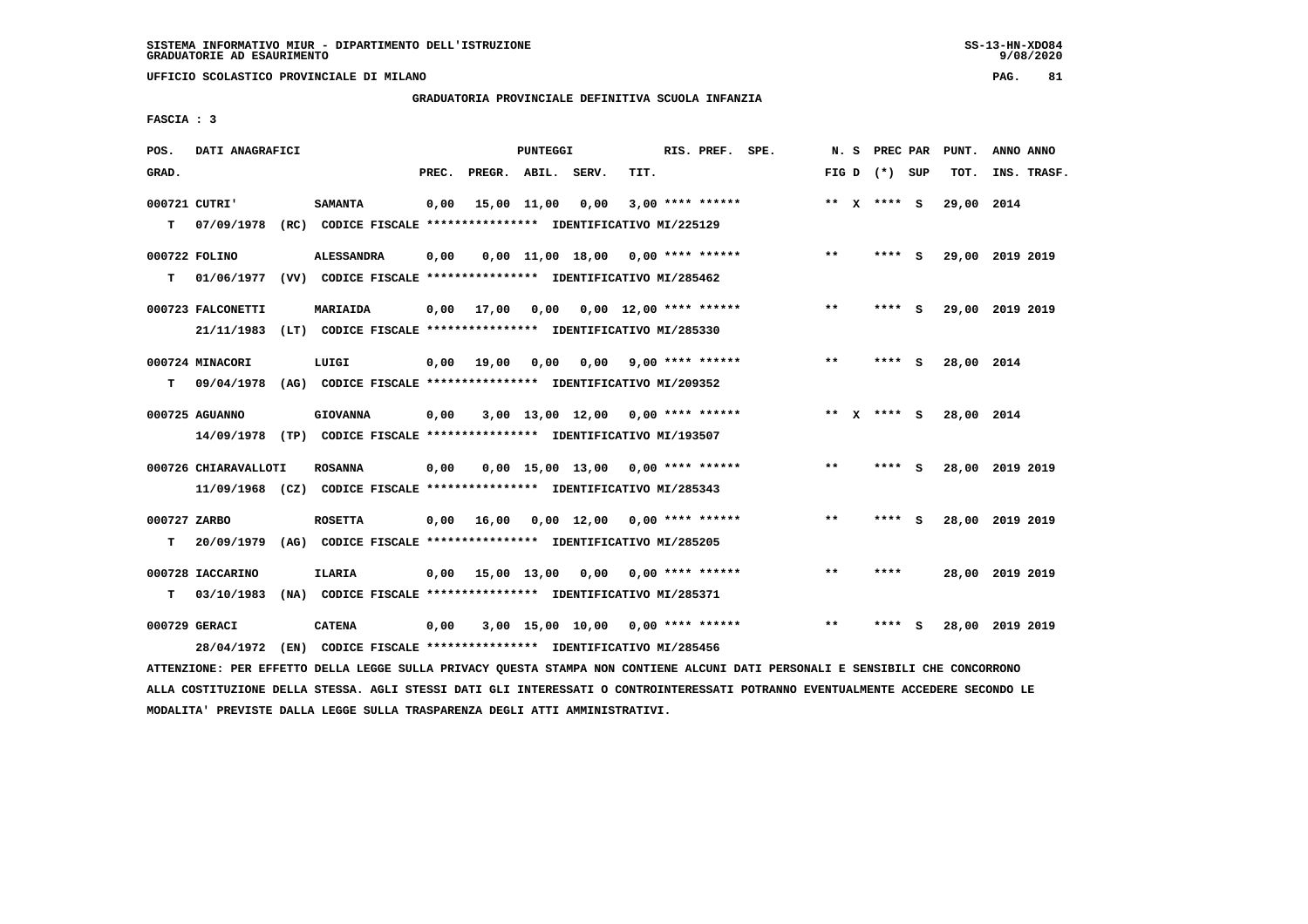**UFFICIO SCOLASTICO PROVINCIALE DI MILANO PAG. 81**

# **GRADUATORIA PROVINCIALE DEFINITIVA SCUOLA INFANZIA**

 **FASCIA : 3**

| POS.         | DATI ANAGRAFICI      |                                                                         |       |                    | PUNTEGGI |                                     |      | RIS. PREF. SPE.          | N.S   |                 |     | PREC PAR PUNT. | ANNO ANNO       |
|--------------|----------------------|-------------------------------------------------------------------------|-------|--------------------|----------|-------------------------------------|------|--------------------------|-------|-----------------|-----|----------------|-----------------|
| GRAD.        |                      |                                                                         | PREC. | PREGR. ABIL. SERV. |          |                                     | TIT. |                          |       | FIG D $(*)$ SUP |     | TOT.           | INS. TRASF.     |
|              | 000721 CUTRI'        | <b>SAMANTA</b>                                                          | 0,00  | 15,00 11,00        |          | 0,00                                |      | $3,00$ **** ******       |       | ** $X$ **** S   |     | 29,00 2014     |                 |
| т            | 07/09/1978           | (RC) CODICE FISCALE **************** IDENTIFICATIVO MI/225129           |       |                    |          |                                     |      |                          |       |                 |     |                |                 |
|              | 000722 FOLINO        | <b>ALESSANDRA</b>                                                       | 0,00  |                    |          | $0,00$ 11,00 18,00 0,00 **** ****** |      |                          | $***$ | **** S          |     |                | 29,00 2019 2019 |
| т            | 01/06/1977           | (VV) CODICE FISCALE **************** IDENTIFICATIVO MI/285462           |       |                    |          |                                     |      |                          |       |                 |     |                |                 |
|              | 000723 FALCONETTI    | <b>MARIAIDA</b>                                                         | 0.00  | 17,00              | 0.00     |                                     |      | $0.00$ 12.00 **** ****** | $* *$ | ****            | - S |                | 29,00 2019 2019 |
|              | 21/11/1983           | (LT) CODICE FISCALE **************** IDENTIFICATIVO MI/285330           |       |                    |          |                                     |      |                          |       |                 |     |                |                 |
|              | 000724 MINACORI      | LUIGI                                                                   | 0.00  | 19,00              | 0.00     | 0.00                                |      | 9,00 **** ******         | $***$ | **** S          |     | 28,00 2014     |                 |
| т            | 09/04/1978           | (AG) CODICE FISCALE **************** IDENTIFICATIVO MI/209352           |       |                    |          |                                     |      |                          |       |                 |     |                |                 |
|              | 000725 AGUANNO       | <b>GIOVANNA</b>                                                         | 0,00  |                    |          | $3,00$ 13,00 12,00 0,00 **** ****** |      |                          |       | ** $X$ **** S   |     | 28,00 2014     |                 |
|              |                      | 14/09/1978 (TP) CODICE FISCALE *************** IDENTIFICATIVO MI/193507 |       |                    |          |                                     |      |                          |       |                 |     |                |                 |
|              | 000726 CHIARAVALLOTI | <b>ROSANNA</b>                                                          | 0,00  |                    |          | $0,00$ 15,00 13,00 0,00 **** ****** |      |                          | $***$ | **** S          |     |                | 28,00 2019 2019 |
|              |                      | 11/09/1968 (CZ) CODICE FISCALE *************** IDENTIFICATIVO MI/285343 |       |                    |          |                                     |      |                          |       |                 |     |                |                 |
| 000727 ZARBO |                      | <b>ROSETTA</b>                                                          | 0,00  | 16,00              |          | $0,00$ 12,00 0,00 **** ******       |      |                          | $* *$ | ****            | - S |                | 28,00 2019 2019 |
| т            | 20/09/1979           | (AG) CODICE FISCALE **************** IDENTIFICATIVO MI/285205           |       |                    |          |                                     |      |                          |       |                 |     |                |                 |
|              | 000728 IACCARINO     | <b>ILARIA</b>                                                           | 0,00  | 15,00 13,00        |          | 0,00                                |      | 0,00 **** ******         | $***$ | ****            |     |                | 28,00 2019 2019 |
| T.           | 03/10/1983           | (NA) CODICE FISCALE **************** IDENTIFICATIVO MI/285371           |       |                    |          |                                     |      |                          |       |                 |     |                |                 |
|              | 000729 GERACI        | <b>CATENA</b>                                                           | 0,00  |                    |          | $3,00$ 15,00 10,00 0,00 **** ****** |      |                          | $* *$ | ****            | s   |                | 28,00 2019 2019 |
|              | 28/04/1972           | (EN) CODICE FISCALE **************** IDENTIFICATIVO MI/285456           |       |                    |          |                                     |      |                          |       |                 |     |                |                 |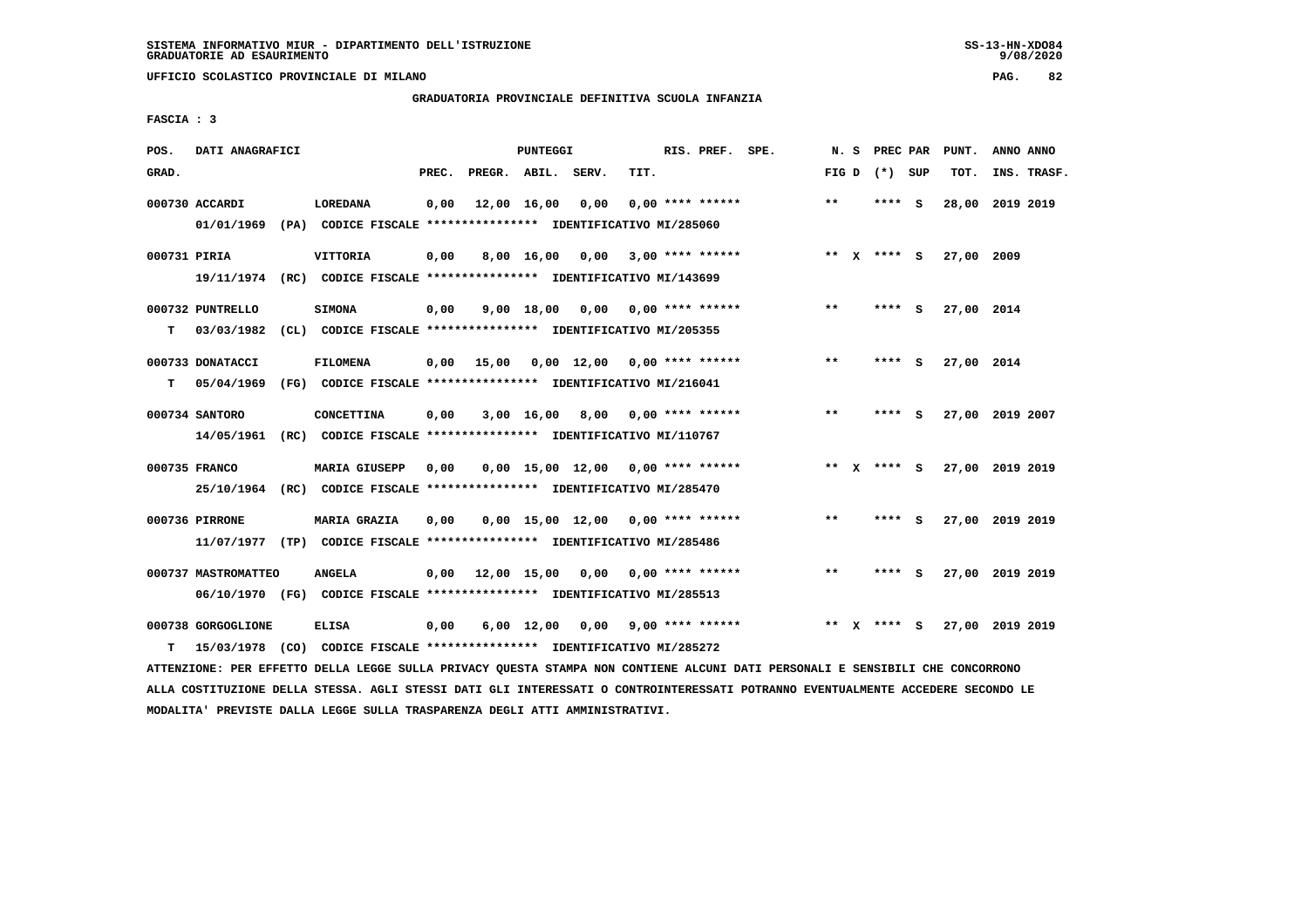**UFFICIO SCOLASTICO PROVINCIALE DI MILANO PAG. 82**

# **GRADUATORIA PROVINCIALE DEFINITIVA SCUOLA INFANZIA**

 **FASCIA : 3**

| POS.         | DATI ANAGRAFICI     |                                                                         |       |                    | <b>PUNTEGGI</b>    |                                     |      | RIS. PREF. SPE.           |              | N.S    | PREC PAR        |     | PUNT.           | ANNO ANNO |             |
|--------------|---------------------|-------------------------------------------------------------------------|-------|--------------------|--------------------|-------------------------------------|------|---------------------------|--------------|--------|-----------------|-----|-----------------|-----------|-------------|
| GRAD.        |                     |                                                                         | PREC. | PREGR. ABIL. SERV. |                    |                                     | TIT. |                           |              |        | FIG D $(*)$ SUP |     | TOT.            |           | INS. TRASF. |
|              | 000730 ACCARDI      | <b>LOREDANA</b>                                                         | 0,00  |                    | 12,00 16,00        | 0,00                                |      | $0.00$ **** ******        | **           |        | **** S          |     | 28,00           | 2019 2019 |             |
|              | 01/01/1969          | (PA) CODICE FISCALE **************** IDENTIFICATIVO MI/285060           |       |                    |                    |                                     |      |                           |              |        |                 |     |                 |           |             |
| 000731 PIRIA |                     | VITTORIA                                                                | 0,00  |                    |                    | 8,00 16,00 0,00                     |      | $3.00$ **** ******        |              |        | ** x **** s     |     | 27,00 2009      |           |             |
|              |                     | 19/11/1974 (RC) CODICE FISCALE *************** IDENTIFICATIVO MI/143699 |       |                    |                    |                                     |      |                           |              |        |                 |     |                 |           |             |
|              | 000732 PUNTRELLO    | <b>SIMONA</b>                                                           | 0,00  |                    | $9,00$ 18,00       |                                     |      | $0,00$ $0,00$ **** ****** | $***$        |        | **** S          |     | 27,00 2014      |           |             |
| т            | 03/03/1982          | (CL) CODICE FISCALE **************** IDENTIFICATIVO MI/205355           |       |                    |                    |                                     |      |                           |              |        |                 |     |                 |           |             |
|              | 000733 DONATACCI    | <b>FILOMENA</b>                                                         | 0,00  | 15,00              |                    | $0,00$ 12,00 0,00 **** ******       |      |                           | $* *$        |        | ****            | - S | 27,00 2014      |           |             |
| т            | 05/04/1969          | (FG) CODICE FISCALE **************** IDENTIFICATIVO MI/216041           |       |                    |                    |                                     |      |                           |              |        |                 |     |                 |           |             |
|              | 000734 SANTORO      | <b>CONCETTINA</b>                                                       | 0,00  |                    | 3,00 16,00         | 8,00                                |      | $0.00$ **** ******        | $* *$        |        | ****            | - S | 27,00 2019 2007 |           |             |
|              | 14/05/1961          | (RC) CODICE FISCALE **************** IDENTIFICATIVO MI/110767           |       |                    |                    |                                     |      |                           |              |        |                 |     |                 |           |             |
|              | 000735 FRANCO       | <b>MARIA GIUSEPP</b>                                                    | 0.00  |                    |                    | $0.00$ 15.00 12.00 0.00 **** ****** |      |                           |              | ** $X$ | **** S          |     | 27,00 2019 2019 |           |             |
|              |                     | 25/10/1964 (RC) CODICE FISCALE *************** IDENTIFICATIVO MI/285470 |       |                    |                    |                                     |      |                           |              |        |                 |     |                 |           |             |
|              | 000736 PIRRONE      | <b>MARIA GRAZIA</b>                                                     | 0,00  |                    |                    | $0,00$ 15,00 12,00 0,00 **** ****** |      |                           | $\star\star$ |        | ****            | - S | 27,00 2019 2019 |           |             |
|              |                     | 11/07/1977 (TP) CODICE FISCALE *************** IDENTIFICATIVO MI/285486 |       |                    |                    |                                     |      |                           |              |        |                 |     |                 |           |             |
|              | 000737 MASTROMATTEO | <b>ANGELA</b>                                                           | 0,00  | 12,00 15,00 0,00   |                    |                                     |      | $0.00$ **** ******        | $***$        |        | ****            | - S | 27,00 2019 2019 |           |             |
|              |                     | 06/10/1970 (FG) CODICE FISCALE *************** IDENTIFICATIVO MI/285513 |       |                    |                    |                                     |      |                           |              |        |                 |     |                 |           |             |
|              | 000738 GORGOGLIONE  | <b>ELISA</b>                                                            | 0,00  |                    | $6,00 \quad 12,00$ |                                     |      | $0.00$ 9.00 **** ******   | **           | x      | **** S          |     | 27,00 2019 2019 |           |             |
| т            |                     | 15/03/1978 (CO) CODICE FISCALE *************** IDENTIFICATIVO MI/285272 |       |                    |                    |                                     |      |                           |              |        |                 |     |                 |           |             |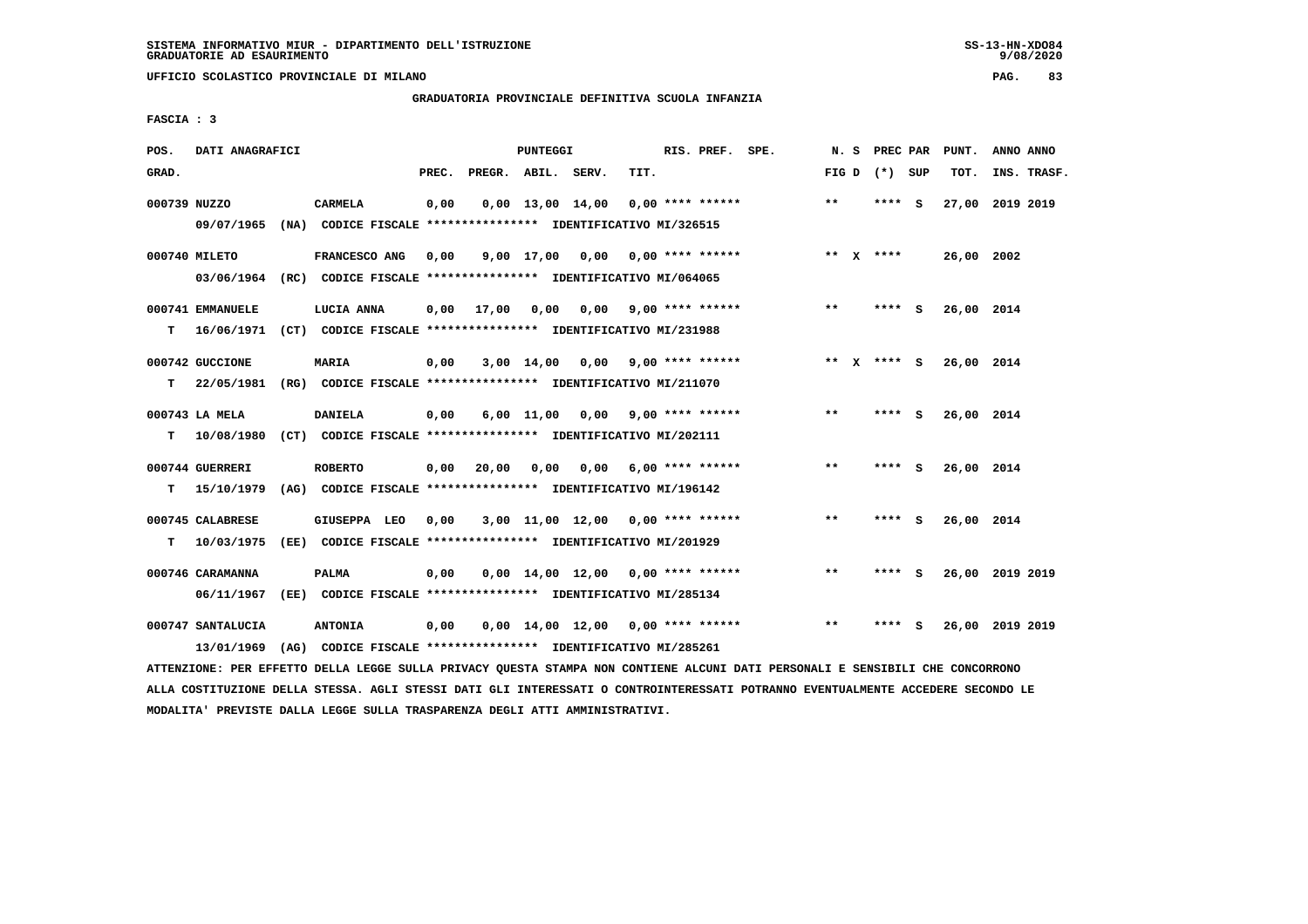**UFFICIO SCOLASTICO PROVINCIALE DI MILANO PAG. 83**

# **GRADUATORIA PROVINCIALE DEFINITIVA SCUOLA INFANZIA**

 **FASCIA : 3**

| POS.         | DATI ANAGRAFICI                 |                                                                                 |       |               | <b>PUNTEGGI</b> |                                     |                         | RIS. PREF. SPE.    | N. S  | PREC PAR        |     | PUNT.      | ANNO ANNO       |  |
|--------------|---------------------------------|---------------------------------------------------------------------------------|-------|---------------|-----------------|-------------------------------------|-------------------------|--------------------|-------|-----------------|-----|------------|-----------------|--|
| GRAD.        |                                 |                                                                                 | PREC. |               | PREGR. ABIL.    | SERV.                               | TIT.                    |                    |       | FIG D $(*)$ SUP |     | TOT.       | INS. TRASF.     |  |
| 000739 NUZZO | 09/07/1965                      | <b>CARMELA</b><br>(NA) CODICE FISCALE **************** IDENTIFICATIVO MI/326515 |       | 0,00          |                 | $0,00$ 13,00 14,00                  |                         | $0.00$ **** ****** | $***$ | **** S          |     | 27,00      | 2019 2019       |  |
|              | 000740 MILETO<br>03/06/1964     | FRANCESCO ANG<br>(RC) CODICE FISCALE **************** IDENTIFICATIVO MI/064065  |       | 0,00          | 9,00 17,00      | 0,00                                |                         | $0.00$ **** ****** |       | ** $X$ ****     |     | 26,00 2002 |                 |  |
| т            | 000741 EMMANUELE<br>16/06/1971  | LUCIA ANNA<br>(CT) CODICE FISCALE **************** IDENTIFICATIVO MI/231988     |       | 17,00<br>0,00 | 0,00            |                                     | $0,00$ 9,00 **** ****** |                    | $* *$ | **** S          |     | 26,00 2014 |                 |  |
| т            | 000742 GUCCIONE<br>22/05/1981   | <b>MARIA</b><br>(RG) CODICE FISCALE **************** IDENTIFICATIVO MI/211070   |       | 0,00          | $3,00$ 14,00    | 0.00                                |                         | $9,00$ **** ****** |       | ** x **** s     |     | 26,00 2014 |                 |  |
| T.           | 000743 LA MELA<br>10/08/1980    | <b>DANIELA</b><br>(CT) CODICE FISCALE **************** IDENTIFICATIVO MI/202111 |       | 0,00          | $6,00$ 11,00    | 0,00                                |                         | $9,00$ **** ****** | $***$ | ****            | - S | 26,00 2014 |                 |  |
| т            | 000744 GUERRERI<br>15/10/1979   | <b>ROBERTO</b><br>(AG) CODICE FISCALE **************** IDENTIFICATIVO MI/196142 |       | 0,00<br>20,00 | 0,00            | 0,00                                |                         | $6.00$ **** ****** | $* *$ | **** S          |     | 26,00 2014 |                 |  |
| т            | 000745 CALABRESE<br>10/03/1975  | GIUSEPPA LEO<br>(EE) CODICE FISCALE **************** IDENTIFICATIVO MI/201929   |       | 0,00          |                 | $3,00$ 11,00 12,00 0,00 **** ****** |                         |                    | $**$  | **** S          |     | 26,00 2014 |                 |  |
|              | 000746 CARAMANNA<br>06/11/1967  | PALMA<br>(EE) CODICE FISCALE **************** IDENTIFICATIVO MI/285134          |       | 0,00          |                 | $0.00$ 14.00 12.00 0.00 **** ****** |                         |                    | $* *$ | **** S          |     |            | 26,00 2019 2019 |  |
|              | 000747 SANTALUCIA<br>13/01/1969 | <b>ANTONIA</b><br>(AG) CODICE FISCALE **************** IDENTIFICATIVO MI/285261 |       | 0,00          |                 | $0,00$ 14,00 12,00 0,00 **** ****** |                         |                    | $* *$ | ****            | - S |            | 26,00 2019 2019 |  |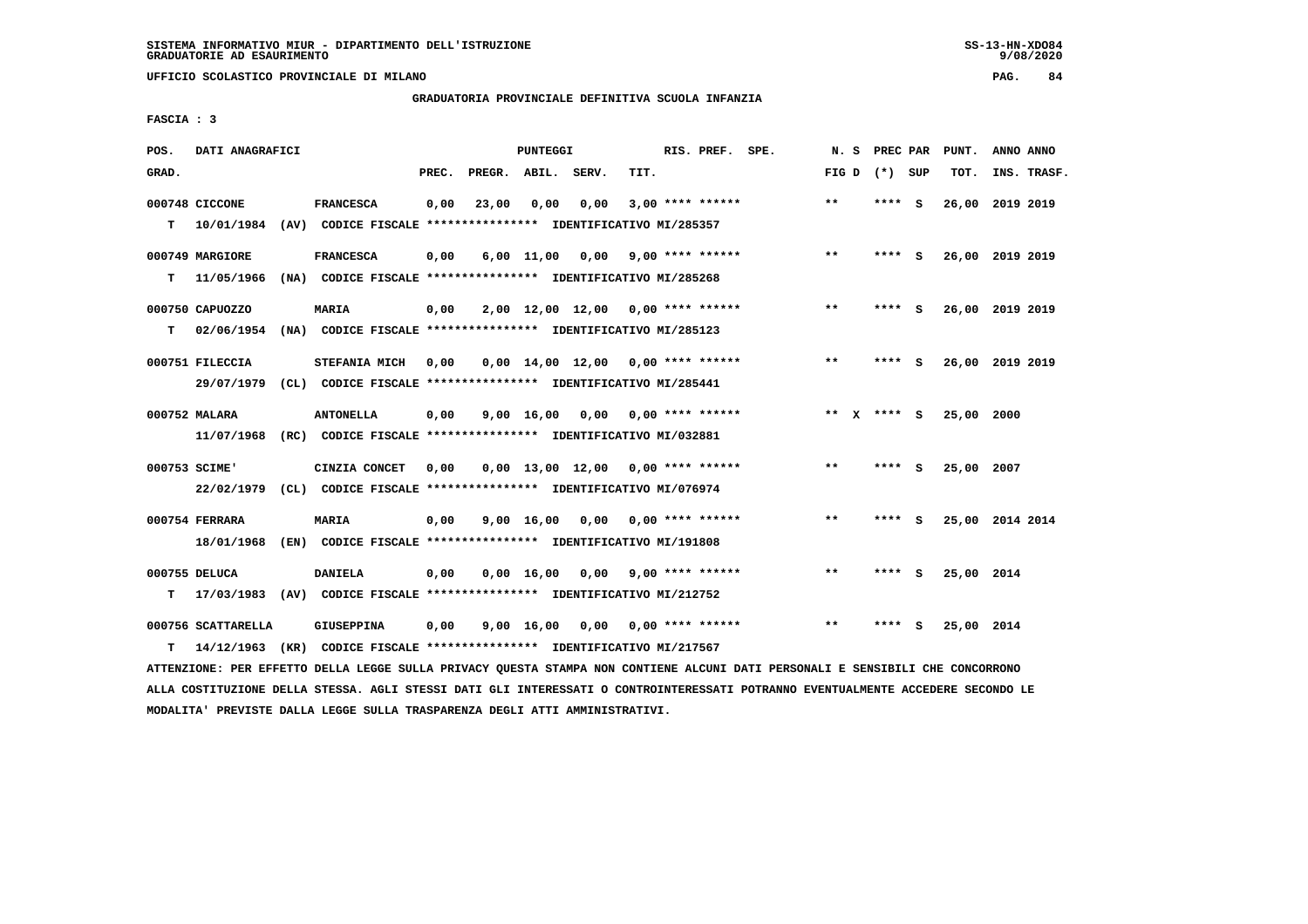**UFFICIO SCOLASTICO PROVINCIALE DI MILANO PAG. 84**

# **GRADUATORIA PROVINCIALE DEFINITIVA SCUOLA INFANZIA**

 **FASCIA : 3**

| POS.  | DATI ANAGRAFICI             |                                                                                 |       |                    | PUNTEGGI   |                                     |      | RIS. PREF. SPE.           | N.S                | <b>PREC PAR</b> |          | PUNT.           | ANNO ANNO |             |
|-------|-----------------------------|---------------------------------------------------------------------------------|-------|--------------------|------------|-------------------------------------|------|---------------------------|--------------------|-----------------|----------|-----------------|-----------|-------------|
| GRAD. |                             |                                                                                 | PREC. | PREGR. ABIL. SERV. |            |                                     | TIT. |                           | FIG D $(*)$ SUP    |                 |          | TOT.            |           | INS. TRASF. |
|       | 000748 CICCONE              | <b>FRANCESCA</b>                                                                | 0,00  | 23,00              | 0,00       | 0,00                                |      | $3,00$ **** ******        | $**$               | **** S          |          | 26,00           | 2019 2019 |             |
| т     | 10/01/1984                  | (AV) CODICE FISCALE **************** IDENTIFICATIVO MI/285357                   |       |                    |            |                                     |      |                           |                    |                 |          |                 |           |             |
|       | 000749 MARGIORE             | <b>FRANCESCA</b>                                                                | 0,00  |                    |            | 6,00 11,00 0,00                     |      | $9,00$ **** ******        | $***$              | ****            | - S      | 26,00 2019 2019 |           |             |
| т     | 11/05/1966                  | (NA) CODICE FISCALE **************** IDENTIFICATIVO MI/285268                   |       |                    |            |                                     |      |                           |                    |                 |          |                 |           |             |
|       | 000750 CAPUOZZO             | <b>MARIA</b>                                                                    | 0,00  |                    |            | $2,00$ 12,00 12,00 0,00 **** ****** |      |                           | $***$              | ****            | - S      | 26,00 2019 2019 |           |             |
| т     | 02/06/1954                  | (NA) CODICE FISCALE **************** IDENTIFICATIVO MI/285123                   |       |                    |            |                                     |      |                           |                    |                 |          |                 |           |             |
|       | 000751 FILECCIA             | STEFANIA MICH                                                                   | 0.00  |                    |            | $0.00$ 14.00 12.00 0.00 **** ****** |      |                           | $***$              | ****            | - S      | 26,00 2019 2019 |           |             |
|       | 29/07/1979                  | (CL) CODICE FISCALE **************** IDENTIFICATIVO MI/285441                   |       |                    |            |                                     |      |                           |                    |                 |          |                 |           |             |
|       | 000752 MALARA               | <b>ANTONELLA</b>                                                                | 0,00  |                    | 9,00 16,00 |                                     |      | $0.00$ $0.00$ **** ****** | **<br>$\mathbf{x}$ | **** S          |          | 25,00 2000      |           |             |
|       | 11/07/1968                  | (RC) CODICE FISCALE **************** IDENTIFICATIVO MI/032881                   |       |                    |            |                                     |      |                           |                    |                 |          |                 |           |             |
|       | 000753 SCIME'               | CINZIA CONCET                                                                   | 0.00  |                    |            | $0,00$ 13,00 12,00 0,00 **** ****** |      |                           | **                 | **** S          |          | 25,00 2007      |           |             |
|       | 22/02/1979                  | (CL) CODICE FISCALE **************** IDENTIFICATIVO MI/076974                   |       |                    |            |                                     |      |                           |                    |                 |          |                 |           |             |
|       | 000754 FERRARA              | MARIA                                                                           | 0,00  |                    | 9,00 16,00 | 0,00                                |      | $0.00$ **** ******        | **                 | ****            | <b>S</b> | 25,00 2014 2014 |           |             |
|       | 18/01/1968                  | (EN) CODICE FISCALE **************** IDENTIFICATIVO MI/191808                   |       |                    |            |                                     |      |                           |                    |                 |          |                 |           |             |
|       |                             |                                                                                 |       |                    |            |                                     |      |                           | $* *$              | **** S          |          |                 |           |             |
| т     | 000755 DELUCA<br>17/03/1983 | <b>DANIELA</b><br>(AV) CODICE FISCALE **************** IDENTIFICATIVO MI/212752 | 0,00  |                    |            | $0,00 \quad 16,00 \quad 0,00$       |      | $9,00$ **** ******        |                    |                 |          | 25,00 2014      |           |             |
|       |                             |                                                                                 |       |                    |            |                                     |      |                           |                    |                 |          |                 |           |             |
|       | 000756 SCATTARELLA          | <b>GIUSEPPINA</b>                                                               | 0,00  |                    |            | $9,00$ 16,00 0,00 0,00 **** ******  |      |                           | $**$               | ****            | - S      | 25,00 2014      |           |             |
| т     | 14/12/1963                  | (KR) CODICE FISCALE **************** IDENTIFICATIVO MI/217567                   |       |                    |            |                                     |      |                           |                    |                 |          |                 |           |             |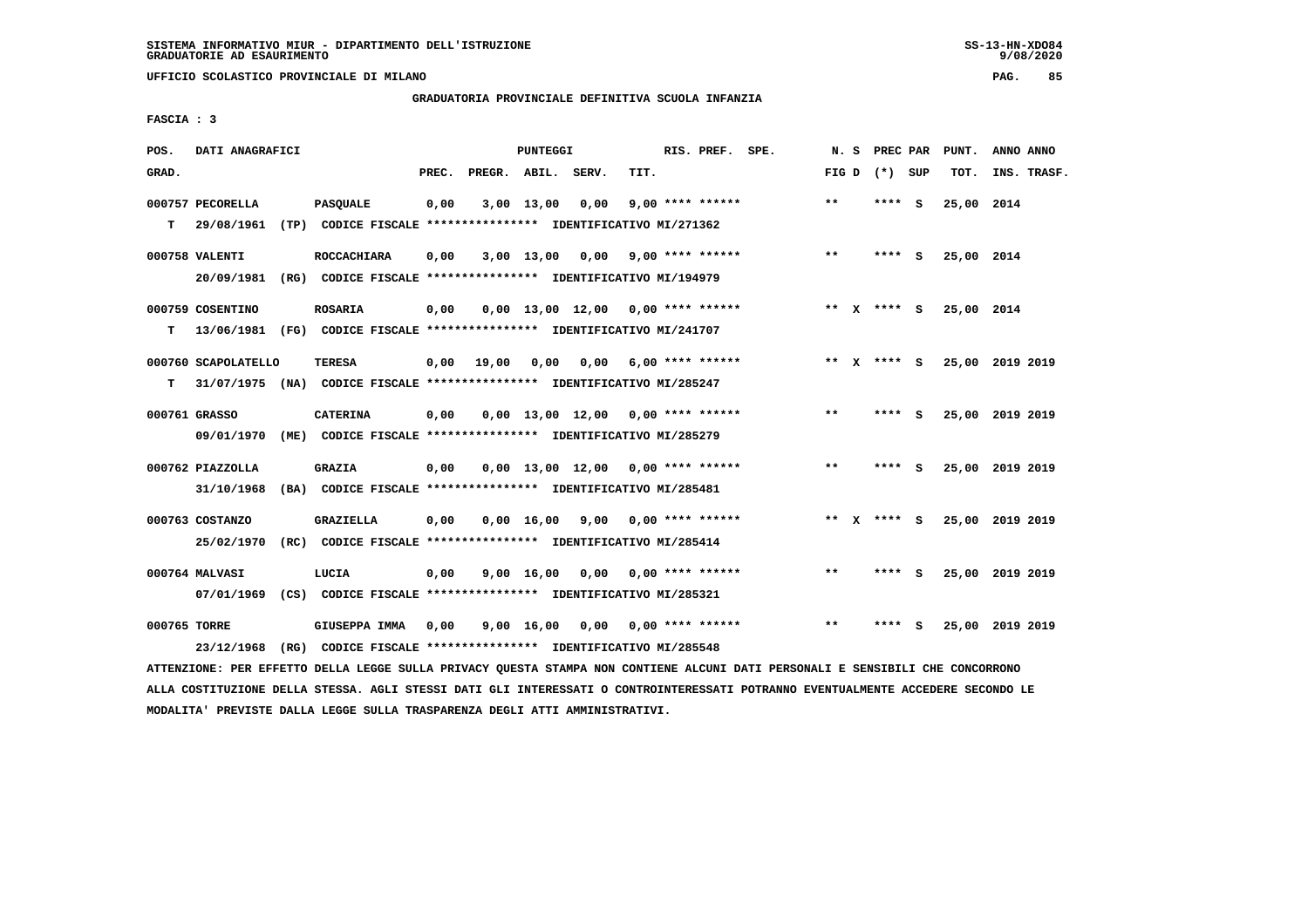**UFFICIO SCOLASTICO PROVINCIALE DI MILANO PAG. 85**

## **GRADUATORIA PROVINCIALE DEFINITIVA SCUOLA INFANZIA**

 **FASCIA : 3**

| POS.         | DATI ANAGRAFICI                |                                                                                     |       |                    | PUNTEGGI           |                                     |      | RIS. PREF. SPE.    | N.S          | PREC PAR      |          | PUNT.      | ANNO ANNO       |
|--------------|--------------------------------|-------------------------------------------------------------------------------------|-------|--------------------|--------------------|-------------------------------------|------|--------------------|--------------|---------------|----------|------------|-----------------|
| GRAD.        |                                |                                                                                     | PREC. | PREGR. ABIL. SERV. |                    |                                     | TIT. |                    | FIG D        | (*) SUP       |          | TOT.       | INS. TRASF.     |
| т            | 000757 PECORELLA<br>29/08/1961 | <b>PASQUALE</b><br>(TP) CODICE FISCALE **************** IDENTIFICATIVO MI/271362    | 0,00  |                    | 3,00 13,00         | 0,00                                |      | $9,00$ **** ****** | $* *$        | ****          | <b>S</b> | 25,00 2014 |                 |
|              | 000758 VALENTI<br>20/09/1981   | <b>ROCCACHIARA</b><br>(RG) CODICE FISCALE **************** IDENTIFICATIVO MI/194979 | 0,00  |                    | 3,00 13,00         | 0,00                                |      | 9,00 **** ******   | $***$        | **** S        |          | 25,00 2014 |                 |
| T.           | 000759 COSENTINO<br>13/06/1981 | <b>ROSARIA</b><br>(FG) CODICE FISCALE **************** IDENTIFICATIVO MI/241707     | 0,00  |                    |                    | $0,00$ 13,00 12,00 0,00 **** ****** |      |                    |              | ** $X$ **** S |          | 25,00 2014 |                 |
| т            | 000760 SCAPOLATELLO            | TERESA<br>31/07/1975 (NA) CODICE FISCALE **************** IDENTIFICATIVO MI/285247  | 0,00  | 19,00              | 0.00               | 0,00                                |      | $6,00$ **** ****** |              | ** x **** s   |          |            | 25,00 2019 2019 |
|              | 000761 GRASSO<br>09/01/1970    | <b>CATERINA</b><br>(ME) CODICE FISCALE **************** IDENTIFICATIVO MI/285279    | 0,00  |                    |                    | $0,00$ 13,00 12,00 0,00 **** ****** |      |                    | $\star\star$ | ****          | - S      |            | 25,00 2019 2019 |
|              | 000762 PIAZZOLLA<br>31/10/1968 | <b>GRAZIA</b><br>(BA) CODICE FISCALE **************** IDENTIFICATIVO MI/285481      | 0,00  |                    |                    | $0.00$ 13.00 12.00 0.00 **** ****** |      |                    | $***$        | ****          | - S      |            | 25,00 2019 2019 |
|              | 000763 COSTANZO<br>25/02/1970  | <b>GRAZIELLA</b><br>(RC) CODICE FISCALE **************** IDENTIFICATIVO MI/285414   | 0,00  |                    | $0,00 \quad 16,00$ | 9,00                                |      | 0,00 **** ******   |              | ** X **** S   |          |            | 25,00 2019 2019 |
|              | 000764 MALVASI<br>07/01/1969   | LUCIA<br>(CS) CODICE FISCALE **************** IDENTIFICATIVO MI/285321              | 0,00  |                    | 9,00 16,00         | 0.00                                |      | $0.00$ **** ****** | $* *$        | ****          | - S      |            | 25,00 2019 2019 |
| 000765 TORRE | 23/12/1968                     | GIUSEPPA IMMA<br>(RG) CODICE FISCALE **************** IDENTIFICATIVO MI/285548      | 0,00  |                    | 9,00 16,00         | 0,00                                |      | $0.00$ **** ****** | $***$        | ****          | s        | 25,00      | 2019 2019       |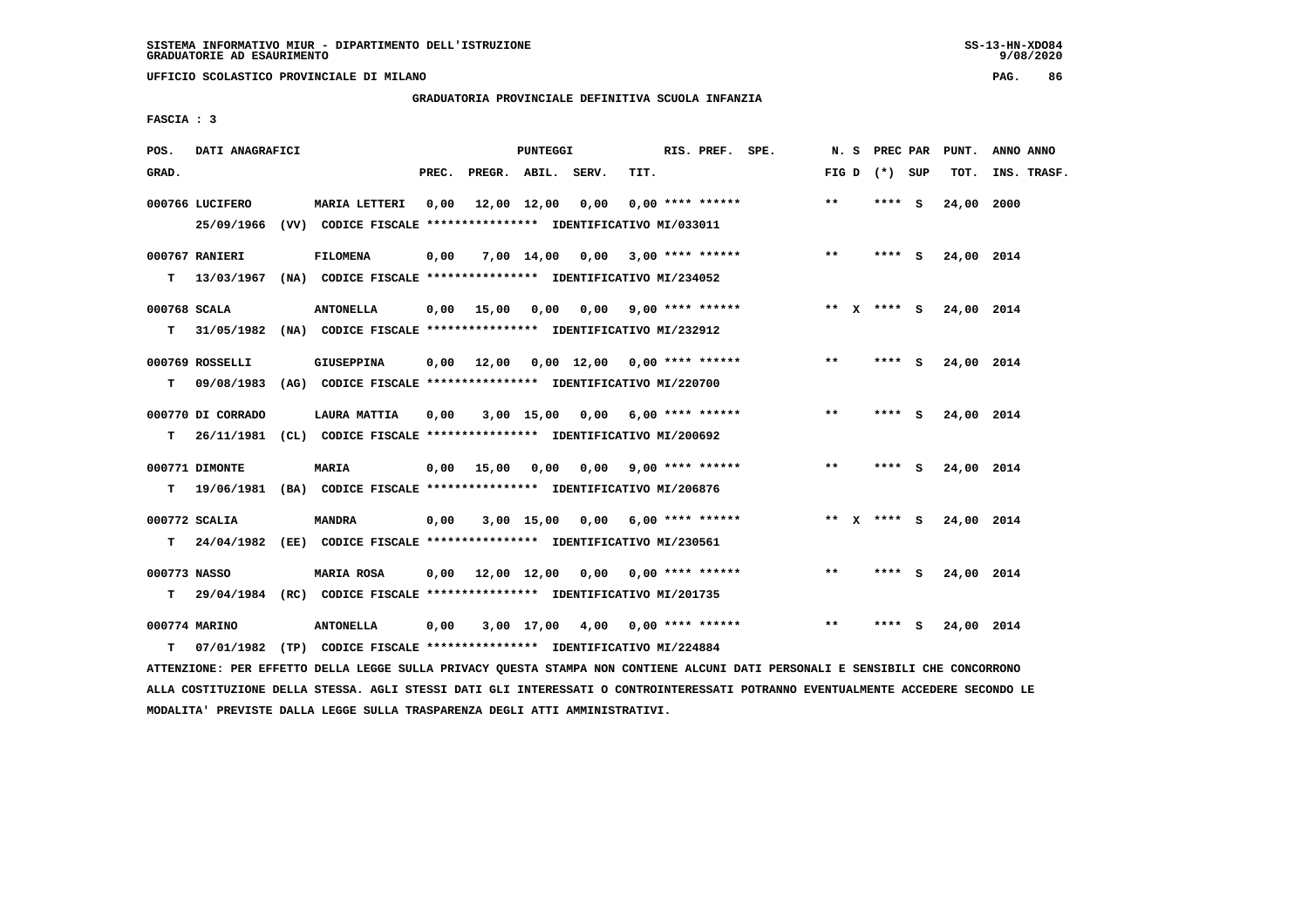**UFFICIO SCOLASTICO PROVINCIALE DI MILANO PAG. 86**

# **GRADUATORIA PROVINCIALE DEFINITIVA SCUOLA INFANZIA**

 **FASCIA : 3**

| POS.  | DATI ANAGRAFICI               |                                                                                              |       |                                        | PUNTEGGI     |                       |      | RIS. PREF. SPE.         |                                  |       |                 |   | N. S PREC PAR PUNT. | ANNO ANNO   |
|-------|-------------------------------|----------------------------------------------------------------------------------------------|-------|----------------------------------------|--------------|-----------------------|------|-------------------------|----------------------------------|-------|-----------------|---|---------------------|-------------|
| GRAD. |                               |                                                                                              | PREC. | PREGR. ABIL. SERV.                     |              |                       | TIT. |                         |                                  |       | FIG D $(*)$ SUP |   | TOT.                | INS. TRASF. |
|       | 000766 LUCIFERO<br>25/09/1966 | <b>MARIA LETTERI</b><br>(VV) CODICE FISCALE **************** IDENTIFICATIVO MI/033011        | 0,00  | 12,00 12,00                            |              | 0,00                  |      | $0.00$ **** ******      |                                  | $***$ | **** S          |   | 24,00               | 2000        |
| T.    | 000767 RANIERI                | <b>FILOMENA</b><br>13/03/1967 (NA) CODICE FISCALE *************** IDENTIFICATIVO MI/234052   | 0,00  |                                        |              |                       |      |                         | 7,00 14,00 0,00 3,00 **** ****** | $***$ | $***$ S         |   | 24,00 2014          |             |
| т     | 000768 SCALA                  | <b>ANTONELLA</b><br>31/05/1982 (NA) CODICE FISCALE **************** IDENTIFICATIVO MI/232912 |       | $0,00$ 15,00                           | 0,00         |                       |      | $0,00$ 9,00 **** ****** |                                  |       | ** x **** S     |   | 24,00 2014          |             |
| т     | 000769 ROSSELLI               | GIUSEPPINA<br>09/08/1983 (AG) CODICE FISCALE **************** IDENTIFICATIVO MI/220700       | 0,00  | 12,00  0,00  12,00  0,00  ****  ****** |              |                       |      |                         |                                  | $***$ | **** $S$        |   | 24,00 2014          |             |
| т     | 000770 DI CORRADO             | LAURA MATTIA<br>26/11/1981 (CL) CODICE FISCALE *************** IDENTIFICATIVO MI/200692      | 0,00  |                                        | 3,00 15,00   |                       |      | $0,00$ 6,00 **** ****** |                                  | $**$  | **** S          |   | 24,00 2014          |             |
| T.    | 000771 DIMONTE                | <b>MARIA</b><br>19/06/1981 (BA) CODICE FISCALE *************** IDENTIFICATIVO MI/206876      | 0,00  | 15,00 0,00                             |              |                       |      | $0,00$ 9,00 **** ****** |                                  | $***$ | **** S          |   | 24,00 2014          |             |
| т     | 000772 SCALIA                 | <b>MANDRA</b><br>24/04/1982 (EE) CODICE FISCALE **************** IDENTIFICATIVO MI/230561    | 0,00  |                                        | $3,00$ 15,00 | 0,00 6,00 **** ****** |      |                         |                                  |       | ** x **** S     |   | 24,00 2014          |             |
| т     | 000773 NASSO                  | MARIA ROSA<br>29/04/1984 (RC) CODICE FISCALE **************** IDENTIFICATIVO MI/201735       |       | 0,00 12,00 12,00 0,00 0,00 **** ****** |              |                       |      |                         |                                  | $***$ | **** S          |   | 24,00 2014          |             |
| т     | 000774 MARINO                 | <b>ANTONELLA</b><br>07/01/1982 (TP) CODICE FISCALE *************** IDENTIFICATIVO MI/224884  | 0,00  |                                        | 3,00 17,00   | 4,00                  |      | $0.00$ **** ******      |                                  | $* *$ | ****            | s | 24,00 2014          |             |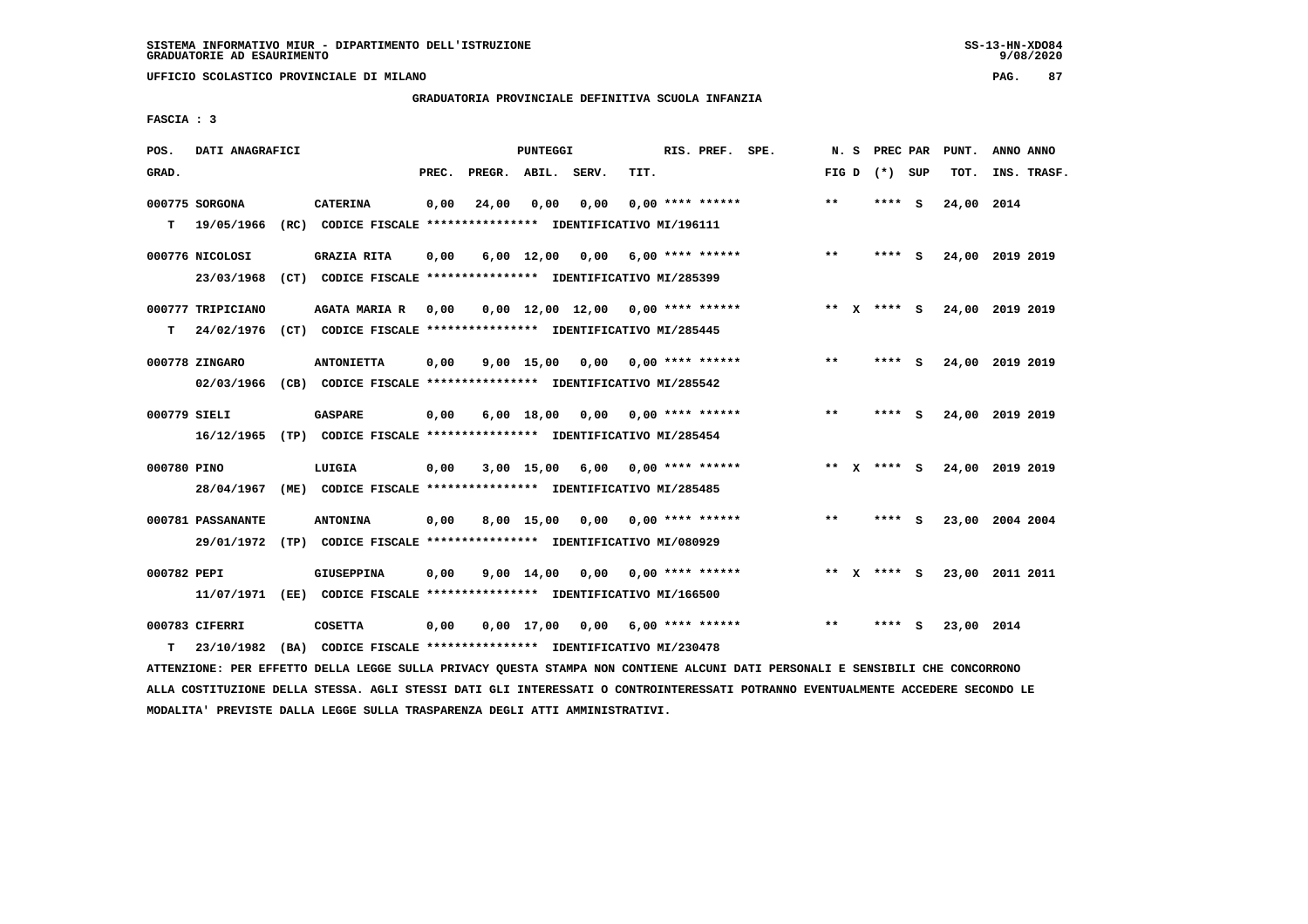**UFFICIO SCOLASTICO PROVINCIALE DI MILANO PAG. 87**

# **GRADUATORIA PROVINCIALE DEFINITIVA SCUOLA INFANZIA**

 **FASCIA : 3**

| POS.         | DATI ANAGRAFICI   |                                                               |       |                    | PUNTEGGI           |                                     |      | RIS. PREF. SPE.    | N.S   |              | PREC PAR        |     | PUNT.           | ANNO ANNO |             |
|--------------|-------------------|---------------------------------------------------------------|-------|--------------------|--------------------|-------------------------------------|------|--------------------|-------|--------------|-----------------|-----|-----------------|-----------|-------------|
| GRAD.        |                   |                                                               | PREC. | PREGR. ABIL. SERV. |                    |                                     | TIT. |                    |       |              | FIG D $(*)$ SUP |     | TOT.            |           | INS. TRASF. |
|              | 000775 SORGONA    | <b>CATERINA</b>                                               | 0,00  | 24,00              | 0,00               | 0,00                                |      | $0.00$ **** ****** | $* *$ |              | ****            | - S | 24,00 2014      |           |             |
| т            | 19/05/1966        | (RC) CODICE FISCALE **************** IDENTIFICATIVO MI/196111 |       |                    |                    |                                     |      |                    |       |              |                 |     |                 |           |             |
|              | 000776 NICOLOSI   | <b>GRAZIA RITA</b>                                            | 0,00  |                    | $6,00$ 12,00       | 0,00                                |      | $6,00$ **** ****** | $***$ |              | **** S          |     | 24,00 2019 2019 |           |             |
|              | 23/03/1968        | (CT) CODICE FISCALE **************** IDENTIFICATIVO MI/285399 |       |                    |                    |                                     |      |                    |       |              |                 |     |                 |           |             |
|              | 000777 TRIPICIANO | <b>AGATA MARIA R</b>                                          | 0,00  |                    |                    | $0,00$ 12,00 12,00 0,00 **** ****** |      |                    | **    | $\mathbf{x}$ | **** S          |     | 24,00 2019 2019 |           |             |
| т            | 24/02/1976        | (CT) CODICE FISCALE **************** IDENTIFICATIVO MI/285445 |       |                    |                    |                                     |      |                    |       |              |                 |     |                 |           |             |
|              | 000778 ZINGARO    | <b>ANTONIETTA</b>                                             | 0,00  |                    | $9,00$ 15,00       | 0,00                                |      | 0,00 **** ******   | $***$ |              | **** S          |     | 24,00 2019 2019 |           |             |
|              | 02/03/1966        | (CB) CODICE FISCALE *************** IDENTIFICATIVO MI/285542  |       |                    |                    |                                     |      |                    |       |              |                 |     |                 |           |             |
| 000779 SIELI |                   | <b>GASPARE</b>                                                | 0,00  |                    | 6,00 18,00         | 0,00                                |      | 0,00 **** ******   | $***$ |              | ****            | - S | 24,00           | 2019 2019 |             |
|              | 16/12/1965        | (TP) CODICE FISCALE **************** IDENTIFICATIVO MI/285454 |       |                    |                    |                                     |      |                    |       |              |                 |     |                 |           |             |
| 000780 PINO  |                   | LUIGIA                                                        | 0,00  |                    |                    | 3,00 15,00 6,00                     |      | 0,00 **** ******   |       |              | ** x **** S     |     | 24,00 2019 2019 |           |             |
|              | 28/04/1967        | (ME) CODICE FISCALE **************** IDENTIFICATIVO MI/285485 |       |                    |                    |                                     |      |                    |       |              |                 |     |                 |           |             |
|              |                   |                                                               |       |                    |                    |                                     |      |                    |       |              |                 |     |                 |           |             |
|              | 000781 PASSANANTE | <b>ANTONINA</b>                                               | 0.00  |                    | 8,00 15,00         | 0.00                                |      | 0,00 **** ******   | $* *$ |              | **** S          |     | 23,00 2004 2004 |           |             |
|              | 29/01/1972        | (TP) CODICE FISCALE **************** IDENTIFICATIVO MI/080929 |       |                    |                    |                                     |      |                    |       |              |                 |     |                 |           |             |
| 000782 PEPI  |                   | <b>GIUSEPPINA</b>                                             | 0,00  |                    | $9,00 \quad 14,00$ | 0,00                                |      | $0.00$ **** ****** | $* *$ |              | **** S          |     | 23,00 2011 2011 |           |             |
|              | 11/07/1971        | (EE) CODICE FISCALE **************** IDENTIFICATIVO MI/166500 |       |                    |                    |                                     |      |                    |       |              |                 |     |                 |           |             |
|              | 000783 CIFERRI    | <b>COSETTA</b>                                                | 0,00  |                    | $0.00$ 17.00       | 0,00                                |      | $6,00$ **** ****** | $**$  |              |                 | s   | 23,00 2014      |           |             |
| т            | 23/10/1982        | (BA) CODICE FISCALE **************** IDENTIFICATIVO MI/230478 |       |                    |                    |                                     |      |                    |       |              |                 |     |                 |           |             |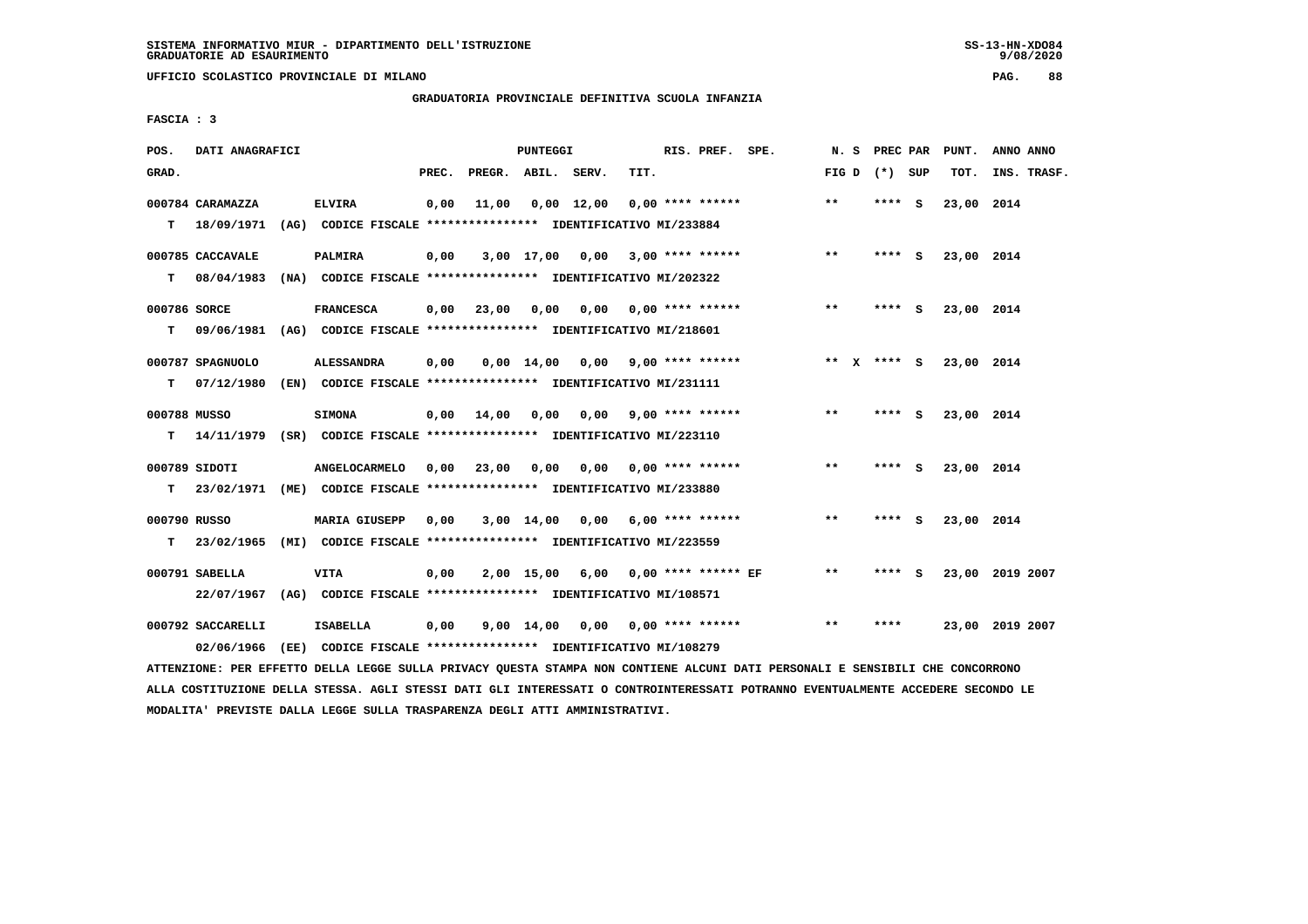**UFFICIO SCOLASTICO PROVINCIALE DI MILANO PAG. 88**

# **GRADUATORIA PROVINCIALE DEFINITIVA SCUOLA INFANZIA**

 **FASCIA : 3**

| POS.  | DATI ANAGRAFICI   |                                                                          |       |                    | PUNTEGGI           |            |                                    | RIS. PREF. SPE. |                       |       |                 | N. S PREC PAR PUNT. | ANNO ANNO       |
|-------|-------------------|--------------------------------------------------------------------------|-------|--------------------|--------------------|------------|------------------------------------|-----------------|-----------------------|-------|-----------------|---------------------|-----------------|
| GRAD. |                   |                                                                          | PREC. | PREGR. ABIL. SERV. |                    |            | TIT.                               |                 |                       |       | FIG D $(*)$ SUP | TOT.                | INS. TRASF.     |
|       | 000784 CARAMAZZA  | <b>ELVIRA</b>                                                            | 0,00  | 11,00              |                    | 0,00 12,00 | $0.00$ **** ******                 |                 |                       | $**$  | **** S          | 23,00 2014          |                 |
| т     | 18/09/1971        | (AG) CODICE FISCALE **************** IDENTIFICATIVO MI/233884            |       |                    |                    |            |                                    |                 |                       |       |                 |                     |                 |
|       | 000785 CACCAVALE  | <b>PALMIRA</b>                                                           | 0,00  |                    |                    |            | 3,00 17,00 0,00 3,00 **** ******   |                 |                       | $***$ | **** S          | 23,00 2014          |                 |
| т     | 08/04/1983        | (NA) CODICE FISCALE **************** IDENTIFICATIVO MI/202322            |       |                    |                    |            |                                    |                 |                       |       |                 |                     |                 |
|       | 000786 SORCE      | <b>FRANCESCA</b>                                                         | 0,00  | 23,00              | 0,00               | 0,00       |                                    |                 | $0.00$ **** ******    | $***$ | **** S          | 23,00 2014          |                 |
| т     | 09/06/1981        | (AG) CODICE FISCALE **************** IDENTIFICATIVO MI/218601            |       |                    |                    |            |                                    |                 |                       |       |                 |                     |                 |
|       | 000787 SPAGNUOLO  | <b>ALESSANDRA</b>                                                        | 0,00  |                    | $0.00 \quad 14.00$ |            | $0,00$ 9,00 **** ******            |                 |                       |       | ** $X$ **** S   | 23,00 2014          |                 |
| т     |                   | 07/12/1980 (EN) CODICE FISCALE **************** IDENTIFICATIVO MI/231111 |       |                    |                    |            |                                    |                 |                       |       |                 |                     |                 |
|       | 000788 MUSSO      | <b>SIMONA</b>                                                            |       | $0,00$ 14,00       | 0,00               |            | $0.00$ 9.00 **** ******            |                 |                       | $***$ | **** S          | 23,00 2014          |                 |
| т     |                   | 14/11/1979 (SR) CODICE FISCALE **************** IDENTIFICATIVO MI/223110 |       |                    |                    |            |                                    |                 |                       |       |                 |                     |                 |
|       | 000789 SIDOTI     | ANGELOCARMELO                                                            |       | 0.00 23.00         | 0.00               |            | $0.00$ $0.00$ **** ******          |                 |                       | $**$  | **** S          | 23,00 2014          |                 |
| т     |                   | 23/02/1971 (ME) CODICE FISCALE *************** IDENTIFICATIVO MI/233880  |       |                    |                    |            |                                    |                 |                       |       |                 |                     |                 |
|       | 000790 RUSSO      | <b>MARIA GIUSEPP</b>                                                     | 0,00  |                    | 3,00 14,00         |            | $0,00$ 6,00 **** ******            |                 |                       | $* *$ | **** S          | 23,00 2014          |                 |
| т     | 23/02/1965        | (MI) CODICE FISCALE **************** IDENTIFICATIVO MI/223559            |       |                    |                    |            |                                    |                 |                       |       |                 |                     |                 |
|       | 000791 SABELLA    | <b>VITA</b>                                                              | 0,00  |                    | 2,00 15,00         | 6,00       |                                    |                 | $0.00$ **** ****** EF | $* *$ | **** S          |                     | 23,00 2019 2007 |
|       |                   | 22/07/1967 (AG) CODICE FISCALE *************** IDENTIFICATIVO MI/108571  |       |                    |                    |            |                                    |                 |                       |       |                 |                     |                 |
|       | 000792 SACCARELLI | <b>ISABELLA</b>                                                          | 0,00  |                    |                    |            | $9,00$ 14,00 0,00 0,00 **** ****** |                 |                       | $* *$ | ****            |                     | 23,00 2019 2007 |
|       | 02/06/1966        | (EE) CODICE FISCALE **************** IDENTIFICATIVO MI/108279            |       |                    |                    |            |                                    |                 |                       |       |                 |                     |                 |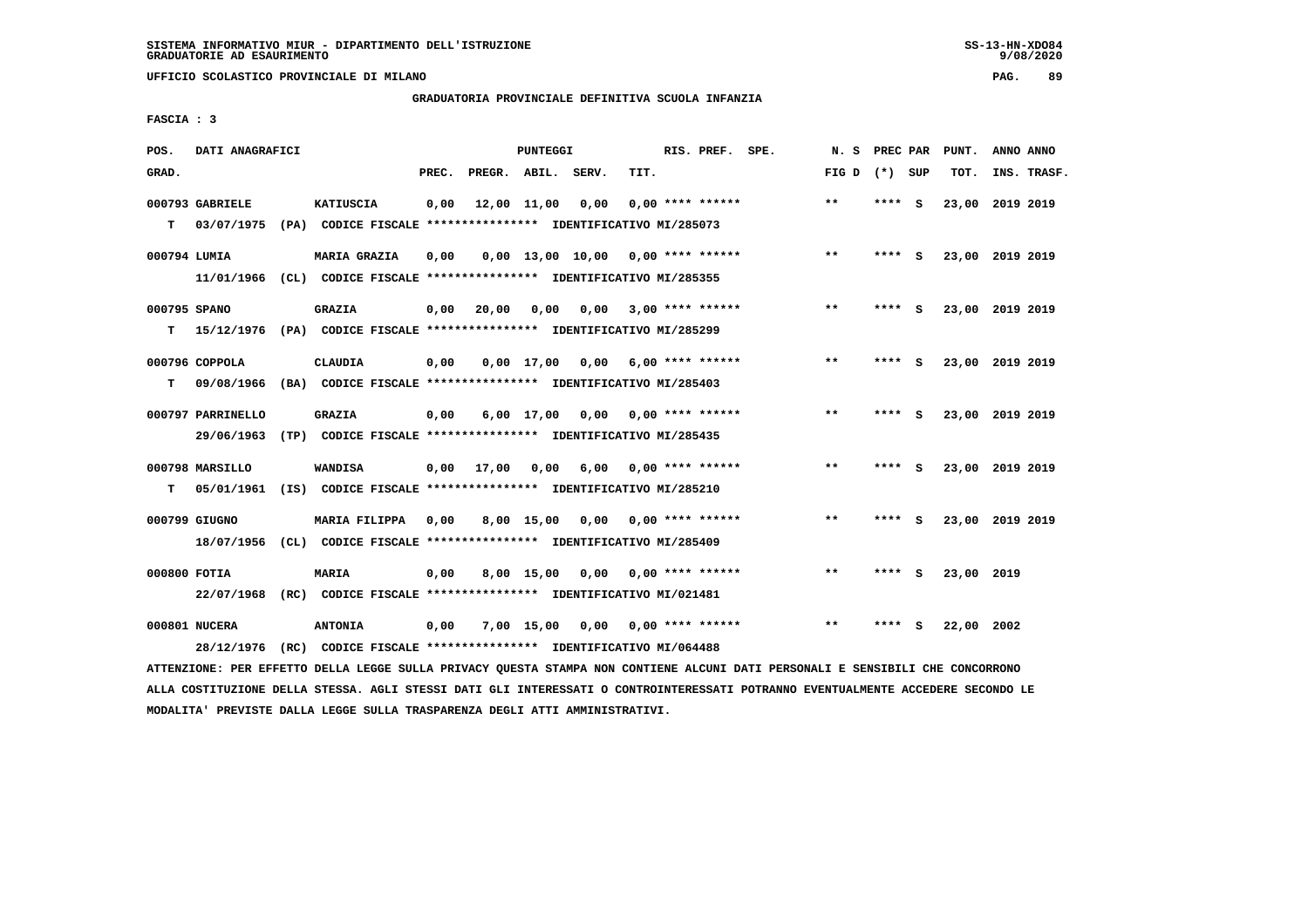**UFFICIO SCOLASTICO PROVINCIALE DI MILANO PAG. 89**

# **GRADUATORIA PROVINCIALE DEFINITIVA SCUOLA INFANZIA**

 **FASCIA : 3**

| POS.              | DATI ANAGRAFICI                 |                                                                                           |       |                    | PUNTEGGI     |                                     |      | RIS. PREF. SPE.           | N.S   | PREC PAR |          | PUNT.      | ANNO ANNO       |
|-------------------|---------------------------------|-------------------------------------------------------------------------------------------|-------|--------------------|--------------|-------------------------------------|------|---------------------------|-------|----------|----------|------------|-----------------|
| GRAD.             |                                 |                                                                                           | PREC. | PREGR. ABIL. SERV. |              |                                     | TIT. |                           | FIG D | (*) SUP  |          | TOT.       | INS. TRASF.     |
| T.                | 000793 GABRIELE<br>03/07/1975   | <b>KATIUSCIA</b><br>(PA) CODICE FISCALE **************** IDENTIFICATIVO MI/285073         | 0,00  |                    | 12,00 11,00  | 0,00                                |      | $0.00$ **** ******        | $* *$ | ****     | <b>S</b> | 23,00      | 2019 2019       |
| 000794 LUMIA      | 11/01/1966                      | MARIA GRAZIA<br>(CL) CODICE FISCALE **************** IDENTIFICATIVO MI/285355             | 0,00  |                    |              | $0,00$ 13,00 10,00 0,00 **** ****** |      |                           | $***$ | ****     | - S      |            | 23,00 2019 2019 |
| 000795 SPANO<br>т |                                 | <b>GRAZIA</b><br>15/12/1976 (PA) CODICE FISCALE **************** IDENTIFICATIVO MI/285299 | 0.00  | 20,00              | 0.00         | 0.00                                |      | 3,00 **** ******          | $* *$ | ****     | - S      |            | 23,00 2019 2019 |
| т                 | 000796 COPPOLA<br>09/08/1966    | <b>CLAUDIA</b><br>(BA) CODICE FISCALE **************** IDENTIFICATIVO MI/285403           | 0,00  |                    | $0.00$ 17.00 | 0.00                                |      | $6,00$ **** ******        | $***$ | ****     | S.       |            | 23,00 2019 2019 |
|                   | 000797 PARRINELLO<br>29/06/1963 | <b>GRAZIA</b><br>(TP) CODICE FISCALE **************** IDENTIFICATIVO MI/285435            | 0,00  |                    | 6,00 17,00   |                                     |      | $0,00$ $0,00$ **** ****** | $***$ | ****     | - 5      |            | 23,00 2019 2019 |
| T.                | 000798 MARSILLO<br>05/01/1961   | WANDISA<br>(IS) CODICE FISCALE **************** IDENTIFICATIVO MI/285210                  |       | $0,00$ 17,00       | 0.00         | 6,00                                |      | $0.00$ **** ******        | $* *$ | ****     | s.       |            | 23,00 2019 2019 |
|                   | 000799 GIUGNO<br>18/07/1956     | MARIA FILIPPA<br>(CL) CODICE FISCALE **************** IDENTIFICATIVO MI/285409            | 0,00  |                    | $8,00$ 15,00 | 0,00                                |      | 0,00 **** ******          | $***$ | ****     | - S      |            | 23,00 2019 2019 |
| 000800 FOTIA      | 22/07/1968                      | MARIA<br>(RC) CODICE FISCALE **************** IDENTIFICATIVO MI/021481                    | 0.00  |                    | 8,00 15,00   | 0,00                                |      | 0,00 **** ******          | $* *$ | ****     | - S      | 23,00 2019 |                 |
|                   | 000801 NUCERA<br>28/12/1976     | <b>ANTONIA</b><br>(RC) CODICE FISCALE **************** IDENTIFICATIVO MI/064488           | 0,00  |                    | 7,00 15,00   |                                     |      | $0,00$ $0,00$ **** ****** | $* *$ |          | S        | 22,00 2002 |                 |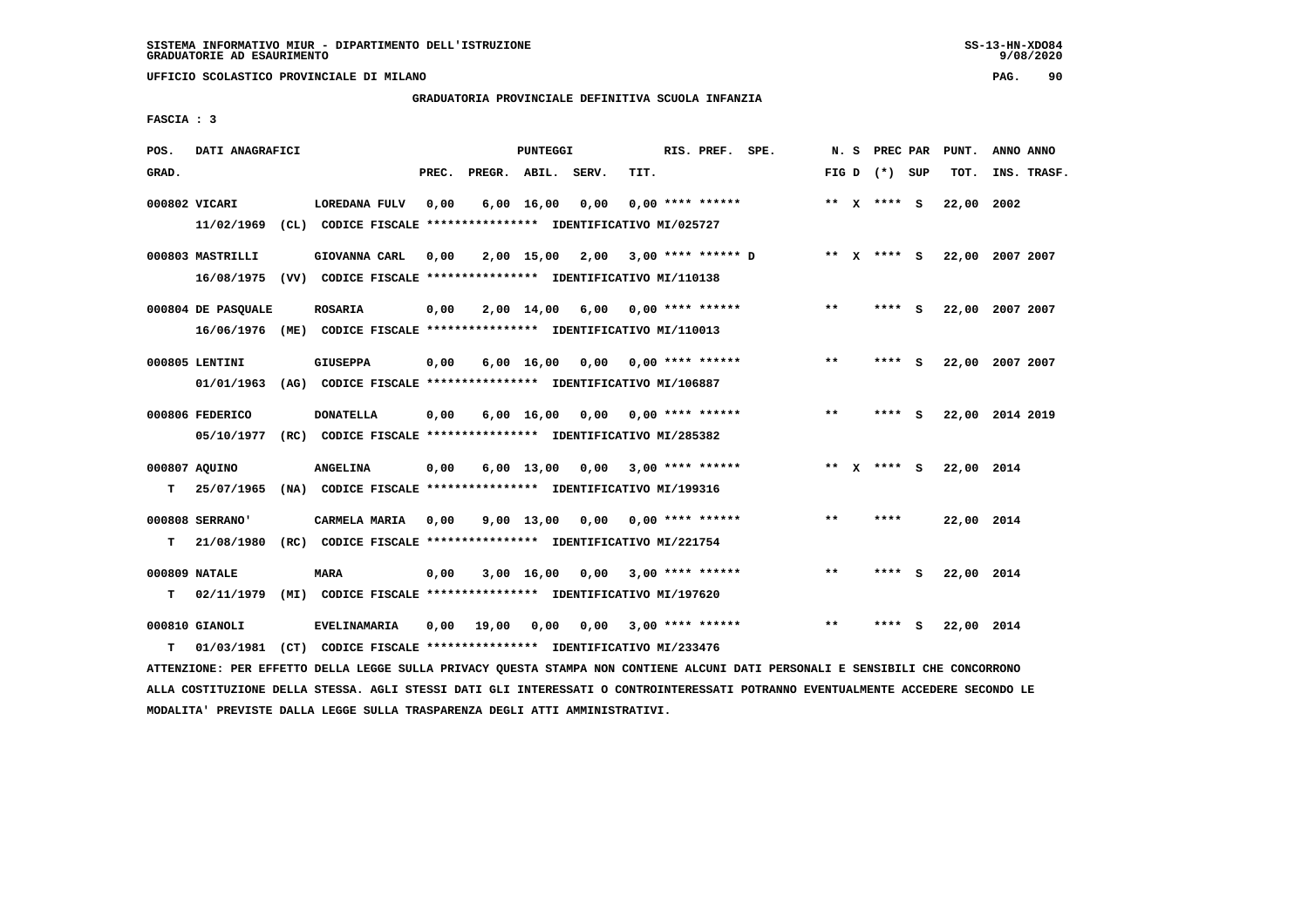**UFFICIO SCOLASTICO PROVINCIALE DI MILANO PAG. 90**

# **GRADUATORIA PROVINCIALE DEFINITIVA SCUOLA INFANZIA**

 **FASCIA : 3**

| POS.  | DATI ANAGRAFICI    |                                                               |       |                    | PUNTEGGI           |                 |      | RIS. PREF. SPE.         |                      | N.S   | PREC PAR        |     | PUNT.      | ANNO ANNO       |
|-------|--------------------|---------------------------------------------------------------|-------|--------------------|--------------------|-----------------|------|-------------------------|----------------------|-------|-----------------|-----|------------|-----------------|
| GRAD. |                    |                                                               | PREC. | PREGR. ABIL. SERV. |                    |                 | TIT. |                         |                      |       | FIG D $(*)$ SUP |     | TOT.       | INS. TRASF.     |
|       | 000802 VICARI      | LOREDANA FULV                                                 | 0,00  |                    | $6,00 \quad 16,00$ | 0,00            |      | $0.00$ **** ******      |                      |       | ** $X$ **** S   |     | 22,00      | 2002            |
|       | 11/02/1969         | (CL) CODICE FISCALE **************** IDENTIFICATIVO MI/025727 |       |                    |                    |                 |      |                         |                      |       |                 |     |            |                 |
|       | 000803 MASTRILLI   | GIOVANNA CARL                                                 | 0,00  |                    |                    | 2,00 15,00 2,00 |      |                         | $3,00$ **** ****** D |       | ** X **** S     |     |            | 22,00 2007 2007 |
|       | 16/08/1975         | (VV) CODICE FISCALE **************** IDENTIFICATIVO MI/110138 |       |                    |                    |                 |      |                         |                      |       |                 |     |            |                 |
|       | 000804 DE PASQUALE | <b>ROSARIA</b>                                                | 0,00  |                    | 2,00 14,00         |                 |      | $6,00$ 0,00 **** ****** |                      | $***$ | **** S          |     |            | 22,00 2007 2007 |
|       | 16/06/1976         | (ME) CODICE FISCALE **************** IDENTIFICATIVO MI/110013 |       |                    |                    |                 |      |                         |                      |       |                 |     |            |                 |
|       | 000805 LENTINI     | <b>GIUSEPPA</b>                                               | 0,00  |                    | $6,00 \quad 16,00$ | 0.00            |      | $0.00$ **** ******      |                      | **    | **** S          |     | 22,00      | 2007 2007       |
|       | 01/01/1963         | (AG) CODICE FISCALE **************** IDENTIFICATIVO MI/106887 |       |                    |                    |                 |      |                         |                      |       |                 |     |            |                 |
|       |                    |                                                               |       |                    |                    |                 |      |                         |                      |       |                 |     |            |                 |
|       | 000806 FEDERICO    | <b>DONATELLA</b>                                              | 0,00  |                    | $6,00 \quad 16,00$ | 0.00            |      | $0.00$ **** ******      |                      | $**$  | ****            | - S |            | 22,00 2014 2019 |
|       | 05/10/1977         | (RC) CODICE FISCALE **************** IDENTIFICATIVO MI/285382 |       |                    |                    |                 |      |                         |                      |       |                 |     |            |                 |
|       | 000807 AQUINO      | <b>ANGELINA</b>                                               | 0,00  |                    | $6,00 \quad 13,00$ |                 |      | $0.00$ 3.00 **** ****** |                      |       | ** x **** S     |     | 22,00 2014 |                 |
| т     | 25/07/1965         | (NA) CODICE FISCALE **************** IDENTIFICATIVO MI/199316 |       |                    |                    |                 |      |                         |                      |       |                 |     |            |                 |
|       | 000808 SERRANO'    | CARMELA MARIA                                                 | 0,00  |                    | 9,00 13,00         | 0,00            |      | $0.00$ **** ******      |                      | **    | ****            |     | 22,00 2014 |                 |
| т     | 21/08/1980         | (RC) CODICE FISCALE **************** IDENTIFICATIVO MI/221754 |       |                    |                    |                 |      |                         |                      |       |                 |     |            |                 |
|       |                    |                                                               |       |                    |                    |                 |      |                         |                      |       |                 |     |            |                 |
|       | 000809 NATALE      | <b>MARA</b>                                                   | 0,00  |                    | 3,00 16,00         | 0,00            |      | $3,00$ **** ******      |                      | $**$  | **** S          |     | 22,00 2014 |                 |
| т     | 02/11/1979         | (MI) CODICE FISCALE **************** IDENTIFICATIVO MI/197620 |       |                    |                    |                 |      |                         |                      |       |                 |     |            |                 |
|       | 000810 GIANOLI     | <b>EVELINAMARIA</b>                                           | 0,00  | 19,00              | 0,00               | 0,00            |      | $3,00$ **** ******      |                      | **    | ****            | - S | 22,00 2014 |                 |
| т     | 01/03/1981         | (CT) CODICE FISCALE **************** IDENTIFICATIVO MI/233476 |       |                    |                    |                 |      |                         |                      |       |                 |     |            |                 |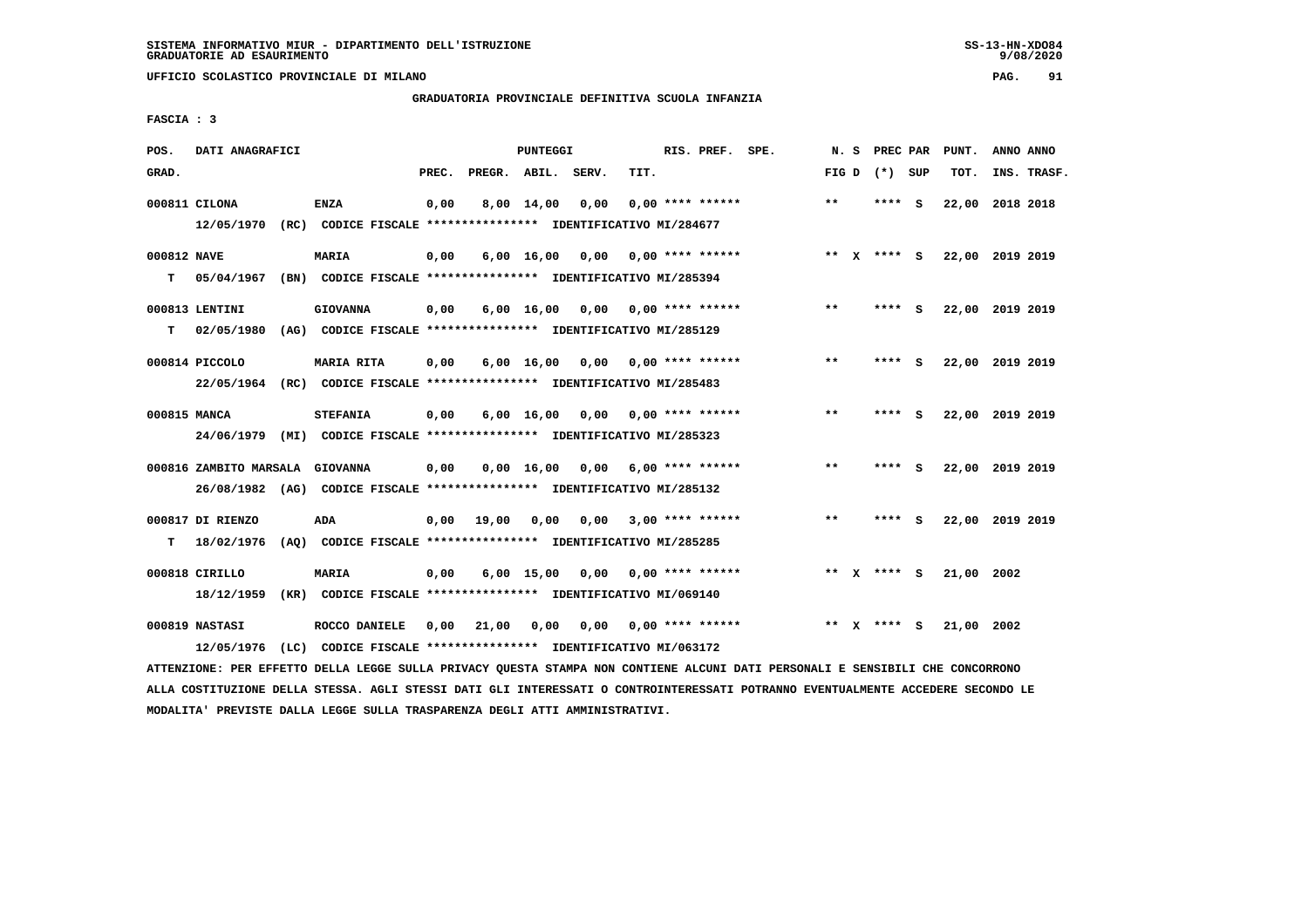**UFFICIO SCOLASTICO PROVINCIALE DI MILANO PAG. 91**

# **GRADUATORIA PROVINCIALE DEFINITIVA SCUOLA INFANZIA**

 **FASCIA : 3**

| POS.             | DATI ANAGRAFICI                 |      |                                                                                       |       |              | <b>PUNTEGGI</b>    |       |      | RIS. PREF. SPE.         | N.S          |   | PREC PAR        |          | PUNT.      | ANNO ANNO       |  |
|------------------|---------------------------------|------|---------------------------------------------------------------------------------------|-------|--------------|--------------------|-------|------|-------------------------|--------------|---|-----------------|----------|------------|-----------------|--|
| GRAD.            |                                 |      |                                                                                       | PREC. | PREGR. ABIL. |                    | SERV. | TIT. |                         |              |   | FIG D $(*)$ SUP |          | TOT.       | INS. TRASF.     |  |
|                  | 000811 CILONA<br>12/05/1970     |      | <b>ENZA</b><br>(RC) CODICE FISCALE **************** IDENTIFICATIVO MI/284677          | 0,00  |              | 8,00 14,00         | 0,00  |      | $0.00$ **** ******      | $**$         |   | **** S          |          | 22,00      | 2018 2018       |  |
| 000812 NAVE<br>т | 05/04/1967                      |      | MARIA<br>(BN) CODICE FISCALE **************** IDENTIFICATIVO MI/285394                | 0,00  |              | 6,00 16,00         | 0,00  |      | $0.00$ **** ******      | $***$ X      |   | **** S          |          |            | 22,00 2019 2019 |  |
| т                | 000813 LENTINI<br>02/05/1980    |      | <b>GIOVANNA</b><br>(AG) CODICE FISCALE **************** IDENTIFICATIVO MI/285129      | 0,00  |              | $6,00$ 16,00       |       |      | $0,00$ 0,00 **** ****** | $***$        |   | **** S          |          |            | 22,00 2019 2019 |  |
|                  | 000814 PICCOLO                  |      | MARIA RITA<br>22/05/1964 (RC) CODICE FISCALE *************** IDENTIFICATIVO MI/285483 | 0,00  |              | $6,00 \quad 16,00$ | 0,00  |      | $0.00$ **** ******      | $* *$        |   | ****            | - 5      |            | 22,00 2019 2019 |  |
| 000815 MANCA     | 24/06/1979                      |      | <b>STEFANIA</b><br>(MI) CODICE FISCALE **************** IDENTIFICATIVO MI/285323      | 0,00  |              | $6,00 \quad 16,00$ | 0.00  |      | $0.00$ **** ******      | $**$         |   | ****            | - S      |            | 22,00 2019 2019 |  |
|                  | 000816 ZAMBITO MARSALA GIOVANNA |      | 26/08/1982 (AG) CODICE FISCALE *************** IDENTIFICATIVO MI/285132               | 0,00  |              | 0.00 16.00         | 0.00  |      | $6,00$ **** ******      | $**$         |   | ****            | - S      |            | 22,00 2019 2019 |  |
| т                | 000817 DI RIENZO<br>18/02/1976  |      | ADA<br>(AO) CODICE FISCALE **************** IDENTIFICATIVO MI/285285                  | 0,00  | 19,00        | 0,00               | 0,00  |      | $3,00$ **** ******      | $\star\star$ |   | ****            | <b>S</b> |            | 22,00 2019 2019 |  |
|                  | 000818 CIRILLO<br>18/12/1959    |      | <b>MARIA</b><br>(KR) CODICE FISCALE **************** IDENTIFICATIVO MI/069140         | 0,00  |              | $6,00$ 15,00       | 0,00  |      | $0.00$ **** ******      |              |   | ** $X$ **** S   |          | 21,00 2002 |                 |  |
|                  | 000819 NASTASI<br>12/05/1976    | (LC) | ROCCO DANIELE<br>CODICE FISCALE **************** IDENTIFICATIVO MI/063172             | 0.00  | 21,00        | 0.00               | 0,00  |      | 0,00 **** ******        | **           | x | **** S          |          | 21,00 2002 |                 |  |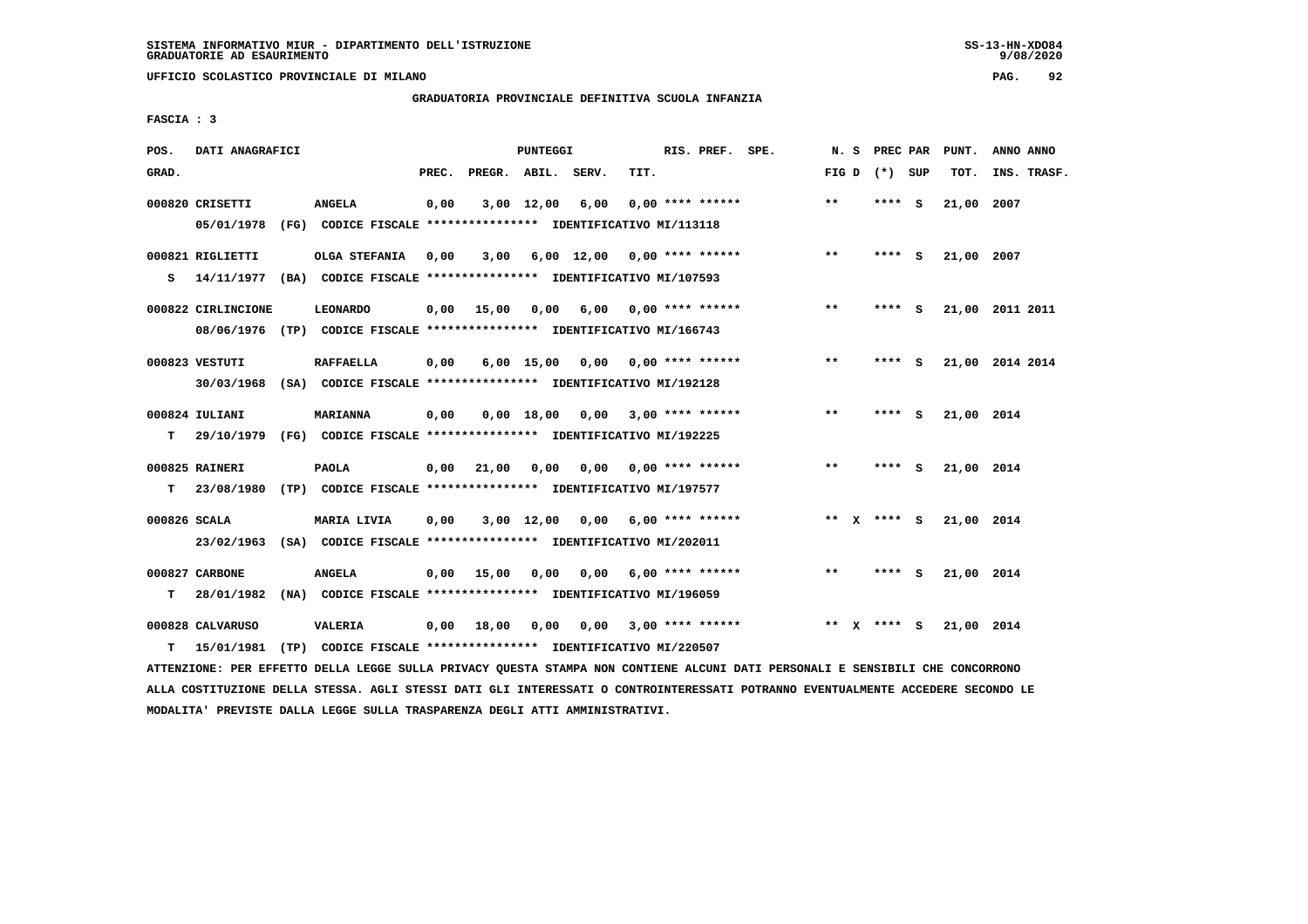**UFFICIO SCOLASTICO PROVINCIALE DI MILANO PAG. 92**

## **GRADUATORIA PROVINCIALE DEFINITIVA SCUOLA INFANZIA**

 **FASCIA : 3**

| POS.         | DATI ANAGRAFICI                |      |                                                                                             |       |              | PUNTEGGI     |            |      | RIS. PREF. SPE.           | N. S  |              | PREC PAR      |     | PUNT.      | ANNO ANNO       |
|--------------|--------------------------------|------|---------------------------------------------------------------------------------------------|-------|--------------|--------------|------------|------|---------------------------|-------|--------------|---------------|-----|------------|-----------------|
| GRAD.        |                                |      |                                                                                             | PREC. | PREGR. ABIL. |              | SERV.      | TIT. |                           | FIG D |              | (*) SUP       |     | TOT.       | INS. TRASF.     |
|              | 000820 CRISETTI<br>05/01/1978  |      | <b>ANGELA</b><br>(FG) CODICE FISCALE **************** IDENTIFICATIVO MI/113118              | 0,00  |              | $3,00$ 12,00 | 6,00       |      | $0.00$ **** ******        | $* *$ |              | **** S        |     | 21,00 2007 |                 |
| s            | 000821 RIGLIETTI<br>14/11/1977 | (BA) | OLGA STEFANIA<br>CODICE FISCALE **************** IDENTIFICATIVO MI/107593                   | 0,00  | 3,00         |              | 6,00 12,00 |      | $0.00$ **** ******        | $***$ |              | ****          | - S | 21,00 2007 |                 |
|              | 000822 CIRLINCIONE             |      | <b>LEONARDO</b><br>08/06/1976 (TP) CODICE FISCALE *************** IDENTIFICATIVO MI/166743  | 0.00  | 15,00        | 0,00         | 6,00       |      | 0,00 **** ******          | $***$ |              | **** S        |     |            | 21,00 2011 2011 |
|              | 000823 VESTUTI                 |      | <b>RAFFAELLA</b><br>30/03/1968 (SA) CODICE FISCALE *************** IDENTIFICATIVO MI/192128 | 0.00  |              | $6,00$ 15,00 |            |      | $0.00$ $0.00$ **** ****** | $***$ |              | **** S        |     |            | 21,00 2014 2014 |
| т            | 000824 IULIANI                 |      | <b>MARIANNA</b><br>29/10/1979 (FG) CODICE FISCALE **************** IDENTIFICATIVO MI/192225 | 0.00  |              | 0.00 18.00   | 0.00       |      | $3,00$ **** ******        | $***$ |              | ****          | - 5 | 21,00 2014 |                 |
| т            | 000825 RAINERI<br>23/08/1980   |      | <b>PAOLA</b><br>(TP) CODICE FISCALE **************** IDENTIFICATIVO MI/197577               | 0,00  | 21,00        | 0,00         |            |      | 0,00 0,00 **** ******     | $***$ |              | **** S        |     | 21,00 2014 |                 |
| 000826 SCALA |                                |      | MARIA LIVIA<br>23/02/1963 (SA) CODICE FISCALE *************** IDENTIFICATIVO MI/202011      | 0,00  |              | 3,00 12,00   | 0,00       |      | $6.00$ **** ******        |       |              | ** $X$ **** S |     | 21,00 2014 |                 |
| т            | 000827 CARBONE<br>28/01/1982   |      | <b>ANGELA</b><br>(NA) CODICE FISCALE **************** IDENTIFICATIVO MI/196059              | 0,00  | 15,00        | 0,00         | 0,00       |      | $6.00$ **** ******        | $**$  |              | **** S        |     | 21,00 2014 |                 |
| т            | 000828 CALVARUSO<br>15/01/1981 |      | VALERIA<br>(TP) CODICE FISCALE **************** IDENTIFICATIVO MI/220507                    | 0,00  | 18,00        | 0,00         |            |      | $0.00$ 3.00 **** ******   | **    | $\mathbf{x}$ | **** S        |     | 21,00 2014 |                 |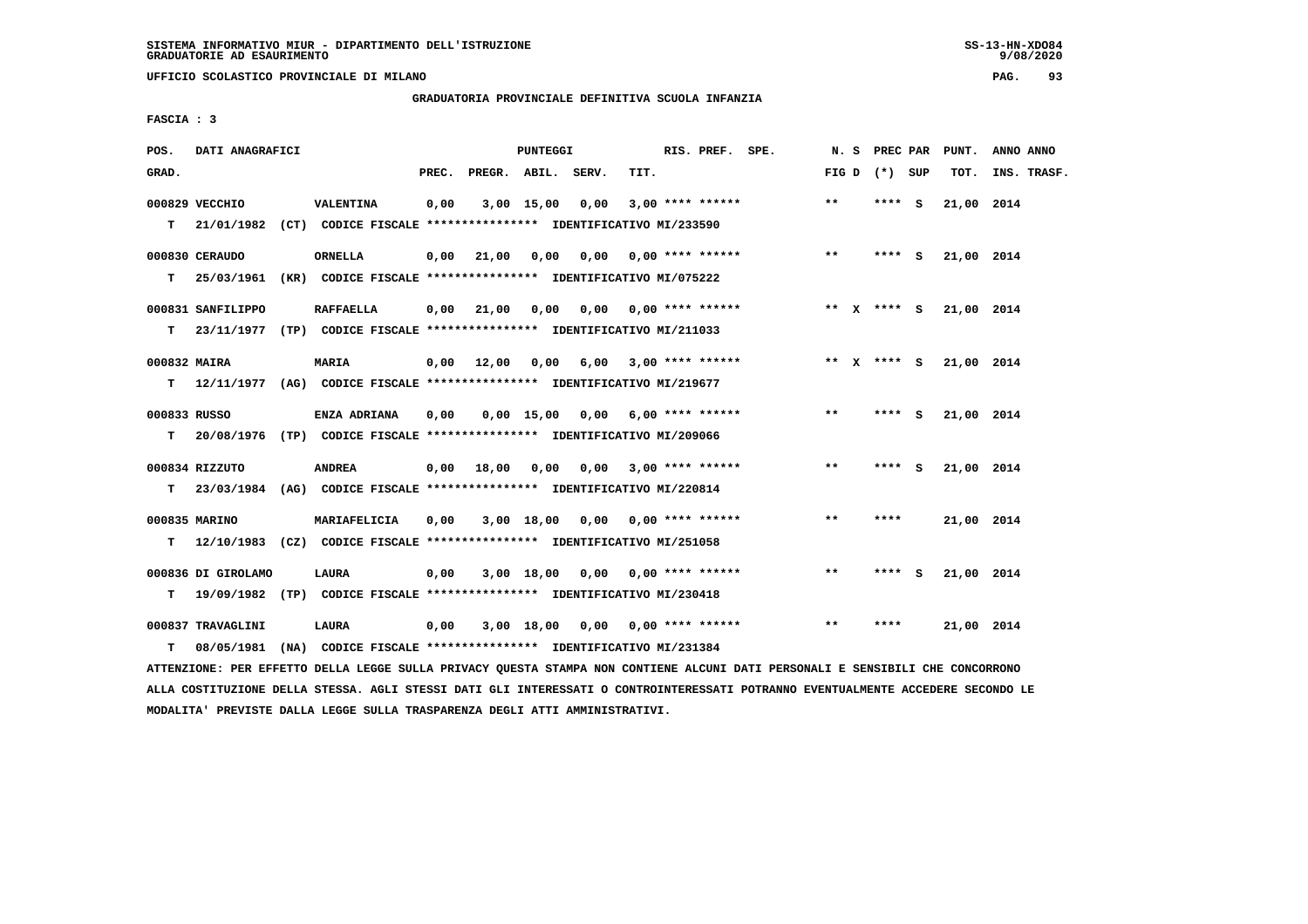**UFFICIO SCOLASTICO PROVINCIALE DI MILANO PAG. 93**

# **GRADUATORIA PROVINCIALE DEFINITIVA SCUOLA INFANZIA**

 **FASCIA : 3**

| POS.         | DATI ANAGRAFICI    |                                                                                   |       |                    | PUNTEGGI     |                                    |      | RIS. PREF. SPE.       |                           | N. S  | <b>PREC PAR</b> | PUNT.      | ANNO ANNO   |
|--------------|--------------------|-----------------------------------------------------------------------------------|-------|--------------------|--------------|------------------------------------|------|-----------------------|---------------------------|-------|-----------------|------------|-------------|
| GRAD.        |                    |                                                                                   | PREC. | PREGR. ABIL. SERV. |              |                                    | TIT. |                       |                           |       | FIG D $(*)$ SUP | TOT.       | INS. TRASF. |
|              | 000829 VECCHIO     | VALENTINA                                                                         | 0,00  |                    | $3,00$ 15,00 | 0,00                               |      | $3,00$ **** ******    |                           | $***$ | **** S          | 21,00 2014 |             |
|              |                    | T 21/01/1982 (CT) CODICE FISCALE *************** IDENTIFICATIVO MI/233590         |       |                    |              |                                    |      |                       |                           |       |                 |            |             |
|              | 000830 CERAUDO     | <b>ORNELLA</b>                                                                    | 0,00  | 21,00              | 0,00         | 0,00 0,00 **** ******              |      |                       |                           | $***$ | **** $S$        | 21,00 2014 |             |
|              |                    | T 25/03/1961 (KR) CODICE FISCALE *************** IDENTIFICATIVO MI/075222         |       |                    |              |                                    |      |                       |                           |       |                 |            |             |
|              | 000831 SANFILIPPO  | <b>RAFFAELLA</b>                                                                  | 0,00  | 21,00              | 0,00         |                                    |      |                       | $0.00$ $0.00$ **** ****** |       | ** x **** S     | 21,00 2014 |             |
| т            |                    | 23/11/1977 (TP) CODICE FISCALE *************** IDENTIFICATIVO MI/211033           |       |                    |              |                                    |      |                       |                           |       |                 |            |             |
| 000832 MAIRA |                    | <b>MARIA</b>                                                                      | 0,00  | 12,00              | 0,00         |                                    |      | 6,00 3,00 **** ****** |                           |       | ** x **** S     | 21,00 2014 |             |
|              |                    | T 12/11/1977 (AG) CODICE FISCALE *************** IDENTIFICATIVO MI/219677         |       |                    |              |                                    |      |                       |                           |       |                 |            |             |
| 000833 RUSSO |                    | ENZA ADRIANA                                                                      | 0,00  |                    |              | 0,00 15,00 0,00                    |      |                       | 6,00 **** ******          | $***$ | **** S          | 21,00 2014 |             |
|              |                    | T 20/08/1976 (TP) CODICE FISCALE *************** IDENTIFICATIVO MI/209066         |       |                    |              |                                    |      |                       |                           |       |                 |            |             |
|              | 000834 RIZZUTO     | <b>ANDREA</b>                                                                     | 0,00  | 18,00              |              | 0,00 0,00 3,00 **** ******         |      |                       |                           | $***$ | $***$ S         | 21,00 2014 |             |
|              |                    | T 23/03/1984 (AG) CODICE FISCALE *************** IDENTIFICATIVO MI/220814         |       |                    |              |                                    |      |                       |                           |       |                 |            |             |
|              | 000835 MARINO      | MARIAFELICIA                                                                      | 0,00  |                    |              | $3,00$ 18,00 0,00 0,00 **** ****** |      |                       |                           | $* *$ | ****            | 21,00 2014 |             |
| т            |                    | 12/10/1983 (CZ) CODICE FISCALE **************** IDENTIFICATIVO MI/251058          |       |                    |              |                                    |      |                       |                           |       |                 |            |             |
|              |                    |                                                                                   |       |                    |              | 3,00 18,00 0,00 0,00 **** ******   |      |                       |                           | $* *$ | **** S          |            |             |
| т            | 000836 DI GIROLAMO | LAURA<br>19/09/1982 (TP) CODICE FISCALE **************** IDENTIFICATIVO MI/230418 | 0,00  |                    |              |                                    |      |                       |                           |       |                 | 21,00 2014 |             |
|              |                    |                                                                                   |       |                    |              |                                    |      |                       |                           |       |                 |            |             |
|              | 000837 TRAVAGLINI  | LAURA                                                                             | 0,00  |                    | 3,00 18,00   | 0,00                               |      | $0.00$ **** ******    |                           | $***$ | ****            | 21,00 2014 |             |
| т            |                    | 08/05/1981 (NA) CODICE FISCALE **************** IDENTIFICATIVO MI/231384          |       |                    |              |                                    |      |                       |                           |       |                 |            |             |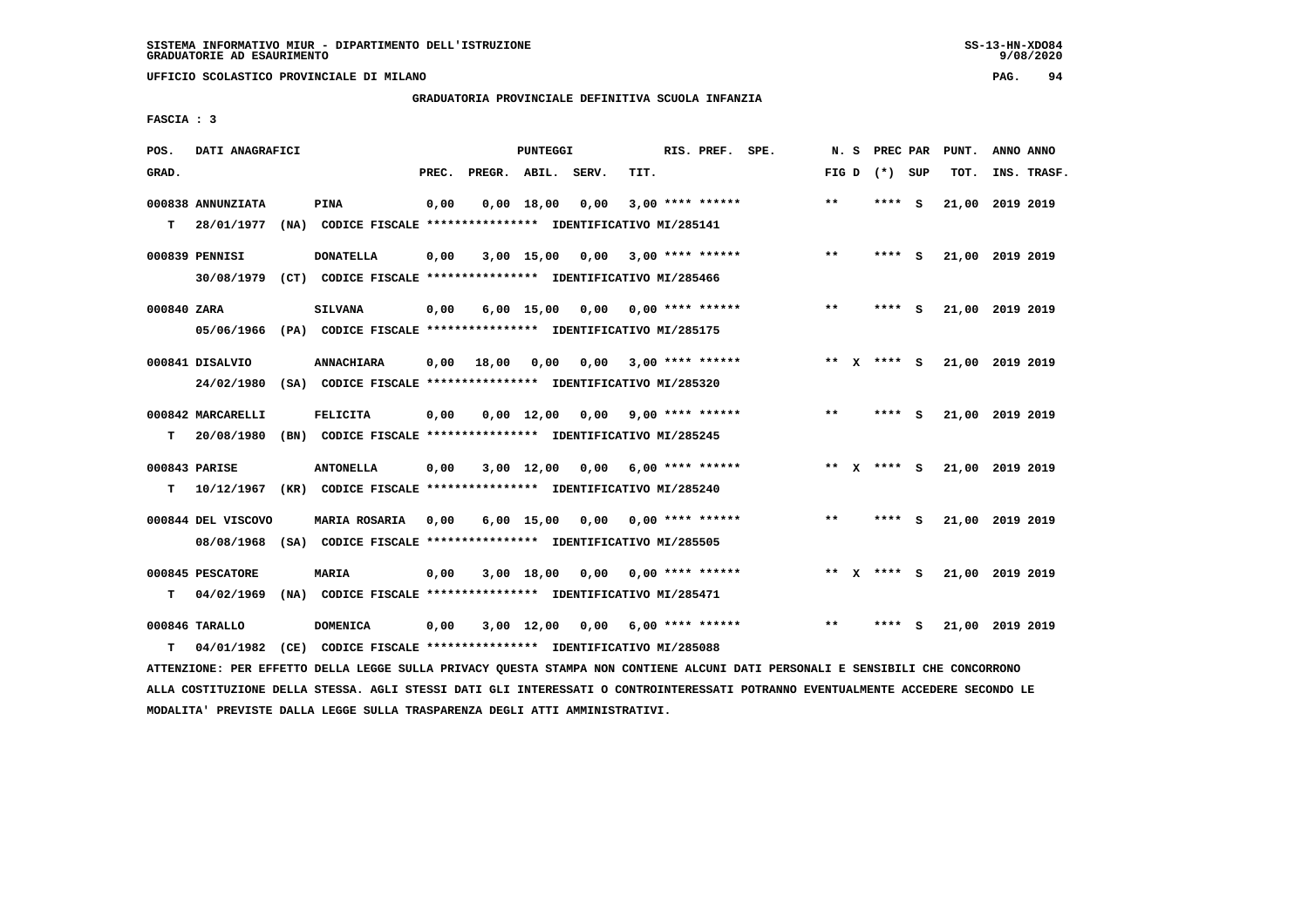**UFFICIO SCOLASTICO PROVINCIALE DI MILANO PAG. 94**

# **GRADUATORIA PROVINCIALE DEFINITIVA SCUOLA INFANZIA**

 **FASCIA : 3**

| POS.        | DATI ANAGRAFICI    |                                                                                                                               |       |                    | PUNTEGGI     |                                    |      | RIS. PREF. SPE.         | N. S  |                 |     | PREC PAR PUNT.  | ANNO ANNO |             |
|-------------|--------------------|-------------------------------------------------------------------------------------------------------------------------------|-------|--------------------|--------------|------------------------------------|------|-------------------------|-------|-----------------|-----|-----------------|-----------|-------------|
| GRAD.       |                    |                                                                                                                               | PREC. | PREGR. ABIL. SERV. |              |                                    | TIT. |                         |       | FIG D $(*)$ SUP |     | TOT.            |           | INS. TRASF. |
|             | 000838 ANNUNZIATA  | PINA                                                                                                                          | 0,00  |                    | $0,00$ 18,00 | 0,00                               |      | $3,00$ **** ******      | $* *$ | **** S          |     | 21,00 2019 2019 |           |             |
| т           | 28/01/1977         | (NA) CODICE FISCALE **************** IDENTIFICATIVO MI/285141                                                                 |       |                    |              |                                    |      |                         |       |                 |     |                 |           |             |
|             | 000839 PENNISI     | <b>DONATELLA</b>                                                                                                              | 0,00  |                    | 3,00 15,00   |                                    |      | $0,00$ 3,00 **** ****** | $* *$ | **** S          |     | 21,00 2019 2019 |           |             |
|             |                    | 30/08/1979 (CT) CODICE FISCALE *************** IDENTIFICATIVO MI/285466                                                       |       |                    |              |                                    |      |                         |       |                 |     |                 |           |             |
| 000840 ZARA |                    | <b>SILVANA</b>                                                                                                                | 0,00  |                    | $6,00$ 15,00 | 0,00                               |      | 0,00 **** ******        | $* *$ | **** S          |     | 21,00 2019 2019 |           |             |
|             | 05/06/1966         | (PA) CODICE FISCALE **************** IDENTIFICATIVO MI/285175                                                                 |       |                    |              |                                    |      |                         |       |                 |     |                 |           |             |
|             | 000841 DISALVIO    | <b>ANNACHIARA</b>                                                                                                             | 0,00  | 18,00              |              | 0,00 0,00                          |      | $3,00$ **** ******      |       | ** X **** S     |     | 21,00 2019 2019 |           |             |
|             | 24/02/1980         | (SA) CODICE FISCALE **************** IDENTIFICATIVO MI/285320                                                                 |       |                    |              |                                    |      |                         |       |                 |     |                 |           |             |
|             | 000842 MARCARELLI  | <b>FELICITA</b>                                                                                                               | 0,00  |                    |              | $0,00$ 12,00 0,00 9,00 **** ****** |      |                         | $***$ | **** S          |     | 21,00 2019 2019 |           |             |
| т           | 20/08/1980         | (BN) CODICE FISCALE **************** IDENTIFICATIVO MI/285245                                                                 |       |                    |              |                                    |      |                         |       |                 |     |                 |           |             |
|             | 000843 PARISE      | <b>ANTONELLA</b>                                                                                                              | 0,00  |                    | 3,00 12,00   |                                    |      | $0,00$ 6,00 **** ****** |       | ** x **** s     |     | 21,00 2019 2019 |           |             |
| т           |                    | 10/12/1967 (KR) CODICE FISCALE **************** IDENTIFICATIVO MI/285240                                                      |       |                    |              |                                    |      |                         |       |                 |     |                 |           |             |
|             | 000844 DEL VISCOVO | MARIA ROSARIA                                                                                                                 | 0,00  |                    |              | $6,00$ 15,00 0,00 0,00 **** ****** |      |                         | **    | ****            | - S | 21,00 2019 2019 |           |             |
|             | 08/08/1968         | (SA) CODICE FISCALE **************** IDENTIFICATIVO MI/285505                                                                 |       |                    |              |                                    |      |                         |       |                 |     |                 |           |             |
|             | 000845 PESCATORE   | <b>MARIA</b>                                                                                                                  | 0,00  |                    |              | $3,00$ 18,00 0,00 0,00 **** ****** |      |                         |       | ** x **** S     |     | 21,00 2019 2019 |           |             |
| т           | 04/02/1969         | (NA) CODICE FISCALE **************** IDENTIFICATIVO MI/285471                                                                 |       |                    |              |                                    |      |                         |       |                 |     |                 |           |             |
|             | 000846 TARALLO     | <b>DOMENICA</b>                                                                                                               | 0,00  |                    | 3,00 12,00   |                                    |      | $0,00$ 6,00 **** ****** | $* *$ | **** S          |     | 21,00 2019 2019 |           |             |
| т           | 04/01/1982         | (CE) CODICE FISCALE **************** IDENTIFICATIVO MI/285088                                                                 |       |                    |              |                                    |      |                         |       |                 |     |                 |           |             |
|             |                    | ATTENZIONE: PER EFFETTO DELLA LEGGE SULLA PRIVACY QUESTA STAMPA NON CONTIENE ALCUNI DATI PERSONALI E SENSIBILI CHE CONCORRONO |       |                    |              |                                    |      |                         |       |                 |     |                 |           |             |

 **ALLA COSTITUZIONE DELLA STESSA. AGLI STESSI DATI GLI INTERESSATI O CONTROINTERESSATI POTRANNO EVENTUALMENTE ACCEDERE SECONDO LE MODALITA' PREVISTE DALLA LEGGE SULLA TRASPARENZA DEGLI ATTI AMMINISTRATIVI.**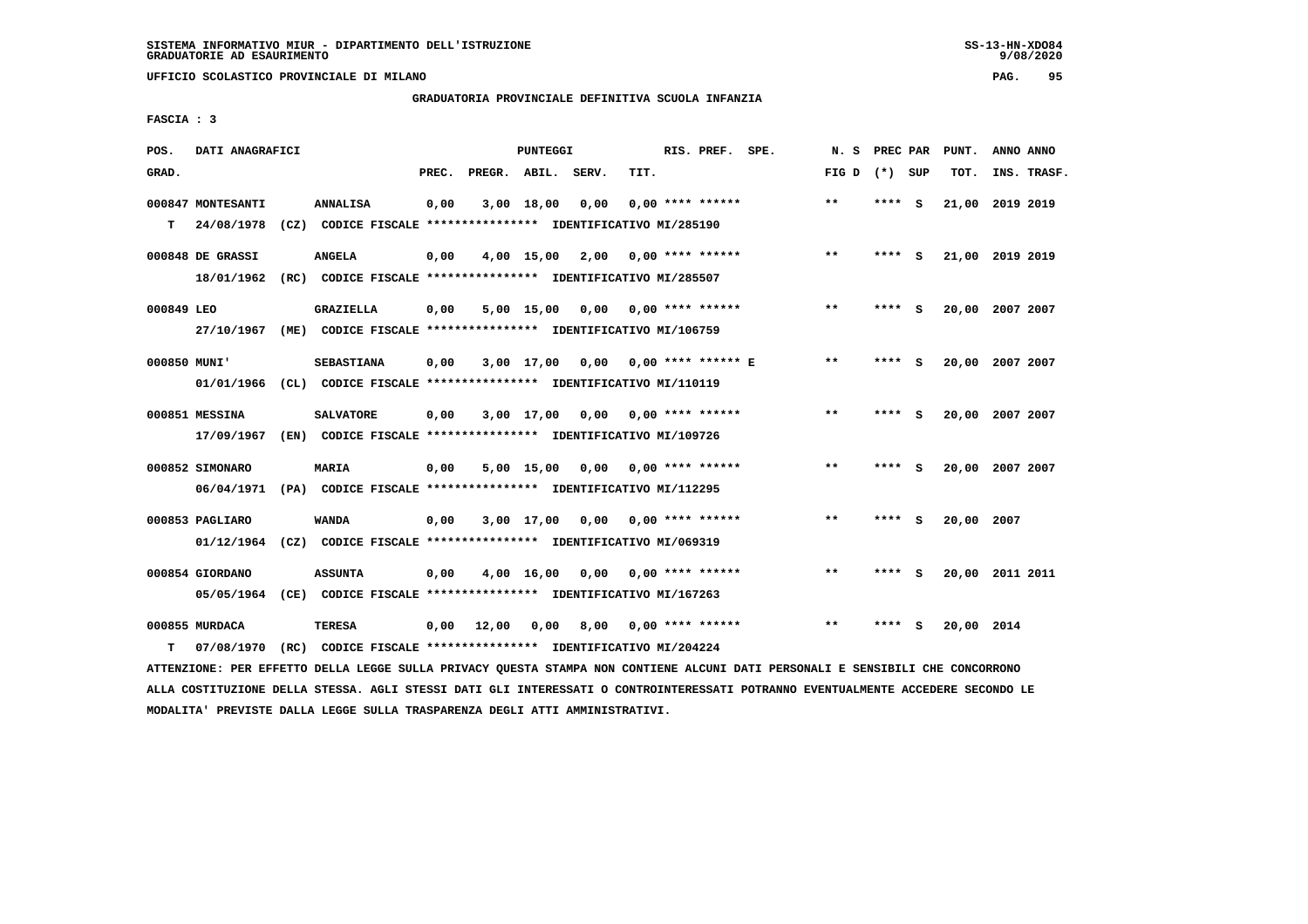**UFFICIO SCOLASTICO PROVINCIALE DI MILANO PAG. 95**

# **GRADUATORIA PROVINCIALE DEFINITIVA SCUOLA INFANZIA**

 **FASCIA : 3**

| POS.         | DATI ANAGRAFICI   |      |                                                               |       |                    | <b>PUNTEGGI</b> |      |      | RIS. PREF. SPE.           | N.S   | PREC PAR |          | PUNT.           | ANNO ANNO |             |
|--------------|-------------------|------|---------------------------------------------------------------|-------|--------------------|-----------------|------|------|---------------------------|-------|----------|----------|-----------------|-----------|-------------|
| GRAD.        |                   |      |                                                               | PREC. | PREGR. ABIL. SERV. |                 |      | TIT. |                           | FIG D | (*) SUP  |          | TOT.            |           | INS. TRASF. |
|              | 000847 MONTESANTI |      | <b>ANNALISA</b>                                               | 0,00  |                    | 3,00 18,00      | 0,00 |      | $0.00$ **** ******        | $* *$ | ****     | <b>S</b> | 21,00           | 2019 2019 |             |
| T.           | 24/08/1978        | (CZ) | CODICE FISCALE **************** IDENTIFICATIVO MI/285190      |       |                    |                 |      |      |                           |       |          |          |                 |           |             |
|              | 000848 DE GRASSI  |      | <b>ANGELA</b>                                                 | 0,00  |                    | 4,00 15,00      | 2,00 |      | 0,00 **** ******          | $***$ | ****     | - S      | 21,00 2019 2019 |           |             |
|              | 18/01/1962        | (RC) | CODICE FISCALE **************** IDENTIFICATIVO MI/285507      |       |                    |                 |      |      |                           |       |          |          |                 |           |             |
| 000849 LEO   |                   |      | <b>GRAZIELLA</b>                                              | 0,00  |                    | 5,00 15,00      |      |      | $0,00$ $0,00$ **** ****** | $**$  | ****     | - S      | 20,00 2007 2007 |           |             |
|              | 27/10/1967        | (ME) | CODICE FISCALE **************** IDENTIFICATIVO MI/106759      |       |                    |                 |      |      |                           |       |          |          |                 |           |             |
| 000850 MUNI' |                   |      | <b>SEBASTIANA</b>                                             | 0,00  |                    | $3,00$ 17,00    |      |      | $0,00$ 0,00 **** ****** E | $* *$ |          | s        | 20,00 2007 2007 |           |             |
|              | 01/01/1966        |      | (CL) CODICE FISCALE **************** IDENTIFICATIVO MI/110119 |       |                    |                 |      |      |                           |       |          |          |                 |           |             |
|              | 000851 MESSINA    |      | <b>SALVATORE</b>                                              | 0.00  |                    | $3,00$ 17,00    |      |      | $0,00$ $0,00$ **** ****** | $***$ | ****     | - S      | 20,00 2007 2007 |           |             |
|              | 17/09/1967        |      | (EN) CODICE FISCALE **************** IDENTIFICATIVO MI/109726 |       |                    |                 |      |      |                           |       |          |          |                 |           |             |
|              | 000852 SIMONARO   |      | MARIA                                                         | 0,00  |                    | $5,00$ 15,00    | 0.00 |      | $0.00$ **** ******        | $***$ | ****     | - 5      | 20,00 2007 2007 |           |             |
|              | 06/04/1971        |      | (PA) CODICE FISCALE **************** IDENTIFICATIVO MI/112295 |       |                    |                 |      |      |                           |       |          |          |                 |           |             |
|              | 000853 PAGLIARO   |      | <b>WANDA</b>                                                  | 0,00  |                    | 3,00 17,00      | 0.00 |      | 0,00 **** ******          | $**$  | $***$ S  |          | 20,00 2007      |           |             |
|              | 01/12/1964        |      | (CZ) CODICE FISCALE **************** IDENTIFICATIVO MI/069319 |       |                    |                 |      |      |                           |       |          |          |                 |           |             |
|              | 000854 GIORDANO   |      | <b>ASSUNTA</b>                                                | 0,00  |                    | 4,00 16,00      | 0,00 |      | 0,00 **** ******          | $* *$ | ****     | - S      | 20,00 2011 2011 |           |             |
|              | 05/05/1964        |      | (CE) CODICE FISCALE **************** IDENTIFICATIVO MI/167263 |       |                    |                 |      |      |                           |       |          |          |                 |           |             |
|              | 000855 MURDACA    |      | <b>TERESA</b>                                                 | 0,00  | 12,00              | 0,00            | 8,00 |      | 0,00 **** ******          | $* *$ | ****     | S        | 20,00 2014      |           |             |
| т            | 07/08/1970        |      | (RC) CODICE FISCALE **************** IDENTIFICATIVO MI/204224 |       |                    |                 |      |      |                           |       |          |          |                 |           |             |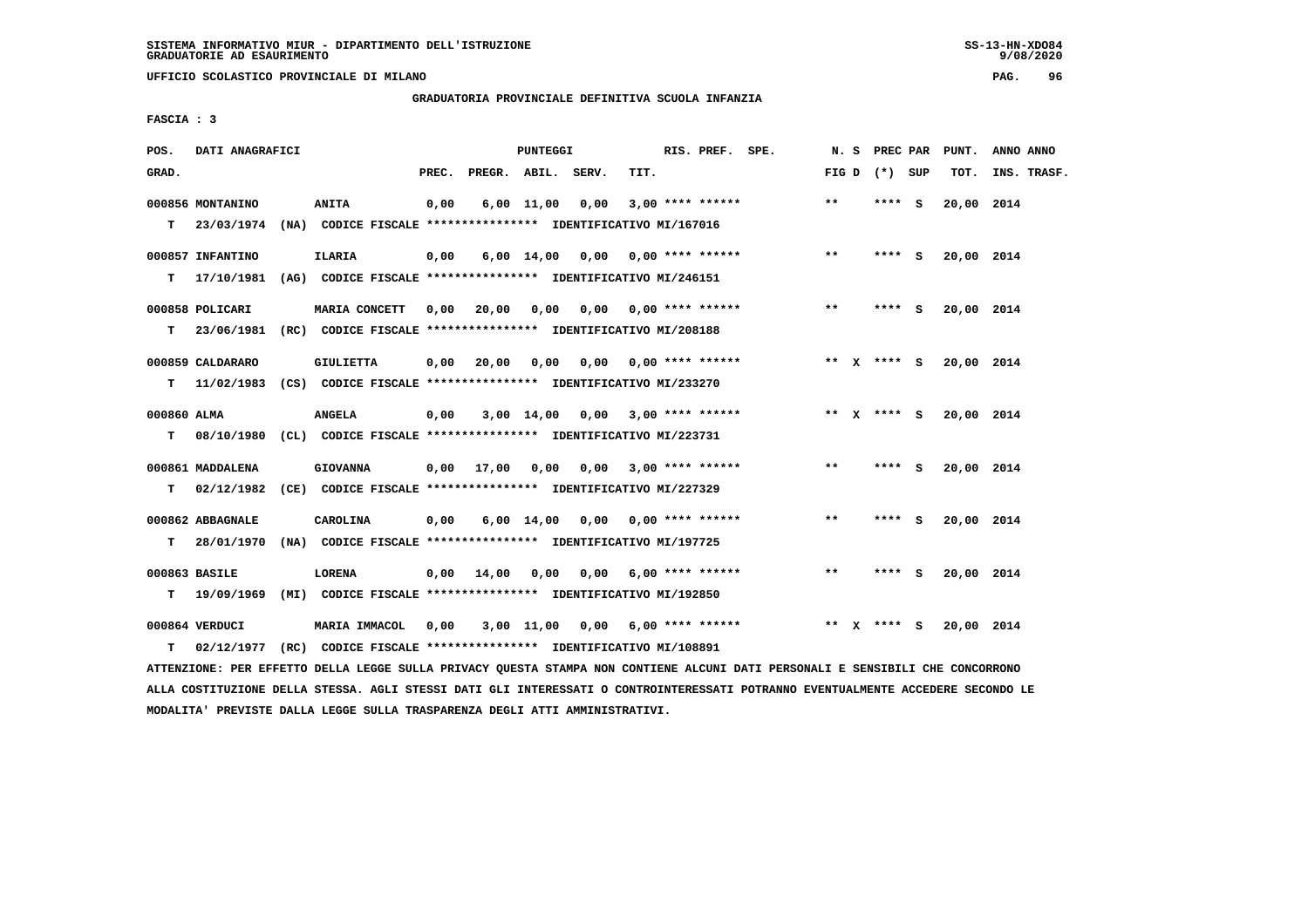**UFFICIO SCOLASTICO PROVINCIALE DI MILANO PAG. 96**

 **GRADUATORIA PROVINCIALE DEFINITIVA SCUOLA INFANZIA**

 **FASCIA : 3**

| POS.        | DATI ANAGRAFICI                |                                                                               |       |                    | <b>PUNTEGGI</b> |                       |      | RIS. PREF. SPE.           | N.S   | PREC PAR        |          | PUNT.      | ANNO ANNO   |
|-------------|--------------------------------|-------------------------------------------------------------------------------|-------|--------------------|-----------------|-----------------------|------|---------------------------|-------|-----------------|----------|------------|-------------|
| GRAD.       |                                |                                                                               | PREC. | PREGR. ABIL. SERV. |                 |                       | TIT. |                           |       | FIG D $(*)$ SUP |          | TOT.       | INS. TRASF. |
| T.          | 000856 MONTANINO<br>23/03/1974 | <b>ANITA</b><br>(NA) CODICE FISCALE **************** IDENTIFICATIVO MI/167016 | 0,00  |                    | $6,00$ 11,00    | 0,00                  |      | $3,00$ **** ******        | **    | **** S          |          | 20,00 2014 |             |
|             |                                |                                                                               |       |                    |                 |                       |      |                           |       |                 |          |            |             |
|             | 000857 INFANTINO               | <b>ILARIA</b>                                                                 | 0,00  |                    |                 | $6,00$ $14,00$ 0,00   |      | 0,00 **** ******          | $***$ | ****            | <b>S</b> | 20,00 2014 |             |
| т           | 17/10/1981                     | (AG) CODICE FISCALE **************** IDENTIFICATIVO MI/246151                 |       |                    |                 |                       |      |                           |       |                 |          |            |             |
|             | 000858 POLICARI                | MARIA CONCETT                                                                 | 0,00  | 20,00              | 0,00            |                       |      | $0,00$ $0,00$ **** ****** | $* *$ | **** S          |          | 20,00 2014 |             |
| т           | 23/06/1981                     | (RC) CODICE FISCALE **************** IDENTIFICATIVO MI/208188                 |       |                    |                 |                       |      |                           |       |                 |          |            |             |
|             | 000859 CALDARARO               | <b>GIULIETTA</b>                                                              | 0.00  | 20,00              | 0,00            |                       |      | $0,00$ $0,00$ **** ****** |       | ** X **** S     |          | 20,00 2014 |             |
| т           | 11/02/1983                     | (CS) CODICE FISCALE **************** IDENTIFICATIVO MI/233270                 |       |                    |                 |                       |      |                           |       |                 |          |            |             |
|             |                                |                                                                               |       |                    |                 |                       |      |                           |       |                 |          |            |             |
| 000860 ALMA |                                | <b>ANGELA</b>                                                                 | 0,00  |                    | 3,00 14,00      |                       |      | $0,00$ 3,00 **** ******   |       | ** x **** s     |          | 20,00 2014 |             |
| т           | 08/10/1980                     | (CL) CODICE FISCALE **************** IDENTIFICATIVO MI/223731                 |       |                    |                 |                       |      |                           |       |                 |          |            |             |
|             | 000861 MADDALENA               | <b>GIOVANNA</b>                                                               | 0,00  | 17,00              | 0,00            | 0,00                  |      | $3,00$ **** ******        | **    | **** S          |          | 20,00 2014 |             |
| т           | 02/12/1982                     | (CE) CODICE FISCALE **************** IDENTIFICATIVO MI/227329                 |       |                    |                 |                       |      |                           |       |                 |          |            |             |
|             | 000862 ABBAGNALE               | CAROLINA                                                                      | 0,00  |                    |                 | $6,00$ $14,00$ $0,00$ |      | 0,00 **** ******          | $* *$ | **** S          |          | 20,00 2014 |             |
| т           | 28/01/1970                     | (NA) CODICE FISCALE **************** IDENTIFICATIVO MI/197725                 |       |                    |                 |                       |      |                           |       |                 |          |            |             |
|             |                                |                                                                               |       |                    |                 |                       |      |                           | $***$ | **** S          |          |            |             |
| т           | 000863 BASILE<br>19/09/1969    | LORENA<br>(MI) CODICE FISCALE **************** IDENTIFICATIVO MI/192850       | 0.00  | 14,00              | 0,00            |                       |      | $0.00$ 6.00 **** ******   |       |                 |          | 20,00 2014 |             |
|             |                                |                                                                               |       |                    |                 |                       |      |                           |       |                 |          |            |             |
|             | 000864 VERDUCI                 | MARIA IMMACOL                                                                 | 0,00  |                    | 3,00 11,00      |                       |      | $0,00$ 6,00 **** ******   |       | ** x **** s     |          | 20,00 2014 |             |
| т           | 02/12/1977                     | (RC) CODICE FISCALE **************** IDENTIFICATIVO MI/108891                 |       |                    |                 |                       |      |                           |       |                 |          |            |             |

 **ATTENZIONE: PER EFFETTO DELLA LEGGE SULLA PRIVACY QUESTA STAMPA NON CONTIENE ALCUNI DATI PERSONALI E SENSIBILI CHE CONCORRONO ALLA COSTITUZIONE DELLA STESSA. AGLI STESSI DATI GLI INTERESSATI O CONTROINTERESSATI POTRANNO EVENTUALMENTE ACCEDERE SECONDO LE MODALITA' PREVISTE DALLA LEGGE SULLA TRASPARENZA DEGLI ATTI AMMINISTRATIVI.**

 $9/08/2020$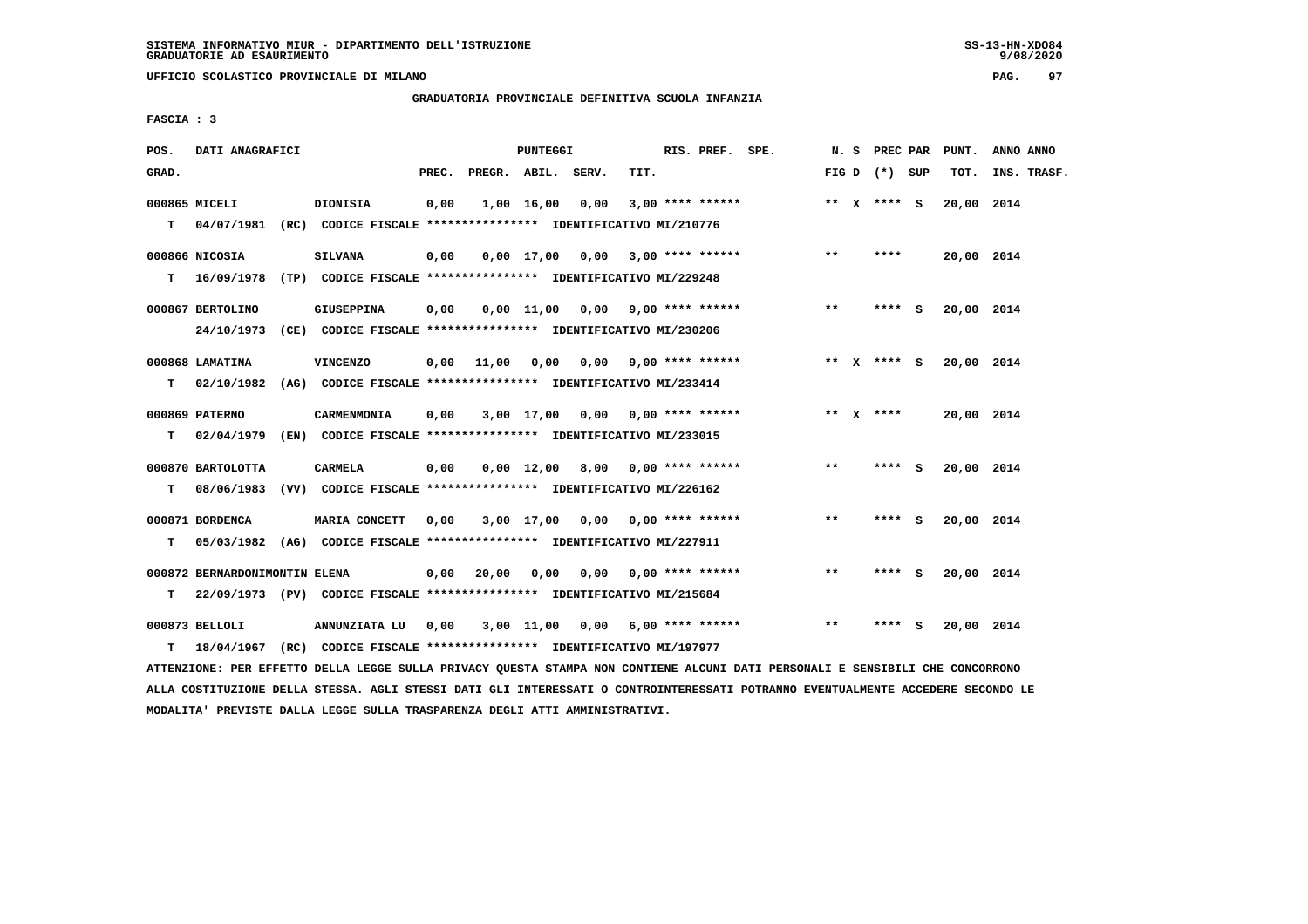**UFFICIO SCOLASTICO PROVINCIALE DI MILANO PAG. 97**

# **GRADUATORIA PROVINCIALE DEFINITIVA SCUOLA INFANZIA**

 **FASCIA : 3**

| POS.  | DATI ANAGRAFICI               |                                                                                     |       |                    | <b>PUNTEGGI</b>    |                                    |      | RIS. PREF. SPE.         | N. S         | PREC PAR        |     | PUNT.      | ANNO ANNO   |
|-------|-------------------------------|-------------------------------------------------------------------------------------|-------|--------------------|--------------------|------------------------------------|------|-------------------------|--------------|-----------------|-----|------------|-------------|
| GRAD. |                               |                                                                                     | PREC. | PREGR. ABIL. SERV. |                    |                                    | TIT. |                         |              | FIG D $(*)$ SUP |     | TOT.       | INS. TRASF. |
| т     | 000865 MICELI                 | DIONISIA<br>04/07/1981 (RC) CODICE FISCALE *************** IDENTIFICATIVO MI/210776 | 0,00  |                    | 1,00 16,00         | 0,00                               |      | $3,00$ **** ******      |              | ** $X$ **** S   |     | 20,00 2014 |             |
|       |                               |                                                                                     |       |                    |                    |                                    |      |                         |              |                 |     |            |             |
|       | 000866 NICOSIA                | <b>SILVANA</b>                                                                      | 0,00  |                    |                    | 0,00 17,00 0,00                    |      | $3,00$ **** ******      | $* *$        | ****            |     | 20,00 2014 |             |
| т     | 16/09/1978                    | (TP) CODICE FISCALE **************** IDENTIFICATIVO MI/229248                       |       |                    |                    |                                    |      |                         |              |                 |     |            |             |
|       | 000867 BERTOLINO              | <b>GIUSEPPINA</b>                                                                   | 0,00  |                    |                    | $0,00$ 11,00 0,00 9,00 **** ****** |      |                         | $* *$        | $***$ S         |     | 20,00 2014 |             |
|       | 24/10/1973                    | (CE) CODICE FISCALE **************** IDENTIFICATIVO MI/230206                       |       |                    |                    |                                    |      |                         |              |                 |     |            |             |
|       | 000868 LAMATINA               | <b>VINCENZO</b>                                                                     | 0,00  | 11,00              | 0,00               |                                    |      | $0,00$ 9,00 **** ****** | ** X         | $***$ S         |     | 20,00 2014 |             |
| т     | 02/10/1982                    | (AG) CODICE FISCALE **************** IDENTIFICATIVO MI/233414                       |       |                    |                    |                                    |      |                         |              |                 |     |            |             |
|       | 000869 PATERNO                | CARMENMONIA                                                                         | 0,00  |                    |                    | $3,00$ 17,00 0,00 0,00 **** ****** |      |                         |              | ** $X$ ****     |     | 20,00 2014 |             |
| т     | 02/04/1979                    | (EN) CODICE FISCALE **************** IDENTIFICATIVO MI/233015                       |       |                    |                    |                                    |      |                         |              |                 |     |            |             |
|       | 000870 BARTOLOTTA             | <b>CARMELA</b>                                                                      | 0,00  |                    | $0,00 \quad 12,00$ | 8,00                               |      | $0.00$ **** ******      | $* *$        | **** S          |     | 20,00 2014 |             |
| т     | 08/06/1983                    | (VV) CODICE FISCALE **************** IDENTIFICATIVO MI/226162                       |       |                    |                    |                                    |      |                         |              |                 |     |            |             |
|       | 000871 BORDENCA               | MARIA CONCETT                                                                       | 0,00  |                    |                    | 3,00 17,00 0,00                    |      | $0.00$ **** ******      | $**$         | **** S          |     | 20,00 2014 |             |
| т     | 05/03/1982                    | (AG) CODICE FISCALE **************** IDENTIFICATIVO MI/227911                       |       |                    |                    |                                    |      |                         |              |                 |     |            |             |
|       |                               |                                                                                     |       |                    |                    |                                    |      |                         |              |                 |     |            |             |
|       | 000872 BERNARDONIMONTIN ELENA |                                                                                     | 0,00  | 20,00              | 0,00               | 0,00                               |      | $0.00$ **** ******      | $\star\star$ | **** S          |     | 20,00 2014 |             |
| т     |                               | 22/09/1973 (PV) CODICE FISCALE **************** IDENTIFICATIVO MI/215684            |       |                    |                    |                                    |      |                         |              |                 |     |            |             |
|       | 000873 BELLOLI                | ANNUNZIATA LU                                                                       | 0,00  |                    |                    | $3,00$ 11,00 0,00 6,00 **** ****** |      |                         | $**$         | ****            | - S | 20,00 2014 |             |
| т     | 18/04/1967                    | (RC) CODICE FISCALE **************** IDENTIFICATIVO MI/197977                       |       |                    |                    |                                    |      |                         |              |                 |     |            |             |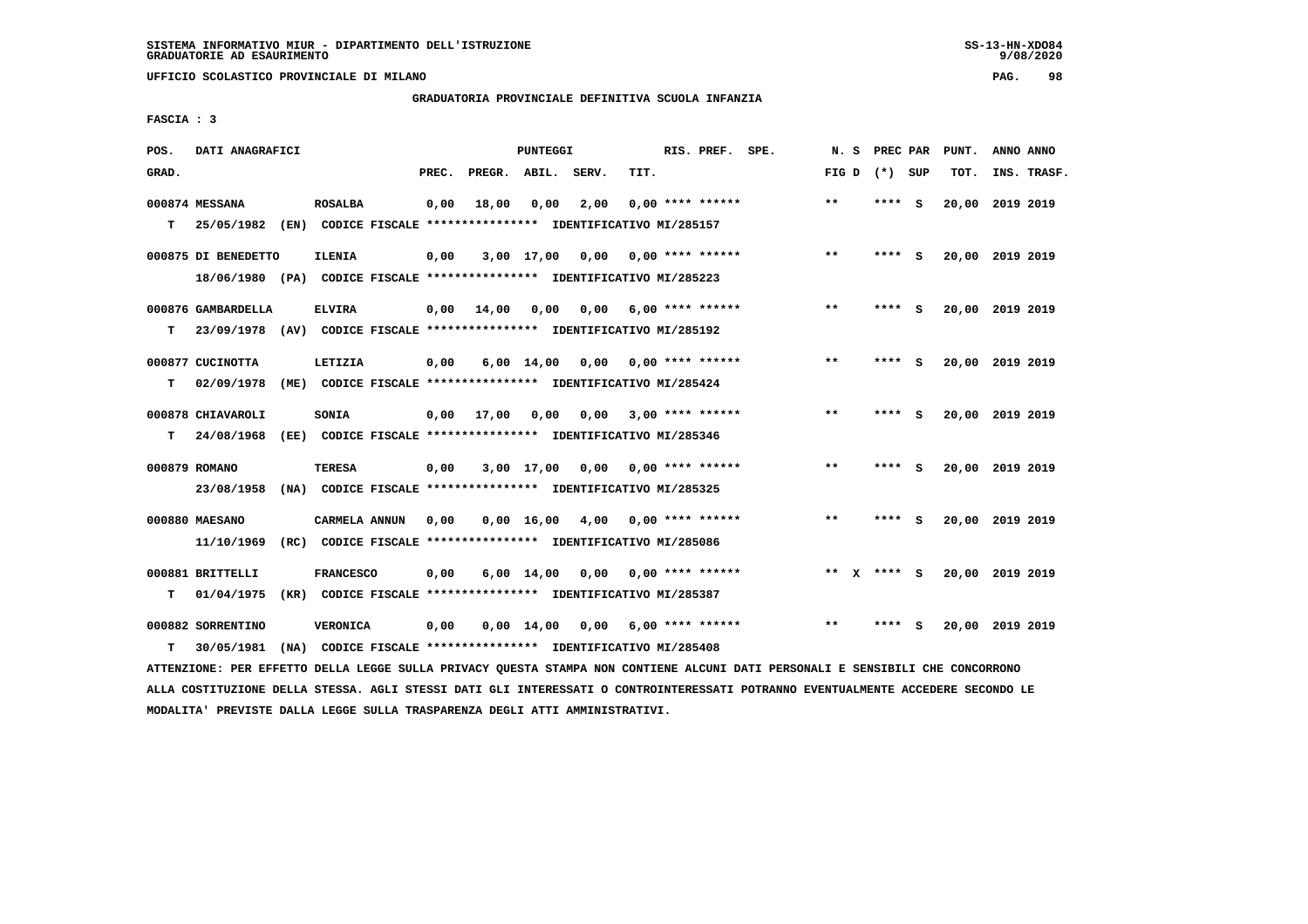**UFFICIO SCOLASTICO PROVINCIALE DI MILANO PAG. 98**

# **GRADUATORIA PROVINCIALE DEFINITIVA SCUOLA INFANZIA**

 **FASCIA : 3**

| POS.  | DATI ANAGRAFICI     |      |                  |       |        | PUNTEGGI           |                                                               |      | RIS. PREF.                | SPE. | N.S   |              | PREC PAR |     | PUNT.           | ANNO ANNO |             |
|-------|---------------------|------|------------------|-------|--------|--------------------|---------------------------------------------------------------|------|---------------------------|------|-------|--------------|----------|-----|-----------------|-----------|-------------|
| GRAD. |                     |      |                  | PREC. | PREGR. | ABIL.              | SERV.                                                         | TIT. |                           |      | FIG D |              | (*) SUP  |     | TOT.            |           | INS. TRASF. |
|       | 000874 MESSANA      |      | <b>ROSALBA</b>   | 0,00  | 18,00  | 0,00               | 2,00                                                          |      | $0.00$ **** ******        |      | $***$ |              | ****     | ్   | 20,00           | 2019 2019 |             |
| т     | 25/05/1982          |      |                  |       |        |                    | (EN) CODICE FISCALE **************** IDENTIFICATIVO MI/285157 |      |                           |      |       |              |          |     |                 |           |             |
|       | 000875 DI BENEDETTO |      | <b>ILENIA</b>    | 0,00  |        | $3,00$ 17,00       | 0,00                                                          |      | $0.00$ **** ******        |      | $**$  |              | **** S   |     | 20,00 2019 2019 |           |             |
|       | 18/06/1980          |      |                  |       |        |                    | (PA) CODICE FISCALE **************** IDENTIFICATIVO MI/285223 |      |                           |      |       |              |          |     |                 |           |             |
|       | 000876 GAMBARDELLA  |      | <b>ELVIRA</b>    | 0,00  | 14,00  | 0.00               | 0.00                                                          |      | $6,00$ **** ******        |      | $* *$ |              | ****     | - S | 20,00 2019 2019 |           |             |
| т     | 23/09/1978          |      |                  |       |        |                    | (AV) CODICE FISCALE **************** IDENTIFICATIVO MI/285192 |      |                           |      |       |              |          |     |                 |           |             |
|       | 000877 CUCINOTTA    |      | LETIZIA          | 0,00  |        | $6,00$ 14,00       | 0.00                                                          |      | $0.00$ **** ******        |      | $***$ |              | ****     | - S | 20,00 2019 2019 |           |             |
| т     | 02/09/1978          |      |                  |       |        |                    | (ME) CODICE FISCALE **************** IDENTIFICATIVO MI/285424 |      |                           |      |       |              |          |     |                 |           |             |
|       | 000878 CHIAVAROLI   |      | <b>SONIA</b>     | 0,00  | 17,00  | 0,00               | 0,00                                                          |      | $3,00$ **** ******        |      | $* *$ |              | ****     | - S | 20,00 2019 2019 |           |             |
| т     | 24/08/1968          |      |                  |       |        |                    | (EE) CODICE FISCALE **************** IDENTIFICATIVO MI/285346 |      |                           |      |       |              |          |     |                 |           |             |
|       | 000879 ROMANO       |      | <b>TERESA</b>    | 0,00  |        | $3,00$ 17,00       |                                                               |      | $0.00$ $0.00$ **** ****** |      | $***$ |              | **** S   |     | 20,00 2019 2019 |           |             |
|       | 23/08/1958          | (NA) |                  |       |        |                    | CODICE FISCALE **************** IDENTIFICATIVO MI/285325      |      |                           |      |       |              |          |     |                 |           |             |
|       | 000880 MAESANO      |      | CARMELA ANNUN    | 0,00  |        | $0,00 \quad 16,00$ | 4,00                                                          |      | $0.00$ **** ******        |      | $* *$ |              | ****     | - S | 20,00 2019 2019 |           |             |
|       | 11/10/1969          |      |                  |       |        |                    | (RC) CODICE FISCALE **************** IDENTIFICATIVO MI/285086 |      |                           |      |       |              |          |     |                 |           |             |
|       | 000881 BRITTELLI    |      | <b>FRANCESCO</b> | 0,00  |        | $6,00 \quad 14,00$ | 0,00                                                          |      | $0.00$ **** ******        |      | $***$ | $\mathbf{x}$ | **** S   |     | 20,00 2019 2019 |           |             |
| т     | 01/04/1975          |      |                  |       |        |                    | (KR) CODICE FISCALE **************** IDENTIFICATIVO MI/285387 |      |                           |      |       |              |          |     |                 |           |             |
|       | 000882 SORRENTINO   |      | <b>VERONICA</b>  | 0,00  |        | $0,00 \quad 14,00$ | 0,00                                                          |      | $6,00$ **** ******        |      | $* *$ |              | ****     | - 5 | 20,00 2019 2019 |           |             |
| т     | 30/05/1981          | (NA) |                  |       |        |                    | CODICE FISCALE **************** IDENTIFICATIVO MI/285408      |      |                           |      |       |              |          |     |                 |           |             |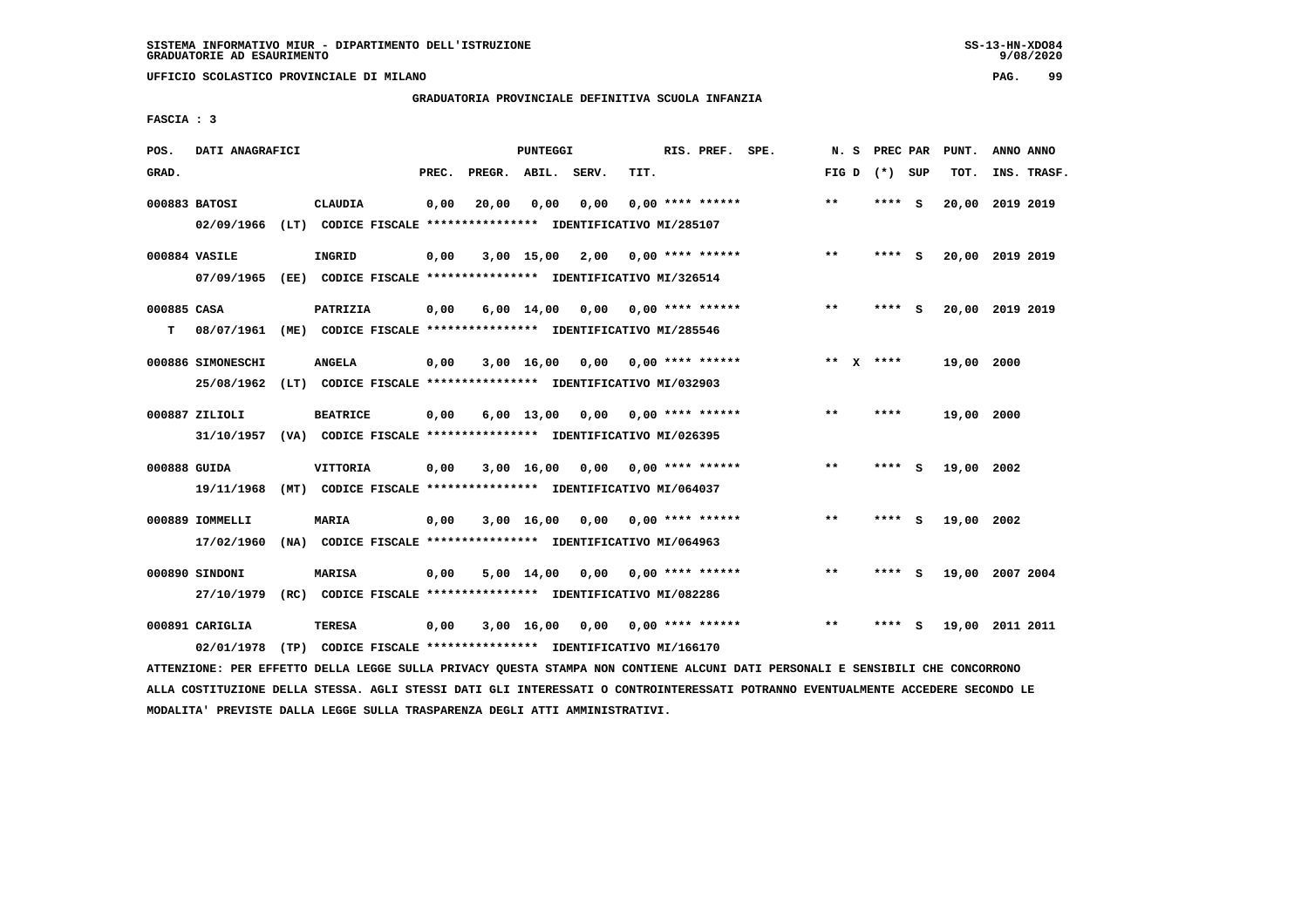**UFFICIO SCOLASTICO PROVINCIALE DI MILANO PAG. 99**

## **GRADUATORIA PROVINCIALE DEFINITIVA SCUOLA INFANZIA**

 **FASCIA : 3**

| POS.             | DATI ANAGRAFICI                 |                                                                                            |       |                    | PUNTEGGI        |                                    |      | RIS. PREF. SPE.           | N.S                   | PREC PAR |     | PUNT.      | ANNO ANNO       |
|------------------|---------------------------------|--------------------------------------------------------------------------------------------|-------|--------------------|-----------------|------------------------------------|------|---------------------------|-----------------------|----------|-----|------------|-----------------|
| GRAD.            |                                 |                                                                                            | PREC. | PREGR. ABIL. SERV. |                 |                                    | TIT. |                           | FIG D                 | (*) SUP  |     | TOT.       | INS. TRASF.     |
|                  | 000883 BATOSI<br>02/09/1966     | CLAUDIA<br>(LT) CODICE FISCALE **************** IDENTIFICATIVO MI/285107                   | 0,00  | 20,00              | 0,00            | 0,00                               |      | $0.00$ **** ******        | $***$                 | ****     | - S | 20,00      | 2019 2019       |
|                  | 000884 VASILE<br>07/09/1965     | INGRID<br>(EE) CODICE FISCALE **************** IDENTIFICATIVO MI/326514                    | 0,00  |                    | 3,00 15,00 2,00 |                                    |      | 0,00 **** ******          | $***$                 | **** S   |     |            | 20,00 2019 2019 |
| 000885 CASA<br>т | 08/07/1961                      | PATRIZIA<br>(ME) CODICE FISCALE **************** IDENTIFICATIVO MI/285546                  | 0,00  |                    |                 | $6,00$ 14,00 0,00 0,00 **** ****** |      |                           | $***$                 | **** S   |     |            | 20,00 2019 2019 |
|                  | 000886 SIMONESCHI<br>25/08/1962 | <b>ANGELA</b><br>(LT) CODICE FISCALE **************** IDENTIFICATIVO MI/032903             | 0,00  |                    | $3,00$ 16,00    |                                    |      | $0,00$ 0,00 **** ******   | $* *$<br>$\mathbf{x}$ | ****     |     | 19,00 2000 |                 |
|                  | 000887 ZILIOLI                  | <b>BEATRICE</b><br>31/10/1957 (VA) CODICE FISCALE *************** IDENTIFICATIVO MI/026395 | 0,00  |                    | $6,00$ 13,00    | 0,00                               |      | 0,00 **** ******          | $* *$                 | ****     |     | 19,00 2000 |                 |
| 000888 GUIDA     | 19/11/1968                      | <b>VITTORIA</b><br>(MT) CODICE FISCALE **************** IDENTIFICATIVO MI/064037           | 0,00  |                    | 3,00 16,00 0,00 |                                    |      | 0,00 **** ******          | $* *$                 | ****     | - S | 19,00 2002 |                 |
|                  | 000889 IOMMELLI<br>17/02/1960   | <b>MARIA</b><br>(NA) CODICE FISCALE **************** IDENTIFICATIVO MI/064963              | 0,00  |                    | $3,00$ 16,00    | 0,00                               |      | 0,00 **** ******          | $***$                 | **** S   |     | 19,00 2002 |                 |
|                  | 000890 SINDONI<br>27/10/1979    | <b>MARISA</b><br>(RC) CODICE FISCALE **************** IDENTIFICATIVO MI/082286             | 0,00  |                    | 5,00 14,00      |                                    |      | $0,00$ 0,00 **** ******   | $* *$                 | **** S   |     |            | 19,00 2007 2004 |
|                  | 000891 CARIGLIA<br>02/01/1978   | TERESA<br>(TP) CODICE FISCALE **************** IDENTIFICATIVO MI/166170                    | 0,00  |                    | 3,00 16,00      |                                    |      | $0,00$ $0,00$ **** ****** | $* *$                 | ****     | - S |            | 19,00 2011 2011 |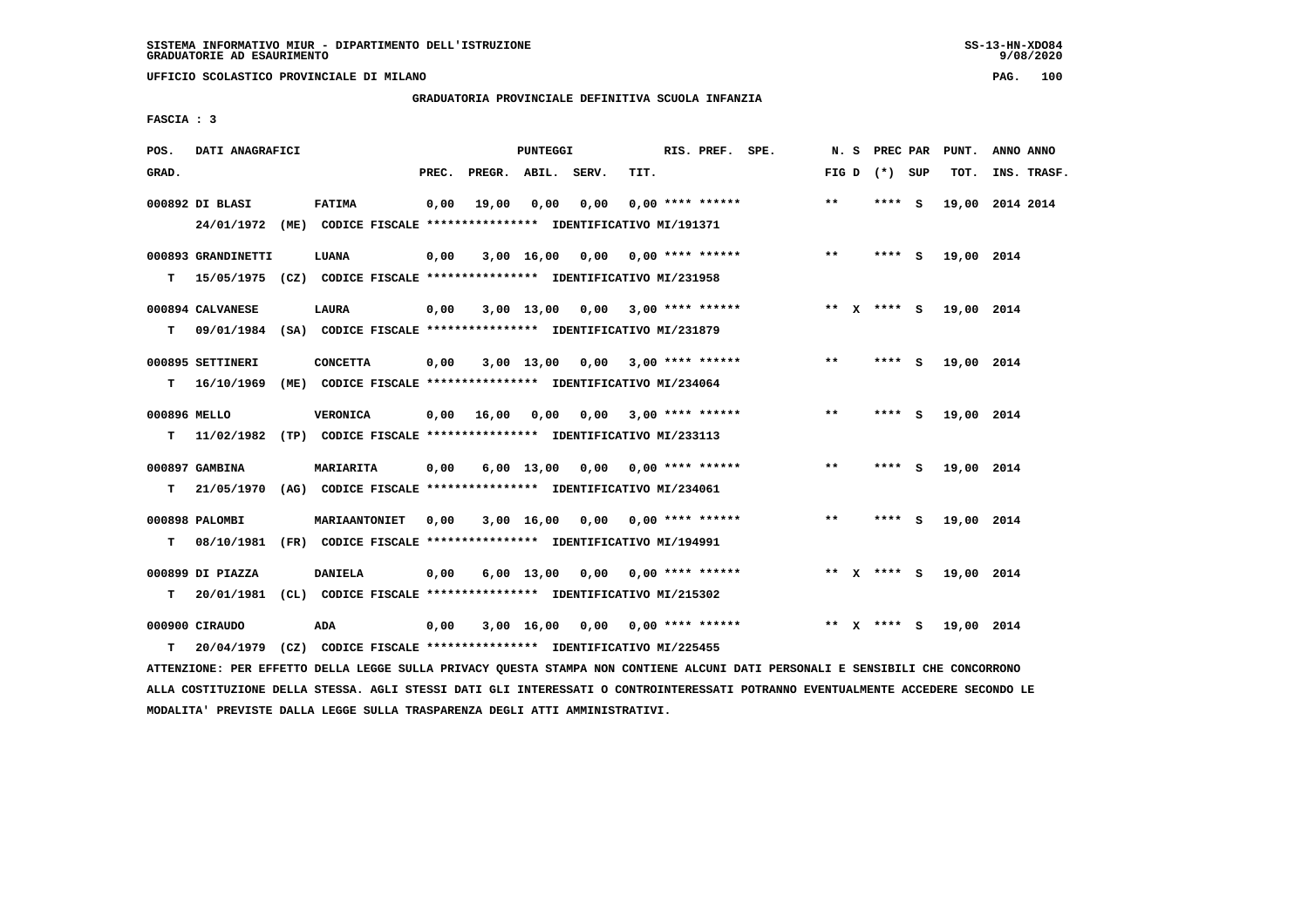**UFFICIO SCOLASTICO PROVINCIALE DI MILANO PAG. 100**

# **GRADUATORIA PROVINCIALE DEFINITIVA SCUOLA INFANZIA**

 **FASCIA : 3**

| POS.               | DATI ANAGRAFICI                |                                                                                             |       |                       | <b>PUNTEGGI</b> |                                    |      | RIS. PREF. SPE.           |        | N. S PREC PAR   | PUNT.      | ANNO ANNO       |
|--------------------|--------------------------------|---------------------------------------------------------------------------------------------|-------|-----------------------|-----------------|------------------------------------|------|---------------------------|--------|-----------------|------------|-----------------|
| GRAD.              |                                |                                                                                             | PREC. | PREGR. ABIL.          |                 | SERV.                              | TIT. |                           |        | FIG D $(*)$ SUP | TOT.       | INS. TRASF.     |
|                    | 000892 DI BLASI                | FATIMA<br>24/01/1972 (ME) CODICE FISCALE *************** IDENTIFICATIVO MI/191371           | 0,00  | 19,00                 | 0,00            | 0,00                               |      | $0.00$ **** ******        | $***$  | **** S          |            | 19,00 2014 2014 |
| т                  | 000893 GRANDINETTI             | LUANA<br>15/05/1975 (CZ) CODICE FISCALE *************** IDENTIFICATIVO MI/231958            | 0,00  |                       |                 | 3,00 16,00 0,00 0,00 **** ******   |      |                           | $***$  | $***$ S         | 19,00 2014 |                 |
| т                  | 000894 CALVANESE               | LAURA<br>09/01/1984 (SA) CODICE FISCALE **************** IDENTIFICATIVO MI/231879           | 0,00  |                       |                 | $3,00$ 13,00 0,00 3,00 **** ****** |      |                           |        | ** X **** S     | 19,00 2014 |                 |
| т                  | 000895 SETTINERI<br>16/10/1969 | <b>CONCETTA</b><br>(ME) CODICE FISCALE **************** IDENTIFICATIVO MI/234064            | 0,00  |                       | $3,00$ 13,00    | 0,00                               |      | $3,00$ **** ******        | $***$  | **** S          | 19,00 2014 |                 |
| 000896 MELLO<br>T. |                                | <b>VERONICA</b><br>11/02/1982 (TP) CODICE FISCALE **************** IDENTIFICATIVO MI/233113 |       | $0,00$ $16,00$ $0,00$ |                 |                                    |      | $0.00$ 3.00 **** ******   | $**$   | **** S          | 19,00 2014 |                 |
| т                  | 000897 GAMBINA                 | <b>MARIARITA</b><br>21/05/1970 (AG) CODICE FISCALE *************** IDENTIFICATIVO MI/234061 | 0,00  |                       |                 | 6,00 13,00 0,00                    |      | $0.00$ **** ******        | $***$  | **** S          | 19,00 2014 |                 |
| т                  | 000898 PALOMBI<br>08/10/1981   | <b>MARIAANTONIET</b><br>(FR) CODICE FISCALE **************** IDENTIFICATIVO MI/194991       | 0.00  |                       |                 | $3,00$ 16,00 0,00 0,00 **** ****** |      |                           | $**$   | **** S          | 19,00 2014 |                 |
| т                  | 000899 DI PIAZZA               | <b>DANIELA</b><br>20/01/1981 (CL) CODICE FISCALE *************** IDENTIFICATIVO MI/215302   | 0,00  |                       | 6,00 13,00      |                                    |      | $0,00$ $0,00$ **** ****** |        | ** $X$ **** S   | 19,00 2014 |                 |
| т                  | 000900 CIRAUDO<br>20/04/1979   | ADA<br>(CZ) CODICE FISCALE **************** IDENTIFICATIVO MI/225455                        | 0,00  |                       | 3,00 16,00      |                                    |      | 0,00 0,00 **** ******     | ** $X$ | **** S          | 19,00 2014 |                 |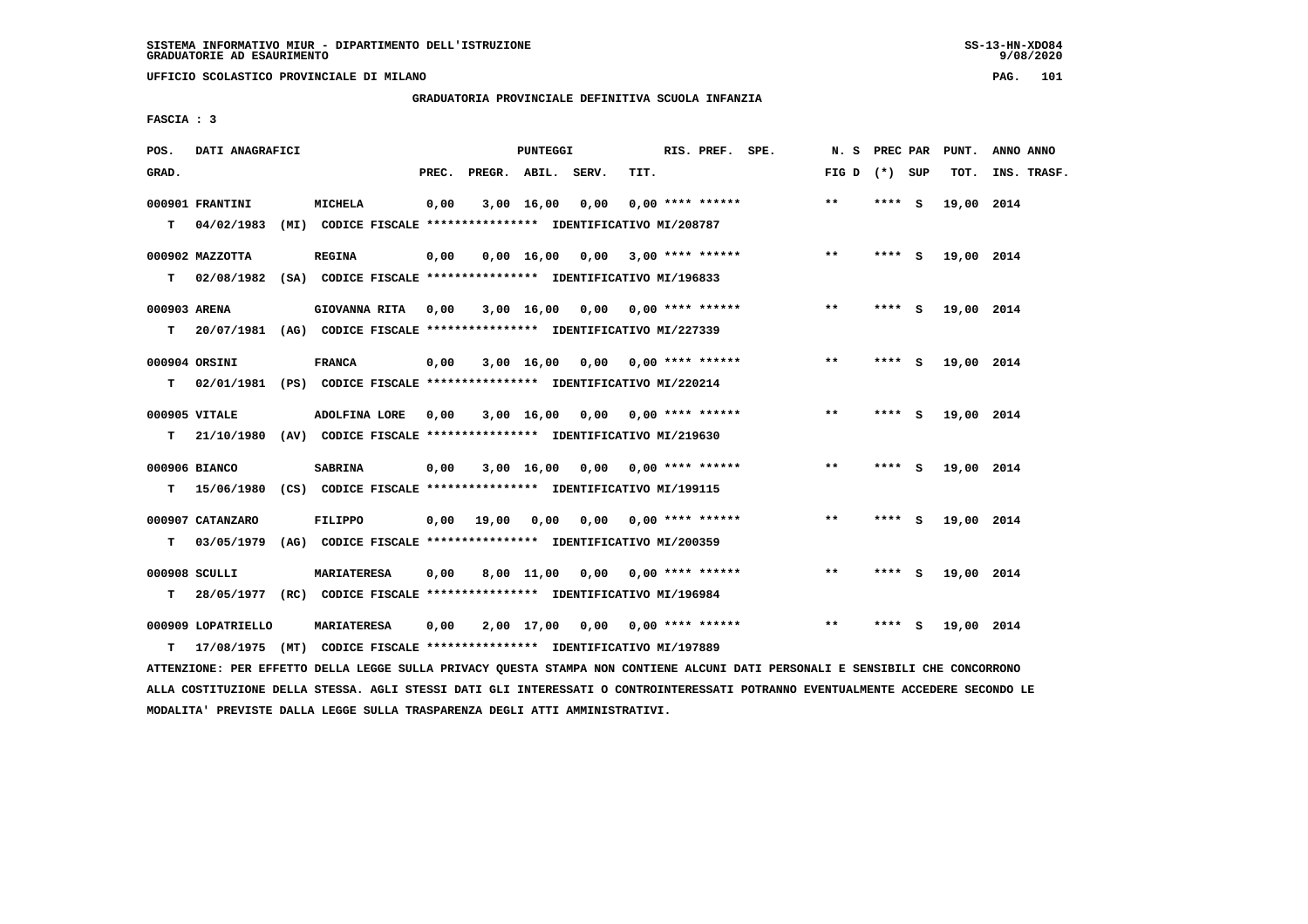**UFFICIO SCOLASTICO PROVINCIALE DI MILANO PAG. 101**

# **GRADUATORIA PROVINCIALE DEFINITIVA SCUOLA INFANZIA**

 **FASCIA : 3**

| POS.         | DATI ANAGRAFICI    |                                                                          |       |                    | <b>PUNTEGGI</b> |                                    |      | RIS. PREF. SPE.    | N. S PREC PAR   |         |     | PUNT.      | ANNO ANNO   |
|--------------|--------------------|--------------------------------------------------------------------------|-------|--------------------|-----------------|------------------------------------|------|--------------------|-----------------|---------|-----|------------|-------------|
| GRAD.        |                    |                                                                          | PREC. | PREGR. ABIL. SERV. |                 |                                    | TIT. |                    | FIG D $(*)$ SUP |         |     | TOT.       | INS. TRASF. |
|              | 000901 FRANTINI    | <b>MICHELA</b>                                                           | 0,00  |                    | 3,00 16,00      | 0,00                               |      | $0.00$ **** ****** | $* *$           | **** S  |     | 19,00 2014 |             |
| T.           | 04/02/1983         | (MI) CODICE FISCALE **************** IDENTIFICATIVO MI/208787            |       |                    |                 |                                    |      |                    |                 |         |     |            |             |
|              | 000902 MAZZOTTA    | <b>REGINA</b>                                                            | 0,00  |                    |                 | $0,00$ 16,00 0,00 3,00 **** ****** |      |                    | $* *$           | $***$ S |     | 19,00 2014 |             |
| т            |                    | 02/08/1982 (SA) CODICE FISCALE *************** IDENTIFICATIVO MI/196833  |       |                    |                 |                                    |      |                    |                 |         |     |            |             |
| 000903 ARENA |                    | GIOVANNA RITA 0,00                                                       |       |                    |                 | $3,00$ 16,00 0,00 0,00 **** ****** |      |                    | $***$           | **** S  |     | 19,00 2014 |             |
| т            |                    | 20/07/1981 (AG) CODICE FISCALE *************** IDENTIFICATIVO MI/227339  |       |                    |                 |                                    |      |                    |                 |         |     |            |             |
|              | 000904 ORSINI      | <b>FRANCA</b>                                                            | 0,00  |                    |                 | $3,00$ 16,00 0,00 0,00 **** ****** |      |                    | $* *$           | **** S  |     | 19,00 2014 |             |
| т            |                    | 02/01/1981 (PS) CODICE FISCALE **************** IDENTIFICATIVO MI/220214 |       |                    |                 |                                    |      |                    |                 |         |     |            |             |
|              | 000905 VITALE      | ADOLFINA LORE                                                            | 0.00  |                    |                 | 3,00 16,00 0,00 0,00 **** ******   |      |                    | $***$           | **** S  |     | 19,00 2014 |             |
| T.           | 21/10/1980         | (AV) CODICE FISCALE **************** IDENTIFICATIVO MI/219630            |       |                    |                 |                                    |      |                    |                 |         |     |            |             |
|              | 000906 BIANCO      | <b>SABRINA</b>                                                           | 0,00  |                    |                 | 3,00 16,00 0,00 0,00 **** ******   |      |                    | $\star\star$    | **** S  |     | 19,00 2014 |             |
|              | $T = 15/06/1980$   | (CS) CODICE FISCALE **************** IDENTIFICATIVO MI/199115            |       |                    |                 |                                    |      |                    |                 |         |     |            |             |
|              | 000907 CATANZARO   | FILIPPO                                                                  | 0,00  | 19,00              |                 | 0,00 0,00 0,00 **** ******         |      |                    | $***$           | $***$ S |     | 19,00 2014 |             |
| т            | 03/05/1979         | (AG) CODICE FISCALE **************** IDENTIFICATIVO MI/200359            |       |                    |                 |                                    |      |                    |                 |         |     |            |             |
|              | 000908 SCULLI      | <b>MARIATERESA</b>                                                       | 0,00  |                    |                 | 8,00 11,00 0,00 0,00 **** ******   |      |                    | $***$           | **** S  |     | 19,00 2014 |             |
| т            |                    | 28/05/1977 (RC) CODICE FISCALE *************** IDENTIFICATIVO MI/196984  |       |                    |                 |                                    |      |                    |                 |         |     |            |             |
|              | 000909 LOPATRIELLO | <b>MARIATERESA</b>                                                       | 0,00  |                    |                 | 2,00 17,00 0,00 0,00 **** ******   |      |                    | $* *$           | ****    | - S | 19,00 2014 |             |
| т            | 17/08/1975         | (MT) CODICE FISCALE **************** IDENTIFICATIVO MI/197889            |       |                    |                 |                                    |      |                    |                 |         |     |            |             |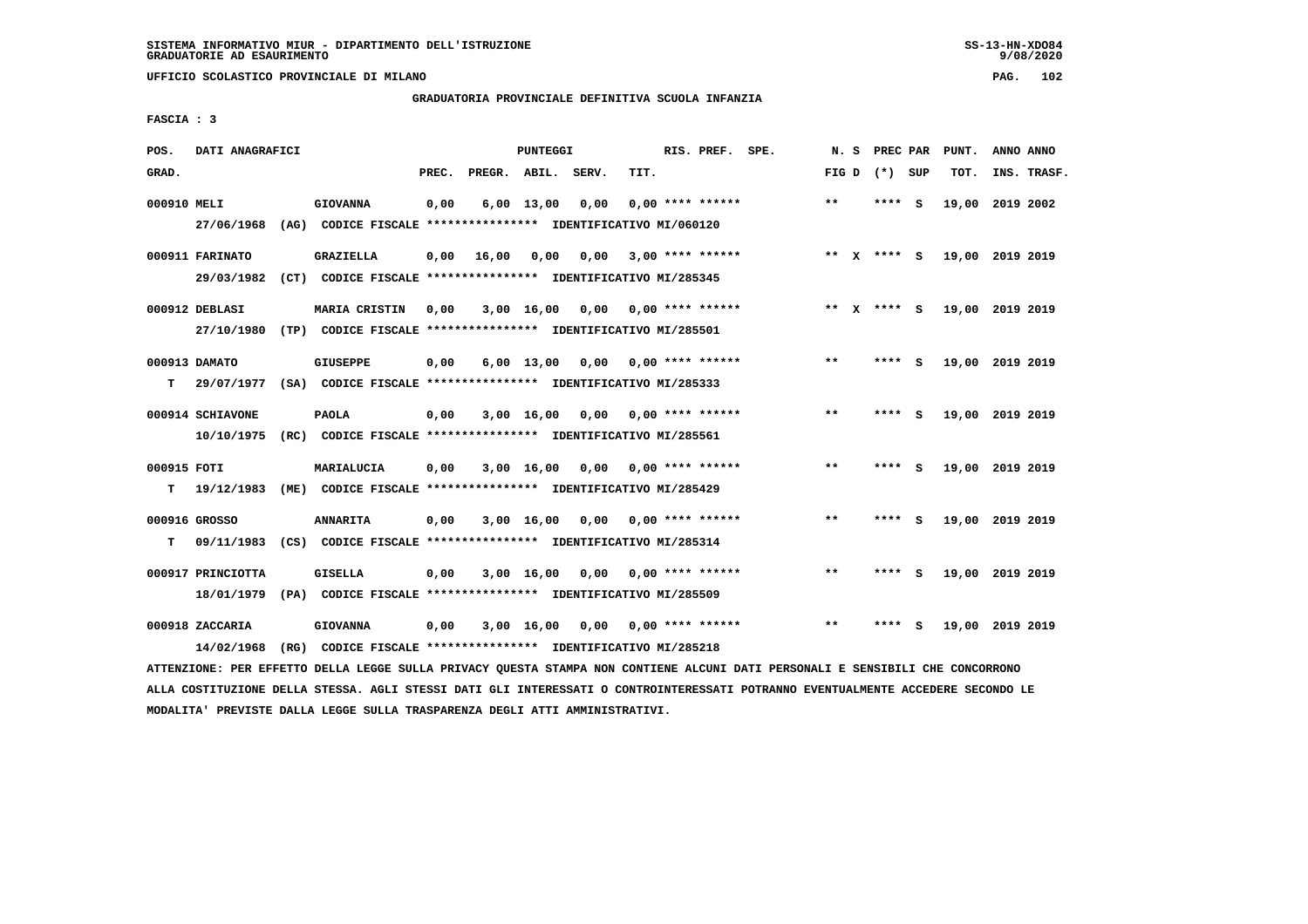**UFFICIO SCOLASTICO PROVINCIALE DI MILANO PAG. 102**

# **GRADUATORIA PROVINCIALE DEFINITIVA SCUOLA INFANZIA**

 **FASCIA : 3**

| POS.             | DATI ANAGRAFICI                 |      |                                                                                  |       |                    | <b>PUNTEGGI</b>    |      |      | RIS. PREF.                | SPE. | N.S          | PREC PAR      |     | PUNT.           | ANNO ANNO |             |
|------------------|---------------------------------|------|----------------------------------------------------------------------------------|-------|--------------------|--------------------|------|------|---------------------------|------|--------------|---------------|-----|-----------------|-----------|-------------|
| GRAD.            |                                 |      |                                                                                  | PREC. | PREGR. ABIL. SERV. |                    |      | TIT. |                           |      | FIG D        | (*) SUP       |     | TOT.            |           | INS. TRASF. |
| 000910 MELI      | 27/06/1968                      |      | <b>GIOVANNA</b><br>(AG) CODICE FISCALE **************** IDENTIFICATIVO MI/060120 | 0,00  |                    | $6,00$ 13,00       | 0,00 |      | $0.00$ **** ******        |      | $* *$        | ****          | - S | 19,00           | 2019 2002 |             |
|                  | 000911 FARINATO<br>29/03/1982   |      | GRAZIELLA<br>(CT) CODICE FISCALE **************** IDENTIFICATIVO MI/285345       | 0,00  | 16,00              | 0,00               | 0,00 |      | $3,00$ **** ******        |      |              | ** $X$ **** S |     | 19,00 2019 2019 |           |             |
|                  | 000912 DEBLASI<br>27/10/1980    |      | MARIA CRISTIN<br>(TP) CODICE FISCALE **************** IDENTIFICATIVO MI/285501   | 0,00  |                    | $3,00$ 16,00       | 0,00 |      | 0,00 **** ******          |      |              | ** X **** S   |     | 19,00 2019 2019 |           |             |
| т                | 000913 DAMATO<br>29/07/1977     |      | GIUSEPPE<br>(SA) CODICE FISCALE **************** IDENTIFICATIVO MI/285333        | 0,00  |                    | $6,00 \quad 13,00$ |      |      | $0,00$ $0,00$ **** ****** |      | $* *$        | ****          | - S | 19,00 2019 2019 |           |             |
|                  | 000914 SCHIAVONE<br>10/10/1975  |      | <b>PAOLA</b><br>(RC) CODICE FISCALE **************** IDENTIFICATIVO MI/285561    | 0,00  |                    | $3,00$ 16,00       | 0,00 |      | $0.00$ **** ******        |      | $***$        | **** S        |     | 19,00 2019 2019 |           |             |
| 000915 FOTI<br>т | 19/12/1983                      | (ME) | MARIALUCIA<br>CODICE FISCALE **************** IDENTIFICATIVO MI/285429           | 0,00  |                    | 3,00 16,00         | 0,00 |      | $0,00$ **** ******        |      | $\star\star$ | ****          | - 5 | 19,00 2019 2019 |           |             |
| т                | 000916 GROSSO<br>09/11/1983     |      | <b>ANNARITA</b><br>(CS) CODICE FISCALE **************** IDENTIFICATIVO MI/285314 | 0,00  |                    | 3,00 16,00         | 0,00 |      | 0,00 **** ******          |      | $* *$        | ****          | - S | 19,00 2019 2019 |           |             |
|                  | 000917 PRINCIOTTA<br>18/01/1979 |      | <b>GISELLA</b><br>(PA) CODICE FISCALE **************** IDENTIFICATIVO MI/285509  | 0,00  |                    | 3,00 16,00         | 0,00 |      | 0,00 **** ******          |      | $* *$        | ****          | - S | 19,00 2019 2019 |           |             |
|                  | 000918 ZACCARIA<br>14/02/1968   |      | <b>GIOVANNA</b><br>(RG) CODICE FISCALE **************** IDENTIFICATIVO MI/285218 | 0,00  |                    | $3,00$ 16,00       | 0,00 |      | 0,00 **** ******          |      | $* *$        |               | s   | 19,00           | 2019 2019 |             |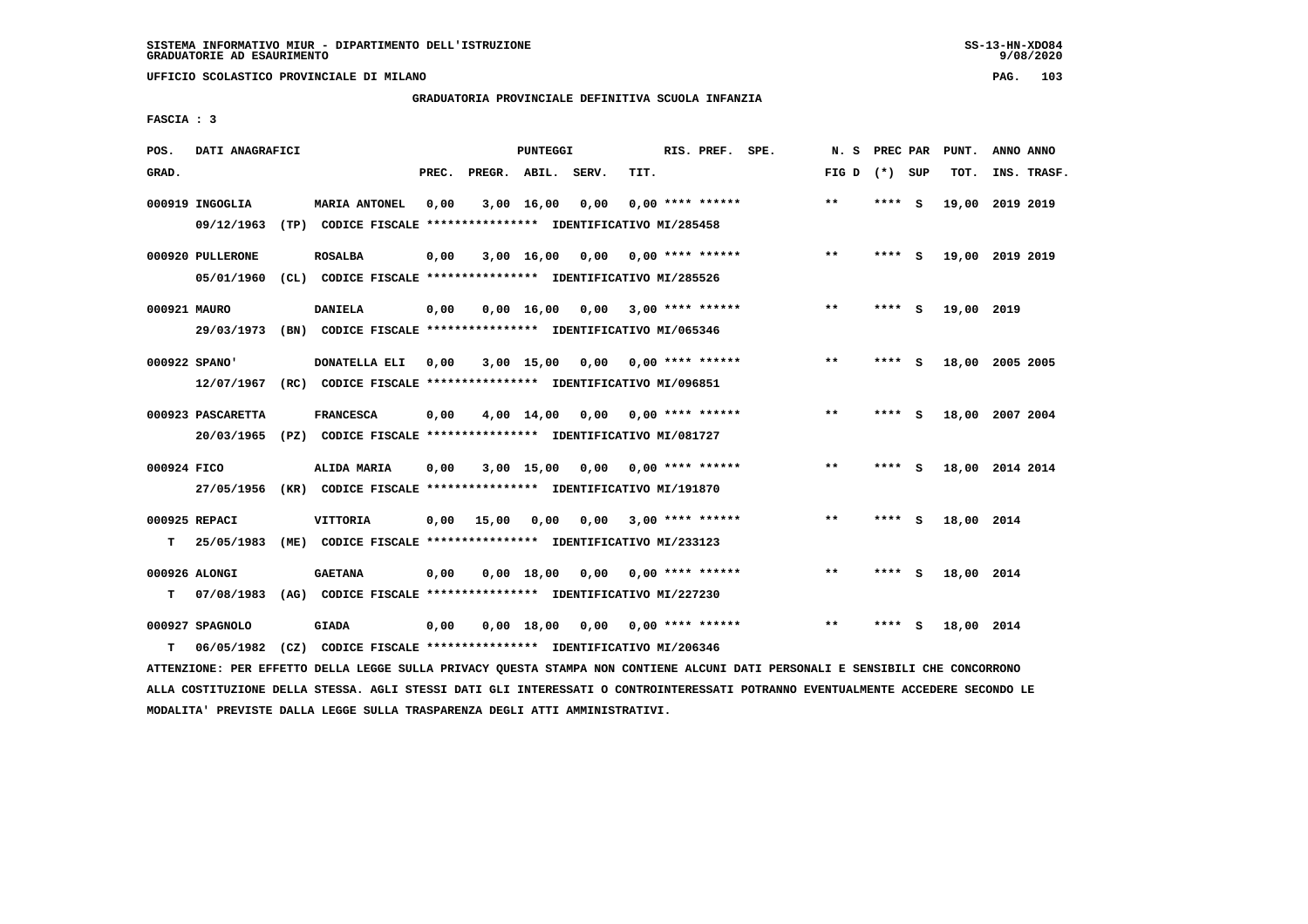**UFFICIO SCOLASTICO PROVINCIALE DI MILANO PAG. 103**

# **GRADUATORIA PROVINCIALE DEFINITIVA SCUOLA INFANZIA**

 **FASCIA : 3**

| POS.         | DATI ANAGRAFICI   |      |                                                                         |       |                    | <b>PUNTEGGI</b>    |                         |      | RIS. PREF. SPE.                 | N.S             | PREC PAR |     | PUNT.           | ANNO ANNO |             |
|--------------|-------------------|------|-------------------------------------------------------------------------|-------|--------------------|--------------------|-------------------------|------|---------------------------------|-----------------|----------|-----|-----------------|-----------|-------------|
| GRAD.        |                   |      |                                                                         | PREC. | PREGR. ABIL. SERV. |                    |                         | TIT. |                                 | FIG D $(*)$ SUP |          |     | TOT.            |           | INS. TRASF. |
|              | 000919 INGOGLIA   |      | <b>MARIA ANTONEL</b>                                                    | 0,00  |                    | $3,00$ 16,00       | 0,00                    |      | $0.00$ **** ******              | $* *$           | **** S   |     | 19,00           | 2019 2019 |             |
|              | 09/12/1963        |      | (TP) CODICE FISCALE **************** IDENTIFICATIVO MI/285458           |       |                    |                    |                         |      |                                 |                 |          |     |                 |           |             |
|              | 000920 PULLERONE  |      | <b>ROSALBA</b>                                                          | 0,00  |                    |                    | 3,00 16,00 0,00         |      | 0,00 **** ******                | $***$           | ****     | - S | 19,00 2019 2019 |           |             |
|              | 05/01/1960        |      | (CL) CODICE FISCALE **************** IDENTIFICATIVO MI/285526           |       |                    |                    |                         |      |                                 |                 |          |     |                 |           |             |
| 000921 MAURO |                   |      | <b>DANIELA</b>                                                          | 0,00  |                    | $0,00 \quad 16,00$ | $0,00$ 3,00 **** ****** |      |                                 | $***$           | ****     | - S | 19,00 2019      |           |             |
|              |                   |      | 29/03/1973 (BN) CODICE FISCALE *************** IDENTIFICATIVO MI/065346 |       |                    |                    |                         |      |                                 |                 |          |     |                 |           |             |
|              | 000922 SPANO'     |      | DONATELLA ELI                                                           | 0.00  |                    | 3,00 15,00         |                         |      | $0.00$ $0.00$ $***$ **** ****** | **              | ****     | - S | 18,00 2005 2005 |           |             |
|              | 12/07/1967        |      | (RC) CODICE FISCALE **************** IDENTIFICATIVO MI/096851           |       |                    |                    |                         |      |                                 |                 |          |     |                 |           |             |
|              | 000923 PASCARETTA |      | <b>FRANCESCA</b>                                                        | 0,00  |                    | 4,00 14,00         |                         |      | $0,00$ $0,00$ **** ******       | $* *$           | ****     | - S | 18,00 2007 2004 |           |             |
|              | 20/03/1965        |      | (PZ) CODICE FISCALE *************** IDENTIFICATIVO MI/081727            |       |                    |                    |                         |      |                                 |                 |          |     |                 |           |             |
| 000924 FICO  |                   |      | ALIDA MARIA                                                             | 0,00  |                    | 3,00 15,00         |                         |      | $0,00$ $0,00$ **** ******       | **              | $***$ S  |     | 18,00 2014 2014 |           |             |
|              |                   |      | 27/05/1956 (KR) CODICE FISCALE *************** IDENTIFICATIVO MI/191870 |       |                    |                    |                         |      |                                 |                 |          |     |                 |           |             |
|              | 000925 REPACI     |      | <b>VITTORIA</b>                                                         | 0,00  | 15,00              | 0,00               | 0,00                    |      | $3,00$ **** ******              | $* *$           | **** S   |     | 18,00 2014      |           |             |
| т            | 25/05/1983        | (ME) | CODICE FISCALE **************** IDENTIFICATIVO MI/233123                |       |                    |                    |                         |      |                                 |                 |          |     |                 |           |             |
|              | 000926 ALONGI     |      | <b>GAETANA</b>                                                          | 0,00  |                    | 0.00 18.00         |                         |      | $0,00$ $0,00$ **** ******       | $* *$           | **** S   |     | 18,00 2014      |           |             |
| т            | 07/08/1983        |      | (AG) CODICE FISCALE **************** IDENTIFICATIVO MI/227230           |       |                    |                    |                         |      |                                 |                 |          |     |                 |           |             |
|              | 000927 SPAGNOLO   |      | <b>GIADA</b>                                                            | 0,00  |                    | 0,00 18,00         |                         |      | $0.00$ $0.00$ **** ******       | $* *$           | ****     | - S | 18,00 2014      |           |             |
| т            | 06/05/1982        |      | (CZ) CODICE FISCALE **************** IDENTIFICATIVO MI/206346           |       |                    |                    |                         |      |                                 |                 |          |     |                 |           |             |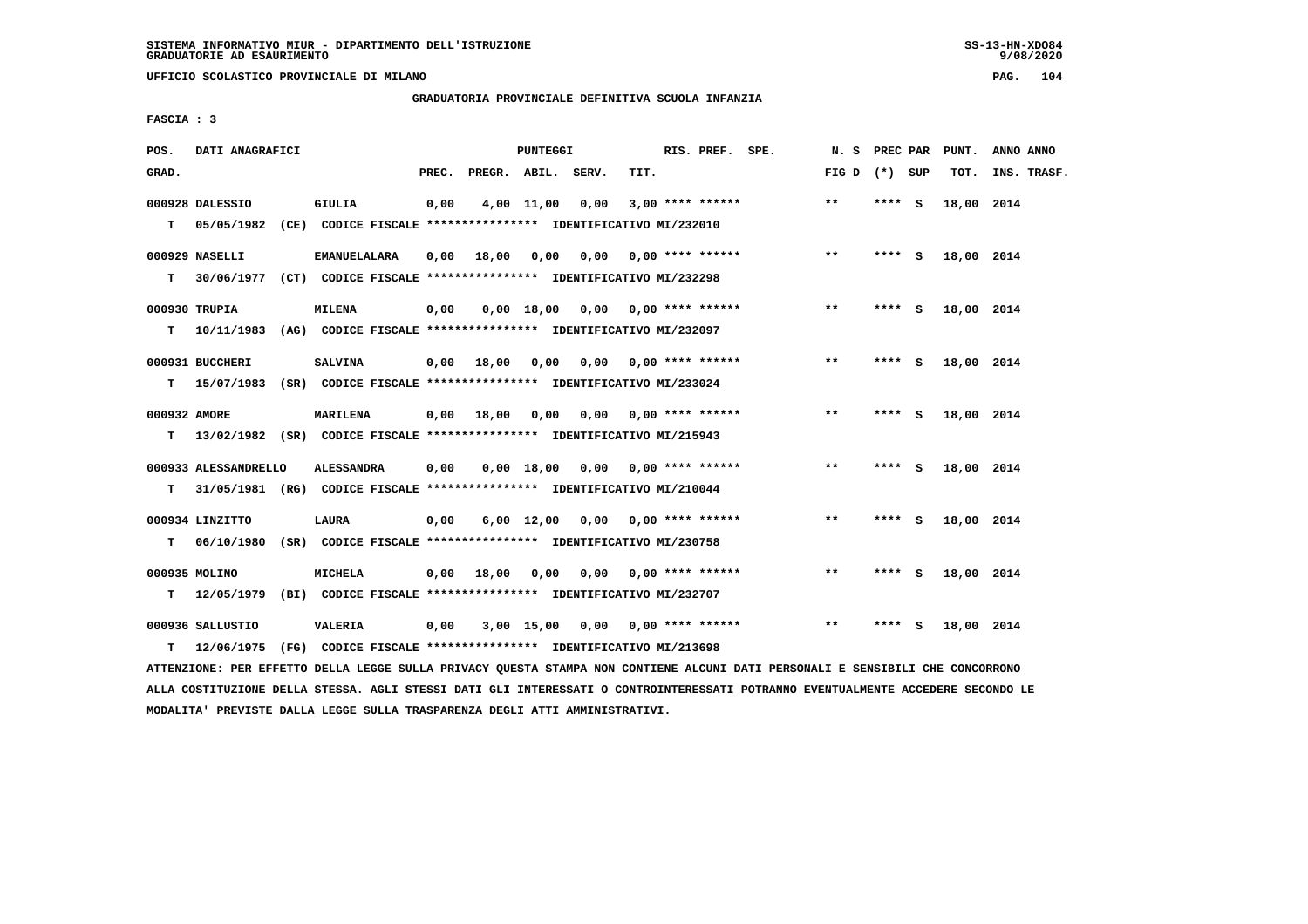**UFFICIO SCOLASTICO PROVINCIALE DI MILANO PAG. 104**

# **GRADUATORIA PROVINCIALE DEFINITIVA SCUOLA INFANZIA**

 **FASCIA : 3**

| POS.              | DATI ANAGRAFICI                |                                                                                                 |       |                    | PUNTEGGI     |                                    |      | RIS. PREF. SPE.           |                    | N.S             | <b>PREC PAR</b> |     | PUNT.      | ANNO ANNO   |
|-------------------|--------------------------------|-------------------------------------------------------------------------------------------------|-------|--------------------|--------------|------------------------------------|------|---------------------------|--------------------|-----------------|-----------------|-----|------------|-------------|
| GRAD.             |                                |                                                                                                 | PREC. | PREGR. ABIL. SERV. |              |                                    | TIT. |                           |                    | FIG D $(*)$ SUP |                 |     | тот.       | INS. TRASF. |
| т                 | 000928 DALESSIO                | GIULIA<br>05/05/1982 (CE) CODICE FISCALE *************** IDENTIFICATIVO MI/232010               | 0,00  |                    | $4,00$ 11,00 | 0.00                               |      | $3,00$ **** ******        |                    | $***$           | **** S          |     | 18,00 2014 |             |
| т                 | 000929 NASELLI                 | <b>EMANUELALARA</b><br>30/06/1977 (CT) CODICE FISCALE **************** IDENTIFICATIVO MI/232298 | 0,00  | 18,00              |              | 0,00 0,00                          |      |                           | $0.00$ **** ****** | $***$           | $***$ S         |     | 18,00 2014 |             |
| T.                | 000930 TRUPIA<br>10/11/1983    | <b>MILENA</b><br>(AG) CODICE FISCALE *************** IDENTIFICATIVO MI/232097                   | 0,00  |                    |              | $0,00$ 18,00 0,00 0,00 **** ****** |      |                           |                    | $***$           | $***$ S         |     | 18,00 2014 |             |
| т                 | 000931 BUCCHERI                | <b>SALVINA</b><br>15/07/1983 (SR) CODICE FISCALE *************** IDENTIFICATIVO MI/233024       | 0,00  | 18,00              | 0,00         |                                    |      | $0.00$ $0.00$ **** ****** |                    | $***$           | **** S          |     | 18,00 2014 |             |
| 000932 AMORE<br>т |                                | <b>MARILENA</b><br>13/02/1982 (SR) CODICE FISCALE **************** IDENTIFICATIVO MI/215943     | 0,00  | 18,00              | 0,00         |                                    |      | $0,00$ 0,00 **** ******   |                    | **              | **** S          |     | 18,00 2014 |             |
| т                 | 000933 ALESSANDRELLO           | <b>ALESSANDRA</b><br>31/05/1981 (RG) CODICE FISCALE **************** IDENTIFICATIVO MI/210044   | 0,00  |                    |              | $0.00$ 18.00 0.00 0.00 **** ****** |      |                           |                    | $***$           | **** $S$        |     | 18,00 2014 |             |
| т                 | 000934 LINZITTO<br>06/10/1980  | <b>LAURA</b><br>(SR) CODICE FISCALE **************** IDENTIFICATIVO MI/230758                   | 0,00  |                    |              | 6,00 12,00 0,00                    |      | $0.00$ **** ******        |                    | $**$            | **** S          |     | 18,00 2014 |             |
| т                 | 000935 MOLINO<br>12/05/1979    | MICHELA<br>(BI) CODICE FISCALE **************** IDENTIFICATIVO MI/232707                        | 0.00  | 18,00              | 0,00         |                                    |      | $0,00$ 0,00 **** ******   |                    | $***$           | **** S          |     | 18,00 2014 |             |
| т                 | 000936 SALLUSTIO<br>12/06/1975 | VALERIA<br>(FG) CODICE FISCALE **************** IDENTIFICATIVO MI/213698                        | 0,00  |                    |              | $3,00$ 15,00 0,00 0,00 **** ****** |      |                           |                    | $* *$           | ****            | - S | 18,00 2014 |             |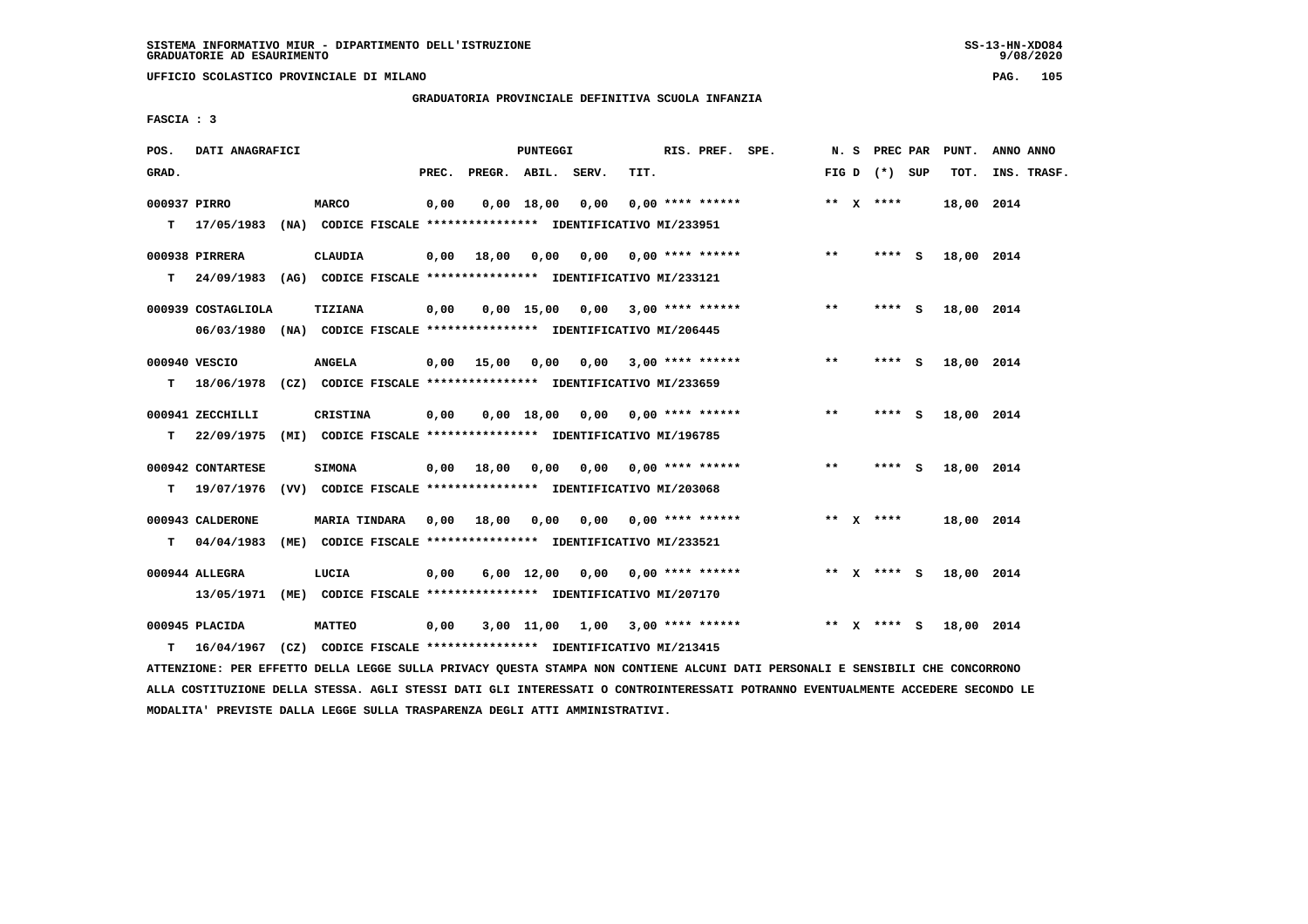**UFFICIO SCOLASTICO PROVINCIALE DI MILANO PAG. 105**

# **GRADUATORIA PROVINCIALE DEFINITIVA SCUOLA INFANZIA**

 **FASCIA : 3**

| POS.         | DATI ANAGRAFICI                                                          |                                                                           |       |                    | <b>PUNTEGGI</b> |                                    |      | RIS. PREF. SPE.           |       | N. S PREC PAR   | PUNT.      | ANNO ANNO   |
|--------------|--------------------------------------------------------------------------|---------------------------------------------------------------------------|-------|--------------------|-----------------|------------------------------------|------|---------------------------|-------|-----------------|------------|-------------|
| GRAD.        |                                                                          |                                                                           | PREC. | PREGR. ABIL. SERV. |                 |                                    | TIT. |                           |       | FIG D $(*)$ SUP | TOT.       | INS. TRASF. |
| 000937 PIRRO |                                                                          | <b>MARCO</b>                                                              | 0,00  |                    | 0.00 18.00      | 0.00                               |      | $0.00$ **** ******        |       | ** $X$ ****     | 18,00 2014 |             |
|              | $T = 17/05/1983$                                                         | (NA) CODICE FISCALE **************** IDENTIFICATIVO MI/233951             |       |                    |                 |                                    |      |                           |       |                 |            |             |
|              | 000938 PIRRERA                                                           | CLAUDIA                                                                   | 0,00  | 18,00              | 0,00            | 0,00                               |      | $0.00$ **** ******        | $**$  | **** S          | 18,00 2014 |             |
| т            | 24/09/1983                                                               | (AG) CODICE FISCALE **************** IDENTIFICATIVO MI/233121             |       |                    |                 |                                    |      |                           |       |                 |            |             |
|              | 000939 COSTAGLIOLA                                                       | TIZIANA                                                                   | 0,00  |                    |                 | $0,00$ 15,00 0,00 3,00 **** ****** |      |                           | $***$ | **** S          | 18,00 2014 |             |
|              | 06/03/1980                                                               | (NA) CODICE FISCALE **************** IDENTIFICATIVO MI/206445             |       |                    |                 |                                    |      |                           |       |                 |            |             |
|              | 000940 VESCIO                                                            | <b>ANGELA</b>                                                             | 0,00  | 15,00              | 0,00            |                                    |      | $0.00$ 3.00 **** ******   | $***$ | **** S          | 18,00 2014 |             |
| т            | 18/06/1978 (CZ) CODICE FISCALE **************** IDENTIFICATIVO MI/233659 |                                                                           |       |                    |                 |                                    |      |                           |       |                 |            |             |
|              |                                                                          |                                                                           |       |                    |                 |                                    |      |                           |       |                 |            |             |
| т            | 000941 ZECCHILLI<br>22/09/1975                                           | CRISTINA<br>(MI) CODICE FISCALE **************** IDENTIFICATIVO MI/196785 | 0,00  |                    | 0.00 18.00      | 0.00                               |      | $0.00$ **** ******        | $* *$ | **** S          | 18,00 2014 |             |
|              |                                                                          |                                                                           |       |                    |                 |                                    |      |                           |       |                 |            |             |
|              | 000942 CONTARTESE                                                        | <b>SIMONA</b>                                                             | 0,00  | 18,00              | 0,00            |                                    |      | $0,00$ $0,00$ **** ****** | $***$ | $***$ S         | 18,00 2014 |             |
| т            | 19/07/1976                                                               | (VV) CODICE FISCALE **************** IDENTIFICATIVO MI/203068             |       |                    |                 |                                    |      |                           |       |                 |            |             |
|              | 000943 CALDERONE                                                         | <b>MARIA TINDARA</b>                                                      | 0.00  | 18,00              | 0,00            | 0.00                               |      | $0.00$ **** ******        |       | ** $X$ ****     | 18,00 2014 |             |
| т            | 04/04/1983                                                               | (ME) CODICE FISCALE **************** IDENTIFICATIVO MI/233521             |       |                    |                 |                                    |      |                           |       |                 |            |             |
|              | 000944 ALLEGRA                                                           | LUCIA                                                                     | 0,00  |                    |                 | $6,00$ $12,00$ $0,00$              |      | $0.00$ **** ******        |       | ** x **** s     | 18,00 2014 |             |
|              | 13/05/1971                                                               | (ME) CODICE FISCALE **************** IDENTIFICATIVO MI/207170             |       |                    |                 |                                    |      |                           |       |                 |            |             |
|              |                                                                          |                                                                           |       |                    |                 |                                    |      |                           |       |                 |            |             |
|              | 000945 PLACIDA                                                           | <b>MATTEO</b>                                                             | 0,00  |                    |                 | $3,00$ 11,00 1,00 3,00 **** ****** |      |                           |       | ** X **** S     | 18,00 2014 |             |
| т            | 16/04/1967                                                               | (CZ) CODICE FISCALE **************** IDENTIFICATIVO MI/213415             |       |                    |                 |                                    |      |                           |       |                 |            |             |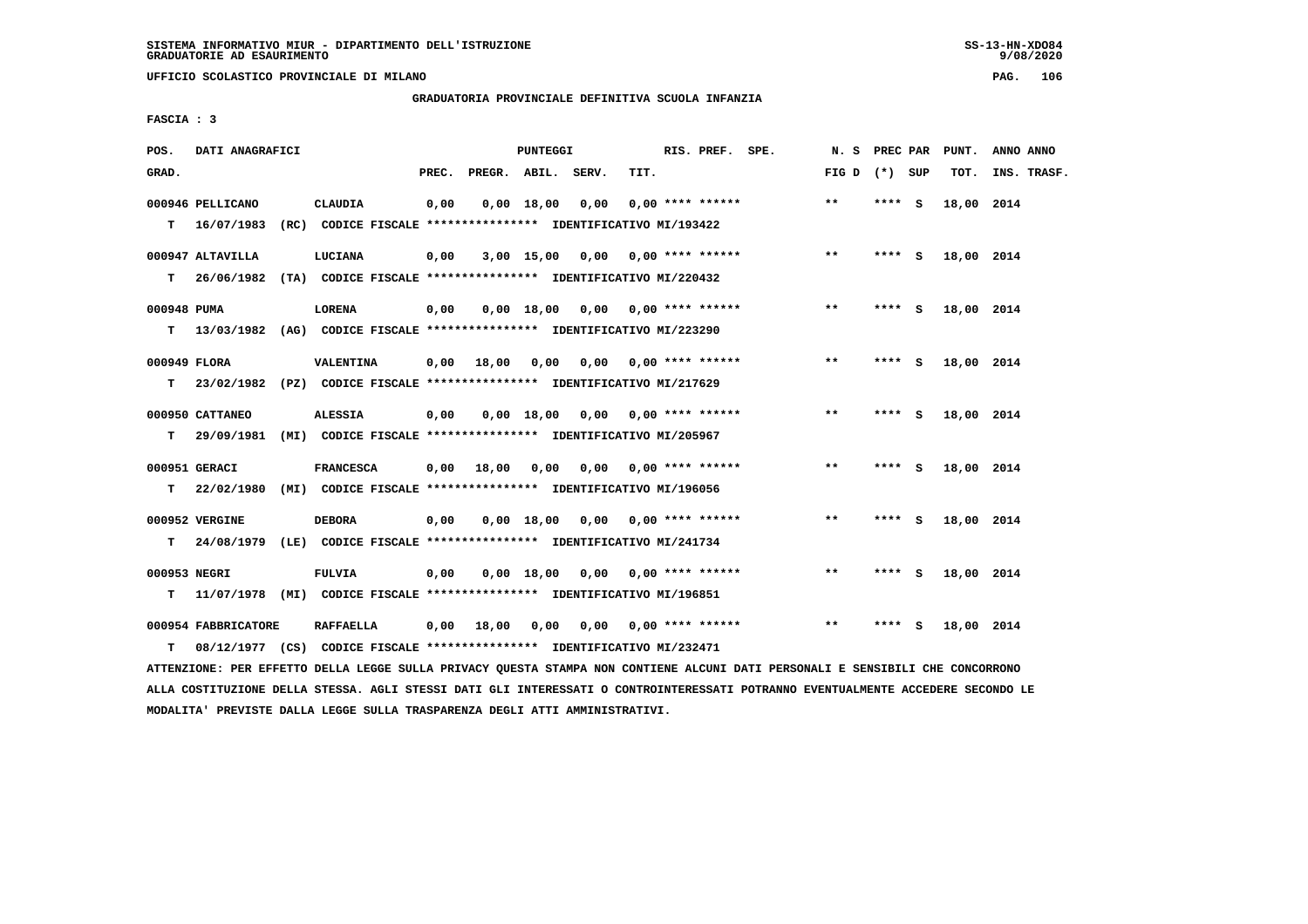**UFFICIO SCOLASTICO PROVINCIALE DI MILANO PAG. 106**

# **GRADUATORIA PROVINCIALE DEFINITIVA SCUOLA INFANZIA**

 **FASCIA : 3**

| POS.              | DATI ANAGRAFICI                |                                                                                             |       |              | <b>PUNTEGGI</b> |                                    |      | RIS. PREF. SPE.           | N. S            | PREC PAR | PUNT.      | ANNO ANNO   |
|-------------------|--------------------------------|---------------------------------------------------------------------------------------------|-------|--------------|-----------------|------------------------------------|------|---------------------------|-----------------|----------|------------|-------------|
| GRAD.             |                                |                                                                                             | PREC. | PREGR. ABIL. |                 | SERV.                              | TIT. |                           | FIG D $(*)$ SUP |          | TOT.       | INS. TRASF. |
| T.                | 000946 PELLICANO<br>16/07/1983 | <b>CLAUDIA</b><br>(RC) CODICE FISCALE **************** IDENTIFICATIVO MI/193422             | 0,00  |              | $0,00$ 18,00    | 0,00                               |      | $0.00$ **** ******        | $***$           | **** S   | 18,00 2014 |             |
| T.                | 000947 ALTAVILLA<br>26/06/1982 | LUCIANA<br>(TA) CODICE FISCALE **************** IDENTIFICATIVO MI/220432                    | 0,00  |              | $3,00$ 15,00    | $0,00$ $0,00$ **** ******          |      |                           | $**$            | $***$ S  | 18,00 2014 |             |
| 000948 PUMA<br>T. |                                | <b>LORENA</b><br>13/03/1982 (AG) CODICE FISCALE *************** IDENTIFICATIVO MI/223290    | 0,00  |              |                 | $0,00$ 18,00 0,00 0,00 **** ****** |      |                           | $* *$           | **** S   | 18,00 2014 |             |
| 000949 FLORA<br>т |                                | VALENTINA<br>23/02/1982 (PZ) CODICE FISCALE **************** IDENTIFICATIVO MI/217629       | 0,00  | 18,00        | 0,00            | 0.00                               |      | $0.00$ **** ******        | $***$           | **** S   | 18,00 2014 |             |
| т                 | 000950 CATTANEO                | <b>ALESSIA</b><br>29/09/1981 (MI) CODICE FISCALE *************** IDENTIFICATIVO MI/205967   | 0,00  |              | 0.00 18.00      |                                    |      | $0.00$ $0.00$ **** ****** | $***$           | **** S   | 18,00 2014 |             |
| т                 | 000951 GERACI<br>22/02/1980    | <b>FRANCESCA</b><br>(MI) CODICE FISCALE **************** IDENTIFICATIVO MI/196056           | 0,00  | 18,00        | 0,00            |                                    |      | 0,00 0,00 **** ******     | $* *$           | **** $S$ | 18,00 2014 |             |
| T.                | 000952 VERGINE                 | <b>DEBORA</b><br>24/08/1979 (LE) CODICE FISCALE *************** IDENTIFICATIVO MI/241734    | 0,00  |              | 0,00 18,00      | 0.00                               |      | $0.00$ **** ******        | $\star\star$    | **** S   | 18,00 2014 |             |
| 000953 NEGRI<br>т |                                | <b>FULVIA</b><br>11/07/1978 (MI) CODICE FISCALE *************** IDENTIFICATIVO MI/196851    | 0,00  |              | 0.00 18.00      | 0,00                               |      | $0,00$ **** ******        | $***$           | **** S   | 18,00 2014 |             |
| т                 | 000954 FABBRICATORE            | <b>RAFFAELLA</b><br>08/12/1977 (CS) CODICE FISCALE *************** IDENTIFICATIVO MI/232471 | 0,00  | 18,00        | 0,00            |                                    |      | $0,00$ $0,00$ **** ****** | $* *$           | **** S   | 18,00 2014 |             |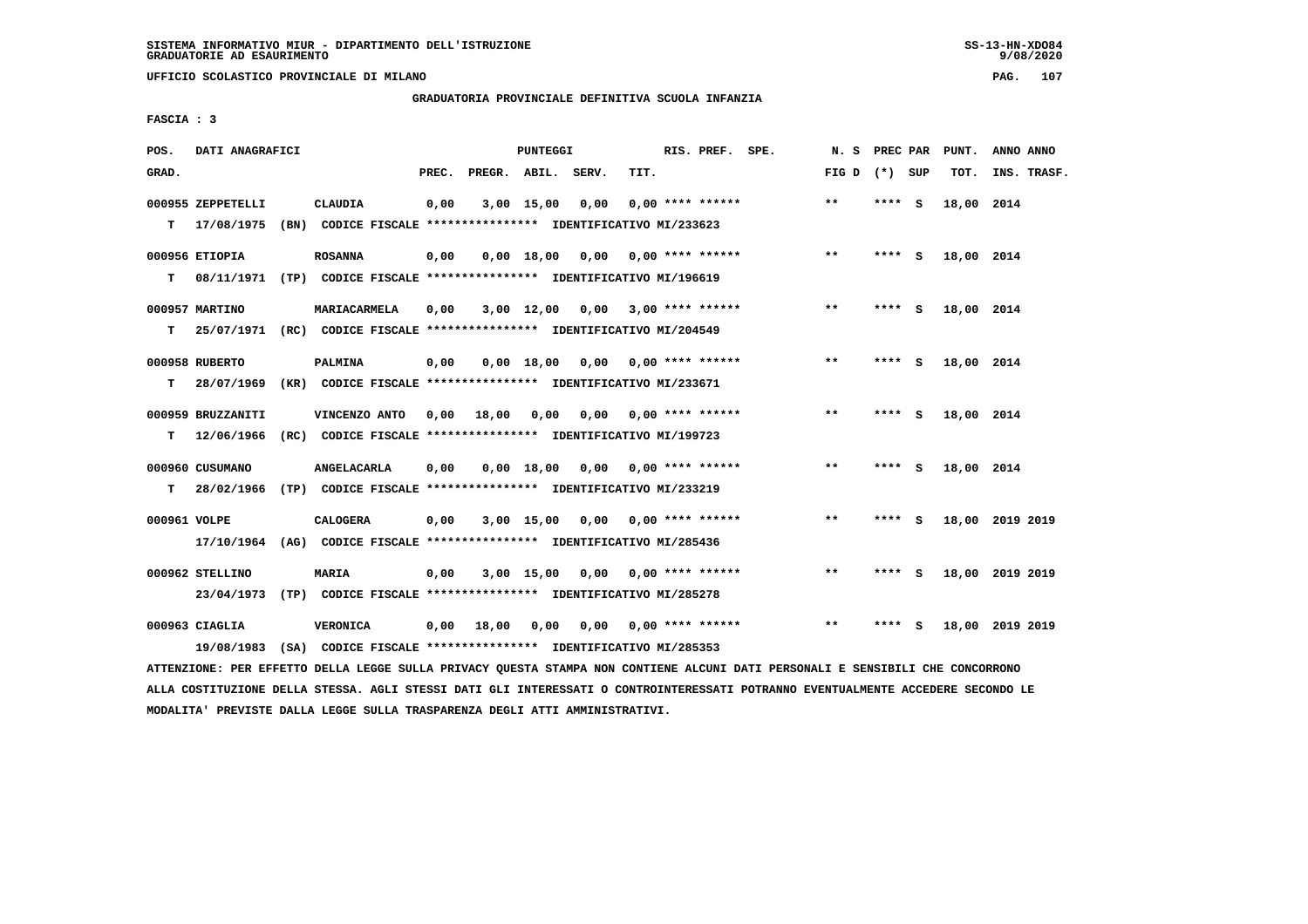**UFFICIO SCOLASTICO PROVINCIALE DI MILANO PAG. 107**

## **GRADUATORIA PROVINCIALE DEFINITIVA SCUOLA INFANZIA**

 **FASCIA : 3**

| POS.         | DATI ANAGRAFICI   |                                                                          |       |                    | <b>PUNTEGGI</b> |      |                           | RIS. PREF. SPE.    | N. S PREC PAR   |        |          | PUNT.      | ANNO ANNO       |
|--------------|-------------------|--------------------------------------------------------------------------|-------|--------------------|-----------------|------|---------------------------|--------------------|-----------------|--------|----------|------------|-----------------|
| GRAD.        |                   |                                                                          | PREC. | PREGR. ABIL. SERV. |                 |      | TIT.                      |                    | FIG D $(*)$ SUP |        |          | TOT.       | INS. TRASF.     |
|              | 000955 ZEPPETELLI | CLAUDIA                                                                  | 0,00  |                    | $3,00$ 15,00    | 0,00 |                           | $0.00$ **** ****** | **              | **** S |          | 18,00 2014 |                 |
| т            |                   | 17/08/1975 (BN) CODICE FISCALE **************** IDENTIFICATIVO MI/233623 |       |                    |                 |      |                           |                    |                 |        |          |            |                 |
|              | 000956 ETIOPIA    | <b>ROSANNA</b>                                                           | 0,00  |                    | 0.00 18.00      |      | $0,00$ $0,00$ **** ****** |                    | $***$           | **** S |          | 18,00 2014 |                 |
| т            |                   | 08/11/1971 (TP) CODICE FISCALE **************** IDENTIFICATIVO MI/196619 |       |                    |                 |      |                           |                    |                 |        |          |            |                 |
|              | 000957 MARTINO    | MARIACARMELA                                                             | 0,00  |                    | $3,00$ 12,00    | 0,00 |                           | $3,00$ **** ****** | $* *$           | **** S |          | 18,00 2014 |                 |
| т            |                   | 25/07/1971 (RC) CODICE FISCALE *************** IDENTIFICATIVO MI/204549  |       |                    |                 |      |                           |                    |                 |        |          |            |                 |
|              |                   |                                                                          |       |                    |                 |      |                           |                    |                 |        |          |            |                 |
|              | 000958 RUBERTO    | <b>PALMINA</b>                                                           | 0,00  |                    | 0.00 18.00      | 0,00 |                           | 0,00 **** ******   | **              | **** S |          | 18,00 2014 |                 |
| т            | 28/07/1969        | (KR) CODICE FISCALE **************** IDENTIFICATIVO MI/233671            |       |                    |                 |      |                           |                    |                 |        |          |            |                 |
|              | 000959 BRUZZANITI | VINCENZO ANTO                                                            | 0,00  | 18,00              | 0,00            | 0.00 |                           | $0.00$ **** ****** | **              | **** S |          | 18,00 2014 |                 |
| т            | 12/06/1966        | (RC) CODICE FISCALE **************** IDENTIFICATIVO MI/199723            |       |                    |                 |      |                           |                    |                 |        |          |            |                 |
|              | 000960 CUSUMANO   | ANGELACARLA                                                              | 0.00  |                    | 0.00 18.00      |      | $0,00$ 0,00 **** ******   |                    | $**$            | **** S |          | 18,00 2014 |                 |
| т            | 28/02/1966        | (TP) CODICE FISCALE **************** IDENTIFICATIVO MI/233219            |       |                    |                 |      |                           |                    |                 |        |          |            |                 |
|              |                   |                                                                          |       |                    |                 |      |                           |                    |                 |        |          |            |                 |
| 000961 VOLPE |                   | <b>CALOGERA</b>                                                          | 0,00  |                    | $3,00$ 15,00    | 0,00 |                           | $0.00$ **** ****** | $**$            | ****   | <b>S</b> |            | 18,00 2019 2019 |
|              | 17/10/1964        | (AG) CODICE FISCALE **************** IDENTIFICATIVO MI/285436            |       |                    |                 |      |                           |                    |                 |        |          |            |                 |
|              | 000962 STELLINO   | <b>MARIA</b>                                                             | 0,00  |                    | $3,00$ 15,00    | 0,00 |                           | $0.00$ **** ****** | $* *$           | ****   | - S      |            | 18,00 2019 2019 |
|              | 23/04/1973        | (TP) CODICE FISCALE **************** IDENTIFICATIVO MI/285278            |       |                    |                 |      |                           |                    |                 |        |          |            |                 |
|              | 000963 CIAGLIA    | <b>VERONICA</b>                                                          | 0,00  | 18,00              | 0.00            | 0,00 |                           | $0.00$ **** ****** | $***$           | ****   | - S      |            | 18,00 2019 2019 |
|              | 19/08/1983        | (SA) CODICE FISCALE *************** IDENTIFICATIVO MI/285353             |       |                    |                 |      |                           |                    |                 |        |          |            |                 |
|              |                   |                                                                          |       |                    |                 |      |                           |                    |                 |        |          |            |                 |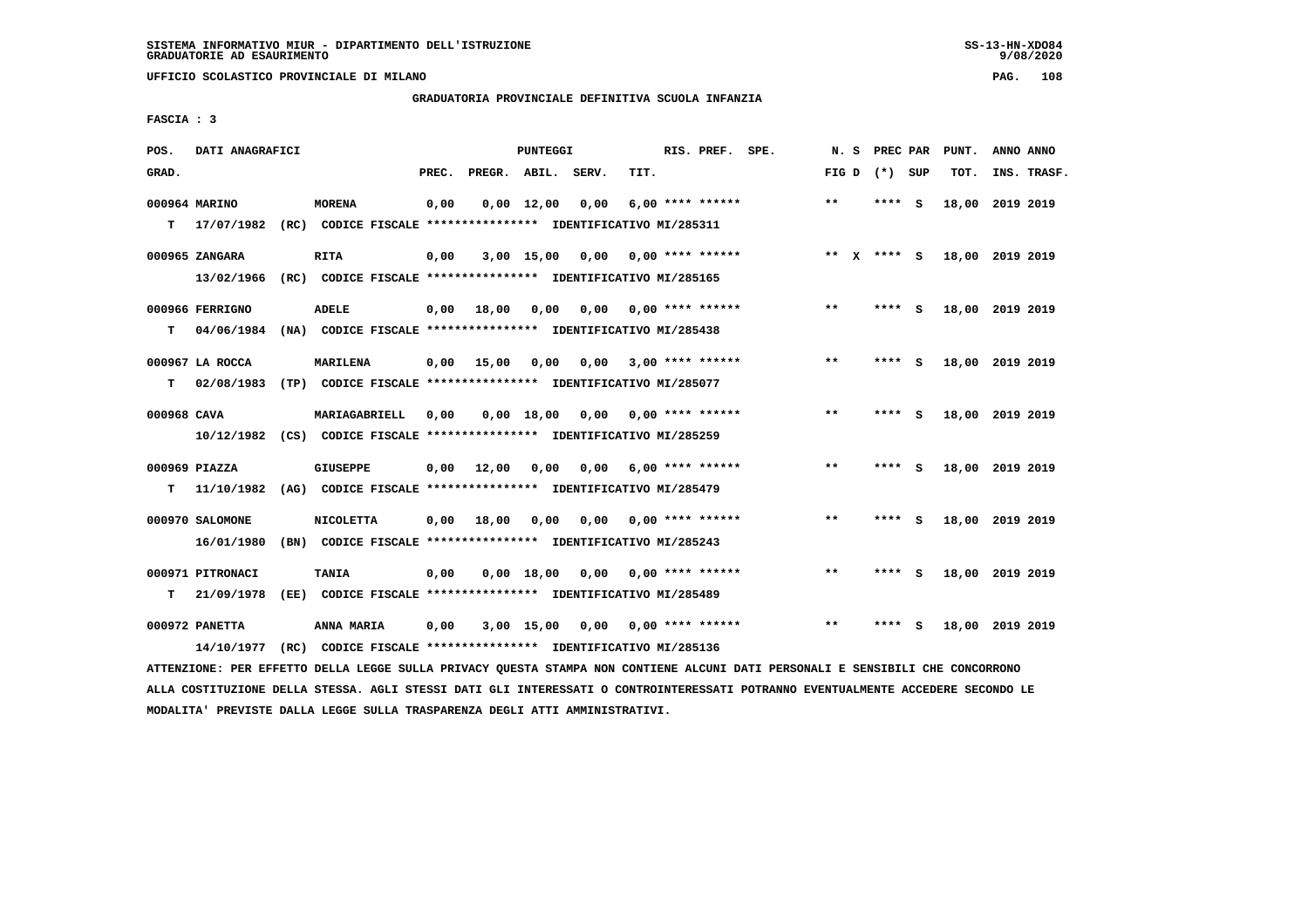**UFFICIO SCOLASTICO PROVINCIALE DI MILANO PAG. 108**

## **GRADUATORIA PROVINCIALE DEFINITIVA SCUOLA INFANZIA**

 **FASCIA : 3**

| POS.        | DATI ANAGRAFICI             |      |                                                                                |       |                    | <b>PUNTEGGI</b>    |      |      | RIS. PREF. SPE.    | N.S   |             | PREC PAR | PUNT.           | ANNO ANNO |             |
|-------------|-----------------------------|------|--------------------------------------------------------------------------------|-------|--------------------|--------------------|------|------|--------------------|-------|-------------|----------|-----------------|-----------|-------------|
| GRAD.       |                             |      |                                                                                | PREC. | PREGR. ABIL. SERV. |                    |      | TIT. |                    | FIG D |             | (*) SUP  | TOT.            |           | INS. TRASF. |
| т           | 000964 MARINO<br>17/07/1982 |      | <b>MORENA</b><br>(RC) CODICE FISCALE **************** IDENTIFICATIVO MI/285311 | 0,00  |                    | $0,00 \quad 12,00$ | 0,00 |      | $6.00$ **** ****** | $* *$ | ****        | <b>S</b> | 18,00           | 2019 2019 |             |
|             |                             |      |                                                                                |       |                    |                    |      |      |                    |       |             |          |                 |           |             |
|             | 000965 ZANGARA              |      | <b>RITA</b>                                                                    | 0,00  |                    | $3,00$ 15,00       | 0.00 |      | $0.00$ **** ****** |       | ** x **** S |          | 18,00 2019 2019 |           |             |
|             | 13/02/1966                  |      | (RC) CODICE FISCALE **************** IDENTIFICATIVO MI/285165                  |       |                    |                    |      |      |                    |       |             |          |                 |           |             |
|             | 000966 FERRIGNO             |      | <b>ADELE</b>                                                                   | 0,00  | 18,00              | 0,00               | 0,00 |      | $0.00$ **** ****** | **    | ****        | - S      | 18,00 2019 2019 |           |             |
| т           | 04/06/1984                  |      | (NA) CODICE FISCALE **************** IDENTIFICATIVO MI/285438                  |       |                    |                    |      |      |                    |       |             |          |                 |           |             |
|             | 000967 LA ROCCA             |      | MARILENA                                                                       | 0,00  | 15,00              | 0,00               | 0,00 |      | $3,00$ **** ****** | $***$ |             | **** S   | 18,00 2019 2019 |           |             |
| т           | 02/08/1983                  |      | (TP) CODICE FISCALE **************** IDENTIFICATIVO MI/285077                  |       |                    |                    |      |      |                    |       |             |          |                 |           |             |
|             |                             |      |                                                                                |       |                    |                    |      |      |                    |       |             |          |                 |           |             |
| 000968 CAVA |                             |      | MARIAGABRIELL                                                                  | 0,00  |                    | 0.00 18.00         | 0,00 |      | $0.00$ **** ****** | $***$ | ****        | <b>S</b> | 18,00 2019 2019 |           |             |
|             | 10/12/1982                  |      | (CS) CODICE FISCALE **************** IDENTIFICATIVO MI/285259                  |       |                    |                    |      |      |                    |       |             |          |                 |           |             |
|             | 000969 PIAZZA               |      | GIUSEPPE                                                                       | 0.00  | 12,00              | 0.00               | 0.00 |      | 6,00 **** ******   | $* *$ | ****        | - S      | 18,00 2019 2019 |           |             |
| т           | 11/10/1982                  |      | (AG) CODICE FISCALE **************** IDENTIFICATIVO MI/285479                  |       |                    |                    |      |      |                    |       |             |          |                 |           |             |
|             | 000970 SALOMONE             |      | <b>NICOLETTA</b>                                                               | 0,00  | 18,00              | 0,00               | 0,00 |      | $0.00$ **** ****** | $* *$ |             | - S      | 18,00 2019 2019 |           |             |
|             | 16/01/1980                  |      | (BN) CODICE FISCALE **************** IDENTIFICATIVO MI/285243                  |       |                    |                    |      |      |                    |       |             |          |                 |           |             |
|             | 000971 PITRONACI            |      | <b>TANIA</b>                                                                   | 0,00  |                    | $0,00$ 18,00       | 0,00 |      | $0.00$ **** ****** | $* *$ | ****        | S.       | 18,00 2019 2019 |           |             |
| т           | 21/09/1978                  |      | (EE) CODICE FISCALE **************** IDENTIFICATIVO MI/285489                  |       |                    |                    |      |      |                    |       |             |          |                 |           |             |
|             |                             |      |                                                                                |       |                    |                    |      |      |                    |       |             |          |                 |           |             |
|             | 000972 PANETTA              |      | ANNA MARIA                                                                     | 0,00  |                    | $3,00$ 15,00       | 0.00 |      | $0.00$ **** ****** | $* *$ | ****        | S        | 18,00 2019 2019 |           |             |
|             | 14/10/1977                  | (RC) | CODICE FISCALE **************** IDENTIFICATIVO MI/285136                       |       |                    |                    |      |      |                    |       |             |          |                 |           |             |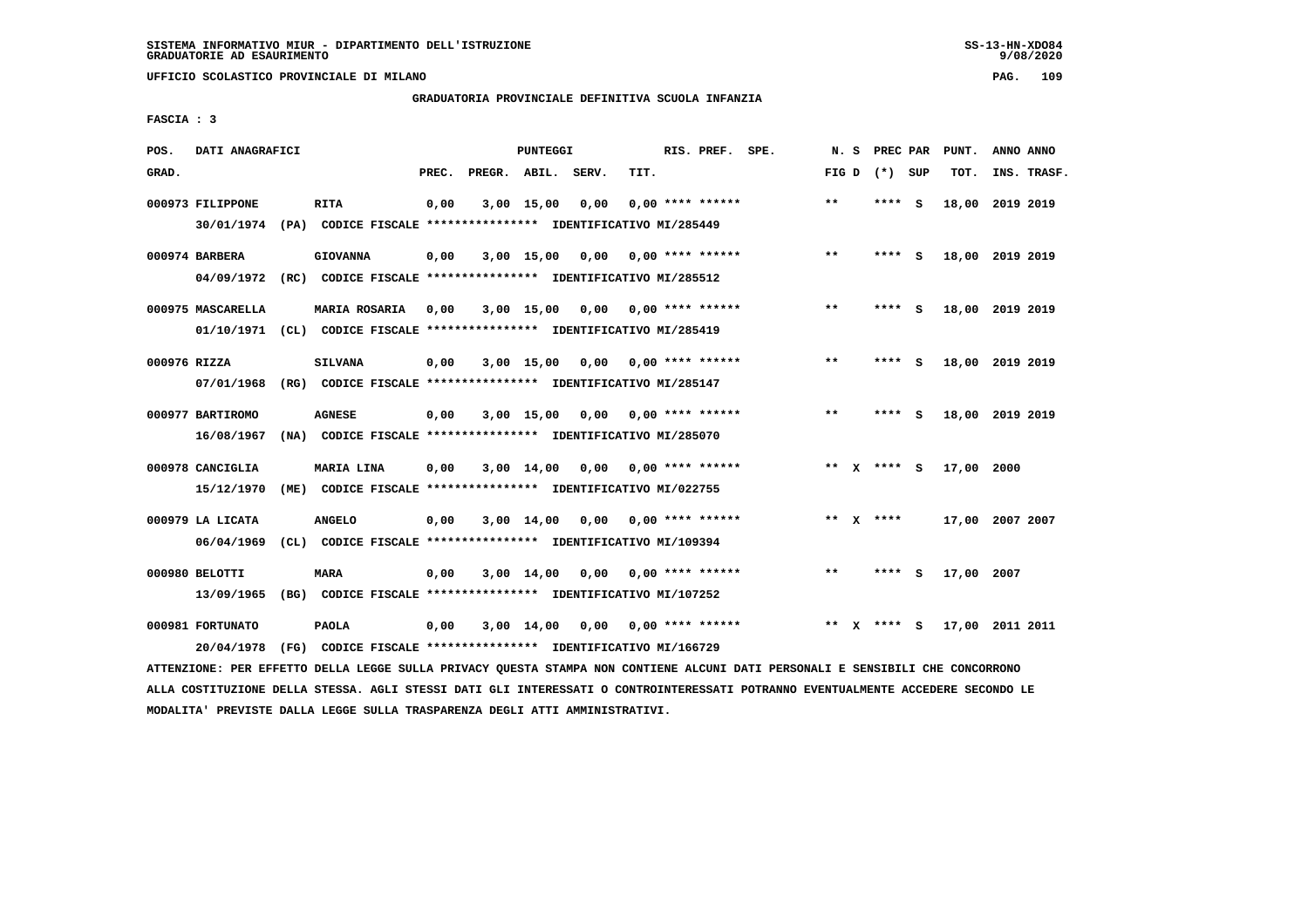**UFFICIO SCOLASTICO PROVINCIALE DI MILANO PAG. 109**

## **GRADUATORIA PROVINCIALE DEFINITIVA SCUOLA INFANZIA**

 **FASCIA : 3**

| POS.  | DATI ANAGRAFICI                 |                                                                                       |       |                    | <b>PUNTEGGI</b> |      |      | RIS. PREF. SPE.    | N.S   |   | PREC PAR    |     | PUNT.           | ANNO ANNO |             |
|-------|---------------------------------|---------------------------------------------------------------------------------------|-------|--------------------|-----------------|------|------|--------------------|-------|---|-------------|-----|-----------------|-----------|-------------|
| GRAD. |                                 |                                                                                       | PREC. | PREGR. ABIL. SERV. |                 |      | TIT. |                    | FIG D |   | (*) SUP     |     | TOT.            |           | INS. TRASF. |
|       | 000973 FILIPPONE<br>30/01/1974  | <b>RITA</b><br>(PA) CODICE FISCALE **************** IDENTIFICATIVO MI/285449          | 0,00  |                    | 3,00 15,00      | 0,00 |      | $0.00$ **** ****** | $* *$ |   | ****        | - S | 18,00           | 2019 2019 |             |
|       | 000974 BARBERA<br>04/09/1972    | <b>GIOVANNA</b><br>(RC) CODICE FISCALE **************** IDENTIFICATIVO MI/285512      | 0,00  |                    | $3,00$ 15,00    | 0,00 |      | $0.00$ **** ****** | $***$ |   | ****        | - S | 18,00 2019 2019 |           |             |
|       | 000975 MASCARELLA<br>01/10/1971 | <b>MARIA ROSARIA</b><br>(CL) CODICE FISCALE **************** IDENTIFICATIVO MI/285419 | 0,00  |                    | 3,00 15,00      | 0,00 |      | 0,00 **** ******   | $* *$ |   | ****        | - S | 18,00 2019 2019 |           |             |
|       | 000976 RIZZA<br>07/01/1968      | <b>SILVANA</b><br>(RG) CODICE FISCALE **************** IDENTIFICATIVO MI/285147       | 0,00  |                    | $3,00$ 15,00    | 0,00 |      | $0.00$ **** ****** | $* *$ |   | ****        | - S | 18,00 2019 2019 |           |             |
|       | 000977 BARTIROMO<br>16/08/1967  | <b>AGNESE</b><br>(NA) CODICE FISCALE **************** IDENTIFICATIVO MI/285070        | 0,00  |                    | $3,00$ 15,00    | 0,00 |      | $0.00$ **** ****** | $* *$ |   | ****        | - S | 18,00           | 2019 2019 |             |
|       | 000978 CANCIGLIA<br>15/12/1970  | MARIA LINA<br>(ME) CODICE FISCALE **************** IDENTIFICATIVO MI/022755           | 0,00  |                    | $3,00$ 14,00    | 0.00 |      | $0.00$ **** ****** |       |   | ** x **** s |     | 17,00 2000      |           |             |
|       | 000979 LA LICATA<br>06/04/1969  | <b>ANGELO</b><br>(CL) CODICE FISCALE **************** IDENTIFICATIVO MI/109394        | 0,00  |                    | 3,00 14,00      | 0,00 |      | $0.00$ **** ****** |       |   | ** $X$ **** |     | 17,00 2007 2007 |           |             |
|       | 000980 BELOTTI<br>13/09/1965    | MARA<br>(BG) CODICE FISCALE **************** IDENTIFICATIVO MI/107252                 | 0,00  |                    | $3,00$ 14,00    | 0,00 |      | $0.00$ **** ****** | $* *$ |   | ****        | s   | 17,00           | 2007      |             |
|       | 000981 FORTUNATO<br>20/04/1978  | <b>PAOLA</b><br>(FG) CODICE FISCALE **************** IDENTIFICATIVO MI/166729         | 0,00  |                    | $3,00$ 14,00    | 0.00 |      | $0.00$ **** ****** | $* *$ | x | ****        | - S | 17,00           | 2011 2011 |             |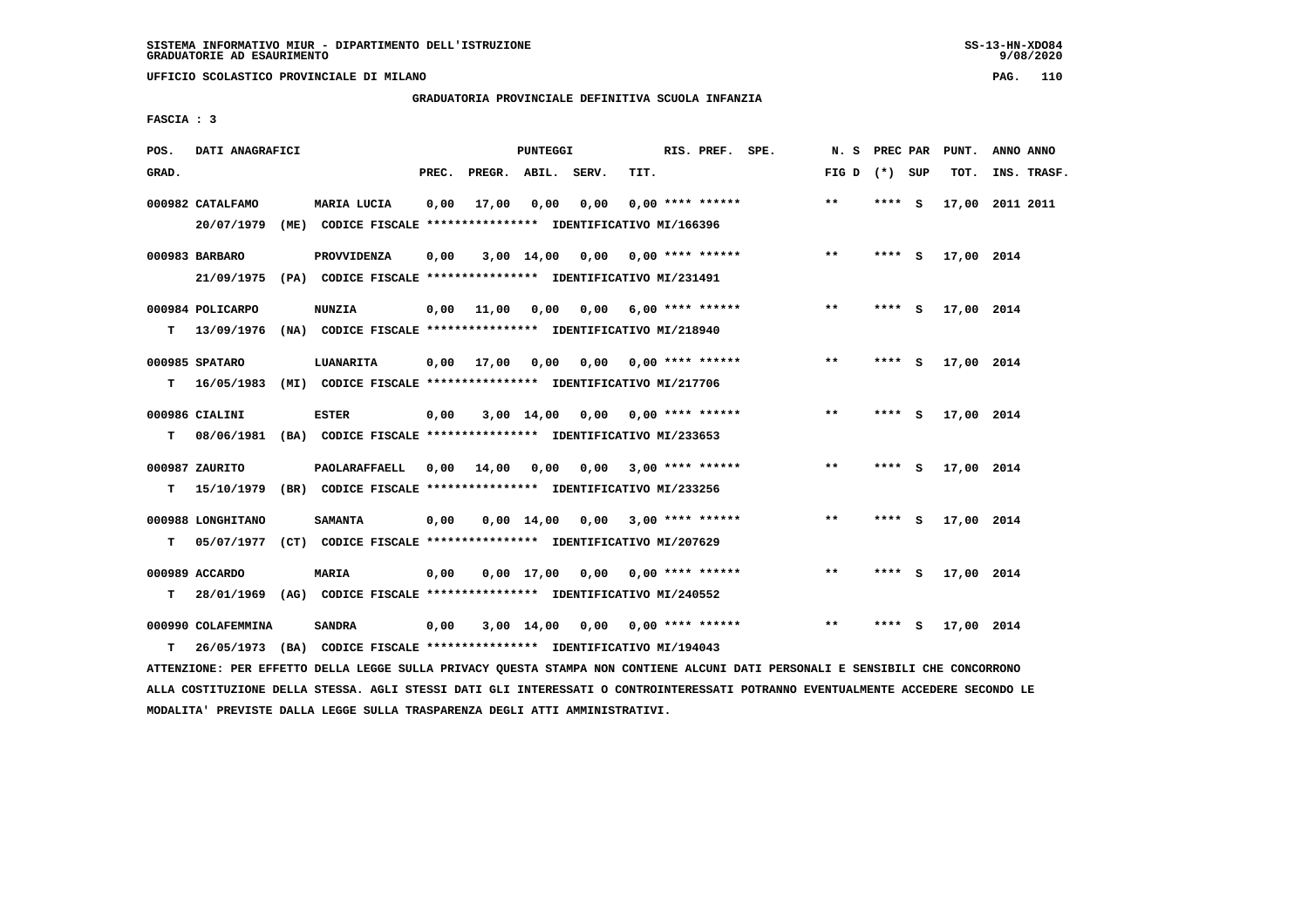**UFFICIO SCOLASTICO PROVINCIALE DI MILANO PAG. 110**

## **GRADUATORIA PROVINCIALE DEFINITIVA SCUOLA INFANZIA**

 **FASCIA : 3**

| POS.  | DATI ANAGRAFICI    |      |                                                                         |       |        | PUNTEGGI     |       |      | RIS. PREF. SPE.           | N.S   | PREC PAR |     | PUNT.      | ANNO ANNO       |
|-------|--------------------|------|-------------------------------------------------------------------------|-------|--------|--------------|-------|------|---------------------------|-------|----------|-----|------------|-----------------|
| GRAD. |                    |      |                                                                         | PREC. | PREGR. | ABIL.        | SERV. | TIT. |                           | FIG D | (*) SUP  |     | TOT.       | INS. TRASF.     |
|       | 000982 CATALFAMO   |      | MARIA LUCIA                                                             | 0,00  | 17,00  | 0,00         | 0,00  |      | $0.00$ **** ******        | **    | **** S   |     |            | 17,00 2011 2011 |
|       | 20/07/1979         |      | (ME) CODICE FISCALE **************** IDENTIFICATIVO MI/166396           |       |        |              |       |      |                           |       |          |     |            |                 |
|       | 000983 BARBARO     |      | PROVVIDENZA                                                             | 0,00  |        | $3,00$ 14,00 | 0,00  |      | $0.00$ **** ******        | $**$  | $***$ S  |     | 17,00 2014 |                 |
|       | 21/09/1975         |      | (PA) CODICE FISCALE **************** IDENTIFICATIVO MI/231491           |       |        |              |       |      |                           |       |          |     |            |                 |
|       | 000984 POLICARPO   |      | <b>NUNZIA</b>                                                           | 0,00  | 11,00  | 0,00         |       |      | $0,00$ 6,00 **** ******   | $***$ | **** S   |     | 17,00 2014 |                 |
| T.    | 13/09/1976         |      | (NA) CODICE FISCALE **************** IDENTIFICATIVO MI/218940           |       |        |              |       |      |                           |       |          |     |            |                 |
|       | 000985 SPATARO     |      | LUANARITA                                                               | 0,00  | 17,00  | 0,00         |       |      | $0,00$ $0,00$ **** ****** | $* *$ | ****     | - S | 17,00 2014 |                 |
| т     | 16/05/1983         |      | (MI) CODICE FISCALE **************** IDENTIFICATIVO MI/217706           |       |        |              |       |      |                           |       |          |     |            |                 |
|       | 000986 CIALINI     |      | <b>ESTER</b>                                                            | 0,00  |        | 3,00 14,00   | 0,00  |      | $0.00$ **** ******        | $***$ | **** $S$ |     | 17,00 2014 |                 |
| т     |                    |      | 08/06/1981 (BA) CODICE FISCALE *************** IDENTIFICATIVO MI/233653 |       |        |              |       |      |                           |       |          |     |            |                 |
|       | 000987 ZAURITO     |      | PAOLARAFFAELL                                                           | 0,00  | 14,00  | 0,00         | 0,00  |      | $3,00$ **** ******        | $***$ | ****     | - S | 17,00 2014 |                 |
| т     | 15/10/1979         |      | (BR) CODICE FISCALE **************** IDENTIFICATIVO MI/233256           |       |        |              |       |      |                           |       |          |     |            |                 |
|       | 000988 LONGHITANO  |      | <b>SAMANTA</b>                                                          | 0,00  |        | 0,00 14,00   | 0,00  |      | $3,00$ **** ******        | **    | **** S   |     | 17,00 2014 |                 |
| т     | 05/07/1977         |      | (CT) CODICE FISCALE **************** IDENTIFICATIVO MI/207629           |       |        |              |       |      |                           |       |          |     |            |                 |
|       | 000989 ACCARDO     |      | <b>MARIA</b>                                                            | 0,00  |        | $0,00$ 17,00 | 0,00  |      | 0,00 **** ******          | **    | $***$ S  |     | 17,00 2014 |                 |
| т     |                    |      | 28/01/1969 (AG) CODICE FISCALE *************** IDENTIFICATIVO MI/240552 |       |        |              |       |      |                           |       |          |     |            |                 |
|       | 000990 COLAFEMMINA |      | <b>SANDRA</b>                                                           | 0,00  |        | 3,00 14,00   |       |      | $0,00$ $0,00$ **** ****** | **    | ****     | - S | 17,00 2014 |                 |
| т     | 26/05/1973         | (BA) | CODICE FISCALE **************** IDENTIFICATIVO MI/194043                |       |        |              |       |      |                           |       |          |     |            |                 |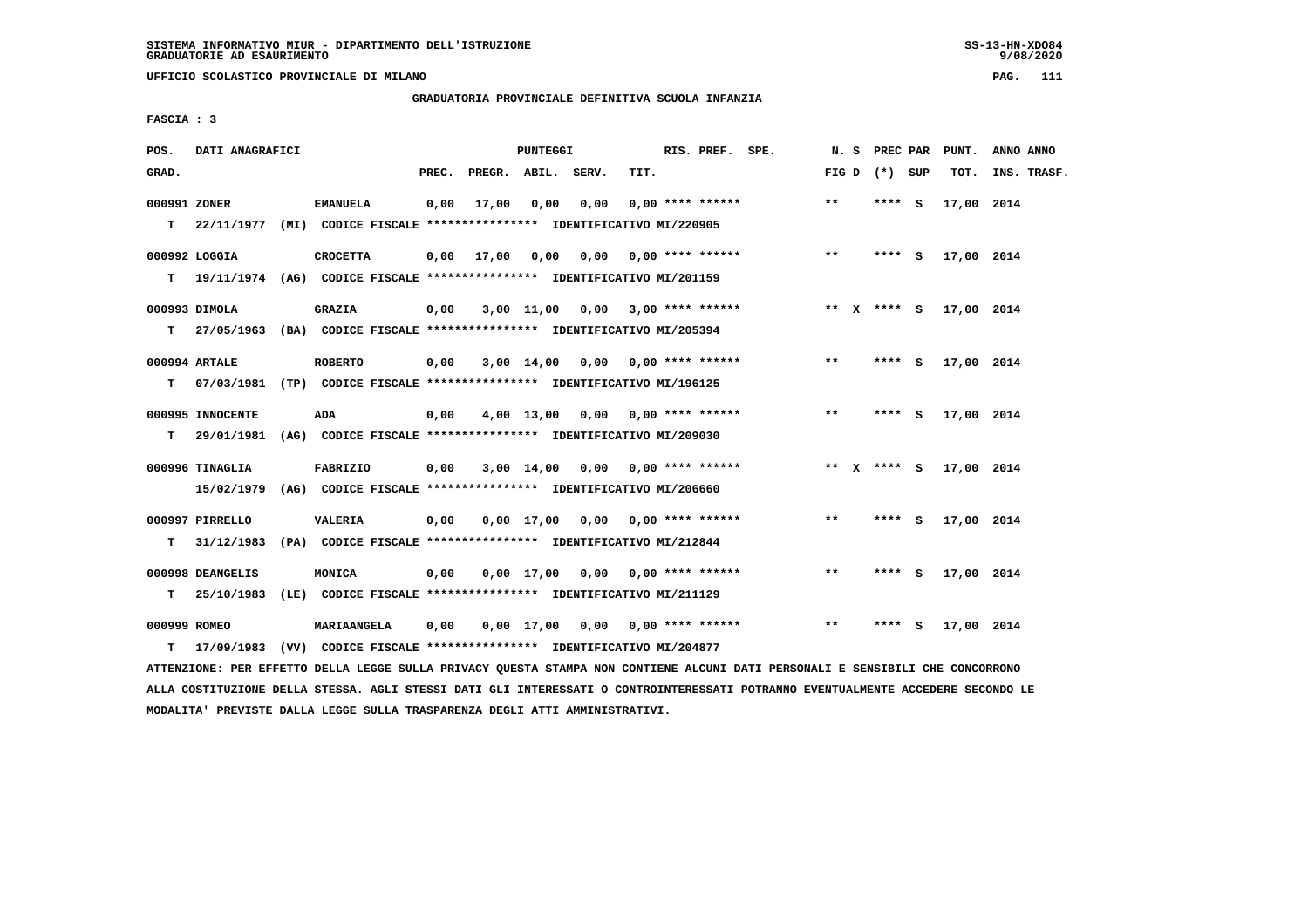**UFFICIO SCOLASTICO PROVINCIALE DI MILANO PAG. 111**

### **GRADUATORIA PROVINCIALE DEFINITIVA SCUOLA INFANZIA**

 **FASCIA : 3**

| POS.         | DATI ANAGRAFICI               |                                                                                 |       |                    | <b>PUNTEGGI</b> |                                    |      | RIS. PREF. SPE.    | N. S  | PREC PAR        |     | PUNT.      | ANNO ANNO   |
|--------------|-------------------------------|---------------------------------------------------------------------------------|-------|--------------------|-----------------|------------------------------------|------|--------------------|-------|-----------------|-----|------------|-------------|
| GRAD.        |                               |                                                                                 | PREC. | PREGR. ABIL. SERV. |                 |                                    | TIT. |                    |       | FIG D $(*)$ SUP |     | TOT.       | INS. TRASF. |
| 000991 ZONER |                               | <b>EMANUELA</b>                                                                 | 0,00  | 17,00              | 0,00            | 0,00                               |      | $0.00$ **** ****** | $* *$ | **** S          |     | 17,00 2014 |             |
|              |                               | T 22/11/1977 (MI) CODICE FISCALE *************** IDENTIFICATIVO MI/220905       |       |                    |                 |                                    |      |                    |       |                 |     |            |             |
|              | 000992 LOGGIA                 | <b>CROCETTA</b>                                                                 | 0,00  | 17,00              |                 |                                    |      |                    | $***$ | **** S          |     | 17,00 2014 |             |
|              |                               | T 19/11/1974 (AG) CODICE FISCALE *************** IDENTIFICATIVO MI/201159       |       |                    |                 |                                    |      |                    |       |                 |     |            |             |
|              | 000993 DIMOLA                 | <b>GRAZIA</b>                                                                   | 0,00  |                    |                 | $3,00$ 11,00 0,00 3,00 **** ****** |      |                    |       | ** X **** S     |     | 17,00 2014 |             |
|              |                               | T 27/05/1963 (BA) CODICE FISCALE *************** IDENTIFICATIVO MI/205394       |       |                    |                 |                                    |      |                    |       |                 |     |            |             |
|              | 000994 ARTALE                 | <b>ROBERTO</b>                                                                  | 0,00  |                    |                 | $3,00$ 14,00 0,00 0,00 **** ****** |      |                    | **    | **** S          |     | 17,00 2014 |             |
| т            |                               | 07/03/1981 (TP) CODICE FISCALE **************** IDENTIFICATIVO MI/196125        |       |                    |                 |                                    |      |                    |       |                 |     |            |             |
|              | 000995 INNOCENTE              | ADA                                                                             | 0,00  |                    |                 | $4,00$ 13,00 0,00 0,00 **** ****** |      |                    | $***$ | **** S          |     | 17,00 2014 |             |
| т            | 29/01/1981                    | (AG) CODICE FISCALE **************** IDENTIFICATIVO MI/209030                   |       |                    |                 |                                    |      |                    |       |                 |     |            |             |
|              | 000996 TINAGLIA               | FABRIZIO                                                                        | 0,00  |                    |                 | $3,00$ 14,00 0,00 0,00 **** ****** |      |                    |       | ** $X$ **** S   |     | 17,00 2014 |             |
|              | 15/02/1979                    | (AG) CODICE FISCALE **************** IDENTIFICATIVO MI/206660                   |       |                    |                 |                                    |      |                    |       |                 |     |            |             |
|              |                               |                                                                                 |       |                    |                 |                                    |      |                    | $***$ |                 |     |            |             |
| т            | 000997 PIRRELLO<br>31/12/1983 | <b>VALERIA</b><br>(PA) CODICE FISCALE **************** IDENTIFICATIVO MI/212844 | 0,00  |                    |                 | $0,00$ 17,00 0,00 0,00 **** ****** |      |                    |       | **** S          |     | 17,00 2014 |             |
|              |                               |                                                                                 |       |                    |                 |                                    |      |                    |       |                 |     |            |             |
|              | 000998 DEANGELIS              | MONICA                                                                          | 0,00  |                    |                 | $0,00$ 17,00 0,00 0,00 **** ****** |      |                    | **    | **** S          |     | 17,00 2014 |             |
|              | $T = 25/10/1983$              | (LE) CODICE FISCALE **************** IDENTIFICATIVO MI/211129                   |       |                    |                 |                                    |      |                    |       |                 |     |            |             |
| 000999 ROMEO |                               | <b>MARIAANGELA</b>                                                              | 0,00  |                    |                 | $0,00$ 17,00 0,00 0,00 **** ****** |      |                    | **    | ****            | - S | 17,00 2014 |             |
| т            | 17/09/1983                    | (VV) CODICE FISCALE **************** IDENTIFICATIVO MI/204877                   |       |                    |                 |                                    |      |                    |       |                 |     |            |             |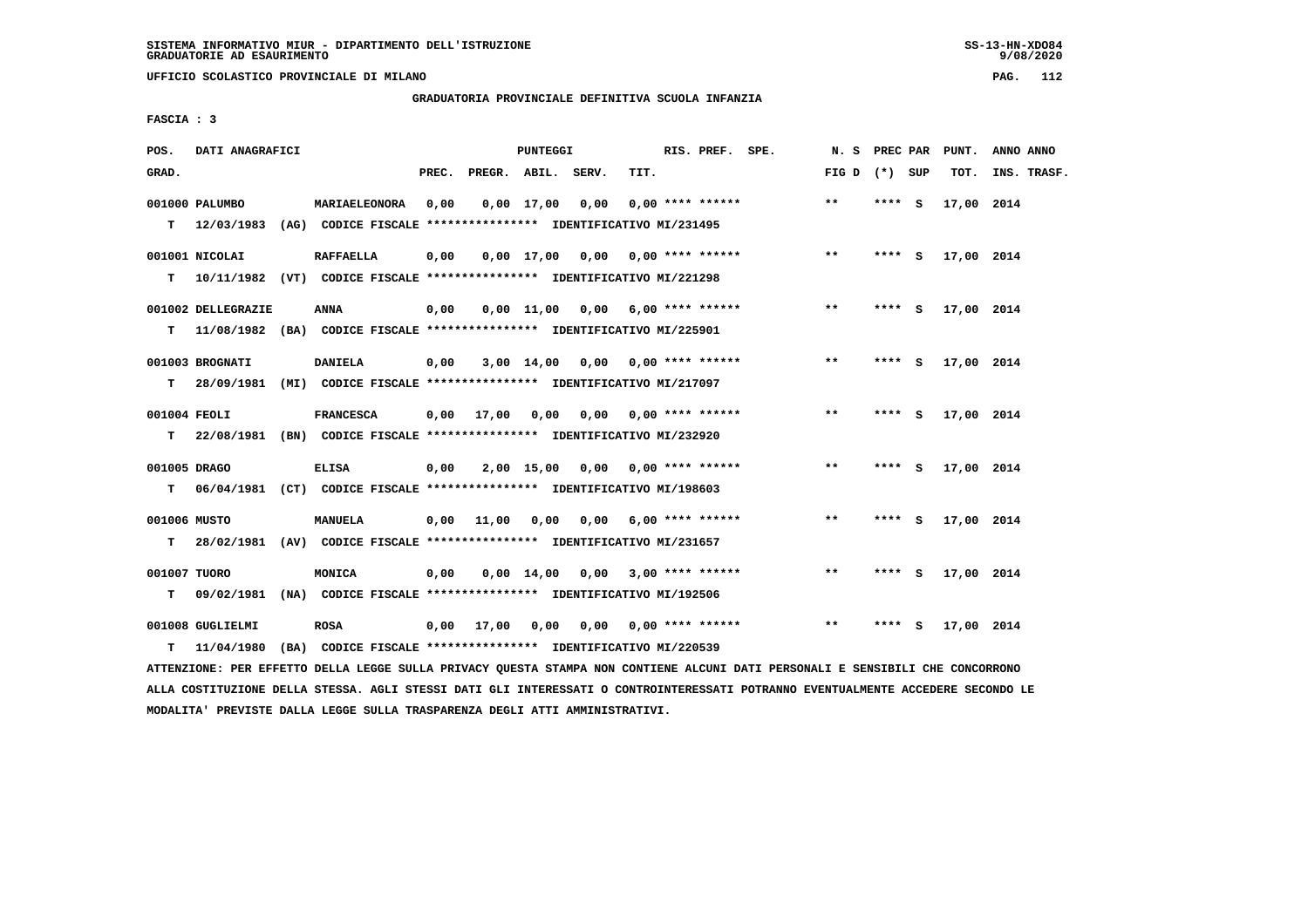**UFFICIO SCOLASTICO PROVINCIALE DI MILANO PAG. 112**

# **GRADUATORIA PROVINCIALE DEFINITIVA SCUOLA INFANZIA**

 **FASCIA : 3**

| POS.               | DATI ANAGRAFICI                |                                                                                              |       |                    | PUNTEGGI     |                                    |      | RIS. PREF. SPE.                 | N.S             | PREC PAR |     | PUNT.      | ANNO ANNO   |
|--------------------|--------------------------------|----------------------------------------------------------------------------------------------|-------|--------------------|--------------|------------------------------------|------|---------------------------------|-----------------|----------|-----|------------|-------------|
| GRAD.              |                                |                                                                                              | PREC. | PREGR. ABIL. SERV. |              |                                    | TIT. |                                 | FIG D $(*)$ SUP |          |     | TOT.       | INS. TRASF. |
| T.                 | 001000 PALUMBO<br>12/03/1983   | MARIAELEONORA<br>(AG) CODICE FISCALE **************** IDENTIFICATIVO MI/231495               | 0,00  |                    | $0,00$ 17,00 | 0,00                               |      | $0.00$ **** ******              | **              | **** S   |     | 17,00 2014 |             |
| т                  | 001001 NICOLAI                 | <b>RAFFAELLA</b><br>10/11/1982 (VT) CODICE FISCALE **************** IDENTIFICATIVO MI/221298 | 0,00  |                    |              | $0,00$ 17,00 0,00 0,00 **** ****** |      |                                 | $* *$           | **** S   |     | 17,00 2014 |             |
| т                  | 001002 DELLEGRAZIE             | <b>ANNA</b><br>11/08/1982 (BA) CODICE FISCALE *************** IDENTIFICATIVO MI/225901       | 0,00  |                    |              | $0,00$ 11,00 0,00 6,00 **** ****** |      |                                 | $***$           | $***$ S  |     | 17,00 2014 |             |
| т                  | 001003 BROGNATI<br>28/09/1981  | DANIELA<br>(MI) CODICE FISCALE **************** IDENTIFICATIVO MI/217097                     | 0,00  |                    | 3,00 14,00   |                                    |      | $0.00$ $0.00$ $***$ **** ****** | $* *$           | ****     | - 5 | 17,00 2014 |             |
| 001004 FEOLI<br>T. |                                | <b>FRANCESCA</b><br>22/08/1981 (BN) CODICE FISCALE **************** IDENTIFICATIVO MI/232920 | 0,00  | 17,00              | 0,00         |                                    |      | $0,00$ $0,00$ **** ******       | $***$           | **** S   |     | 17,00 2014 |             |
| 001005 DRAGO<br>т  |                                | <b>ELISA</b><br>06/04/1981 (CT) CODICE FISCALE *************** IDENTIFICATIVO MI/198603      | 0,00  |                    |              | $2,00$ 15,00 0,00 0,00 **** ****** |      |                                 | $\star\star$    | $***$ S  |     | 17,00 2014 |             |
| 001006 MUSTO<br>т  | 28/02/1981                     | MANUELA<br>(AV) CODICE FISCALE **************** IDENTIFICATIVO MI/231657                     | 0,00  | 11,00              |              | $0,00$ $0,00$ $6,00$ **** ******   |      |                                 | $***$           | **** S   |     | 17,00 2014 |             |
| 001007 TUORO<br>т  | 09/02/1981                     | MONICA<br>(NA) CODICE FISCALE **************** IDENTIFICATIVO MI/192506                      | 0,00  |                    |              | $0,00$ 14,00 0,00 3,00 **** ****** |      |                                 | **              | **** S   |     | 17,00 2014 |             |
| т                  | 001008 GUGLIELMI<br>11/04/1980 | <b>ROSA</b><br>(BA) CODICE FISCALE **************** IDENTIFICATIVO MI/220539                 | 0,00  | 17,00              | 0,00         |                                    |      | $0,00$ $0,00$ **** ******       | **              | ****     | - S | 17,00 2014 |             |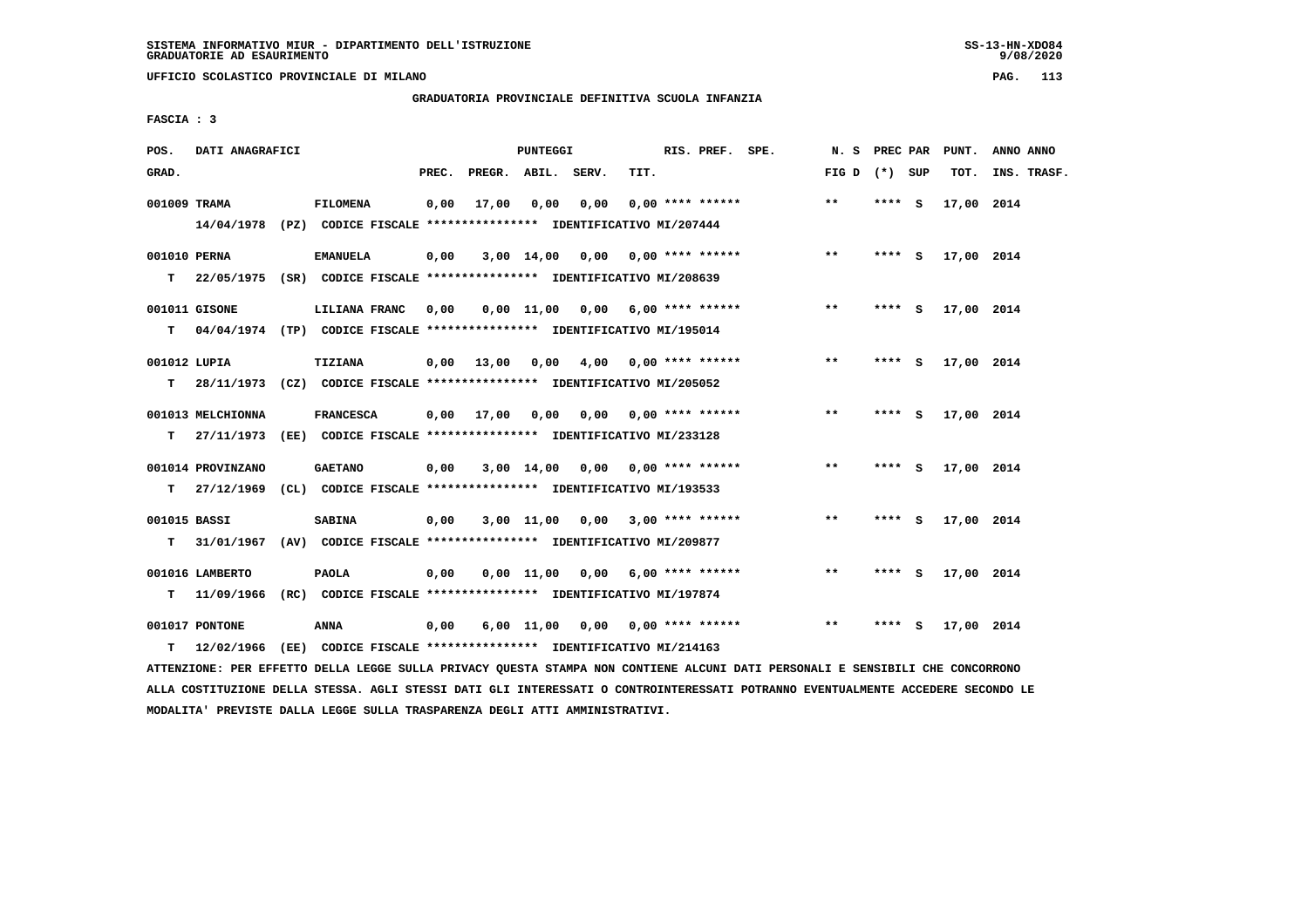**UFFICIO SCOLASTICO PROVINCIALE DI MILANO PAG. 113**

# **GRADUATORIA PROVINCIALE DEFINITIVA SCUOLA INFANZIA**

 **FASCIA : 3**

| POS.         | DATI ANAGRAFICI   |                                                                          |       |                    | PUNTEGGI     |                                    |      | RIS. PREF. SPE.           | N. S PREC PAR   |         |        | PUNT.      | ANNO ANNO   |
|--------------|-------------------|--------------------------------------------------------------------------|-------|--------------------|--------------|------------------------------------|------|---------------------------|-----------------|---------|--------|------------|-------------|
| GRAD.        |                   |                                                                          | PREC. | PREGR. ABIL. SERV. |              |                                    | TIT. |                           | FIG D $(*)$ SUP |         |        | TOT.       | INS. TRASF. |
| 001009 TRAMA |                   | <b>FILOMENA</b>                                                          | 0,00  | 17,00              | 0,00         | 0,00                               |      | $0.00$ **** ******        | **              | **** S  |        | 17,00 2014 |             |
|              |                   | 14/04/1978 (PZ) CODICE FISCALE *************** IDENTIFICATIVO MI/207444  |       |                    |              |                                    |      |                           |                 |         |        |            |             |
| 001010 PERNA |                   | <b>EMANUELA</b>                                                          | 0,00  |                    |              | $3,00$ 14,00 0,00 0,00 **** ****** |      |                           | $***$           |         | **** S | 17,00 2014 |             |
| T.           |                   | 22/05/1975 (SR) CODICE FISCALE **************** IDENTIFICATIVO MI/208639 |       |                    |              |                                    |      |                           |                 |         |        |            |             |
|              | 001011 GISONE     | LILIANA FRANC                                                            | 0,00  |                    |              | $0,00$ 11,00 0,00 6,00 **** ****** |      |                           | $* *$           | **** S  |        | 17,00 2014 |             |
| т            |                   | 04/04/1974 (TP) CODICE FISCALE **************** IDENTIFICATIVO MI/195014 |       |                    |              |                                    |      |                           |                 |         |        |            |             |
| 001012 LUPIA |                   | <b>TIZIANA</b>                                                           | 0,00  | 13,00              | 0,00         | 4,00                               |      | $0.00$ **** ******        | $***$           | $***5$  |        | 17,00 2014 |             |
| т            |                   | 28/11/1973 (CZ) CODICE FISCALE **************** IDENTIFICATIVO MI/205052 |       |                    |              |                                    |      |                           |                 |         |        |            |             |
|              | 001013 MELCHIONNA | <b>FRANCESCA</b>                                                         | 0,00  | 17,00              | 0,00         |                                    |      | $0,00$ $0,00$ **** ****** | $\star\star$    | **** S  |        | 17,00 2014 |             |
| т            |                   | 27/11/1973 (EE) CODICE FISCALE **************** IDENTIFICATIVO MI/233128 |       |                    |              |                                    |      |                           |                 |         |        |            |             |
|              | 001014 PROVINZANO | <b>GAETANO</b>                                                           | 0,00  |                    |              | $3,00$ 14,00 0,00 0,00 **** ****** |      |                           | $* *$           | $***$ S |        | 17,00 2014 |             |
| T.           |                   | 27/12/1969 (CL) CODICE FISCALE *************** IDENTIFICATIVO MI/193533  |       |                    |              |                                    |      |                           |                 |         |        |            |             |
| 001015 BASSI |                   | <b>SABINA</b>                                                            | 0.00  |                    |              | $3,00$ 11,00 0,00 3,00 **** ****** |      |                           | $**$            | **** S  |        | 17,00 2014 |             |
| т            |                   | 31/01/1967 (AV) CODICE FISCALE **************** IDENTIFICATIVO MI/209877 |       |                    |              |                                    |      |                           |                 |         |        |            |             |
|              | 001016 LAMBERTO   | <b>PAOLA</b>                                                             | 0,00  |                    |              | $0.00$ 11.00 0.00 6.00 **** ****** |      |                           | $* *$           | ****    | - S    | 17,00 2014 |             |
| т            | 11/09/1966        | (RC) CODICE FISCALE **************** IDENTIFICATIVO MI/197874            |       |                    |              |                                    |      |                           |                 |         |        |            |             |
|              | 001017 PONTONE    | ANNA                                                                     | 0,00  |                    | $6,00$ 11,00 | 0.00                               |      | 0,00 **** ******          | $**$            | ****    | s      | 17,00 2014 |             |
| т            | 12/02/1966        | (EE) CODICE FISCALE **************** IDENTIFICATIVO MI/214163            |       |                    |              |                                    |      |                           |                 |         |        |            |             |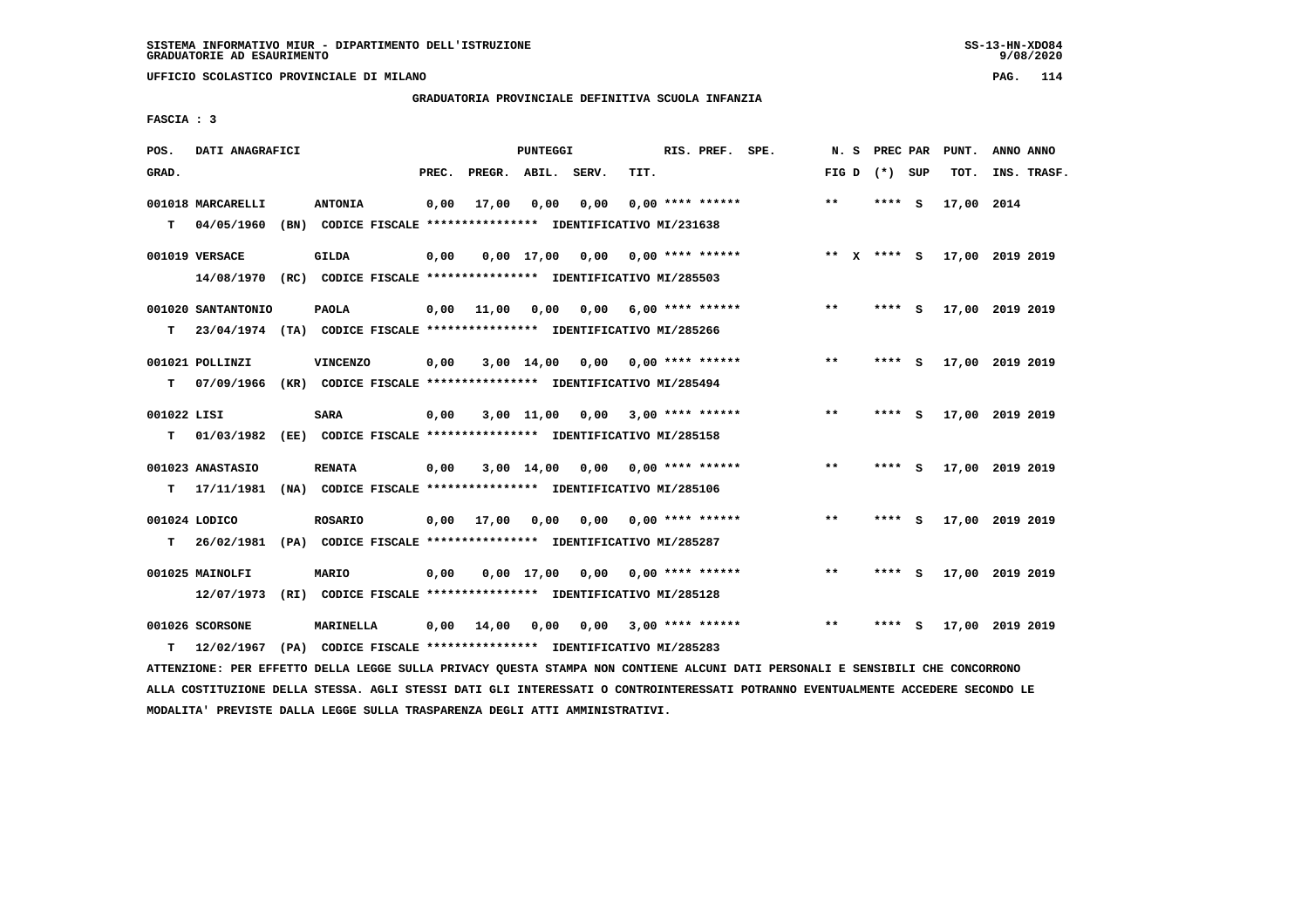**UFFICIO SCOLASTICO PROVINCIALE DI MILANO PAG. 114**

# **GRADUATORIA PROVINCIALE DEFINITIVA SCUOLA INFANZIA**

 **FASCIA : 3**

| POS.             | DATI ANAGRAFICI                 |      |                                                                                         |       |                    | <b>PUNTEGGI</b> |      |      | RIS. PREF. SPE.    | N.S   | PREC PAR      |     | PUNT.           | ANNO ANNO |             |
|------------------|---------------------------------|------|-----------------------------------------------------------------------------------------|-------|--------------------|-----------------|------|------|--------------------|-------|---------------|-----|-----------------|-----------|-------------|
| GRAD.            |                                 |      |                                                                                         | PREC. | PREGR. ABIL. SERV. |                 |      | TIT. |                    | FIG D | (*) SUP       |     | TOT.            |           | INS. TRASF. |
| т                | 001018 MARCARELLI<br>04/05/1960 |      | <b>ANTONIA</b><br>(BN) CODICE FISCALE **************** IDENTIFICATIVO MI/231638         | 0,00  | 17,00              | 0.00            | 0.00 |      | $0.00$ **** ****** | $***$ | ****          | - S | 17,00 2014      |           |             |
|                  | 001019 VERSACE                  |      | GILDA<br>14/08/1970 (RC) CODICE FISCALE *************** IDENTIFICATIVO MI/285503        | 0,00  |                    | $0.00$ 17.00    | 0,00 |      | $0.00$ **** ****** |       | ** $X$ **** S |     | 17,00 2019 2019 |           |             |
| т                | 001020 SANTANTONIO              |      | <b>PAOLA</b><br>23/04/1974 (TA) CODICE FISCALE *************** IDENTIFICATIVO MI/285266 | 0,00  | 11,00              | 0,00            | 0,00 |      | 6,00 **** ******   | $**$  | ****          | - S | 17,00 2019 2019 |           |             |
| т                | 001021 POLLINZI<br>07/09/1966   |      | <b>VINCENZO</b><br>(KR) CODICE FISCALE **************** IDENTIFICATIVO MI/285494        | 0,00  |                    | $3,00$ 14,00    | 0.00 |      | 0,00 **** ******   | **    | ****          | - S | 17,00 2019 2019 |           |             |
| 001022 LISI<br>т | 01/03/1982                      |      | <b>SARA</b><br>(EE) CODICE FISCALE **************** IDENTIFICATIVO MI/285158            | 0,00  |                    | 3,00 11,00      | 0,00 |      | $3,00$ **** ****** | $* *$ |               | -S  | 17,00 2019 2019 |           |             |
| т                | 001023 ANASTASIO<br>17/11/1981  |      | <b>RENATA</b><br>(NA) CODICE FISCALE **************** IDENTIFICATIVO MI/285106          | 0,00  |                    | $3,00$ 14,00    | 0.00 |      | $0.00$ **** ****** | $***$ | ****          | S.  | 17,00 2019 2019 |           |             |
| т                | 001024 LODICO<br>26/02/1981     |      | <b>ROSARIO</b><br>(PA) CODICE FISCALE **************** IDENTIFICATIVO MI/285287         | 0,00  | 17,00              | 0,00            | 0,00 |      | $0.00$ **** ****** | $* *$ | ****          | S.  | 17,00 2019 2019 |           |             |
|                  | 001025 MAINOLFI<br>12/07/1973   | (RI) | MARIO<br>CODICE FISCALE **************** IDENTIFICATIVO MI/285128                       | 0,00  |                    | $0.00$ 17.00    | 0.00 |      | $0.00$ **** ****** | $***$ | ****          | - S | 17,00 2019 2019 |           |             |
| т                | 001026 SCORSONE<br>12/02/1967   | (PA) | MARINELLA<br>CODICE FISCALE **************** IDENTIFICATIVO MI/285283                   | 0.00  | 14,00              | 0,00            | 0,00 |      | $3,00$ **** ****** | $* *$ | ****          | s   | 17,00 2019 2019 |           |             |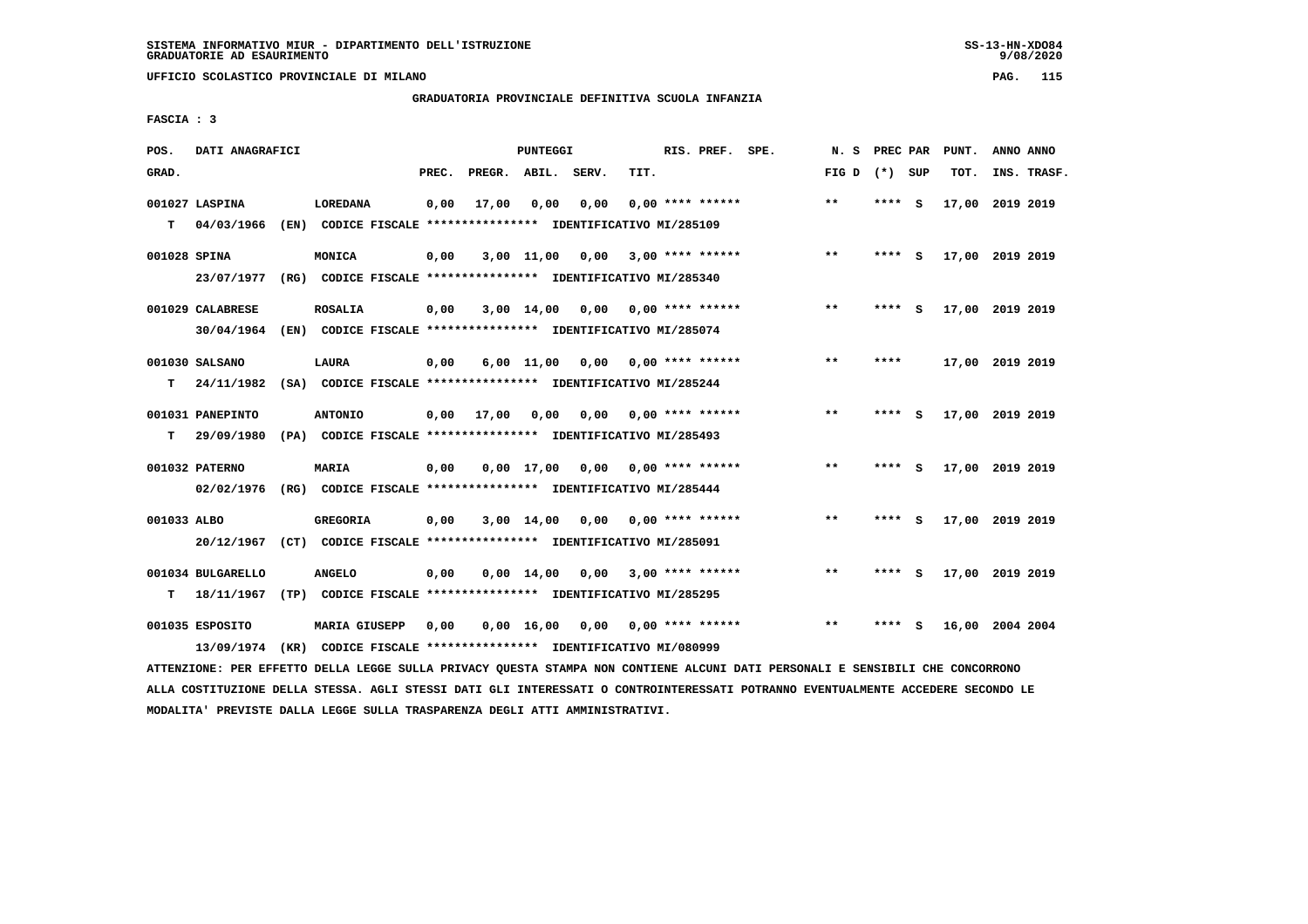**UFFICIO SCOLASTICO PROVINCIALE DI MILANO PAG. 115**

# **GRADUATORIA PROVINCIALE DEFINITIVA SCUOLA INFANZIA**

 **FASCIA : 3**

| POS.         | DATI ANAGRAFICI   |      |                                                               |       |                    | <b>PUNTEGGI</b>       |      |      | RIS. PREF.         | SPE. | N.S          | PREC PAR |          | PUNT.           | ANNO ANNO |             |
|--------------|-------------------|------|---------------------------------------------------------------|-------|--------------------|-----------------------|------|------|--------------------|------|--------------|----------|----------|-----------------|-----------|-------------|
| GRAD.        |                   |      |                                                               | PREC. | PREGR. ABIL. SERV. |                       |      | TIT. |                    |      | FIG D        | (*) SUP  |          | TOT.            |           | INS. TRASF. |
|              | 001027 LASPINA    |      | <b>LOREDANA</b>                                               | 0,00  | 17,00              | 0,00                  | 0,00 |      | $0.00$ **** ****** |      | $\star\star$ | **** S   |          | 17,00 2019 2019 |           |             |
| T.           | 04/03/1966        | (EN) | CODICE FISCALE **************** IDENTIFICATIVO MI/285109      |       |                    |                       |      |      |                    |      |              |          |          |                 |           |             |
| 001028 SPINA |                   |      | MONICA                                                        | 0,00  |                    | $3,00$ 11,00          | 0,00 |      | $3,00$ **** ****** |      | $***$        | ****     | - S      | 17,00 2019 2019 |           |             |
|              | 23/07/1977        |      | (RG) CODICE FISCALE **************** IDENTIFICATIVO MI/285340 |       |                    |                       |      |      |                    |      |              |          |          |                 |           |             |
|              | 001029 CALABRESE  |      | <b>ROSALIA</b>                                                | 0,00  |                    | $3,00$ 14,00          | 0,00 |      | $0.00$ **** ****** |      | $***$        | ****     | <b>S</b> | 17,00 2019 2019 |           |             |
|              | 30/04/1964        |      | (EN) CODICE FISCALE **************** IDENTIFICATIVO MI/285074 |       |                    |                       |      |      |                    |      |              |          |          |                 |           |             |
|              | 001030 SALSANO    |      | LAURA                                                         | 0,00  |                    | 6,00 11,00            | 0,00 |      | $0.00$ **** ****** |      | $***$        | ****     |          | 17,00 2019 2019 |           |             |
| T.           | 24/11/1982        |      | (SA) CODICE FISCALE **************** IDENTIFICATIVO MI/285244 |       |                    |                       |      |      |                    |      |              |          |          |                 |           |             |
|              | 001031 PANEPINTO  |      | <b>ANTONIO</b>                                                | 0,00  | 17,00              | 0.00                  | 0.00 |      | $0.00$ **** ****** |      | $* *$        | ****     | - S      | 17,00 2019 2019 |           |             |
| т            | 29/09/1980        |      | (PA) CODICE FISCALE **************** IDENTIFICATIVO MI/285493 |       |                    |                       |      |      |                    |      |              |          |          |                 |           |             |
|              | 001032 PATERNO    |      | <b>MARIA</b>                                                  | 0,00  |                    | $0,00$ $17,00$ $0,00$ |      |      | 0,00 **** ******   |      | $***$        | **** S   |          | 17,00 2019 2019 |           |             |
|              | 02/02/1976        |      | (RG) CODICE FISCALE **************** IDENTIFICATIVO MI/285444 |       |                    |                       |      |      |                    |      |              |          |          |                 |           |             |
| 001033 ALBO  |                   |      | GREGORIA                                                      | 0,00  |                    | $3,00$ 14,00          | 0,00 |      | $0.00$ **** ****** |      | $* *$        | ****     | - S      | 17,00 2019 2019 |           |             |
|              | 20/12/1967        |      | (CT) CODICE FISCALE **************** IDENTIFICATIVO MI/285091 |       |                    |                       |      |      |                    |      |              |          |          |                 |           |             |
|              | 001034 BULGARELLO |      | <b>ANGELO</b>                                                 | 0,00  |                    | $0,00 \quad 14,00$    | 0,00 |      | $3,00$ **** ****** |      | $* *$        | ****     | - S      | 17,00 2019 2019 |           |             |
| т            | 18/11/1967        |      | (TP) CODICE FISCALE **************** IDENTIFICATIVO MI/285295 |       |                    |                       |      |      |                    |      |              |          |          |                 |           |             |
|              | 001035 ESPOSITO   |      | <b>MARIA GIUSEPP</b>                                          | 0,00  |                    | 0,00 16,00            | 0,00 |      | $0.00$ **** ****** |      | $* *$        | ****     | - 5      | 16,00 2004 2004 |           |             |
|              | 13/09/1974        |      | (KR) CODICE FISCALE **************** IDENTIFICATIVO MI/080999 |       |                    |                       |      |      |                    |      |              |          |          |                 |           |             |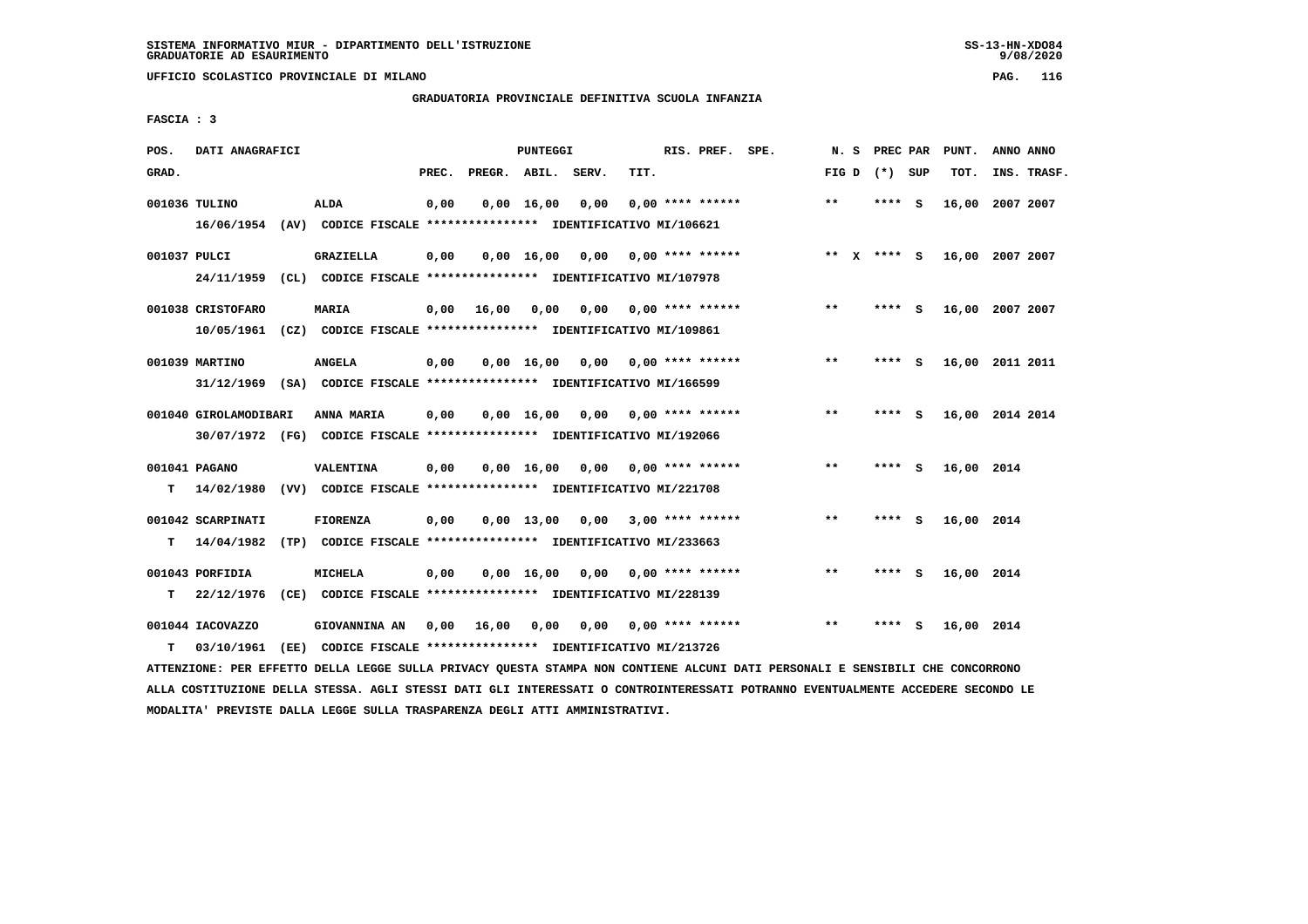**UFFICIO SCOLASTICO PROVINCIALE DI MILANO PAG. 116**

## **GRADUATORIA PROVINCIALE DEFINITIVA SCUOLA INFANZIA**

 **FASCIA : 3**

| POS.         | DATI ANAGRAFICI                 |      |                                                                                          |       |              | <b>PUNTEGGI</b>    |       |      | RIS. PREF. SPE.    | N. S  |             | PREC PAR | PUNT.      | ANNO ANNO       |  |
|--------------|---------------------------------|------|------------------------------------------------------------------------------------------|-------|--------------|--------------------|-------|------|--------------------|-------|-------------|----------|------------|-----------------|--|
| GRAD.        |                                 |      |                                                                                          | PREC. | PREGR. ABIL. |                    | SERV. | TIT. |                    | FIG D |             | (*) SUP  | TOT.       | INS. TRASF.     |  |
|              | 001036 TULINO                   |      | <b>ALDA</b><br>16/06/1954 (AV) CODICE FISCALE *************** IDENTIFICATIVO MI/106621   | 0,00  |              | $0,00 \quad 16,00$ | 0,00  |      | $0.00$ **** ****** | $* *$ | **** S      |          |            | 16,00 2007 2007 |  |
| 001037 PULCI | 24/11/1959                      |      | <b>GRAZIELLA</b><br>(CL) CODICE FISCALE *************** IDENTIFICATIVO MI/107978         | 0,00  |              | $0,00 \quad 16,00$ | 0,00  |      | $0.00$ **** ****** |       | ** x **** S |          |            | 16,00 2007 2007 |  |
|              | 001038 CRISTOFARO               |      | <b>MARIA</b><br>10/05/1961 (CZ) CODICE FISCALE *************** IDENTIFICATIVO MI/109861  | 0,00  | 16,00        | 0,00               | 0,00  |      | $0.00$ **** ****** | $* *$ | ****        | - S      |            | 16,00 2007 2007 |  |
|              | 001039 MARTINO                  |      | <b>ANGELA</b><br>31/12/1969 (SA) CODICE FISCALE *************** IDENTIFICATIVO MI/166599 | 0,00  |              | $0,00 \quad 16,00$ | 0.00  |      | $0.00$ **** ****** | $* *$ | **** S      |          |            | 16,00 2011 2011 |  |
|              | 001040 GIROLAMODIBARI           |      | ANNA MARIA<br>30/07/1972 (FG) CODICE FISCALE *************** IDENTIFICATIVO MI/192066    | 0,00  |              | $0,00 \quad 16,00$ | 0,00  |      | $0.00$ **** ****** | $* *$ | ****        | - 5      |            | 16,00 2014 2014 |  |
| т            | 001041 PAGANO                   |      | VALENTINA<br>14/02/1980 (VV) CODICE FISCALE **************** IDENTIFICATIVO MI/221708    | 0,00  |              | $0,00$ 16,00       | 0,00  |      | $0.00$ **** ****** | $* *$ | **** S      |          | 16,00 2014 |                 |  |
| т            | 001042 SCARPINATI<br>14/04/1982 |      | <b>FIORENZA</b><br>(TP) CODICE FISCALE *************** IDENTIFICATIVO MI/233663          | 0,00  |              | $0,00 \quad 13,00$ | 0,00  |      | $3,00$ **** ****** | $* *$ | ****        | - 5      | 16,00 2014 |                 |  |
| т            | 001043 PORFIDIA<br>22/12/1976   |      | MICHELA<br>(CE) CODICE FISCALE **************** IDENTIFICATIVO MI/228139                 | 0,00  |              | 0.00 16.00         | 0,00  |      | $0.00$ **** ****** | $* *$ | ****        | - 5      | 16,00 2014 |                 |  |
| т            | 001044 IACOVAZZO<br>03/10/1961  | (EE) | GIOVANNINA AN<br>CODICE FISCALE **************** IDENTIFICATIVO MI/213726                | 0,00  | 16,00        | 0,00               | 0,00  |      | $0.00$ **** ****** | $***$ | ****        | s        | 16,00 2014 |                 |  |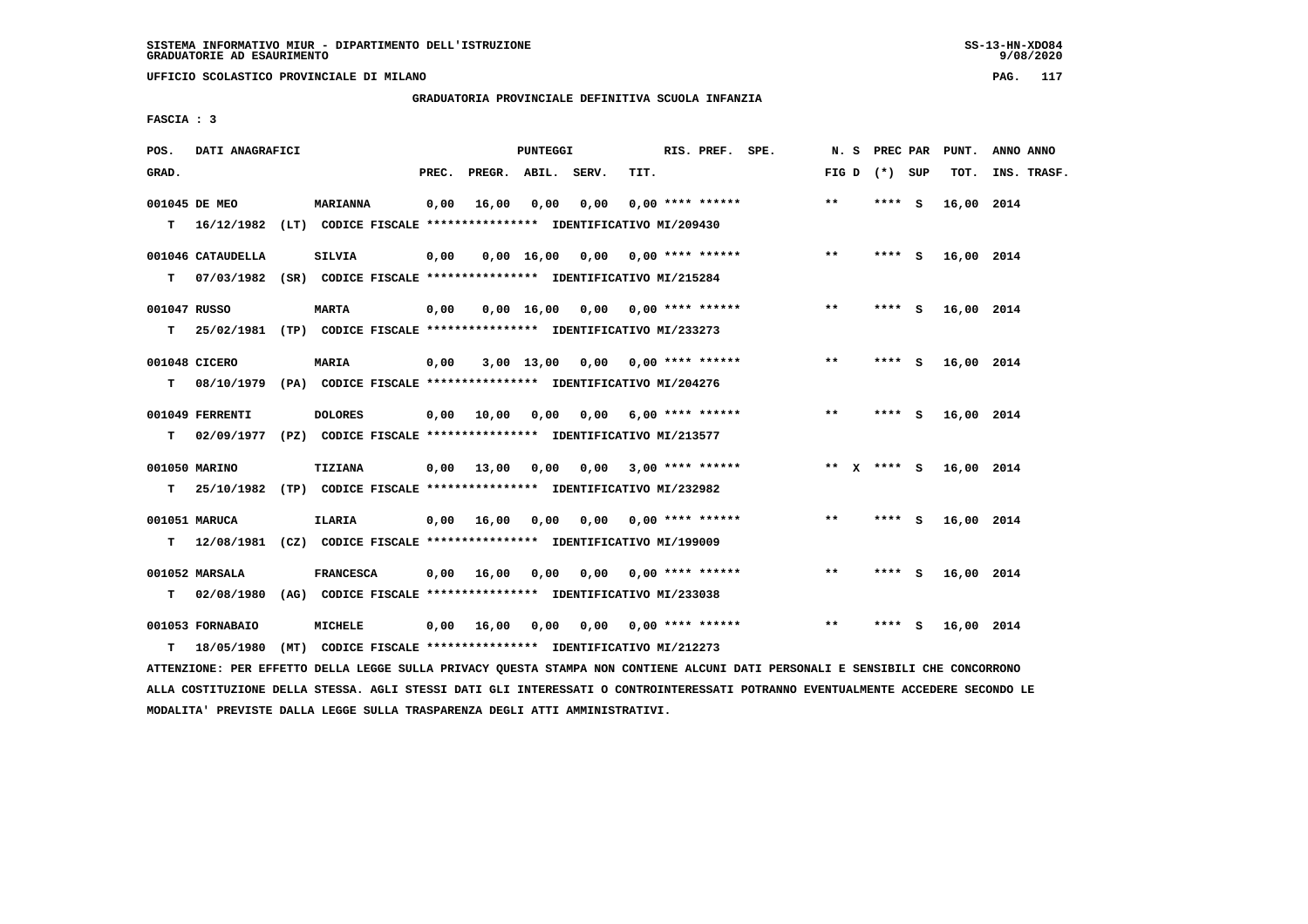**UFFICIO SCOLASTICO PROVINCIALE DI MILANO PAG. 117**

# **GRADUATORIA PROVINCIALE DEFINITIVA SCUOLA INFANZIA**

 **FASCIA : 3**

| POS.         | DATI ANAGRAFICI                                                                             |                  |       |                       | <b>PUNTEGGI</b> |                                                               |      | RIS. PREF. SPE.           |       | N. S PREC PAR   |     | PUNT.      | ANNO ANNO   |
|--------------|---------------------------------------------------------------------------------------------|------------------|-------|-----------------------|-----------------|---------------------------------------------------------------|------|---------------------------|-------|-----------------|-----|------------|-------------|
| GRAD.        |                                                                                             |                  | PREC. |                       |                 | PREGR. ABIL. SERV.                                            | TIT. |                           |       | FIG D $(*)$ SUP |     | TOT.       | INS. TRASF. |
|              | 001045 DE MEO<br>T 16/12/1982 (LT) CODICE FISCALE **************** IDENTIFICATIVO MI/209430 | <b>MARIANNA</b>  | 0,00  | 16,00                 | 0,00            | 0,00                                                          |      | $0.00$ **** ******        | $* *$ | **** S          |     | 16,00 2014 |             |
|              | 001046 CATAUDELLA                                                                           | SILVIA           | 0,00  |                       |                 | 0,00 16,00 0,00 0,00 **** ******                              |      |                           | $***$ | **** S          |     | 16,00 2014 |             |
| T.           | 07/03/1982 (SR) CODICE FISCALE *************** IDENTIFICATIVO MI/215284                     |                  |       |                       |                 |                                                               |      |                           |       |                 |     |            |             |
| 001047 RUSSO |                                                                                             | <b>MARTA</b>     | 0,00  |                       |                 | $0,00$ 16,00 0,00 0,00 **** ******                            |      |                           | $* *$ | **** S          |     | 16,00 2014 |             |
| т            | 25/02/1981 (TP) CODICE FISCALE **************** IDENTIFICATIVO MI/233273                    |                  |       |                       |                 |                                                               |      |                           |       |                 |     |            |             |
|              | 001048 CICERO                                                                               | <b>MARIA</b>     | 0,00  |                       |                 | $3,00$ 13,00 0,00 0,00 **** ******                            |      |                           | $***$ | **** S          |     | 16,00 2014 |             |
| т            | 08/10/1979 (PA) CODICE FISCALE **************** IDENTIFICATIVO MI/204276                    |                  |       |                       |                 |                                                               |      |                           |       |                 |     |            |             |
|              | 001049 FERRENTI                                                                             | <b>DOLORES</b>   |       | $0,00$ $10,00$ $0,00$ |                 |                                                               |      | $0,00$ 6,00 **** ******   | $***$ | **** S          |     | 16,00 2014 |             |
| T.           | 02/09/1977 (PZ) CODICE FISCALE *************** IDENTIFICATIVO MI/213577                     |                  |       |                       |                 |                                                               |      |                           |       |                 |     |            |             |
|              | 001050 MARINO                                                                               | <b>TIZIANA</b>   |       | 0,00 13,00 0,00       |                 | 0,00                                                          |      | $3,00$ **** ******        |       | ** x **** S     |     | 16,00 2014 |             |
| т            | 25/10/1982 (TP) CODICE FISCALE *************** IDENTIFICATIVO MI/232982                     |                  |       |                       |                 |                                                               |      |                           |       |                 |     |            |             |
|              | 001051 MARUCA                                                                               | <b>ILARIA</b>    |       | 0,00 16,00 0,00       |                 |                                                               |      | $0,00$ $0,00$ **** ****** | $* *$ | **** S          |     | 16,00 2014 |             |
|              | T 12/08/1981 (CZ) CODICE FISCALE *************** IDENTIFICATIVO MI/199009                   |                  |       |                       |                 |                                                               |      |                           |       |                 |     |            |             |
|              | 001052 MARSALA                                                                              | <b>FRANCESCA</b> |       | $0,00$ 16,00          | 0,00            |                                                               |      | $0,00$ $0,00$ **** ****** | $***$ | **** S          |     | 16,00 2014 |             |
| т            | 02/08/1980 (AG) CODICE FISCALE **************** IDENTIFICATIVO MI/233038                    |                  |       |                       |                 |                                                               |      |                           |       |                 |     |            |             |
|              | 001053 FORNABAIO                                                                            | MICHELE          |       | $0,00$ 16,00          | 0,00            |                                                               |      | 0,00 0,00 **** ******     | $* *$ | ****            | - S | 16,00 2014 |             |
| T.           | 18/05/1980                                                                                  |                  |       |                       |                 | (MT) CODICE FISCALE **************** IDENTIFICATIVO MI/212273 |      |                           |       |                 |     |            |             |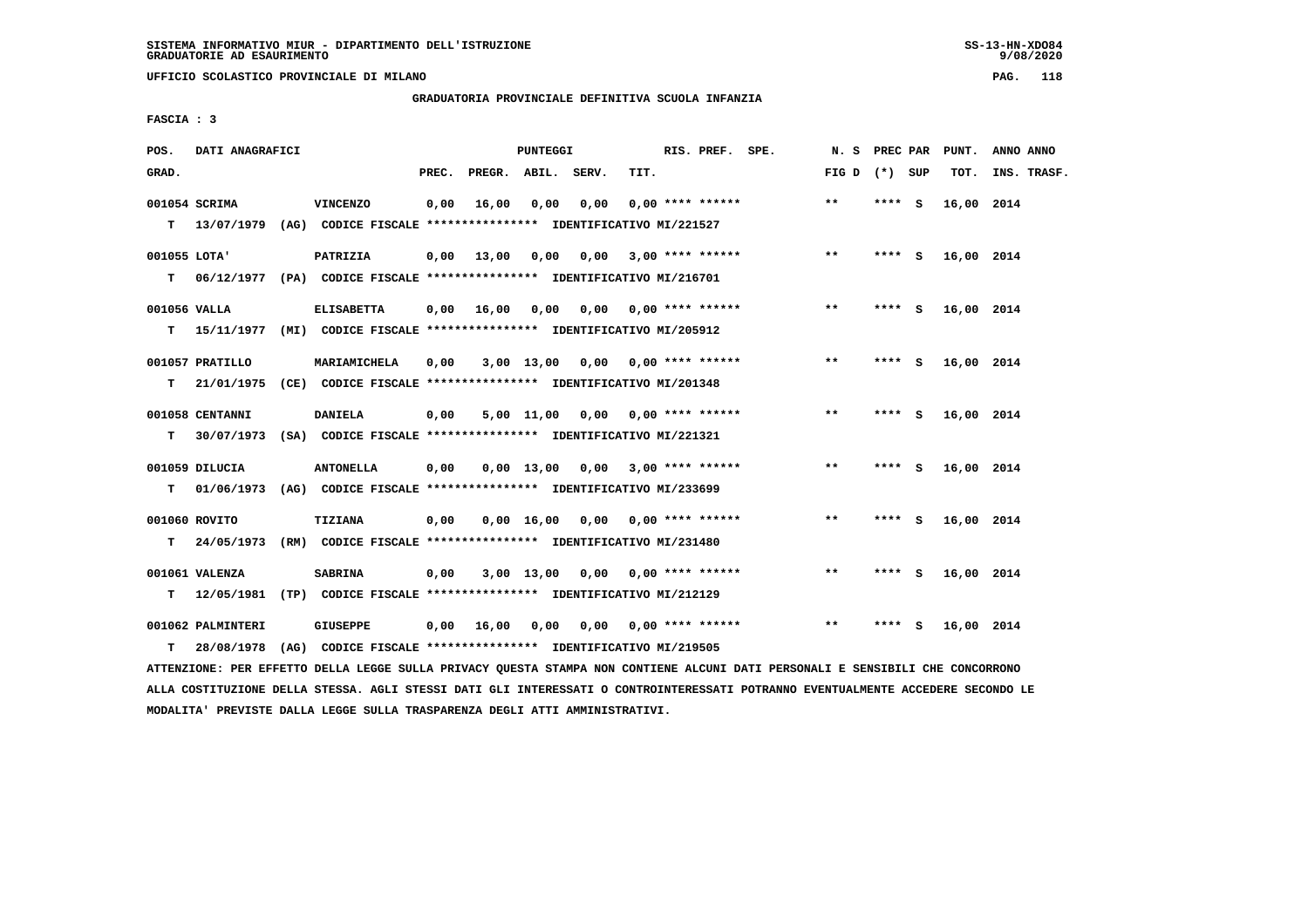**UFFICIO SCOLASTICO PROVINCIALE DI MILANO PAG. 118**

## **GRADUATORIA PROVINCIALE DEFINITIVA SCUOLA INFANZIA**

 **FASCIA : 3**

| POS.              | DATI ANAGRAFICI                 |                                                                                              |       |                    | <b>PUNTEGGI</b> |                                    |      | RIS. PREF. SPE.           | N. S            | PREC PAR | PUNT.      | ANNO ANNO   |
|-------------------|---------------------------------|----------------------------------------------------------------------------------------------|-------|--------------------|-----------------|------------------------------------|------|---------------------------|-----------------|----------|------------|-------------|
| GRAD.             |                                 |                                                                                              | PREC. | PREGR. ABIL. SERV. |                 |                                    | TIT. |                           | FIG D $(*)$ SUP |          | TOT.       | INS. TRASF. |
|                   | 001054 SCRIMA                   | VINCENZO<br>T 13/07/1979 (AG) CODICE FISCALE *************** IDENTIFICATIVO MI/221527        | 0,00  | 16,00              | 0,00            | 0,00                               |      | $0.00$ **** ******        | **              | $***$ S  | 16,00 2014 |             |
| 001055 LOTA'<br>т |                                 | PATRIZIA<br>06/12/1977 (PA) CODICE FISCALE **************** IDENTIFICATIVO MI/216701         | 0,00  | 13,00              |                 | 0,00 0,00                          |      | $3,00$ **** ******        | $***$           | **** S   | 16,00 2014 |             |
| 001056 VALLA<br>т |                                 | <b>ELISABETTA</b><br>15/11/1977 (MI) CODICE FISCALE *************** IDENTIFICATIVO MI/205912 | 0,00  | 16,00              | 0,00            |                                    |      | $0,00$ $0,00$ **** ****** | $* *$           | **** S   | 16,00 2014 |             |
| т                 | 001057 PRATILLO<br>21/01/1975   | MARIAMICHELA<br>(CE) CODICE FISCALE **************** IDENTIFICATIVO MI/201348                | 0.00  |                    |                 | $3,00$ 13,00 0,00 0,00 **** ****** |      |                           | $* *$           | **** S   | 16,00 2014 |             |
| т                 | 001058 CENTANNI<br>30/07/1973   | <b>DANIELA</b><br>(SA) CODICE FISCALE **************** IDENTIFICATIVO MI/221321              | 0,00  |                    |                 | 5,00 11,00 0,00 0,00 **** ******   |      |                           | $* *$           | **** S   | 16,00 2014 |             |
| т                 | 001059 DILUCIA                  | <b>ANTONELLA</b><br>01/06/1973 (AG) CODICE FISCALE *************** IDENTIFICATIVO MI/233699  | 0,00  |                    |                 | $0,00$ 13,00 0,00 3,00 **** ****** |      |                           | $* *$           | **** S   | 16,00 2014 |             |
| т                 | 001060 ROVITO                   | TIZIANA<br>24/05/1973 (RM) CODICE FISCALE *************** IDENTIFICATIVO MI/231480           | 0,00  |                    |                 | $0,00$ 16,00 0,00 0,00 **** ****** |      |                           | $* *$           | **** S   | 16,00 2014 |             |
| т                 | 001061 VALENZA                  | <b>SABRINA</b><br>12/05/1981 (TP) CODICE FISCALE **************** IDENTIFICATIVO MI/212129   | 0,00  |                    |                 | $3,00$ 13,00 0,00 0,00 **** ****** |      |                           | $***$           | **** S   | 16,00 2014 |             |
| т                 | 001062 PALMINTERI<br>28/08/1978 | <b>GIUSEPPE</b><br>(AG) CODICE FISCALE **************** IDENTIFICATIVO MI/219505             | 0,00  | 16,00              | 0,00            | 0,00                               |      | $0.00$ **** ******        | **              | **** S   | 16,00 2014 |             |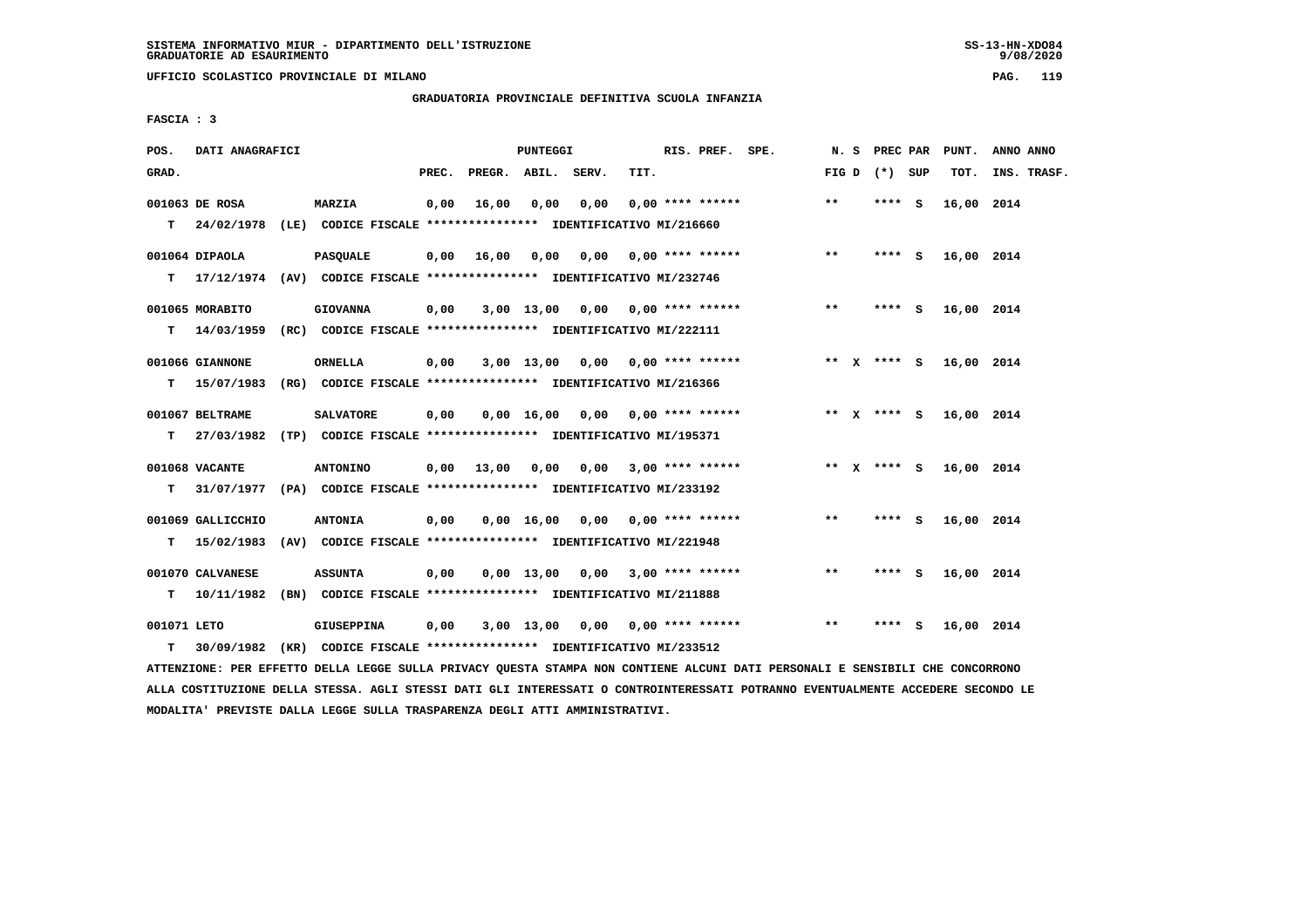**UFFICIO SCOLASTICO PROVINCIALE DI MILANO PAG. 119**

 **GRADUATORIA PROVINCIALE DEFINITIVA SCUOLA INFANZIA**

 **FASCIA : 3**

| POS.        | DATI ANAGRAFICI               |                                                                                            |       |              | PUNTEGGI           |       |      | RIS. PREF. SPE.           |       | N. S PREC PAR   |   | PUNT.      | ANNO ANNO   |
|-------------|-------------------------------|--------------------------------------------------------------------------------------------|-------|--------------|--------------------|-------|------|---------------------------|-------|-----------------|---|------------|-------------|
| GRAD.       |                               |                                                                                            | PREC. | PREGR. ABIL. |                    | SERV. | TIT. |                           |       | FIG D $(*)$ SUP |   | TOT.       | INS. TRASF. |
|             | 001063 DE ROSA                | <b>MARZIA</b><br>T 24/02/1978 (LE) CODICE FISCALE *************** IDENTIFICATIVO MI/216660 | 0,00  | 16,00        | 0,00               | 0,00  |      | $0.00$ **** ******        | $***$ | **** S          |   | 16,00 2014 |             |
|             |                               |                                                                                            |       |              |                    |       |      |                           |       |                 |   |            |             |
|             | 001064 DIPAOLA                | <b>PASQUALE</b>                                                                            | 0,00  | 16,00        | 0,00               | 0,00  |      | $0.00$ **** ******        | $***$ | $***$ S         |   | 16,00 2014 |             |
|             |                               | T 17/12/1974 (AV) CODICE FISCALE *************** IDENTIFICATIVO MI/232746                  |       |              |                    |       |      |                           |       |                 |   |            |             |
|             | 001065 MORABITO               | <b>GIOVANNA</b>                                                                            | 0,00  |              | 3,00 13,00         |       |      | $0,00$ $0,00$ **** ****** | $***$ | **** S          |   | 16,00 2014 |             |
|             |                               | T 14/03/1959 (RC) CODICE FISCALE *************** IDENTIFICATIVO MI/222111                  |       |              |                    |       |      |                           |       |                 |   |            |             |
|             | 001066 GIANNONE               | ORNELLA                                                                                    | 0,00  |              | $3,00$ 13,00       | 0,00  |      | $0.00$ **** ******        |       | ** x **** S     |   | 16,00 2014 |             |
| т           | 15/07/1983                    | (RG) CODICE FISCALE **************** IDENTIFICATIVO MI/216366                              |       |              |                    |       |      |                           |       |                 |   |            |             |
|             |                               |                                                                                            |       |              |                    |       |      |                           |       |                 |   |            |             |
| T.          | 001067 BELTRAME<br>27/03/1982 | <b>SALVATORE</b><br>(TP) CODICE FISCALE **************** IDENTIFICATIVO MI/195371          | 0,00  |              | $0,00 \quad 16,00$ | 0,00  |      | $0.00$ **** ******        |       | ** $X$ **** S   |   | 16,00 2014 |             |
|             |                               |                                                                                            |       |              |                    |       |      |                           |       |                 |   |            |             |
|             | 001068 VACANTE                | <b>ANTONINO</b>                                                                            | 0,00  | 13,00        | 0,00               |       |      | $0,00$ 3,00 **** ******   |       | ** $X$ **** S   |   | 16,00 2014 |             |
| т           |                               | 31/07/1977 (PA) CODICE FISCALE **************** IDENTIFICATIVO MI/233192                   |       |              |                    |       |      |                           |       |                 |   |            |             |
|             | 001069 GALLICCHIO             | <b>ANTONIA</b>                                                                             | 0,00  |              | $0,00 \quad 16,00$ |       |      | $0.00$ $0.00$ **** ****** | $* *$ | **** S          |   | 16,00 2014 |             |
| т           | 15/02/1983                    | (AV) CODICE FISCALE **************** IDENTIFICATIVO MI/221948                              |       |              |                    |       |      |                           |       |                 |   |            |             |
|             | 001070 CALVANESE              | <b>ASSUNTA</b>                                                                             | 0,00  |              | $0,00 \quad 13,00$ | 0.00  |      | $3,00$ **** ******        | $* *$ | **** S          |   | 16,00 2014 |             |
| т           | 10/11/1982                    | (BN) CODICE FISCALE **************** IDENTIFICATIVO MI/211888                              |       |              |                    |       |      |                           |       |                 |   |            |             |
|             |                               |                                                                                            |       |              |                    |       |      |                           |       |                 |   |            |             |
| 001071 LETO |                               | <b>GIUSEPPINA</b>                                                                          | 0,00  |              | 3,00 13,00         | 0,00  |      | 0,00 **** ******          | $* *$ | ****            | s | 16,00 2014 |             |
| т           | 30/09/1982                    | (KR) CODICE FISCALE *************** IDENTIFICATIVO MI/233512                               |       |              |                    |       |      |                           |       |                 |   |            |             |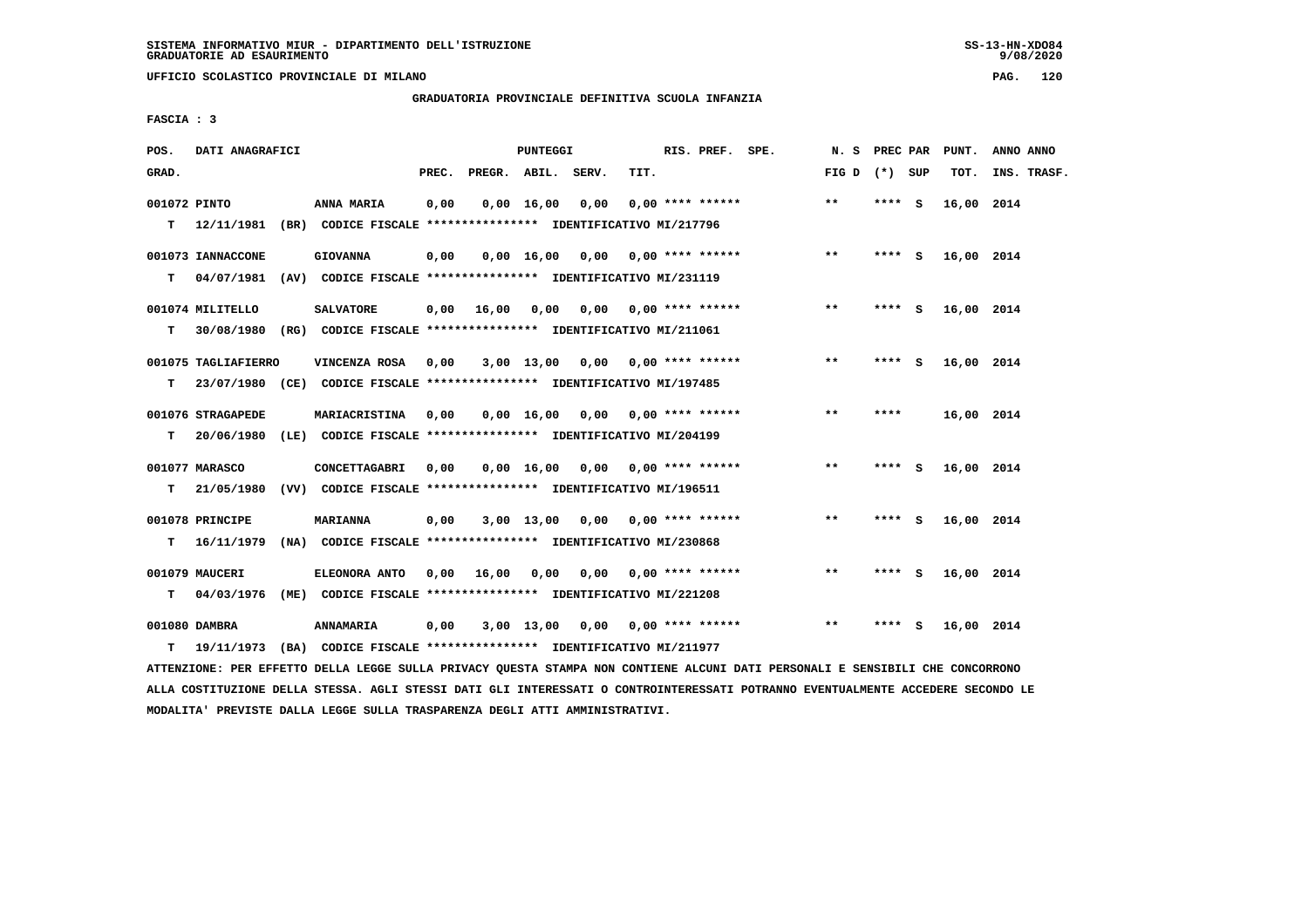**UFFICIO SCOLASTICO PROVINCIALE DI MILANO PAG. 120**

# **GRADUATORIA PROVINCIALE DEFINITIVA SCUOLA INFANZIA**

 **FASCIA : 3**

| POS.              | DATI ANAGRAFICI                 |      |                                                                                          |       |              | PUNTEGGI           |                                    |      | RIS. PREF. SPE.           | N.S   | PREC PAR |          | PUNT.      | ANNO ANNO   |
|-------------------|---------------------------------|------|------------------------------------------------------------------------------------------|-------|--------------|--------------------|------------------------------------|------|---------------------------|-------|----------|----------|------------|-------------|
| GRAD.             |                                 |      |                                                                                          | PREC. | PREGR. ABIL. |                    | SERV.                              | TIT. |                           | FIG D | (*) SUP  |          | TOT.       | INS. TRASF. |
| 001072 PINTO<br>т |                                 |      | ANNA MARIA<br>12/11/1981 (BR) CODICE FISCALE **************** IDENTIFICATIVO MI/217796   | 0,00  |              | 0.00 16.00         | 0.00                               |      | $0.00$ **** ******        | $***$ | **** S   |          | 16,00 2014 |             |
| т                 | 001073 IANNACCONE<br>04/07/1981 |      | <b>GIOVANNA</b><br>(AV) CODICE FISCALE **************** IDENTIFICATIVO MI/231119         | 0,00  |              | 0.00 16.00         | 0,00                               |      | $0.00$ **** ******        | $***$ | **** S   |          | 16,00 2014 |             |
| т                 | 001074 MILITELLO<br>30/08/1980  |      | <b>SALVATORE</b><br>(RG) CODICE FISCALE **************** IDENTIFICATIVO MI/211061        | 0,00  | 16,00        | 0,00               | 0,00                               |      | 0,00 **** ******          | $**$  | **** S   |          | 16,00 2014 |             |
| т                 | 001075 TAGLIAFIERRO             |      | VINCENZA ROSA<br>23/07/1980 (CE) CODICE FISCALE *************** IDENTIFICATIVO MI/197485 | 0,00  |              | 3,00 13,00         |                                    |      | $0,00$ $0,00$ **** ****** | $* *$ | ****     | <b>S</b> | 16,00 2014 |             |
| т                 | 001076 STRAGAPEDE<br>20/06/1980 |      | MARIACRISTINA<br>(LE) CODICE FISCALE **************** IDENTIFICATIVO MI/204199           | 0,00  |              | $0,00 \quad 16,00$ | 0,00                               |      | $0.00$ **** ******        | $* *$ | ****     |          | 16,00 2014 |             |
| т                 | 001077 MARASCO<br>21/05/1980    |      | CONCETTAGABRI<br>(VV) CODICE FISCALE **************** IDENTIFICATIVO MI/196511           | 0.00  |              | $0,00$ 16,00       |                                    |      |                           | $***$ | **** S   |          | 16,00 2014 |             |
| т                 | 001078 PRINCIPE<br>16/11/1979   |      | <b>MARIANNA</b><br>(NA) CODICE FISCALE *************** IDENTIFICATIVO MI/230868          | 0,00  |              | $3,00$ 13,00       | 0,00                               |      | $0.00$ **** ******        | $***$ | ****     | - S      | 16,00 2014 |             |
| т                 | 001079 MAUCERI<br>04/03/1976    | (ME) | <b>ELEONORA ANTO</b><br>CODICE FISCALE **************** IDENTIFICATIVO MI/221208         | 0.00  | 16,00        | 0.00               | 0,00                               |      | $0.00$ **** ******        | $* *$ | **** S   |          | 16,00 2014 |             |
| т                 | 001080 DAMBRA<br>19/11/1973     |      | ANNAMARIA<br>(BA) CODICE FISCALE **************** IDENTIFICATIVO MI/211977               | 0,00  |              |                    | $3,00$ 13,00 0,00 0,00 **** ****** |      |                           | $* *$ | **** S   |          | 16,00 2014 |             |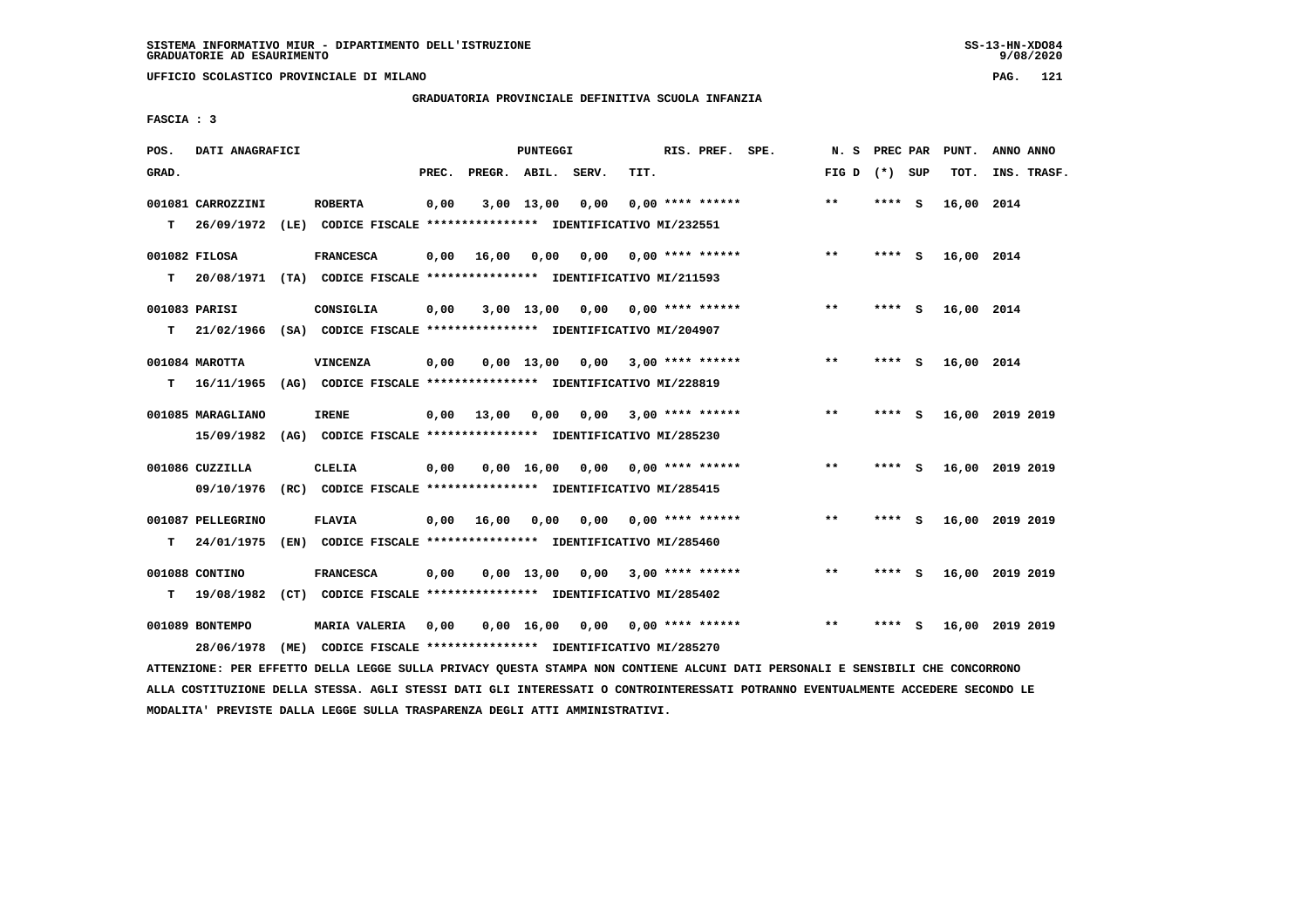**UFFICIO SCOLASTICO PROVINCIALE DI MILANO PAG. 121**

# **GRADUATORIA PROVINCIALE DEFINITIVA SCUOLA INFANZIA**

 **FASCIA : 3**

| POS.  | DATI ANAGRAFICI   |      |                                                               |       |                    | PUNTEGGI     |      |      | RIS. PREF. SPE.         | N.S          | PREC PAR |          | PUNT.      | ANNO ANNO       |  |
|-------|-------------------|------|---------------------------------------------------------------|-------|--------------------|--------------|------|------|-------------------------|--------------|----------|----------|------------|-----------------|--|
| GRAD. |                   |      |                                                               | PREC. | PREGR. ABIL. SERV. |              |      | TIT. |                         | FIG D        | (*) SUP  |          | TOT.       | INS. TRASF.     |  |
|       | 001081 CARROZZINI |      | <b>ROBERTA</b>                                                | 0,00  |                    | 3,00 13,00   | 0,00 |      | $0.00$ **** ******      | $\star\star$ | ****     | - S      | 16,00 2014 |                 |  |
| T.    | 26/09/1972        | (LE) | CODICE FISCALE **************** IDENTIFICATIVO MI/232551      |       |                    |              |      |      |                         |              |          |          |            |                 |  |
|       | 001082 FILOSA     |      | <b>FRANCESCA</b>                                              | 0,00  | 16,00              | 0,00         | 0.00 |      | 0,00 **** ******        | $* *$        | ****     | - S      | 16,00 2014 |                 |  |
| т     | 20/08/1971        |      | (TA) CODICE FISCALE **************** IDENTIFICATIVO MI/211593 |       |                    |              |      |      |                         |              |          |          |            |                 |  |
|       | 001083 PARISI     |      | CONSIGLIA                                                     | 0,00  |                    | 3,00 13,00   |      |      | $0,00$ 0,00 **** ****** | $***$        | ****     | <b>S</b> | 16,00 2014 |                 |  |
| т     | 21/02/1966        |      | (SA) CODICE FISCALE **************** IDENTIFICATIVO MI/204907 |       |                    |              |      |      |                         |              |          |          |            |                 |  |
|       | 001084 MAROTTA    |      | VINCENZA                                                      | 0,00  |                    | $0.00$ 13.00 | 0.00 |      | $3,00$ **** ******      | $* *$        | ****     | - S      | 16,00 2014 |                 |  |
| т     | 16/11/1965        |      | (AG) CODICE FISCALE **************** IDENTIFICATIVO MI/228819 |       |                    |              |      |      |                         |              |          |          |            |                 |  |
|       | 001085 MARAGLIANO |      | <b>IRENE</b>                                                  | 0.00  | 13,00              | 0,00         | 0,00 |      | $3,00$ **** ******      | $***$        | ****     | - S      |            | 16,00 2019 2019 |  |
|       | 15/09/1982        |      | (AG) CODICE FISCALE **************** IDENTIFICATIVO MI/285230 |       |                    |              |      |      |                         |              |          |          |            |                 |  |
|       | 001086 CUZZILLA   |      | <b>CLELIA</b>                                                 | 0,00  |                    | 0.00 16.00   | 0.00 |      | 0,00 **** ******        | $* *$        | ****     | - S      |            | 16,00 2019 2019 |  |
|       | 09/10/1976        |      | (RC) CODICE FISCALE **************** IDENTIFICATIVO MI/285415 |       |                    |              |      |      |                         |              |          |          |            |                 |  |
|       | 001087 PELLEGRINO |      | <b>FLAVIA</b>                                                 | 0.00  | 16,00              | 0.00         | 0,00 |      | 0,00 **** ******        | $* *$        | ****     | - S      |            | 16,00 2019 2019 |  |
| т     | 24/01/1975        |      | (EN) CODICE FISCALE **************** IDENTIFICATIVO MI/285460 |       |                    |              |      |      |                         |              |          |          |            |                 |  |
|       | 001088 CONTINO    |      | <b>FRANCESCA</b>                                              | 0,00  |                    | $0,00$ 13,00 | 0,00 |      | $3,00$ **** ******      | $* *$        | ****     | - 5      |            | 16,00 2019 2019 |  |
| т     | 19/08/1982        |      | (CT) CODICE FISCALE **************** IDENTIFICATIVO MI/285402 |       |                    |              |      |      |                         |              |          |          |            |                 |  |
|       | 001089 BONTEMPO   |      | <b>MARIA VALERIA</b>                                          | 0.00  |                    | 0.00 16.00   | 0.00 |      | $0.00$ **** ******      | $* *$        | ****     | s        |            | 16,00 2019 2019 |  |
|       | 28/06/1978        | (ME) | CODICE FISCALE **************** IDENTIFICATIVO MI/285270      |       |                    |              |      |      |                         |              |          |          |            |                 |  |
|       |                   |      |                                                               |       |                    |              |      |      |                         |              |          |          |            |                 |  |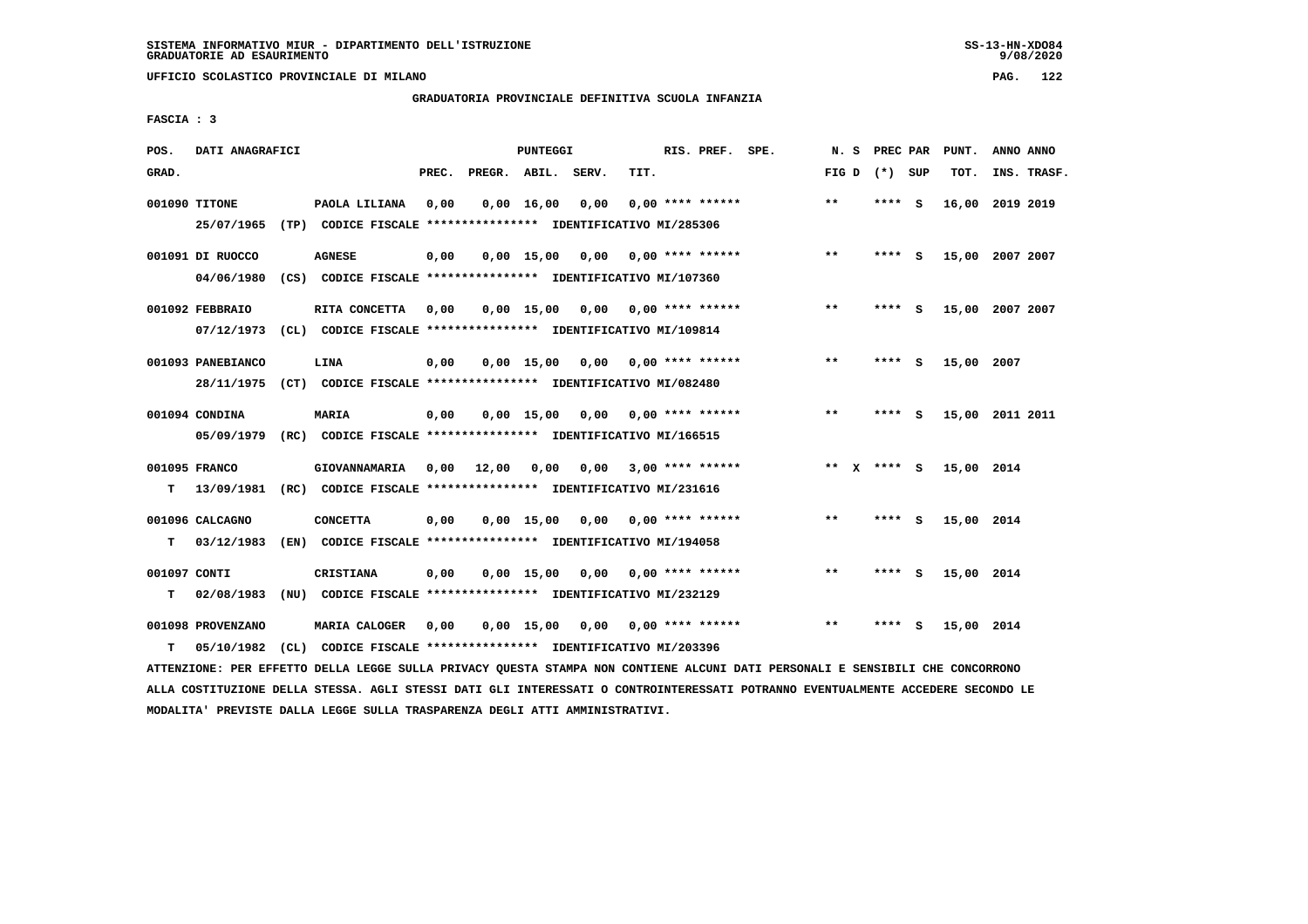**UFFICIO SCOLASTICO PROVINCIALE DI MILANO PAG. 122**

## **GRADUATORIA PROVINCIALE DEFINITIVA SCUOLA INFANZIA**

 **FASCIA : 3**

| POS.              | DATI ANAGRAFICI                               |      |                                                                                                                                        |       |                    | <b>PUNTEGGI</b>    |                                    |      | RIS. PREF. SPE.           | N.S          | PREC PAR        |     | PUNT.           | ANNO ANNO   |  |
|-------------------|-----------------------------------------------|------|----------------------------------------------------------------------------------------------------------------------------------------|-------|--------------------|--------------------|------------------------------------|------|---------------------------|--------------|-----------------|-----|-----------------|-------------|--|
| GRAD.             |                                               |      |                                                                                                                                        | PREC. | PREGR. ABIL. SERV. |                    |                                    | TIT. |                           |              | FIG D $(*)$ SUP |     | TOT.            | INS. TRASF. |  |
|                   | 001090 TITONE<br>25/07/1965                   |      | PAOLA LILIANA<br>(TP) CODICE FISCALE **************** IDENTIFICATIVO MI/285306                                                         | 0.00  |                    | $0,00 \quad 16,00$ | 0,00                               |      | $0.00$ **** ******        | $\star\star$ | $***$ S         |     | 16,00           | 2019 2019   |  |
|                   | 001091 DI RUOCCO<br>04/06/1980                |      | <b>AGNESE</b><br>(CS) CODICE FISCALE **************** IDENTIFICATIVO MI/107360                                                         | 0,00  |                    |                    | $0,00$ 15,00 0,00                  |      | $0.00$ **** ******        | $* *$        | **** S          |     | 15,00 2007 2007 |             |  |
|                   | 001092 FEBBRAIO                               |      | RITA CONCETTA                                                                                                                          | 0,00  |                    | $0,00$ 15,00       | $0,00$ $0,00$ $***$ **** ******    |      |                           | $* *$        | **** S          |     | 15,00 2007 2007 |             |  |
|                   | 07/12/1973<br>001093 PANEBIANCO<br>28/11/1975 |      | (CL) CODICE FISCALE **************** IDENTIFICATIVO MI/109814<br>LINA<br>(CT) CODICE FISCALE **************** IDENTIFICATIVO MI/082480 | 0,00  |                    | $0.00$ 15.00       | 0.00                               |      | 0,00 **** ******          | $***$        | ****            | - S | 15,00 2007      |             |  |
|                   | 001094 CONDINA<br>05/09/1979                  |      | MARIA<br>(RC) CODICE FISCALE **************** IDENTIFICATIVO MI/166515                                                                 | 0,00  |                    | 0.00 15.00         |                                    |      | $0.00$ $0.00$ **** ****** | **           | ****            | - S | 15,00 2011 2011 |             |  |
| т                 | 001095 FRANCO<br>13/09/1981                   |      | GIOVANNAMARIA<br>(RC) CODICE FISCALE **************** IDENTIFICATIVO MI/231616                                                         | 0,00  | 12,00              | 0,00               |                                    |      | $0,00$ 3,00 **** ******   |              | ** $X$ **** S   |     | 15,00 2014      |             |  |
| T.                | 001096 CALCAGNO<br>03/12/1983                 |      | <b>CONCETTA</b><br>(EN) CODICE FISCALE **************** IDENTIFICATIVO MI/194058                                                       | 0,00  |                    | $0.00$ 15.00       | 0.00                               |      | $0.00$ **** ******        | $***$        | ****            | - S | 15,00 2014      |             |  |
| 001097 CONTI<br>т | 02/08/1983                                    | (NU) | <b>CRISTIANA</b><br>CODICE FISCALE **************** IDENTIFICATIVO MI/232129                                                           | 0,00  |                    | $0,00$ 15,00 0,00  |                                    |      | $0.00$ **** ******        | $* *$        | **** S          |     | 15,00 2014      |             |  |
| т                 | 001098 PROVENZANO<br>05/10/1982               |      | <b>MARIA CALOGER</b><br>(CL) CODICE FISCALE **************** IDENTIFICATIVO MI/203396                                                  | 0,00  |                    |                    | $0,00$ 15,00 0,00 0,00 **** ****** |      |                           | $* *$        | ****            | - S | 15,00 2014      |             |  |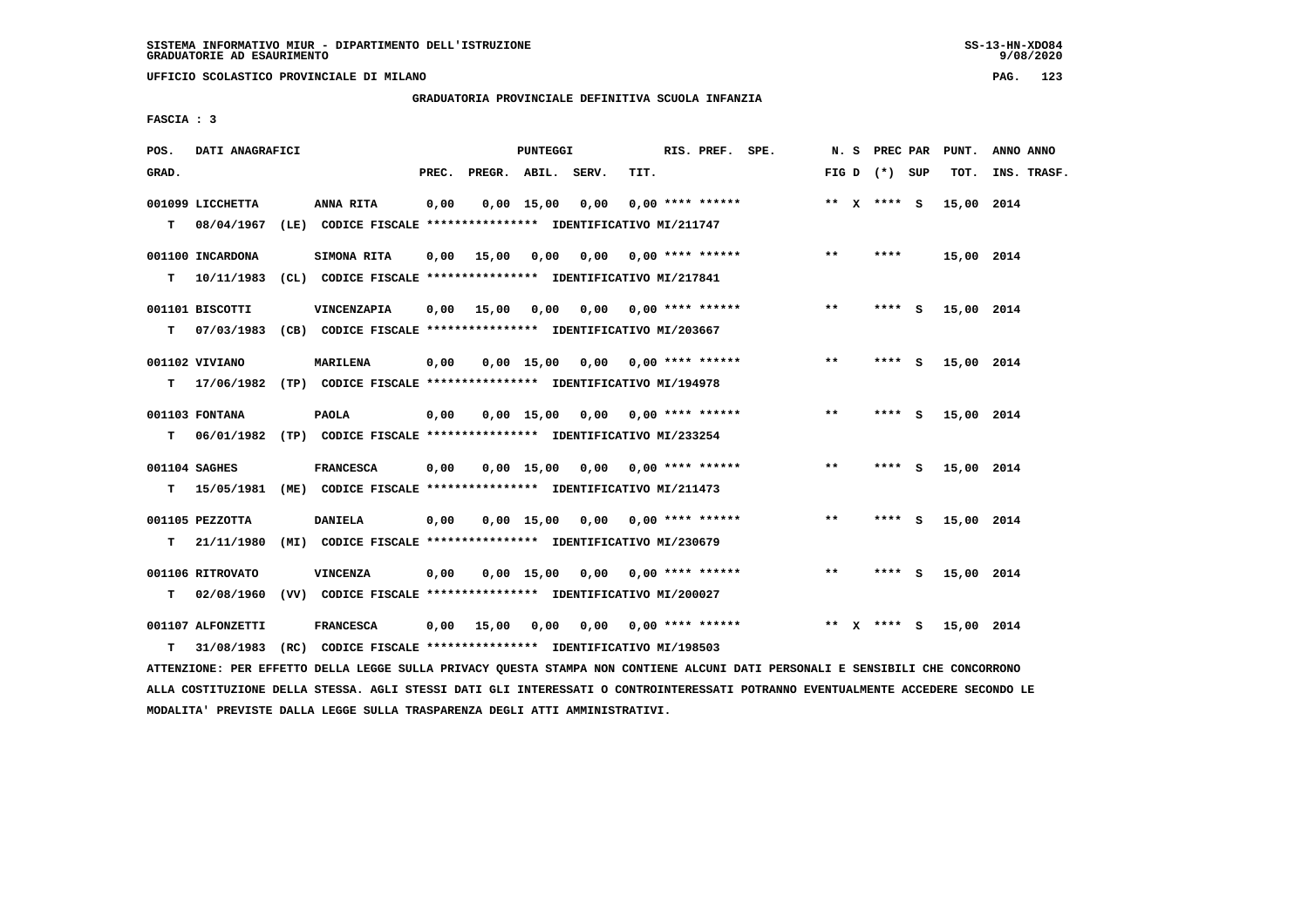**UFFICIO SCOLASTICO PROVINCIALE DI MILANO PAG. 123**

## **GRADUATORIA PROVINCIALE DEFINITIVA SCUOLA INFANZIA**

 **FASCIA : 3**

| POS.  | DATI ANAGRAFICI                 |                                                                                             |       |              | PUNTEGGI     |       |      | RIS. PREF. SPE.           |       |         | N. S PREC PAR   |          | PUNT.      | ANNO ANNO   |
|-------|---------------------------------|---------------------------------------------------------------------------------------------|-------|--------------|--------------|-------|------|---------------------------|-------|---------|-----------------|----------|------------|-------------|
| GRAD. |                                 |                                                                                             | PREC. | PREGR. ABIL. |              | SERV. | TIT. |                           |       |         | FIG D $(*)$ SUP |          | TOT.       | INS. TRASF. |
| T.    | 001099 LICCHETTA<br>08/04/1967  | ANNA RITA<br>(LE) CODICE FISCALE **************** IDENTIFICATIVO MI/211747                  | 0,00  |              | 0.00 15.00   | 0.00  |      | $0.00$ **** ******        |       |         | ** $X$ **** S   |          | 15,00 2014 |             |
| т     | 001100 INCARDONA<br>10/11/1983  | SIMONA RITA<br>(CL) CODICE FISCALE **************** IDENTIFICATIVO MI/217841                | 0,00  | 15,00        | 0,00         | 0,00  |      | $0.00$ **** ******        | $**$  |         | ****            |          | 15,00 2014 |             |
| т     | 001101 BISCOTTI<br>07/03/1983   | VINCENZAPIA<br>(CB) CODICE FISCALE **************** IDENTIFICATIVO MI/203667                | 0,00  | 15,00 0,00   |              |       |      | $0.00$ $0.00$ **** ****** | $***$ |         | **** S          |          | 15,00 2014 |             |
| т     | 001102 VIVIANO                  | <b>MARILENA</b><br>17/06/1982 (TP) CODICE FISCALE **************** IDENTIFICATIVO MI/194978 | 0,00  |              | $0.00$ 15.00 | 0.00  |      | $0.00$ **** ******        | $* *$ |         | ****            | - S      | 15,00 2014 |             |
| т     | 001103 FONTANA                  | <b>PAOLA</b><br>06/01/1982 (TP) CODICE FISCALE *************** IDENTIFICATIVO MI/233254     | 0,00  |              | $0.00$ 15.00 | 0.00  |      | $0.00$ **** ******        | $***$ |         | ****            | <b>S</b> | 15,00 2014 |             |
| T.    | 001104 SAGHES<br>15/05/1981     | <b>FRANCESCA</b><br>(ME) CODICE FISCALE **************** IDENTIFICATIVO MI/211473           | 0,00  |              | $0,00$ 15,00 |       |      | $0,00$ $0,00$ **** ****** | $**$  |         | **** S          |          | 15,00 2014 |             |
| т     | 001105 PEZZOTTA<br>21/11/1980   | <b>DANIELA</b><br>(MI) CODICE FISCALE **************** IDENTIFICATIVO MI/230679             | 0,00  |              | $0.00$ 15.00 | 0,00  |      | $0.00$ **** ******        | $***$ |         | **** S          |          | 15,00 2014 |             |
| т     | 001106 RITROVATO<br>02/08/1960  | <b>VINCENZA</b><br>(VV) CODICE FISCALE **************** IDENTIFICATIVO MI/200027            | 0,00  |              | 0.00 15.00   | 0,00  |      | $0.00$ **** ******        | $* *$ |         | ****            | - S      | 15,00 2014 |             |
| т     | 001107 ALFONZETTI<br>31/08/1983 | <b>FRANCESCA</b><br>(RC) CODICE FISCALE **************** IDENTIFICATIVO MI/198503           | 0,00  | 15,00        | 0,00         |       |      | $0,00$ $0,00$ **** ****** |       | $***$ X | **** S          |          | 15,00 2014 |             |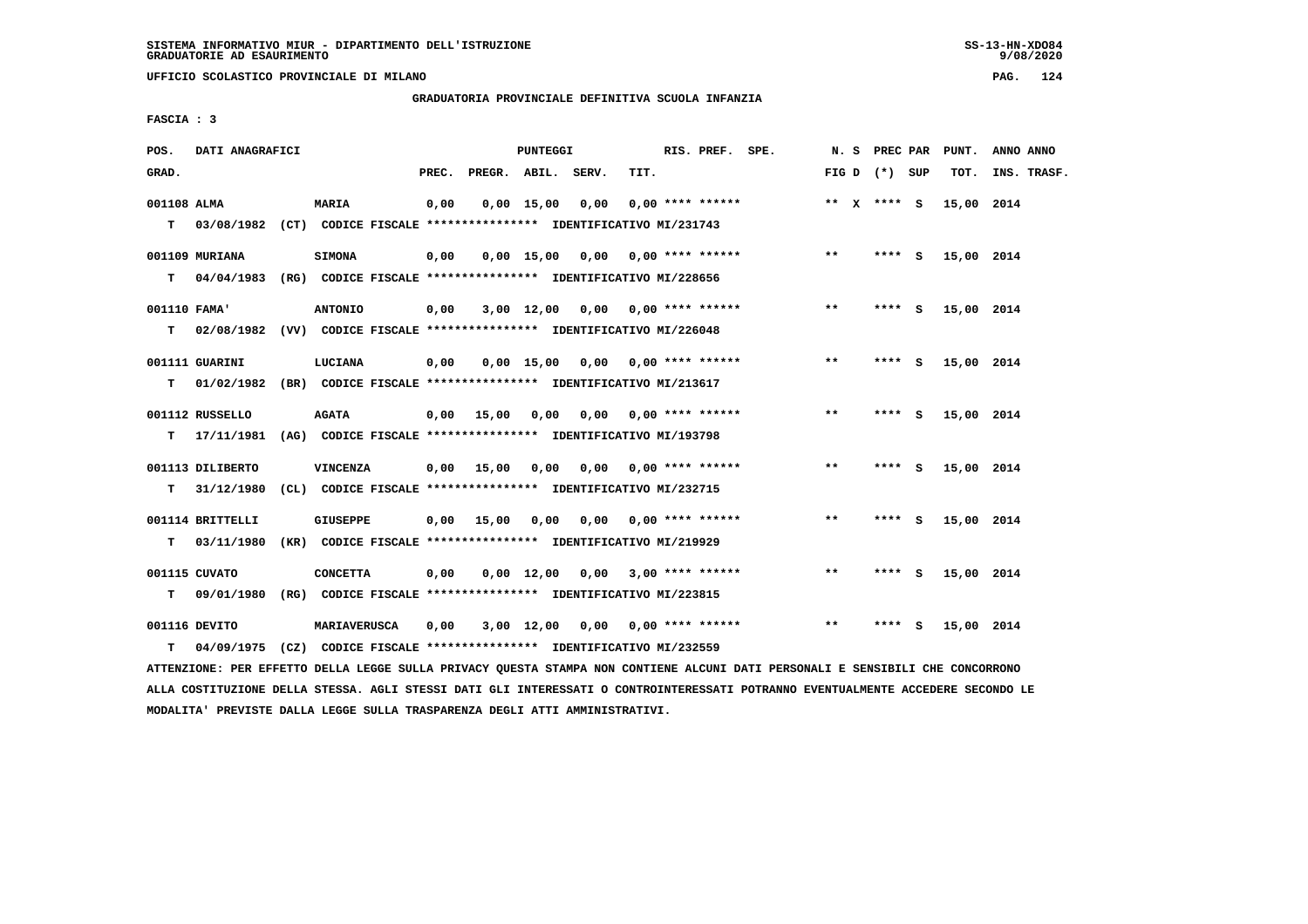**UFFICIO SCOLASTICO PROVINCIALE DI MILANO PAG. 124**

 **GRADUATORIA PROVINCIALE DEFINITIVA SCUOLA INFANZIA**

 **FASCIA : 3**

| POS.         | DATI ANAGRAFICI  |                                                                           |       |                    | PUNTEGGI     |                                    |      | RIS. PREF. SPE.         |       |                 |   | N. S PREC PAR PUNT. | ANNO ANNO   |
|--------------|------------------|---------------------------------------------------------------------------|-------|--------------------|--------------|------------------------------------|------|-------------------------|-------|-----------------|---|---------------------|-------------|
| GRAD.        |                  |                                                                           | PREC. | PREGR. ABIL. SERV. |              |                                    | TIT. |                         |       | FIG D $(*)$ SUP |   | TOT.                | INS. TRASF. |
| 001108 ALMA  |                  | <b>MARIA</b>                                                              | 0,00  |                    | $0,00$ 15,00 | 0,00                               |      | $0.00$ **** ******      |       | ** $X$ **** S   |   | 15,00 2014          |             |
|              |                  | T 03/08/1982 (CT) CODICE FISCALE *************** IDENTIFICATIVO MI/231743 |       |                    |              |                                    |      |                         |       |                 |   |                     |             |
|              | 001109 MURIANA   | <b>SIMONA</b>                                                             | 0,00  |                    |              | $0.00$ 15.00 0.00 0.00 **** ****** |      |                         | $***$ | **** S          |   | 15,00 2014          |             |
| T.           |                  | 04/04/1983 (RG) CODICE FISCALE *************** IDENTIFICATIVO MI/228656   |       |                    |              |                                    |      |                         |       |                 |   |                     |             |
| 001110 FAMA' |                  | <b>ANTONIO</b>                                                            | 0,00  |                    |              | $3,00$ 12,00 0,00 0,00 **** ****** |      |                         | $* *$ | **** S          |   | 15,00 2014          |             |
| т            |                  | 02/08/1982 (VV) CODICE FISCALE **************** IDENTIFICATIVO MI/226048  |       |                    |              |                                    |      |                         |       |                 |   |                     |             |
|              | 001111 GUARINI   | LUCIANA                                                                   | 0,00  |                    | $0.00$ 15.00 |                                    |      |                         | **    | **** S          |   | 15,00 2014          |             |
| т            |                  | 01/02/1982 (BR) CODICE FISCALE **************** IDENTIFICATIVO MI/213617  |       |                    |              |                                    |      |                         |       |                 |   |                     |             |
|              | 001112 RUSSELLO  | <b>AGATA</b>                                                              |       | $0,00$ 15,00       | 0,00         | 0,00                               |      | $0.00$ **** ******      | $***$ | **** S          |   | 15,00 2014          |             |
|              | $T = 17/11/1981$ | (AG) CODICE FISCALE **************** IDENTIFICATIVO MI/193798             |       |                    |              |                                    |      |                         |       |                 |   |                     |             |
|              | 001113 DILIBERTO | <b>VINCENZA</b>                                                           | 0,00  |                    |              | 15,00 0,00 0,00 0,00 **** ******   |      |                         | $***$ | **** S          |   | 15,00 2014          |             |
| т            | 31/12/1980       | (CL) CODICE FISCALE **************** IDENTIFICATIVO MI/232715             |       |                    |              |                                    |      |                         |       |                 |   |                     |             |
|              | 001114 BRITTELLI | <b>GIUSEPPE</b>                                                           | 0,00  | 15,00              | 0,00         |                                    |      | $0,00$ 0,00 **** ****** | **    | **** S          |   | 15,00 2014          |             |
| т            | 03/11/1980       | (KR) CODICE FISCALE **************** IDENTIFICATIVO MI/219929             |       |                    |              |                                    |      |                         |       |                 |   |                     |             |
|              |                  |                                                                           |       |                    |              |                                    |      |                         |       |                 |   |                     |             |
|              | 001115 CUVATO    | <b>CONCETTA</b>                                                           | 0,00  |                    |              | $0.00$ 12.00 0.00 3.00 **** ****** |      |                         | **    | **** S          |   | 15,00 2014          |             |
| т            | 09/01/1980       | (RG) CODICE FISCALE **************** IDENTIFICATIVO MI/223815             |       |                    |              |                                    |      |                         |       |                 |   |                     |             |
|              | 001116 DEVITO    | <b>MARIAVERUSCA</b>                                                       | 0,00  |                    | 3,00 12,00   | 0.00                               |      | $0.00$ **** ******      | $***$ | ****            | ్ | 15,00 2014          |             |
| т            |                  | 04/09/1975 (CZ) CODICE FISCALE **************** IDENTIFICATIVO MI/232559  |       |                    |              |                                    |      |                         |       |                 |   |                     |             |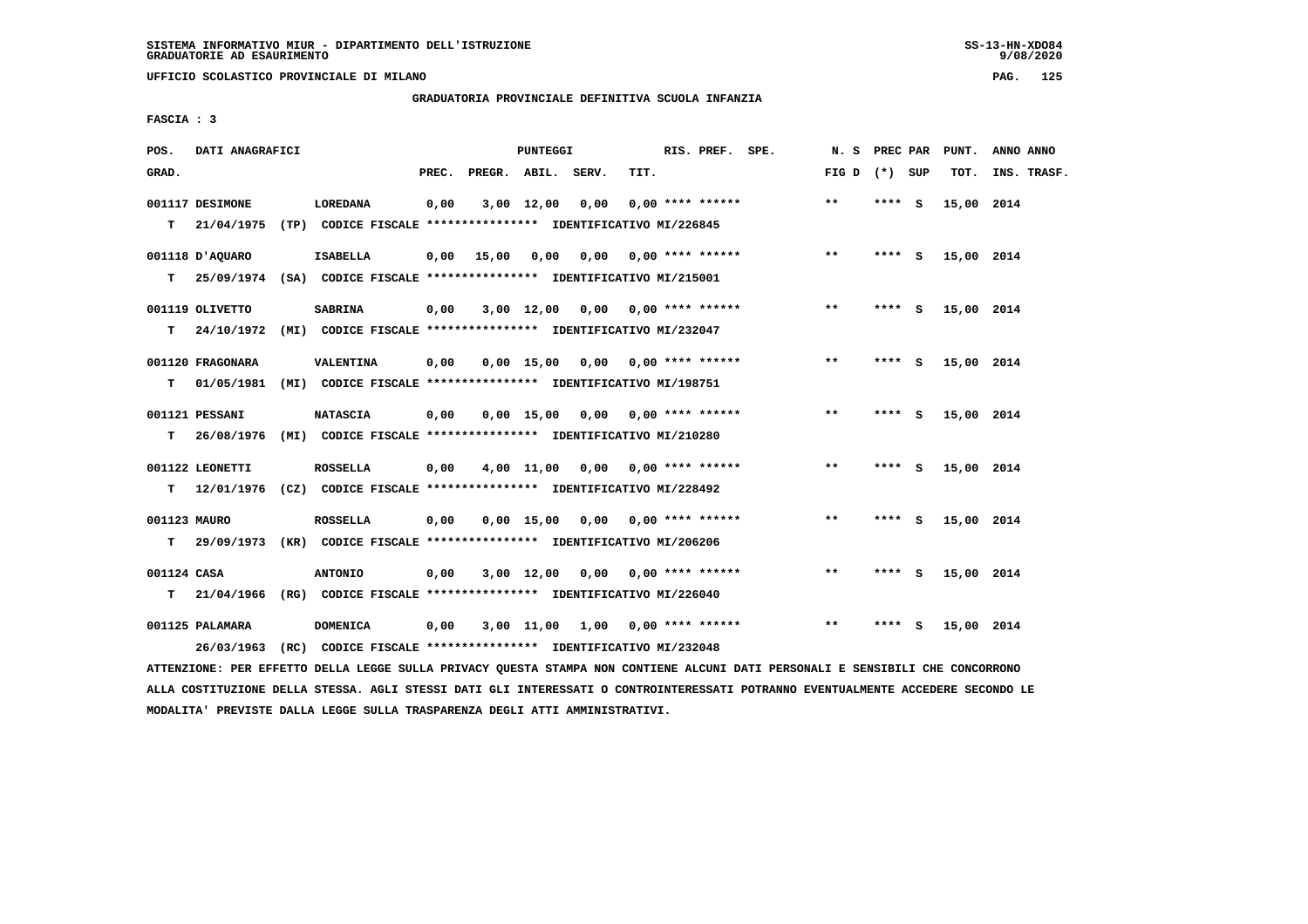**UFFICIO SCOLASTICO PROVINCIALE DI MILANO PAG. 125**

## **GRADUATORIA PROVINCIALE DEFINITIVA SCUOLA INFANZIA**

 **FASCIA : 3**

| POS.         | DATI ANAGRAFICI  |                                                                          |       |                    | PUNTEGGI       |                                    |      | RIS. PREF. SPE.           | N.S             |          |          | PREC PAR PUNT. | ANNO ANNO   |
|--------------|------------------|--------------------------------------------------------------------------|-------|--------------------|----------------|------------------------------------|------|---------------------------|-----------------|----------|----------|----------------|-------------|
| GRAD.        |                  |                                                                          | PREC. | PREGR. ABIL. SERV. |                |                                    | TIT. |                           | FIG D $(*)$ SUP |          |          | TOT.           | INS. TRASF. |
|              | 001117 DESIMONE  | LOREDANA                                                                 | 0,00  |                    | $3,00$ $12,00$ | 0,00                               |      | $0.00$ **** ******        | $***$           | **** S   |          | 15,00 2014     |             |
| т            | 21/04/1975       | (TP) CODICE FISCALE **************** IDENTIFICATIVO MI/226845            |       |                    |                |                                    |      |                           |                 |          |          |                |             |
|              | 001118 D'AOUARO  | <b>ISABELLA</b>                                                          | 0,00  | 15,00              | 0,00           |                                    |      | $0.00$ $0.00$ **** ****** | $***$           | **** S   |          | 15,00 2014     |             |
| т            |                  | 25/09/1974 (SA) CODICE FISCALE **************** IDENTIFICATIVO MI/215001 |       |                    |                |                                    |      |                           |                 |          |          |                |             |
|              | 001119 OLIVETTO  | <b>SABRINA</b>                                                           | 0,00  |                    |                | $3,00$ 12,00 0,00 0,00 **** ****** |      |                           | $***$           | ****     | <b>S</b> | 15,00 2014     |             |
| т            | 24/10/1972       | (MI) CODICE FISCALE **************** IDENTIFICATIVO MI/232047            |       |                    |                |                                    |      |                           |                 |          |          |                |             |
|              | 001120 FRAGONARA | VALENTINA                                                                | 0,00  |                    | 0,00 15,00     |                                    |      | $0,00$ $0,00$ **** ****** | $***$           | ****     | <b>S</b> | 15,00 2014     |             |
| т            | 01/05/1981       | (MI) CODICE FISCALE **************** IDENTIFICATIVO MI/198751            |       |                    |                |                                    |      |                           |                 |          |          |                |             |
|              | 001121 PESSANI   | <b>NATASCIA</b>                                                          | 0,00  |                    | 0,00 15,00     |                                    |      | $0,00$ $0,00$ **** ****** | $***$           | **** $S$ |          | 15,00 2014     |             |
| т            | 26/08/1976       | (MI) CODICE FISCALE *************** IDENTIFICATIVO MI/210280             |       |                    |                |                                    |      |                           |                 |          |          |                |             |
|              | 001122 LEONETTI  | <b>ROSSELLA</b>                                                          | 0,00  |                    |                | $4,00$ 11,00 0,00 0,00 **** ****** |      |                           | $***$           | $***$ S  |          | 15,00 2014     |             |
| т            | 12/01/1976       | (CZ) CODICE FISCALE **************** IDENTIFICATIVO MI/228492            |       |                    |                |                                    |      |                           |                 |          |          |                |             |
| 001123 MAURO |                  | <b>ROSSELLA</b>                                                          | 0,00  |                    |                | $0.00$ 15,00 0.00 0.00 **** ****** |      |                           | $***$           | $***$ S  |          | 15,00 2014     |             |
| т            |                  | 29/09/1973 (KR) CODICE FISCALE **************** IDENTIFICATIVO MI/206206 |       |                    |                |                                    |      |                           |                 |          |          |                |             |
| 001124 CASA  |                  | <b>ANTONIO</b>                                                           | 0,00  |                    |                | $3,00$ 12,00 0,00 0,00 **** ****** |      |                           | $**$            | $***$ S  |          | 15,00 2014     |             |
| т            |                  | 21/04/1966 (RG) CODICE FISCALE *************** IDENTIFICATIVO MI/226040  |       |                    |                |                                    |      |                           |                 |          |          |                |             |
|              |                  |                                                                          |       |                    |                |                                    |      |                           |                 |          |          |                |             |
|              | 001125 PALAMARA  | <b>DOMENICA</b>                                                          | 0,00  |                    |                | $3,00$ 11,00 1,00 0,00 **** ****** |      |                           | $* *$           | ****     | - S      | 15,00 2014     |             |
|              | 26/03/1963       | (RC) CODICE FISCALE **************** IDENTIFICATIVO MI/232048            |       |                    |                |                                    |      |                           |                 |          |          |                |             |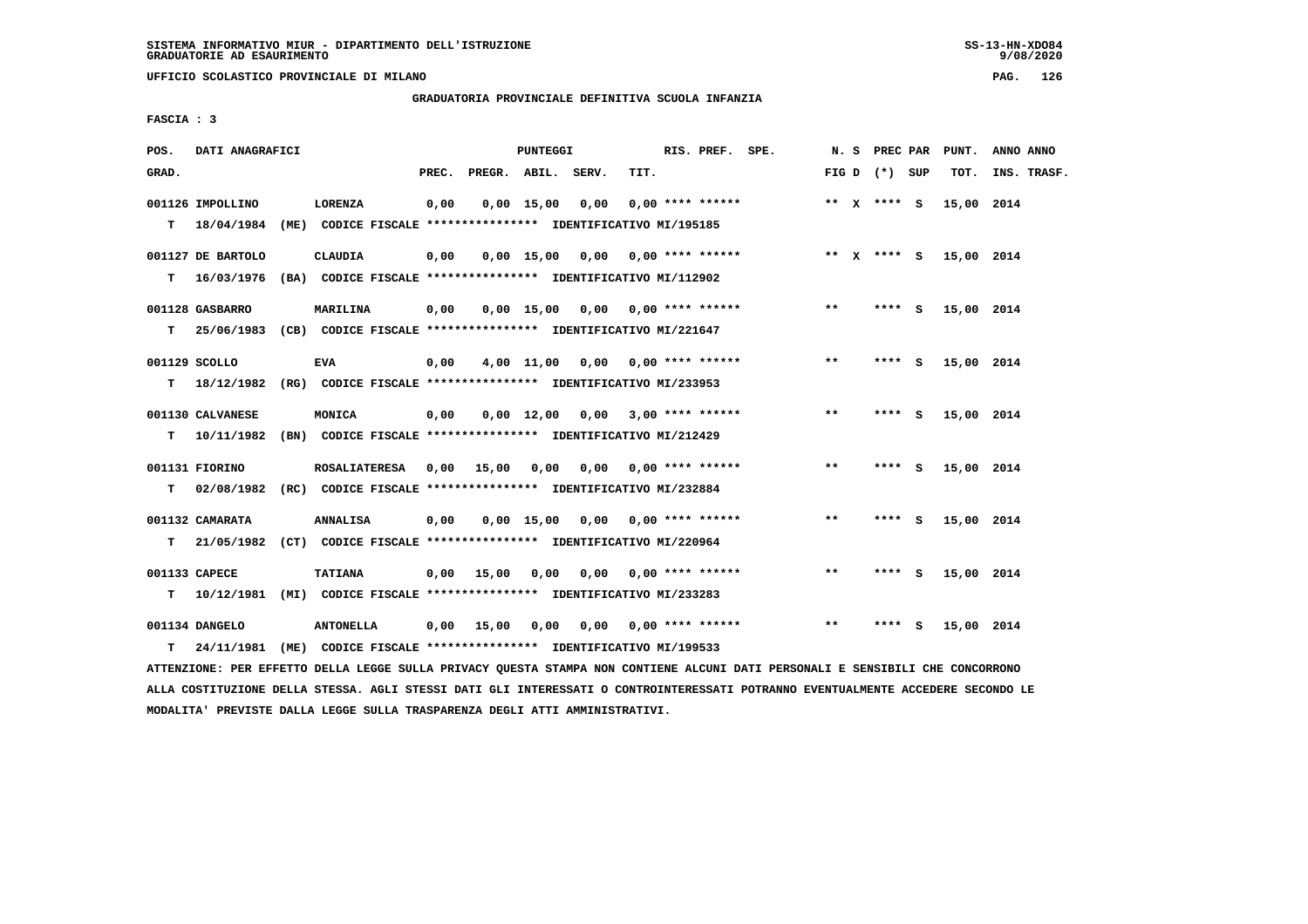**UFFICIO SCOLASTICO PROVINCIALE DI MILANO PAG. 126**

# **GRADUATORIA PROVINCIALE DEFINITIVA SCUOLA INFANZIA**

 **FASCIA : 3**

| POS.  | DATI ANAGRAFICI                     |                                                                                            |       |                    | <b>PUNTEGGI</b>    |                                        |      | RIS. PREF. SPE.         |       | N. S PREC PAR   | PUNT.      | ANNO ANNO   |
|-------|-------------------------------------|--------------------------------------------------------------------------------------------|-------|--------------------|--------------------|----------------------------------------|------|-------------------------|-------|-----------------|------------|-------------|
| GRAD. |                                     |                                                                                            | PREC. | PREGR. ABIL. SERV. |                    |                                        | TIT. |                         |       | FIG D $(*)$ SUP | TOT.       | INS. TRASF. |
|       | 001126 IMPOLLINO<br>T 18/04/1984    | LORENZA<br>(ME) CODICE FISCALE **************** IDENTIFICATIVO MI/195185                   | 0,00  |                    | 0.00 15.00         | 0.00                                   |      | $0.00$ **** ******      |       | ** $X$ **** S   | 15,00 2014 |             |
| т     | 001127 DE BARTOLO<br>16/03/1976     | CLAUDIA<br>(BA) CODICE FISCALE **************** IDENTIFICATIVO MI/112902                   | 0,00  |                    |                    | $0,00$ 15,00 0,00                      |      | $0.00$ **** ******      |       | ** $X$ **** S   | 15,00 2014 |             |
|       | 001128 GASBARRO<br>$T = 25/06/1983$ | <b>MARILINA</b><br>(CB) CODICE FISCALE **************** IDENTIFICATIVO MI/221647           | 0,00  |                    |                    | $0,00$ 15,00 0,00 0,00 **** ******     |      |                         | $* *$ | $***$ S         | 15,00 2014 |             |
| T.    | 001129 SCOLLO                       | <b>EVA</b><br>18/12/1982 (RG) CODICE FISCALE *************** IDENTIFICATIVO MI/233953      | 0,00  |                    |                    | $4,00$ 11,00 0,00 0,00 **** ******     |      |                         | $***$ | **** S          | 15,00 2014 |             |
| т     | 001130 CALVANESE<br>10/11/1982      | MONICA<br>(BN) CODICE FISCALE **************** IDENTIFICATIVO MI/212429                    | 0,00  |                    | $0.00 \quad 12.00$ |                                        |      | $0.00$ 3,00 **** ****** | **    | **** S          | 15,00 2014 |             |
| т     | 001131 FIORINO<br>02/08/1982        | ROSALIATERESA 0,00<br>(RC) CODICE FISCALE **************** IDENTIFICATIVO MI/232884        |       | 15,00              | 0,00               |                                        |      | 0,00 0,00 **** ******   | $* *$ | $***5$          | 15,00 2014 |             |
| T.    | 001132 CAMARATA<br>21/05/1982       | <b>ANNALISA</b><br>(CT) CODICE FISCALE **************** IDENTIFICATIVO MI/220964           | 0,00  |                    |                    | 0,00 15,00 0,00                        |      | $0.00$ **** ******      | $***$ | **** $S$        | 15,00 2014 |             |
| т     | 001133 CAPECE                       | <b>TATIANA</b><br>10/12/1981 (MI) CODICE FISCALE **************** IDENTIFICATIVO MI/233283 | 0,00  | 15,00              | 0.00               | 0,00                                   |      | $0.00$ **** ******      | $**$  | **** S          | 15,00 2014 |             |
| т     | 001134 DANGELO<br>24/11/1981        | <b>ANTONELLA</b><br>(ME) CODICE FISCALE **************** IDENTIFICATIVO MI/199533          | 0,00  | 15,00              |                    | $0,00$ $0,00$ $0,00$ $***$ $***$ $***$ |      |                         | $* *$ | **** S          | 15,00 2014 |             |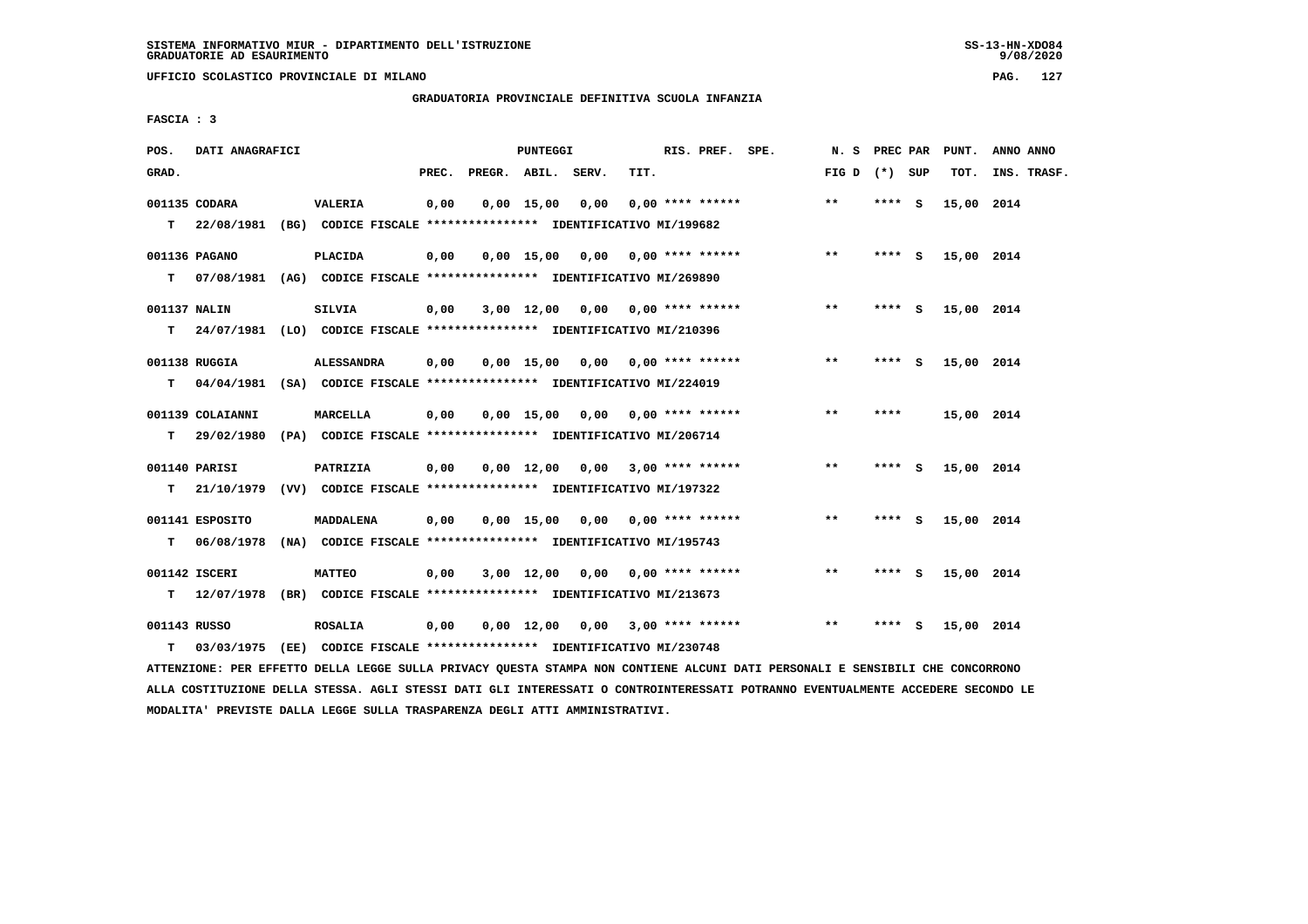**UFFICIO SCOLASTICO PROVINCIALE DI MILANO PAG. 127**

# **GRADUATORIA PROVINCIALE DEFINITIVA SCUOLA INFANZIA**

 **FASCIA : 3**

| POS.         | DATI ANAGRAFICI  |                                                                           |       |                    | <b>PUNTEGGI</b> |                                    |      | RIS. PREF. SPE.    | N. S PREC PAR   |         |     | PUNT.      | ANNO ANNO   |
|--------------|------------------|---------------------------------------------------------------------------|-------|--------------------|-----------------|------------------------------------|------|--------------------|-----------------|---------|-----|------------|-------------|
| GRAD.        |                  |                                                                           | PREC. | PREGR. ABIL. SERV. |                 |                                    | TIT. |                    | FIG D $(*)$ SUP |         |     | TOT.       | INS. TRASF. |
|              | 001135 CODARA    | <b>VALERIA</b>                                                            | 0,00  |                    | $0,00$ 15,00    | 0,00                               |      | $0.00$ **** ****** | **              | **** S  |     | 15,00 2014 |             |
|              |                  | T 22/08/1981 (BG) CODICE FISCALE *************** IDENTIFICATIVO MI/199682 |       |                    |                 |                                    |      |                    |                 |         |     |            |             |
|              | 001136 PAGANO    | <b>PLACIDA</b>                                                            | 0,00  |                    |                 | $0,00$ 15,00 0,00 0,00 **** ****** |      |                    | $***$           | $***$ S |     | 15,00 2014 |             |
|              |                  | T 07/08/1981 (AG) CODICE FISCALE *************** IDENTIFICATIVO MI/269890 |       |                    |                 |                                    |      |                    |                 |         |     |            |             |
| 001137 NALIN |                  | SILVIA                                                                    | 0,00  |                    |                 | $3,00$ 12,00 0,00 0,00 **** ****** |      |                    | $***$           | **** S  |     | 15,00 2014 |             |
| т            |                  | 24/07/1981 (LO) CODICE FISCALE *************** IDENTIFICATIVO MI/210396   |       |                    |                 |                                    |      |                    |                 |         |     |            |             |
|              | 001138 RUGGIA    | <b>ALESSANDRA</b>                                                         | 0,00  |                    |                 | $0.00$ 15.00 0.00 0.00 **** ****** |      |                    | **              | **** S  |     | 15,00 2014 |             |
| т            |                  | 04/04/1981 (SA) CODICE FISCALE *************** IDENTIFICATIVO MI/224019   |       |                    |                 |                                    |      |                    |                 |         |     |            |             |
|              | 001139 COLAIANNI | MARCELLA                                                                  | 0,00  |                    |                 | 0,00 15,00 0,00 0,00 **** ******   |      |                    | $***$           | ****    |     | 15,00 2014 |             |
| T.           | 29/02/1980       | (PA) CODICE FISCALE **************** IDENTIFICATIVO MI/206714             |       |                    |                 |                                    |      |                    |                 |         |     |            |             |
|              | 001140 PARISI    | PATRIZIA                                                                  | 0,00  |                    |                 | $0,00$ 12,00 0,00 3,00 **** ****** |      |                    | $***$           | **** S  |     | 15,00 2014 |             |
|              |                  | T 21/10/1979 (VV) CODICE FISCALE *************** IDENTIFICATIVO MI/197322 |       |                    |                 |                                    |      |                    |                 |         |     |            |             |
|              | 001141 ESPOSITO  | MADDALENA                                                                 | 0,00  |                    |                 | $0,00$ 15,00 0,00 0,00 **** ****** |      |                    | $***$           | $***$ S |     | 15,00 2014 |             |
| T.           | 06/08/1978       | (NA) CODICE FISCALE **************** IDENTIFICATIVO MI/195743             |       |                    |                 |                                    |      |                    |                 |         |     |            |             |
|              | 001142 ISCERI    | <b>MATTEO</b>                                                             | 0,00  |                    |                 | $3,00$ 12,00 0,00 0,00 **** ****** |      |                    | $***$           | **** S  |     | 15,00 2014 |             |
|              |                  | T 12/07/1978 (BR) CODICE FISCALE *************** IDENTIFICATIVO MI/213673 |       |                    |                 |                                    |      |                    |                 |         |     |            |             |
| 001143 RUSSO |                  | <b>ROSALIA</b>                                                            | 0,00  |                    |                 | $0,00$ 12,00 0,00 3,00 **** ****** |      |                    | $* *$           | ****    | - S | 15,00 2014 |             |
| т            | 03/03/1975       | (EE) CODICE FISCALE **************** IDENTIFICATIVO MI/230748             |       |                    |                 |                                    |      |                    |                 |         |     |            |             |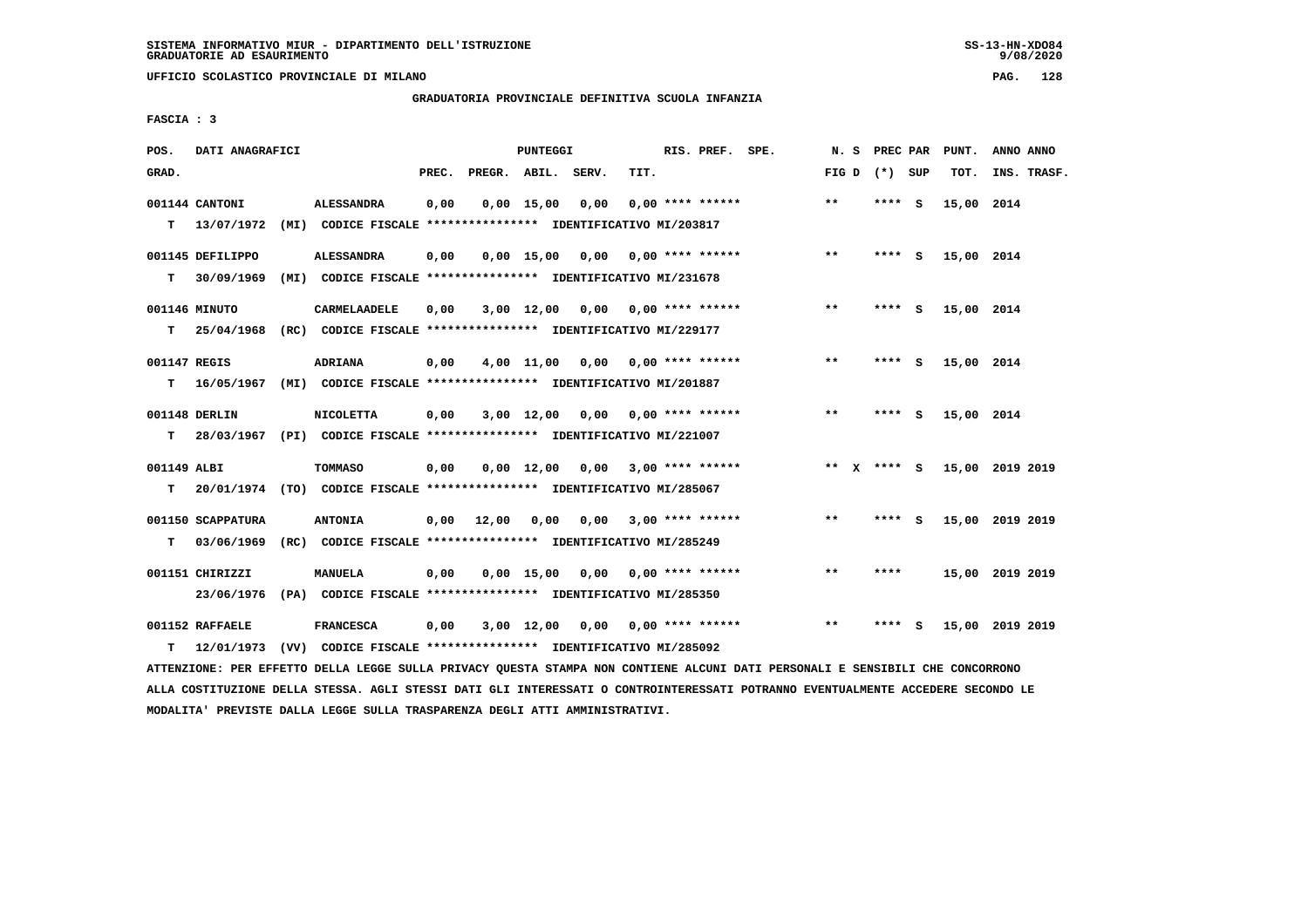**UFFICIO SCOLASTICO PROVINCIALE DI MILANO PAG. 128**

 **GRADUATORIA PROVINCIALE DEFINITIVA SCUOLA INFANZIA**

 **FASCIA : 3**

| POS.         | DATI ANAGRAFICI               |                                                                                   |       |                    | PUNTEGGI     |                                    |      | RIS. PREF. SPE.           | N.S          | PREC PAR        |     | PUNT.      | ANNO ANNO       |
|--------------|-------------------------------|-----------------------------------------------------------------------------------|-------|--------------------|--------------|------------------------------------|------|---------------------------|--------------|-----------------|-----|------------|-----------------|
| GRAD.        |                               |                                                                                   | PREC. | PREGR. ABIL. SERV. |              |                                    | TIT. |                           |              | FIG D $(*)$ SUP |     | TOT.       | INS. TRASF.     |
|              | 001144 CANTONI                | <b>ALESSANDRA</b>                                                                 | 0,00  |                    | $0,00$ 15,00 | 0,00                               |      | $0.00$ **** ******        | **           | **** S          |     | 15,00 2014 |                 |
|              | T 13/07/1972                  | (MI) CODICE FISCALE **************** IDENTIFICATIVO MI/203817                     |       |                    |              |                                    |      |                           |              |                 |     |            |                 |
|              | 001145 DEFILIPPO              | <b>ALESSANDRA</b>                                                                 | 0,00  |                    | $0.00$ 15.00 | 0,00                               |      | 0,00 **** ******          | $**$         | $***$ S         |     | 15,00 2014 |                 |
| т            | 30/09/1969                    | (MI) CODICE FISCALE **************** IDENTIFICATIVO MI/231678                     |       |                    |              |                                    |      |                           |              |                 |     |            |                 |
|              | 001146 MINUTO                 | CARMELAADELE                                                                      | 0,00  |                    | $3,00$ 12,00 |                                    |      | $0,00$ $0,00$ **** ****** | $* *$        | **** S          |     | 15,00 2014 |                 |
| т            | 25/04/1968                    | (RC) CODICE FISCALE **************** IDENTIFICATIVO MI/229177                     |       |                    |              |                                    |      |                           |              |                 |     |            |                 |
| 001147 REGIS |                               | <b>ADRIANA</b>                                                                    | 0,00  |                    | $4,00$ 11,00 | 0,00                               |      | $0.00$ **** ******        | $* *$        | **** S          |     | 15,00 2014 |                 |
| т            | 16/05/1967                    | (MI) CODICE FISCALE **************** IDENTIFICATIVO MI/201887                     |       |                    |              |                                    |      |                           |              |                 |     |            |                 |
|              | 001148 DERLIN                 | <b>NICOLETTA</b>                                                                  | 0,00  |                    |              | 3,00 12,00 0,00                    |      | $0.00$ **** ******        | $* *$        | **** S          |     | 15,00 2014 |                 |
| T.           |                               | 28/03/1967 (PI) CODICE FISCALE **************** IDENTIFICATIVO MI/221007          |       |                    |              |                                    |      |                           |              |                 |     |            |                 |
| 001149 ALBI  |                               | <b>TOMMASO</b>                                                                    | 0,00  |                    |              | $0,00$ 12,00 0,00 3,00 **** ****** |      |                           |              | ** x **** S     |     |            | 15,00 2019 2019 |
| т            |                               | 20/01/1974 (TO) CODICE FISCALE *************** IDENTIFICATIVO MI/285067           |       |                    |              |                                    |      |                           |              |                 |     |            |                 |
|              | 001150 SCAPPATURA             | <b>ANTONIA</b>                                                                    | 0,00  | 12,00              | 0,00         |                                    |      | $0,00$ 3,00 **** ******   | $***$        | **** S          |     |            | 15,00 2019 2019 |
| т            | 03/06/1969                    | (RC) CODICE FISCALE **************** IDENTIFICATIVO MI/285249                     |       |                    |              |                                    |      |                           |              |                 |     |            |                 |
|              | 001151 CHIRIZZI               | MANUELA                                                                           | 0,00  |                    | $0.00$ 15.00 |                                    |      | $0.00$ $0.00$ **** ****** | $* *$        | ****            |     |            | 15,00 2019 2019 |
|              | 23/06/1976                    | (PA) CODICE FISCALE **************** IDENTIFICATIVO MI/285350                     |       |                    |              |                                    |      |                           |              |                 |     |            |                 |
| т            | 001152 RAFFAELE<br>12/01/1973 | <b>FRANCESCA</b><br>(VV) CODICE FISCALE **************** IDENTIFICATIVO MI/285092 | 0,00  |                    | 3,00 12,00   | 0,00                               |      | $0.00$ **** ******        | $\star\star$ | ****            | - S | 15,00      | 2019 2019       |
|              |                               |                                                                                   |       |                    |              |                                    |      |                           |              |                 |     |            |                 |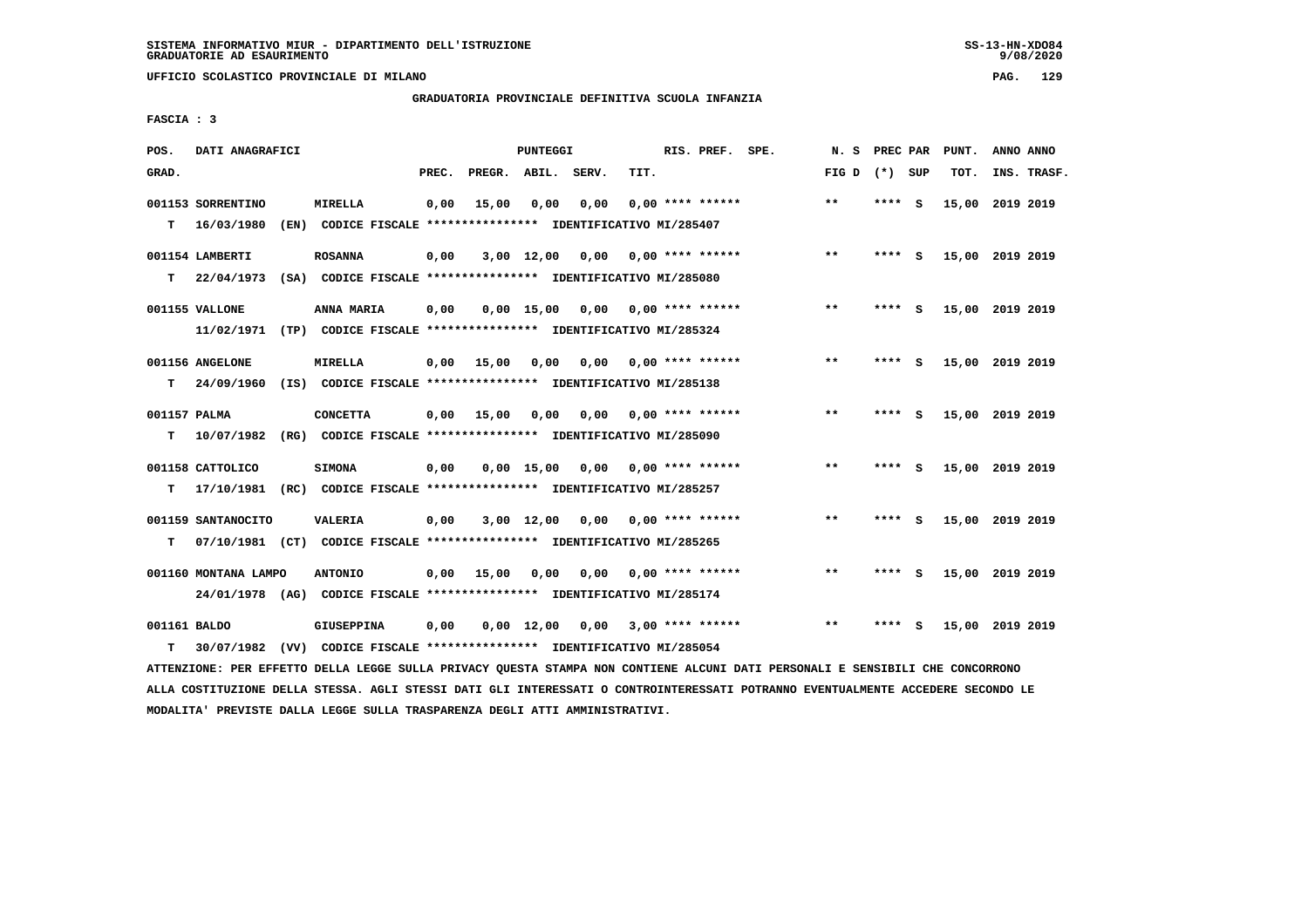**UFFICIO SCOLASTICO PROVINCIALE DI MILANO PAG. 129**

# **GRADUATORIA PROVINCIALE DEFINITIVA SCUOLA INFANZIA**

 **FASCIA : 3**

| POS.              | DATI ANAGRAFICI                 |      |                                                                                           |       |                    | PUNTEGGI           |      |      | RIS. PREF. SPE.    | N.S   | PREC PAR |          | PUNT.           | ANNO ANNO |             |
|-------------------|---------------------------------|------|-------------------------------------------------------------------------------------------|-------|--------------------|--------------------|------|------|--------------------|-------|----------|----------|-----------------|-----------|-------------|
| GRAD.             |                                 |      |                                                                                           | PREC. | PREGR. ABIL. SERV. |                    |      | TIT. |                    | FIG D | (*) SUP  |          | TOT.            |           | INS. TRASF. |
| т                 | 001153 SORRENTINO<br>16/03/1980 | (EN) | <b>MIRELLA</b><br>CODICE FISCALE **************** IDENTIFICATIVO MI/285407                | 0,00  | 15,00              | 0,00               | 0,00 |      | $0.00$ **** ****** | $* *$ | ****     | - S      | 15,00           | 2019 2019 |             |
|                   | 001154 LAMBERTI                 |      | <b>ROSANNA</b>                                                                            | 0,00  |                    | $3,00$ 12,00       | 0,00 |      | $0.00$ **** ****** | $***$ | ****     | <b>S</b> | 15,00 2019 2019 |           |             |
| т                 | 22/04/1973<br>001155 VALLONE    |      | (SA) CODICE FISCALE **************** IDENTIFICATIVO MI/285080<br>ANNA MARIA               | 0,00  |                    | 0.00 15.00         | 0,00 |      | 0,00 **** ******   | $***$ | ****     | S.       | 15,00 2019 2019 |           |             |
|                   | 11/02/1971<br>001156 ANGELONE   |      | (TP) CODICE FISCALE **************** IDENTIFICATIVO MI/285324<br>MIRELLA                  | 0,00  | 15,00              | 0,00               | 0,00 |      | $0.00$ **** ****** | **    | ****     | - S      | 15,00 2019 2019 |           |             |
| T.                | 24/09/1960                      |      | (IS) CODICE FISCALE **************** IDENTIFICATIVO MI/285138                             |       |                    |                    |      |      |                    |       |          |          |                 |           |             |
| 001157 PALMA<br>т | 10/07/1982                      |      | <b>CONCETTA</b><br>(RG) CODICE FISCALE **************** IDENTIFICATIVO MI/285090          | 0,00  | 15,00              | 0,00               | 0.00 |      | 0.00 **** ******   | $* *$ | ****     | <b>S</b> | 15,00 2019 2019 |           |             |
| т                 | 001158 CATTOLICO<br>17/10/1981  |      | <b>SIMONA</b><br>(RC) CODICE FISCALE **************** IDENTIFICATIVO MI/285257            | 0,00  |                    | $0,00$ 15,00       | 0,00 |      | $0.00$ **** ****** | $* *$ | ****     | s        | 15,00           | 2019 2019 |             |
|                   | 001159 SANTANOCITO              |      | <b>VALERIA</b>                                                                            | 0,00  |                    | $3,00$ 12,00       | 0,00 |      | 0,00 **** ******   | $***$ | ****     | - S      | 15,00 2019 2019 |           |             |
| т                 | 001160 MONTANA LAMPO            |      | 07/10/1981 (CT) CODICE FISCALE *************** IDENTIFICATIVO MI/285265<br><b>ANTONIO</b> | 0,00  | 15,00              | 0,00               | 0.00 |      | 0,00 **** ******   | $***$ | ****     | - S      | 15,00 2019 2019 |           |             |
|                   | 24/01/1978 (AG)                 |      | CODICE FISCALE **************** IDENTIFICATIVO MI/285174                                  |       |                    |                    |      |      |                    |       |          |          |                 |           |             |
| 001161 BALDO      |                                 |      | <b>GIUSEPPINA</b>                                                                         | 0,00  |                    | $0.00 \quad 12.00$ | 0.00 |      | $3,00$ **** ****** | $* *$ |          | - S      | 15,00           | 2019 2019 |             |
| т                 | 30/07/1982                      |      | (VV) CODICE FISCALE **************** IDENTIFICATIVO MI/285054                             |       |                    |                    |      |      |                    |       |          |          |                 |           |             |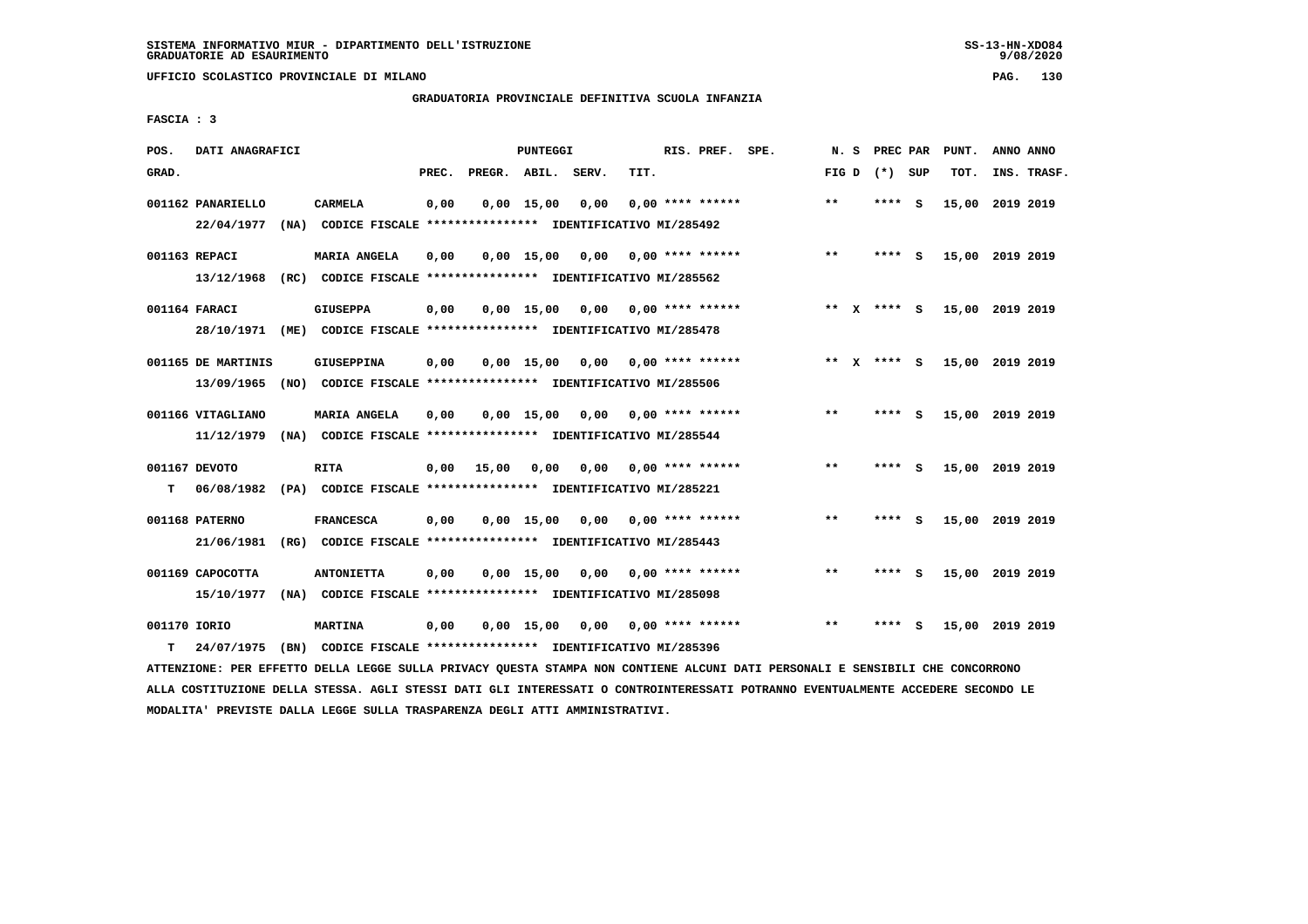**UFFICIO SCOLASTICO PROVINCIALE DI MILANO PAG. 130**

## **GRADUATORIA PROVINCIALE DEFINITIVA SCUOLA INFANZIA**

 **FASCIA : 3**

| POS.         | DATI ANAGRAFICI    |      |                                                               |       |                    | PUNTEGGI           |      |      | RIS. PREF. SPE.    | N.S   | PREC PAR    |          | PUNT.           | ANNO ANNO |             |
|--------------|--------------------|------|---------------------------------------------------------------|-------|--------------------|--------------------|------|------|--------------------|-------|-------------|----------|-----------------|-----------|-------------|
| GRAD.        |                    |      |                                                               | PREC. | PREGR. ABIL. SERV. |                    |      | TIT. |                    | FIG D | (*) SUP     |          | TOT.            |           | INS. TRASF. |
|              | 001162 PANARIELLO  |      | <b>CARMELA</b>                                                | 0,00  |                    | $0,00$ 15,00       | 0,00 |      | $0.00$ **** ****** | $***$ | ****        | <b>S</b> | 15,00           | 2019 2019 |             |
|              | 22/04/1977         | (NA) | CODICE FISCALE **************** IDENTIFICATIVO MI/285492      |       |                    |                    |      |      |                    |       |             |          |                 |           |             |
|              | 001163 REPACI      |      | <b>MARIA ANGELA</b>                                           | 0,00  |                    | $0,00 \quad 15,00$ | 0,00 |      | $0.00$ **** ****** | $**$  | ****        | <b>S</b> | 15,00 2019 2019 |           |             |
|              | 13/12/1968         |      | (RC) CODICE FISCALE **************** IDENTIFICATIVO MI/285562 |       |                    |                    |      |      |                    |       |             |          |                 |           |             |
|              | 001164 FARACI      |      | <b>GIUSEPPA</b>                                               | 0,00  |                    | $0,00$ 15,00       | 0,00 |      | $0.00$ **** ****** |       | ** x **** S |          | 15,00 2019 2019 |           |             |
|              | 28/10/1971         |      | (ME) CODICE FISCALE **************** IDENTIFICATIVO MI/285478 |       |                    |                    |      |      |                    |       |             |          |                 |           |             |
|              | 001165 DE MARTINIS |      | <b>GIUSEPPINA</b>                                             | 0,00  |                    | $0,00$ 15,00       | 0,00 |      | $0.00$ **** ****** |       | ** x **** S |          | 15,00 2019 2019 |           |             |
|              | 13/09/1965         |      | (NO) CODICE FISCALE **************** IDENTIFICATIVO MI/285506 |       |                    |                    |      |      |                    |       |             |          |                 |           |             |
|              | 001166 VITAGLIANO  |      | <b>MARIA ANGELA</b>                                           | 0,00  |                    | 0.00 15.00         | 0.00 |      | $0.00$ **** ****** | $**$  | ****        | - S      | 15,00 2019 2019 |           |             |
|              | 11/12/1979         |      | (NA) CODICE FISCALE **************** IDENTIFICATIVO MI/285544 |       |                    |                    |      |      |                    |       |             |          |                 |           |             |
|              | 001167 DEVOTO      |      | <b>RITA</b>                                                   | 0,00  | 15,00              | 0,00               | 0,00 |      | $0.00$ **** ****** | $***$ | ****        | - S      | 15,00 2019 2019 |           |             |
| т            | 06/08/1982         |      | (PA) CODICE FISCALE **************** IDENTIFICATIVO MI/285221 |       |                    |                    |      |      |                    |       |             |          |                 |           |             |
|              | 001168 PATERNO     |      | <b>FRANCESCA</b>                                              | 0,00  |                    | $0,00$ 15,00       | 0.00 |      | 0,00 **** ******   | $***$ | ****        | - S      | 15,00 2019 2019 |           |             |
|              | 21/06/1981         |      | (RG) CODICE FISCALE **************** IDENTIFICATIVO MI/285443 |       |                    |                    |      |      |                    |       |             |          |                 |           |             |
|              | 001169 CAPOCOTTA   |      | <b>ANTONIETTA</b>                                             | 0,00  |                    | $0,00$ 15,00       | 0,00 |      | $0.00$ **** ****** | $* *$ | ****        | - s      | 15,00 2019 2019 |           |             |
|              | 15/10/1977         |      | (NA) CODICE FISCALE **************** IDENTIFICATIVO MI/285098 |       |                    |                    |      |      |                    |       |             |          |                 |           |             |
|              |                    |      |                                                               |       |                    |                    |      |      |                    |       |             |          |                 |           |             |
| 001170 IORIO |                    |      | <b>MARTINA</b>                                                | 0,00  |                    | $0,00 \quad 15,00$ | 0,00 |      | $0.00$ **** ****** | $**$  |             | s        | 15,00 2019 2019 |           |             |
| т            | 24/07/1975         |      | (BN) CODICE FISCALE **************** IDENTIFICATIVO MI/285396 |       |                    |                    |      |      |                    |       |             |          |                 |           |             |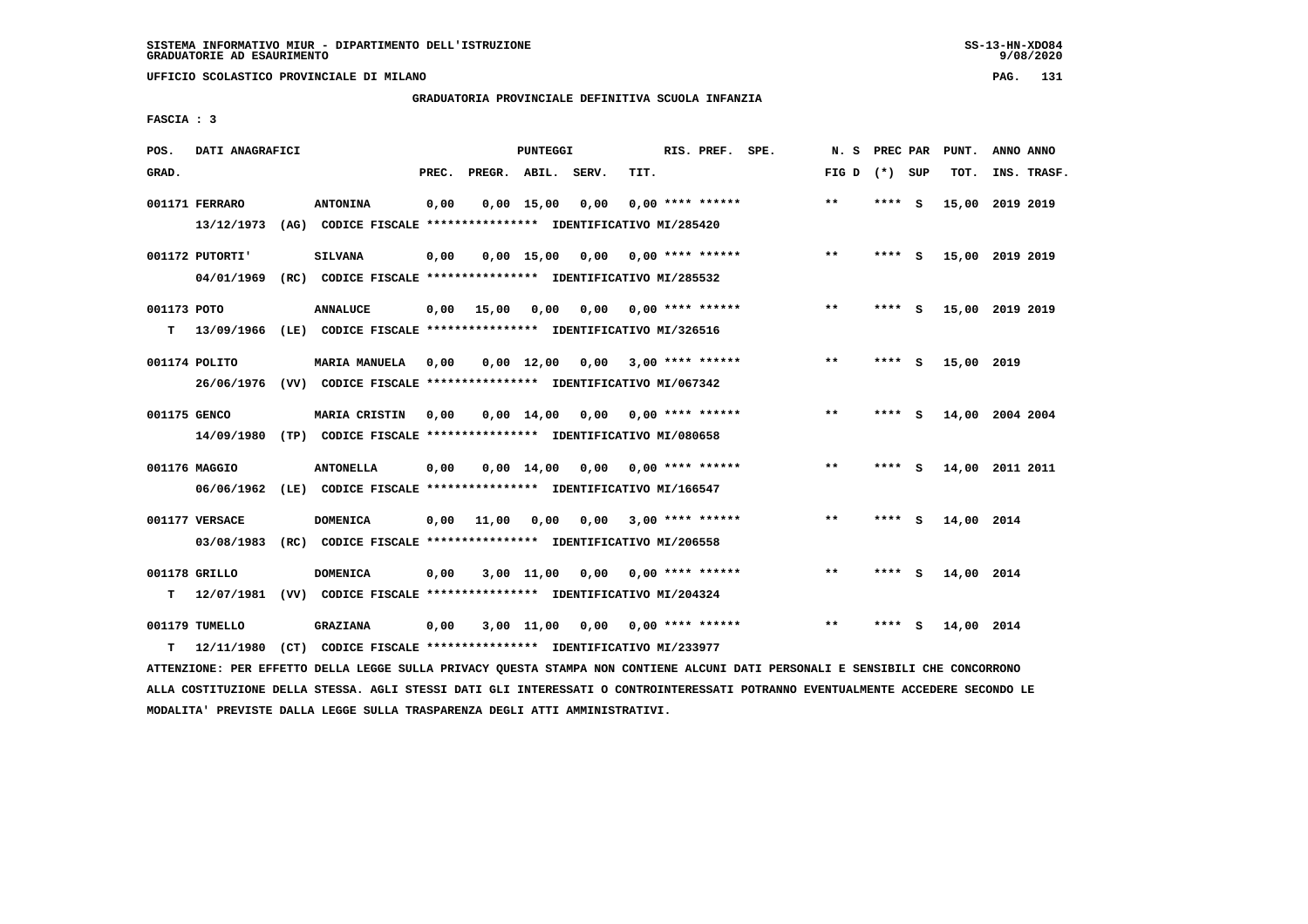**UFFICIO SCOLASTICO PROVINCIALE DI MILANO PAG. 131**

## **GRADUATORIA PROVINCIALE DEFINITIVA SCUOLA INFANZIA**

 **FASCIA : 3**

| POS.             | DATI ANAGRAFICI               |      |                                                                                            |       |                    | PUNTEGGI           |      |      | RIS. PREF. SPE.           | N.S          | PREC PAR |     | PUNT.      | ANNO ANNO       |  |
|------------------|-------------------------------|------|--------------------------------------------------------------------------------------------|-------|--------------------|--------------------|------|------|---------------------------|--------------|----------|-----|------------|-----------------|--|
| GRAD.            |                               |      |                                                                                            | PREC. | PREGR. ABIL. SERV. |                    |      | TIT. |                           | FIG D        | (*) SUP  |     | TOT.       | INS. TRASF.     |  |
|                  | 001171 FERRARO<br>13/12/1973  |      | <b>ANTONINA</b><br>(AG) CODICE FISCALE **************** IDENTIFICATIVO MI/285420           | 0,00  |                    | $0,00$ 15,00       | 0,00 |      | $0.00$ **** ******        | $***$        | ****     | - S |            | 15,00 2019 2019 |  |
|                  | 001172 PUTORTI'<br>04/01/1969 | (RC) | <b>SILVANA</b><br>CODICE FISCALE **************** IDENTIFICATIVO MI/285532                 | 0,00  |                    | $0,00$ 15,00       | 0,00 |      | $0.00$ **** ******        | $***$        | **** S   |     |            | 15,00 2019 2019 |  |
| 001173 POTO<br>т | 13/09/1966                    |      | <b>ANNALUCE</b><br>(LE) CODICE FISCALE **************** IDENTIFICATIVO MI/326516           | 0,00  | 15,00              | 0,00               | 0,00 |      | 0,00 **** ******          | $***$        | **** S   |     |            | 15,00 2019 2019 |  |
|                  | 001174 POLITO<br>26/06/1976   |      | <b>MARIA MANUELA</b><br>(VV) CODICE FISCALE **************** IDENTIFICATIVO MI/067342      | 0,00  |                    | $0,00 \quad 12,00$ | 0.00 |      | $3.00$ **** ******        | $***$        | ****     | - S | 15,00 2019 |                 |  |
| 001175 GENCO     | 14/09/1980                    |      | MARIA CRISTIN<br>(TP) CODICE FISCALE **************** IDENTIFICATIVO MI/080658             | 0,00  |                    | $0.00 \quad 14.00$ | 0,00 |      | $0.00$ **** ******        | **           | ****     | - S |            | 14,00 2004 2004 |  |
|                  | 001176 MAGGIO<br>06/06/1962   |      | <b>ANTONELLA</b><br>(LE) CODICE FISCALE **************** IDENTIFICATIVO MI/166547          | 0,00  |                    | $0.00 \quad 14.00$ |      |      | $0,00$ $0,00$ **** ****** | $**$         | ****     | - S |            | 14,00 2011 2011 |  |
|                  | 001177 VERSACE<br>03/08/1983  |      | <b>DOMENICA</b><br>(RC) CODICE FISCALE **************** IDENTIFICATIVO MI/206558           | 0,00  | 11,00              | 0.00               | 0.00 |      | $3.00*********$           | $\star\star$ | ****     | - 5 | 14,00 2014 |                 |  |
| т                | 001178 GRILLO                 |      | <b>DOMENICA</b><br>12/07/1981 (VV) CODICE FISCALE *************** IDENTIFICATIVO MI/204324 | 0,00  |                    | $3,00$ $11,00$     | 0,00 |      | $0.00$ **** ******        | $* *$        | ****     | - 5 | 14,00 2014 |                 |  |
| т                | 001179 TUMELLO<br>12/11/1980  |      | <b>GRAZIANA</b><br>(CT) CODICE FISCALE **************** IDENTIFICATIVO MI/233977           | 0,00  |                    | 3,00 11,00         |      |      | $0.00$ $0.00$ **** ****** | $***$        | ****     | s   | 14,00 2014 |                 |  |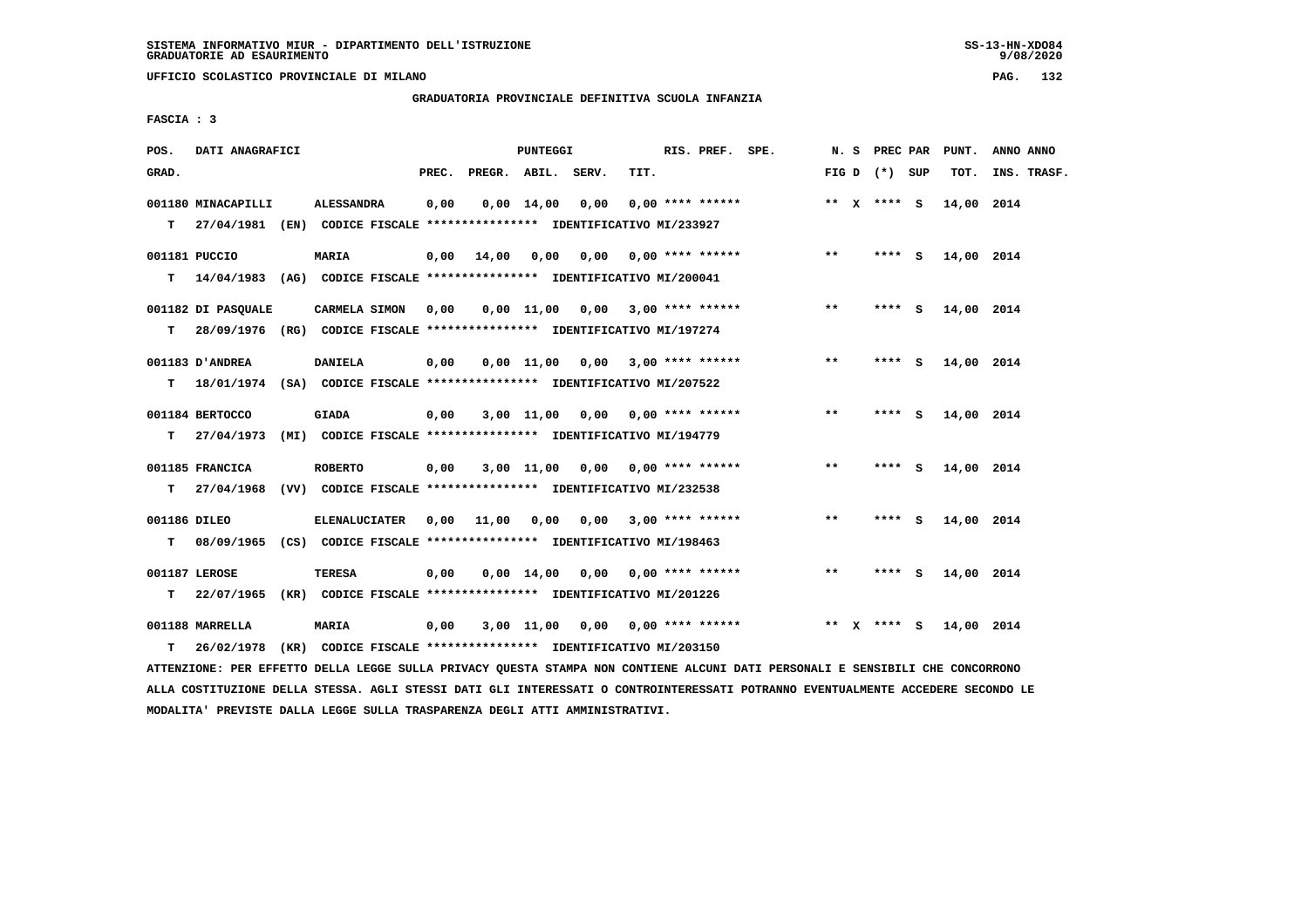**UFFICIO SCOLASTICO PROVINCIALE DI MILANO PAG. 132**

## **GRADUATORIA PROVINCIALE DEFINITIVA SCUOLA INFANZIA**

 **FASCIA : 3**

| POS.               | DATI ANAGRAFICI                                                                                 |                      |       |                    | <b>PUNTEGGI</b>    |                                                                                                     |      | RIS. PREF. SPE.         |       |        | N. S PREC PAR   |     | PUNT.      | ANNO ANNO   |
|--------------------|-------------------------------------------------------------------------------------------------|----------------------|-------|--------------------|--------------------|-----------------------------------------------------------------------------------------------------|------|-------------------------|-------|--------|-----------------|-----|------------|-------------|
| GRAD.              |                                                                                                 |                      | PREC. | PREGR. ABIL. SERV. |                    |                                                                                                     | TIT. |                         |       |        | FIG D $(*)$ SUP |     | TOT.       | INS. TRASF. |
|                    | 001180 MINACAPILLI<br>T 27/04/1981 (EN) CODICE FISCALE *************** IDENTIFICATIVO MI/233927 | <b>ALESSANDRA</b>    | 0,00  |                    | $0,00 \quad 14,00$ | 0,00                                                                                                |      | $0.00$ **** ******      |       |        | ** $X$ **** S   |     | 14,00 2014 |             |
| т                  | 001181 PUCCIO<br>14/04/1983 (AG) CODICE FISCALE *************** IDENTIFICATIVO MI/200041        | <b>MARIA</b>         | 0,00  | 14,00              | 0,00               | 0,00                                                                                                |      | $0.00$ **** ******      | $* *$ |        | **** S          |     | 14,00 2014 |             |
| T.                 | 001182 DI PASOUALE<br>28/09/1976 (RG) CODICE FISCALE *************** IDENTIFICATIVO MI/197274   | CARMELA SIMON        | 0,00  |                    |                    | $0,00$ 11,00 0,00 3,00 **** ******                                                                  |      |                         | $***$ |        | **** S          |     | 14,00 2014 |             |
| т                  | 001183 D'ANDREA<br>18/01/1974 (SA) CODICE FISCALE *************** IDENTIFICATIVO MI/207522      | <b>DANIELA</b>       | 0,00  |                    |                    | $0.00$ 11.00 $0.00$ 3.00 **** ******                                                                |      |                         | $***$ |        | **** S          |     | 14,00 2014 |             |
| т                  | 001184 BERTOCCO<br>27/04/1973                                                                   | <b>GIADA</b>         | 0,00  |                    |                    | 3,00 11,00 0,00 0,00 **** ******<br>(MI) CODICE FISCALE **************** IDENTIFICATIVO MI/194779   |      |                         | $**$  |        | ****            | - 5 | 14,00 2014 |             |
| т                  | 001185 FRANCICA<br>27/04/1968                                                                   | <b>ROBERTO</b>       | 0,00  |                    |                    | 3,00 11,00 0,00 0,00 **** ******<br>(VV) CODICE FISCALE **************** IDENTIFICATIVO MI/232538   |      |                         | $***$ |        | $***5$          |     | 14,00 2014 |             |
| 001186 DILEO<br>T. | 08/09/1965 (CS) CODICE FISCALE **************** IDENTIFICATIVO MI/198463                        | <b>ELENALUCIATER</b> |       | 0,00 11,00 0,00    |                    |                                                                                                     |      | $0,00$ 3,00 **** ****** | **    |        | $***$ S         |     | 14,00 2014 |             |
| т                  | 001187 LEROSE<br>22/07/1965                                                                     | TERESA               | 0,00  |                    |                    | $0,00$ 14,00 0,00 0,00 **** ******<br>(KR) CODICE FISCALE **************** IDENTIFICATIVO MI/201226 |      |                         | $***$ |        | ****            | - 5 | 14,00 2014 |             |
| T.                 | 001188 MARRELLA<br>26/02/1978                                                                   | <b>MARIA</b>         | 0,00  |                    |                    | $3,00$ 11,00 0,00 0,00 **** ******<br>(KR) CODICE FISCALE **************** IDENTIFICATIVO MI/203150 |      |                         |       | ** $X$ | $***$ S         |     | 14,00 2014 |             |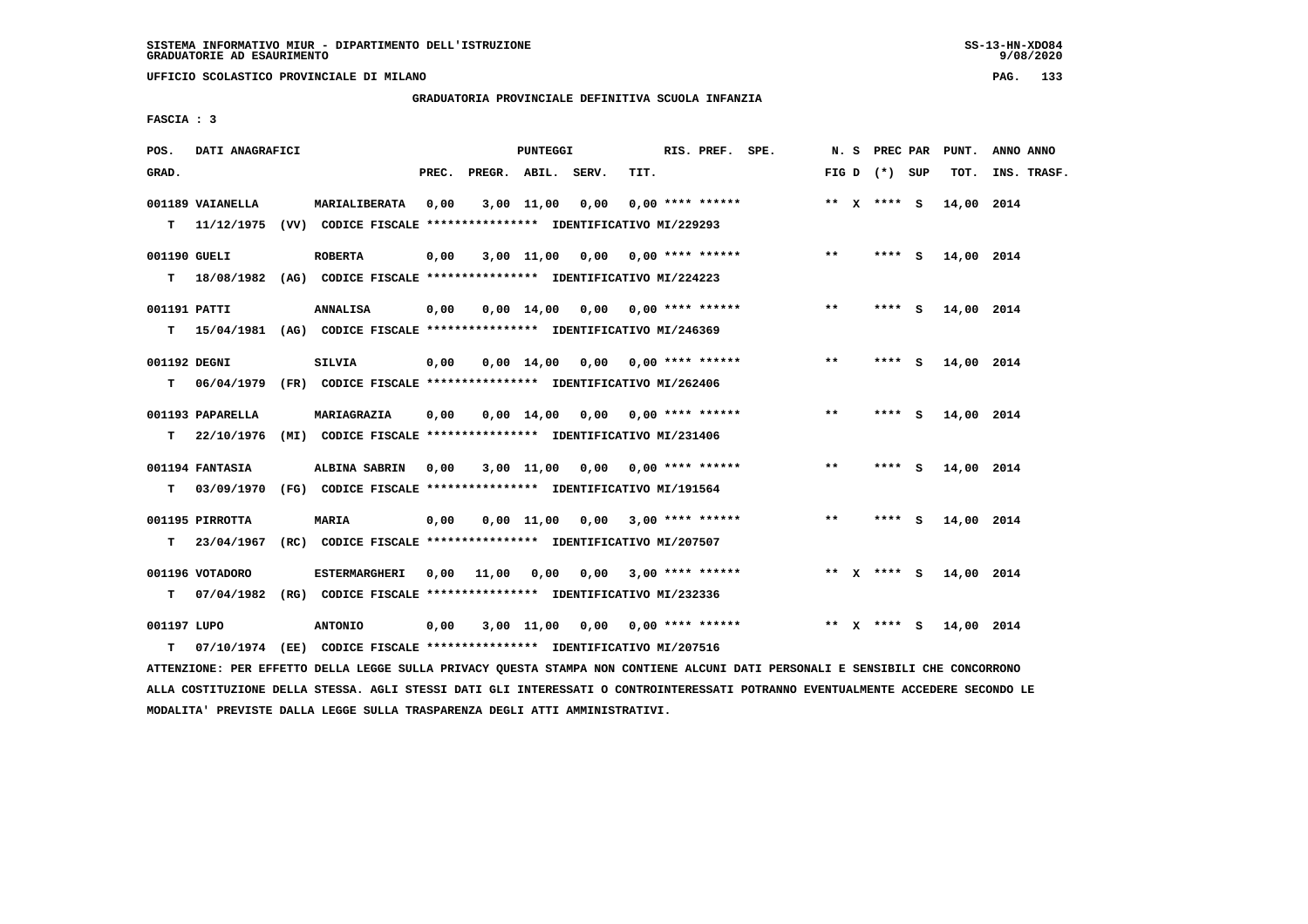**UFFICIO SCOLASTICO PROVINCIALE DI MILANO PAG. 133**

# **GRADUATORIA PROVINCIALE DEFINITIVA SCUOLA INFANZIA**

 **FASCIA : 3**

| POS.         | DATI ANAGRAFICI  |                                                                           |       |                    | PUNTEGGI           |                                    |      | RIS. PREF. SPE.           |              | N. S PREC PAR   | PUNT.      | ANNO ANNO   |
|--------------|------------------|---------------------------------------------------------------------------|-------|--------------------|--------------------|------------------------------------|------|---------------------------|--------------|-----------------|------------|-------------|
| GRAD.        |                  |                                                                           | PREC. | PREGR. ABIL. SERV. |                    |                                    | TIT. |                           |              | FIG D $(*)$ SUP | TOT.       | INS. TRASF. |
|              | 001189 VAIANELLA | MARIALIBERATA                                                             | 0,00  |                    |                    | $3,00$ $11,00$ $0,00$              |      | $0.00$ **** ******        |              | ** X **** S     | 14,00 2014 |             |
| T.           | 11/12/1975       | (VV) CODICE FISCALE **************** IDENTIFICATIVO MI/229293             |       |                    |                    |                                    |      |                           |              |                 |            |             |
| 001190 GUELI |                  | <b>ROBERTA</b>                                                            | 0,00  |                    |                    | $3,00$ 11,00 0,00 0,00 **** ****** |      |                           | $* *$        | $***$ S         | 14,00 2014 |             |
| т            |                  | 18/08/1982 (AG) CODICE FISCALE *************** IDENTIFICATIVO MI/224223   |       |                    |                    |                                    |      |                           |              |                 |            |             |
| 001191 PATTI |                  | <b>ANNALISA</b>                                                           | 0,00  |                    |                    | $0,00$ 14,00 0,00 0,00 **** ****** |      |                           | $* *$        | **** S          | 14,00 2014 |             |
|              |                  | T 15/04/1981 (AG) CODICE FISCALE *************** IDENTIFICATIVO MI/246369 |       |                    |                    |                                    |      |                           |              |                 |            |             |
| 001192 DEGNI |                  | SILVIA                                                                    | 0,00  |                    | $0.00 \quad 14.00$ | $0,00$ $0,00$ **** ******          |      |                           | $**$         | **** S          | 14,00 2014 |             |
| T.           | 06/04/1979       | (FR) CODICE FISCALE *************** IDENTIFICATIVO MI/262406              |       |                    |                    |                                    |      |                           |              |                 |            |             |
|              | 001193 PAPARELLA | MARIAGRAZIA                                                               | 0,00  |                    |                    | $0,00$ 14,00 0,00 0,00 **** ****** |      |                           | $**$         | **** S          | 14,00 2014 |             |
| T.           | 22/10/1976       | (MI) CODICE FISCALE **************** IDENTIFICATIVO MI/231406             |       |                    |                    |                                    |      |                           |              |                 |            |             |
|              | 001194 FANTASIA  | ALBINA SABRIN                                                             | 0,00  |                    |                    | $3,00$ 11,00 0,00 0,00 **** ****** |      |                           | $\star\star$ | **** S          | 14,00 2014 |             |
| T.           | 03/09/1970       | (FG) CODICE FISCALE **************** IDENTIFICATIVO MI/191564             |       |                    |                    |                                    |      |                           |              |                 |            |             |
|              | 001195 PIRROTTA  | <b>MARIA</b>                                                              | 0,00  |                    |                    | $0,00$ 11,00 0,00 3,00 **** ****** |      |                           | $***$        | **** S          | 14,00 2014 |             |
| т            | 23/04/1967       | (RC) CODICE FISCALE **************** IDENTIFICATIVO MI/207507             |       |                    |                    |                                    |      |                           |              |                 |            |             |
|              | 001196 VOTADORO  | <b>ESTERMARGHERI</b>                                                      | 0.00  | 11,00              | 0,00               |                                    |      | $0.00$ 3.00 **** ******   |              | ** x **** s     | 14,00 2014 |             |
| т            | 07/04/1982       | (RG) CODICE FISCALE **************** IDENTIFICATIVO MI/232336             |       |                    |                    |                                    |      |                           |              |                 |            |             |
| 001197 LUPO  |                  | <b>ANTONIO</b>                                                            | 0,00  |                    | 3,00 11,00         |                                    |      | $0,00$ $0,00$ **** ****** |              | ** x **** s     | 14,00 2014 |             |
| т            |                  | 07/10/1974 (EE) CODICE FISCALE **************** IDENTIFICATIVO MI/207516  |       |                    |                    |                                    |      |                           |              |                 |            |             |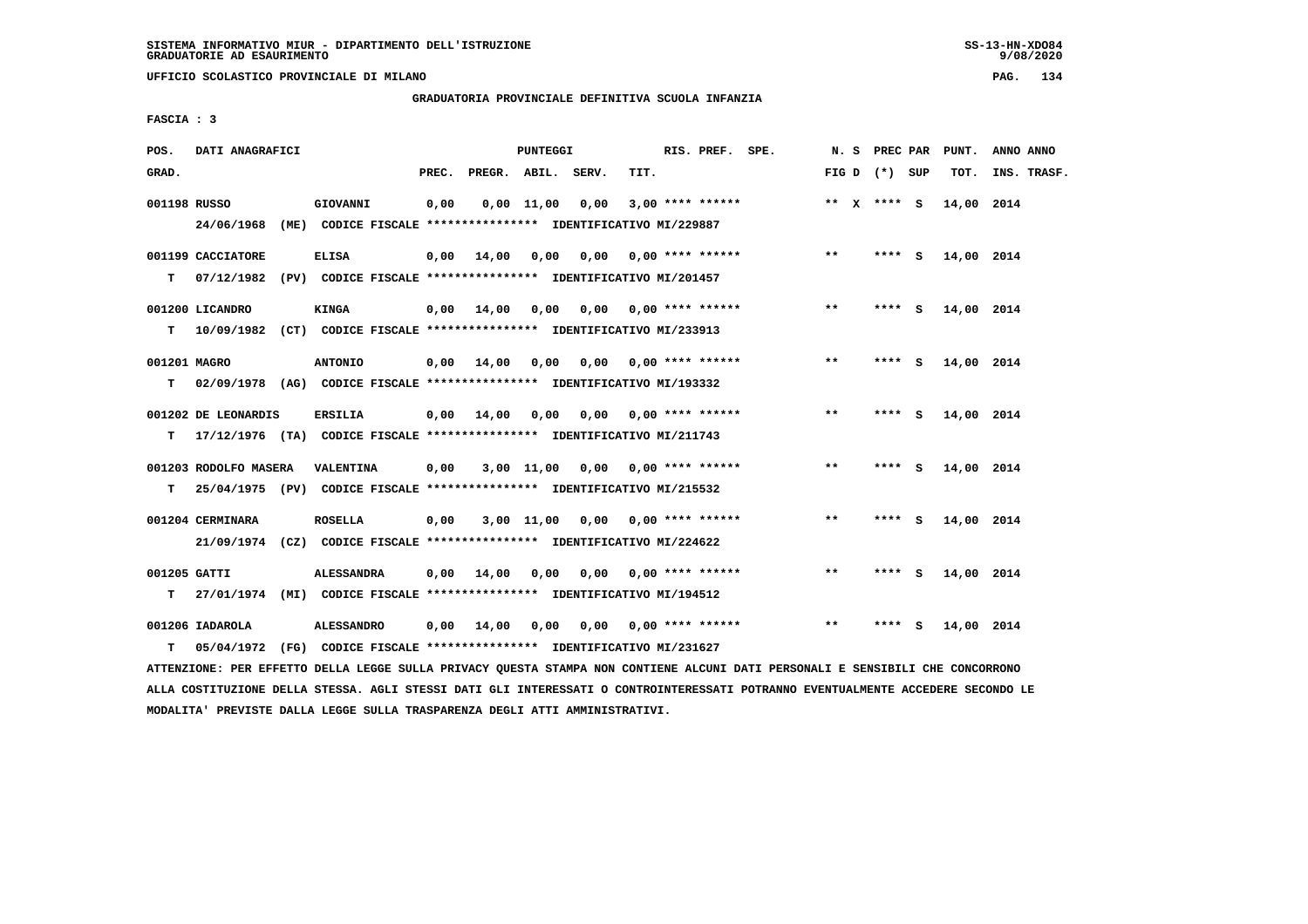**UFFICIO SCOLASTICO PROVINCIALE DI MILANO PAG. 134**

### **GRADUATORIA PROVINCIALE DEFINITIVA SCUOLA INFANZIA**

 **FASCIA : 3**

| POS.               | DATI ANAGRAFICI       |                                                                                                       | PUNTEGGI              |                                    | RIS. PREF. SPE.                         |       | N. S PREC PAR   | PUNT.      | ANNO ANNO   |
|--------------------|-----------------------|-------------------------------------------------------------------------------------------------------|-----------------------|------------------------------------|-----------------------------------------|-------|-----------------|------------|-------------|
| GRAD.              |                       | PREC.                                                                                                 | PREGR. ABIL. SERV.    | TIT.                               |                                         |       | FIG D $(*)$ SUP | TOT.       | INS. TRASF. |
|                    | 001198 RUSSO          | 0,00<br>GIOVANNI<br>24/06/1968 (ME) CODICE FISCALE *************** IDENTIFICATIVO MI/229887           | $0,00$ 11,00          | 0,00                               | $3,00$ **** ******                      |       | ** $X$ **** S   | 14,00 2014 |             |
| т                  | 001199 CACCIATORE     | <b>ELISA</b><br>07/12/1982 (PV) CODICE FISCALE **************** IDENTIFICATIVO MI/201457              |                       |                                    | $0,00$ 14,00 0,00 0,00 0,00 **** ****** | $***$ | **** S          | 14,00 2014 |             |
| т                  | 001200 LICANDRO       | KINGA<br>10/09/1982 (CT) CODICE FISCALE **************** IDENTIFICATIVO MI/233913                     | $0,00$ $14,00$ $0,00$ |                                    | $0,00$ $0,00$ **** ******               | $***$ | **** S          | 14,00 2014 |             |
| т                  | 001201 MAGRO          | <b>ANTONIO</b><br>02/09/1978 (AG) CODICE FISCALE **************** IDENTIFICATIVO MI/193332            | $0,00$ 14,00<br>0,00  | 0.00                               | $0.00$ **** ******                      | $* *$ | ****<br>- 5     | 14,00 2014 |             |
| T.                 | 001202 DE LEONARDIS   | ERSILIA<br>17/12/1976 (TA) CODICE FISCALE **************** IDENTIFICATIVO MI/211743                   | $0,00$ 14,00<br>0.00  |                                    | $0,00$ $0,00$ **** ******               | $* *$ | $***$ S         | 14,00 2014 |             |
| т                  | 001203 RODOLFO MASERA | <b>VALENTINA</b><br>0,00<br>25/04/1975 (PV) CODICE FISCALE **************** IDENTIFICATIVO MI/215532  |                       | $3,00$ 11,00 0,00 0,00 **** ****** |                                         | $***$ | **** S          | 14,00 2014 |             |
|                    | 001204 CERMINARA      | <b>ROSELLA</b><br>0,00<br>21/09/1974 (CZ) CODICE FISCALE *************** IDENTIFICATIVO MI/224622     | $3,00$ $11,00$        |                                    | $0,00$ $0,00$ **** ******               | **    | **** S          | 14,00 2014 |             |
| 001205 GATTI<br>T. |                       | <b>ALESSANDRA</b><br>0,00<br>27/01/1974 (MI) CODICE FISCALE **************** IDENTIFICATIVO MI/194512 | 14,00<br>0,00         |                                    | $0,00$ $0,00$ **** ******               | $* *$ | **** S          | 14,00 2014 |             |
| т                  | 001206 IADAROLA       | <b>ALESSANDRO</b><br>05/04/1972 (FG) CODICE FISCALE **************** IDENTIFICATIVO MI/231627         | $0,00$ 14,00<br>0,00  | 0.00                               | $0.00$ **** ******                      | $* *$ | ****<br>- S     | 14,00 2014 |             |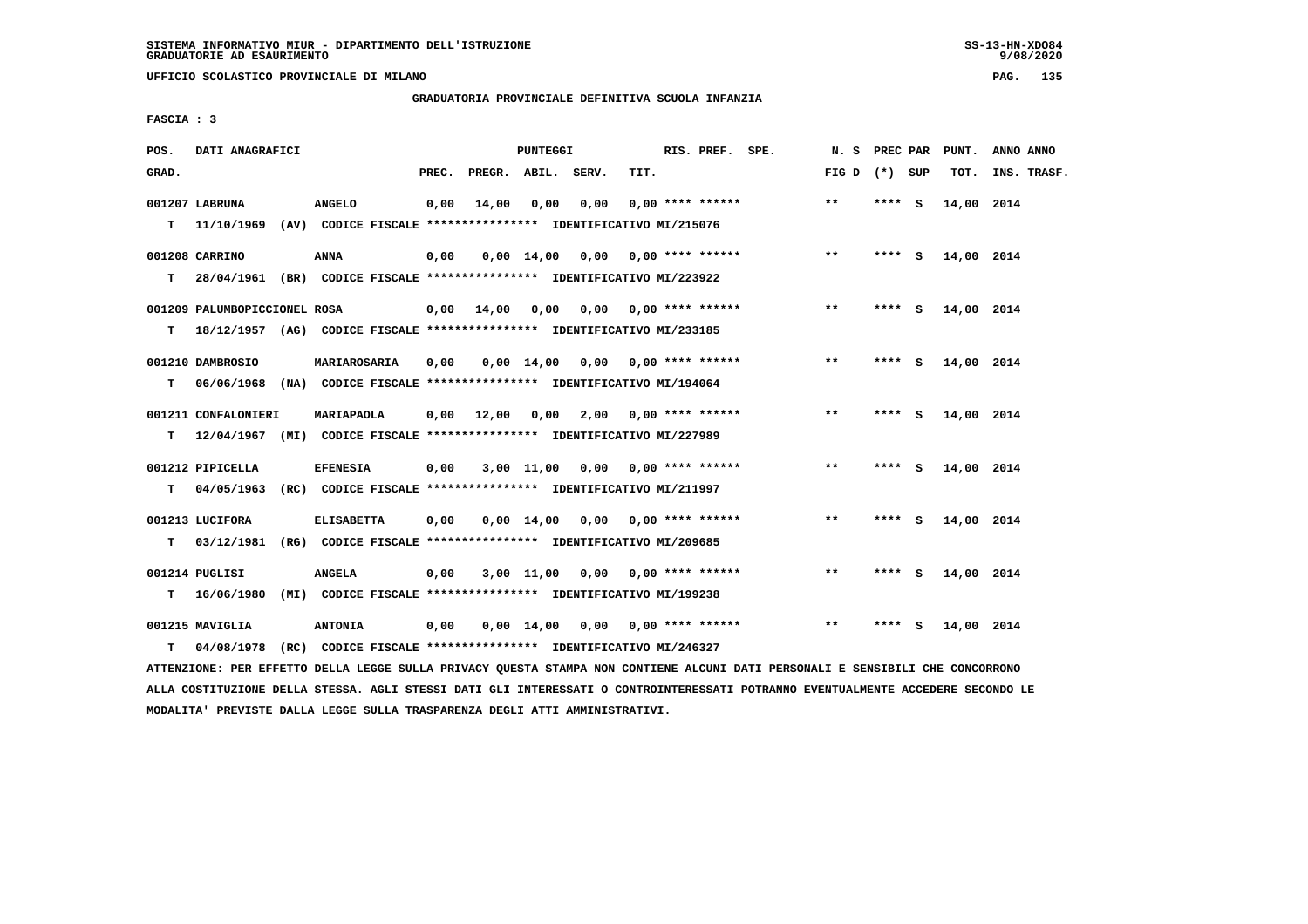**UFFICIO SCOLASTICO PROVINCIALE DI MILANO PAG. 135**

# **GRADUATORIA PROVINCIALE DEFINITIVA SCUOLA INFANZIA**

 **FASCIA : 3**

| POS.  | DATI ANAGRAFICI              |                                                                                           |       |                    | PUNTEGGI   |                                        |      | RIS. PREF. SPE.           | N.S             | PREC PAR |     | PUNT.      | ANNO ANNO   |
|-------|------------------------------|-------------------------------------------------------------------------------------------|-------|--------------------|------------|----------------------------------------|------|---------------------------|-----------------|----------|-----|------------|-------------|
| GRAD. |                              |                                                                                           | PREC. | PREGR. ABIL. SERV. |            |                                        | TIT. |                           | FIG D $(*)$ SUP |          |     | TOT.       | INS. TRASF. |
|       | 001207 LABRUNA               | <b>ANGELO</b><br>11/10/1969 (AV) CODICE FISCALE **************** IDENTIFICATIVO MI/215076 | 0,00  | 14,00              | 0,00       | 0,00                                   |      | $0.00$ **** ******        | $***$           | $***$ S  |     | 14,00 2014 |             |
| т     |                              |                                                                                           |       |                    |            |                                        |      |                           |                 |          |     |            |             |
|       | 001208 CARRINO               | <b>ANNA</b>                                                                               | 0,00  |                    |            | $0,00$ 14,00 0,00 0,00 **** ******     |      |                           | $***$           | **** S   |     | 14,00 2014 |             |
| т     |                              | 28/04/1961 (BR) CODICE FISCALE *************** IDENTIFICATIVO MI/223922                   |       |                    |            |                                        |      |                           |                 |          |     |            |             |
|       | 001209 PALUMBOPICCIONEL ROSA |                                                                                           |       | $0,00$ $14,00$     |            | $0,00$ $0,00$ $0,00$ $***$ **** ****** |      |                           | $***$           | **** S   |     | 14,00 2014 |             |
| т     |                              | 18/12/1957 (AG) CODICE FISCALE *************** IDENTIFICATIVO MI/233185                   |       |                    |            |                                        |      |                           |                 |          |     |            |             |
|       | 001210 DAMBROSIO             | MARIAROSARIA                                                                              | 0,00  |                    |            | $0.00$ 14.00 0.00 0.00 **** ******     |      |                           | **              | **** S   |     | 14,00 2014 |             |
| T.    |                              | 06/06/1968 (NA) CODICE FISCALE **************** IDENTIFICATIVO MI/194064                  |       |                    |            |                                        |      |                           |                 |          |     |            |             |
|       |                              |                                                                                           |       |                    |            |                                        |      |                           |                 |          |     |            |             |
|       | 001211 CONFALONIERI          | <b>MARIAPAOLA</b>                                                                         | 0,00  | 12,00              | 0,00       | 2,00 0,00 **** ******                  |      |                           | $***$           | **** S   |     | 14,00 2014 |             |
| T.    |                              | 12/04/1967 (MI) CODICE FISCALE **************** IDENTIFICATIVO MI/227989                  |       |                    |            |                                        |      |                           |                 |          |     |            |             |
|       | 001212 PIPICELLA             | <b>EFENESIA</b>                                                                           | 0,00  |                    |            | $3,00$ 11,00 0,00 0,00 **** ******     |      |                           | $***$           | **** S   |     | 14,00 2014 |             |
| T.    | 04/05/1963                   | (RC) CODICE FISCALE **************** IDENTIFICATIVO MI/211997                             |       |                    |            |                                        |      |                           |                 |          |     |            |             |
|       | 001213 LUCIFORA              | <b>ELISABETTA</b>                                                                         | 0,00  |                    | 0,00 14,00 |                                        |      | $0,00$ $0,00$ **** ****** | $***$           | $***5$   |     | 14,00 2014 |             |
| т     | 03/12/1981                   | (RG) CODICE FISCALE **************** IDENTIFICATIVO MI/209685                             |       |                    |            |                                        |      |                           |                 |          |     |            |             |
|       |                              |                                                                                           |       |                    |            |                                        |      |                           |                 |          |     |            |             |
|       | 001214 PUGLISI               | <b>ANGELA</b>                                                                             | 0,00  |                    |            | $3,00$ 11,00 0,00 0,00 **** ******     |      |                           | $***$           | **** S   |     | 14,00 2014 |             |
| т     | 16/06/1980                   | (MI) CODICE FISCALE **************** IDENTIFICATIVO MI/199238                             |       |                    |            |                                        |      |                           |                 |          |     |            |             |
|       | 001215 MAVIGLIA              | <b>ANTONIA</b>                                                                            | 0,00  |                    |            | $0,00$ 14,00 0,00 0,00 **** ******     |      |                           | $* *$           |          | - S | 14,00 2014 |             |
| т     | 04/08/1978                   | (RC) CODICE FISCALE **************** IDENTIFICATIVO MI/246327                             |       |                    |            |                                        |      |                           |                 |          |     |            |             |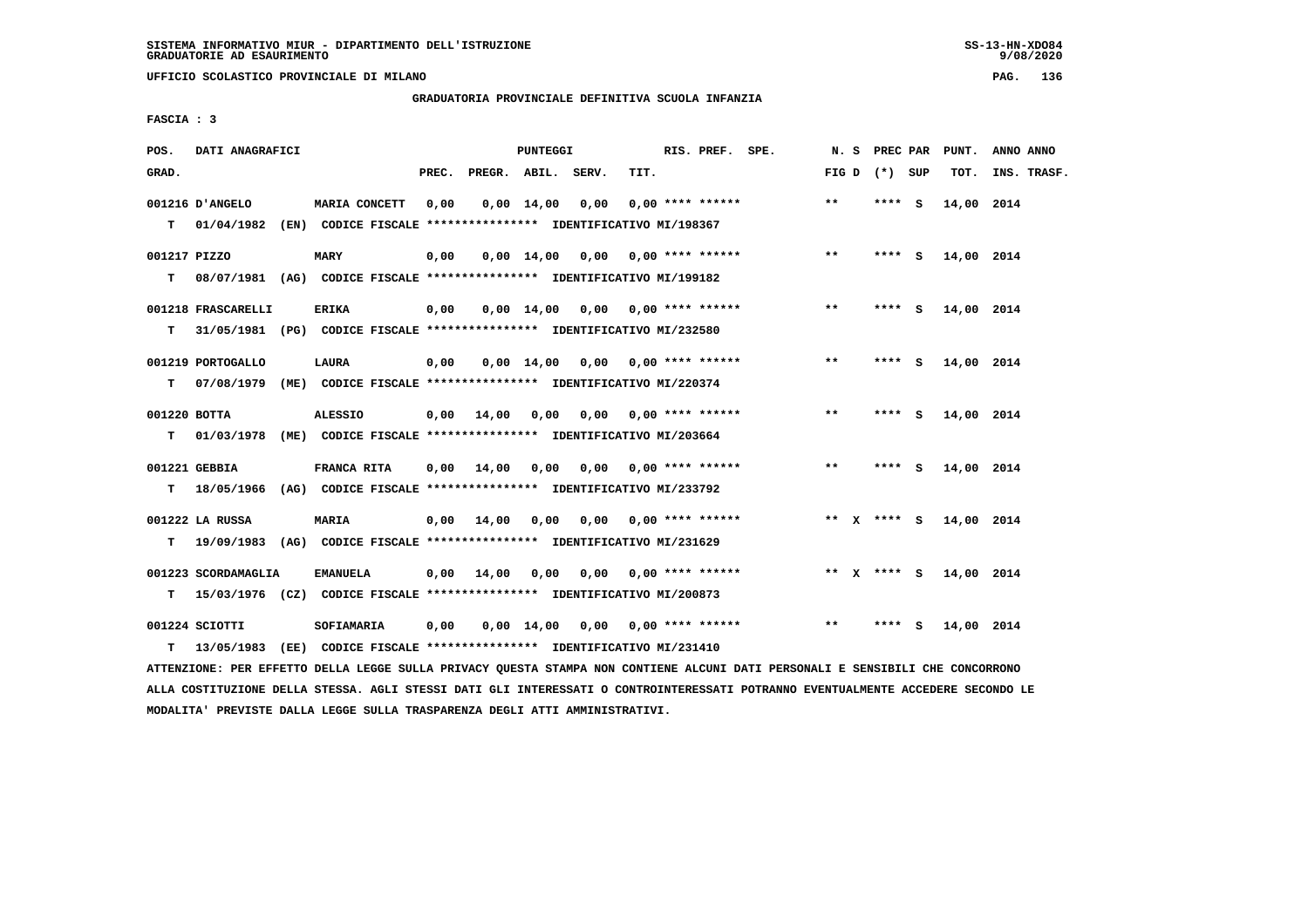**UFFICIO SCOLASTICO PROVINCIALE DI MILANO PAG. 136**

# **GRADUATORIA PROVINCIALE DEFINITIVA SCUOLA INFANZIA**

 **FASCIA : 3**

| POS.         | DATI ANAGRAFICI     |                                                                            |       |                    | <b>PUNTEGGI</b>    |                                    |      | RIS. PREF. SPE.           | N. S  | PREC PAR        |     | PUNT.      | ANNO ANNO   |
|--------------|---------------------|----------------------------------------------------------------------------|-------|--------------------|--------------------|------------------------------------|------|---------------------------|-------|-----------------|-----|------------|-------------|
| GRAD.        |                     |                                                                            | PREC. | PREGR. ABIL. SERV. |                    |                                    | TIT. |                           |       | FIG D $(*)$ SUP |     | TOT.       | INS. TRASF. |
|              | 001216 D'ANGELO     | MARIA CONCETT                                                              | 0,00  |                    | $0,00 \quad 14,00$ | 0,00                               |      | $0.00$ **** ******        | $***$ | **** S          |     | 14,00 2014 |             |
|              | T 01/04/1982        | (EN) CODICE FISCALE **************** IDENTIFICATIVO MI/198367              |       |                    |                    |                                    |      |                           |       |                 |     |            |             |
| 001217 PIZZO |                     | <b>MARY</b>                                                                | 0,00  |                    |                    | $0,00$ 14,00 0,00 0,00 **** ****** |      |                           | $***$ | **** S          |     | 14,00 2014 |             |
| т            |                     | 08/07/1981 (AG) CODICE FISCALE *************** IDENTIFICATIVO MI/199182    |       |                    |                    |                                    |      |                           |       |                 |     |            |             |
|              | 001218 FRASCARELLI  | ERIKA                                                                      | 0,00  |                    |                    | $0,00$ 14,00 0,00 0,00 **** ****** |      |                           | $***$ | **** S          |     | 14,00 2014 |             |
| т            |                     | 31/05/1981 (PG) CODICE FISCALE *************** IDENTIFICATIVO MI/232580    |       |                    |                    |                                    |      |                           |       |                 |     |            |             |
|              | 001219 PORTOGALLO   | LAURA                                                                      | 0,00  |                    | $0,00$ 14,00       |                                    |      | $0,00$ $0,00$ **** ****** | $* *$ | **** S          |     | 14,00 2014 |             |
| т            |                     | 07/08/1979 (ME) CODICE FISCALE *************** IDENTIFICATIVO MI/220374    |       |                    |                    |                                    |      |                           |       |                 |     |            |             |
| 001220 BOTTA |                     | <b>ALESSIO</b>                                                             | 0,00  | 14,00              | 0.00               |                                    |      | $0.00$ $0.00$ **** ****** | $***$ | **** S          |     | 14,00 2014 |             |
| T.           | 01/03/1978          | (ME) CODICE FISCALE *************** IDENTIFICATIVO MI/203664               |       |                    |                    |                                    |      |                           |       |                 |     |            |             |
|              |                     |                                                                            |       |                    |                    |                                    |      |                           |       |                 |     |            |             |
|              | 001221 GEBBIA       | FRANCA RITA                                                                | 0,00  | 14,00              |                    | 0,00 0,00 0,00 **** ******         |      |                           | $***$ | $***$ S         |     | 14,00 2014 |             |
|              |                     | T 18/05/1966 (AG) CODICE FISCALE *************** IDENTIFICATIVO MI/233792  |       |                    |                    |                                    |      |                           |       |                 |     |            |             |
|              | 001222 LA RUSSA     | MARIA                                                                      | 0,00  | 14,00              |                    | 0,00 0,00 0,00 **** ******         |      |                           |       | ** X **** S     |     | 14,00 2014 |             |
|              |                     | T 19/09/1983 (AG) CODICE FISCALE *************** IDENTIFICATIVO MI/231629  |       |                    |                    |                                    |      |                           |       |                 |     |            |             |
|              | 001223 SCORDAMAGLIA | <b>EMANUELA</b>                                                            |       | $0,00$ 14,00       | 0,00               |                                    |      | $0,00$ $0,00$ **** ****** |       | ** x **** S     |     | 14,00 2014 |             |
|              |                     | T 15/03/1976 (CZ) CODICE FISCALE **************** IDENTIFICATIVO MI/200873 |       |                    |                    |                                    |      |                           |       |                 |     |            |             |
|              |                     |                                                                            |       |                    |                    |                                    |      |                           |       |                 |     |            |             |
|              | 001224 SCIOTTI      | SOFIAMARIA                                                                 | 0,00  |                    |                    | $0,00$ 14,00 0,00 0,00 **** ****** |      |                           | $***$ | ****            | - 5 | 14,00 2014 |             |
| т            | 13/05/1983          | (EE) CODICE FISCALE **************** IDENTIFICATIVO MI/231410              |       |                    |                    |                                    |      |                           |       |                 |     |            |             |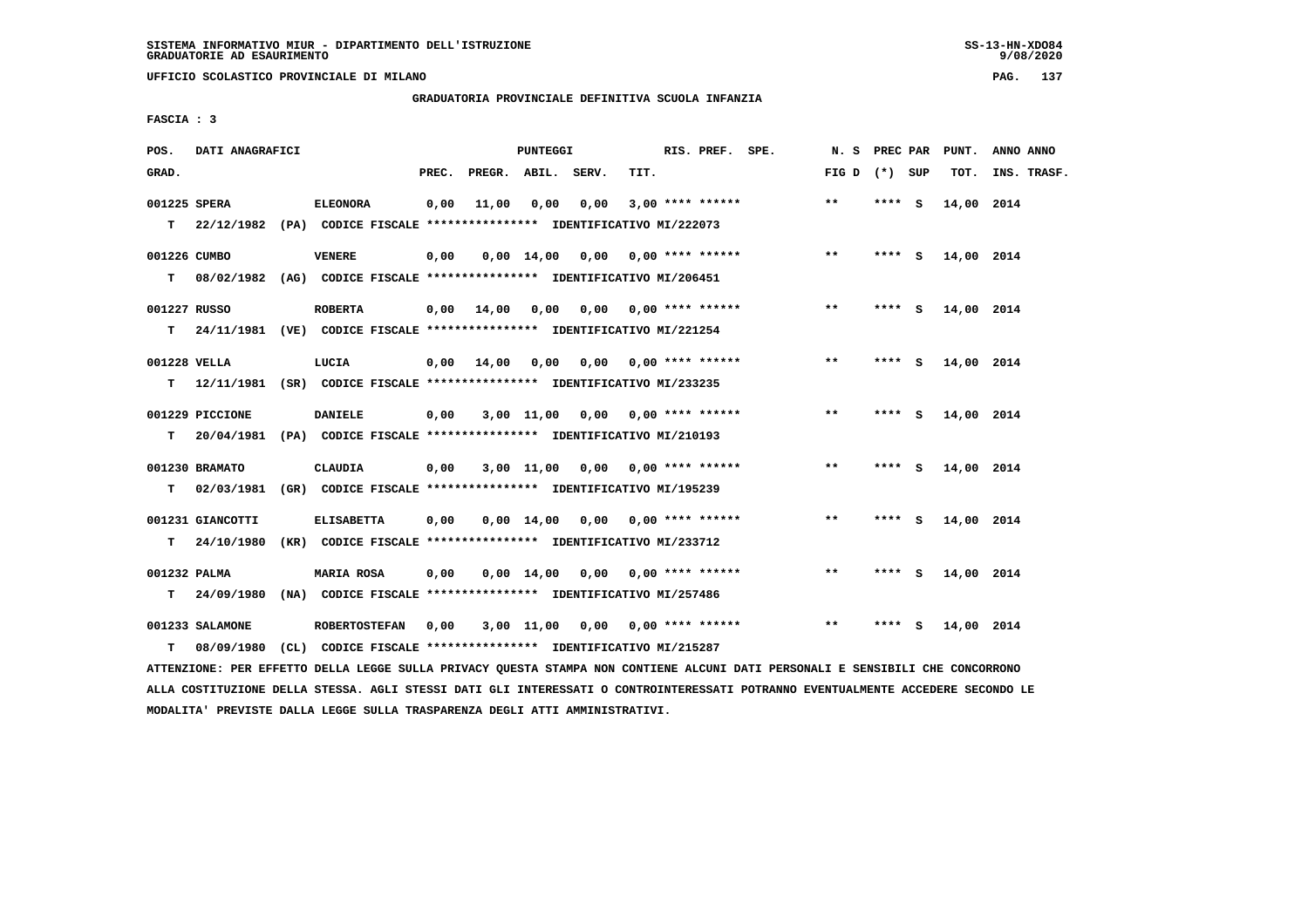**UFFICIO SCOLASTICO PROVINCIALE DI MILANO PAG. 137**

# **GRADUATORIA PROVINCIALE DEFINITIVA SCUOLA INFANZIA**

 **FASCIA : 3**

| POS.         | DATI ANAGRAFICI  |                                                                           |       |                    | PUNTEGGI       |                                    |      | RIS. PREF. SPE.           | N. S PREC PAR   |        |        | PUNT.      | ANNO ANNO   |
|--------------|------------------|---------------------------------------------------------------------------|-------|--------------------|----------------|------------------------------------|------|---------------------------|-----------------|--------|--------|------------|-------------|
| GRAD.        |                  |                                                                           | PREC. | PREGR. ABIL. SERV. |                |                                    | TIT. |                           | FIG D $(*)$ SUP |        |        | TOT.       | INS. TRASF. |
| 001225 SPERA |                  | <b>ELEONORA</b>                                                           | 0,00  | 11,00              | 0,00           | 0,00                               |      | $3,00$ **** ******        | $* *$           | **** S |        | 14,00 2014 |             |
|              |                  | T 22/12/1982 (PA) CODICE FISCALE *************** IDENTIFICATIVO MI/222073 |       |                    |                |                                    |      |                           |                 |        |        |            |             |
| 001226 CUMBO |                  | <b>VENERE</b>                                                             | 0,00  |                    |                | $0,00$ 14,00 0,00 0,00 **** ****** |      |                           | $***$           |        | **** S | 14,00 2014 |             |
| т            |                  | 08/02/1982 (AG) CODICE FISCALE **************** IDENTIFICATIVO MI/206451  |       |                    |                |                                    |      |                           |                 |        |        |            |             |
| 001227 RUSSO |                  | <b>ROBERTA</b>                                                            | 0,00  | 14,00              | 0.00           |                                    |      | $0.00$ $0.00$ **** ****** | $***$           | **** S |        | 14,00 2014 |             |
|              |                  | T 24/11/1981 (VE) CODICE FISCALE *************** IDENTIFICATIVO MI/221254 |       |                    |                |                                    |      |                           |                 |        |        |            |             |
| 001228 VELLA |                  | LUCIA                                                                     | 0,00  | 14,00              | 0,00           | 0,00                               |      | $0.00$ **** ******        | $***$           | $***5$ |        | 14,00 2014 |             |
| T.           |                  | 12/11/1981 (SR) CODICE FISCALE *************** IDENTIFICATIVO MI/233235   |       |                    |                |                                    |      |                           |                 |        |        |            |             |
|              | 001229 PICCIONE  | <b>DANIELE</b>                                                            | 0,00  |                    |                | $3,00$ 11,00 0,00 0,00 **** ****** |      |                           | $\star\star$    | **** S |        | 14,00 2014 |             |
| T.           |                  | 20/04/1981 (PA) CODICE FISCALE **************** IDENTIFICATIVO MI/210193  |       |                    |                |                                    |      |                           |                 |        |        |            |             |
|              | 001230 BRAMATO   | <b>CLAUDIA</b>                                                            | 0,00  |                    |                | $3,00$ 11,00 0,00 0,00 **** ****** |      |                           | $***$           | $***5$ |        | 14,00 2014 |             |
| т            | 02/03/1981       | (GR) CODICE FISCALE **************** IDENTIFICATIVO MI/195239             |       |                    |                |                                    |      |                           |                 |        |        |            |             |
|              | 001231 GIANCOTTI | <b>ELISABETTA</b>                                                         | 0.00  |                    |                | $0.00$ 14.00 0.00 0.00 **** ****** |      |                           | **              | **** S |        | 14,00 2014 |             |
| т            | 24/10/1980       | (KR) CODICE FISCALE **************** IDENTIFICATIVO MI/233712             |       |                    |                |                                    |      |                           |                 |        |        |            |             |
| 001232 PALMA |                  | MARIA ROSA                                                                | 0,00  |                    | $0.00$ 14.00   |                                    |      | $0.00$ $0.00$ **** ****** | $* *$           | ****   | - 5    | 14,00 2014 |             |
| т            | 24/09/1980       | (NA) CODICE FISCALE **************** IDENTIFICATIVO MI/257486             |       |                    |                |                                    |      |                           |                 |        |        |            |             |
|              | 001233 SALAMONE  | <b>ROBERTOSTEFAN</b>                                                      | 0,00  |                    | $3,00$ $11,00$ | 0.00                               |      | $0.00$ **** ******        | $**$            | ****   | s      | 14,00 2014 |             |
| т            | 08/09/1980       | (CL) CODICE FISCALE **************** IDENTIFICATIVO MI/215287             |       |                    |                |                                    |      |                           |                 |        |        |            |             |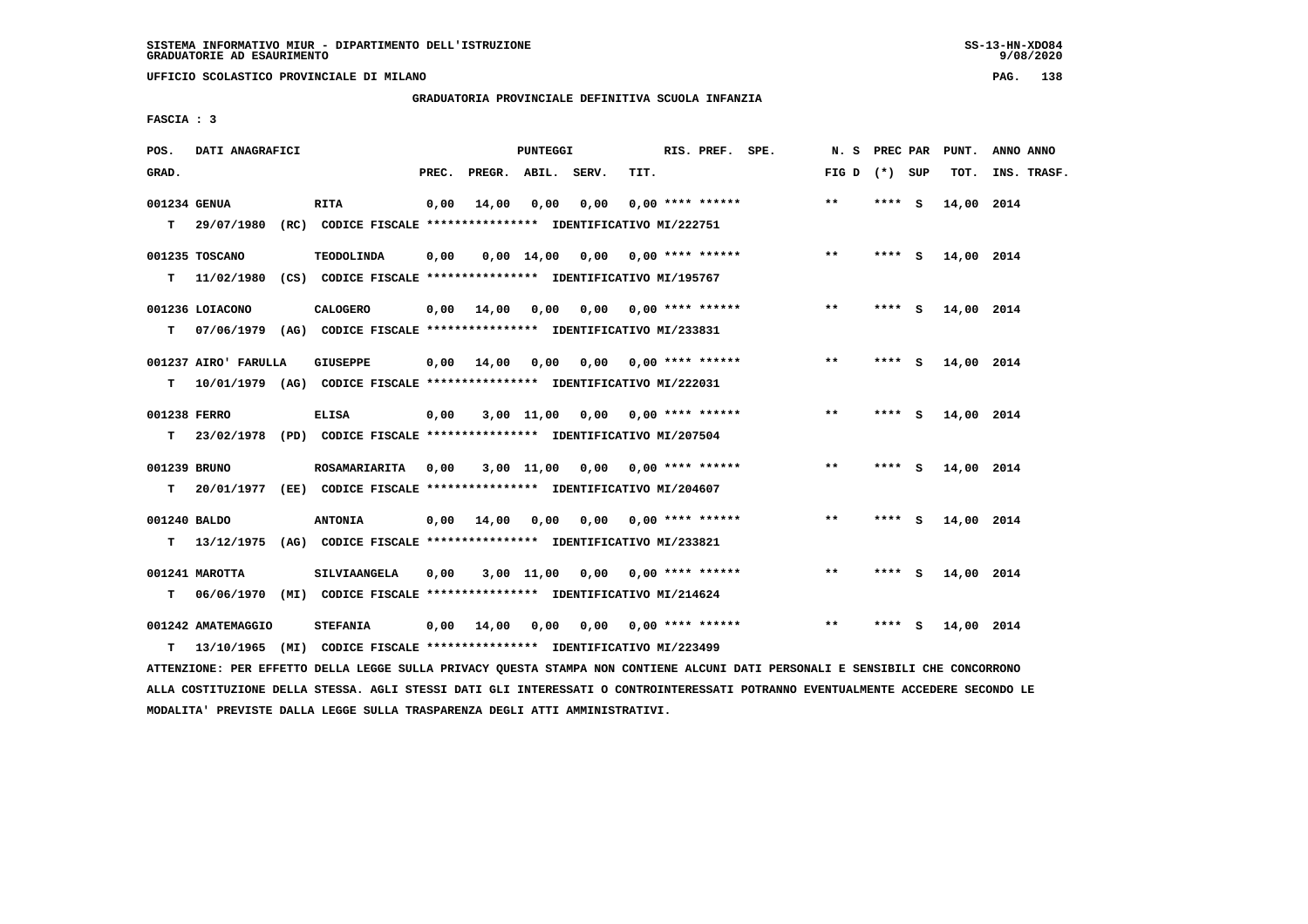**UFFICIO SCOLASTICO PROVINCIALE DI MILANO PAG. 138**

# **GRADUATORIA PROVINCIALE DEFINITIVA SCUOLA INFANZIA**

 **FASCIA : 3**

| POS.               | DATI ANAGRAFICI                  |                                                                                             |       |                    | PUNTEGGI                      |                                  |      | RIS. PREF. SPE.                | N.S             | PREC PAR |     | PUNT.      | ANNO ANNO   |
|--------------------|----------------------------------|---------------------------------------------------------------------------------------------|-------|--------------------|-------------------------------|----------------------------------|------|--------------------------------|-----------------|----------|-----|------------|-------------|
| GRAD.              |                                  |                                                                                             | PREC. | PREGR. ABIL. SERV. |                               |                                  | TIT. |                                | FIG D $(*)$ SUP |          |     | TOT.       | INS. TRASF. |
| 001234 GENUA<br>T. | 29/07/1980                       | <b>RITA</b><br>(RC) CODICE FISCALE **************** IDENTIFICATIVO MI/222751                | 0,00  | 14,00              | 0,00                          | 0,00                             |      | $0.00$ **** ******             | $***$           | $***$ S  |     | 14,00 2014 |             |
| т                  | 001235 TOSCANO<br>11/02/1980     | <b>TEODOLINDA</b><br>(CS) CODICE FISCALE **************** IDENTIFICATIVO MI/195767          | 0,00  |                    | $0,00 \quad 14,00 \quad 0,00$ |                                  |      | $0.00$ **** ******             | $* *$           | **** $S$ |     | 14,00 2014 |             |
| т                  | 001236 LOIACONO                  | <b>CALOGERO</b><br>07/06/1979 (AG) CODICE FISCALE **************** IDENTIFICATIVO MI/233831 | 0,00  | 14,00              | 0,00                          |                                  |      | $0,00$ $0,00$ **** ******      | $***$           | **** S   |     | 14,00 2014 |             |
| т                  | 001237 AIRO' FARULLA             | GIUSEPPE<br>10/01/1979 (AG) CODICE FISCALE *************** IDENTIFICATIVO MI/222031         | 0,00  | 14,00              | 0.00                          |                                  |      | $0.00$ $0.00$ **** ******      | $***$           | **** S   |     | 14,00 2014 |             |
| 001238 FERRO<br>т  |                                  | <b>ELISA</b><br>23/02/1978 (PD) CODICE FISCALE *************** IDENTIFICATIVO MI/207504     | 0,00  |                    | 3,00 11,00                    |                                  |      | $0,00$ $0,00$ **** ******      | **              | **** S   |     | 14,00 2014 |             |
| 001239 BRUNO<br>т  |                                  | ROSAMARIARITA<br>20/01/1977 (EE) CODICE FISCALE *************** IDENTIFICATIVO MI/204607    | 0,00  |                    |                               | 3,00 11,00 0,00 0,00 **** ****** |      |                                | $* *$           | **** S   |     | 14,00 2014 |             |
| 001240 BALDO<br>т  | 13/12/1975                       | <b>ANTONIA</b><br>(AG) CODICE FISCALE **************** IDENTIFICATIVO MI/233821             | 0.00  | 14,00              | 0.00                          |                                  |      | $0.00$ $0.00$ **** ******      | $***$           | ****     | - S | 14,00 2014 |             |
| т                  | 001241 MAROTTA<br>06/06/1970     | SILVIAANGELA<br>(MI) CODICE FISCALE **************** IDENTIFICATIVO MI/214624               | 0,00  |                    | 3,00 11,00                    | 0.00                             |      | $0.00$ **** ******             | $***$           | ****     | - 5 | 14,00 2014 |             |
| т                  | 001242 AMATEMAGGIO<br>13/10/1965 | <b>STEFANIA</b><br>(MI) CODICE FISCALE **************** IDENTIFICATIVO MI/223499            | 0,00  | 14,00              | 0,00                          |                                  |      | $0.00$ $0.00$ $***$ **** ***** | $* *$           | ****     | s   | 14,00 2014 |             |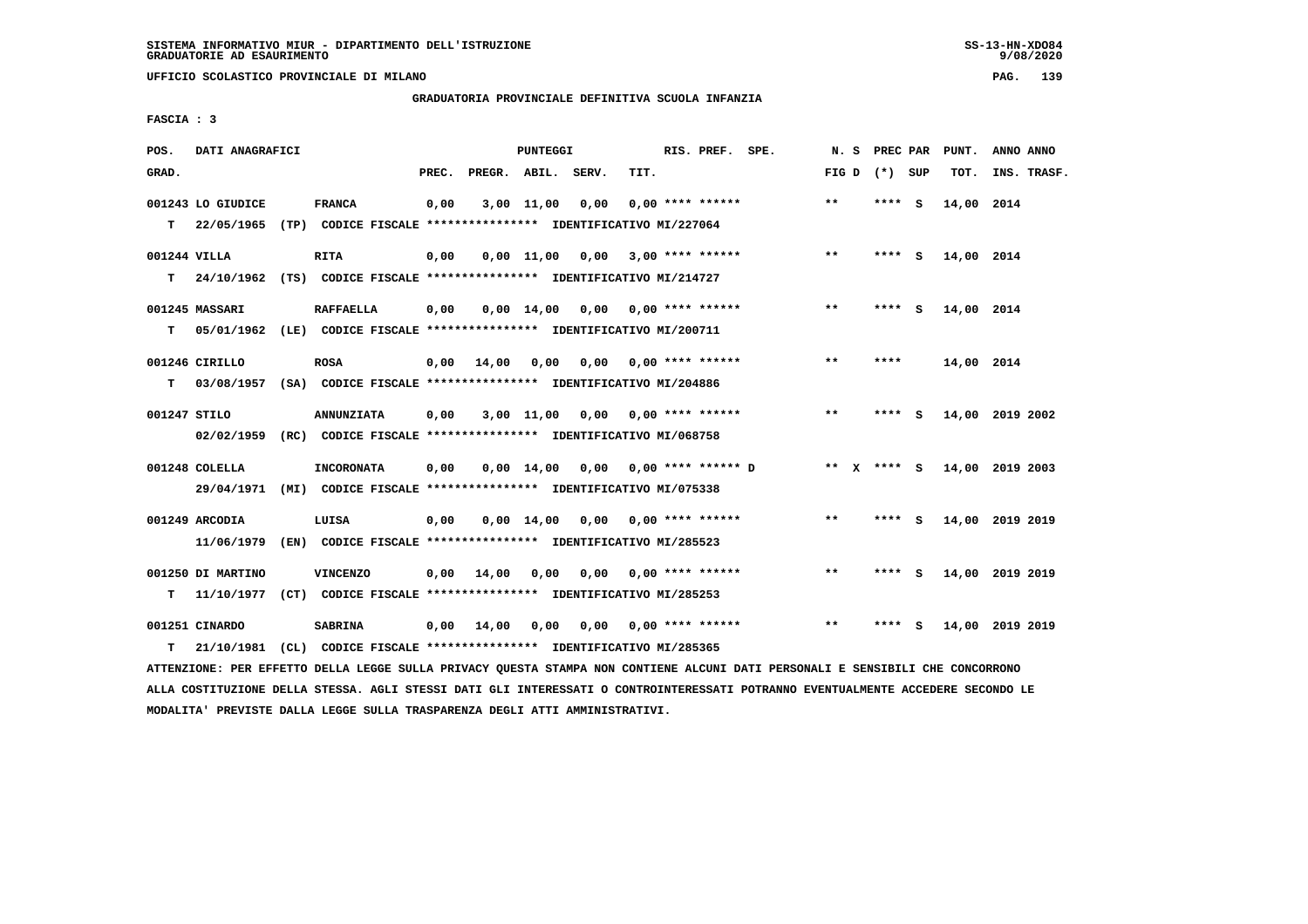**UFFICIO SCOLASTICO PROVINCIALE DI MILANO PAG. 139**

# **GRADUATORIA PROVINCIALE DEFINITIVA SCUOLA INFANZIA**

 **FASCIA : 3**

| POS.         | DATI ANAGRAFICI   |                                                                                                                               |       |                    | PUNTEGGI        |                                         |      | RIS. PREF. SPE.    |                                      |       | N. S PREC PAR   | PUNT.           | ANNO ANNO   |  |
|--------------|-------------------|-------------------------------------------------------------------------------------------------------------------------------|-------|--------------------|-----------------|-----------------------------------------|------|--------------------|--------------------------------------|-------|-----------------|-----------------|-------------|--|
| GRAD.        |                   |                                                                                                                               | PREC. | PREGR. ABIL. SERV. |                 |                                         | TIT. |                    |                                      |       | FIG D $(*)$ SUP | тот.            | INS. TRASF. |  |
|              | 001243 LO GIUDICE | <b>FRANCA</b>                                                                                                                 | 0,00  |                    | 3,00 11,00 0,00 |                                         |      | $0,00$ **** ****** |                                      | $* *$ | **** S          | 14,00 2014      |             |  |
| T.           |                   | 22/05/1965 (TP) CODICE FISCALE **************** IDENTIFICATIVO MI/227064                                                      |       |                    |                 |                                         |      |                    |                                      |       |                 |                 |             |  |
| 001244 VILLA |                   | <b>RITA</b>                                                                                                                   | 0,00  |                    |                 | $0,00$ 11,00 0,00 3,00 **** ******      |      |                    |                                      | $**$  | **** S          | 14,00 2014      |             |  |
|              |                   | T 24/10/1962 (TS) CODICE FISCALE *************** IDENTIFICATIVO MI/214727                                                     |       |                    |                 |                                         |      |                    |                                      |       |                 |                 |             |  |
|              | 001245 MASSARI    | <b>RAFFAELLA</b>                                                                                                              | 0,00  |                    |                 | $0,00$ 14,00 0,00 0,00 **** ******      |      |                    |                                      | $***$ | **** S          | 14,00 2014      |             |  |
| T.           |                   | 05/01/1962 (LE) CODICE FISCALE *************** IDENTIFICATIVO MI/200711                                                       |       |                    |                 |                                         |      |                    |                                      |       |                 |                 |             |  |
|              | 001246 CIRILLO    | <b>ROSA</b>                                                                                                                   |       |                    |                 | $0,00$ 14,00 0,00 0,00 0,00 **** ****** |      |                    |                                      | $* *$ | ****            | 14,00 2014      |             |  |
| т            |                   | 03/08/1957 (SA) CODICE FISCALE **************** IDENTIFICATIVO MI/204886                                                      |       |                    |                 |                                         |      |                    |                                      |       |                 |                 |             |  |
| 001247 STILO |                   | <b>ANNUNZIATA</b>                                                                                                             | 0,00  |                    |                 | $3,00$ 11,00 0,00 0,00 **** ******      |      |                    |                                      | $***$ | **** S          | 14,00 2019 2002 |             |  |
|              |                   | 02/02/1959 (RC) CODICE FISCALE *************** IDENTIFICATIVO MI/068758                                                       |       |                    |                 |                                         |      |                    |                                      |       |                 |                 |             |  |
|              | 001248 COLELLA    | <b>INCORONATA</b>                                                                                                             | 0,00  |                    |                 |                                         |      |                    | $0.00$ 14.00 0.00 0.00 **** ****** D |       | ** X **** S     | 14,00 2019 2003 |             |  |
|              | 29/04/1971        | (MI) CODICE FISCALE *************** IDENTIFICATIVO MI/075338                                                                  |       |                    |                 |                                         |      |                    |                                      |       |                 |                 |             |  |
|              | 001249 ARCODIA    | LUISA                                                                                                                         | 0,00  |                    |                 | $0.00$ 14.00 0.00 0.00 **** ******      |      |                    |                                      | $***$ | **** S          | 14,00 2019 2019 |             |  |
|              | 11/06/1979        | (EN) CODICE FISCALE *************** IDENTIFICATIVO MI/285523                                                                  |       |                    |                 |                                         |      |                    |                                      |       |                 |                 |             |  |
|              | 001250 DI MARTINO | <b>VINCENZO</b>                                                                                                               | 0,00  | 14,00              |                 | 0,00 0,00 0,00 **** ******              |      |                    |                                      | $***$ | **** S          | 14,00 2019 2019 |             |  |
| т            |                   | 11/10/1977 (CT) CODICE FISCALE **************** IDENTIFICATIVO MI/285253                                                      |       |                    |                 |                                         |      |                    |                                      |       |                 |                 |             |  |
|              | 001251 CINARDO    | SABRINA                                                                                                                       | 0,00  | 14,00              | 0,00            |                                         |      |                    | $0.00$ $0.00$ **** ******            | $***$ | **** S          | 14,00 2019 2019 |             |  |
| т            | 21/10/1981        | (CL) CODICE FISCALE **************** IDENTIFICATIVO MI/285365                                                                 |       |                    |                 |                                         |      |                    |                                      |       |                 |                 |             |  |
|              |                   | ATTENZIONE: PER EFFETTO DELLA LEGGE SULLA PRIVACY QUESTA STAMPA NON CONTIENE ALCUNI DATI PERSONALI E SENSIBILI CHE CONCORRONO |       |                    |                 |                                         |      |                    |                                      |       |                 |                 |             |  |

 **ALLA COSTITUZIONE DELLA STESSA. AGLI STESSI DATI GLI INTERESSATI O CONTROINTERESSATI POTRANNO EVENTUALMENTE ACCEDERE SECONDO LE MODALITA' PREVISTE DALLA LEGGE SULLA TRASPARENZA DEGLI ATTI AMMINISTRATIVI.**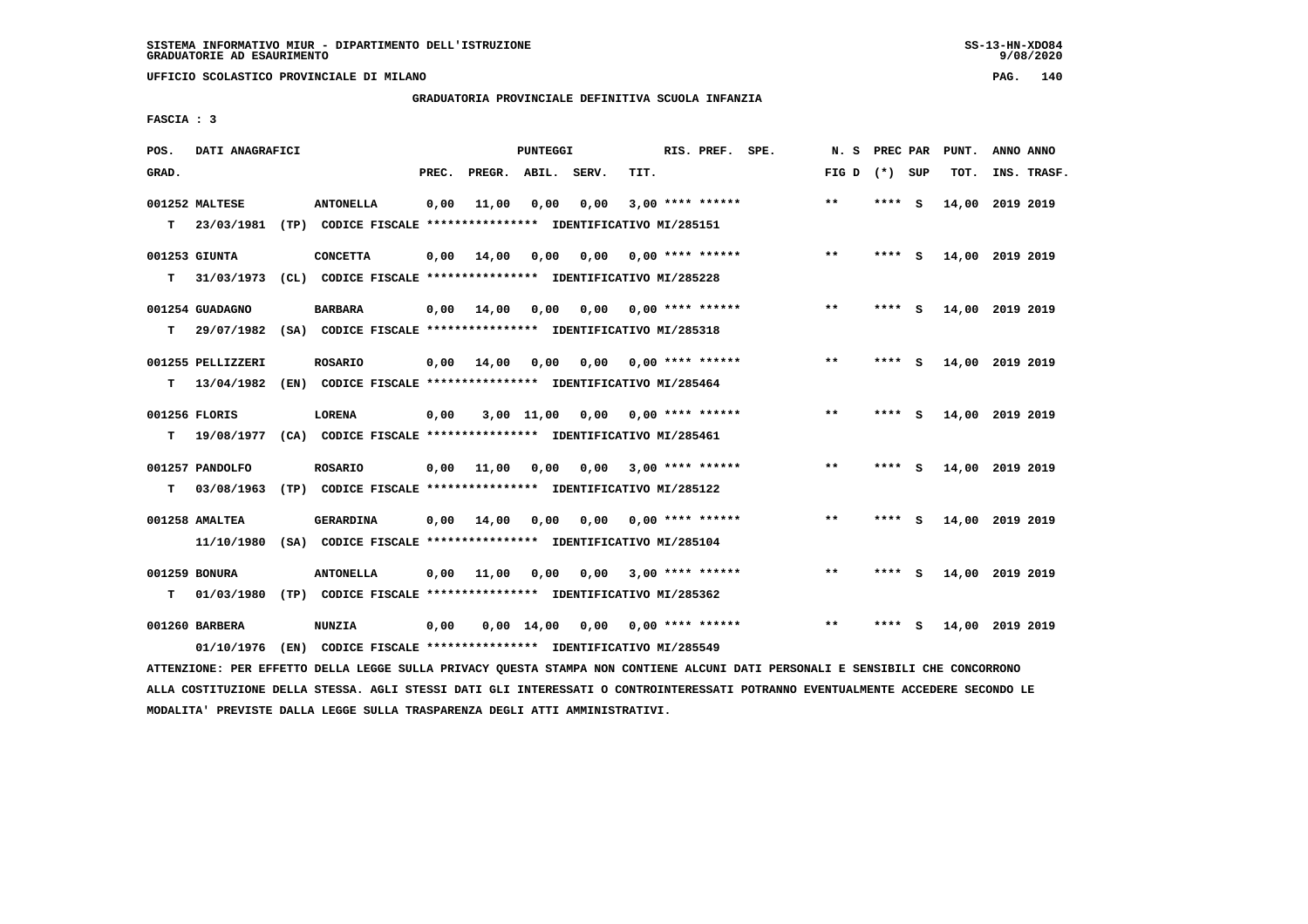**UFFICIO SCOLASTICO PROVINCIALE DI MILANO PAG. 140**

# **GRADUATORIA PROVINCIALE DEFINITIVA SCUOLA INFANZIA**

 **FASCIA : 3**

| POS.  | DATI ANAGRAFICI                 |                                                                                   |       |        | <b>PUNTEGGI</b>    |      |      | RIS. PREF. SPE.    | N.S          | PREC PAR |          | PUNT.           | ANNO ANNO |             |
|-------|---------------------------------|-----------------------------------------------------------------------------------|-------|--------|--------------------|------|------|--------------------|--------------|----------|----------|-----------------|-----------|-------------|
| GRAD. |                                 |                                                                                   | PREC. | PREGR. | ABIL. SERV.        |      | TIT. |                    | FIG D        | (*) SUP  |          | TOT.            |           | INS. TRASF. |
| T.    | 001252 MALTESE<br>23/03/1981    | <b>ANTONELLA</b><br>(TP) CODICE FISCALE **************** IDENTIFICATIVO MI/285151 | 0,00  | 11,00  | 0,00               | 0,00 |      | $3,00$ **** ****** | $* *$        | ****     | - S      | 14,00           | 2019 2019 |             |
| т     | 001253 GIUNTA<br>31/03/1973     | <b>CONCETTA</b><br>(CL) CODICE FISCALE **************** IDENTIFICATIVO MI/285228  | 0,00  | 14,00  | 0,00               | 0,00 |      | $0.00$ **** ****** | $* *$        | ****     | - S      | 14,00 2019 2019 |           |             |
| т     | 001254 GUADAGNO<br>29/07/1982   | <b>BARBARA</b><br>(SA) CODICE FISCALE **************** IDENTIFICATIVO MI/285318   | 0,00  | 14,00  | 0,00               | 0,00 |      | $0.00$ **** ****** | **           | ****     | - S      | 14,00           | 2019 2019 |             |
| т     | 001255 PELLIZZERI<br>13/04/1982 | <b>ROSARIO</b><br>(EN) CODICE FISCALE **************** IDENTIFICATIVO MI/285464   | 0,00  | 14,00  | 0,00               | 0,00 |      | $0.00$ **** ****** | $***$        | ****     | <b>S</b> | 14,00 2019 2019 |           |             |
| т     | 001256 FLORIS<br>19/08/1977     | <b>LORENA</b><br>(CA) CODICE FISCALE **************** IDENTIFICATIVO MI/285461    | 0,00  |        | 3,00 11,00         | 0,00 |      | $0.00$ **** ****** | $\star\star$ | ****     | <b>S</b> | 14,00 2019 2019 |           |             |
| т     | 001257 PANDOLFO<br>03/08/1963   | <b>ROSARIO</b><br>(TP) CODICE FISCALE **************** IDENTIFICATIVO MI/285122   | 0,00  | 11,00  | 0,00               | 0,00 |      | $3.00*********$    | $* *$        | ****     | - S      | 14,00 2019 2019 |           |             |
|       | 001258 AMALTEA<br>11/10/1980    | <b>GERARDINA</b><br>(SA) CODICE FISCALE **************** IDENTIFICATIVO MI/285104 | 0,00  | 14,00  | 0,00               | 0.00 |      | 0,00 **** ******   | $* *$        | ****     | - S      | 14,00 2019 2019 |           |             |
| т     | 001259 BONURA<br>01/03/1980     | <b>ANTONELLA</b><br>(TP) CODICE FISCALE **************** IDENTIFICATIVO MI/285362 | 0,00  | 11,00  | 0,00               | 0.00 |      | $3,00$ **** ****** | $**$         | ****     | - S      | 14,00 2019 2019 |           |             |
|       | 001260 BARBERA<br>01/10/1976    | <b>NUNZIA</b><br>(EN) CODICE FISCALE **************** IDENTIFICATIVO MI/285549    | 0,00  |        | $0,00 \quad 14,00$ | 0,00 |      | $0.00$ **** ****** | $* *$        |          | s        | 14,00           | 2019 2019 |             |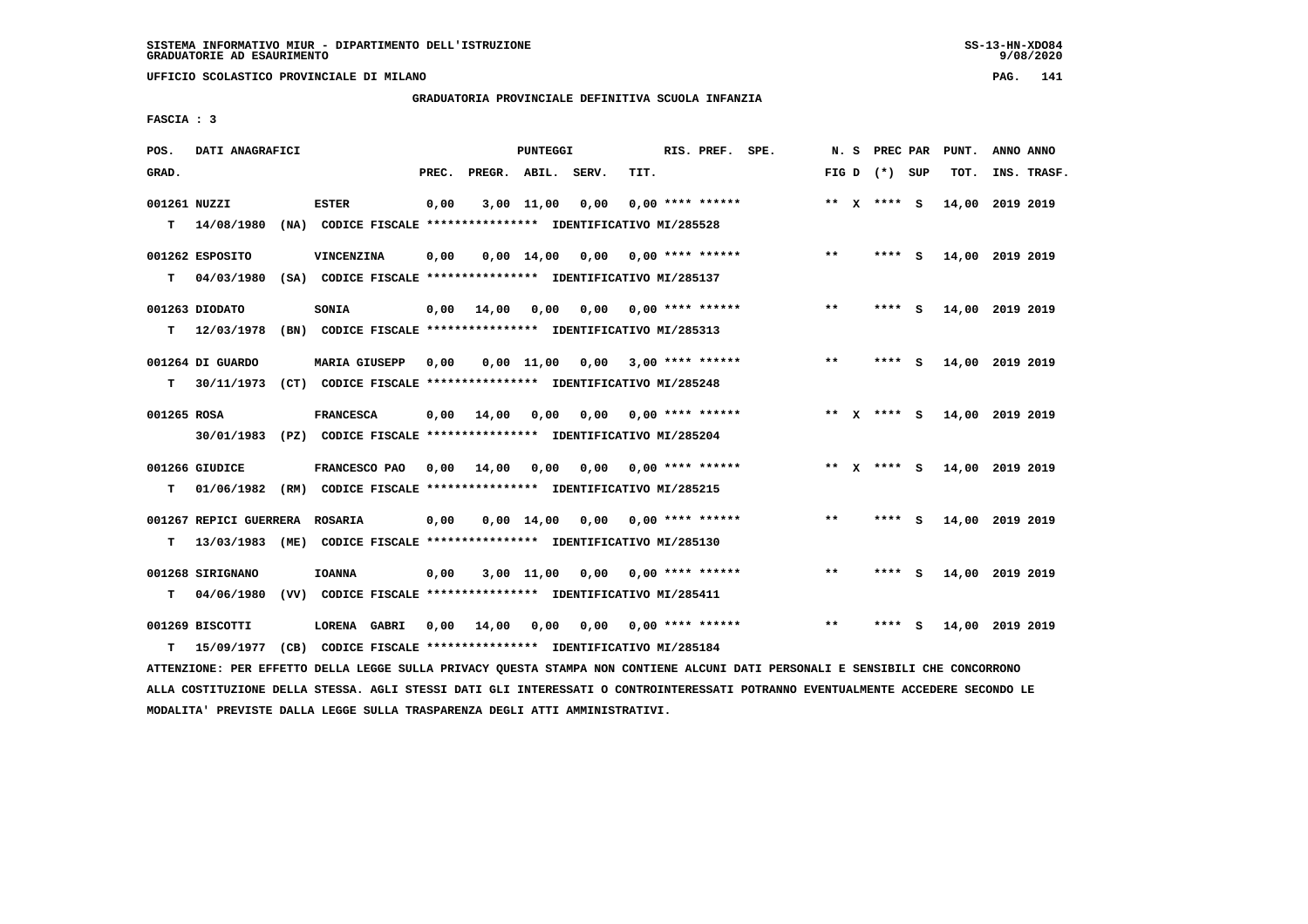**UFFICIO SCOLASTICO PROVINCIALE DI MILANO PAG. 141**

## **GRADUATORIA PROVINCIALE DEFINITIVA SCUOLA INFANZIA**

 **FASCIA : 3**

| POS.         | DATI ANAGRAFICI                |                                                               |       |                    | <b>PUNTEGGI</b>    |      |      | RIS. PREF. SPE.           | N.S   | PREC PAR        |     | PUNT.           | ANNO ANNO |             |
|--------------|--------------------------------|---------------------------------------------------------------|-------|--------------------|--------------------|------|------|---------------------------|-------|-----------------|-----|-----------------|-----------|-------------|
| GRAD.        |                                |                                                               | PREC. | PREGR. ABIL. SERV. |                    |      | TIT. |                           |       | FIG D $(*)$ SUP |     | TOT.            |           | INS. TRASF. |
| 001261 NUZZI |                                | <b>ESTER</b>                                                  | 0,00  |                    | 3,00 11,00         | 0,00 |      | $0.00$ **** ******        |       | ** $X$ **** S   |     | 14,00 2019 2019 |           |             |
| T.           | 14/08/1980                     | (NA) CODICE FISCALE **************** IDENTIFICATIVO MI/285528 |       |                    |                    |      |      |                           |       |                 |     |                 |           |             |
|              | 001262 ESPOSITO                | VINCENZINA                                                    | 0,00  |                    | $0.00$ 14.00       | 0,00 |      | 0,00 **** ******          | $* *$ | **** S          |     | 14,00 2019 2019 |           |             |
| т            | 04/03/1980                     | (SA) CODICE FISCALE **************** IDENTIFICATIVO MI/285137 |       |                    |                    |      |      |                           |       |                 |     |                 |           |             |
|              | 001263 DIODATO                 | SONIA                                                         | 0,00  | 14,00              | 0.00               |      |      | $0.00$ $0.00$ **** ****** | $* *$ | **** S          |     | 14,00 2019 2019 |           |             |
| т            | 12/03/1978                     | (BN) CODICE FISCALE **************** IDENTIFICATIVO MI/285313 |       |                    |                    |      |      |                           |       |                 |     |                 |           |             |
|              | 001264 DI GUARDO               | <b>MARIA GIUSEPP</b>                                          | 0,00  |                    | $0,00$ 11,00       | 0.00 |      | $3,00$ **** ******        | $***$ | ****            | - S | 14,00 2019 2019 |           |             |
| T.           | 30/11/1973                     | (CT) CODICE FISCALE **************** IDENTIFICATIVO MI/285248 |       |                    |                    |      |      |                           |       |                 |     |                 |           |             |
| 001265 ROSA  |                                | <b>FRANCESCA</b>                                              | 0,00  | 14,00              | 0,00               | 0,00 |      | $0.00$ **** ******        |       | ** X **** S     |     | 14,00 2019 2019 |           |             |
|              | 30/01/1983                     | (PZ) CODICE FISCALE **************** IDENTIFICATIVO MI/285204 |       |                    |                    |      |      |                           |       |                 |     |                 |           |             |
|              | 001266 GIUDICE                 | FRANCESCO PAO                                                 | 0.00  | 14,00              | 0,00               | 0,00 |      | 0,00 **** ******          |       | ** X **** S     |     | 14,00 2019 2019 |           |             |
| т            | 01/06/1982                     | (RM) CODICE FISCALE *************** IDENTIFICATIVO MI/285215  |       |                    |                    |      |      |                           |       |                 |     |                 |           |             |
|              | 001267 REPICI GUERRERA ROSARIA |                                                               | 0,00  |                    | $0,00 \quad 14,00$ | 0.00 |      | 0,00 **** ******          | $* *$ | **** S          |     | 14,00 2019 2019 |           |             |
| т            | 13/03/1983<br>(ME)             | CODICE FISCALE **************** IDENTIFICATIVO MI/285130      |       |                    |                    |      |      |                           |       |                 |     |                 |           |             |
|              | 001268 SIRIGNANO               | <b>IOANNA</b>                                                 | 0,00  |                    | 3,00 11,00         | 0,00 |      | 0,00 **** ******          | $* *$ | ****            | - S | 14,00 2019 2019 |           |             |
| т            | 04/06/1980                     | (VV) CODICE FISCALE **************** IDENTIFICATIVO MI/285411 |       |                    |                    |      |      |                           |       |                 |     |                 |           |             |
|              | 001269 BISCOTTI                | LORENA GABRI                                                  | 0,00  | 14,00              | 0,00               | 0,00 |      | $0.00$ **** ******        | $* *$ | ****            | S.  | 14,00 2019 2019 |           |             |
| т            | 15/09/1977                     | (CB) CODICE FISCALE **************** IDENTIFICATIVO MI/285184 |       |                    |                    |      |      |                           |       |                 |     |                 |           |             |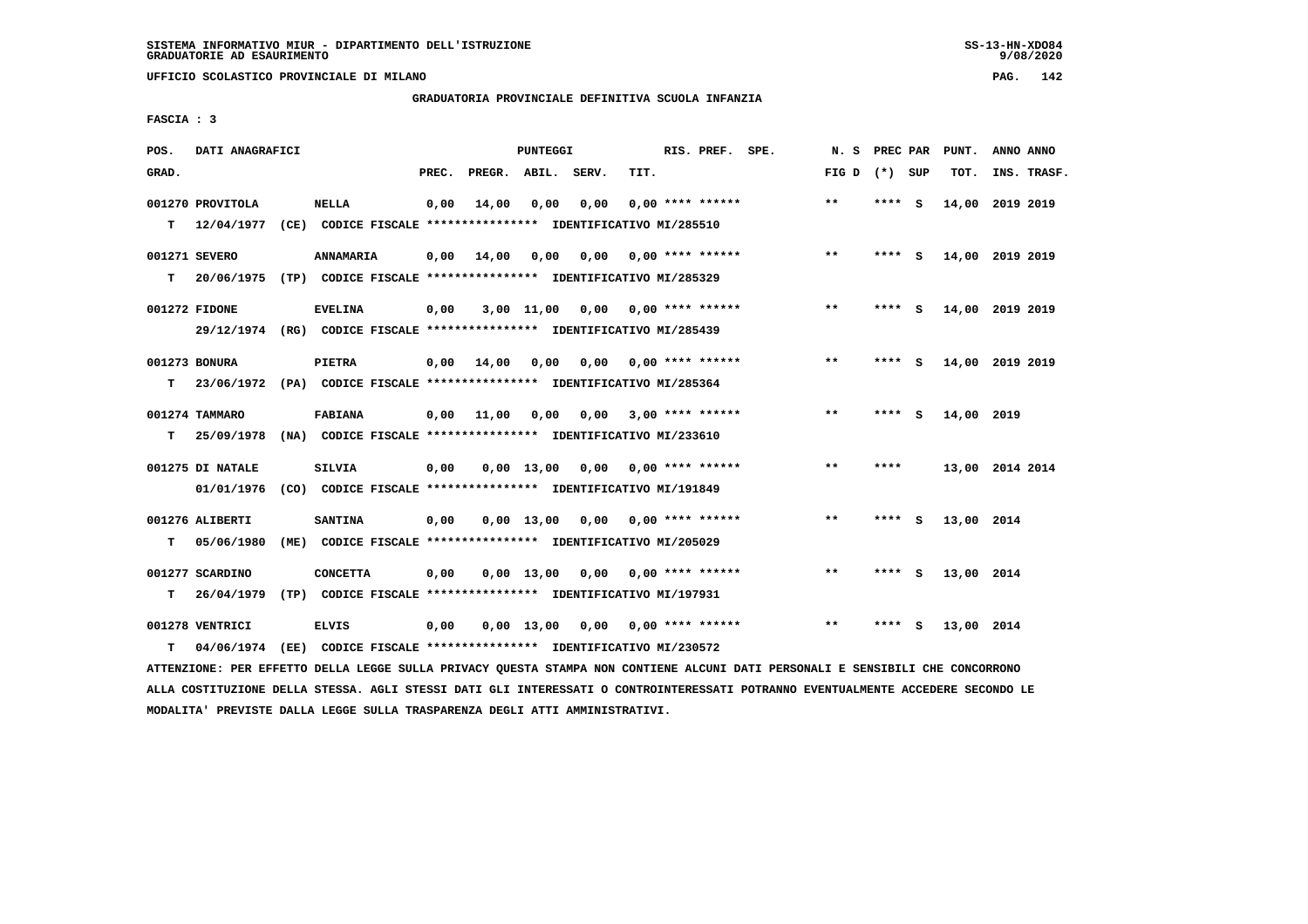**UFFICIO SCOLASTICO PROVINCIALE DI MILANO PAG. 142**

# **GRADUATORIA PROVINCIALE DEFINITIVA SCUOLA INFANZIA**

 **FASCIA : 3**

| POS.  | DATI ANAGRAFICI                |      |                                                                                 |       |                    | <b>PUNTEGGI</b> |      |      | RIS. PREF. SPE.           | N.S   | PREC PAR |     | PUNT.           | ANNO ANNO |             |
|-------|--------------------------------|------|---------------------------------------------------------------------------------|-------|--------------------|-----------------|------|------|---------------------------|-------|----------|-----|-----------------|-----------|-------------|
| GRAD. |                                |      |                                                                                 | PREC. | PREGR. ABIL. SERV. |                 |      | TIT. |                           | FIG D | (*) SUP  |     | TOT.            |           | INS. TRASF. |
| T.    | 001270 PROVITOLA<br>12/04/1977 |      | <b>NELLA</b><br>(CE) CODICE FISCALE **************** IDENTIFICATIVO MI/285510   | 0,00  | 14,00              | 0,00            | 0,00 |      | $0.00$ **** ******        | $* *$ | ****     | - S | 14,00           | 2019 2019 |             |
|       | 001271 SEVERO                  |      | ANNAMARIA                                                                       | 0,00  | 14,00              | 0,00            | 0,00 |      | 0,00 **** ******          | $***$ | ****     | - S | 14,00 2019 2019 |           |             |
| т     | 20/06/1975<br>001272 FIDONE    |      | (TP) CODICE FISCALE **************** IDENTIFICATIVO MI/285329<br><b>EVELINA</b> | 0,00  |                    | $3,00$ 11,00    | 0.00 |      | 0,00 **** ******          | $***$ | **** S   |     | 14,00 2019 2019 |           |             |
|       |                                |      | 29/12/1974 (RG) CODICE FISCALE *************** IDENTIFICATIVO MI/285439         |       |                    |                 |      |      |                           |       |          |     |                 |           |             |
|       | 001273 BONURA                  |      | <b>PIETRA</b>                                                                   | 0,00  | 14,00              | 0,00            |      |      | $0.00$ $0.00$ **** ****** | $* *$ | ****     | - S | 14,00 2019 2019 |           |             |
| т     |                                |      | 23/06/1972 (PA) CODICE FISCALE *************** IDENTIFICATIVO MI/285364         |       |                    |                 |      |      |                           |       |          |     |                 |           |             |
|       | 001274 TAMMARO                 |      | <b>FABIANA</b>                                                                  | 0,00  | 11,00              | 0,00            |      |      | $0.00$ 3.00 **** ******   | $***$ | ****     | - 5 | 14,00 2019      |           |             |
| т     | 25/09/1978                     |      | (NA) CODICE FISCALE **************** IDENTIFICATIVO MI/233610                   |       |                    |                 |      |      |                           |       |          |     |                 |           |             |
|       | 001275 DI NATALE               |      | SILVIA                                                                          | 0,00  |                    | 0,00 13,00      | 0,00 |      | 0,00 **** ******          | $* *$ | ****     |     | 13,00 2014 2014 |           |             |
|       | 01/01/1976                     |      | (CO) CODICE FISCALE **************** IDENTIFICATIVO MI/191849                   |       |                    |                 |      |      |                           |       |          |     |                 |           |             |
|       | 001276 ALIBERTI                |      | <b>SANTINA</b>                                                                  | 0,00  |                    | $0,00$ 13,00    | 0,00 |      | $0.00$ **** ******        | $***$ | ****     | - S | 13,00 2014      |           |             |
| т     | 05/06/1980                     | (ME) | CODICE FISCALE **************** IDENTIFICATIVO MI/205029                        |       |                    |                 |      |      |                           |       |          |     |                 |           |             |
|       | 001277 SCARDINO                |      | <b>CONCETTA</b>                                                                 | 0,00  |                    | $0.00$ 13.00    | 0.00 |      | 0,00 **** ******          | $**$  | **** S   |     | 13,00 2014      |           |             |
| т     | 26/04/1979                     |      | (TP) CODICE FISCALE **************** IDENTIFICATIVO MI/197931                   |       |                    |                 |      |      |                           |       |          |     |                 |           |             |
|       | 001278 VENTRICI                |      | <b>ELVIS</b>                                                                    | 0,00  |                    | $0,00$ 13,00    |      |      | $0,00$ $0,00$ **** ****** | $* *$ | ****     | - S | 13,00 2014      |           |             |
| т     | 04/06/1974                     |      | (EE) CODICE FISCALE **************** IDENTIFICATIVO MI/230572                   |       |                    |                 |      |      |                           |       |          |     |                 |           |             |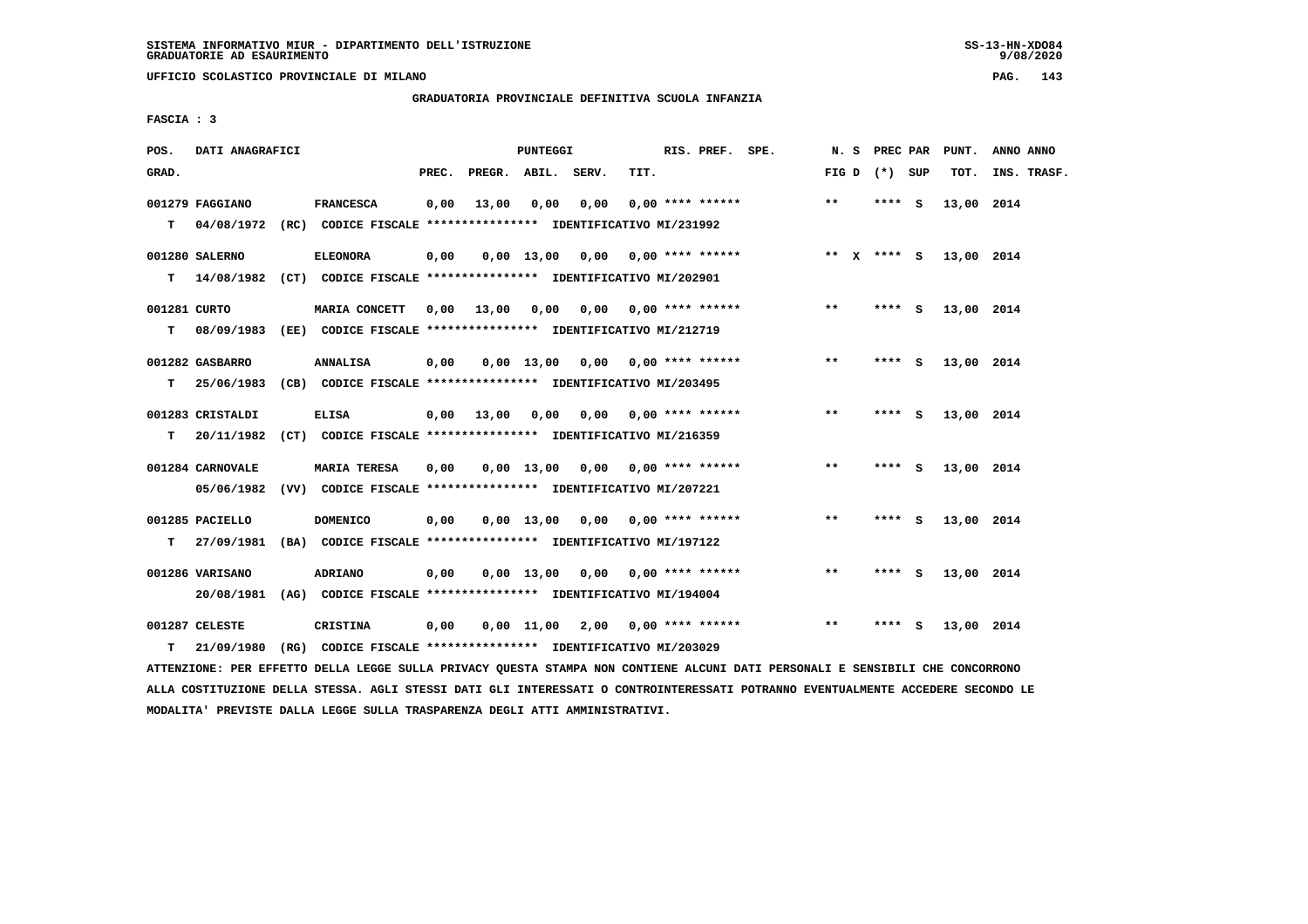**UFFICIO SCOLASTICO PROVINCIALE DI MILANO PAG. 143**

# **GRADUATORIA PROVINCIALE DEFINITIVA SCUOLA INFANZIA**

 **FASCIA : 3**

| POS.              | DATI ANAGRAFICI                |                                                                                             |       |                    | <b>PUNTEGGI</b> |                               |      | RIS. PREF. SPE.           | N.S          | PREC PAR      |          | PUNT.      | ANNO ANNO   |
|-------------------|--------------------------------|---------------------------------------------------------------------------------------------|-------|--------------------|-----------------|-------------------------------|------|---------------------------|--------------|---------------|----------|------------|-------------|
| GRAD.             |                                |                                                                                             | PREC. | PREGR. ABIL. SERV. |                 |                               | TIT. |                           | FIG D        | (*) SUP       |          | TOT.       | INS. TRASF. |
| т                 | 001279 FAGGIANO<br>04/08/1972  | <b>FRANCESCA</b><br>(RC) CODICE FISCALE **************** IDENTIFICATIVO MI/231992           | 0,00  | 13,00              | 0,00            | 0,00                          |      | $0.00$ **** ******        | $* *$        | $***$ S       |          | 13,00 2014 |             |
| т                 | 001280 SALERNO                 | <b>ELEONORA</b><br>14/08/1982 (CT) CODICE FISCALE **************** IDENTIFICATIVO MI/202901 | 0,00  |                    |                 | $0,00$ 13,00 0,00             |      | $0.00$ **** ******        |              | ** $X$ **** S |          | 13,00 2014 |             |
| 001281 CURTO<br>т | 08/09/1983                     | MARIA CONCETT<br>(EE) CODICE FISCALE **************** IDENTIFICATIVO MI/212719              | 0,00  | 13,00              | 0,00            |                               |      | $0,00$ $0,00$ **** ****** | $***$        | $***$ S       |          | 13,00 2014 |             |
| т                 | 001282 GASBARRO<br>25/06/1983  | <b>ANNALISA</b><br>(CB) CODICE FISCALE **************** IDENTIFICATIVO MI/203495            | 0,00  |                    | $0,00$ 13,00    |                               |      | $0,00$ 0,00 **** ******   | $***$        | ****          | <b>S</b> | 13,00 2014 |             |
| т                 | 001283 CRISTALDI<br>20/11/1982 | <b>ELISA</b><br>(CT) CODICE FISCALE **************** IDENTIFICATIVO MI/216359               | 0.00  | 13,00              | 0.00            |                               |      | $0,00$ $0,00$ **** ****** | $**$         | ****          | - S      | 13,00 2014 |             |
|                   | 001284 CARNOVALE<br>05/06/1982 | <b>MARIA TERESA</b><br>(VV) CODICE FISCALE **************** IDENTIFICATIVO MI/207221        | 0,00  |                    | $0,00$ 13,00    | 0,00                          |      | $0.00$ **** ******        | $* *$        | **** S        |          | 13,00 2014 |             |
| т                 | 001285 PACIELLO<br>27/09/1981  | <b>DOMENICO</b><br>(BA) CODICE FISCALE **************** IDENTIFICATIVO MI/197122            | 0,00  |                    | $0.00$ 13.00    | 0.00                          |      | $0.00$ **** ******        | $**$         | ****          | - S      | 13,00 2014 |             |
|                   | 001286 VARISANO<br>20/08/1981  | ADRIANO<br>(AG) CODICE FISCALE **************** IDENTIFICATIVO MI/194004                    | 0.00  |                    |                 | $0.00 \quad 13.00 \quad 0.00$ |      | $0.00$ **** ******        | $\star\star$ | $***$ S       |          | 13,00 2014 |             |
| т                 | 001287 CELESTE<br>21/09/1980   | CRISTINA<br>(RG) CODICE FISCALE **************** IDENTIFICATIVO MI/203029                   | 0,00  |                    | 0,00 11,00      |                               |      | $2,00$ 0,00 **** ******   | $**$         | ****          | - S      | 13,00 2014 |             |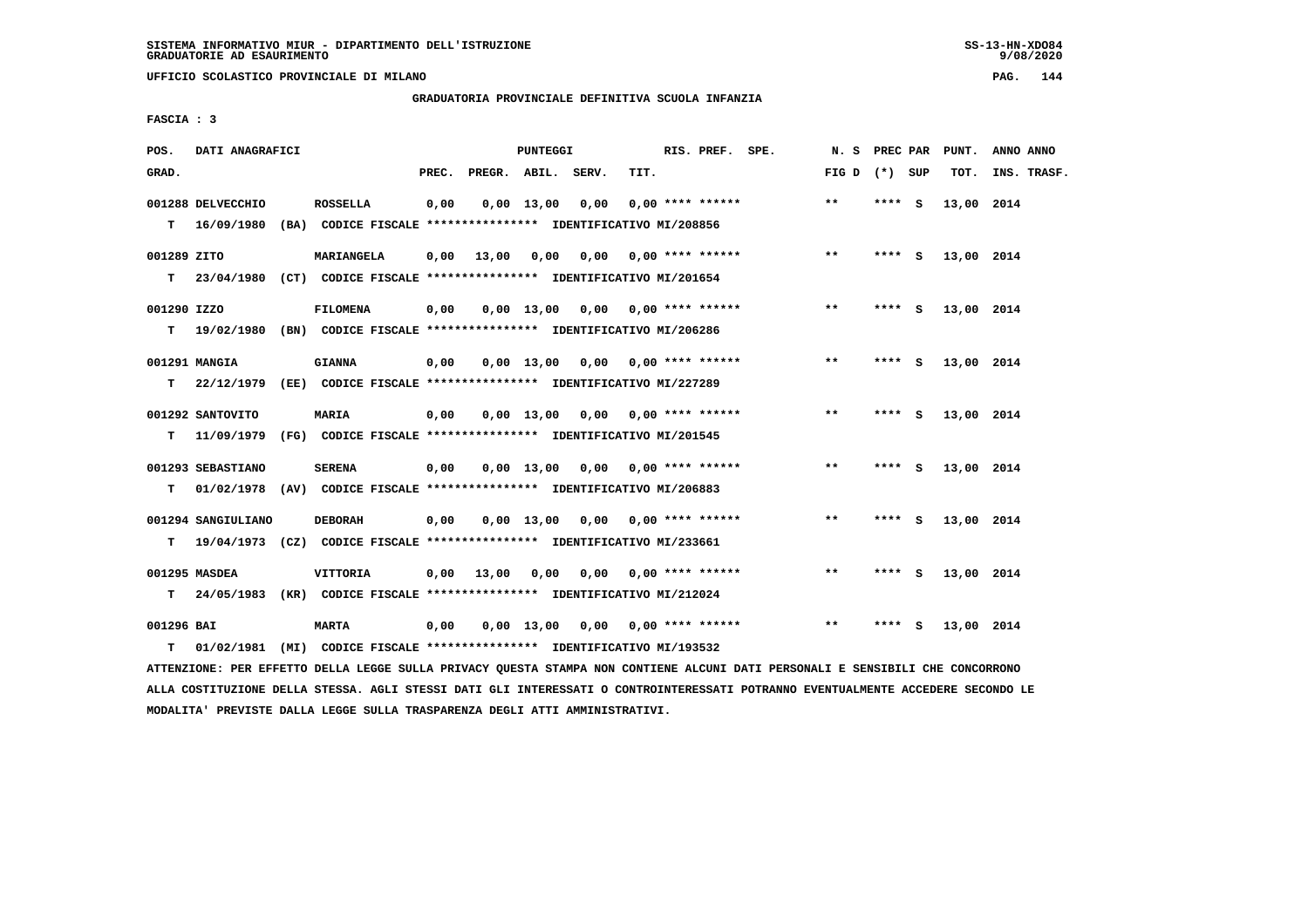**UFFICIO SCOLASTICO PROVINCIALE DI MILANO PAG. 144**

# **GRADUATORIA PROVINCIALE DEFINITIVA SCUOLA INFANZIA**

 **FASCIA : 3**

| POS.        | DATI ANAGRAFICI    |                                                                          |       |                    | PUNTEGGI     |                                    |      | RIS. PREF. SPE.    | N. S PREC PAR   |         |          | PUNT.      | ANNO ANNO   |
|-------------|--------------------|--------------------------------------------------------------------------|-------|--------------------|--------------|------------------------------------|------|--------------------|-----------------|---------|----------|------------|-------------|
| GRAD.       |                    |                                                                          | PREC. | PREGR. ABIL. SERV. |              |                                    | TIT. |                    | FIG D $(*)$ SUP |         |          | TOT.       | INS. TRASF. |
|             | 001288 DELVECCHIO  | <b>ROSSELLA</b>                                                          | 0,00  |                    | $0,00$ 13,00 | 0,00                               |      | $0.00$ **** ****** | $\star\star$    | **** S  |          | 13,00 2014 |             |
|             | $T = 16/09/1980$   | (BA) CODICE FISCALE **************** IDENTIFICATIVO MI/208856            |       |                    |              |                                    |      |                    |                 |         |          |            |             |
| 001289 ZITO |                    | MARIANGELA                                                               | 0,00  | 13,00              | 0,00         | 0,00 0,00 **** ******              |      |                    | $***$           | **** S  |          | 13,00 2014 |             |
| T.          | 23/04/1980         | (CT) CODICE FISCALE *************** IDENTIFICATIVO MI/201654             |       |                    |              |                                    |      |                    |                 |         |          |            |             |
| 001290 IZZO |                    | <b>FILOMENA</b>                                                          | 0,00  |                    |              | $0,00$ 13,00 0,00 0,00 **** ****** |      |                    | **              | **** S  |          | 13,00 2014 |             |
|             | $T = 19/02/1980$   | (BN) CODICE FISCALE **************** IDENTIFICATIVO MI/206286            |       |                    |              |                                    |      |                    |                 |         |          |            |             |
|             | 001291 MANGIA      | <b>GIANNA</b>                                                            | 0.00  |                    |              | $0.00$ 13.00 0.00 0.00 **** ****** |      |                    | $***$           | **** S  |          | 13,00 2014 |             |
| т           | 22/12/1979         | (EE) CODICE FISCALE **************** IDENTIFICATIVO MI/227289            |       |                    |              |                                    |      |                    |                 |         |          |            |             |
|             | 001292 SANTOVITO   | <b>MARIA</b>                                                             | 0,00  |                    |              | $0,00$ $13,00$ $0,00$              |      | $0.00$ **** ****** | $***$           | **** S  |          | 13,00 2014 |             |
| т           | 11/09/1979         | (FG) CODICE FISCALE **************** IDENTIFICATIVO MI/201545            |       |                    |              |                                    |      |                    |                 |         |          |            |             |
|             | 001293 SEBASTIANO  | <b>SERENA</b>                                                            |       |                    |              | $0.00$ 13.00 0.00 0.00 **** ****** |      |                    | **              | $***$ S |          | 13,00 2014 |             |
|             |                    |                                                                          | 0,00  |                    |              |                                    |      |                    |                 |         |          |            |             |
| т           |                    | 01/02/1978 (AV) CODICE FISCALE **************** IDENTIFICATIVO MI/206883 |       |                    |              |                                    |      |                    |                 |         |          |            |             |
|             | 001294 SANGIULIANO | <b>DEBORAH</b>                                                           | 0,00  |                    |              | $0.00$ 13.00 0.00 0.00 **** ****** |      |                    | $* *$           | **** S  |          | 13,00 2014 |             |
| т           |                    | 19/04/1973 (CZ) CODICE FISCALE *************** IDENTIFICATIVO MI/233661  |       |                    |              |                                    |      |                    |                 |         |          |            |             |
|             | 001295 MASDEA      | VITTORIA                                                                 | 0,00  | 13,00              | 0,00         | 0,00                               |      | $0.00$ **** ****** | **              | **** S  |          | 13,00 2014 |             |
| т           | 24/05/1983         | (KR) CODICE FISCALE *************** IDENTIFICATIVO MI/212024             |       |                    |              |                                    |      |                    |                 |         |          |            |             |
| 001296 BAI  |                    | <b>MARTA</b>                                                             | 0,00  |                    | $0.00$ 13.00 | 0,00                               |      | $0.00$ **** ****** | **              | ****    | <b>S</b> | 13,00 2014 |             |
| т           |                    | 01/02/1981 (MI) CODICE FISCALE **************** IDENTIFICATIVO MI/193532 |       |                    |              |                                    |      |                    |                 |         |          |            |             |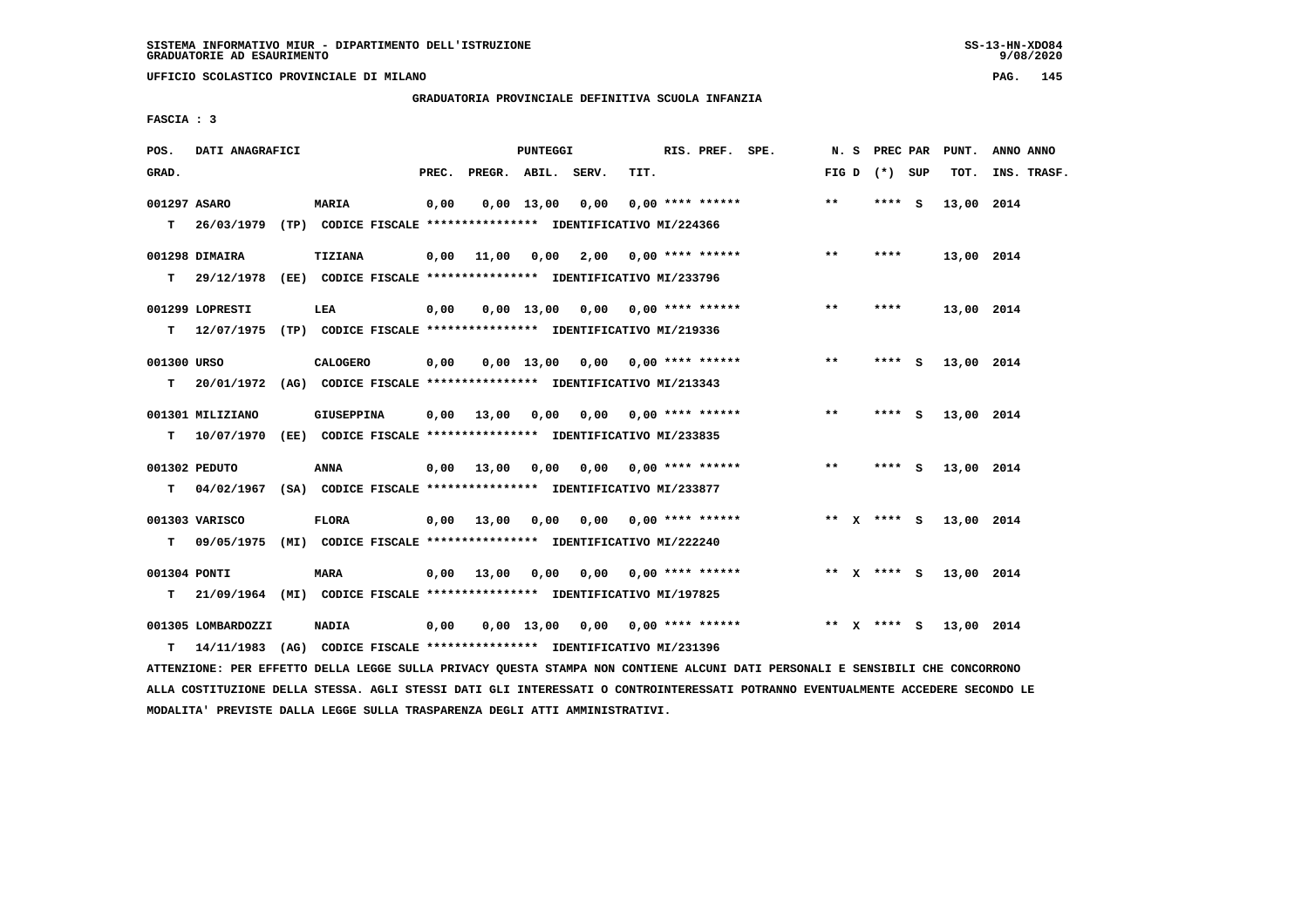**UFFICIO SCOLASTICO PROVINCIALE DI MILANO PAG. 145**

#### **GRADUATORIA PROVINCIALE DEFINITIVA SCUOLA INFANZIA**

 **FASCIA : 3**

| POS.         | DATI ANAGRAFICI                                                           |                                                               |       |                    | PUNTEGGI     |                                        |      | RIS. PREF. SPE.           |              | N. S PREC PAR   | PUNT.      | ANNO ANNO   |
|--------------|---------------------------------------------------------------------------|---------------------------------------------------------------|-------|--------------------|--------------|----------------------------------------|------|---------------------------|--------------|-----------------|------------|-------------|
| GRAD.        |                                                                           |                                                               | PREC. | PREGR. ABIL. SERV. |              |                                        | TIT. |                           |              | FIG D $(*)$ SUP | тот.       | INS. TRASF. |
| 001297 ASARO |                                                                           | <b>MARIA</b>                                                  | 0,00  |                    | 0,00 13,00   | 0,00                                   |      | $0.00$ **** ******        | $* *$        | **** S          | 13,00 2014 |             |
|              | T 26/03/1979 (TP) CODICE FISCALE *************** IDENTIFICATIVO MI/224366 |                                                               |       |                    |              |                                        |      |                           |              |                 |            |             |
|              | 001298 DIMAIRA                                                            | TIZIANA                                                       | 0,00  | 11,00              |              | $0,00$ 2,00 0,00 **** ******           |      |                           | $***$        | ****            | 13,00 2014 |             |
|              | $T = 29/12/1978$                                                          | (EE) CODICE FISCALE **************** IDENTIFICATIVO MI/233796 |       |                    |              |                                        |      |                           |              |                 |            |             |
|              | 001299 LOPRESTI                                                           | LEA                                                           | 0,00  |                    |              | $0,00$ 13,00 0,00 0,00 **** ******     |      |                           | **           | ****            | 13,00 2014 |             |
|              | T 12/07/1975 (TP) CODICE FISCALE *************** IDENTIFICATIVO MI/219336 |                                                               |       |                    |              |                                        |      |                           |              |                 |            |             |
| 001300 URSO  |                                                                           | CALOGERO                                                      | 0,00  |                    |              | $0,00$ 13,00 0,00 0,00 **** ******     |      |                           | $***$        | **** S          | 13,00 2014 |             |
|              | $T = 20/01/1972$                                                          | (AG) CODICE FISCALE **************** IDENTIFICATIVO MI/213343 |       |                    |              |                                        |      |                           |              |                 |            |             |
|              | 001301 MILIZIANO                                                          | GIUSEPPINA                                                    | 0,00  | 13,00 0,00         |              | 0,00 0,00 **** ******                  |      |                           | $\star\star$ | **** S          | 13,00 2014 |             |
| т            | 10/07/1970 (EE) CODICE FISCALE **************** IDENTIFICATIVO MI/233835  |                                                               |       |                    |              |                                        |      |                           |              |                 |            |             |
|              | 001302 PEDUTO                                                             | <b>ANNA</b>                                                   | 0,00  | 13,00              |              | $0,00$ $0,00$ $0,00$ $***$ **** ****** |      |                           | $***$        | $***$ S         | 13,00 2014 |             |
| T.           | 04/02/1967 (SA) CODICE FISCALE **************** IDENTIFICATIVO MI/233877  |                                                               |       |                    |              |                                        |      |                           |              |                 |            |             |
|              | 001303 VARISCO                                                            | <b>FLORA</b>                                                  |       | 0.00 13.00         |              | $0,00$ $0,00$ $0,00$ $***$ **** ****** |      |                           |              | ** X **** S     | 13,00 2014 |             |
| т            | 09/05/1975 (MI) CODICE FISCALE **************** IDENTIFICATIVO MI/222240  |                                                               |       |                    |              |                                        |      |                           |              |                 |            |             |
| 001304 PONTI |                                                                           | MARA                                                          | 0,00  | 13,00              | 0,00         |                                        |      | $0.00$ $0.00$ **** ****** |              | ** x **** S     | 13,00 2014 |             |
| т            | 21/09/1964 (MI) CODICE FISCALE *************** IDENTIFICATIVO MI/197825   |                                                               |       |                    |              |                                        |      |                           |              |                 |            |             |
|              | 001305 LOMBARDOZZI                                                        | <b>NADIA</b>                                                  | 0,00  |                    | $0.00$ 13.00 | 0,00                                   |      | 0,00 **** ******          |              | ** x **** S     | 13,00 2014 |             |
| т            | 14/11/1983 (AG) CODICE FISCALE **************** IDENTIFICATIVO MI/231396  |                                                               |       |                    |              |                                        |      |                           |              |                 |            |             |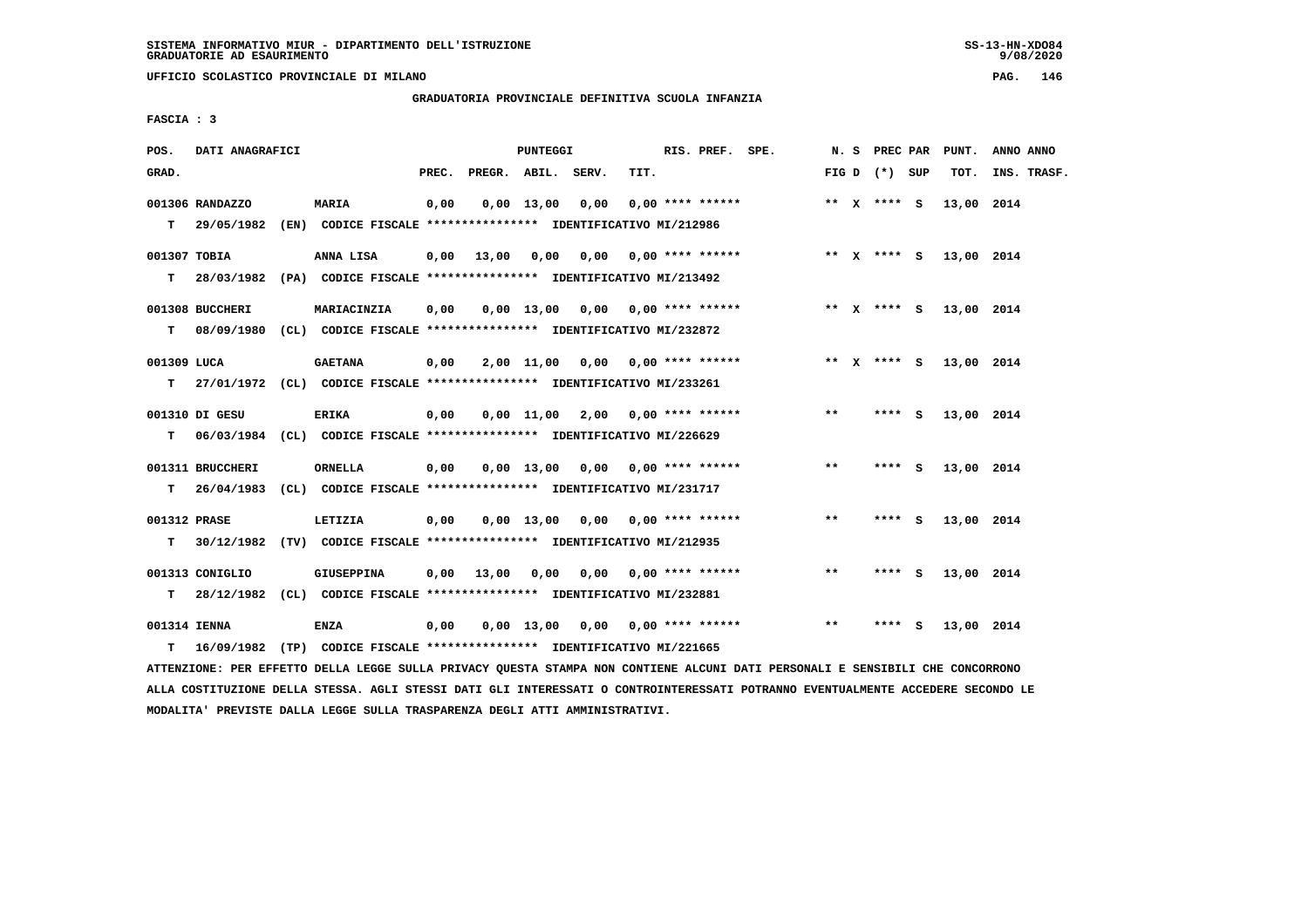**UFFICIO SCOLASTICO PROVINCIALE DI MILANO PAG. 146**

# **GRADUATORIA PROVINCIALE DEFINITIVA SCUOLA INFANZIA**

 **FASCIA : 3**

| POS.         | DATI ANAGRAFICI  |                                                                          |       |                    | PUNTEGGI     |                                    |      | RIS. PREF. SPE.           |                       |       |                 |          | N. S PREC PAR PUNT.    | ANNO ANNO   |
|--------------|------------------|--------------------------------------------------------------------------|-------|--------------------|--------------|------------------------------------|------|---------------------------|-----------------------|-------|-----------------|----------|------------------------|-------------|
| GRAD.        |                  |                                                                          | PREC. | PREGR. ABIL. SERV. |              |                                    | TIT. |                           |                       |       | FIG D $(*)$ SUP |          | TOT.                   | INS. TRASF. |
|              | 001306 RANDAZZO  | MARIA                                                                    | 0,00  |                    | $0.00$ 13.00 | 0,00                               |      | $0.00$ **** ******        |                       |       | ** $X$ **** S   |          | 13,00 2014             |             |
|              | T 29/05/1982     | (EN) CODICE FISCALE **************** IDENTIFICATIVO MI/212986            |       |                    |              |                                    |      |                           |                       |       |                 |          |                        |             |
| 001307 TOBIA |                  | ANNA LISA                                                                | 0,00  | 13,00              | 0,00         |                                    |      |                           | 0,00 0,00 **** ****** |       |                 |          | ** X **** S 13,00 2014 |             |
| T.           |                  | 28/03/1982 (PA) CODICE FISCALE *************** IDENTIFICATIVO MI/213492  |       |                    |              |                                    |      |                           |                       |       |                 |          |                        |             |
|              | 001308 BUCCHERI  | MARIACINZIA                                                              | 0,00  |                    |              | $0.00$ 13.00 0.00 0.00 **** ****** |      |                           |                       |       | ** x **** S     |          | 13,00 2014             |             |
| T.           |                  | 08/09/1980 (CL) CODICE FISCALE **************** IDENTIFICATIVO MI/232872 |       |                    |              |                                    |      |                           |                       |       |                 |          |                        |             |
| 001309 LUCA  |                  | <b>GAETANA</b>                                                           | 0,00  |                    |              | 2,00 11,00 0,00 0,00 **** ******   |      |                           |                       |       | ** x **** s     |          | 13,00 2014             |             |
| т            |                  | 27/01/1972 (CL) CODICE FISCALE **************** IDENTIFICATIVO MI/233261 |       |                    |              |                                    |      |                           |                       |       |                 |          |                        |             |
|              | 001310 DI GESU   | <b>ERIKA</b>                                                             | 0,00  |                    |              | 0,00 11,00 2,00                    |      | $0.00$ **** ******        |                       | $* *$ | **** S          |          | 13,00 2014             |             |
| T.           |                  | 06/03/1984 (CL) CODICE FISCALE **************** IDENTIFICATIVO MI/226629 |       |                    |              |                                    |      |                           |                       |       |                 |          |                        |             |
|              | 001311 BRUCCHERI | <b>ORNELLA</b>                                                           | 0,00  |                    |              | $0.00$ 13.00 0.00 0.00 **** ****** |      |                           |                       | $**$  | **** S          |          | 13,00 2014             |             |
| T.           | 26/04/1983       | (CL) CODICE FISCALE *************** IDENTIFICATIVO MI/231717             |       |                    |              |                                    |      |                           |                       |       |                 |          |                        |             |
| 001312 PRASE |                  | LETIZIA                                                                  | 0,00  |                    |              | $0,00$ 13,00 0,00 0,00 **** ****** |      |                           |                       | $***$ | **** S          |          | 13,00 2014             |             |
| т            |                  | 30/12/1982 (TV) CODICE FISCALE **************** IDENTIFICATIVO MI/212935 |       |                    |              |                                    |      |                           |                       |       |                 |          |                        |             |
|              |                  |                                                                          |       |                    |              |                                    |      |                           |                       |       |                 |          |                        |             |
|              | 001313 CONIGLIO  | GIUSEPPINA                                                               | 0,00  | 13,00              | 0,00         |                                    |      | $0.00$ $0.00$ **** ****** |                       | $* *$ | **** S          |          | 13,00 2014             |             |
| т            | 28/12/1982       | (CL) CODICE FISCALE *************** IDENTIFICATIVO MI/232881             |       |                    |              |                                    |      |                           |                       |       |                 |          |                        |             |
| 001314 IENNA |                  | <b>ENZA</b>                                                              | 0,00  |                    | $0.00$ 13.00 | 0.00                               |      | $0.00$ **** ******        |                       | $**$  | ****            | <b>S</b> | 13,00 2014             |             |
| т            |                  | 16/09/1982 (TP) CODICE FISCALE **************** IDENTIFICATIVO MI/221665 |       |                    |              |                                    |      |                           |                       |       |                 |          |                        |             |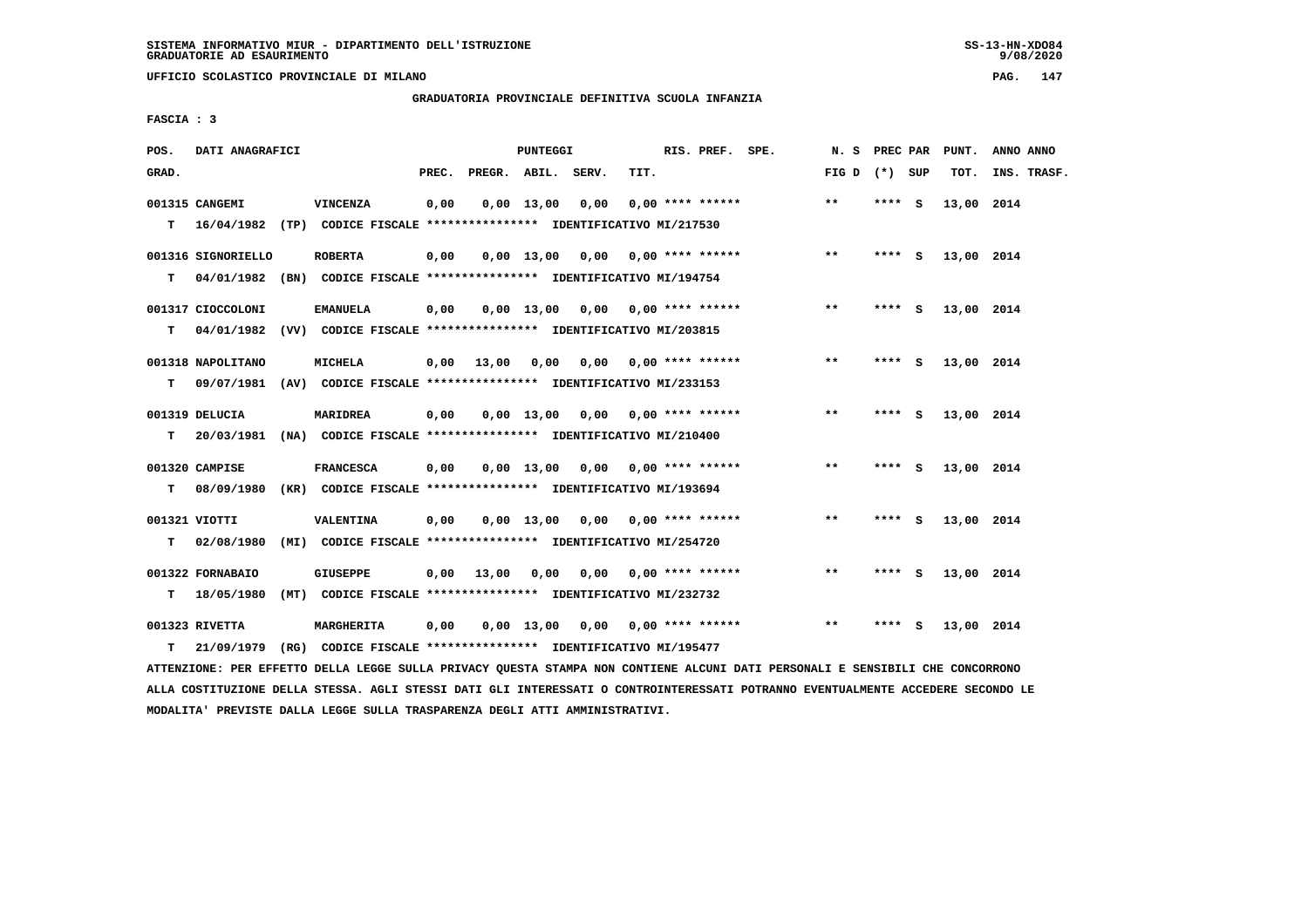**UFFICIO SCOLASTICO PROVINCIALE DI MILANO PAG. 147**

# **GRADUATORIA PROVINCIALE DEFINITIVA SCUOLA INFANZIA**

 **FASCIA : 3**

| POS.  | DATI ANAGRAFICI    |                                                                                            |       |              | PUNTEGGI           |                       |      | RIS. PREF. SPE.           | N. S            | PREC PAR |     | PUNT.      | ANNO ANNO   |
|-------|--------------------|--------------------------------------------------------------------------------------------|-------|--------------|--------------------|-----------------------|------|---------------------------|-----------------|----------|-----|------------|-------------|
| GRAD. |                    |                                                                                            | PREC. | PREGR. ABIL. |                    | SERV.                 | TIT. |                           | FIG D $(*)$ SUP |          |     | TOT.       | INS. TRASF. |
| T.    | 001315 CANGEMI     | <b>VINCENZA</b><br>16/04/1982 (TP) CODICE FISCALE *************** IDENTIFICATIVO MI/217530 | 0,00  |              | $0,00 \quad 13,00$ | 0,00                  |      | $0.00$ **** ******        | $***$           | $***$ S  |     | 13,00 2014 |             |
|       | 001316 SIGNORIELLO | <b>ROBERTA</b>                                                                             | 0,00  |              | $0.00$ 13.00       | 0,00 0,00 **** ****** |      |                           | $***$           | **** S   |     | 13,00 2014 |             |
| т     |                    | 04/01/1982 (BN) CODICE FISCALE **************** IDENTIFICATIVO MI/194754                   |       |              |                    |                       |      |                           |                 |          |     |            |             |
|       | 001317 CIOCCOLONI  | <b>EMANUELA</b>                                                                            | 0,00  |              | 0,00 13,00         |                       |      | $0,00$ $0,00$ **** ****** | $* *$           | **** S   |     | 13,00 2014 |             |
| т     |                    | 04/01/1982 (VV) CODICE FISCALE *************** IDENTIFICATIVO MI/203815                    |       |              |                    |                       |      |                           |                 |          |     |            |             |
|       | 001318 NAPOLITANO  | MICHELA                                                                                    | 0,00  | 13,00        | 0,00               | 0.00                  |      | $0.00$ **** ******        | $* *$           | **** S   |     | 13,00 2014 |             |
| т     |                    | 09/07/1981 (AV) CODICE FISCALE *************** IDENTIFICATIVO MI/233153                    |       |              |                    |                       |      |                           |                 |          |     |            |             |
|       | 001319 DELUCIA     | <b>MARIDREA</b>                                                                            | 0,00  |              | $0.00 \quad 13.00$ | 0,00                  |      | $0.00$ **** ******        | $**$            | **** S   |     | 13,00 2014 |             |
| т     |                    | 20/03/1981 (NA) CODICE FISCALE **************** IDENTIFICATIVO MI/210400                   |       |              |                    |                       |      |                           |                 |          |     |            |             |
|       | 001320 CAMPISE     | <b>FRANCESCA</b>                                                                           | 0,00  |              | $0,00$ 13,00       | 0,00 0,00 **** ****** |      |                           | $***$           | $***$ S  |     | 13,00 2014 |             |
| т     | 08/09/1980         | (KR) CODICE FISCALE **************** IDENTIFICATIVO MI/193694                              |       |              |                    |                       |      |                           |                 |          |     |            |             |
|       | 001321 VIOTTI      | VALENTINA                                                                                  | 0,00  |              | $0,00$ 13,00       |                       |      | $0,00$ $0,00$ **** ****** | **              | **** S   |     | 13,00 2014 |             |
| т     | 02/08/1980         | (MI) CODICE FISCALE **************** IDENTIFICATIVO MI/254720                              |       |              |                    |                       |      |                           |                 |          |     |            |             |
|       | 001322 FORNABAIO   | <b>GIUSEPPE</b>                                                                            | 0,00  | 13,00        | 0,00               | 0.00                  |      | $0.00$ **** ******        | **              | **** S   |     | 13,00 2014 |             |
| т     | 18/05/1980         | (MT) CODICE FISCALE **************** IDENTIFICATIVO MI/232732                              |       |              |                    |                       |      |                           |                 |          |     |            |             |
|       | 001323 RIVETTA     | MARGHERITA                                                                                 | 0,00  |              | $0,00 \quad 13,00$ | 0,00                  |      | $0.00$ **** ******        | $\star\star$    | ****     | - S | 13,00 2014 |             |
| т     | 21/09/1979         | (RG) CODICE FISCALE **************** IDENTIFICATIVO MI/195477                              |       |              |                    |                       |      |                           |                 |          |     |            |             |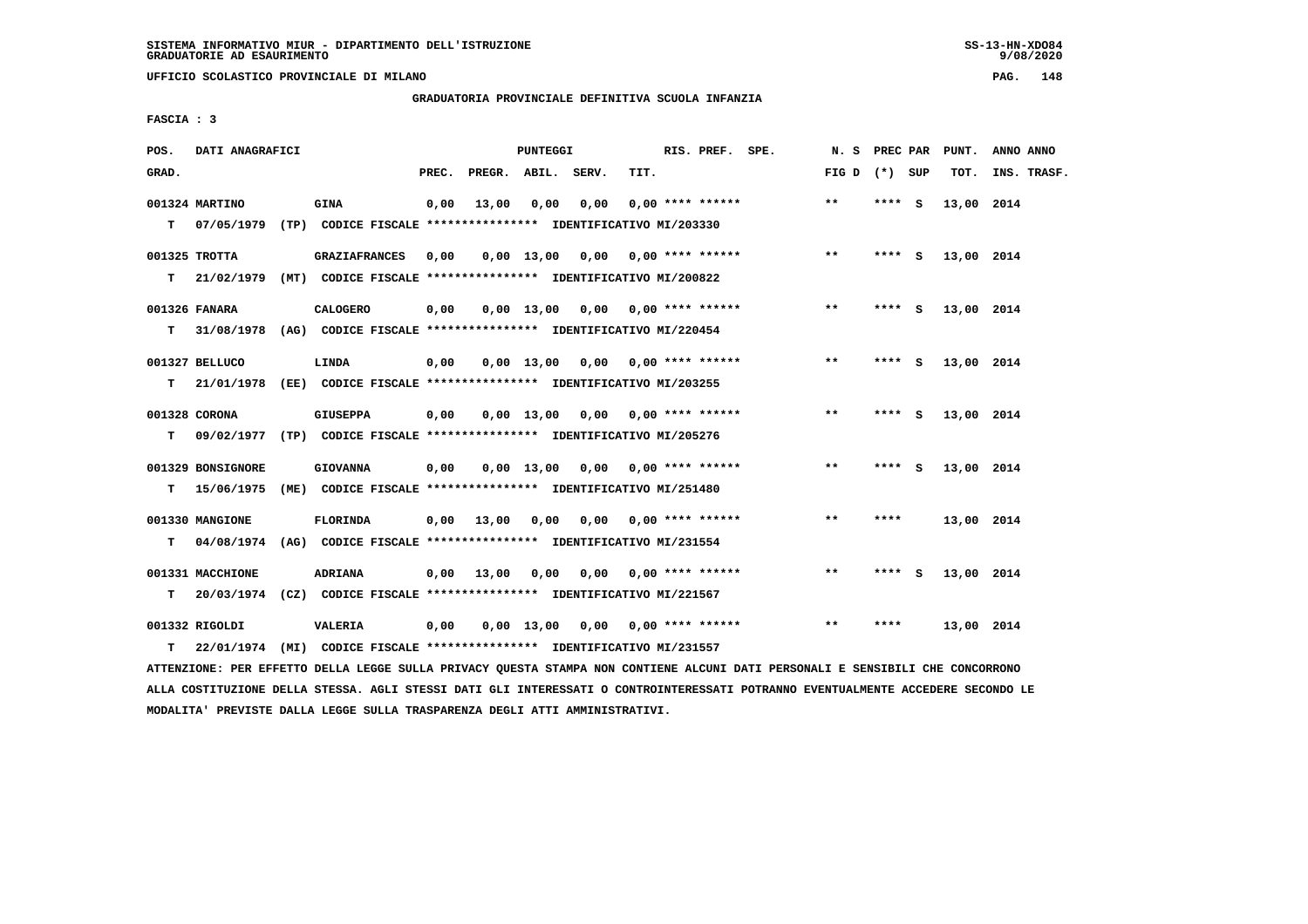**UFFICIO SCOLASTICO PROVINCIALE DI MILANO PAG. 148**

# **GRADUATORIA PROVINCIALE DEFINITIVA SCUOLA INFANZIA**

 **FASCIA : 3**

| POS.  | DATI ANAGRAFICI                 |                                                                                             |       |                    | <b>PUNTEGGI</b> |                                    |      | RIS. PREF. SPE.           | N.S             | PREC PAR |          | PUNT.      | ANNO ANNO   |
|-------|---------------------------------|---------------------------------------------------------------------------------------------|-------|--------------------|-----------------|------------------------------------|------|---------------------------|-----------------|----------|----------|------------|-------------|
| GRAD. |                                 |                                                                                             | PREC. | PREGR. ABIL. SERV. |                 |                                    | TIT. |                           | FIG D $(*)$ SUP |          |          | TOT.       | INS. TRASF. |
| T.    | 001324 MARTINO<br>07/05/1979    | <b>GINA</b><br>(TP) CODICE FISCALE **************** IDENTIFICATIVO MI/203330                | 0,00  | 13,00              | 0,00            | 0,00                               |      | $0.00$ **** ******        | **              | **** S   |          | 13,00 2014 |             |
| т     | 001325 TROTTA<br>21/02/1979     | <b>GRAZIAFRANCES</b><br>(MT) CODICE FISCALE **************** IDENTIFICATIVO MI/200822       | 0,00  |                    |                 | $0,00$ 13,00 0,00 0,00 **** ****** |      |                           | $***$           | ****     | <b>S</b> | 13,00 2014 |             |
| т     | 001326 FANARA<br>31/08/1978     | <b>CALOGERO</b><br>(AG) CODICE FISCALE **************** IDENTIFICATIVO MI/220454            | 0,00  |                    |                 | $0.00$ 13.00 0.00 0.00 **** ****** |      |                           | $***$           | **** S   |          | 13,00 2014 |             |
| т     | 001327 BELLUCO<br>21/01/1978    | LINDA                                                                                       | 0,00  |                    | 0,00 13,00      |                                    |      | $0.00$ $0.00$ **** ****** | $* *$           | ****     | - S      | 13,00 2014 |             |
| т     | 001328 CORONA                   | <b>GIUSEPPA</b><br>09/02/1977 (TP) CODICE FISCALE **************** IDENTIFICATIVO MI/205276 | 0,00  |                    | $0.00$ 13,00    |                                    |      | 0,00 0,00 **** ******     | $***$           | **** $S$ |          | 13,00 2014 |             |
| т     | 001329 BONSIGNORE<br>15/06/1975 | <b>GIOVANNA</b><br>(ME) CODICE FISCALE **************** IDENTIFICATIVO MI/251480            | 0,00  |                    |                 | $0.00$ 13.00 0.00 0.00 **** ****** |      |                           | $***$           | ****     | - S      | 13,00 2014 |             |
| т     | 001330 MANGIONE<br>04/08/1974   | <b>FLORINDA</b><br>(AG) CODICE FISCALE **************** IDENTIFICATIVO MI/231554            | 0,00  | 13,00              | 0,00            | 0,00                               |      | $0.00$ **** ******        | $***$           | ****     |          | 13,00 2014 |             |
| т     | 001331 MACCHIONE<br>20/03/1974  | <b>ADRIANA</b><br>(CZ) CODICE FISCALE **************** IDENTIFICATIVO MI/221567             | 0,00  | 13,00              | 0,00            | 0,00                               |      | $0.00$ **** ******        | $* *$           | $***$ S  |          | 13,00 2014 |             |
| т     | 001332 RIGOLDI<br>22/01/1974    | <b>VALERIA</b><br>(MI) CODICE FISCALE **************** IDENTIFICATIVO MI/231557             | 0,00  |                    | 0,00 13,00      |                                    |      | $0,00$ $0,00$ **** ****** | **              | ****     |          | 13,00 2014 |             |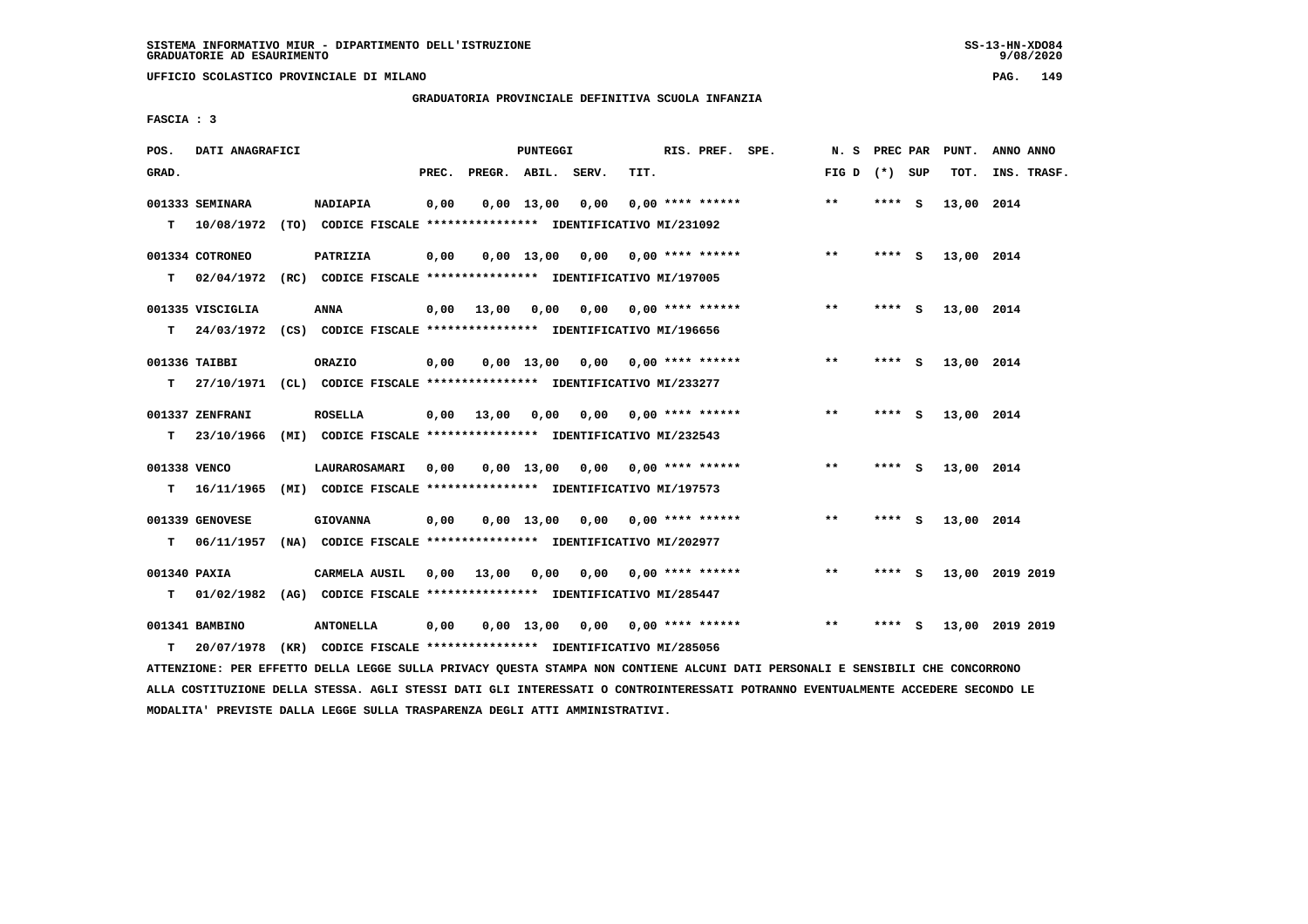**UFFICIO SCOLASTICO PROVINCIALE DI MILANO PAG. 149**

# **GRADUATORIA PROVINCIALE DEFINITIVA SCUOLA INFANZIA**

 **FASCIA : 3**

| POS.         | DATI ANAGRAFICI  |                                                                                                                               |      |                          | PUNTEGGI |                                        |      | RIS. PREF. SPE.    |                                    |                   |         | N. S PREC PAR PUNT. | ANNO ANNO       |
|--------------|------------------|-------------------------------------------------------------------------------------------------------------------------------|------|--------------------------|----------|----------------------------------------|------|--------------------|------------------------------------|-------------------|---------|---------------------|-----------------|
| GRAD.        |                  |                                                                                                                               |      | PREC. PREGR. ABIL. SERV. |          |                                        | TIT. |                    |                                    | FIG $D$ $(*)$ SUP |         | тот.                | INS. TRASF.     |
|              | 001333 SEMINARA  | NADIAPIA                                                                                                                      | 0,00 |                          |          | $0,00 \quad 13,00 \quad 0,00$          |      | $0.00$ **** ****** |                                    | $***$             | **** S  | 13,00 2014          |                 |
|              |                  | T  10/08/1972 (TO) CODICE FISCALE *************** IDENTIFICATIVO MI/231092                                                    |      |                          |          |                                        |      |                    |                                    |                   |         |                     |                 |
|              | 001334 COTRONEO  | PATRIZIA                                                                                                                      | 0,00 |                          |          | $0,00$ 13,00 0,00 0,00 **** ******     |      |                    |                                    | $***$             | $***$ S | 13,00 2014          |                 |
| т            |                  | 02/04/1972 (RC) CODICE FISCALE *************** IDENTIFICATIVO MI/197005                                                       |      |                          |          |                                        |      |                    |                                    |                   |         |                     |                 |
|              | 001335 VISCIGLIA | ANNA                                                                                                                          | 0,00 | 13,00                    | 0,00     |                                        |      |                    |                                    | $**$              | **** S  | 13,00 2014          |                 |
| T.           |                  | 24/03/1972 (CS) CODICE FISCALE **************** IDENTIFICATIVO MI/196656                                                      |      |                          |          |                                        |      |                    |                                    |                   |         |                     |                 |
|              | 001336 TAIBBI    | ORAZIO                                                                                                                        | 0,00 |                          |          | $0,00$ 13,00 0,00 0,00 **** ******     |      |                    |                                    | $\star\star$      | **** S  | 13,00 2014          |                 |
| T.           |                  | 27/10/1971 (CL) CODICE FISCALE **************** IDENTIFICATIVO MI/233277                                                      |      |                          |          |                                        |      |                    |                                    |                   |         |                     |                 |
|              | 001337 ZENFRANI  | <b>ROSELLA</b>                                                                                                                |      | $0,00$ 13,00             |          | $0,00$ $0,00$ $0,00$ $***$ **** ****** |      |                    |                                    | $***$             | **** S  | 13,00 2014          |                 |
| т            |                  | 23/10/1966 (MI) CODICE FISCALE *************** IDENTIFICATIVO MI/232543                                                       |      |                          |          |                                        |      |                    |                                    |                   |         |                     |                 |
| 001338 VENCO |                  | LAURAROSAMARI                                                                                                                 | 0,00 |                          |          | $0,00$ 13,00 0,00 0,00 **** ******     |      |                    |                                    | $***$             | **** S  | 13,00 2014          |                 |
| T.           | 16/11/1965       | (MI) CODICE FISCALE **************** IDENTIFICATIVO MI/197573                                                                 |      |                          |          |                                        |      |                    |                                    |                   |         |                     |                 |
|              | 001339 GENOVESE  | <b>GIOVANNA</b>                                                                                                               | 0,00 |                          |          | $0,00$ 13,00 0,00 0,00 **** ******     |      |                    |                                    | $***$             | **** S  | 13,00 2014          |                 |
| т            | 06/11/1957       | (NA) CODICE FISCALE **************** IDENTIFICATIVO MI/202977                                                                 |      |                          |          |                                        |      |                    |                                    |                   |         |                     |                 |
| 001340 PAXIA |                  | CARMELA AUSIL                                                                                                                 | 0,00 | 13,00                    |          | $0,00$ $0,00$ $0,00$ $***$ **** ****** |      |                    |                                    | $***$             | **** S  |                     | 13,00 2019 2019 |
| т            |                  | 01/02/1982 (AG) CODICE FISCALE **************** IDENTIFICATIVO MI/285447                                                      |      |                          |          |                                        |      |                    |                                    |                   |         |                     |                 |
|              | 001341 BAMBINO   | <b>ANTONELLA</b>                                                                                                              | 0,00 |                          |          |                                        |      |                    | $0,00$ 13,00 0,00 0,00 **** ****** | $* *$             | $***$ S |                     | 13,00 2019 2019 |
| т            | 20/07/1978       | (KR) CODICE FISCALE *************** IDENTIFICATIVO MI/285056                                                                  |      |                          |          |                                        |      |                    |                                    |                   |         |                     |                 |
|              |                  | ATTENZIONE: PER EFFETTO DELLA LEGGE SULLA PRIVACY QUESTA STAMPA NON CONTIENE ALCUNI DATI PERSONALI E SENSIBILI CHE CONCORRONO |      |                          |          |                                        |      |                    |                                    |                   |         |                     |                 |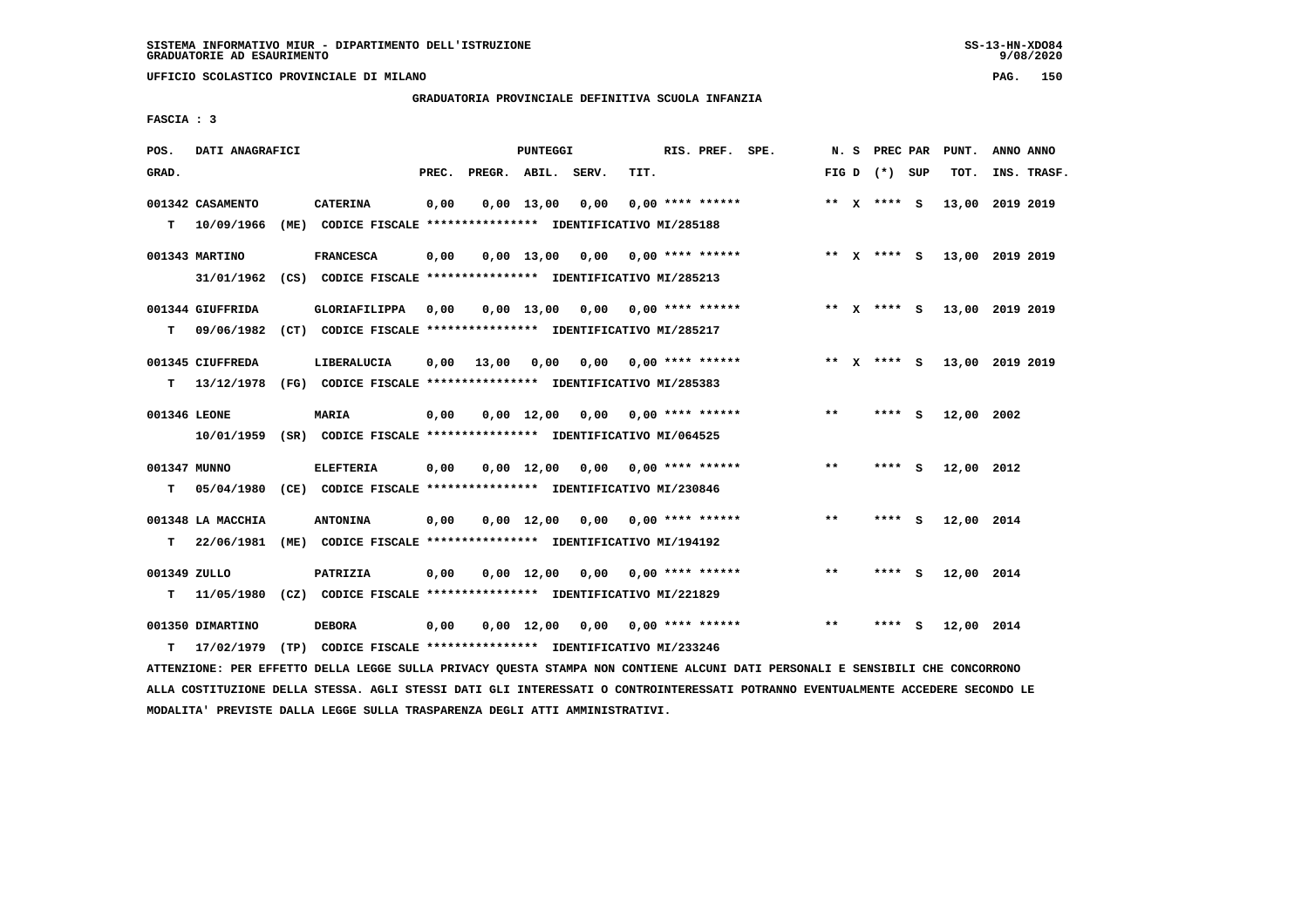**UFFICIO SCOLASTICO PROVINCIALE DI MILANO PAG. 150**

# **GRADUATORIA PROVINCIALE DEFINITIVA SCUOLA INFANZIA**

 **FASCIA : 3**

| POS.              | DATI ANAGRAFICI                 |                                                                                         |       |                    | PUNTEGGI           |                                    |      | RIS. PREF. SPE.           | N.S   | PREC PAR        |     | PUNT.                       | ANNO ANNO |             |
|-------------------|---------------------------------|-----------------------------------------------------------------------------------------|-------|--------------------|--------------------|------------------------------------|------|---------------------------|-------|-----------------|-----|-----------------------------|-----------|-------------|
| GRAD.             |                                 |                                                                                         | PREC. | PREGR. ABIL. SERV. |                    |                                    | TIT. |                           |       | FIG D $(*)$ SUP |     | TOT.                        |           | INS. TRASF. |
| т                 | 001342 CASAMENTO<br>10/09/1966  | <b>CATERINA</b><br>(ME) CODICE FISCALE **************** IDENTIFICATIVO MI/285188        | 0,00  |                    | $0,00$ 13,00       | 0,00                               |      | $0.00$ **** ******        |       | ** $X$ **** S   |     | 13,00 2019 2019             |           |             |
|                   | 001343 MARTINO<br>31/01/1962    | <b>FRANCESCA</b><br>(CS) CODICE FISCALE **************** IDENTIFICATIVO MI/285213       | 0,00  |                    |                    | $0,00$ 13,00 0,00 0,00 **** ****** |      |                           |       | ** $X$ **** S   |     | 13,00 2019 2019             |           |             |
| т                 | 001344 GIUFFRIDA<br>09/06/1982  | GLORIAFILIPPA<br>(CT) CODICE FISCALE **************** IDENTIFICATIVO MI/285217          | 0,00  |                    |                    | $0,00$ 13,00 0,00 0,00 **** ****** |      |                           |       |                 |     | ** X **** S 13,00 2019 2019 |           |             |
| T.                | 001345 CIUFFREDA<br>13/12/1978  | LIBERALUCIA<br>(FG) CODICE FISCALE **************** IDENTIFICATIVO MI/285383            | 0,00  | 13,00              | 0,00               |                                    |      | $0,00$ $0,00$ **** ****** |       | ** X **** S     |     | 13,00 2019 2019             |           |             |
| 001346 LEONE      |                                 | <b>MARIA</b><br>10/01/1959 (SR) CODICE FISCALE *************** IDENTIFICATIVO MI/064525 | 0,00  |                    | $0.00 \quad 12.00$ |                                    |      | $0.00$ $0.00$ **** ****** | $* *$ | **** S          |     | 12,00 2002                  |           |             |
| 001347 MUNNO<br>т | 05/04/1980                      | <b>ELEFTERIA</b><br>(CE) CODICE FISCALE *************** IDENTIFICATIVO MI/230846        | 0,00  |                    | $0.00 \quad 12.00$ |                                    |      | $0.00$ $0.00$ **** ****** | $* *$ | **** S          |     | 12,00 2012                  |           |             |
| т                 | 001348 LA MACCHIA<br>22/06/1981 | <b>ANTONINA</b><br>(ME) CODICE FISCALE **************** IDENTIFICATIVO MI/194192        | 0,00  |                    |                    | 0,00 12,00 0,00                    |      | $0.00$ **** ******        | $***$ | $***$ S         |     | 12,00 2014                  |           |             |
| 001349 ZULLO<br>т | 11/05/1980                      | PATRIZIA<br>(CZ) CODICE FISCALE **************** IDENTIFICATIVO MI/221829               | 0,00  |                    |                    | $0,00 \quad 12,00 \quad 0,00$      |      | 0,00 **** ******          | $***$ | **** S          |     | 12,00 2014                  |           |             |
| т                 | 001350 DIMARTINO<br>17/02/1979  | <b>DEBORA</b><br>(TP) CODICE FISCALE **************** IDENTIFICATIVO MI/233246          | 0,00  |                    | 0,00 12,00         |                                    |      | $0,00$ $0,00$ **** ****** | **    | ****            | - S | 12,00 2014                  |           |             |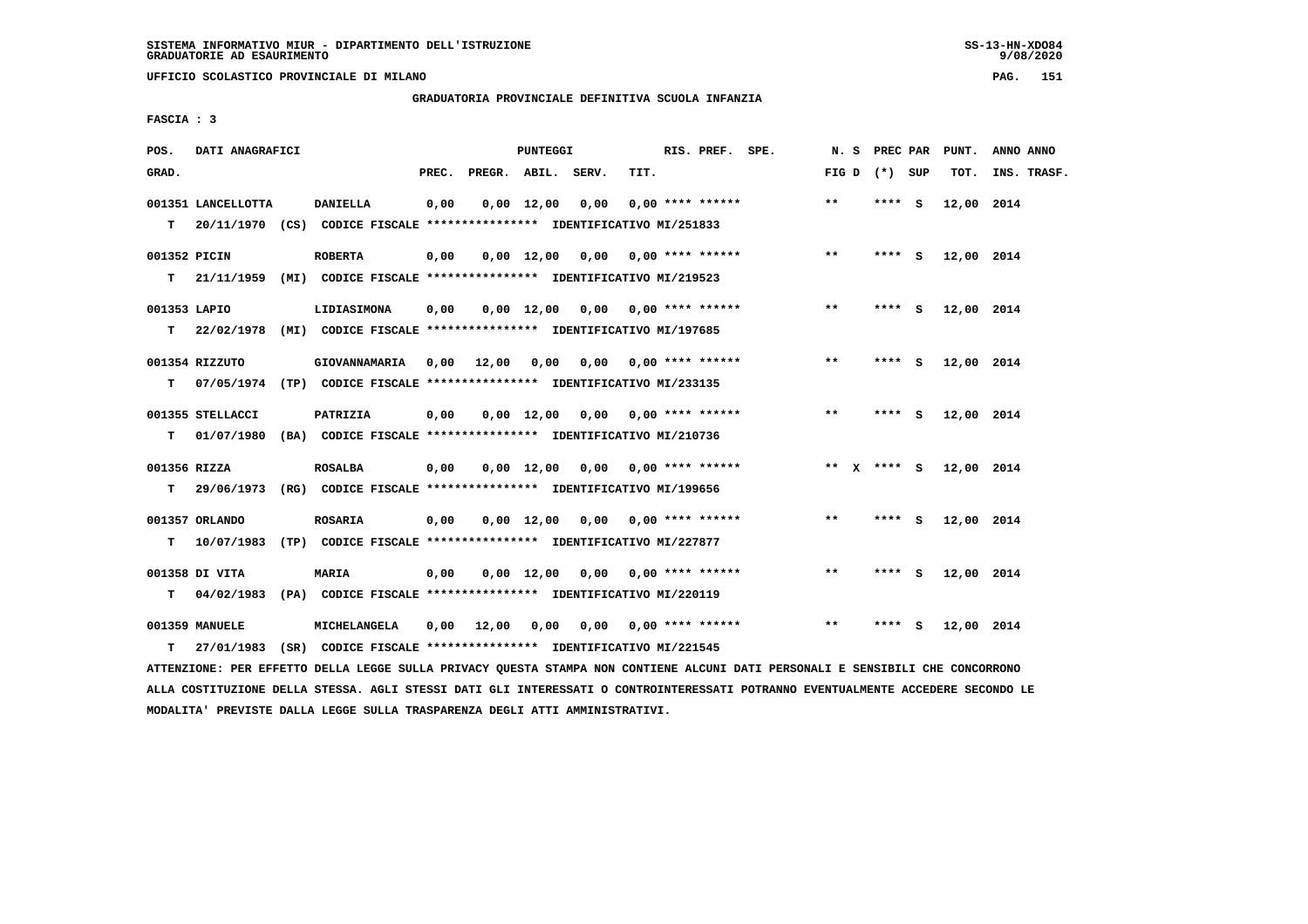**UFFICIO SCOLASTICO PROVINCIALE DI MILANO PAG. 151**

# **GRADUATORIA PROVINCIALE DEFINITIVA SCUOLA INFANZIA**

 **FASCIA : 3**

| POS.         | DATI ANAGRAFICI    |                                                                            |       |                    | PUNTEGGI           |                                    |      | RIS. PREF. SPE.           |       | N. S PREC PAR   |     | PUNT.      | ANNO ANNO   |
|--------------|--------------------|----------------------------------------------------------------------------|-------|--------------------|--------------------|------------------------------------|------|---------------------------|-------|-----------------|-----|------------|-------------|
| GRAD.        |                    |                                                                            | PREC. | PREGR. ABIL. SERV. |                    |                                    | TIT. |                           |       | FIG D $(*)$ SUP |     | TOT.       | INS. TRASF. |
|              | 001351 LANCELLOTTA | <b>DANIELLA</b>                                                            | 0,00  |                    | $0,00 \quad 12,00$ | 0,00                               |      | $0.00$ **** ******        | $**$  | **** S          |     | 12,00 2014 |             |
|              |                    | T 20/11/1970 (CS) CODICE FISCALE *************** IDENTIFICATIVO MI/251833  |       |                    |                    |                                    |      |                           |       |                 |     |            |             |
| 001352 PICIN |                    | <b>ROBERTA</b>                                                             | 0,00  |                    |                    | $0,00$ 12,00 0,00 0,00 **** ****** |      |                           | $***$ | **** S          |     | 12,00 2014 |             |
|              |                    | T 21/11/1959 (MI) CODICE FISCALE **************** IDENTIFICATIVO MI/219523 |       |                    |                    |                                    |      |                           |       |                 |     |            |             |
| 001353 LAPIO |                    | LIDIASIMONA                                                                | 0,00  |                    |                    | $0,00$ 12,00 0,00 0,00 **** ****** |      |                           | $***$ | **** S          |     | 12,00 2014 |             |
|              |                    | T 22/02/1978 (MI) CODICE FISCALE *************** IDENTIFICATIVO MI/197685  |       |                    |                    |                                    |      |                           |       |                 |     |            |             |
|              | 001354 RIZZUTO     | GIOVANNAMARIA 0,00 12,00                                                   |       |                    | 0,00               |                                    |      | $0,00$ $0,00$ **** ****** | $***$ | $***5$          |     | 12,00 2014 |             |
| т            |                    | 07/05/1974 (TP) CODICE FISCALE **************** IDENTIFICATIVO MI/233135   |       |                    |                    |                                    |      |                           |       |                 |     |            |             |
|              | 001355 STELLACCI   | PATRIZIA                                                                   | 0,00  |                    |                    | $0,00$ 12,00 0,00 0,00 **** ****** |      |                           | $***$ | **** S          |     | 12,00 2014 |             |
| т            | 01/07/1980         | (BA) CODICE FISCALE **************** IDENTIFICATIVO MI/210736              |       |                    |                    |                                    |      |                           |       |                 |     |            |             |
| 001356 RIZZA |                    | <b>ROSALBA</b>                                                             | 0,00  |                    |                    | $0,00$ 12,00 0,00 0,00 **** ****** |      |                           |       | ** $X$ **** S   |     | 12,00 2014 |             |
|              |                    | T 29/06/1973 (RG) CODICE FISCALE *************** IDENTIFICATIVO MI/199656  |       |                    |                    |                                    |      |                           |       |                 |     |            |             |
|              | 001357 ORLANDO     | ROSARIA                                                                    | 0.00  |                    |                    | $0.00$ 12.00 0.00 0.00 **** ****** |      |                           | **    | **** S          |     | 12,00 2014 |             |
| т            |                    | 10/07/1983 (TP) CODICE FISCALE *************** IDENTIFICATIVO MI/227877    |       |                    |                    |                                    |      |                           |       |                 |     |            |             |
|              | 001358 DI VITA     | MARIA                                                                      | 0,00  |                    | $0.00 \quad 12.00$ |                                    |      |                           | $* *$ | **** S          |     | 12,00 2014 |             |
| т            |                    | 04/02/1983 (PA) CODICE FISCALE *************** IDENTIFICATIVO MI/220119    |       |                    |                    |                                    |      |                           |       |                 |     |            |             |
|              | 001359 MANUELE     | MICHELANGELA                                                               | 0,00  | 12,00              | 0,00               | 0.00                               |      | 0,00 **** ******          | $**$  | ****            | - S | 12,00 2014 |             |
| т            |                    | 27/01/1983 (SR) CODICE FISCALE **************** IDENTIFICATIVO MI/221545   |       |                    |                    |                                    |      |                           |       |                 |     |            |             |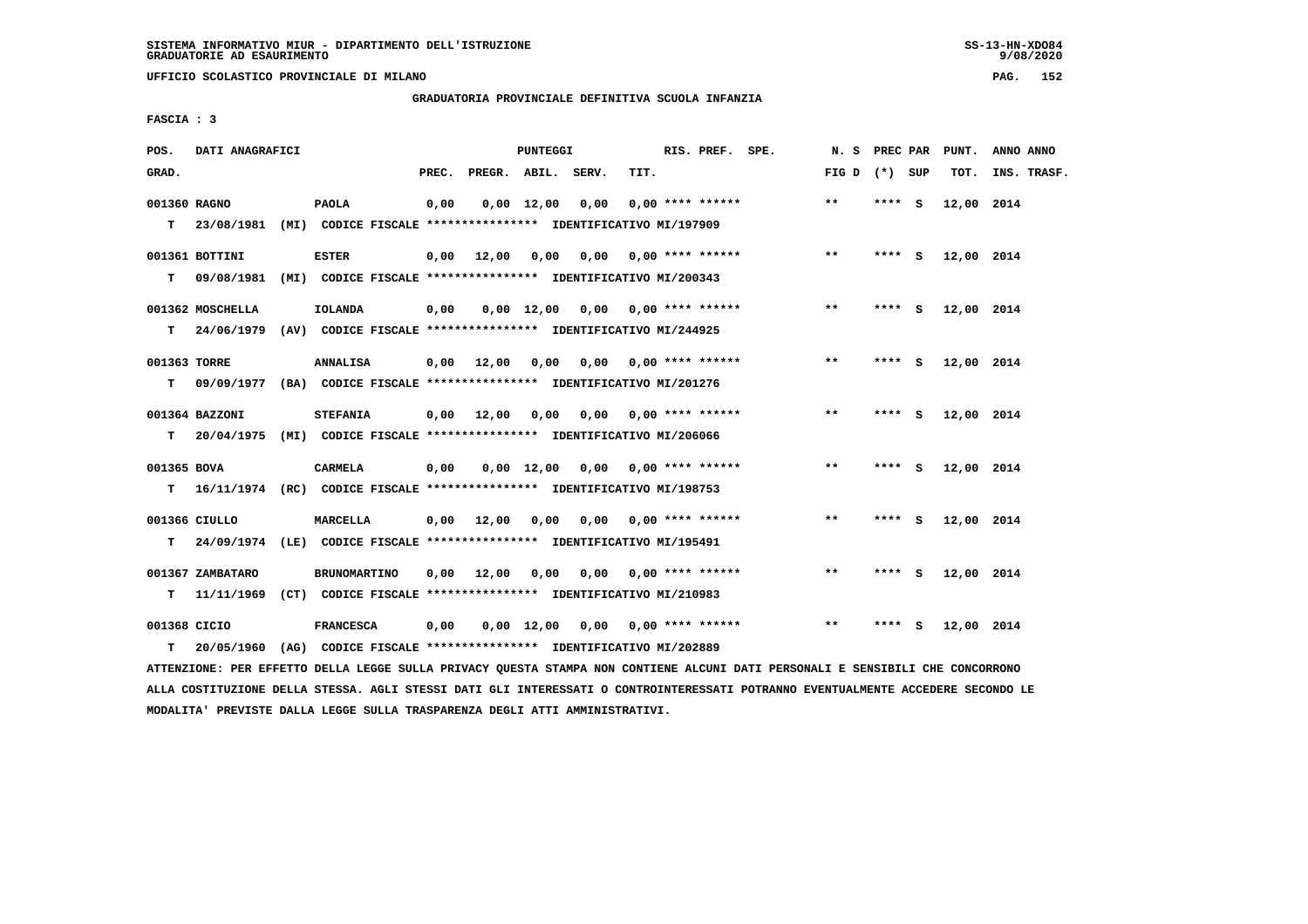**UFFICIO SCOLASTICO PROVINCIALE DI MILANO PAG. 152**

#### **GRADUATORIA PROVINCIALE DEFINITIVA SCUOLA INFANZIA**

 **FASCIA : 3**

| POS.         | DATI ANAGRAFICI  |                                                                           |       |              | PUNTEGGI           |                                 |      | RIS. PREF. SPE.           | N. S            | PREC PAR |     | PUNT.      | ANNO ANNO   |
|--------------|------------------|---------------------------------------------------------------------------|-------|--------------|--------------------|---------------------------------|------|---------------------------|-----------------|----------|-----|------------|-------------|
| GRAD.        |                  |                                                                           | PREC. | PREGR. ABIL. |                    | SERV.                           | TIT. |                           | FIG D $(*)$ SUP |          |     | TOT.       | INS. TRASF. |
| 001360 RAGNO |                  | <b>PAOLA</b>                                                              | 0,00  |              | $0,00$ 12,00       | 0,00                            |      | $0.00$ **** ******        | $***$           | ****     | - S | 12,00 2014 |             |
| T.           | 23/08/1981       | (MI) CODICE FISCALE **************** IDENTIFICATIVO MI/197909             |       |              |                    |                                 |      |                           |                 |          |     |            |             |
|              | 001361 BOTTINI   | <b>ESTER</b>                                                              | 0,00  | 12,00        | 0,00               | 0,00                            |      | 0,00 **** ******          | $**$            | $***$ S  |     | 12,00 2014 |             |
| T.           | 09/08/1981       | (MI) CODICE FISCALE **************** IDENTIFICATIVO MI/200343             |       |              |                    |                                 |      |                           |                 |          |     |            |             |
|              | 001362 MOSCHELLA | <b>IOLANDA</b>                                                            | 0,00  |              | 0,00 12,00         |                                 |      | $0,00$ $0,00$ **** ****** | $***$           | **** S   |     | 12,00 2014 |             |
| T.           | 24/06/1979       | (AV) CODICE FISCALE **************** IDENTIFICATIVO MI/244925             |       |              |                    |                                 |      |                           |                 |          |     |            |             |
| 001363 TORRE |                  | ANNALISA                                                                  |       | 0.00 12.00   | 0,00               | 0.00                            |      | $0.00$ **** ******        | $***$           | **** S   |     | 12,00 2014 |             |
| т            |                  | 09/09/1977 (BA) CODICE FISCALE *************** IDENTIFICATIVO MI/201276   |       |              |                    |                                 |      |                           |                 |          |     |            |             |
|              | 001364 BAZZONI   | <b>STEFANIA</b>                                                           |       | $0,00$ 12,00 | 0,00               | 0,00                            |      | $0.00$ **** ******        | $***$           | **** S   |     | 12,00 2014 |             |
|              |                  | T 20/04/1975 (MI) CODICE FISCALE *************** IDENTIFICATIVO MI/206066 |       |              |                    |                                 |      |                           |                 |          |     |            |             |
| 001365 BOVA  |                  | <b>CARMELA</b>                                                            | 0,00  |              | $0,00 \quad 12,00$ | $0,00$ $0,00$ $***$ **** ****** |      |                           | $***$           | **** S   |     | 12,00 2014 |             |
| т            |                  | 16/11/1974 (RC) CODICE FISCALE **************** IDENTIFICATIVO MI/198753  |       |              |                    |                                 |      |                           |                 |          |     |            |             |
|              | 001366 CIULLO    | <b>MARCELLA</b>                                                           | 0,00  | 12,00        | 0,00               | 0,00                            |      | $0.00$ **** ******        | $* *$           | **** S   |     | 12,00 2014 |             |
| т            |                  | 24/09/1974 (LE) CODICE FISCALE *************** IDENTIFICATIVO MI/195491   |       |              |                    |                                 |      |                           |                 |          |     |            |             |
|              | 001367 ZAMBATARO | <b>BRUNOMARTINO</b>                                                       | 0,00  | 12,00        | 0,00               |                                 |      | $0,00$ $0,00$ **** ****** | $***$           | **** S   |     | 12,00 2014 |             |
| т            | 11/11/1969       | (CT) CODICE FISCALE **************** IDENTIFICATIVO MI/210983             |       |              |                    |                                 |      |                           |                 |          |     |            |             |
| 001368 CICIO |                  | <b>FRANCESCA</b>                                                          | 0,00  |              | $0.00 \quad 12.00$ | 0,00                            |      | $0.00$ **** ******        | $* *$           | ****     | - S | 12,00 2014 |             |
| т            |                  | 20/05/1960 (AG) CODICE FISCALE *************** IDENTIFICATIVO MI/202889   |       |              |                    |                                 |      |                           |                 |          |     |            |             |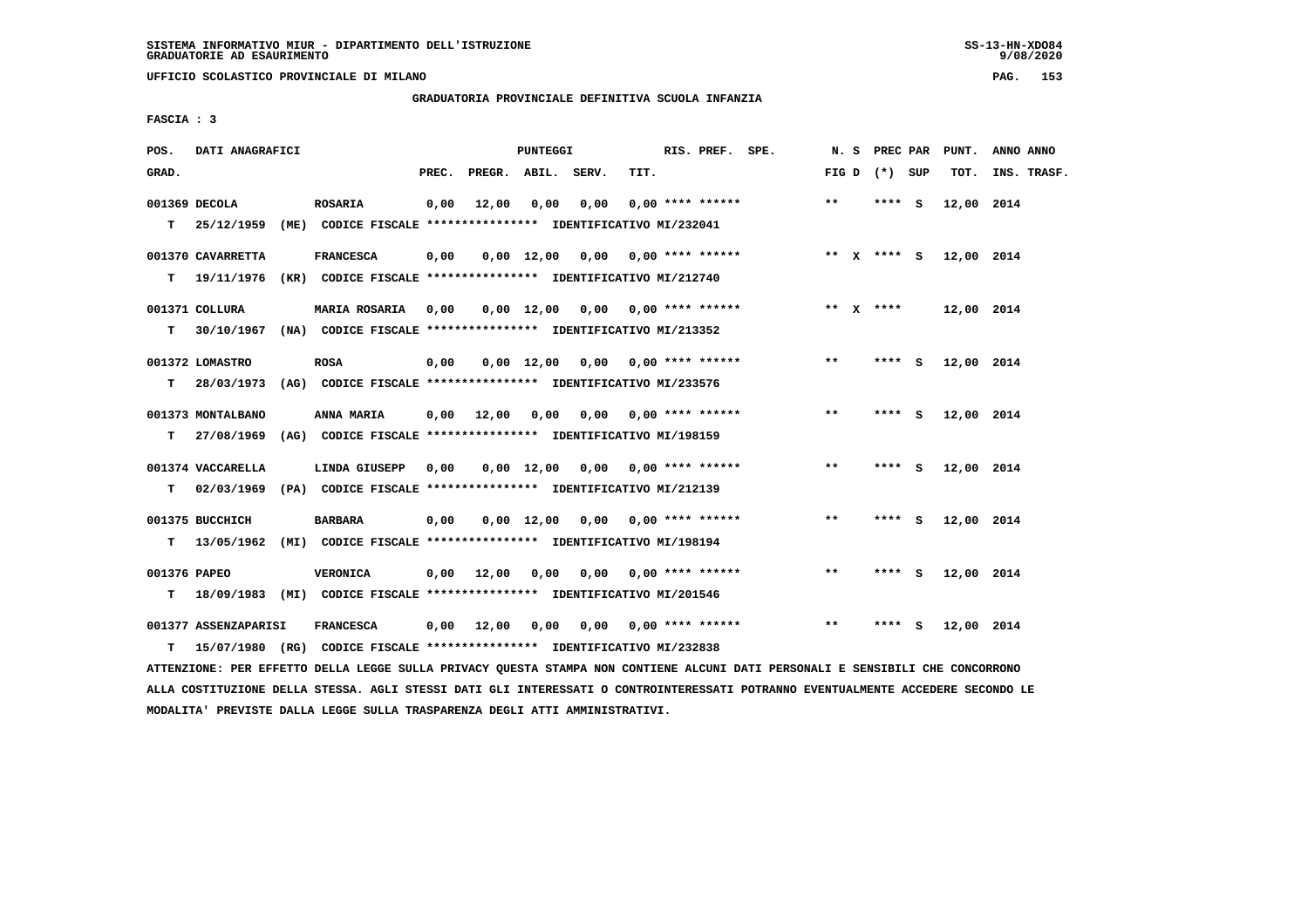**UFFICIO SCOLASTICO PROVINCIALE DI MILANO PAG. 153**

# **GRADUATORIA PROVINCIALE DEFINITIVA SCUOLA INFANZIA**

 **FASCIA : 3**

| POS.              | DATI ANAGRAFICI                 |                                                                                             |       |                 | PUNTEGGI   |                                    |      | RIS. PREF. SPE.           | N.S   | PREC PAR        | PUNT.      | ANNO ANNO   |
|-------------------|---------------------------------|---------------------------------------------------------------------------------------------|-------|-----------------|------------|------------------------------------|------|---------------------------|-------|-----------------|------------|-------------|
| GRAD.             |                                 |                                                                                             | PREC. | PREGR. ABIL.    |            | SERV.                              | TIT. |                           |       | FIG D $(*)$ SUP | TOT.       | INS. TRASF. |
| T.                | 001369 DECOLA                   | <b>ROSARIA</b><br>25/12/1959 (ME) CODICE FISCALE **************** IDENTIFICATIVO MI/232041  | 0,00  | 12,00           | 0.00       | 0.00                               |      | $0.00$ **** ******        | $***$ | $***$ S         | 12,00 2014 |             |
| T.                | 001370 CAVARRETTA<br>19/11/1976 | <b>FRANCESCA</b><br>(KR) CODICE FISCALE **************** IDENTIFICATIVO MI/212740           | 0,00  |                 |            | $0,00$ $12,00$ $0,00$              |      | $0.00$ **** ******        |       | ** $X$ **** $S$ | 12,00 2014 |             |
| т                 | 001371 COLLURA<br>30/10/1967    | <b>MARIA ROSARIA</b><br>(NA) CODICE FISCALE **************** IDENTIFICATIVO MI/213352       | 0,00  |                 |            | $0,00$ 12,00 0,00 0,00 **** ****** |      |                           |       | ** $X$ ****     | 12,00 2014 |             |
| т                 | 001372 LOMASTRO                 | <b>ROSA</b><br>28/03/1973 (AG) CODICE FISCALE *************** IDENTIFICATIVO MI/233576      | 0,00  |                 |            | $0,00$ 12,00 0,00 0,00 **** ****** |      |                           | $* *$ | **** S          | 12,00 2014 |             |
| т                 | 001373 MONTALBANO               | ANNA MARIA<br>27/08/1969 (AG) CODICE FISCALE *************** IDENTIFICATIVO MI/198159       | 0,00  | 12,00           | 0,00       |                                    |      | $0,00$ $0,00$ **** ****** | $* *$ | **** S          | 12,00 2014 |             |
| т                 | 001374 VACCARELLA               | LINDA GIUSEPP<br>02/03/1969 (PA) CODICE FISCALE *************** IDENTIFICATIVO MI/212139    | 0,00  |                 |            | 0,00 12,00 0,00 0,00 **** ******   |      |                           | $* *$ | **** S          | 12,00 2014 |             |
| T.                | 001375 BUCCHICH                 | <b>BARBARA</b><br>13/05/1962 (MI) CODICE FISCALE *************** IDENTIFICATIVO MI/198194   | 0,00  |                 | 0,00 12,00 | 0,00                               |      | $0.00$ **** ******        | $* *$ | **** S          | 12,00 2014 |             |
| 001376 PAPEO<br>т |                                 | VERONICA<br>18/09/1983 (MI) CODICE FISCALE **************** IDENTIFICATIVO MI/201546        | 0,00  | 12,00           | 0,00       | 0,00                               |      | $0.00$ **** ******        | $* *$ | **** S          | 12,00 2014 |             |
| т                 | 001377 ASSENZAPARISI            | <b>FRANCESCA</b><br>15/07/1980 (RG) CODICE FISCALE *************** IDENTIFICATIVO MI/232838 |       | 0,00 12,00 0,00 |            |                                    |      | $0,00$ $0,00$ **** ****** | $***$ | **** S          | 12,00 2014 |             |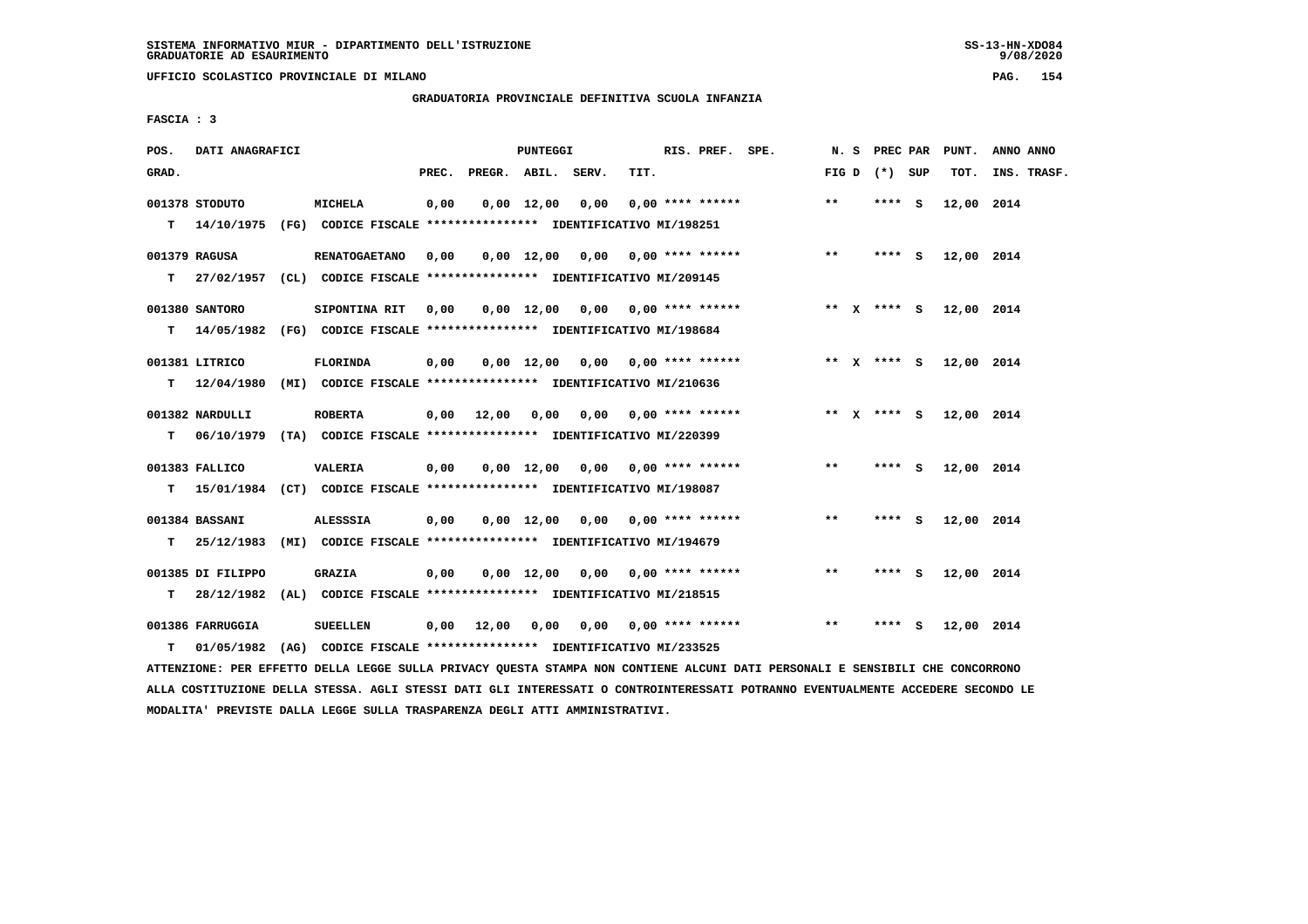**UFFICIO SCOLASTICO PROVINCIALE DI MILANO PAG. 154**

#### **GRADUATORIA PROVINCIALE DEFINITIVA SCUOLA INFANZIA**

 **FASCIA : 3**

| GRAD.<br>PREC.<br>PREGR. ABIL. SERV.<br>TIT.<br>FIG D $(*)$ SUP<br>TOT.                                                                                                                             | INS. TRASF. |
|-----------------------------------------------------------------------------------------------------------------------------------------------------------------------------------------------------|-------------|
|                                                                                                                                                                                                     |             |
| $**$<br>001378 STODUTO<br><b>MICHELA</b><br>0,00<br>$0,00 \quad 12,00$<br>0,00<br>$0.00$ **** ******<br>$***$ S<br>T.<br>14/10/1975<br>(FG) CODICE FISCALE *************** IDENTIFICATIVO MI/198251 | 12,00 2014  |
|                                                                                                                                                                                                     |             |
| $* *$<br>001379 RAGUSA<br><b>RENATOGAETANO</b><br>0,00<br>$0,00$ 12,00 0,00 0,00 **** ******<br>$***$ S                                                                                             | 12,00 2014  |
| 27/02/1957 (CL) CODICE FISCALE *************** IDENTIFICATIVO MI/209145<br>T.                                                                                                                       |             |
| 001380 SANTORO<br>$0,00$ 12,00 0,00 0,00 **** ******<br>SIPONTINA RIT<br>0,00<br>** X **** S                                                                                                        | 12,00 2014  |
| T 14/05/1982 (FG) CODICE FISCALE **************** IDENTIFICATIVO MI/198684                                                                                                                          |             |
| 001381 LITRICO<br><b>FLORINDA</b><br>$0,00$ 0,00 **** ******<br>0,00<br>0,00 12,00<br>** x **** s                                                                                                   | 12,00 2014  |
| 12/04/1980<br>(MI) CODICE FISCALE **************** IDENTIFICATIVO MI/210636<br>т                                                                                                                    |             |
| 12,00<br>$0,00$ $0,00$ **** ******<br>** $X$ **** S<br>001382 NARDULLI<br><b>ROBERTA</b><br>0,00<br>0,00                                                                                            | 12,00 2014  |
| 06/10/1979 (TA) CODICE FISCALE *************** IDENTIFICATIVO MI/220399<br>т                                                                                                                        |             |
| $**$<br>001383 FALLICO<br><b>VALERIA</b><br>$0,00$ 12,00 0,00 0,00 **** ******<br>$***$ S<br>0,00                                                                                                   | 12,00 2014  |
| 15/01/1984 (CT) CODICE FISCALE **************** IDENTIFICATIVO MI/198087<br>т                                                                                                                       |             |
| **<br>001384 BASSANI<br><b>ALESSSIA</b><br>0,00<br>$0,00$ 12,00 0,00 0,00 **** ******<br>**** S                                                                                                     | 12,00 2014  |
| 25/12/1983 (MI) CODICE FISCALE **************** IDENTIFICATIVO MI/194679<br>т                                                                                                                       |             |
| 001385 DI FILIPPO<br><b>GRAZIA</b><br>$0,00$ 12,00 0,00 0,00 **** ******<br>$* *$<br>0,00<br>**** S                                                                                                 | 12,00 2014  |
| т<br>28/12/1982<br>(AL) CODICE FISCALE **************** IDENTIFICATIVO MI/218515                                                                                                                    |             |
| $* *$<br>001386 FARRUGGIA<br><b>SUEELLEN</b><br>0,00<br>12,00<br>0,00<br>$0,00$ $0,00$ **** ******<br>****<br>- S                                                                                   | 12,00 2014  |
| (AG) CODICE FISCALE **************** IDENTIFICATIVO MI/233525<br>т<br>01/05/1982                                                                                                                    |             |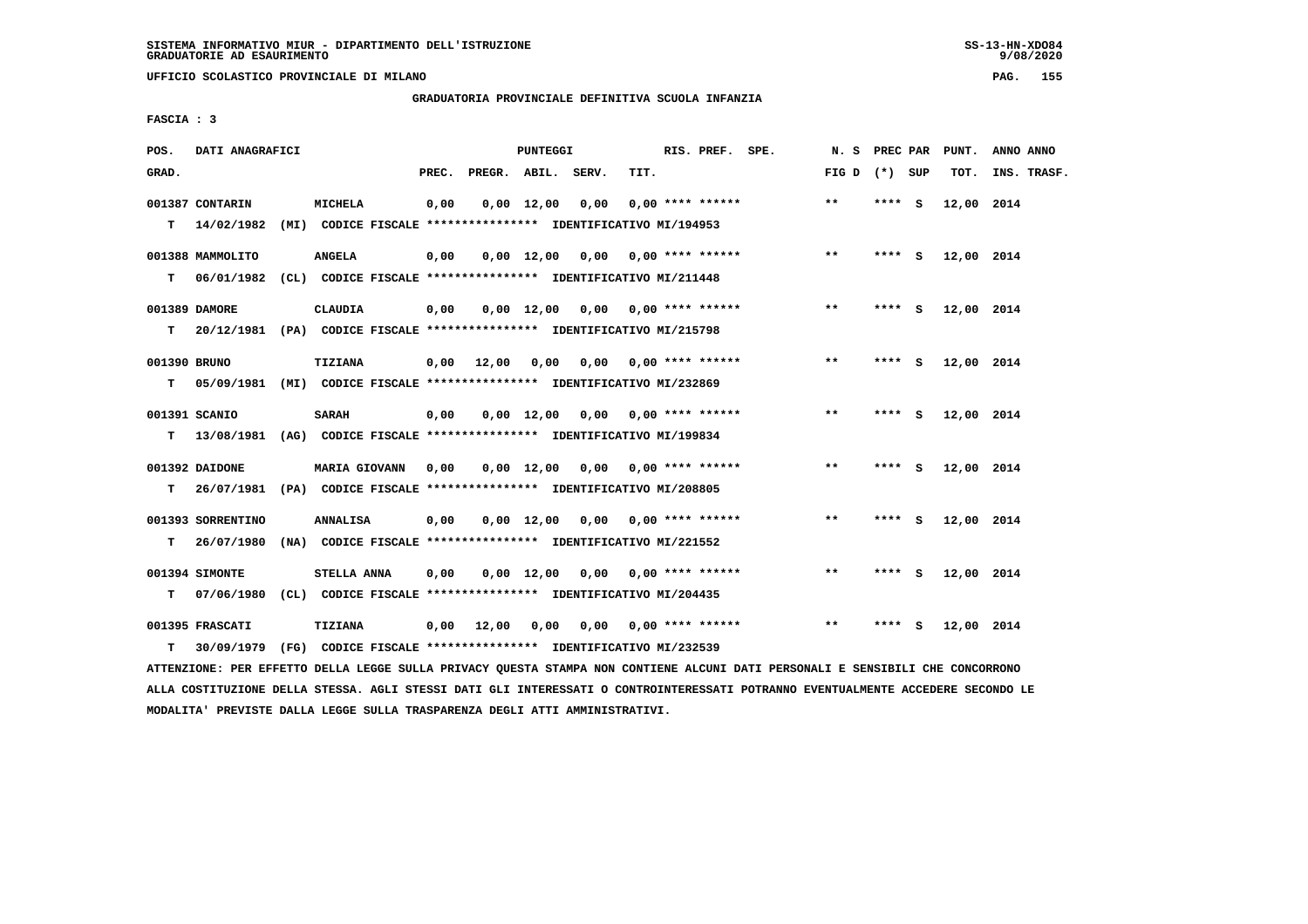**UFFICIO SCOLASTICO PROVINCIALE DI MILANO PAG. 155**

# **GRADUATORIA PROVINCIALE DEFINITIVA SCUOLA INFANZIA**

 **FASCIA : 3**

| POS.         | DATI ANAGRAFICI                                                          |                                                                         |       |                    | PUNTEGGI           |                                    |      | RIS. PREF. SPE.           | N. S PREC PAR   |         |         | PUNT.      | ANNO ANNO   |
|--------------|--------------------------------------------------------------------------|-------------------------------------------------------------------------|-------|--------------------|--------------------|------------------------------------|------|---------------------------|-----------------|---------|---------|------------|-------------|
| GRAD.        |                                                                          |                                                                         | PREC. | PREGR. ABIL. SERV. |                    |                                    | TIT. |                           | FIG D $(*)$ SUP |         |         | TOT.       | INS. TRASF. |
|              | 001387 CONTARIN                                                          | <b>MICHELA</b>                                                          | 0,00  |                    | $0,00 \quad 12,00$ | 0,00                               |      | $0.00$ **** ******        | $* *$           | **** S  |         | 12,00 2014 |             |
|              | $T = 14/02/1982$                                                         | (MI) CODICE FISCALE **************** IDENTIFICATIVO MI/194953           |       |                    |                    |                                    |      |                           |                 |         |         |            |             |
|              | 001388 MAMMOLITO                                                         | <b>ANGELA</b>                                                           | 0,00  |                    |                    | $0.00$ 12.00 0.00 0.00 **** ****** |      |                           | $***$           |         | $***$ S | 12,00 2014 |             |
|              | $T = 06/01/1982$                                                         | (CL) CODICE FISCALE **************** IDENTIFICATIVO MI/211448           |       |                    |                    |                                    |      |                           |                 |         |         |            |             |
|              | 001389 DAMORE                                                            | <b>CLAUDIA</b>                                                          | 0,00  |                    |                    | $0,00$ 12,00 0,00 0,00 **** ****** |      |                           | $***$           | **** S  |         | 12,00 2014 |             |
| т            | 20/12/1981 (PA) CODICE FISCALE **************** IDENTIFICATIVO MI/215798 |                                                                         |       |                    |                    |                                    |      |                           |                 |         |         |            |             |
| 001390 BRUNO |                                                                          | TIZIANA                                                                 | 0,00  | 12,00              | 0,00               |                                    |      | $0.00$ $0.00$ **** ****** | $**$            | **** S  |         | 12,00 2014 |             |
| т            |                                                                          | 05/09/1981 (MI) CODICE FISCALE *************** IDENTIFICATIVO MI/232869 |       |                    |                    |                                    |      |                           |                 |         |         |            |             |
|              | 001391 SCANIO                                                            | <b>SARAH</b>                                                            | 0,00  |                    |                    | $0,00$ 12,00 0,00 0,00 **** ****** |      |                           | $**$            | **** S  |         | 12,00 2014 |             |
| т            | 13/08/1981 (AG) CODICE FISCALE **************** IDENTIFICATIVO MI/199834 |                                                                         |       |                    |                    |                                    |      |                           |                 |         |         |            |             |
|              | 001392 DAIDONE                                                           | MARIA GIOVANN                                                           | 0,00  |                    |                    | $0,00$ 12,00 0,00 0,00 **** ****** |      |                           | $* *$           | $***$ S |         | 12,00 2014 |             |
| т            | 26/07/1981 (PA) CODICE FISCALE *************** IDENTIFICATIVO MI/208805  |                                                                         |       |                    |                    |                                    |      |                           |                 |         |         |            |             |
|              | 001393 SORRENTINO                                                        | <b>ANNALISA</b>                                                         | 0,00  |                    |                    | $0,00$ 12,00 0,00 0,00 **** ****** |      |                           | $* *$           | **** S  |         | 12,00 2014 |             |
| т            | 26/07/1980                                                               | (NA) CODICE FISCALE **************** IDENTIFICATIVO MI/221552           |       |                    |                    |                                    |      |                           |                 |         |         |            |             |
|              | 001394 SIMONTE                                                           | STELLA ANNA                                                             | 0,00  |                    |                    | $0.00$ 12.00 0.00 0.00 **** ****** |      |                           | **              | **** S  |         | 12,00 2014 |             |
| т            | 07/06/1980                                                               | (CL) CODICE FISCALE *************** IDENTIFICATIVO MI/204435            |       |                    |                    |                                    |      |                           |                 |         |         |            |             |
|              | 001395 FRASCATI                                                          | TIZIANA                                                                 | 0,00  | 12,00              | 0,00               |                                    |      | $0.00$ $0.00$ **** ****** | $* *$           | **** S  |         | 12,00 2014 |             |
| T.           | 30/09/1979                                                               | (FG) CODICE FISCALE **************** IDENTIFICATIVO MI/232539           |       |                    |                    |                                    |      |                           |                 |         |         |            |             |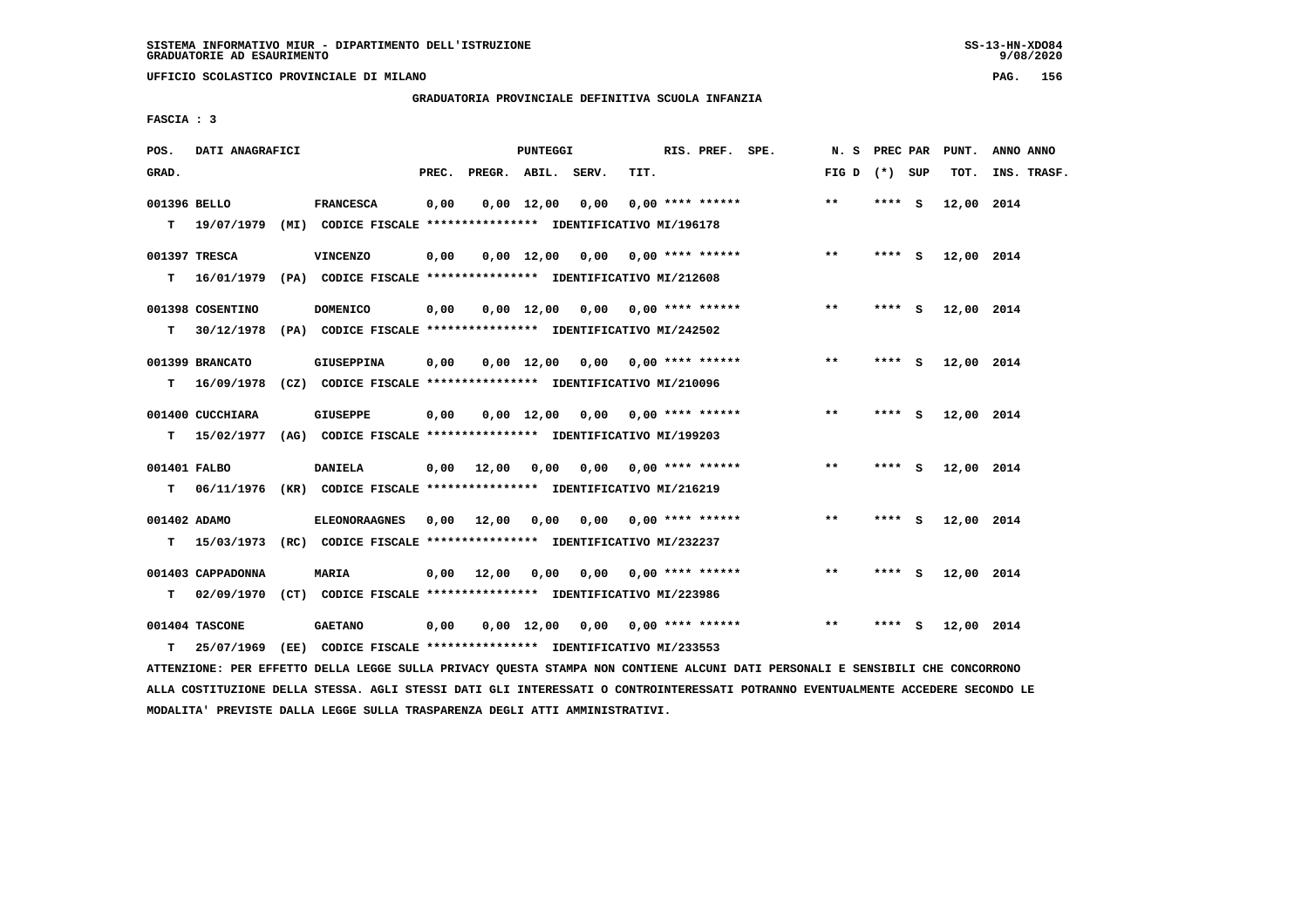**UFFICIO SCOLASTICO PROVINCIALE DI MILANO PAG. 156**

# **GRADUATORIA PROVINCIALE DEFINITIVA SCUOLA INFANZIA**

 **FASCIA : 3**

| POS.         | DATI ANAGRAFICI   |                                                                           |       |                    | PUNTEGGI           |                                |      | RIS. PREF. SPE.           | N. S PREC PAR   |        |     | PUNT.      | ANNO ANNO   |
|--------------|-------------------|---------------------------------------------------------------------------|-------|--------------------|--------------------|--------------------------------|------|---------------------------|-----------------|--------|-----|------------|-------------|
| GRAD.        |                   |                                                                           | PREC. | PREGR. ABIL. SERV. |                    |                                | TIT. |                           | FIG D $(*)$ SUP |        |     | TOT.       | INS. TRASF. |
| 001396 BELLO |                   | <b>FRANCESCA</b>                                                          | 0,00  |                    | $0,00 \quad 12,00$ | 0,00                           |      | $0.00$ **** ******        | $* *$           | **** S |     | 12,00 2014 |             |
|              |                   | T 19/07/1979 (MI) CODICE FISCALE *************** IDENTIFICATIVO MI/196178 |       |                    |                    |                                |      |                           |                 |        |     |            |             |
|              | 001397 TRESCA     | <b>VINCENZO</b>                                                           | 0,00  |                    | $0.00$ 12.00       | $0.00$ $0.00$ $***$ **** ***** |      |                           | $***$           | $***5$ |     | 12,00 2014 |             |
| т            |                   | 16/01/1979 (PA) CODICE FISCALE *************** IDENTIFICATIVO MI/212608   |       |                    |                    |                                |      |                           |                 |        |     |            |             |
|              | 001398 COSENTINO  | <b>DOMENICO</b>                                                           | 0,00  |                    | $0,00 \quad 12,00$ |                                |      | $0,00$ $0,00$ **** ****** | $***$           | **** S |     | 12,00 2014 |             |
| т            |                   | 30/12/1978 (PA) CODICE FISCALE *************** IDENTIFICATIVO MI/242502   |       |                    |                    |                                |      |                           |                 |        |     |            |             |
|              | 001399 BRANCATO   | <b>GIUSEPPINA</b>                                                         | 0,00  |                    | $0.00 \quad 12.00$ | 0.00                           |      | $0.00$ **** ******        | $**$            | **** S |     | 12,00 2014 |             |
| т            | 16/09/1978        | (CZ) CODICE FISCALE **************** IDENTIFICATIVO MI/210096             |       |                    |                    |                                |      |                           |                 |        |     |            |             |
|              | 001400 CUCCHIARA  | <b>GIUSEPPE</b>                                                           | 0,00  |                    | $0.00 \quad 12.00$ |                                |      | $0.00$ $0.00$ **** ****** | $* *$           | ****   | - S | 12,00 2014 |             |
| T.           | 15/02/1977        | (AG) CODICE FISCALE **************** IDENTIFICATIVO MI/199203             |       |                    |                    |                                |      |                           |                 |        |     |            |             |
| 001401 FALBO |                   | <b>DANIELA</b>                                                            |       | $0,00$ 12,00       | 0,00               | 0,00                           |      | $0.00$ **** ******        | $* *$           | ****   | - S | 12,00 2014 |             |
| т            |                   | 06/11/1976 (KR) CODICE FISCALE **************** IDENTIFICATIVO MI/216219  |       |                    |                    |                                |      |                           |                 |        |     |            |             |
| 001402 ADAMO |                   | <b>ELEONORAAGNES</b>                                                      | 0,00  | 12,00              | 0,00               |                                |      | $0,00$ $0,00$ **** ****** | $* *$           | **** S |     | 12,00 2014 |             |
| т            |                   | 15/03/1973 (RC) CODICE FISCALE **************** IDENTIFICATIVO MI/232237  |       |                    |                    |                                |      |                           |                 |        |     |            |             |
|              | 001403 CAPPADONNA | <b>MARIA</b>                                                              |       | $0,00$ 12,00       | 0,00               | 0.00                           |      | $0.00$ **** ******        | $***$           | ****   | - S | 12,00 2014 |             |
| т            |                   | 02/09/1970 (CT) CODICE FISCALE *************** IDENTIFICATIVO MI/223986   |       |                    |                    |                                |      |                           |                 |        |     |            |             |
|              | 001404 TASCONE    | <b>GAETANO</b>                                                            | 0,00  |                    | $0,00 \quad 12,00$ | 0,00                           |      | $0.00$ **** ******        | $***$           | **** S |     | 12,00 2014 |             |
| T.           | 25/07/1969        | (EE) CODICE FISCALE **************** IDENTIFICATIVO MI/233553             |       |                    |                    |                                |      |                           |                 |        |     |            |             |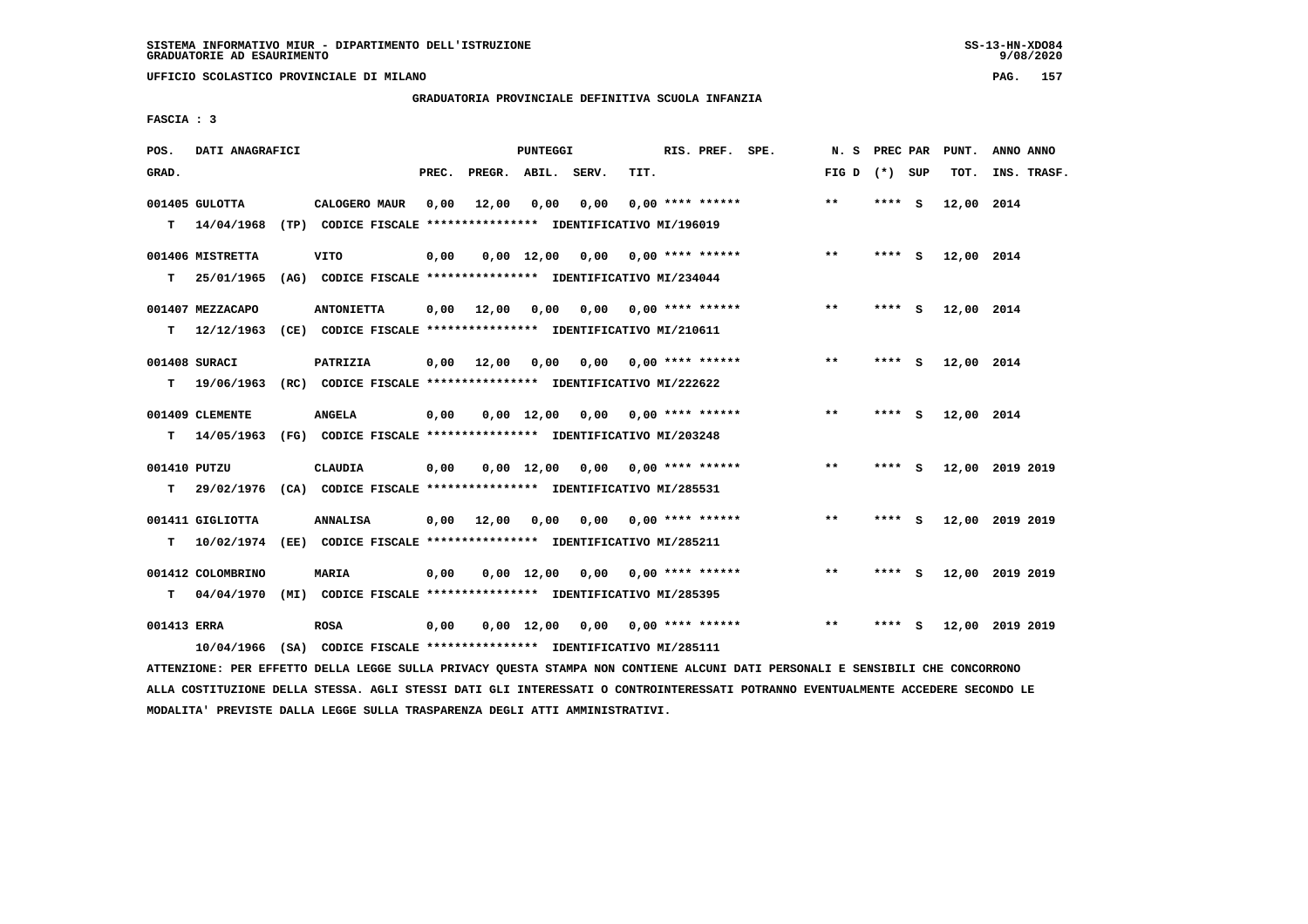**UFFICIO SCOLASTICO PROVINCIALE DI MILANO PAG. 157**

# **GRADUATORIA PROVINCIALE DEFINITIVA SCUOLA INFANZIA**

 **FASCIA : 3**

| POS.         | DATI ANAGRAFICI                |                                                                          |       |                    | PUNTEGGI           |                                    |                           | RIS. PREF. SPE.    |                 |         |          | N. S PREC PAR PUNT. | ANNO ANNO       |
|--------------|--------------------------------|--------------------------------------------------------------------------|-------|--------------------|--------------------|------------------------------------|---------------------------|--------------------|-----------------|---------|----------|---------------------|-----------------|
| GRAD.        |                                |                                                                          | PREC. | PREGR. ABIL. SERV. |                    |                                    | TIT.                      |                    | FIG D $(*)$ SUP |         |          | TOT.                | INS. TRASF.     |
|              | 001405 GULOTTA                 | CALOGERO MAUR                                                            | 0,00  | 12,00              | 0,00               | 0,00                               |                           | $0.00$ **** ****** | $***$           | ****    | - S      | 12,00 2014          |                 |
| т            | 14/04/1968                     | (TP) CODICE FISCALE **************** IDENTIFICATIVO MI/196019            |       |                    |                    |                                    |                           |                    |                 |         |          |                     |                 |
|              |                                |                                                                          |       |                    | $0.00 \quad 12.00$ | $0,00$ $0,00$ **** ******          |                           |                    | $***$           | **** S  |          | 12,00 2014          |                 |
| т            | 001406 MISTRETTA<br>25/01/1965 | VITO<br>(AG) CODICE FISCALE **************** IDENTIFICATIVO MI/234044    | 0,00  |                    |                    |                                    |                           |                    |                 |         |          |                     |                 |
|              |                                |                                                                          |       |                    |                    |                                    |                           |                    |                 |         |          |                     |                 |
|              | 001407 MEZZACAPO               | <b>ANTONIETTA</b>                                                        | 0.00  | 12,00              | 0,00               |                                    | $0.00$ $0.00$ **** ****** |                    | $***$           | ****    | - 5      | 12,00 2014          |                 |
| т            | 12/12/1963                     | (CE) CODICE FISCALE **************** IDENTIFICATIVO MI/210611            |       |                    |                    |                                    |                           |                    |                 |         |          |                     |                 |
|              | 001408 SURACI                  | PATRIZIA                                                                 | 0.00  | 12,00              | 0.00               | 0.00                               | 0,00 **** ******          |                    | $* *$           | $***$ S |          | 12,00 2014          |                 |
| т            | 19/06/1963                     | (RC) CODICE FISCALE **************** IDENTIFICATIVO MI/222622            |       |                    |                    |                                    |                           |                    |                 |         |          |                     |                 |
|              |                                |                                                                          |       |                    |                    |                                    |                           |                    | $* *$           |         |          |                     |                 |
|              | 001409 CLEMENTE                | <b>ANGELA</b>                                                            | 0,00  |                    |                    | $0,00$ 12,00 0,00 0,00 **** ****** |                           |                    |                 | ****    | <b>S</b> | 12,00 2014          |                 |
| T.           | 14/05/1963                     | (FG) CODICE FISCALE **************** IDENTIFICATIVO MI/203248            |       |                    |                    |                                    |                           |                    |                 |         |          |                     |                 |
| 001410 PUTZU |                                | <b>CLAUDIA</b>                                                           | 0,00  |                    | $0,00 \quad 12,00$ |                                    | $0.00$ $0.00$ **** ****** |                    | $* *$           | ****    | - S      |                     | 12,00 2019 2019 |
| т            | 29/02/1976                     | (CA) CODICE FISCALE *************** IDENTIFICATIVO MI/285531             |       |                    |                    |                                    |                           |                    |                 |         |          |                     |                 |
|              | 001411 GIGLIOTTA               | <b>ANNALISA</b>                                                          | 0,00  | 12,00              | 0,00               |                                    | $0,00$ $0,00$ **** ****** |                    | $* *$           | ****    | - 5      |                     | 12,00 2019 2019 |
| т            |                                | 10/02/1974 (EE) CODICE FISCALE **************** IDENTIFICATIVO MI/285211 |       |                    |                    |                                    |                           |                    |                 |         |          |                     |                 |
|              |                                |                                                                          |       |                    |                    |                                    |                           |                    |                 |         |          |                     |                 |
|              | 001412 COLOMBRINO              | <b>MARIA</b>                                                             | 0.00  |                    | $0.00$ 12.00       |                                    | $0,00$ $0,00$ **** ****** |                    | $***$           | ****    | - S      |                     | 12,00 2019 2019 |
| T.           | 04/04/1970                     | (MI) CODICE FISCALE **************** IDENTIFICATIVO MI/285395            |       |                    |                    |                                    |                           |                    |                 |         |          |                     |                 |
| 001413 ERRA  |                                | <b>ROSA</b>                                                              | 0.00  |                    | 0,00 12,00         |                                    | $0,00$ $0,00$ **** ****** |                    | $***$           | ****    | - S      |                     | 12,00 2019 2019 |
|              |                                | 10/04/1966 (SA) CODICE FISCALE *************** IDENTIFICATIVO MI/285111  |       |                    |                    |                                    |                           |                    |                 |         |          |                     |                 |
|              |                                |                                                                          |       |                    |                    |                                    |                           |                    |                 |         |          |                     |                 |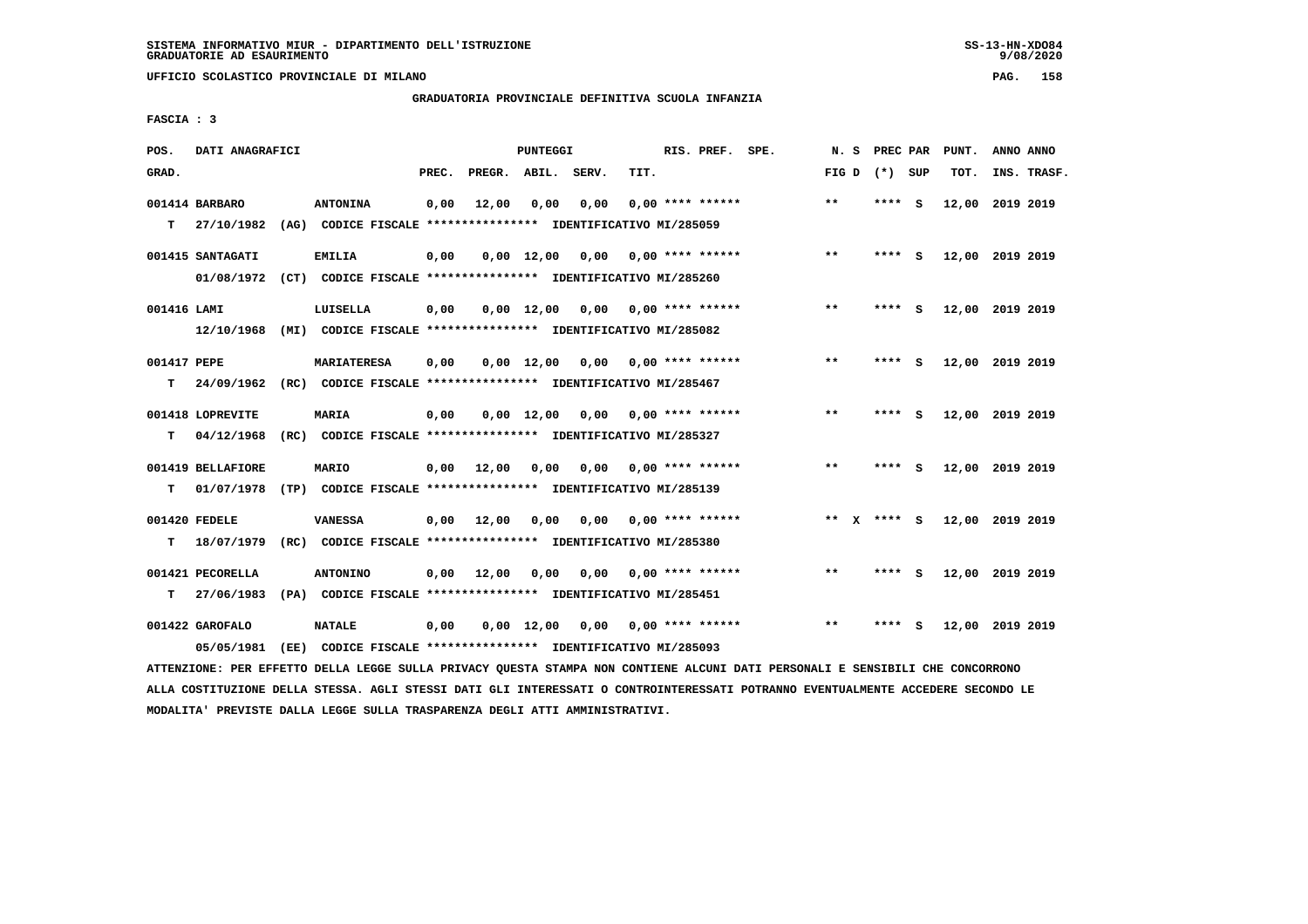**UFFICIO SCOLASTICO PROVINCIALE DI MILANO PAG. 158**

# **GRADUATORIA PROVINCIALE DEFINITIVA SCUOLA INFANZIA**

 **FASCIA : 3**

| POS.        | DATI ANAGRAFICI   |                                                               |       |                    | PUNTEGGI           |                                    |      | RIS. PREF. SPE.           |                                                                                                                              | N.S          | <b>PREC PAR</b> |     | PUNT.           | ANNO ANNO |             |
|-------------|-------------------|---------------------------------------------------------------|-------|--------------------|--------------------|------------------------------------|------|---------------------------|------------------------------------------------------------------------------------------------------------------------------|--------------|-----------------|-----|-----------------|-----------|-------------|
| GRAD.       |                   |                                                               | PREC. | PREGR. ABIL. SERV. |                    |                                    | TIT. |                           |                                                                                                                              |              | FIG D $(*)$ SUP |     | TOT.            |           | INS. TRASF. |
|             | 001414 BARBARO    | <b>ANTONINA</b>                                               | 0,00  | 12,00              | 0,00               | 0,00                               |      | $0.00$ **** ******        |                                                                                                                              | $* *$        | **** S          |     | 12,00 2019 2019 |           |             |
| T.          | 27/10/1982        | (AG) CODICE FISCALE **************** IDENTIFICATIVO MI/285059 |       |                    |                    |                                    |      |                           |                                                                                                                              |              |                 |     |                 |           |             |
|             | 001415 SANTAGATI  | <b>EMILIA</b>                                                 | 0,00  |                    | $0,00 \quad 12,00$ | 0,00                               |      | 0,00 **** ******          |                                                                                                                              | $***$        | **** S          |     | 12,00 2019 2019 |           |             |
|             | 01/08/1972        | (CT) CODICE FISCALE **************** IDENTIFICATIVO MI/285260 |       |                    |                    |                                    |      |                           |                                                                                                                              |              |                 |     |                 |           |             |
| 001416 LAMI |                   | LUISELLA                                                      | 0,00  |                    | $0,00 \quad 12,00$ |                                    |      | $0,00$ $0,00$ **** ****** |                                                                                                                              | **           | **** S          |     | 12,00 2019 2019 |           |             |
|             | 12/10/1968        | (MI) CODICE FISCALE **************** IDENTIFICATIVO MI/285082 |       |                    |                    |                                    |      |                           |                                                                                                                              |              |                 |     |                 |           |             |
| 001417 PEPE |                   | <b>MARIATERESA</b>                                            | 0,00  |                    |                    | $0,00 \quad 12,00 \quad 0,00$      |      | 0,00 **** ******          |                                                                                                                              | $* *$        | **** S          |     | 12,00 2019 2019 |           |             |
| т           | 24/09/1962        | (RC) CODICE FISCALE **************** IDENTIFICATIVO MI/285467 |       |                    |                    |                                    |      |                           |                                                                                                                              |              |                 |     |                 |           |             |
|             | 001418 LOPREVITE  | <b>MARIA</b>                                                  | 0,00  |                    |                    | $0,00$ $12,00$ $0,00$              |      | 0,00 **** ******          |                                                                                                                              | $* *$        | ****            | - S | 12,00 2019 2019 |           |             |
| т           | 04/12/1968        | (RC) CODICE FISCALE **************** IDENTIFICATIVO MI/285327 |       |                    |                    |                                    |      |                           |                                                                                                                              |              |                 |     |                 |           |             |
|             | 001419 BELLAFIORE | <b>MARIO</b>                                                  | 0,00  | 12,00              | 0,00               | 0,00                               |      | 0,00 **** ******          |                                                                                                                              | $***$        | **** S          |     | 12,00 2019 2019 |           |             |
| т           | 01/07/1978        | (TP) CODICE FISCALE **************** IDENTIFICATIVO MI/285139 |       |                    |                    |                                    |      |                           |                                                                                                                              |              |                 |     |                 |           |             |
|             | 001420 FEDELE     | <b>VANESSA</b>                                                | 0,00  | 12,00              | 0,00               | 0,00                               |      | $0.00$ **** ******        |                                                                                                                              | ** X         | **** S          |     | 12,00 2019 2019 |           |             |
| т           | 18/07/1979        | (RC) CODICE FISCALE **************** IDENTIFICATIVO MI/285380 |       |                    |                    |                                    |      |                           |                                                                                                                              |              |                 |     |                 |           |             |
|             | 001421 PECORELLA  | <b>ANTONINO</b>                                               | 0,00  | 12,00              | 0,00               | 0,00                               |      | $0.00$ **** ******        |                                                                                                                              | $***$        | $***$ S         |     | 12,00 2019 2019 |           |             |
| т           | 27/06/1983        | (PA) CODICE FISCALE **************** IDENTIFICATIVO MI/285451 |       |                    |                    |                                    |      |                           |                                                                                                                              |              |                 |     |                 |           |             |
|             | 001422 GAROFALO   | <b>NATALE</b>                                                 | 0,00  |                    |                    | $0,00$ 12,00 0,00 0,00 **** ****** |      |                           |                                                                                                                              | $\star\star$ | **** S          |     | 12,00 2019 2019 |           |             |
|             | 05/05/1981        | (EE) CODICE FISCALE **************** IDENTIFICATIVO MI/285093 |       |                    |                    |                                    |      |                           | RROUGEAUS AUS URDEREA ANELA FUANT AUFLA ARTUANI AUGUNA MAIUSA UAU AAURENUM ALAMET ANNE AURANALE M ANUALARET AUS AAUAANAANAUA |              |                 |     |                 |           |             |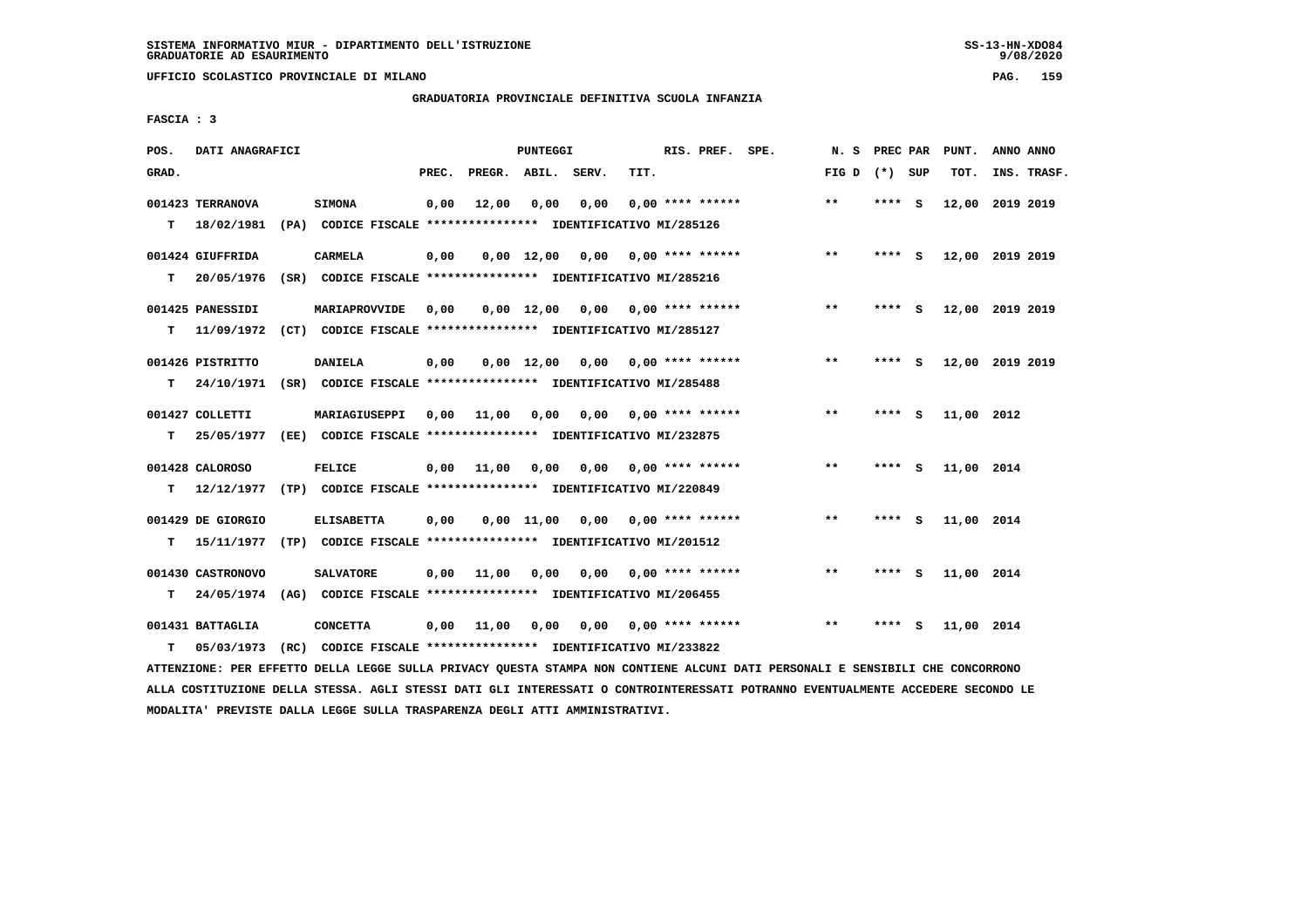**UFFICIO SCOLASTICO PROVINCIALE DI MILANO PAG. 159**

#### **GRADUATORIA PROVINCIALE DEFINITIVA SCUOLA INFANZIA**

 **FASCIA : 3**

| POS.  | DATI ANAGRAFICI   |                                                                          |       |                    | PUNTEGGI           |      |                           | RIS. PREF. SPE.    | N. S PREC PAR   |          |     | PUNT.           | ANNO ANNO |             |
|-------|-------------------|--------------------------------------------------------------------------|-------|--------------------|--------------------|------|---------------------------|--------------------|-----------------|----------|-----|-----------------|-----------|-------------|
| GRAD. |                   |                                                                          | PREC. | PREGR. ABIL. SERV. |                    |      | TIT.                      |                    | FIG D $(*)$ SUP |          |     | TOT.            |           | INS. TRASF. |
|       | 001423 TERRANOVA  | <b>SIMONA</b>                                                            | 0,00  | 12,00              | 0.00               | 0.00 |                           | $0.00$ **** ****** | $* *$           | **** S   |     | 12,00 2019 2019 |           |             |
| T.    | 18/02/1981        | (PA) CODICE FISCALE **************** IDENTIFICATIVO MI/285126            |       |                    |                    |      |                           |                    |                 |          |     |                 |           |             |
|       | 001424 GIUFFRIDA  | <b>CARMELA</b>                                                           | 0,00  |                    | $0,00$ 12,00       | 0,00 |                           | $0.00$ **** ****** | $***$           | $***$ S  |     | 12,00 2019 2019 |           |             |
| т     | 20/05/1976        | (SR) CODICE FISCALE **************** IDENTIFICATIVO MI/285216            |       |                    |                    |      |                           |                    |                 |          |     |                 |           |             |
|       | 001425 PANESSIDI  | <b>MARIAPROVVIDE</b>                                                     | 0,00  |                    | $0.00 \quad 12.00$ |      | $0,00$ $0,00$ **** ****** |                    | $**$            | **** S   |     | 12,00 2019 2019 |           |             |
| т     |                   | 11/09/1972 (CT) CODICE FISCALE **************** IDENTIFICATIVO MI/285127 |       |                    |                    |      |                           |                    |                 |          |     |                 |           |             |
|       | 001426 PISTRITTO  | <b>DANIELA</b>                                                           | 0,00  |                    | $0.00 \quad 12.00$ | 0.00 |                           | $0.00$ **** ****** | $* *$           | ****     | - 5 | 12,00 2019 2019 |           |             |
| т     |                   | 24/10/1971 (SR) CODICE FISCALE *************** IDENTIFICATIVO MI/285488  |       |                    |                    |      |                           |                    |                 |          |     |                 |           |             |
|       | 001427 COLLETTI   | MARIAGIUSEPPI                                                            | 0,00  | 11,00              | 0,00               | 0,00 |                           | $0.00$ **** ****** | $***$           | **** $S$ |     | 11,00 2012      |           |             |
| т     | 25/05/1977        | (EE) CODICE FISCALE **************** IDENTIFICATIVO MI/232875            |       |                    |                    |      |                           |                    |                 |          |     |                 |           |             |
|       | 001428 CALOROSO   | <b>FELICE</b>                                                            |       | $0,00$ 11,00       | 0,00               | 0,00 |                           | $0.00$ **** ****** | $***$           | **** S   |     | 11,00 2014      |           |             |
| T.    | 12/12/1977        | (TP) CODICE FISCALE **************** IDENTIFICATIVO MI/220849            |       |                    |                    |      |                           |                    |                 |          |     |                 |           |             |
|       | 001429 DE GIORGIO | <b>ELISABETTA</b>                                                        | 0,00  |                    | $0,00$ 11,00       | 0,00 | 0,00 **** ******          |                    | $***$           | **** S   |     | 11,00 2014      |           |             |
| T.    |                   | 15/11/1977 (TP) CODICE FISCALE *************** IDENTIFICATIVO MI/201512  |       |                    |                    |      |                           |                    |                 |          |     |                 |           |             |
|       | 001430 CASTRONOVO | <b>SALVATORE</b>                                                         | 0,00  | 11,00              | 0,00               | 0,00 |                           | $0.00$ **** ****** | $* *$           | **** S   |     | 11,00 2014      |           |             |
| т     | 24/05/1974        | (AG) CODICE FISCALE **************** IDENTIFICATIVO MI/206455            |       |                    |                    |      |                           |                    |                 |          |     |                 |           |             |
|       | 001431 BATTAGLIA  | <b>CONCETTA</b>                                                          | 0,00  | 11,00              | 0,00               | 0.00 |                           | $0.00$ **** ****** | $***$           | ****     | - 5 | 11,00 2014      |           |             |
| т     | 05/03/1973        | (RC) CODICE FISCALE **************** IDENTIFICATIVO MI/233822            |       |                    |                    |      |                           |                    |                 |          |     |                 |           |             |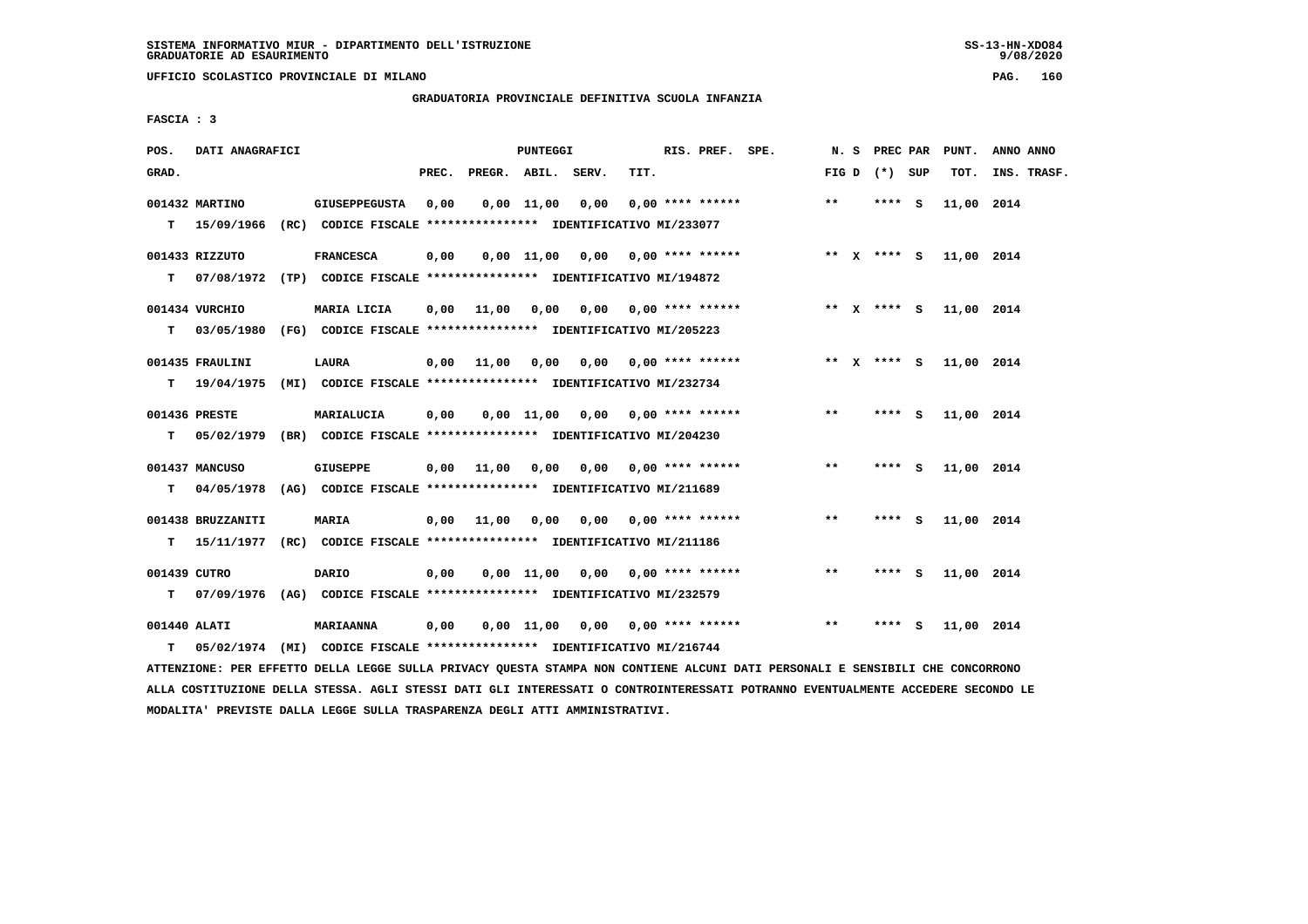**UFFICIO SCOLASTICO PROVINCIALE DI MILANO PAG. 160**

# **GRADUATORIA PROVINCIALE DEFINITIVA SCUOLA INFANZIA**

 **FASCIA : 3**

| POS.         | DATI ANAGRAFICI   |                                                                                                   |       |                    | PUNTEGGI   |                                        |      | RIS. PREF. SPE.           | N. S  | <b>PREC PAR</b> |     | PUNT.      | ANNO ANNO   |
|--------------|-------------------|---------------------------------------------------------------------------------------------------|-------|--------------------|------------|----------------------------------------|------|---------------------------|-------|-----------------|-----|------------|-------------|
| GRAD.        |                   |                                                                                                   | PREC. | PREGR. ABIL. SERV. |            |                                        | TIT. |                           |       | FIG D $(*)$ SUP |     | TOT.       | INS. TRASF. |
|              | 001432 MARTINO    | <b>GIUSEPPEGUSTA</b><br>T 15/09/1966 (RC) CODICE FISCALE *************** IDENTIFICATIVO MI/233077 | 0,00  |                    | 0,00 11,00 | 0,00                                   |      | $0.00$ **** ******        | $**$  | $***$ S         |     | 11,00 2014 |             |
|              |                   |                                                                                                   |       |                    |            |                                        |      |                           |       |                 |     |            |             |
|              | 001433 RIZZUTO    | <b>FRANCESCA</b>                                                                                  | 0,00  |                    |            | $0,00$ 11,00 0,00 0,00 **** ******     |      |                           |       | ** x **** S     |     | 11,00 2014 |             |
|              |                   | T 07/08/1972 (TP) CODICE FISCALE *************** IDENTIFICATIVO MI/194872                         |       |                    |            |                                        |      |                           |       |                 |     |            |             |
|              | 001434 VURCHIO    | MARIA LICIA                                                                                       | 0,00  | 11,00              | 0,00       |                                        |      | $0,00$ $0,00$ **** ****** |       | ** X **** S     |     | 11,00 2014 |             |
| т            |                   | 03/05/1980 (FG) CODICE FISCALE *************** IDENTIFICATIVO MI/205223                           |       |                    |            |                                        |      |                           |       |                 |     |            |             |
|              | 001435 FRAULINI   | LAURA                                                                                             | 0,00  | 11,00              | 0,00       |                                        |      | $0,00$ 0,00 **** ******   |       | ** x **** s     |     | 11,00 2014 |             |
| т            | 19/04/1975        | (MI) CODICE FISCALE **************** IDENTIFICATIVO MI/232734                                     |       |                    |            |                                        |      |                           |       |                 |     |            |             |
|              |                   |                                                                                                   |       |                    |            |                                        |      |                           |       |                 |     |            |             |
|              | 001436 PRESTE     | MARIALUCIA                                                                                        | 0,00  |                    |            | $0,00$ 11,00 0,00 0,00 **** ******     |      |                           | $***$ | **** S          |     | 11,00 2014 |             |
|              |                   | T 05/02/1979 (BR) CODICE FISCALE *************** IDENTIFICATIVO MI/204230                         |       |                    |            |                                        |      |                           |       |                 |     |            |             |
|              | 001437 MANCUSO    | <b>GIUSEPPE</b>                                                                                   | 0,00  | 11,00              |            | 0,00 0,00 0,00 **** ******             |      |                           | $***$ | **** S          |     | 11,00 2014 |             |
| т            |                   | 04/05/1978 (AG) CODICE FISCALE **************** IDENTIFICATIVO MI/211689                          |       |                    |            |                                        |      |                           |       |                 |     |            |             |
|              | 001438 BRUZZANITI | <b>MARIA</b>                                                                                      |       | $0,00$ 11,00       |            | $0,00$ $0,00$ $0,00$ $***$ **** ****** |      |                           | **    | **** S          |     | 11,00 2014 |             |
| т            | 15/11/1977        | (RC) CODICE FISCALE **************** IDENTIFICATIVO MI/211186                                     |       |                    |            |                                        |      |                           |       |                 |     |            |             |
|              |                   |                                                                                                   |       |                    |            |                                        |      |                           |       |                 |     |            |             |
| 001439 CUTRO |                   | <b>DARIO</b>                                                                                      | 0,00  |                    | 0,00 11,00 |                                        |      | $0,00$ $0,00$ **** ****** | $* *$ | **** S          |     | 11,00 2014 |             |
| т            | 07/09/1976        | (AG) CODICE FISCALE **************** IDENTIFICATIVO MI/232579                                     |       |                    |            |                                        |      |                           |       |                 |     |            |             |
| 001440 ALATI |                   | <b>MARIAANNA</b>                                                                                  | 0,00  |                    | 0,00 11,00 |                                        |      | 0,00 0,00 **** ******     | $* *$ | ****            | - S | 11,00 2014 |             |
| т            |                   | 05/02/1974 (MI) CODICE FISCALE *************** IDENTIFICATIVO MI/216744                           |       |                    |            |                                        |      |                           |       |                 |     |            |             |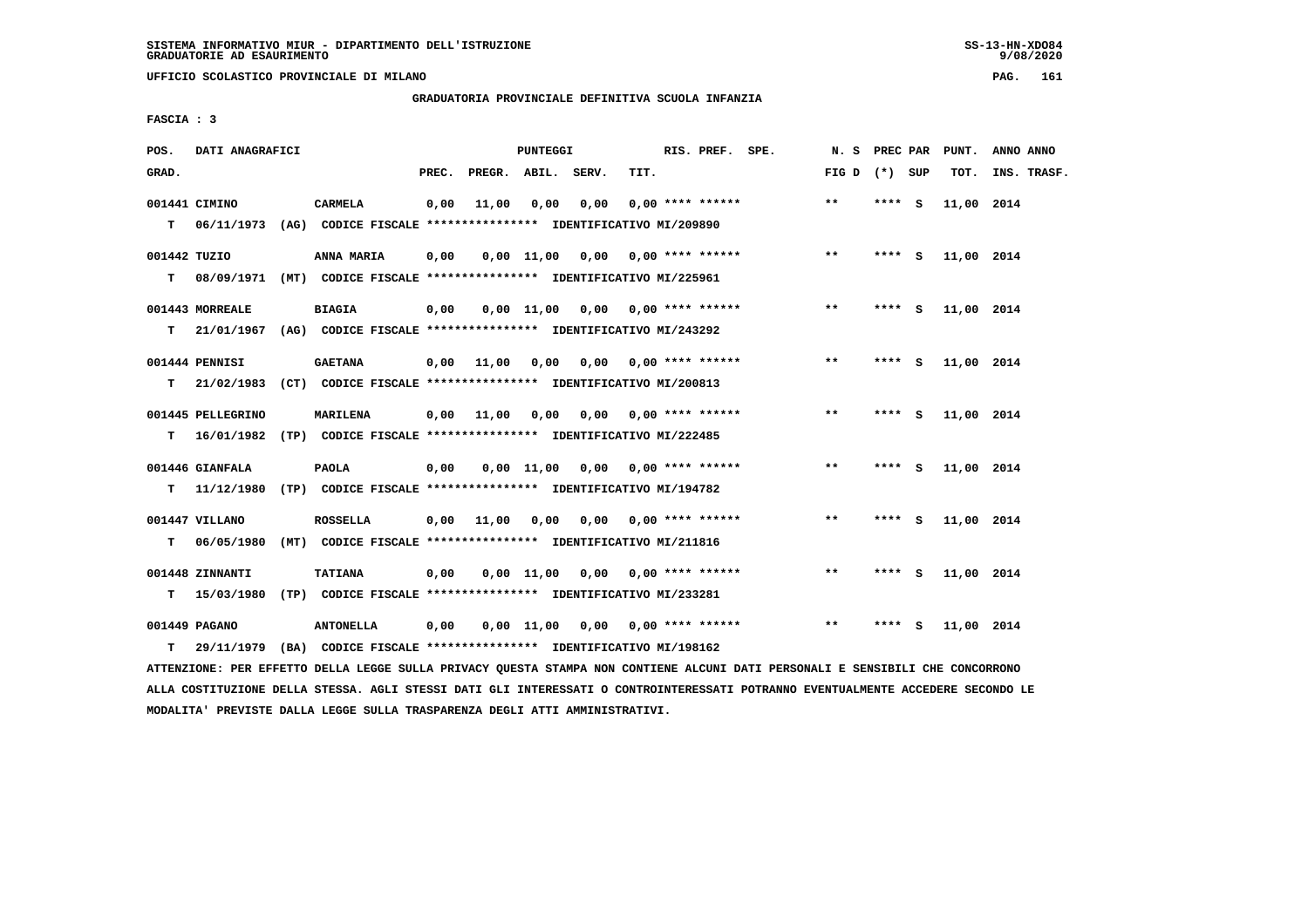**UFFICIO SCOLASTICO PROVINCIALE DI MILANO PAG. 161**

# **GRADUATORIA PROVINCIALE DEFINITIVA SCUOLA INFANZIA**

 **FASCIA : 3**

| POS.         | DATI ANAGRAFICI   |                                                                          |       |                    | PUNTEGGI   |                                    |      | RIS. PREF. SPE.           | N. S PREC PAR   |         |        | PUNT.      | ANNO ANNO   |
|--------------|-------------------|--------------------------------------------------------------------------|-------|--------------------|------------|------------------------------------|------|---------------------------|-----------------|---------|--------|------------|-------------|
| GRAD.        |                   |                                                                          | PREC. | PREGR. ABIL. SERV. |            |                                    | TIT. |                           | FIG D $(*)$ SUP |         |        | TOT.       | INS. TRASF. |
|              | 001441 CIMINO     | <b>CARMELA</b>                                                           | 0,00  | 11,00              | 0,00       | 0,00                               |      | $0.00$ **** ******        | $***$           | **** S  |        | 11,00 2014 |             |
| T.           |                   | 06/11/1973 (AG) CODICE FISCALE **************** IDENTIFICATIVO MI/209890 |       |                    |            |                                    |      |                           |                 |         |        |            |             |
| 001442 TUZIO |                   | ANNA MARIA                                                               | 0,00  |                    |            | $0,00$ 11,00 0,00 0,00 **** ****** |      |                           | $***$           |         | **** S | 11,00 2014 |             |
| т            |                   | 08/09/1971 (MT) CODICE FISCALE **************** IDENTIFICATIVO MI/225961 |       |                    |            |                                    |      |                           |                 |         |        |            |             |
|              | 001443 MORREALE   | <b>BIAGIA</b>                                                            | 0,00  |                    |            | $0,00$ 11,00 0,00 0,00 **** ****** |      |                           | $* *$           | **** S  |        | 11,00 2014 |             |
| т            |                   | 21/01/1967 (AG) CODICE FISCALE *************** IDENTIFICATIVO MI/243292  |       |                    |            |                                    |      |                           |                 |         |        |            |             |
|              | 001444 PENNISI    | <b>GAETANA</b>                                                           | 0,00  | 11,00              | 0,00       | 0,00                               |      | $0.00$ **** ******        | $***$           | $***5$  |        | 11,00 2014 |             |
| т            | 21/02/1983        | (CT) CODICE FISCALE **************** IDENTIFICATIVO MI/200813            |       |                    |            |                                    |      |                           |                 |         |        |            |             |
|              | 001445 PELLEGRINO | <b>MARILENA</b>                                                          | 0,00  | 11,00              | 0,00       | 0,00                               |      | $0.00$ **** ******        | $\star\star$    | **** S  |        | 11,00 2014 |             |
| т            |                   | 16/01/1982 (TP) CODICE FISCALE **************** IDENTIFICATIVO MI/222485 |       |                    |            |                                    |      |                           |                 |         |        |            |             |
|              | 001446 GIANFALA   | <b>PAOLA</b>                                                             | 0,00  |                    |            | $0,00$ 11,00 0,00 0,00 **** ****** |      |                           | $***$           | $***$ S |        | 11,00 2014 |             |
|              | T 11/12/1980      | (TP) CODICE FISCALE **************** IDENTIFICATIVO MI/194782            |       |                    |            |                                    |      |                           |                 |         |        |            |             |
|              | 001447 VILLANO    | <b>ROSSELLA</b>                                                          | 0,00  | 11,00              | 0,00       |                                    |      | $0.00$ $0.00$ **** ****** | $***$           | **** S  |        | 11,00 2014 |             |
| т            | 06/05/1980        | (MT) CODICE FISCALE **************** IDENTIFICATIVO MI/211816            |       |                    |            |                                    |      |                           |                 |         |        |            |             |
|              | 001448 ZINNANTI   | <b>TATIANA</b>                                                           | 0,00  |                    |            | $0.00$ 11,00 0.00 0.00 **** ****** |      |                           | $* *$           | **** S  |        | 11,00 2014 |             |
| т            | 15/03/1980        |                                                                          |       |                    |            |                                    |      |                           |                 |         |        |            |             |
|              | 001449 PAGANO     | <b>ANTONELLA</b>                                                         | 0,00  |                    | 0.00 11.00 | 0.00                               |      | $0.00$ **** ******        | $**$            | ****    | - S    | 11,00 2014 |             |
| т            |                   | 29/11/1979 (BA) CODICE FISCALE **************** IDENTIFICATIVO MI/198162 |       |                    |            |                                    |      |                           |                 |         |        |            |             |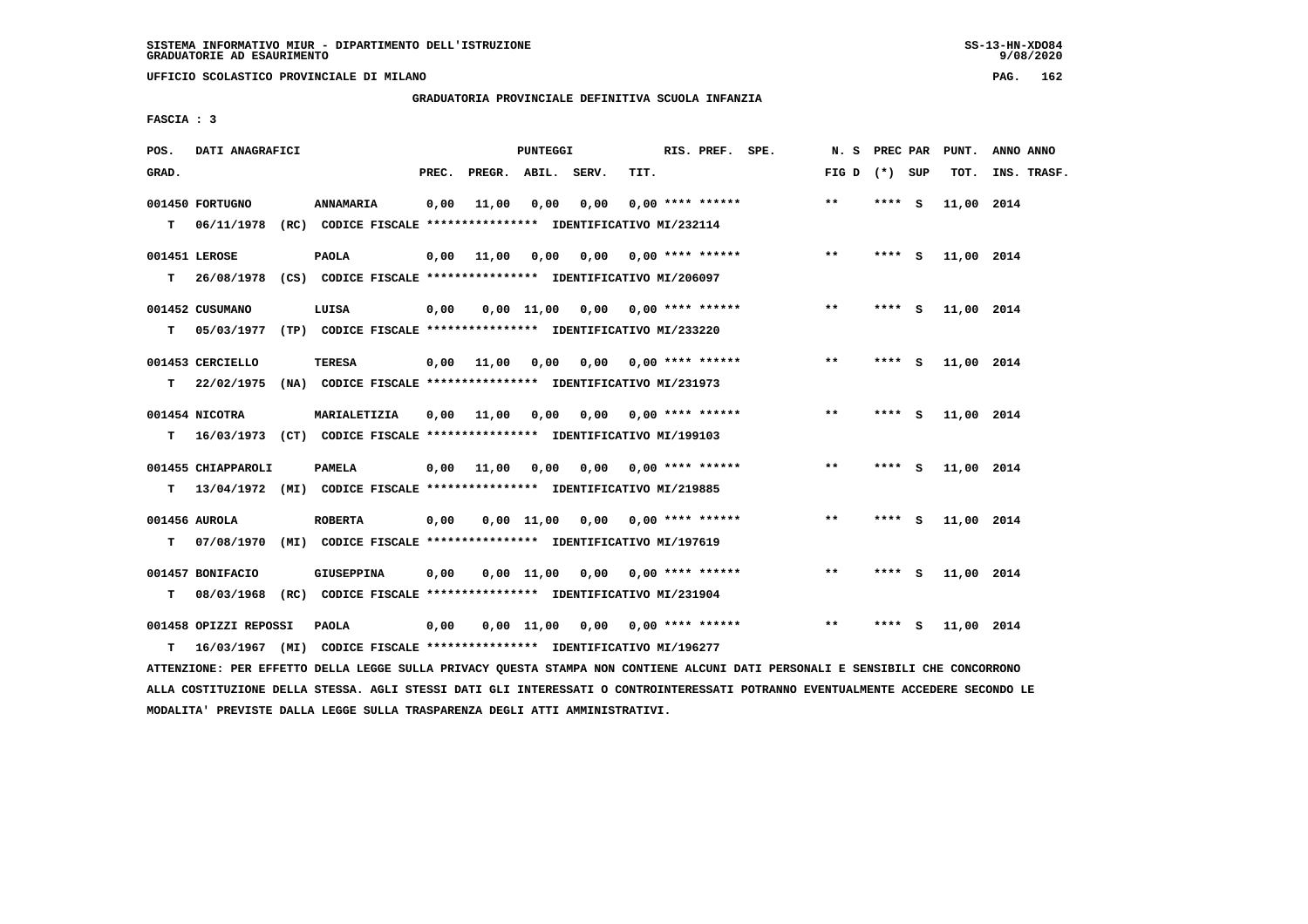**UFFICIO SCOLASTICO PROVINCIALE DI MILANO PAG. 162**

 **GRADUATORIA PROVINCIALE DEFINITIVA SCUOLA INFANZIA**

 **FASCIA : 3**

| POS.  | DATI ANAGRAFICI               |                                                                                              |       |                    | PUNTEGGI   |                                    |      | RIS. PREF. SPE.           | N.S             | PREC PAR |     | PUNT.      | ANNO ANNO   |
|-------|-------------------------------|----------------------------------------------------------------------------------------------|-------|--------------------|------------|------------------------------------|------|---------------------------|-----------------|----------|-----|------------|-------------|
| GRAD. |                               |                                                                                              | PREC. | PREGR. ABIL. SERV. |            |                                    | TIT. |                           | FIG D $(*)$ SUP |          |     | TOT.       | INS. TRASF. |
| т     | 001450 FORTUGNO<br>06/11/1978 | ANNAMARIA<br>(RC) CODICE FISCALE **************** IDENTIFICATIVO MI/232114                   | 0,00  | 11,00              | 0,00       | 0,00                               |      | $0.00$ **** ******        | $***$           | **** S   |     | 11,00 2014 |             |
| т     | 001451 LEROSE                 | <b>PAOLA</b><br>26/08/1978 (CS) CODICE FISCALE **************** IDENTIFICATIVO MI/206097     |       | $0,00$ 11,00       | 0.00       | 0.00                               |      | $0.00$ **** ******        | $***$           | **** S   |     | 11,00 2014 |             |
| т     | 001452 CUSUMANO<br>05/03/1977 | LUISA<br>(TP) CODICE FISCALE **************** IDENTIFICATIVO MI/233220                       | 0,00  |                    |            | $0,00$ 11,00 0,00 0,00 **** ****** |      |                           | $**$            | $***$ S  |     | 11,00 2014 |             |
| т     | 001453 CERCIELLO              | TERESA<br>22/02/1975 (NA) CODICE FISCALE *************** IDENTIFICATIVO MI/231973            | 0,00  | 11,00              | 0,00       |                                    |      | $0.00$ $0.00$ **** ****** | $**$            | **** S   |     | 11,00 2014 |             |
| т     | 001454 NICOTRA                | MARIALETIZIA<br>16/03/1973 (CT) CODICE FISCALE **************** IDENTIFICATIVO MI/199103     | 0,00  | 11,00              | 0,00       | 0.00                               |      | $0.00$ **** ******        | $* *$           | ****     | - S | 11,00 2014 |             |
| т     | 001455 CHIAPPAROLI            | <b>PAMELA</b><br>13/04/1972 (MI) CODICE FISCALE *************** IDENTIFICATIVO MI/219885     |       | $0,00$ 11,00       | 0,00       |                                    |      | 0,00 0,00 **** ******     | $* *$           | **** S   |     | 11,00 2014 |             |
| т     | 001456 AUROLA                 | <b>ROBERTA</b><br>07/08/1970 (MI) CODICE FISCALE *************** IDENTIFICATIVO MI/197619    | 0,00  |                    | 0,00 11,00 | 0,00                               |      | $0.00$ **** ******        | $* *$           | **** S   |     | 11,00 2014 |             |
| т     | 001457 BONIFACIO              | <b>GIUSEPPINA</b><br>08/03/1968 (RC) CODICE FISCALE *************** IDENTIFICATIVO MI/231904 | 0,00  |                    | 0,00 11,00 | 0,00                               |      | $0.00$ **** ******        | $***$           | **** S   |     | 11,00 2014 |             |
| т     | 001458 OPIZZI REPOSSI         | <b>PAOLA</b><br>16/03/1967 (MI) CODICE FISCALE **************** IDENTIFICATIVO MI/196277     | 0.00  |                    |            | $0.00$ 11.00 0.00 0.00 **** ****** |      |                           | $***$           | **** S   |     | 11,00 2014 |             |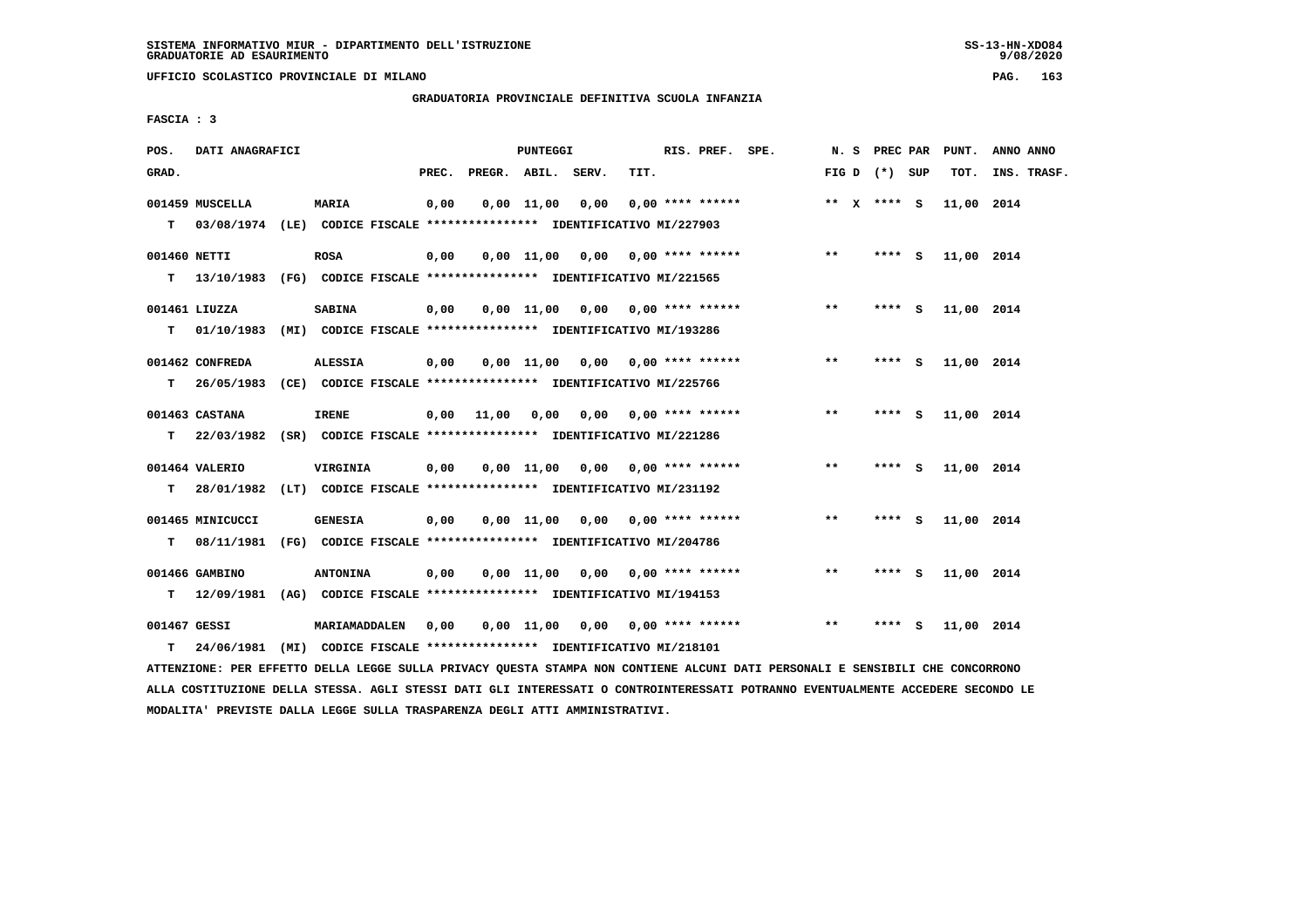**UFFICIO SCOLASTICO PROVINCIALE DI MILANO PAG. 163**

# **GRADUATORIA PROVINCIALE DEFINITIVA SCUOLA INFANZIA**

 **FASCIA : 3**

| POS.         | DATI ANAGRAFICI  |                                                                           |       |                    | PUNTEGGI     |                                    |      | RIS. PREF. SPE.    |       | N. S PREC PAR   |        | PUNT.      | ANNO ANNO   |
|--------------|------------------|---------------------------------------------------------------------------|-------|--------------------|--------------|------------------------------------|------|--------------------|-------|-----------------|--------|------------|-------------|
| GRAD.        |                  |                                                                           | PREC. | PREGR. ABIL. SERV. |              |                                    | TIT. |                    |       | FIG D $(*)$ SUP |        | TOT.       | INS. TRASF. |
|              | 001459 MUSCELLA  | <b>MARIA</b>                                                              | 0,00  |                    | $0,00$ 11,00 | 0,00                               |      | $0.00$ **** ****** |       | ** $X$ **** S   |        | 11,00 2014 |             |
|              |                  | T 03/08/1974 (LE) CODICE FISCALE *************** IDENTIFICATIVO MI/227903 |       |                    |              |                                    |      |                    |       |                 |        |            |             |
| 001460 NETTI |                  | <b>ROSA</b>                                                               | 0,00  |                    |              | $0.00$ 11.00 0.00 0.00 **** ****** |      |                    | $***$ |                 | **** S | 11,00 2014 |             |
|              |                  | T 13/10/1983 (FG) CODICE FISCALE *************** IDENTIFICATIVO MI/221565 |       |                    |              |                                    |      |                    |       |                 |        |            |             |
|              | 001461 LIUZZA    | <b>SABINA</b>                                                             | 0,00  |                    |              | $0,00$ 11,00 0,00 0,00 **** ****** |      |                    | $***$ | **** S          |        | 11,00 2014 |             |
| т            | 01/10/1983       | (MI) CODICE FISCALE **************** IDENTIFICATIVO MI/193286             |       |                    |              |                                    |      |                    |       |                 |        |            |             |
|              | 001462 CONFREDA  | <b>ALESSIA</b>                                                            | 0,00  |                    |              | $0,00$ 11,00 0,00 0,00 **** ****** |      |                    | **    | **** S          |        | 11,00 2014 |             |
| т            | 26/05/1983       | (CE) CODICE FISCALE **************** IDENTIFICATIVO MI/225766             |       |                    |              |                                    |      |                    |       |                 |        |            |             |
|              | 001463 CASTANA   | <b>IRENE</b>                                                              | 0,00  | 11,00              | 0,00         | 0,00                               |      | $0.00$ **** ****** | $***$ | **** S          |        | 11,00 2014 |             |
|              |                  | T 22/03/1982 (SR) CODICE FISCALE *************** IDENTIFICATIVO MI/221286 |       |                    |              |                                    |      |                    |       |                 |        |            |             |
|              | 001464 VALERIO   | <b>VIRGINIA</b>                                                           | 0,00  |                    |              | $0,00$ 11,00 0,00 0,00 **** ****** |      |                    | $***$ | **** S          |        | 11,00 2014 |             |
|              |                  | T 28/01/1982 (LT) CODICE FISCALE *************** IDENTIFICATIVO MI/231192 |       |                    |              |                                    |      |                    |       |                 |        |            |             |
|              | 001465 MINICUCCI | <b>GENESIA</b>                                                            | 0,00  |                    |              | $0.00$ 11.00 0.00 0.00 **** ****** |      |                    | $* *$ | **** S          |        | 11,00 2014 |             |
| т            |                  | 08/11/1981 (FG) CODICE FISCALE *************** IDENTIFICATIVO MI/204786   |       |                    |              |                                    |      |                    |       |                 |        |            |             |
|              | 001466 GAMBINO   | <b>ANTONINA</b>                                                           | 0,00  |                    |              | $0,00$ 11,00 0,00 0,00 **** ****** |      |                    | $* *$ | **** S          |        | 11,00 2014 |             |
| т            |                  | 12/09/1981 (AG) CODICE FISCALE **************** IDENTIFICATIVO MI/194153  |       |                    |              |                                    |      |                    |       |                 |        |            |             |
| 001467 GESSI |                  | MARIAMADDALEN                                                             | 0.00  |                    | 0,00 11,00   | 0,00                               |      | 0,00 **** ******   | $**$  | ****            | - S    | 11,00 2014 |             |
| т            |                  | 24/06/1981 (MI) CODICE FISCALE *************** IDENTIFICATIVO MI/218101   |       |                    |              |                                    |      |                    |       |                 |        |            |             |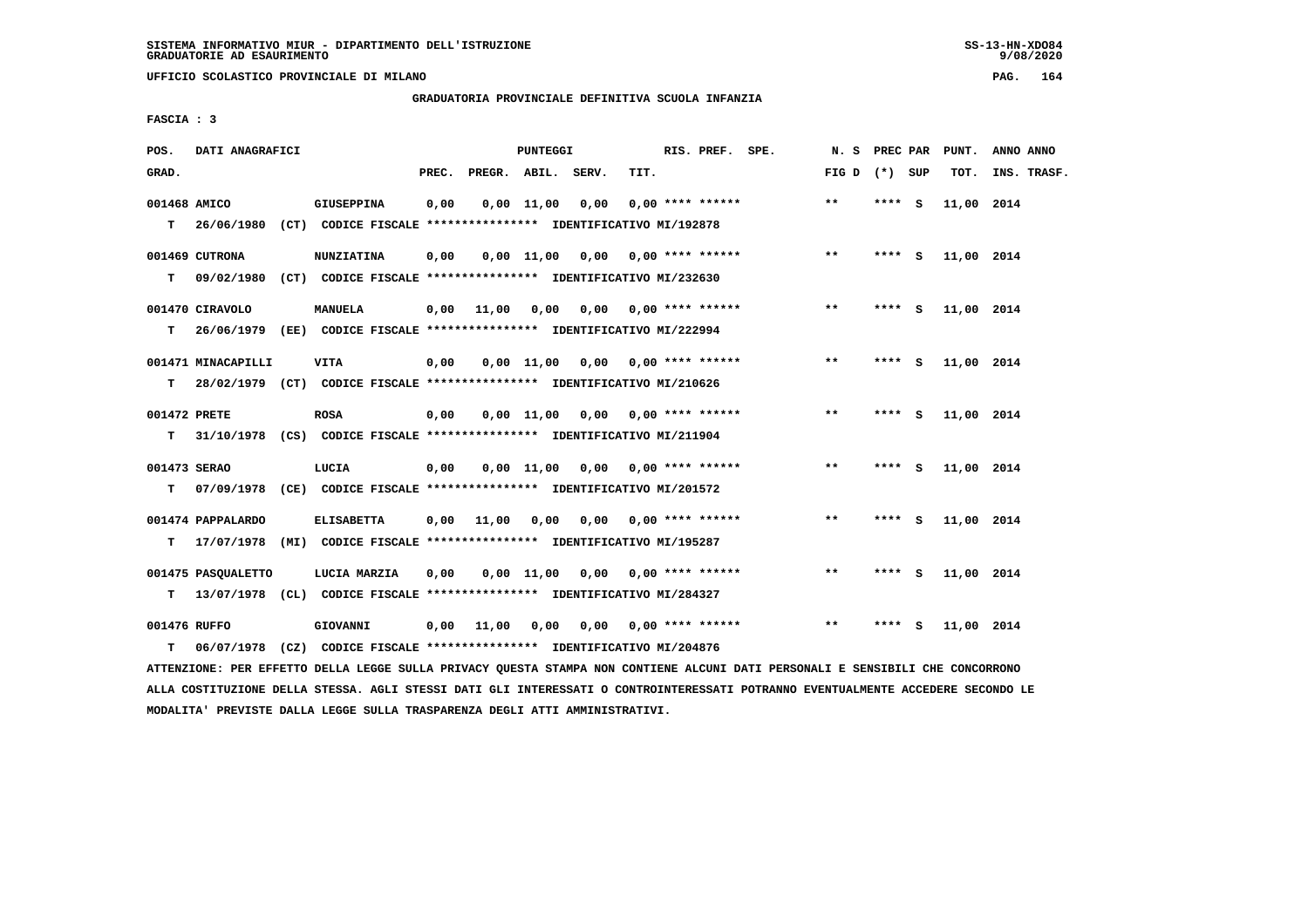**UFFICIO SCOLASTICO PROVINCIALE DI MILANO PAG. 164**

#### **GRADUATORIA PROVINCIALE DEFINITIVA SCUOLA INFANZIA**

 **FASCIA : 3**

| POS.              | DATI ANAGRAFICI                 |                                                                                          |       |              | <b>PUNTEGGI</b> |                                    |      | RIS. PREF. SPE.                     | N. S            | PREC PAR |     | PUNT.      | ANNO ANNO   |
|-------------------|---------------------------------|------------------------------------------------------------------------------------------|-------|--------------|-----------------|------------------------------------|------|-------------------------------------|-----------------|----------|-----|------------|-------------|
| GRAD.             |                                 |                                                                                          | PREC. | PREGR. ABIL. |                 | SERV.                              | TIT. |                                     | FIG D $(*)$ SUP |          |     | TOT.       | INS. TRASF. |
| 001468 AMICO      | $T = 26/06/1980$                | <b>GIUSEPPINA</b><br>(CT) CODICE FISCALE **************** IDENTIFICATIVO MI/192878       | 0,00  |              | $0,00$ 11,00    | 0,00                               |      | $0.00$ **** ******                  | **              | **** S   |     | 11,00 2014 |             |
| т                 | 001469 CUTRONA<br>09/02/1980    | <b>NUNZIATINA</b><br>(CT) CODICE FISCALE **************** IDENTIFICATIVO MI/232630       | 0,00  |              |                 | $0,00$ 11,00 0,00 0,00 **** ****** |      |                                     | $***$           | **** S   |     | 11,00 2014 |             |
| т                 | 001470 CIRAVOLO                 | MANUELA<br>26/06/1979 (EE) CODICE FISCALE **************** IDENTIFICATIVO MI/222994      | 0,00  | 11,00        | 0,00            |                                    |      | $0,00$ 0,00 **** ******             | $* *$           | **** S   |     | 11,00 2014 |             |
| т                 | 001471 MINACAPILLI              | <b>VITA</b><br>28/02/1979 (CT) CODICE FISCALE *************** IDENTIFICATIVO MI/210626   | 0,00  |              | $0.00$ $11.00$  |                                    |      | $0.00$ $0.00$ $***$ $***$ $***$ $*$ | $***$           | ****     | - 5 | 11,00 2014 |             |
| 001472 PRETE<br>т |                                 | <b>ROSA</b><br>31/10/1978 (CS) CODICE FISCALE *************** IDENTIFICATIVO MI/211904   | 0,00  |              |                 | $0,00$ 11,00 0,00 0,00 **** ****** |      |                                     | $***$           | **** $S$ |     | 11,00 2014 |             |
| 001473 SERAO<br>т |                                 | LUCIA<br>07/09/1978 (CE) CODICE FISCALE **************** IDENTIFICATIVO MI/201572        | 0,00  |              |                 | 0,00 11,00 0,00                    |      | $0.00$ **** ******                  | $**$            | **** S   |     | 11,00 2014 |             |
| т                 | 001474 PAPPALARDO<br>17/07/1978 | <b>ELISABETTA</b><br>(MI) CODICE FISCALE **************** IDENTIFICATIVO MI/195287       | 0,00  | 11,00        | 0,00            |                                    |      | $0.00$ $0.00$ **** ******           | $***$           | **** S   |     | 11,00 2014 |             |
| т                 | 001475 PASOUALETTO              | LUCIA MARZIA<br>13/07/1978 (CL) CODICE FISCALE **************** IDENTIFICATIVO MI/284327 | 0.00  |              |                 | $0,00$ 11,00 0,00 0,00 **** ****** |      |                                     | $**$            | **** S   |     | 11,00 2014 |             |
| 001476 RUFFO<br>т | 06/07/1978                      | GIOVANNI<br>(CZ) CODICE FISCALE **************** IDENTIFICATIVO MI/204876                | 0,00  | 11,00        | 0,00            | 0,00                               |      | $0.00$ **** ******                  | $* *$           | ****     | - 5 | 11,00 2014 |             |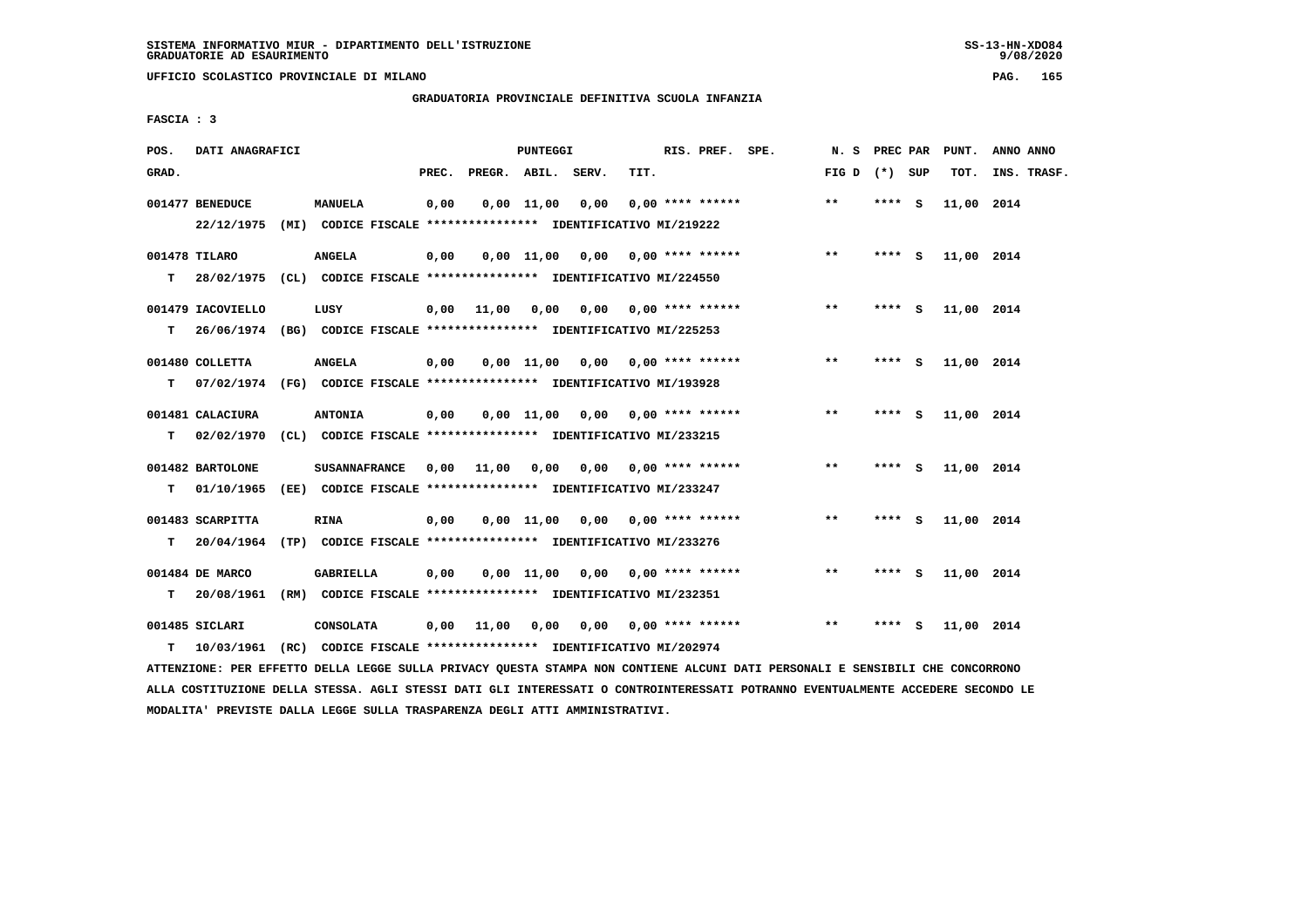**UFFICIO SCOLASTICO PROVINCIALE DI MILANO PAG. 165**

# **GRADUATORIA PROVINCIALE DEFINITIVA SCUOLA INFANZIA**

 **FASCIA : 3**

| POS.  | DATI ANAGRAFICI                |                                                                                           |       |       | <b>PUNTEGGI</b>    |       |      | RIS. PREF. SPE.           | N. S PREC PAR   |        |          | PUNT.      | ANNO ANNO   |
|-------|--------------------------------|-------------------------------------------------------------------------------------------|-------|-------|--------------------|-------|------|---------------------------|-----------------|--------|----------|------------|-------------|
| GRAD. |                                |                                                                                           | PREC. |       | PREGR. ABIL.       | SERV. | TIT. |                           | FIG D $(*)$ SUP |        |          | TOT.       | INS. TRASF. |
|       | 001477 BENEDUCE<br>22/12/1975  | MANUELA<br>(MI) CODICE FISCALE **************** IDENTIFICATIVO MI/219222                  | 0,00  |       | $0,00 \quad 11,00$ | 0,00  |      | $0.00$ **** ******        | $* *$           | **** S |          | 11,00 2014 |             |
| т     | 001478 TILARO                  | <b>ANGELA</b><br>28/02/1975 (CL) CODICE FISCALE **************** IDENTIFICATIVO MI/224550 | 0,00  |       | $0,00$ 11,00       | 0,00  |      | $0.00$ **** ******        | $* *$           | **** S |          | 11,00 2014 |             |
| т     | 001479 IACOVIELLO              | LUSY<br>26/06/1974 (BG) CODICE FISCALE *************** IDENTIFICATIVO MI/225253           | 0,00  | 11,00 | 0,00               |       |      | $0,00$ $0,00$ **** ****** | $***$           | **** S |          | 11,00 2014 |             |
| т     | 001480 COLLETTA                | <b>ANGELA</b><br>07/02/1974 (FG) CODICE FISCALE *************** IDENTIFICATIVO MI/193928  | 0,00  |       | 0.00 11.00         | 0.00  |      | $0.00$ **** ******        | $***$           | **** S |          | 11,00 2014 |             |
| т     | 001481 CALACIURA<br>02/02/1970 | <b>ANTONIA</b><br>(CL) CODICE FISCALE **************** IDENTIFICATIVO MI/233215           | 0,00  |       | $0,00$ 11,00       | 0,00  |      | $0.00$ **** ******        | $***$           | **** S |          | 11,00 2014 |             |
| т     | 001482 BARTOLONE<br>01/10/1965 | <b>SUSANNAFRANCE</b><br>(EE) CODICE FISCALE **************** IDENTIFICATIVO MI/233247     | 0.00  | 11,00 | 0,00               | 0,00  |      | $0.00$ **** ******        | $* *$           | ****   | <b>S</b> | 11,00 2014 |             |
| т     | 001483 SCARPITTA<br>20/04/1964 | <b>RINA</b><br>(TP) CODICE FISCALE **************** IDENTIFICATIVO MI/233276              | 0,00  |       | 0.00 11.00         | 0,00  |      | $0.00$ **** ******        | $***$           | **** S |          | 11,00 2014 |             |
| т     | 001484 DE MARCO<br>20/08/1961  | GABRIELLA<br>(RM) CODICE FISCALE **************** IDENTIFICATIVO MI/232351                | 0,00  |       | $0.00$ 11.00       |       |      | $0,00$ $0,00$ **** ****** | $* *$           | **** S |          | 11,00 2014 |             |
| т     | 001485 SICLARI<br>10/03/1961   | <b>CONSOLATA</b><br>(RC) CODICE FISCALE **************** IDENTIFICATIVO MI/202974         | 0,00  | 11,00 | 0,00               | 0,00  |      | $0.00$ **** ******        | $* *$           | ****   | - 5      | 11,00 2014 |             |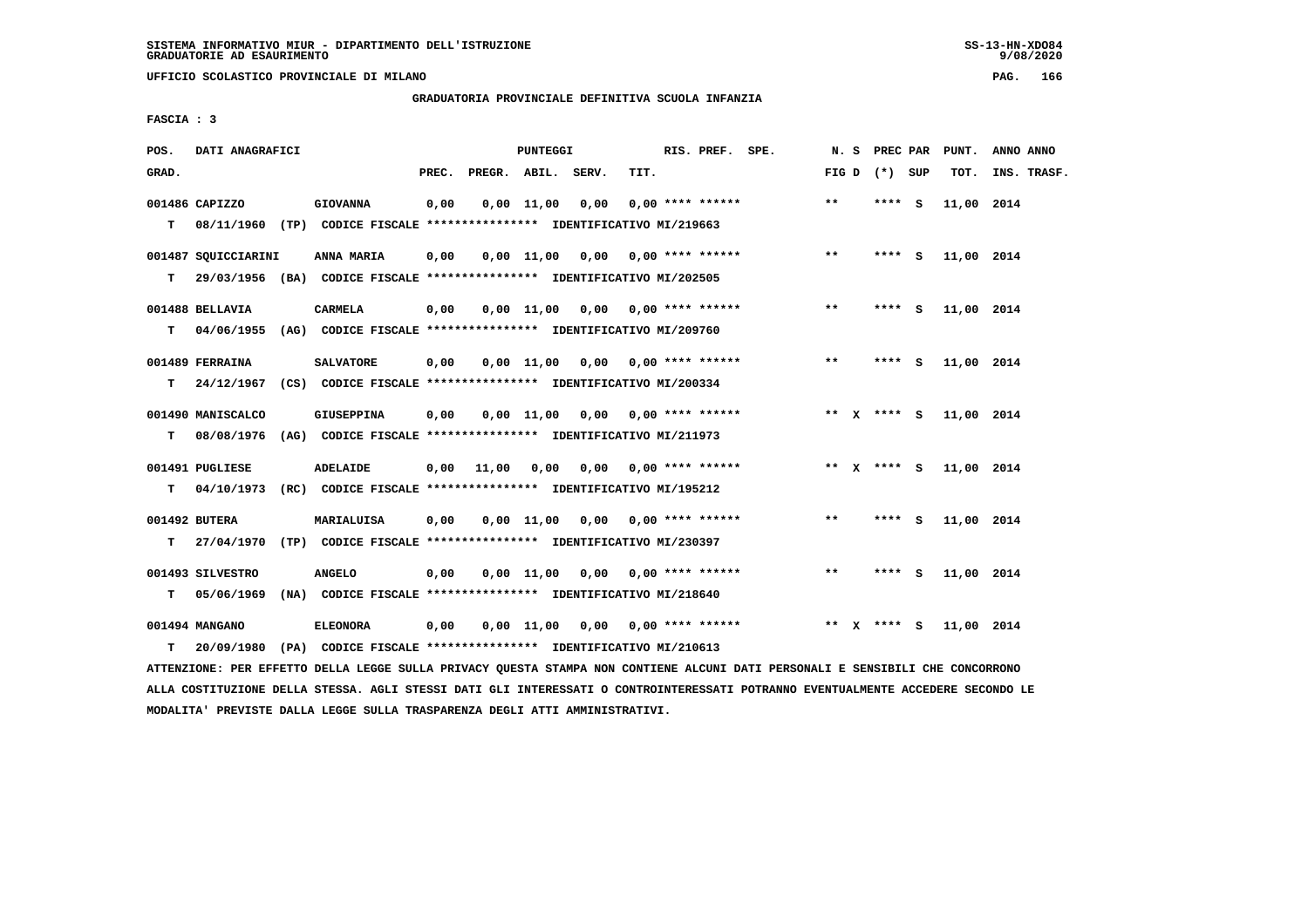**UFFICIO SCOLASTICO PROVINCIALE DI MILANO PAG. 166**

# **GRADUATORIA PROVINCIALE DEFINITIVA SCUOLA INFANZIA**

 **FASCIA : 3**

| POS.  | DATI ANAGRAFICI                 |                                                                                             |       |              | <b>PUNTEGGI</b> |                                    |      | RIS. PREF. SPE.    | N. S    | PREC PAR        | PUNT.      | ANNO ANNO   |
|-------|---------------------------------|---------------------------------------------------------------------------------------------|-------|--------------|-----------------|------------------------------------|------|--------------------|---------|-----------------|------------|-------------|
| GRAD. |                                 |                                                                                             | PREC. | PREGR. ABIL. |                 | SERV.                              | TIT. |                    |         | FIG D $(*)$ SUP | TOT.       | INS. TRASF. |
| T.    | 001486 CAPIZZO                  | <b>GIOVANNA</b><br>08/11/1960 (TP) CODICE FISCALE **************** IDENTIFICATIVO MI/219663 | 0,00  |              | $0,00$ 11,00    | 0,00                               |      | $0.00$ **** ****** | $***$   | **** S          | 11,00 2014 |             |
| т     | 001487 SQUICCIARINI             | ANNA MARIA<br>29/03/1956 (BA) CODICE FISCALE *************** IDENTIFICATIVO MI/202505       | 0,00  |              |                 | $0,00$ 11,00 0,00 0,00 **** ****** |      |                    | $***$   | $***$ S         | 11,00 2014 |             |
| т     | 001488 BELLAVIA                 | <b>CARMELA</b><br>04/06/1955 (AG) CODICE FISCALE **************** IDENTIFICATIVO MI/209760  | 0,00  |              |                 | $0,00$ 11,00 0,00 0,00 **** ****** |      |                    | $***$   | **** S          | 11,00 2014 |             |
| т     | 001489 FERRAINA<br>24/12/1967   | <b>SALVATORE</b><br>(CS) CODICE FISCALE **************** IDENTIFICATIVO MI/200334           | 0,00  |              |                 | $0,00$ 11,00 0,00 0,00 **** ****** |      |                    | $***$   | **** S          | 11,00 2014 |             |
| т     | 001490 MANISCALCO<br>08/08/1976 | GIUSEPPINA<br>(AG) CODICE FISCALE **************** IDENTIFICATIVO MI/211973                 | 0,00  |              |                 | 0,00 11,00 0,00 0,00 **** ******   |      |                    |         | ** $X$ **** S   | 11,00 2014 |             |
| т     | 001491 PUGLIESE<br>04/10/1973   | <b>ADELAIDE</b><br>(RC) CODICE FISCALE **************** IDENTIFICATIVO MI/195212            | 0,00  | 11,00        | 0,00            | 0.00                               |      | $0.00$ **** ****** |         | ** x **** S     | 11,00 2014 |             |
| т     | 001492 BUTERA<br>27/04/1970     | MARIALUISA<br>(TP) CODICE FISCALE **************** IDENTIFICATIVO MI/230397                 | 0,00  |              |                 | $0,00$ 11,00 0,00 0,00 **** ****** |      |                    | $***$   | **** S          | 11,00 2014 |             |
| т     | 001493 SILVESTRO<br>05/06/1969  | <b>ANGELO</b><br>(NA) CODICE FISCALE **************** IDENTIFICATIVO MI/218640              | 0,00  |              |                 | $0.00$ 11,00 0.00 0.00 **** ****** |      |                    | $***$   | **** S          | 11,00 2014 |             |
| т     | 001494 MANGANO<br>20/09/1980    | <b>ELEONORA</b><br>(PA) CODICE FISCALE **************** IDENTIFICATIVO MI/210613            | 0,00  |              |                 | $0,00$ 11,00 0,00 0,00 **** ****** |      |                    | $***$ X | **** S          | 11,00 2014 |             |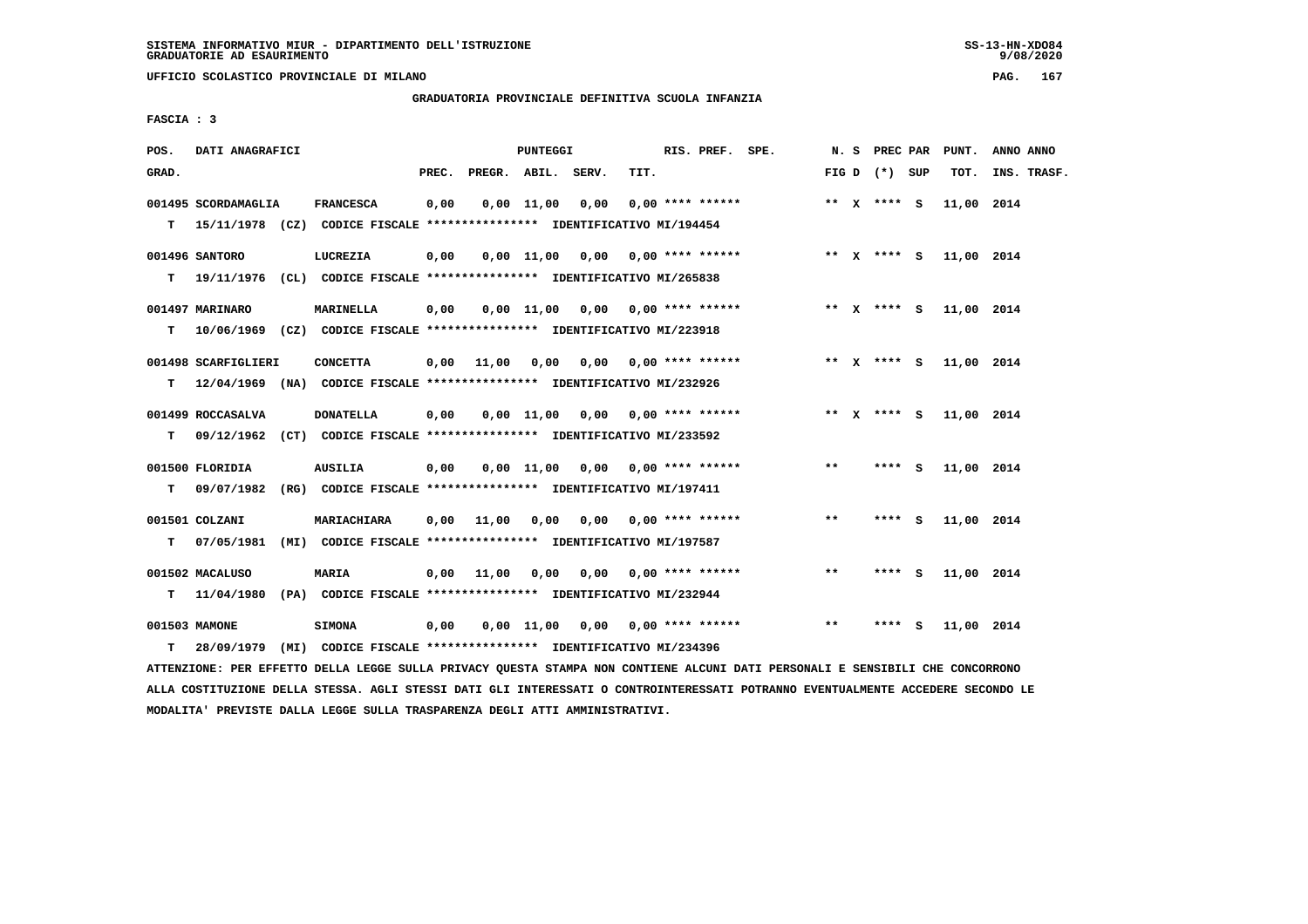**UFFICIO SCOLASTICO PROVINCIALE DI MILANO PAG. 167**

#### **GRADUATORIA PROVINCIALE DEFINITIVA SCUOLA INFANZIA**

 **FASCIA : 3**

| POS.  | DATI ANAGRAFICI     |                                                                          |       |                    | <b>PUNTEGGI</b> |                                        |      | RIS. PREF. SPE.    |       | N. S PREC PAR   | PUNT.      | ANNO ANNO   |
|-------|---------------------|--------------------------------------------------------------------------|-------|--------------------|-----------------|----------------------------------------|------|--------------------|-------|-----------------|------------|-------------|
| GRAD. |                     |                                                                          | PREC. | PREGR. ABIL. SERV. |                 |                                        | TIT. |                    |       | FIG D $(*)$ SUP | TOT.       | INS. TRASF. |
|       | 001495 SCORDAMAGLIA | <b>FRANCESCA</b>                                                         | 0,00  |                    | 0,00 11,00      | 0,00                                   |      | $0.00$ **** ****** |       | ** $X$ **** S   | 11,00 2014 |             |
| T.    |                     | 15/11/1978 (CZ) CODICE FISCALE **************** IDENTIFICATIVO MI/194454 |       |                    |                 |                                        |      |                    |       |                 |            |             |
|       | 001496 SANTORO      | LUCREZIA                                                                 | 0,00  |                    |                 | $0,00$ 11,00 0,00 0,00 **** ******     |      |                    |       | ** x **** S     | 11,00 2014 |             |
| т     |                     | 19/11/1976 (CL) CODICE FISCALE **************** IDENTIFICATIVO MI/265838 |       |                    |                 |                                        |      |                    |       |                 |            |             |
|       | 001497 MARINARO     | <b>MARINELLA</b>                                                         | 0,00  |                    |                 | $0,00$ 11,00 0,00 0,00 **** ******     |      |                    |       | ** x **** S     | 11,00 2014 |             |
| т     |                     | 10/06/1969 (CZ) CODICE FISCALE **************** IDENTIFICATIVO MI/223918 |       |                    |                 |                                        |      |                    |       |                 |            |             |
|       | 001498 SCARFIGLIERI | <b>CONCETTA</b>                                                          |       | 0.00 11.00         |                 | $0,00$ $0,00$ $0,00$ $***$ **** ****** |      |                    |       | ** x **** S     | 11,00 2014 |             |
| т     |                     | 12/04/1969 (NA) CODICE FISCALE *************** IDENTIFICATIVO MI/232926  |       |                    |                 |                                        |      |                    |       |                 |            |             |
|       | 001499 ROCCASALVA   | <b>DONATELLA</b>                                                         | 0,00  |                    |                 | $0,00$ 11,00 0,00 0,00 **** ******     |      |                    |       | ** x **** s     | 11,00 2014 |             |
| т     |                     | 09/12/1962 (CT) CODICE FISCALE **************** IDENTIFICATIVO MI/233592 |       |                    |                 |                                        |      |                    |       |                 |            |             |
|       | 001500 FLORIDIA     | AUSILIA                                                                  | 0,00  |                    |                 | $0,00$ 11,00 0,00 0,00 **** ******     |      |                    | $* *$ | **** S          | 11,00 2014 |             |
| т     | 09/07/1982          | (RG) CODICE FISCALE **************** IDENTIFICATIVO MI/197411            |       |                    |                 |                                        |      |                    |       |                 |            |             |
|       | 001501 COLZANI      | MARIACHIARA                                                              | 0,00  | 11,00              |                 | $0,00$ $0,00$ $0,00$ $***$ **** ****** |      |                    | $***$ | **** S          | 11,00 2014 |             |
| т     | 07/05/1981          | (MI) CODICE FISCALE **************** IDENTIFICATIVO MI/197587            |       |                    |                 |                                        |      |                    |       |                 |            |             |
|       | 001502 MACALUSO     | MARIA                                                                    |       | $0,00$ 11,00       |                 | 0,00 0,00 0,00 **** ******             |      |                    | $***$ | **** S          | 11,00 2014 |             |
| T.    | 11/04/1980          | (PA) CODICE FISCALE **************** IDENTIFICATIVO MI/232944            |       |                    |                 |                                        |      |                    |       |                 |            |             |
|       | 001503 MAMONE       | <b>SIMONA</b>                                                            | 0,00  |                    |                 | $0,00$ 11,00 0,00 0,00 **** ******     |      |                    | **    | **** S          | 11,00 2014 |             |
| т     | 28/09/1979          | (MI) CODICE FISCALE **************** IDENTIFICATIVO MI/234396            |       |                    |                 |                                        |      |                    |       |                 |            |             |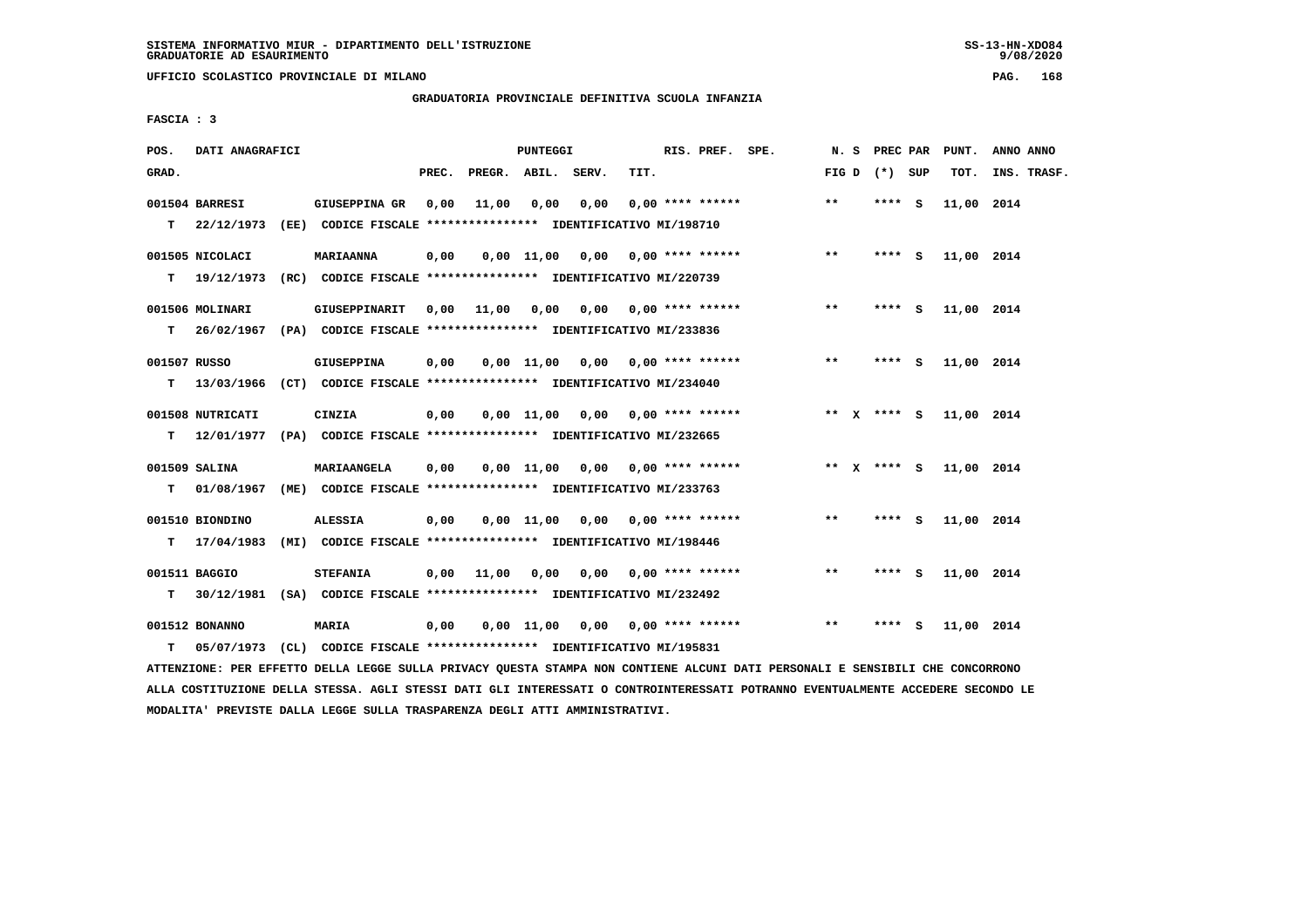**UFFICIO SCOLASTICO PROVINCIALE DI MILANO PAG. 168**

# **GRADUATORIA PROVINCIALE DEFINITIVA SCUOLA INFANZIA**

 **FASCIA : 3**

| POS.              | DATI ANAGRAFICI                    |                                                                                             |       |                    | <b>PUNTEGGI</b> |                                        |      | RIS. PREF. SPE.    | N. S          |      | <b>PREC PAR</b> | PUNT.      | ANNO ANNO   |
|-------------------|------------------------------------|---------------------------------------------------------------------------------------------|-------|--------------------|-----------------|----------------------------------------|------|--------------------|---------------|------|-----------------|------------|-------------|
| GRAD.             |                                    |                                                                                             | PREC. | PREGR. ABIL. SERV. |                 |                                        | TIT. |                    |               |      | FIG D $(*)$ SUP | TOT.       | INS. TRASF. |
|                   | 001504 BARRESI<br>$T = 22/12/1973$ | GIUSEPPINA GR<br>(EE) CODICE FISCALE **************** IDENTIFICATIVO MI/198710              | 0,00  | 11,00              | 0,00            | 0,00                                   |      | $0.00$ **** ****** | $**$          |      | $***$ S         | 11,00 2014 |             |
| т                 | 001505 NICOLACI<br>19/12/1973      | <b>MARIAANNA</b><br>(RC) CODICE FISCALE **************** IDENTIFICATIVO MI/220739           | 0,00  |                    |                 | 0,00 11,00 0,00 0,00 **** ******       |      |                    | $***$         |      | $***$ S         | 11,00 2014 |             |
| T.                | 001506 MOLINARI                    | GIUSEPPINARIT<br>26/02/1967 (PA) CODICE FISCALE *************** IDENTIFICATIVO MI/233836    | 0,00  | 11,00              |                 | $0,00$ $0,00$ $0,00$ $***$ **** ****** |      |                    | $**$          |      | **** S          | 11,00 2014 |             |
| 001507 RUSSO<br>т | 13/03/1966                         | GIUSEPPINA<br>(CT) CODICE FISCALE **************** IDENTIFICATIVO MI/234040                 | 0,00  |                    |                 | $0,00$ 11,00 0,00 0,00 **** ******     |      |                    | $***$         |      | **** S          | 11,00 2014 |             |
| т                 | 001508 NUTRICATI<br>12/01/1977     | CINZIA<br>(PA) CODICE FISCALE **************** IDENTIFICATIVO MI/232665                     | 0.00  |                    |                 | $0.00$ 11,00 0.00 0.00 **** ******     |      |                    |               |      | ** x **** S     | 11,00 2014 |             |
| T.                | 001509 SALINA<br>01/08/1967        | MARIAANGELA<br>(ME) CODICE FISCALE **************** IDENTIFICATIVO MI/233763                | 0,00  |                    |                 | $0,00$ 11,00 0,00 0,00 **** ******     |      |                    | ** $X$ **** S |      |                 | 11,00 2014 |             |
| т                 | 001510 BIONDINO<br>17/04/1983      | <b>ALESSIA</b><br>(MI) CODICE FISCALE **************** IDENTIFICATIVO MI/198446             | 0,00  |                    |                 | $0,00$ 11,00 0,00 0,00 **** ******     |      |                    | $\star\star$  |      | **** S          | 11,00 2014 |             |
| т                 | 001511 BAGGIO                      | <b>STEFANIA</b><br>30/12/1981 (SA) CODICE FISCALE **************** IDENTIFICATIVO MI/232492 | 0,00  | 11,00              |                 | $0,00$ $0,00$ $0,00$ $***$ **** ****** |      |                    | $**$          |      | **** S          | 11,00 2014 |             |
| т                 | 001512 BONANNO<br>05/07/1973       | <b>MARIA</b><br>(CL) CODICE FISCALE **************** IDENTIFICATIVO MI/195831               | 0,00  |                    |                 | $0,00$ 11,00 0,00 0,00 **** ******     |      |                    | **            | **** | S.              | 11,00 2014 |             |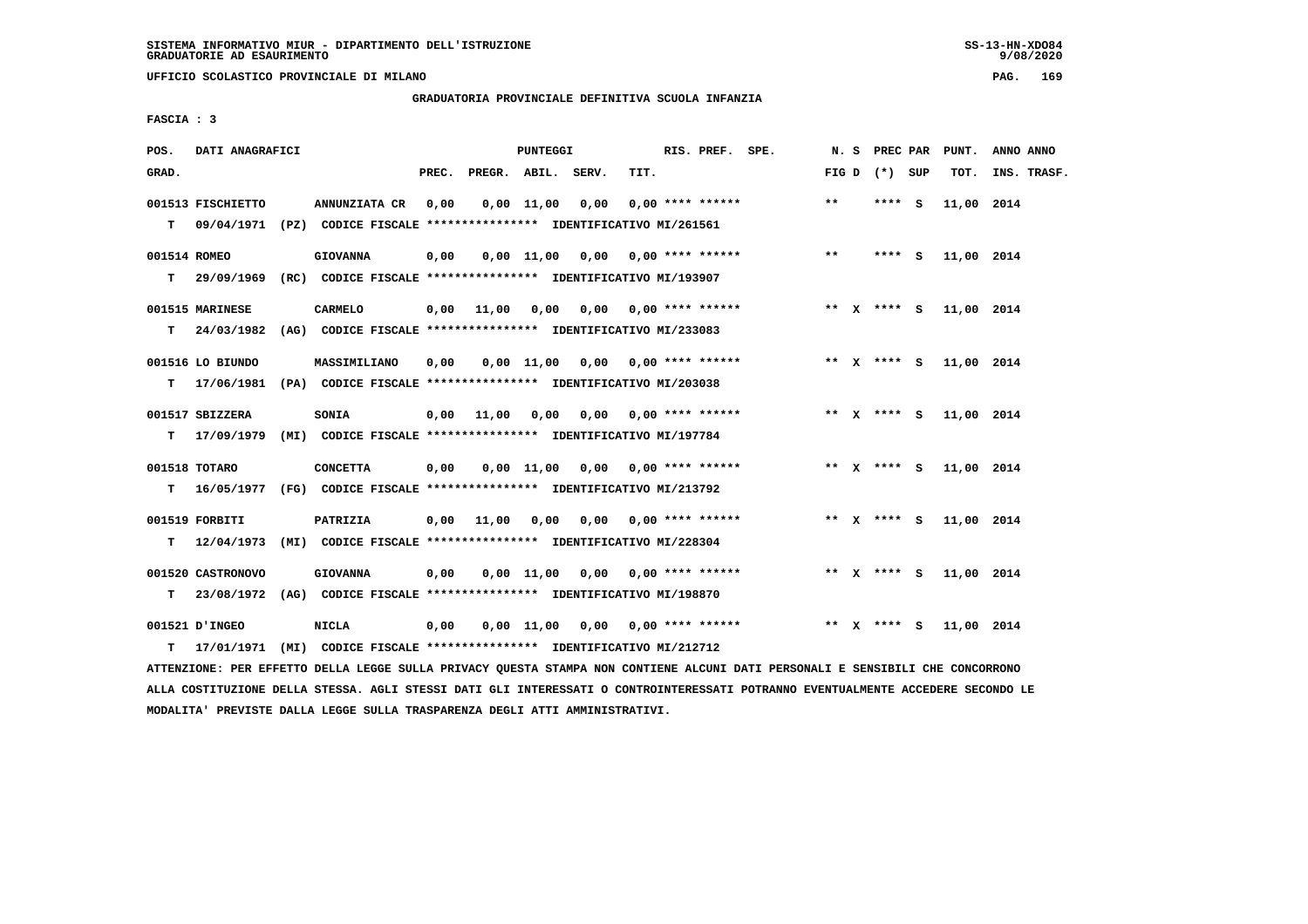**UFFICIO SCOLASTICO PROVINCIALE DI MILANO PAG. 169**

# **GRADUATORIA PROVINCIALE DEFINITIVA SCUOLA INFANZIA**

 **FASCIA : 3**

| POS.         | DATI ANAGRAFICI               |                                                                                               |       |                       | PUNTEGGI     |                                         |      | RIS. PREF. SPE.           |                           |       | N. S PREC PAR   | PUNT.                  | ANNO ANNO   |
|--------------|-------------------------------|-----------------------------------------------------------------------------------------------|-------|-----------------------|--------------|-----------------------------------------|------|---------------------------|---------------------------|-------|-----------------|------------------------|-------------|
| GRAD.        |                               |                                                                                               | PREC. | PREGR. ABIL.          |              | SERV.                                   | TIT. |                           |                           |       | FIG D $(*)$ SUP | TOT.                   | INS. TRASF. |
| T.           | 001513 FISCHIETTO             | ANNUNZIATA CR<br>09/04/1971 (PZ) CODICE FISCALE **************** IDENTIFICATIVO MI/261561     | 0,00  |                       | $0,00$ 11,00 | 0,00                                    |      | $0.00$ **** ******        |                           | $* *$ | **** S          | 11,00 2014             |             |
| 001514 ROMEO |                               | <b>GIOVANNA</b><br>T 29/09/1969 (RC) CODICE FISCALE **************** IDENTIFICATIVO MI/193907 | 0,00  |                       |              | 0,00 11,00 0,00                         |      | $0,00$ **** ******        |                           | $***$ | $***$ S         | 11,00 2014             |             |
| T.           | 001515 MARINESE<br>24/03/1982 | <b>CARMELO</b><br>(AG) CODICE FISCALE **************** IDENTIFICATIVO MI/233083               |       |                       |              | $0,00$ 11,00 0,00 0,00 0,00 **** ****** |      |                           |                           |       |                 | ** X **** S 11,00 2014 |             |
|              | 001516 LO BIUNDO              | MASSIMILIANO<br>T 17/06/1981 (PA) CODICE FISCALE *************** IDENTIFICATIVO MI/203038     | 0.00  |                       | $0.00$ 11,00 |                                         |      | $0,00$ $0,00$ **** ****** |                           |       | ** x **** s     | 11,00 2014             |             |
| т            | 001517 SBIZZERA<br>17/09/1979 | SONIA<br>(MI) CODICE FISCALE **************** IDENTIFICATIVO MI/197784                        | 0,00  | 11,00                 | 0,00         |                                         |      |                           | $0.00$ $0.00$ **** ****** |       | ** x **** S     | 11,00 2014             |             |
| т            | 001518 TOTARO                 | <b>CONCETTA</b><br>16/05/1977 (FG) CODICE FISCALE **************** IDENTIFICATIVO MI/213792   | 0,00  |                       |              | $0.00$ 11,00 0.00 0.00 **** ******      |      |                           |                           |       | ** x **** s     | 11,00 2014             |             |
| т            | 001519 FORBITI                | PATRIZIA<br>12/04/1973 (MI) CODICE FISCALE **************** IDENTIFICATIVO MI/228304          |       | $0,00$ $11,00$ $0,00$ |              | 0,00                                    |      | $0.00$ **** ******        |                           |       | ** $X$ **** S   | 11,00 2014             |             |
| т            | 001520 CASTRONOVO             | <b>GIOVANNA</b><br>23/08/1972 (AG) CODICE FISCALE *************** IDENTIFICATIVO MI/198870    | 0,00  |                       |              | $0,00$ 11,00 0,00 0,00 **** ******      |      |                           |                           |       | ** x **** S     | 11,00 2014             |             |
| т            | 001521 D'INGEO<br>17/01/1971  | <b>NICLA</b><br>(MI) CODICE FISCALE **************** IDENTIFICATIVO MI/212712                 | 0,00  |                       |              | $0,00$ 11,00 0,00 0,00 **** ******      |      |                           |                           |       | ** x **** S     | 11,00 2014             |             |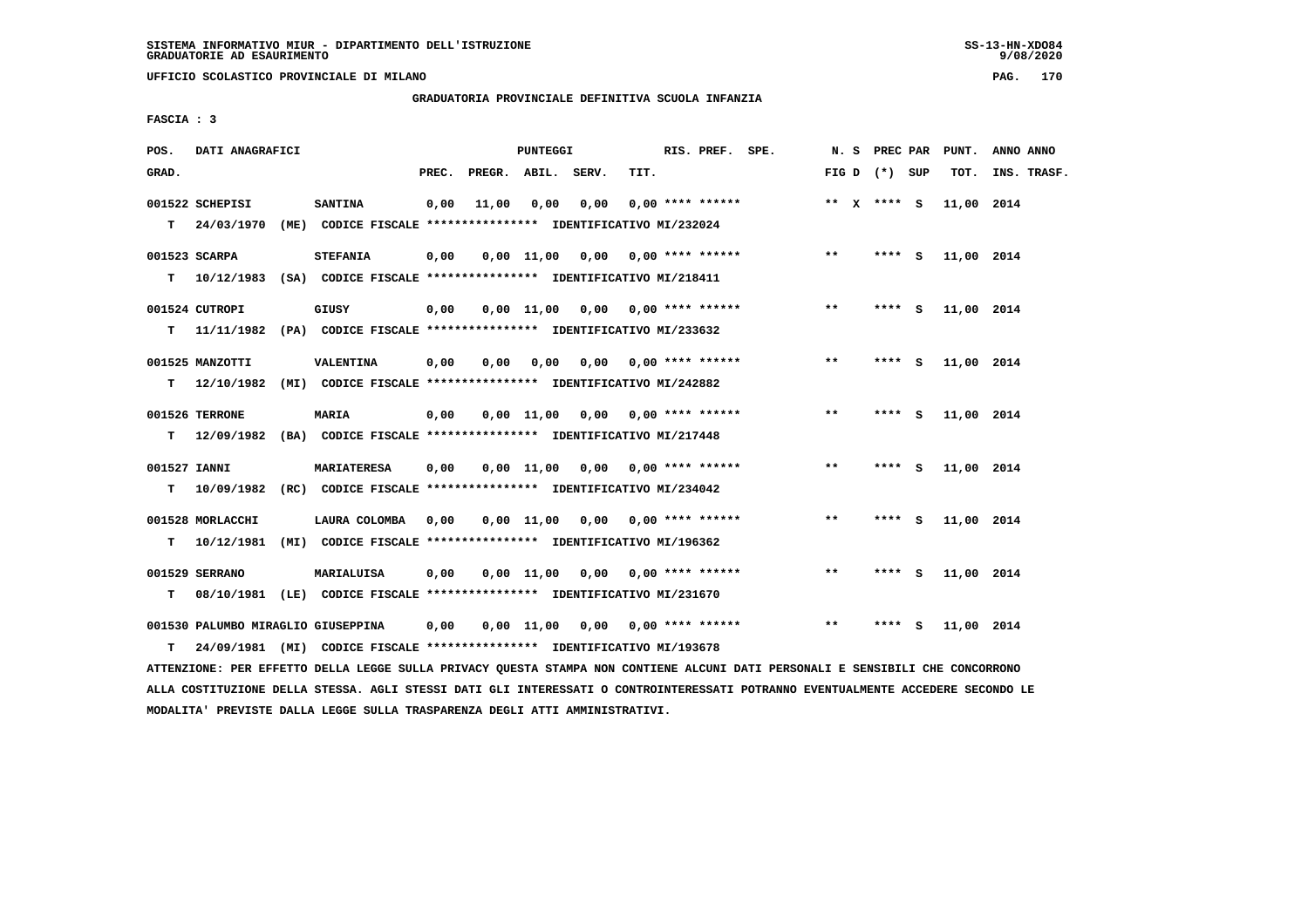**UFFICIO SCOLASTICO PROVINCIALE DI MILANO PAG. 170**

# **GRADUATORIA PROVINCIALE DEFINITIVA SCUOLA INFANZIA**

 **FASCIA : 3**

| POS.              | DATI ANAGRAFICI                    |                                                                                   |       |                    | PUNTEGGI       |                                    |      | RIS. PREF. SPE.    | N. S  |                 | PREC PAR | PUNT.      | ANNO ANNO   |
|-------------------|------------------------------------|-----------------------------------------------------------------------------------|-------|--------------------|----------------|------------------------------------|------|--------------------|-------|-----------------|----------|------------|-------------|
| GRAD.             |                                    |                                                                                   | PREC. | PREGR. ABIL. SERV. |                |                                    | TIT. |                    |       | FIG D $(*)$ SUP |          | тот.       | INS. TRASF. |
| T.                | 001522 SCHEPISI<br>24/03/1970      | <b>SANTINA</b><br>(ME) CODICE FISCALE **************** IDENTIFICATIVO MI/232024   | 0.00  | 11,00              | 0.00           | 0.00                               |      | $0.00$ **** ****** |       | ** $X$ **** S   |          | 11,00 2014 |             |
| т                 | 001523 SCARPA<br>10/12/1983        | <b>STEFANIA</b><br>(SA) CODICE FISCALE **************** IDENTIFICATIVO MI/218411  | 0,00  |                    |                | $0,00$ 11,00 0,00 0,00 **** ****** |      |                    | $***$ |                 | $***$ S  | 11,00 2014 |             |
| т                 | 001524 CUTROPI<br>11/11/1982       | GIUSY<br>(PA) CODICE FISCALE **************** IDENTIFICATIVO MI/233632            | 0,00  |                    |                | $0,00$ 11,00 0,00 0,00 **** ****** |      |                    | $***$ |                 | $***$ S  | 11,00 2014 |             |
| т                 | 001525 MANZOTTI<br>12/10/1982      | <b>VALENTINA</b><br>(MI) CODICE FISCALE **************** IDENTIFICATIVO MI/242882 | 0,00  | 0.00               | 0.00           | 0,00                               |      | $0.00$ **** ****** | **    |                 | **** S   | 11,00 2014 |             |
| т                 | 001526 TERRONE<br>12/09/1982       | <b>MARIA</b><br>(BA) CODICE FISCALE **************** IDENTIFICATIVO MI/217448     | 0,00  |                    |                | $0,00$ 11,00 0,00 0,00 **** ****** |      |                    | $***$ |                 | **** S   | 11,00 2014 |             |
| 001527 IANNI<br>т | 10/09/1982                         | MARIATERESA<br>(RC) CODICE FISCALE **************** IDENTIFICATIVO MI/234042      | 0.00  |                    |                | $0,00$ 11,00 0,00 0,00 **** ****** |      |                    | $***$ | ****            | - S      | 11,00 2014 |             |
| т                 | 001528 MORLACCHI<br>10/12/1981     | LAURA COLOMBA<br>(MI) CODICE FISCALE **************** IDENTIFICATIVO MI/196362    | 0,00  |                    |                | $0,00$ 11,00 0,00 0,00 **** ****** |      |                    | $***$ | ****            | <b>S</b> | 11,00 2014 |             |
| т                 | 001529 SERRANO<br>08/10/1981       | MARIALUISA<br>(LE) CODICE FISCALE **************** IDENTIFICATIVO MI/231670       | 0,00  |                    | $0.00$ $11.00$ | 0,00                               |      | $0.00$ **** ****** | $***$ | ****            | s        | 11,00 2014 |             |
|                   | 001530 PALUMBO MIRAGLIO GIUSEPPINA |                                                                                   | 0,00  |                    | $0.00$ $11.00$ | 0,00                               |      | $0.00$ **** ****** | $***$ | ****            | - S      | 11,00 2014 |             |

 **T 24/09/1981 (MI) CODICE FISCALE \*\*\*\*\*\*\*\*\*\*\*\*\*\*\*\* IDENTIFICATIVO MI/193678 ATTENZIONE: PER EFFETTO DELLA LEGGE SULLA PRIVACY QUESTA STAMPA NON CONTIENE ALCUNI DATI PERSONALI E SENSIBILI CHE CONCORRONO ALLA COSTITUZIONE DELLA STESSA. AGLI STESSI DATI GLI INTERESSATI O CONTROINTERESSATI POTRANNO EVENTUALMENTE ACCEDERE SECONDO LE MODALITA' PREVISTE DALLA LEGGE SULLA TRASPARENZA DEGLI ATTI AMMINISTRATIVI.**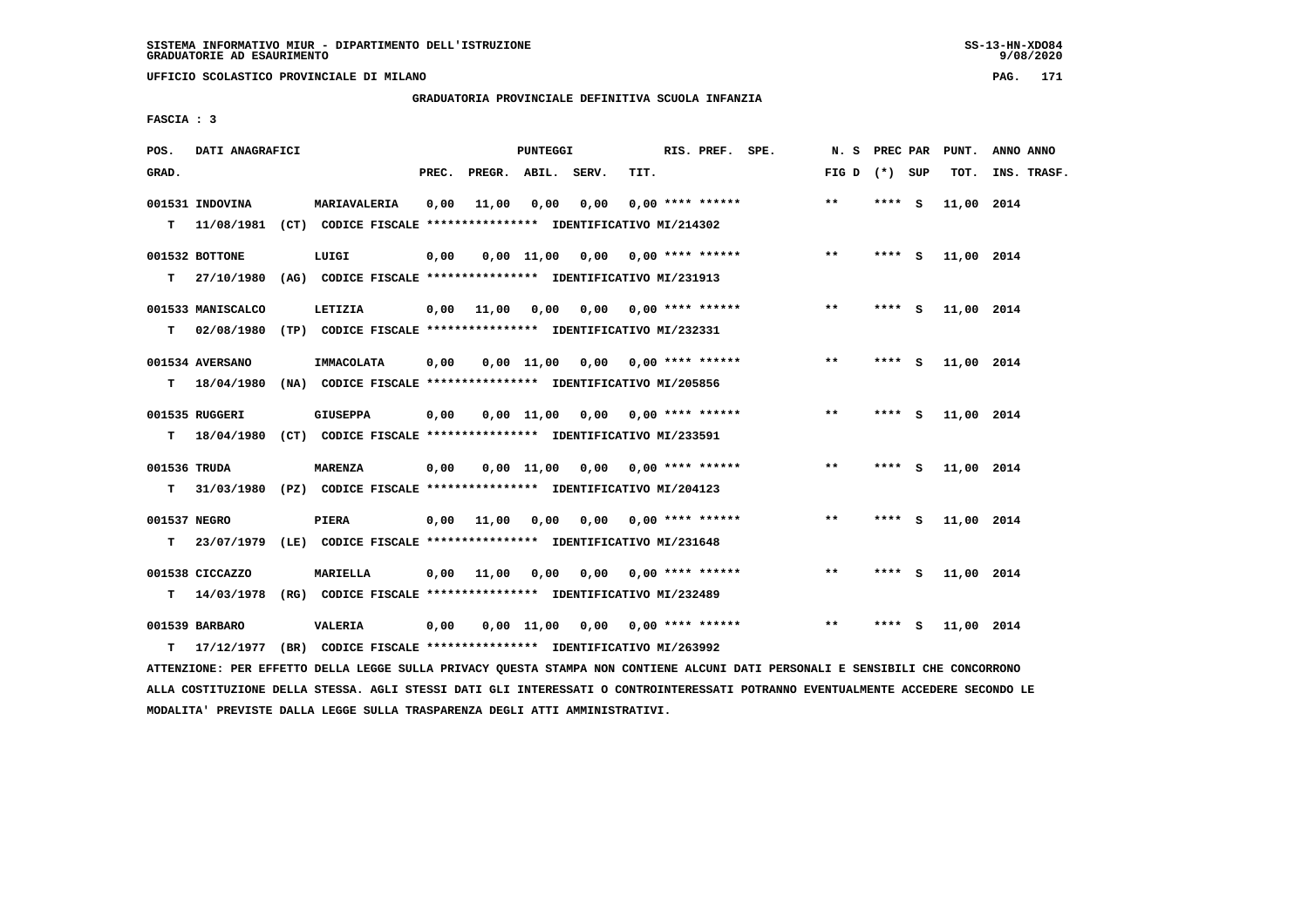**UFFICIO SCOLASTICO PROVINCIALE DI MILANO PAG. 171**

#### **GRADUATORIA PROVINCIALE DEFINITIVA SCUOLA INFANZIA**

 **FASCIA : 3**

| POS.         | DATI ANAGRAFICI   |                                                                          |       |                    | PUNTEGGI       |                                    |      | RIS. PREF. SPE.           | N. S            | PREC PAR |     | PUNT.      | ANNO ANNO   |
|--------------|-------------------|--------------------------------------------------------------------------|-------|--------------------|----------------|------------------------------------|------|---------------------------|-----------------|----------|-----|------------|-------------|
| GRAD.        |                   |                                                                          | PREC. | PREGR. ABIL. SERV. |                |                                    | TIT. |                           | FIG D $(*)$ SUP |          |     | TOT.       | INS. TRASF. |
|              | 001531 INDOVINA   | MARIAVALERIA                                                             | 0,00  | 11,00              | 0,00           | 0,00                               |      | $0.00$ **** ******        | $***$           | **** S   |     | 11,00 2014 |             |
| т            |                   | 11/08/1981 (CT) CODICE FISCALE **************** IDENTIFICATIVO MI/214302 |       |                    |                |                                    |      |                           |                 |          |     |            |             |
|              | 001532 BOTTONE    | LUIGI                                                                    | 0,00  |                    |                | $0,00$ 11,00 0,00 0,00 **** ****** |      |                           | $**$            | $***$ S  |     | 11,00 2014 |             |
| T.           | 27/10/1980        | (AG) CODICE FISCALE **************** IDENTIFICATIVO MI/231913            |       |                    |                |                                    |      |                           |                 |          |     |            |             |
|              | 001533 MANISCALCO | LETIZIA                                                                  | 0,00  | 11,00              | 0,00           |                                    |      | $0,00$ $0,00$ **** ****** | $***$           | **** S   |     | 11,00 2014 |             |
| т            | 02/08/1980        | (TP) CODICE FISCALE **************** IDENTIFICATIVO MI/232331            |       |                    |                |                                    |      |                           |                 |          |     |            |             |
|              | 001534 AVERSANO   | IMMACOLATA                                                               | 0,00  |                    |                | $0,00$ 11,00 0,00 0,00 **** ****** |      |                           | **              | **** S   |     | 11,00 2014 |             |
| т            | 18/04/1980        | (NA) CODICE FISCALE **************** IDENTIFICATIVO MI/205856            |       |                    |                |                                    |      |                           |                 |          |     |            |             |
|              | 001535 RUGGERI    | <b>GIUSEPPA</b>                                                          | 0,00  |                    |                | $0,00 \quad 11,00 \quad 0,00$      |      | $0.00$ **** ******        | $\star\star$    | **** S   |     | 11,00 2014 |             |
|              | $T = 18/04/1980$  | (CT) CODICE FISCALE **************** IDENTIFICATIVO MI/233591            |       |                    |                |                                    |      |                           |                 |          |     |            |             |
| 001536 TRUDA |                   | <b>MARENZA</b>                                                           | 0,00  |                    |                | $0,00$ 11,00 0,00 0,00 **** ****** |      |                           | $***$           | **** S   |     | 11,00 2014 |             |
| т            | 31/03/1980        | (PZ) CODICE FISCALE *************** IDENTIFICATIVO MI/204123             |       |                    |                |                                    |      |                           |                 |          |     |            |             |
| 001537 NEGRO |                   | <b>PIERA</b>                                                             | 0,00  | 11,00              | 0,00           |                                    |      | $0.00$ $0.00$ **** ****** | $* *$           | **** S   |     | 11,00 2014 |             |
| т            | 23/07/1979        | (LE) CODICE FISCALE **************** IDENTIFICATIVO MI/231648            |       |                    |                |                                    |      |                           |                 |          |     |            |             |
|              | 001538 CICCAZZO   | MARIELLA                                                                 | 0,00  | 11,00              | 0,00           |                                    |      | $0,00$ $0,00$ **** ****** | **              | **** S   |     | 11,00 2014 |             |
| т            | 14/03/1978        | (RG) CODICE FISCALE **************** IDENTIFICATIVO MI/232489            |       |                    |                |                                    |      |                           |                 |          |     |            |             |
|              | 001539 BARBARO    | VALERIA                                                                  | 0,00  |                    | $0.00$ $11.00$ | 0,00                               |      | $0.00$ **** ******        | $**$            | ****     | - S | 11,00 2014 |             |
| т            | 17/12/1977        | (BR) CODICE FISCALE **************** IDENTIFICATIVO MI/263992            |       |                    |                |                                    |      |                           |                 |          |     |            |             |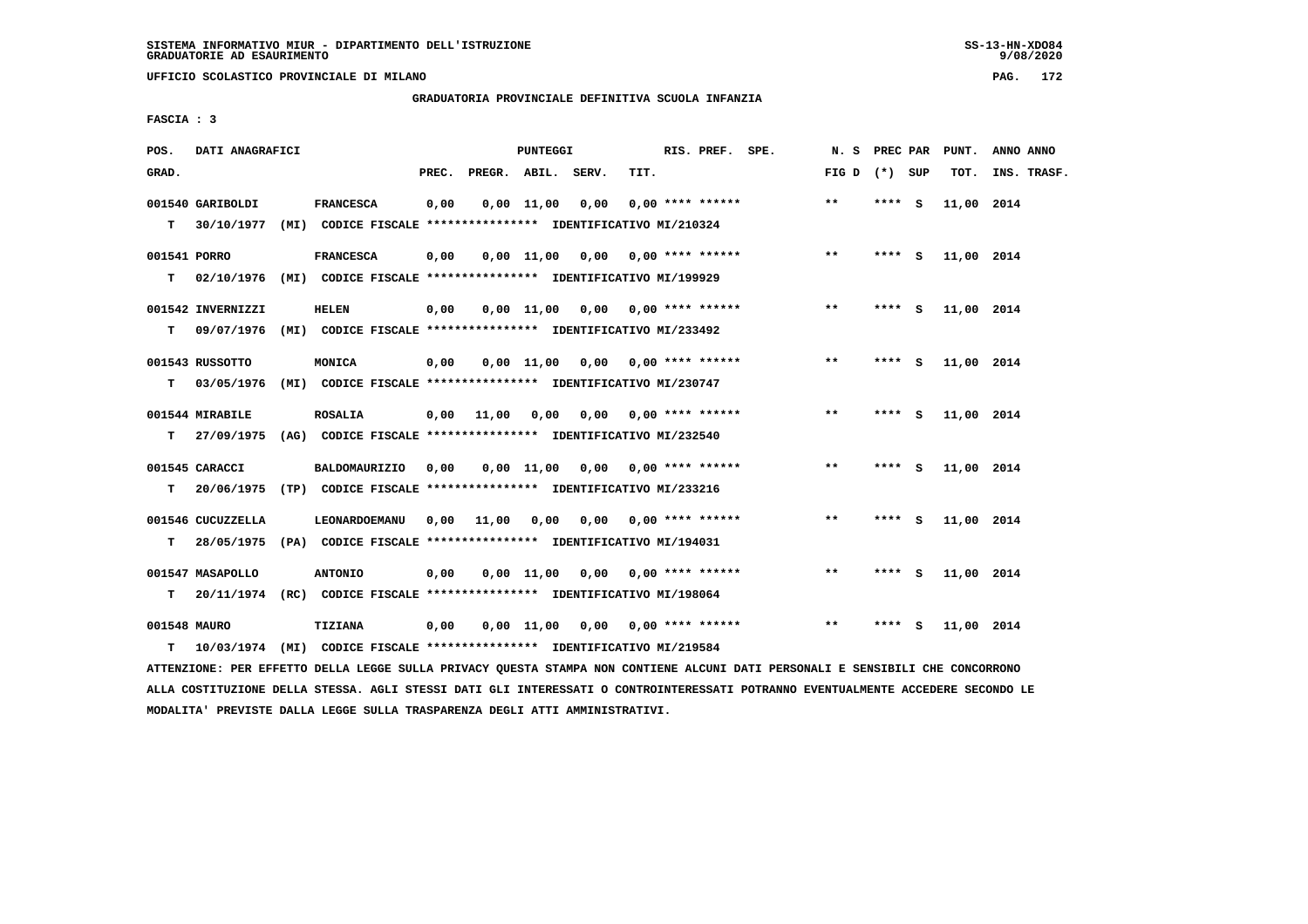**UFFICIO SCOLASTICO PROVINCIALE DI MILANO PAG. 172**

#### **GRADUATORIA PROVINCIALE DEFINITIVA SCUOLA INFANZIA**

 **FASCIA : 3**

| POS.         | DATI ANAGRAFICI   |                                                                         |       |                    | PUNTEGGI   |                                    |      | RIS. PREF. SPE.                | N.S             | <b>PREC PAR</b> |          | PUNT.      | ANNO ANNO   |
|--------------|-------------------|-------------------------------------------------------------------------|-------|--------------------|------------|------------------------------------|------|--------------------------------|-----------------|-----------------|----------|------------|-------------|
| GRAD.        |                   |                                                                         | PREC. | PREGR. ABIL. SERV. |            |                                    | TIT. |                                | FIG D $(*)$ SUP |                 |          | TOT.       | INS. TRASF. |
|              | 001540 GARIBOLDI  | <b>FRANCESCA</b>                                                        | 0,00  |                    | 0,00 11,00 | 0,00                               |      | $0.00$ **** ******             | $***$           | **** S          |          | 11,00 2014 |             |
| T.           | 30/10/1977        | (MI) CODICE FISCALE **************** IDENTIFICATIVO MI/210324           |       |                    |            |                                    |      |                                |                 |                 |          |            |             |
| 001541 PORRO |                   | <b>FRANCESCA</b>                                                        | 0,00  |                    |            | $0,00$ 11,00 0,00 0,00 **** ****** |      |                                | $***$           | $***$ S         |          | 11,00 2014 |             |
| т            | 02/10/1976        | (MI) CODICE FISCALE *************** IDENTIFICATIVO MI/199929            |       |                    |            |                                    |      |                                |                 |                 |          |            |             |
|              | 001542 INVERNIZZI | <b>HELEN</b>                                                            | 0,00  |                    |            | $0,00$ 11,00 0,00 0,00 **** ****** |      |                                | $***$           | $***$ S         |          | 11,00 2014 |             |
| т            | 09/07/1976        | (MI) CODICE FISCALE **************** IDENTIFICATIVO MI/233492           |       |                    |            |                                    |      |                                |                 |                 |          |            |             |
|              | 001543 RUSSOTTO   | MONICA                                                                  | 0,00  |                    |            | $0,00$ 11,00 0,00 0,00 **** ****** |      |                                | $* *$           | ****            | <b>S</b> | 11,00 2014 |             |
| т            | 03/05/1976        | (MI) CODICE FISCALE **************** IDENTIFICATIVO MI/230747           |       |                    |            |                                    |      |                                |                 |                 |          |            |             |
|              | 001544 MIRABILE   | <b>ROSALIA</b>                                                          | 0,00  | 11,00              | 0,00       |                                    |      | $0.00$ $0.00$ $***$ **** ***** | $**$            | $***$ S         |          | 11,00 2014 |             |
| т            | 27/09/1975        | (AG) CODICE FISCALE **************** IDENTIFICATIVO MI/232540           |       |                    |            |                                    |      |                                |                 |                 |          |            |             |
|              |                   |                                                                         |       |                    |            |                                    |      |                                |                 |                 |          |            |             |
|              | 001545 CARACCI    | <b>BALDOMAURIZIO</b>                                                    | 0,00  |                    |            | $0.00$ 11.00 0.00 0.00 **** ****** |      |                                | $***$           | **** S          |          | 11,00 2014 |             |
| т            | 20/06/1975        | (TP) CODICE FISCALE **************** IDENTIFICATIVO MI/233216           |       |                    |            |                                    |      |                                |                 |                 |          |            |             |
|              | 001546 CUCUZZELLA | LEONARDOEMANU                                                           | 0,00  | 11,00              | 0,00       |                                    |      | $0,00$ $0,00$ **** ******      | $***$           | $***$ S         |          | 11,00 2014 |             |
| т            | 28/05/1975        | (PA) CODICE FISCALE **************** IDENTIFICATIVO MI/194031           |       |                    |            |                                    |      |                                |                 |                 |          |            |             |
|              | 001547 MASAPOLLO  | <b>ANTONIO</b>                                                          | 0,00  |                    |            | $0,00$ 11,00 0,00 0,00 **** ****** |      |                                | $***$           | **** S          |          | 11,00 2014 |             |
| т            |                   | 20/11/1974 (RC) CODICE FISCALE *************** IDENTIFICATIVO MI/198064 |       |                    |            |                                    |      |                                |                 |                 |          |            |             |
| 001548 MAURO |                   |                                                                         |       |                    |            |                                    |      |                                |                 |                 |          |            |             |
|              |                   | TIZIANA                                                                 | 0,00  |                    |            | $0,00$ 11,00 0,00 0,00 **** ****** |      |                                | $* *$           | ****            | - S      | 11,00 2014 |             |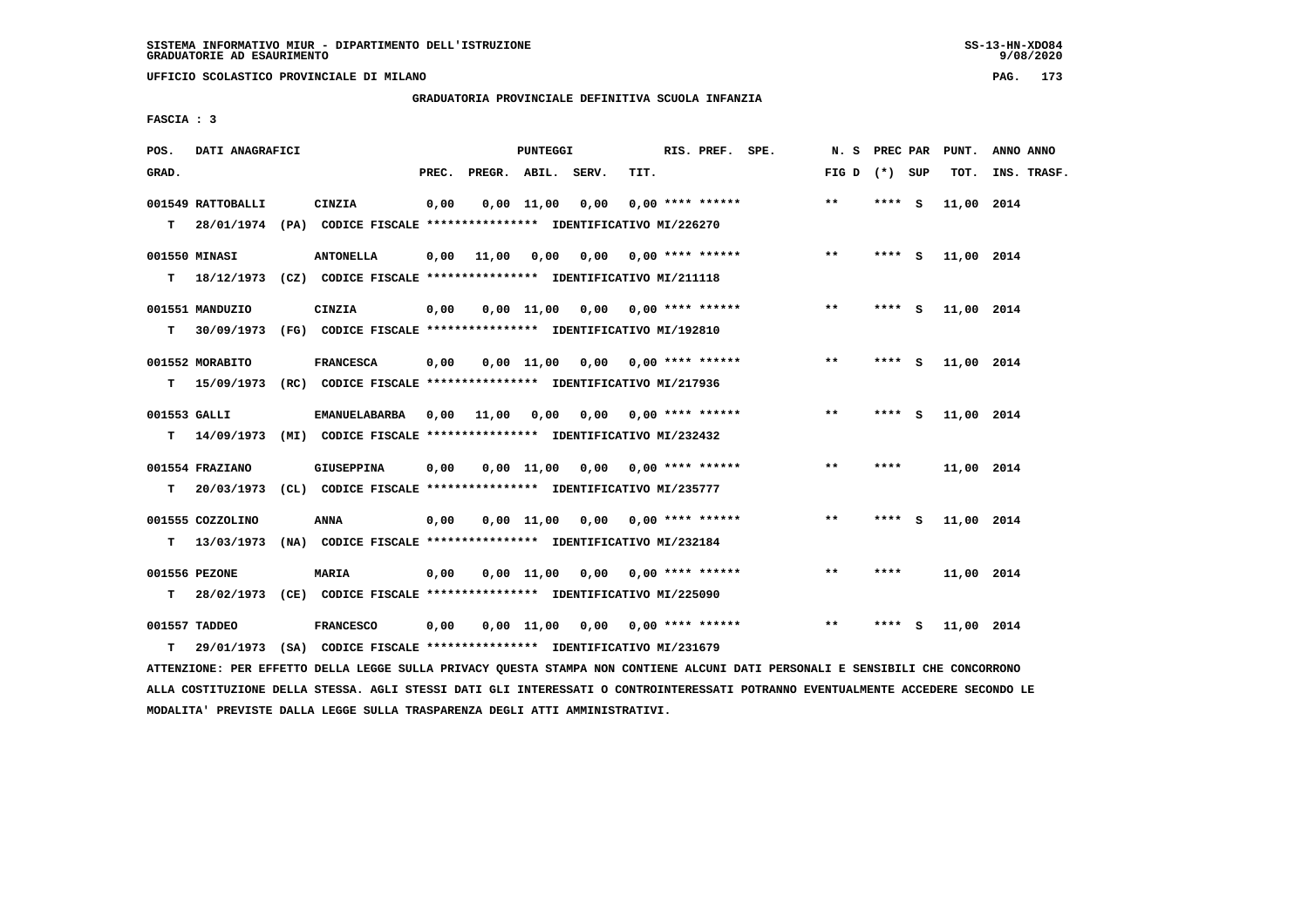**UFFICIO SCOLASTICO PROVINCIALE DI MILANO PAG. 173**

# **GRADUATORIA PROVINCIALE DEFINITIVA SCUOLA INFANZIA**

 **FASCIA : 3**

| POS.         | DATI ANAGRAFICI   |                                                                            |       |                    | PUNTEGGI       |                                    |      | RIS. PREF. SPE.           | N. S PREC PAR   |         |     | PUNT.      | ANNO ANNO   |
|--------------|-------------------|----------------------------------------------------------------------------|-------|--------------------|----------------|------------------------------------|------|---------------------------|-----------------|---------|-----|------------|-------------|
| GRAD.        |                   |                                                                            | PREC. | PREGR. ABIL. SERV. |                |                                    | TIT. |                           | FIG D $(*)$ SUP |         |     | TOT.       | INS. TRASF. |
|              | 001549 RATTOBALLI | CINZIA                                                                     | 0,00  |                    | $0.00$ $11.00$ | 0.00                               |      | $0.00$ **** ******        | $***$           | **** S  |     | 11,00 2014 |             |
|              |                   | T 28/01/1974 (PA) CODICE FISCALE *************** IDENTIFICATIVO MI/226270  |       |                    |                |                                    |      |                           |                 |         |     |            |             |
|              | 001550 MINASI     | <b>ANTONELLA</b>                                                           | 0,00  | 11,00              | 0,00           |                                    |      | $0,00$ 0,00 **** ******   | $***$           | $***$ S |     | 11,00 2014 |             |
| т            |                   | 18/12/1973 (CZ) CODICE FISCALE *************** IDENTIFICATIVO MI/211118    |       |                    |                |                                    |      |                           |                 |         |     |            |             |
|              | 001551 MANDUZIO   | CINZIA                                                                     | 0,00  |                    |                | $0,00$ 11,00 0,00 0,00 **** ****** |      |                           | $***$           | **** S  |     | 11,00 2014 |             |
| т            |                   | 30/09/1973 (FG) CODICE FISCALE *************** IDENTIFICATIVO MI/192810    |       |                    |                |                                    |      |                           |                 |         |     |            |             |
|              | 001552 MORABITO   | <b>FRANCESCA</b>                                                           | 0,00  |                    |                | $0,00$ 11,00 0,00 0,00 **** ****** |      |                           | **              | **** S  |     | 11,00 2014 |             |
| т            |                   | 15/09/1973 (RC) CODICE FISCALE **************** IDENTIFICATIVO MI/217936   |       |                    |                |                                    |      |                           |                 |         |     |            |             |
| 001553 GALLI |                   | EMANUELABARBA                                                              | 0,00  | 11,00              | 0.00           |                                    |      | $0.00$ $0.00$ **** ****** | **              | **** S  |     | 11,00 2014 |             |
| т            |                   | 14/09/1973 (MI) CODICE FISCALE *************** IDENTIFICATIVO MI/232432    |       |                    |                |                                    |      |                           |                 |         |     |            |             |
|              | 001554 FRAZIANO   | GIUSEPPINA                                                                 | 0,00  |                    |                | $0,00 \quad 11,00 \quad 0,00$      |      | $0.00$ **** ******        | **              | ****    |     | 11,00 2014 |             |
| т            | 20/03/1973        | (CL) CODICE FISCALE **************** IDENTIFICATIVO MI/235777              |       |                    |                |                                    |      |                           |                 |         |     |            |             |
|              |                   |                                                                            |       |                    |                |                                    |      |                           |                 |         |     |            |             |
|              | 001555 COZZOLINO  | <b>ANNA</b>                                                                | 0,00  |                    |                | $0,00$ 11,00 0,00 0,00 **** ****** |      |                           | $***$           | **** S  |     | 11,00 2014 |             |
| T.           | 13/03/1973        | (NA) CODICE FISCALE **************** IDENTIFICATIVO MI/232184              |       |                    |                |                                    |      |                           |                 |         |     |            |             |
|              | 001556 PEZONE     | <b>MARIA</b>                                                               | 0,00  |                    |                | $0,00$ 11,00 0,00 0,00 **** ****** |      |                           | $* *$           | ****    |     | 11,00 2014 |             |
|              |                   | T 28/02/1973 (CE) CODICE FISCALE **************** IDENTIFICATIVO MI/225090 |       |                    |                |                                    |      |                           |                 |         |     |            |             |
|              | 001557 TADDEO     | <b>FRANCESCO</b>                                                           | 0,00  |                    |                | 0,00 11,00 0,00 0,00 **** ******   |      |                           | **              | ****    | - 5 | 11,00 2014 |             |
| т            | 29/01/1973        | (SA) CODICE FISCALE **************** IDENTIFICATIVO MI/231679              |       |                    |                |                                    |      |                           |                 |         |     |            |             |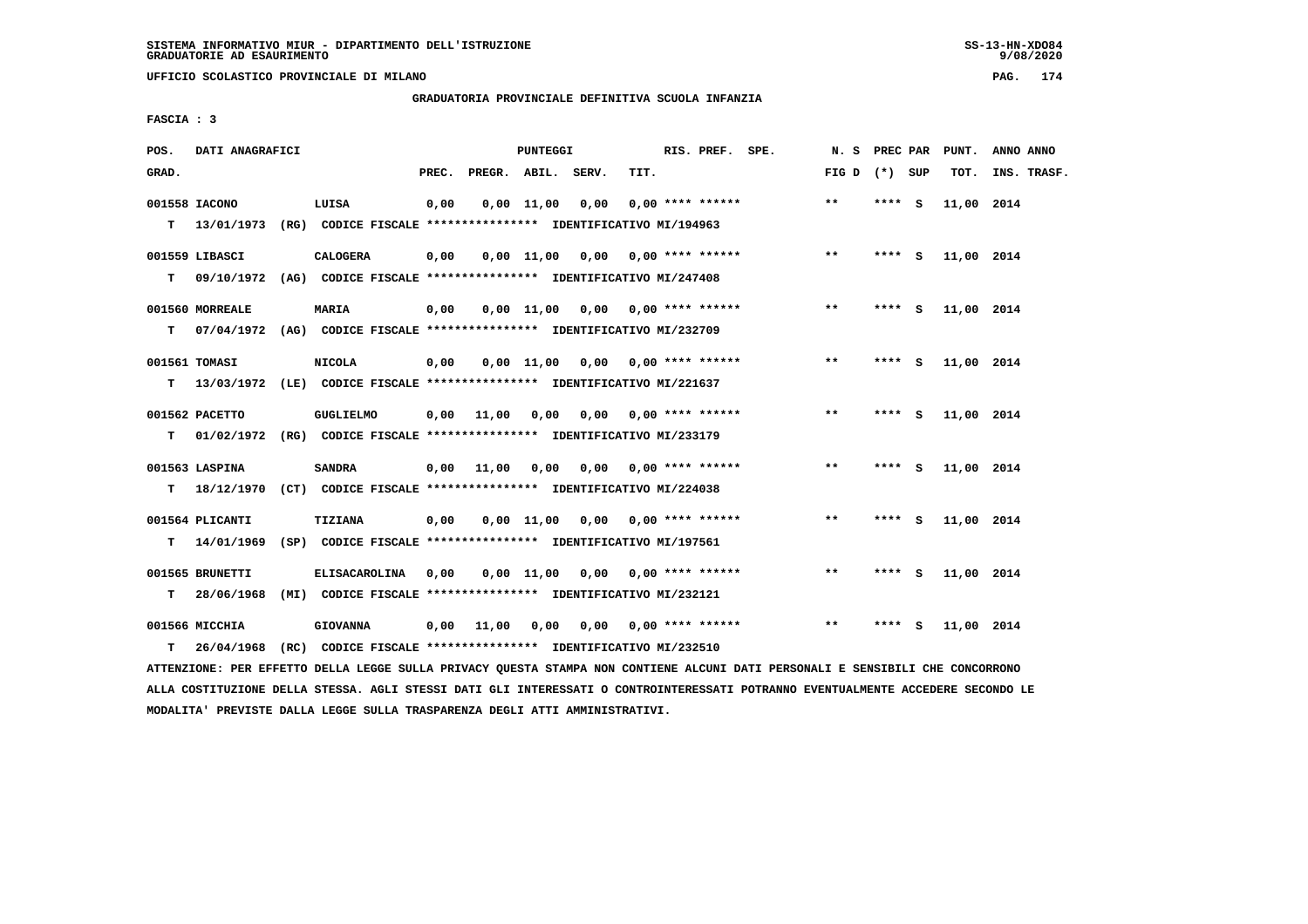**UFFICIO SCOLASTICO PROVINCIALE DI MILANO PAG. 174**

# **GRADUATORIA PROVINCIALE DEFINITIVA SCUOLA INFANZIA**

 **FASCIA : 3**

| POS.  | DATI ANAGRAFICI |                                                                           |       |                    | PUNTEGGI   |                                        |      | RIS. PREF. SPE.           | N. S PREC PAR   |        |        | PUNT.      | ANNO ANNO   |
|-------|-----------------|---------------------------------------------------------------------------|-------|--------------------|------------|----------------------------------------|------|---------------------------|-----------------|--------|--------|------------|-------------|
| GRAD. |                 |                                                                           | PREC. | PREGR. ABIL. SERV. |            |                                        | TIT. |                           | FIG D $(*)$ SUP |        |        | TOT.       | INS. TRASF. |
|       | 001558 IACONO   | LUISA                                                                     | 0,00  |                    | 0,00 11,00 | 0,00                                   |      | $0.00$ **** ******        | $* *$           | **** S |        | 11,00 2014 |             |
|       | T 13/01/1973    | (RG) CODICE FISCALE **************** IDENTIFICATIVO MI/194963             |       |                    |            |                                        |      |                           |                 |        |        |            |             |
|       | 001559 LIBASCI  | <b>CALOGERA</b>                                                           | 0,00  |                    |            | $0,00$ 11,00 0,00 0,00 **** ******     |      |                           | $***$           |        | **** S | 11,00 2014 |             |
| т     |                 | 09/10/1972 (AG) CODICE FISCALE **************** IDENTIFICATIVO MI/247408  |       |                    |            |                                        |      |                           |                 |        |        |            |             |
|       | 001560 MORREALE | <b>MARIA</b>                                                              | 0,00  |                    |            | $0,00$ 11,00 0,00 0,00 **** ******     |      |                           | $* *$           | **** S |        | 11,00 2014 |             |
| т     |                 | 07/04/1972 (AG) CODICE FISCALE **************** IDENTIFICATIVO MI/232709  |       |                    |            |                                        |      |                           |                 |        |        |            |             |
|       | 001561 TOMASI   | <b>NICOLA</b>                                                             | 0,00  |                    |            | 0,00 11,00 0,00                        |      | $0.00$ **** ******        | $***$           | $***5$ |        | 11,00 2014 |             |
| т     |                 | 13/03/1972 (LE) CODICE FISCALE **************** IDENTIFICATIVO MI/221637  |       |                    |            |                                        |      |                           |                 |        |        |            |             |
|       | 001562 PACETTO  | <b>GUGLIELMO</b>                                                          | 0,00  | 11,00              | 0,00       |                                        |      | $0,00$ $0,00$ **** ****** | $\star\star$    | **** S |        | 11,00 2014 |             |
| T.    |                 | 01/02/1972 (RG) CODICE FISCALE **************** IDENTIFICATIVO MI/233179  |       |                    |            |                                        |      |                           |                 |        |        |            |             |
|       | 001563 LASPINA  | <b>SANDRA</b>                                                             | 0,00  | 11,00              |            | $0,00$ $0,00$ $0,00$ $***$ **** ****** |      |                           | $* *$           | $***5$ |        | 11,00 2014 |             |
|       |                 | T 18/12/1970 (CT) CODICE FISCALE *************** IDENTIFICATIVO MI/224038 |       |                    |            |                                        |      |                           |                 |        |        |            |             |
|       | 001564 PLICANTI | TIZIANA                                                                   | 0.00  |                    |            | $0.00$ 11.00 0.00 0.00 **** ******     |      |                           | **              | **** S |        | 11,00 2014 |             |
| т     |                 | 14/01/1969 (SP) CODICE FISCALE **************** IDENTIFICATIVO MI/197561  |       |                    |            |                                        |      |                           |                 |        |        |            |             |
|       | 001565 BRUNETTI | ELISACAROLINA                                                             | 0,00  |                    |            | $0.00$ 11.00 0.00 0.00 **** ******     |      |                           | $* *$           | **** S |        | 11,00 2014 |             |
| т     | 28/06/1968      | (MI) CODICE FISCALE **************** IDENTIFICATIVO MI/232121             |       |                    |            |                                        |      |                           |                 |        |        |            |             |
|       | 001566 MICCHIA  | <b>GIOVANNA</b>                                                           | 0,00  | 11,00              | 0.00       | 0.00                                   |      | $0.00$ **** ******        | $**$            | ****   | - S    | 11,00 2014 |             |
| т     | 26/04/1968      | (RC) CODICE FISCALE **************** IDENTIFICATIVO MI/232510             |       |                    |            |                                        |      |                           |                 |        |        |            |             |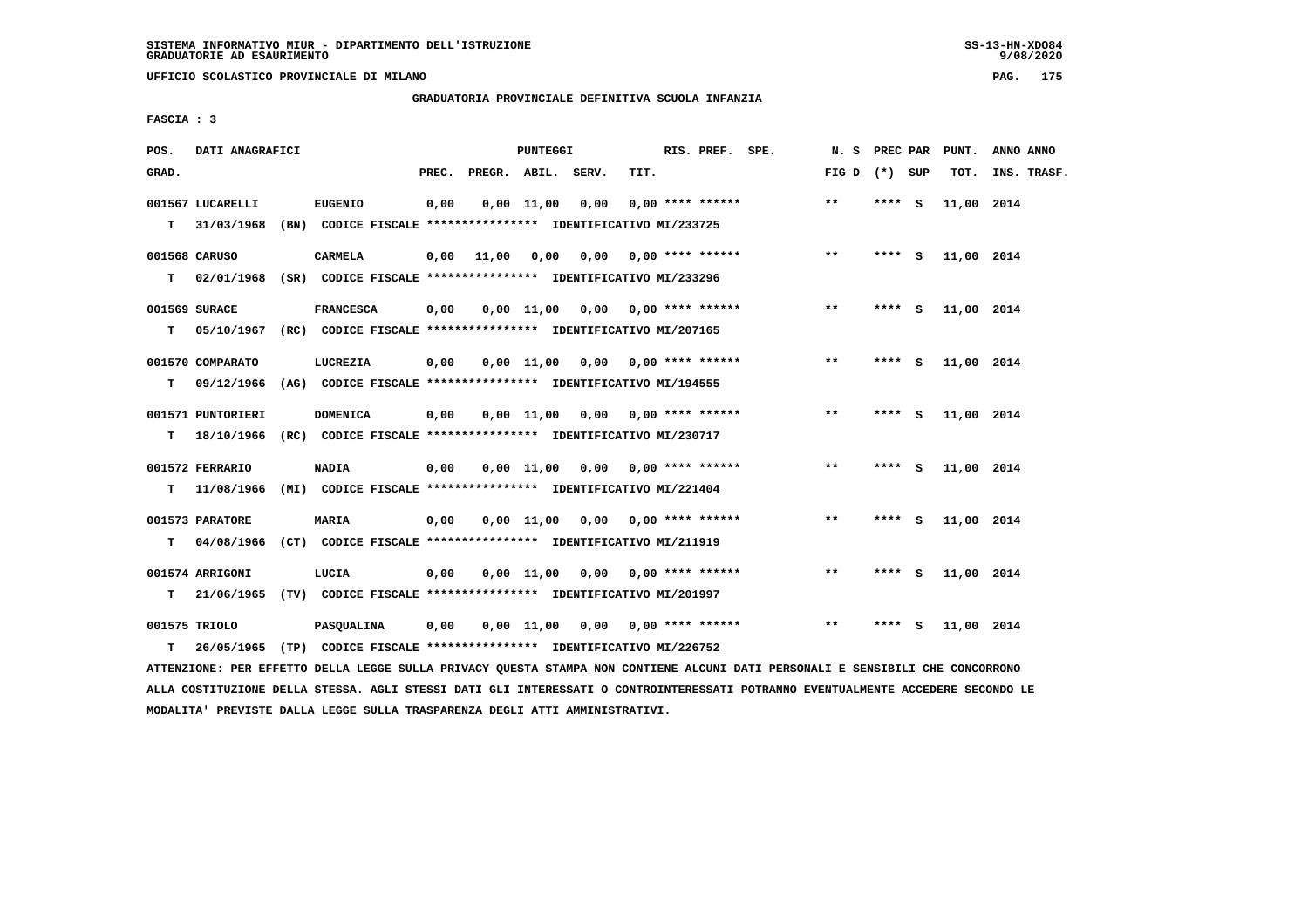**UFFICIO SCOLASTICO PROVINCIALE DI MILANO PAG. 175**

# **GRADUATORIA PROVINCIALE DEFINITIVA SCUOLA INFANZIA**

 **FASCIA : 3**

| POS.   | DATI ANAGRAFICI                             |                                                                                                                                                |       |                    | PUNTEGGI     |                                    |      | RIS. PREF. SPE.           | N. S PREC PAR     |          |     | PUNT.      | ANNO ANNO   |
|--------|---------------------------------------------|------------------------------------------------------------------------------------------------------------------------------------------------|-------|--------------------|--------------|------------------------------------|------|---------------------------|-------------------|----------|-----|------------|-------------|
| GRAD.  |                                             |                                                                                                                                                | PREC. | PREGR. ABIL. SERV. |              |                                    | TIT. |                           | FIG $D$ $(*)$ SUP |          |     | TOT.       | INS. TRASF. |
| т      | 001567 LUCARELLI<br>31/03/1968              | <b>EUGENIO</b><br>(BN) CODICE FISCALE *************** IDENTIFICATIVO MI/233725                                                                 | 0,00  |                    | $0,00$ 11,00 | 0,00                               |      | $0.00$ **** ******        | $***$             | **** S   |     | 11,00 2014 |             |
| T.     | 001568 CARUSO                               | <b>CARMELA</b><br>02/01/1968 (SR) CODICE FISCALE **************** IDENTIFICATIVO MI/233296                                                     | 0,00  | 11,00              | 0,00         |                                    |      | $0,00$ $0,00$ **** ****** | $***$             | **** S   |     | 11,00 2014 |             |
| т      | 001569 SURACE                               | <b>FRANCESCA</b><br>05/10/1967 (RC) CODICE FISCALE *************** IDENTIFICATIVO MI/207165                                                    | 0,00  |                    |              | $0,00$ 11,00 0,00 0,00 **** ****** |      |                           | $***$             | **** S   |     | 11,00 2014 |             |
| т      | 001570 COMPARATO<br>09/12/1966              | LUCREZIA<br>(AG) CODICE FISCALE **************** IDENTIFICATIVO MI/194555                                                                      | 0,00  |                    | $0,00$ 11,00 |                                    |      | 0,00 0,00 **** ******     | $\star\star$      | **** $S$ |     | 11,00 2014 |             |
| т      | 001571 PUNTORIERI<br>18/10/1966             | <b>DOMENICA</b><br>(RC) CODICE FISCALE **************** IDENTIFICATIVO MI/230717                                                               | 0,00  |                    |              | $0.00$ 11,00 0.00 0.00 **** ****** |      |                           | $***$             | **** S   |     | 11,00 2014 |             |
|        | 001572 FERRARIO                             | <b>NADIA</b>                                                                                                                                   | 0,00  |                    |              | $0,00$ 11,00 0,00 0,00 **** ****** |      |                           | $***$             | **** S   |     | 11,00 2014 |             |
| т<br>т | 11/08/1966<br>001573 PARATORE<br>04/08/1966 | (MI) CODICE FISCALE **************** IDENTIFICATIVO MI/221404<br><b>MARIA</b><br>(CT) CODICE FISCALE **************** IDENTIFICATIVO MI/211919 | 0,00  |                    | 0,00 11,00   |                                    |      | $0,00$ $0,00$ **** ****** | $***$             | **** S   |     | 11,00 2014 |             |
| т      | 001574 ARRIGONI                             | LUCIA<br>21/06/1965 (TV) CODICE FISCALE **************** IDENTIFICATIVO MI/201997                                                              | 0,00  |                    | $0.00$ 11.00 |                                    |      | $0.00$ $0.00$ **** ****** | $***$             | **** S   |     | 11,00 2014 |             |
| т      | 001575 TRIOLO                               | <b>PASQUALINA</b><br>26/05/1965 (TP) CODICE FISCALE **************** IDENTIFICATIVO MI/226752                                                  | 0,00  |                    | 0,00 11,00   |                                    |      | 0,00 0,00 **** ******     | $***$             | ****     | - S | 11,00 2014 |             |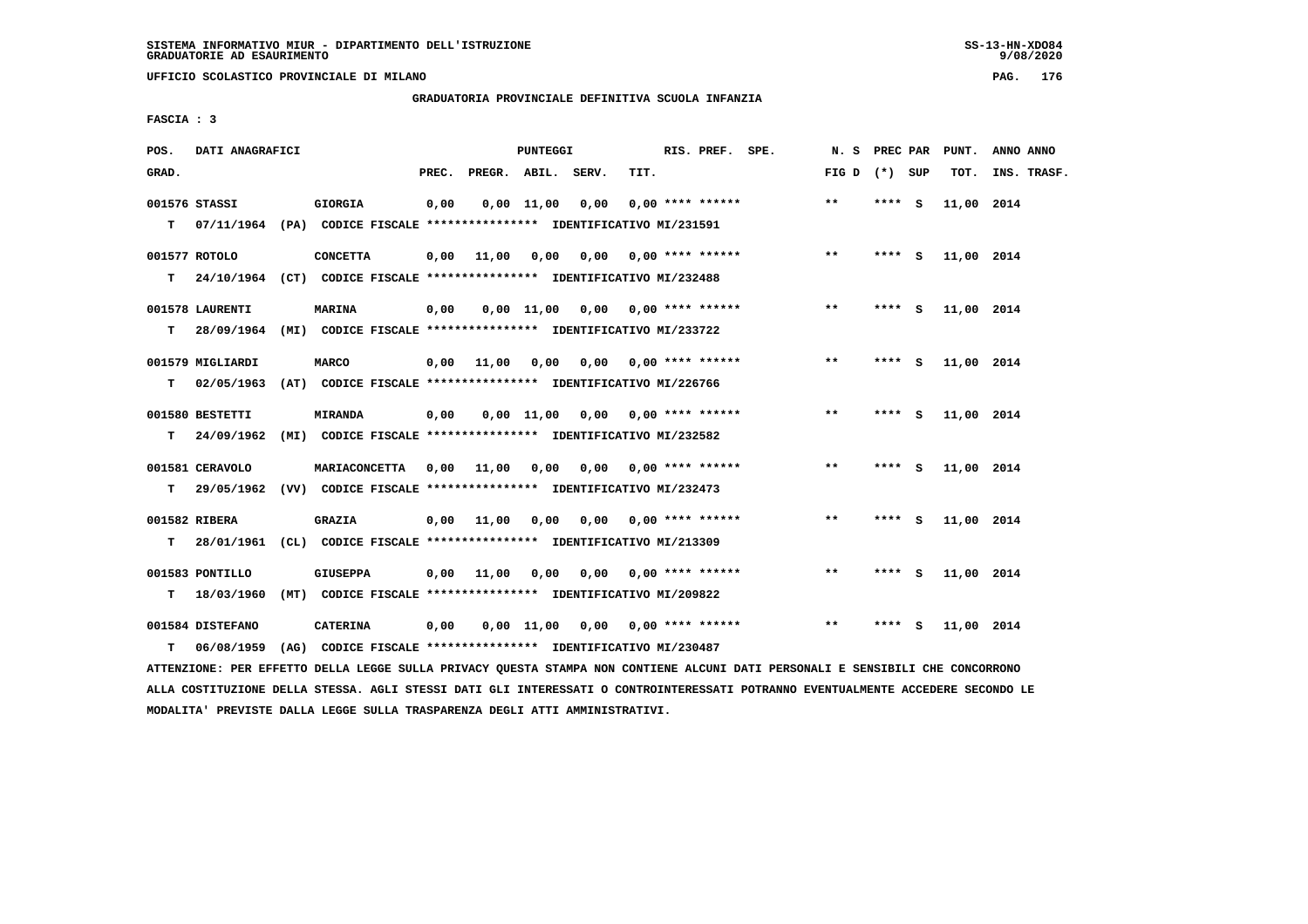**UFFICIO SCOLASTICO PROVINCIALE DI MILANO PAG. 176**

#### **GRADUATORIA PROVINCIALE DEFINITIVA SCUOLA INFANZIA**

 **FASCIA : 3**

| POS.  | DATI ANAGRAFICI                |                                                                                    |       |                                       | PUNTEGGI     |                                    |                           | RIS. PREF. SPE.    | N. S PREC PAR     |         |     | PUNT.      | ANNO ANNO   |
|-------|--------------------------------|------------------------------------------------------------------------------------|-------|---------------------------------------|--------------|------------------------------------|---------------------------|--------------------|-------------------|---------|-----|------------|-------------|
| GRAD. |                                |                                                                                    | PREC. | PREGR. ABIL. SERV.                    |              |                                    | TIT.                      |                    | FIG $D$ $(*)$ SUP |         |     | TOT.       | INS. TRASF. |
| T.    | 001576 STASSI                  | GIORGIA<br>07/11/1964 (PA) CODICE FISCALE *************** IDENTIFICATIVO MI/231591 | 0,00  |                                       | $0,00$ 11,00 | 0,00                               |                           | $0.00$ **** ****** | $***$             | **** S  |     | 11,00 2014 |             |
|       | 001577 ROTOLO                  | <b>CONCETTA</b>                                                                    | 0,00  | 11,00                                 | 0,00         |                                    | $0,00$ $0,00$ **** ****** |                    | $***$             | $***$ S |     | 11,00 2014 |             |
| т     |                                | 24/10/1964 (CT) CODICE FISCALE **************** IDENTIFICATIVO MI/232488           |       |                                       |              |                                    |                           |                    |                   |         |     |            |             |
|       | 001578 LAURENTI                | <b>MARINA</b>                                                                      | 0,00  |                                       |              | $0,00$ 11,00 0,00 0,00 **** ****** |                           |                    | $* *$             | **** S  |     | 11,00 2014 |             |
| T.    |                                | 28/09/1964 (MI) CODICE FISCALE **************** IDENTIFICATIVO MI/233722           |       |                                       |              |                                    |                           |                    |                   |         |     |            |             |
|       | 001579 MIGLIARDI               | <b>MARCO</b>                                                                       |       | $0,00$ 11,00                          | 0,00         |                                    | 0,00 0,00 **** ******     |                    | $***$             | $***5$  |     | 11,00 2014 |             |
| т     |                                | 02/05/1963 (AT) CODICE FISCALE **************** IDENTIFICATIVO MI/226766           |       |                                       |              |                                    |                           |                    |                   |         |     |            |             |
|       | 001580 BESTETTI                | <b>MIRANDA</b>                                                                     | 0,00  |                                       |              | $0.00$ 11,00 0.00 0.00 **** ****** |                           |                    | $**$              | **** S  |     | 11,00 2014 |             |
| T.    | 24/09/1962                     | (MI) CODICE FISCALE **************** IDENTIFICATIVO MI/232582                      |       |                                       |              |                                    |                           |                    |                   |         |     |            |             |
|       | 001581 CERAVOLO                | <b>MARIACONCETTA</b>                                                               | 0,00  | 11,00  0,00  0,00  0,00  ****  ****** |              |                                    |                           |                    | $***$             | **** S  |     | 11,00 2014 |             |
| т     |                                | 29/05/1962 (VV) CODICE FISCALE **************** IDENTIFICATIVO MI/232473           |       |                                       |              |                                    |                           |                    |                   |         |     |            |             |
|       | 001582 RIBERA                  | <b>GRAZIA</b>                                                                      |       | $0,00$ $11,00$ $0,00$                 |              |                                    | $0,00$ $0,00$ **** ****** |                    | $***$             | **** S  |     | 11,00 2014 |             |
| T.    |                                | 28/01/1961 (CL) CODICE FISCALE **************** IDENTIFICATIVO MI/213309           |       |                                       |              |                                    |                           |                    |                   |         |     |            |             |
|       | 001583 PONTILLO                | <b>GIUSEPPA</b>                                                                    |       | $0,00$ 11,00                          | 0,00         |                                    | $0.00$ $0.00$ **** ****** |                    | $***$             | **** S  |     | 11,00 2014 |             |
| т     | 18/03/1960                     | (MT) CODICE FISCALE **************** IDENTIFICATIVO MI/209822                      |       |                                       |              |                                    |                           |                    |                   |         |     |            |             |
| т     | 001584 DISTEFANO<br>06/08/1959 | <b>CATERINA</b><br>(AG) CODICE FISCALE **************** IDENTIFICATIVO MI/230487   | 0,00  |                                       |              | $0,00$ 11,00 0,00 0,00 **** ****** |                           |                    | $**$              | ****    | - S | 11,00 2014 |             |
|       |                                |                                                                                    |       |                                       |              |                                    |                           |                    |                   |         |     |            |             |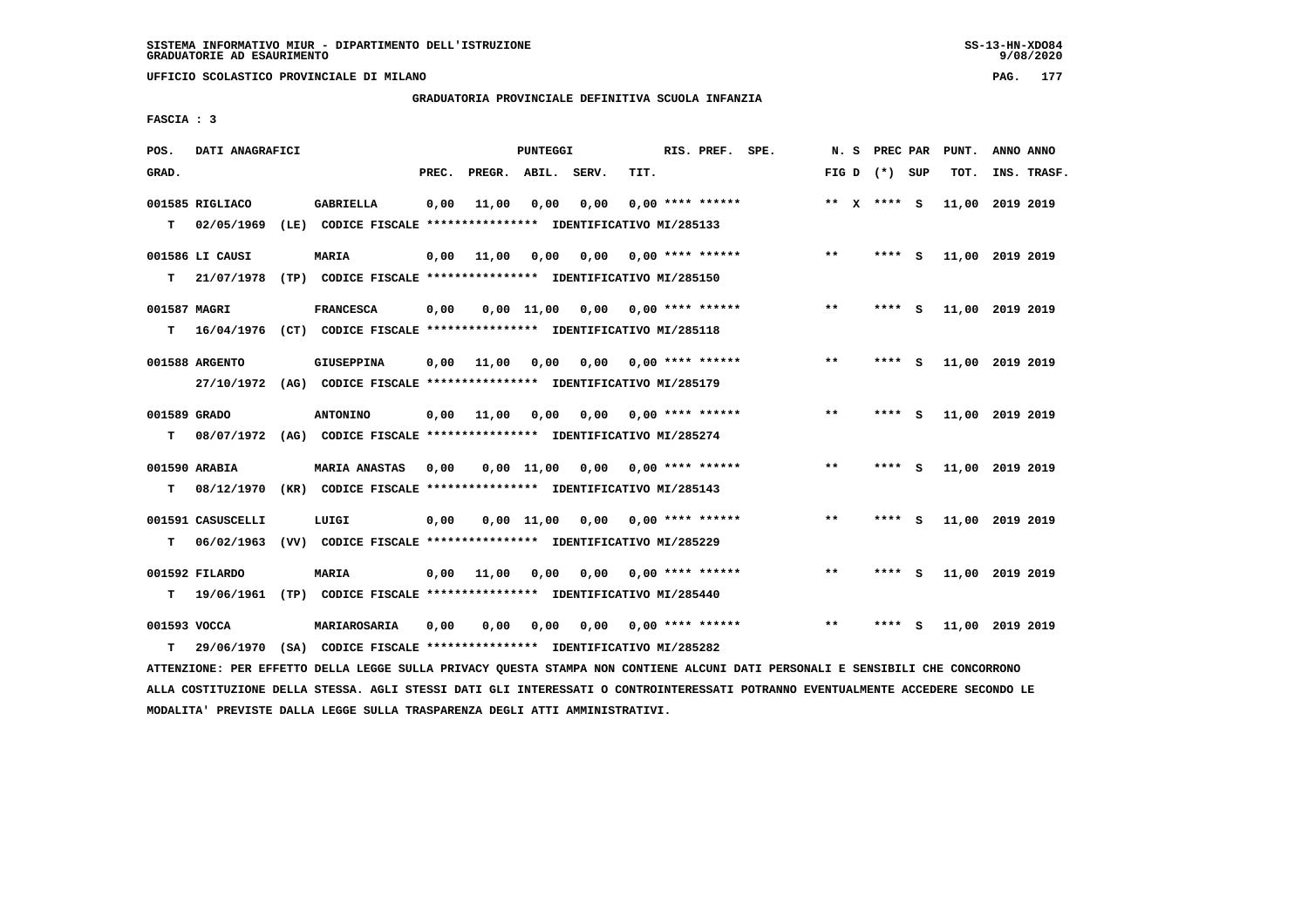**UFFICIO SCOLASTICO PROVINCIALE DI MILANO PAG. 177**

# **GRADUATORIA PROVINCIALE DEFINITIVA SCUOLA INFANZIA**

 **FASCIA : 3**

| POS.         | DATI ANAGRAFICI   |                                                                                                                               |       |                    | PUNTEGGI     |                                        |      | RIS. PREF. SPE.           |       |                 |     | N. S PREC PAR PUNT. | ANNO ANNO |             |
|--------------|-------------------|-------------------------------------------------------------------------------------------------------------------------------|-------|--------------------|--------------|----------------------------------------|------|---------------------------|-------|-----------------|-----|---------------------|-----------|-------------|
| GRAD.        |                   |                                                                                                                               | PREC. | PREGR. ABIL. SERV. |              |                                        | TIT. |                           |       | FIG D $(*)$ SUP |     | тот.                |           | INS. TRASF. |
|              | 001585 RIGLIACO   | <b>GABRIELLA</b>                                                                                                              | 0,00  | 11,00              | 0,00         | 0,00                                   |      | $0.00$ **** ******        |       | ** x **** S     |     | 11,00 2019 2019     |           |             |
| т            | 02/05/1969        | (LE) CODICE FISCALE **************** IDENTIFICATIVO MI/285133                                                                 |       |                    |              |                                        |      |                           |       |                 |     |                     |           |             |
|              | 001586 LI CAUSI   | MARIA                                                                                                                         | 0,00  | 11,00              | 0,00         |                                        |      | $0,00$ 0,00 **** ******   | $***$ | $***$ S         |     | 11,00 2019 2019     |           |             |
| т            | 21/07/1978        | (TP) CODICE FISCALE *************** IDENTIFICATIVO MI/285150                                                                  |       |                    |              |                                        |      |                           |       |                 |     |                     |           |             |
| 001587 MAGRI |                   | <b>FRANCESCA</b>                                                                                                              | 0,00  |                    |              | $0,00$ 11,00 0,00 0,00 **** ******     |      |                           | $***$ | **** S          |     | 11,00 2019 2019     |           |             |
| т            |                   | 16/04/1976 (CT) CODICE FISCALE *************** IDENTIFICATIVO MI/285118                                                       |       |                    |              |                                        |      |                           |       |                 |     |                     |           |             |
|              | 001588 ARGENTO    | <b>GIUSEPPINA</b>                                                                                                             | 0,00  | 11,00              |              | 0,00 0,00 0,00 **** ******             |      |                           | $**$  | $***$ S         |     | 11,00 2019 2019     |           |             |
|              |                   | 27/10/1972 (AG) CODICE FISCALE *************** IDENTIFICATIVO MI/285179                                                       |       |                    |              |                                        |      |                           |       |                 |     |                     |           |             |
| 001589 GRADO |                   | <b>ANTONINO</b>                                                                                                               | 0,00  | 11,00              | 0,00         |                                        |      | $0.00$ $0.00$ **** ****** | $***$ | **** S          |     | 11,00 2019 2019     |           |             |
| т            |                   | 08/07/1972 (AG) CODICE FISCALE **************** IDENTIFICATIVO MI/285274                                                      |       |                    |              |                                        |      |                           |       |                 |     |                     |           |             |
|              | 001590 ARABIA     | <b>MARIA ANASTAS</b>                                                                                                          | 0.00  |                    | $0.00$ 11.00 |                                        |      | $0.00$ $0.00$ **** ****** | $* *$ | $***$ S         |     | 11,00 2019 2019     |           |             |
| T.           | 08/12/1970        | (KR) CODICE FISCALE **************** IDENTIFICATIVO MI/285143                                                                 |       |                    |              |                                        |      |                           |       |                 |     |                     |           |             |
|              | 001591 CASUSCELLI | LUIGI                                                                                                                         | 0,00  |                    |              | $0.00$ 11.00 0.00 0.00 **** ******     |      |                           | $***$ | ****            | - S | 11,00 2019 2019     |           |             |
| т            | 06/02/1963        | (VV) CODICE FISCALE **************** IDENTIFICATIVO MI/285229                                                                 |       |                    |              |                                        |      |                           |       |                 |     |                     |           |             |
|              | 001592 FILARDO    | <b>MARIA</b>                                                                                                                  | 0,00  | 11,00              |              | $0,00$ $0,00$ $0,00$ $***$ **** ****** |      |                           | $***$ | **** S          |     | 11,00 2019 2019     |           |             |
| т            | 19/06/1961        | (TP) CODICE FISCALE **************** IDENTIFICATIVO MI/285440                                                                 |       |                    |              |                                        |      |                           |       |                 |     |                     |           |             |
| 001593 VOCCA |                   | MARIAROSARIA                                                                                                                  | 0,00  | 0,00               | 0,00         |                                        |      | $0.00$ $0.00$ **** ****** | $***$ | **** S          |     | 11,00 2019 2019     |           |             |
| т            | 29/06/1970        | (SA) CODICE FISCALE **************** IDENTIFICATIVO MI/285282                                                                 |       |                    |              |                                        |      |                           |       |                 |     |                     |           |             |
|              |                   | ATTENZIONE: PER EFFETTO DELLA LEGGE SULLA PRIVACY QUESTA STAMPA NON CONTIENE ALCUNI DATI PERSONALI E SENSIBILI CHE CONCORRONO |       |                    |              |                                        |      |                           |       |                 |     |                     |           |             |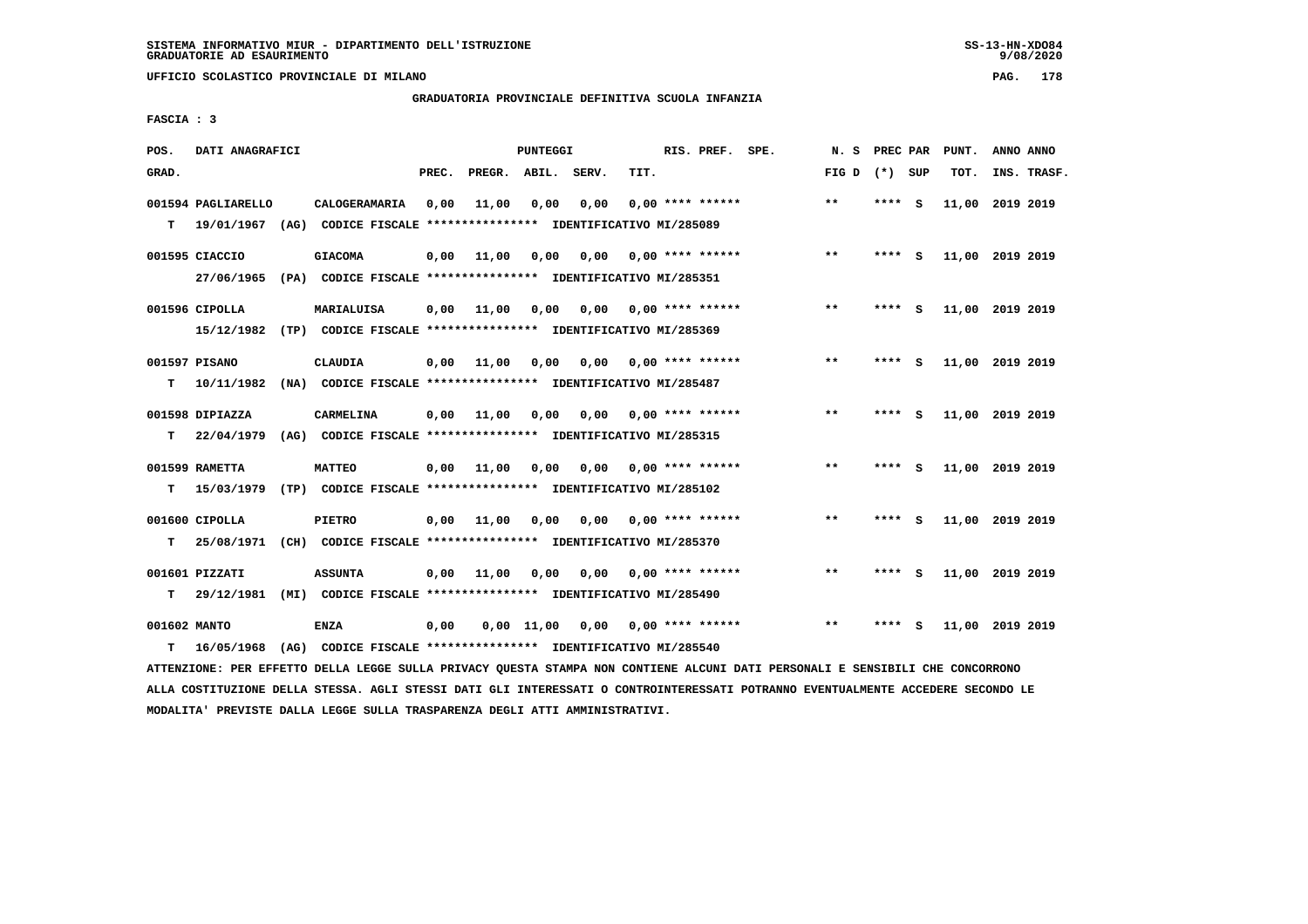**UFFICIO SCOLASTICO PROVINCIALE DI MILANO PAG. 178**

# **GRADUATORIA PROVINCIALE DEFINITIVA SCUOLA INFANZIA**

 **FASCIA : 3**

| POS.         | DATI ANAGRAFICI    |                                                                                                                               |       |                    | PUNTEGGI   |                                        |      | RIS. PREF. SPE.           | N. S            | PREC PAR |     | PUNT.           | ANNO ANNO |             |
|--------------|--------------------|-------------------------------------------------------------------------------------------------------------------------------|-------|--------------------|------------|----------------------------------------|------|---------------------------|-----------------|----------|-----|-----------------|-----------|-------------|
| GRAD.        |                    |                                                                                                                               | PREC. | PREGR. ABIL. SERV. |            |                                        | TIT. |                           | FIG D $(*)$ SUP |          |     | TOT.            |           | INS. TRASF. |
|              | 001594 PAGLIARELLO | CALOGERAMARIA                                                                                                                 | 0,00  | 11,00              | 0,00       | 0,00                                   |      | $0.00$ **** ******        | $***$           | **** S   |     | 11,00 2019 2019 |           |             |
| т            | 19/01/1967         | (AG) CODICE FISCALE **************** IDENTIFICATIVO MI/285089                                                                 |       |                    |            |                                        |      |                           |                 |          |     |                 |           |             |
|              | 001595 CIACCIO     | <b>GIACOMA</b>                                                                                                                | 0,00  | 11,00              | 0,00       | 0,00                                   |      | 0,00 **** ******          | $***$           | $***$ S  |     | 11,00 2019 2019 |           |             |
|              |                    | 27/06/1965 (PA) CODICE FISCALE *************** IDENTIFICATIVO MI/285351                                                       |       |                    |            |                                        |      |                           |                 |          |     |                 |           |             |
|              | 001596 CIPOLLA     | <b>MARIALUISA</b>                                                                                                             | 0,00  | 11,00              | 0,00       |                                        |      | $0,00$ $0,00$ **** ****** | $***$           | **** S   |     | 11,00 2019 2019 |           |             |
|              |                    | 15/12/1982 (TP) CODICE FISCALE *************** IDENTIFICATIVO MI/285369                                                       |       |                    |            |                                        |      |                           |                 |          |     |                 |           |             |
|              | 001597 PISANO      | <b>CLAUDIA</b>                                                                                                                |       | $0,00$ 11,00       |            | $0,00$ $0,00$ $0,00$ $***$ **** ****** |      |                           | $***$           | $***$ S  |     | 11,00 2019 2019 |           |             |
| т            | 10/11/1982         | (NA) CODICE FISCALE **************** IDENTIFICATIVO MI/285487                                                                 |       |                    |            |                                        |      |                           |                 |          |     |                 |           |             |
|              | 001598 DIPIAZZA    | <b>CARMELINA</b>                                                                                                              | 0,00  | 11,00              | 0,00       |                                        |      | $0,00$ $0,00$ **** ****** | $* *$           | **** S   |     | 11,00 2019 2019 |           |             |
| т            |                    | 22/04/1979 (AG) CODICE FISCALE **************** IDENTIFICATIVO MI/285315                                                      |       |                    |            |                                        |      |                           |                 |          |     |                 |           |             |
|              | 001599 RAMETTA     | <b>MATTEO</b>                                                                                                                 | 0,00  | 11,00              | 0,00       |                                        |      | $0.00$ $0.00$ **** ****** | $**$            | **** S   |     | 11,00 2019 2019 |           |             |
| T.           | 15/03/1979         | (TP) CODICE FISCALE *************** IDENTIFICATIVO MI/285102                                                                  |       |                    |            |                                        |      |                           |                 |          |     |                 |           |             |
|              | 001600 CIPOLLA     | <b>PIETRO</b>                                                                                                                 |       | $0,00$ 11,00       | 0,00       | 0,00                                   |      | 0,00 **** ******          | $***$           | ****     | - S | 11,00 2019 2019 |           |             |
| т            | 25/08/1971         | (CH) CODICE FISCALE **************** IDENTIFICATIVO MI/285370                                                                 |       |                    |            |                                        |      |                           |                 |          |     |                 |           |             |
|              | 001601 PIZZATI     | <b>ASSUNTA</b>                                                                                                                | 0,00  | 11,00              |            | $0,00$ $0,00$ $0,00$ $***$ **** ****** |      |                           | $***$           | **** S   |     | 11,00 2019 2019 |           |             |
| т            | 29/12/1981         | (MI) CODICE FISCALE **************** IDENTIFICATIVO MI/285490                                                                 |       |                    |            |                                        |      |                           |                 |          |     |                 |           |             |
| 001602 MANTO |                    | <b>ENZA</b>                                                                                                                   | 0,00  |                    | 0,00 11,00 |                                        |      | $0,00$ $0,00$ **** ****** | $***$           | **** S   |     | 11,00 2019 2019 |           |             |
| т            | 16/05/1968         | (AG) CODICE FISCALE **************** IDENTIFICATIVO MI/285540                                                                 |       |                    |            |                                        |      |                           |                 |          |     |                 |           |             |
|              |                    | ATTENZIONE: PER EFFETTO DELLA LEGGE SULLA PRIVACY QUESTA STAMPA NON CONTIENE ALCUNI DATI PERSONALI E SENSIBILI CHE CONCORRONO |       |                    |            |                                        |      |                           |                 |          |     |                 |           |             |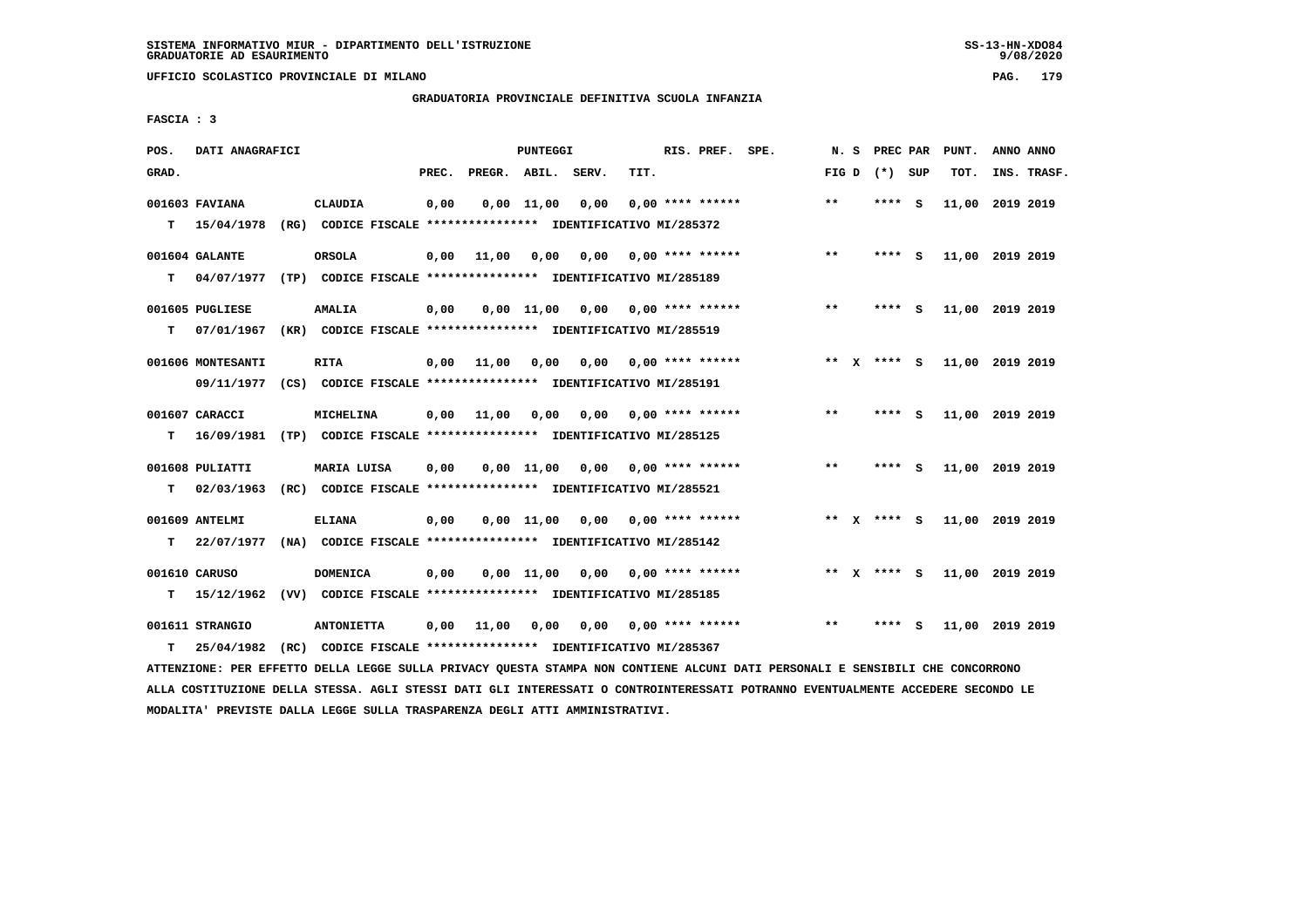**UFFICIO SCOLASTICO PROVINCIALE DI MILANO PAG. 179**

# **GRADUATORIA PROVINCIALE DEFINITIVA SCUOLA INFANZIA**

 **FASCIA : 3**

| POS.  | DATI ANAGRAFICI   |                                                                                                                               |       |                    | PUNTEGGI   |                                        |      | RIS. PREF. SPE.           |       | N. S PREC PAR   | PUNT.           | ANNO ANNO |             |
|-------|-------------------|-------------------------------------------------------------------------------------------------------------------------------|-------|--------------------|------------|----------------------------------------|------|---------------------------|-------|-----------------|-----------------|-----------|-------------|
| GRAD. |                   |                                                                                                                               | PREC. | PREGR. ABIL. SERV. |            |                                        | TIT. |                           |       | FIG D $(*)$ SUP | тот.            |           | INS. TRASF. |
|       | 001603 FAVIANA    | CLAUDIA                                                                                                                       | 0,00  |                    | 0,00 11,00 | 0,00                                   |      | $0,00$ **** ******        | $***$ | **** S          | 11,00 2019 2019 |           |             |
| т     | 15/04/1978        | (RG) CODICE FISCALE **************** IDENTIFICATIVO MI/285372                                                                 |       |                    |            |                                        |      |                           |       |                 |                 |           |             |
|       | 001604 GALANTE    | <b>ORSOLA</b>                                                                                                                 | 0,00  | 11,00              | 0,00       |                                        |      | $0,00$ $0,00$ **** ****** | **    | **** S          | 11,00 2019 2019 |           |             |
| т     | 04/07/1977        | (TP) CODICE FISCALE **************** IDENTIFICATIVO MI/285189                                                                 |       |                    |            |                                        |      |                           |       |                 |                 |           |             |
|       | 001605 PUGLIESE   | <b>AMALIA</b>                                                                                                                 | 0,00  |                    | 0,00 11,00 |                                        |      |                           | $***$ | **** S          | 11,00 2019 2019 |           |             |
| т     | 07/01/1967        | (KR) CODICE FISCALE **************** IDENTIFICATIVO MI/285519                                                                 |       |                    |            |                                        |      |                           |       |                 |                 |           |             |
|       | 001606 MONTESANTI | <b>RITA</b>                                                                                                                   | 0,00  | 11,00              |            | $0,00$ $0,00$ $0,00$ $***$ **** ****** |      |                           |       | ** x **** S     | 11,00 2019 2019 |           |             |
|       | 09/11/1977        | (CS) CODICE FISCALE **************** IDENTIFICATIVO MI/285191                                                                 |       |                    |            |                                        |      |                           |       |                 |                 |           |             |
|       | 001607 CARACCI    | <b>MICHELINA</b>                                                                                                              | 0,00  | 11,00              |            | 0,00 0,00                              |      | 0,00 **** ******          | $**$  | **** S          | 11,00 2019 2019 |           |             |
| т     | 16/09/1981        | (TP) CODICE FISCALE **************** IDENTIFICATIVO MI/285125                                                                 |       |                    |            |                                        |      |                           |       |                 |                 |           |             |
|       | 001608 PULIATTI   | MARIA LUISA                                                                                                                   | 0,00  |                    | 0.00 11.00 |                                        |      | $0.00$ $0.00$ **** ****** | $***$ | **** S          | 11,00 2019 2019 |           |             |
| T.    | 02/03/1963        | (RC) CODICE FISCALE **************** IDENTIFICATIVO MI/285521                                                                 |       |                    |            |                                        |      |                           |       |                 |                 |           |             |
|       | 001609 ANTELMI    | <b>ELIANA</b>                                                                                                                 | 0,00  |                    |            | $0.00$ 11.00 0.00 0.00 **** ******     |      |                           |       | ** x **** S     | 11,00 2019 2019 |           |             |
| т     | 22/07/1977        | (NA) CODICE FISCALE **************** IDENTIFICATIVO MI/285142                                                                 |       |                    |            |                                        |      |                           |       |                 |                 |           |             |
|       | 001610 CARUSO     | <b>DOMENICA</b>                                                                                                               | 0,00  |                    |            | $0,00$ 11,00 0,00 0,00 **** ******     |      |                           |       | ** x **** S     | 11,00 2019 2019 |           |             |
| т     | 15/12/1962        | (VV) CODICE FISCALE **************** IDENTIFICATIVO MI/285185                                                                 |       |                    |            |                                        |      |                           |       |                 |                 |           |             |
|       | 001611 STRANGIO   | <b>ANTONIETTA</b>                                                                                                             | 0,00  | 11,00              | 0,00       |                                        |      | $0.00$ $0.00$ **** ****** | $* *$ | **** S          | 11,00 2019 2019 |           |             |
| т     | 25/04/1982        | (RC) CODICE FISCALE **************** IDENTIFICATIVO MI/285367                                                                 |       |                    |            |                                        |      |                           |       |                 |                 |           |             |
|       |                   | ATTENZIONE: PER EFFETTO DELLA LEGGE SULLA PRIVACY QUESTA STAMPA NON CONTIENE ALCUNI DATI PERSONALI E SENSIBILI CHE CONCORRONO |       |                    |            |                                        |      |                           |       |                 |                 |           |             |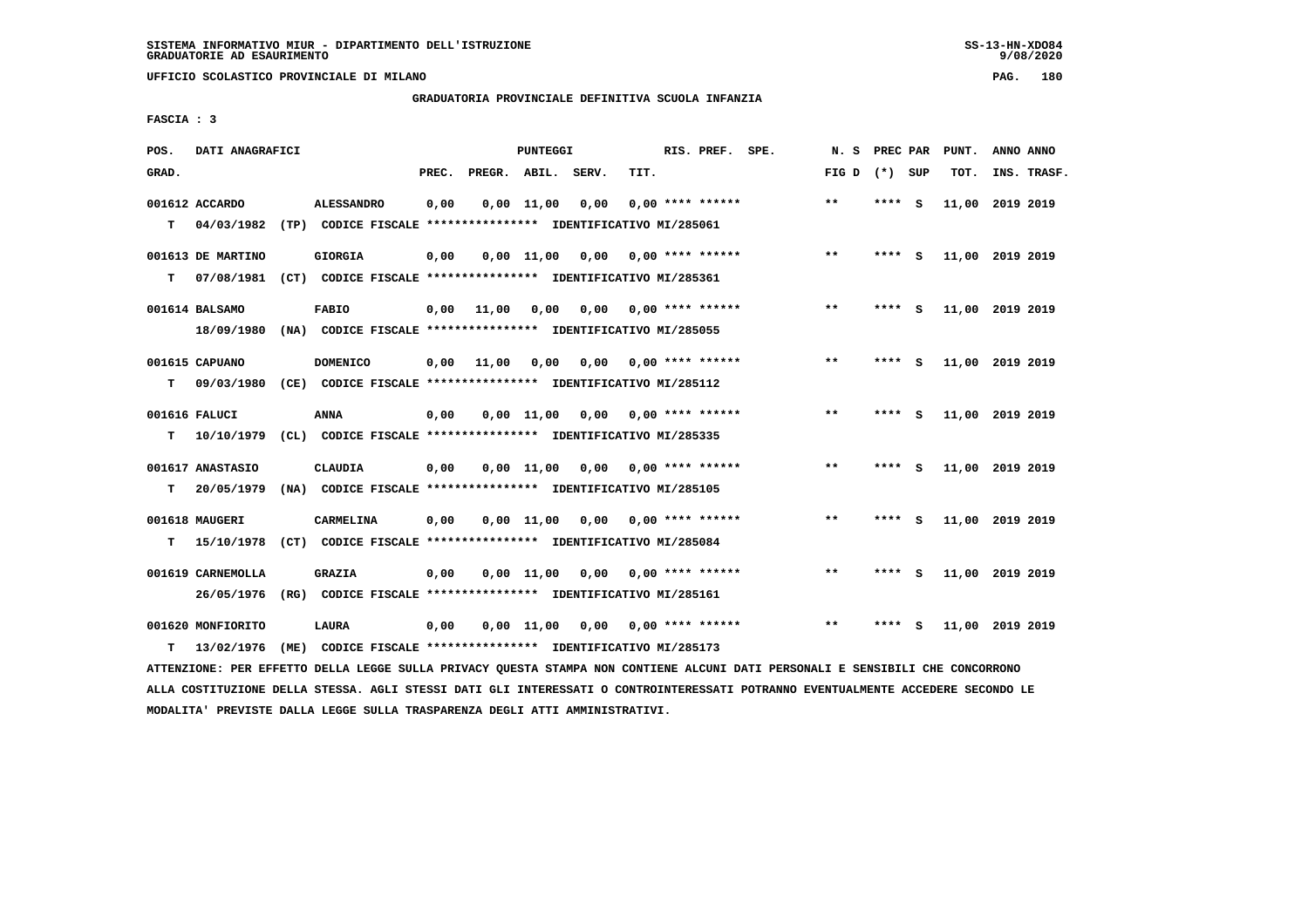**UFFICIO SCOLASTICO PROVINCIALE DI MILANO PAG. 180**

# **GRADUATORIA PROVINCIALE DEFINITIVA SCUOLA INFANZIA**

 **FASCIA : 3**

| POS.  | DATI ANAGRAFICI                 |      |                                                                                    |       |              | <b>PUNTEGGI</b> |       |      | RIS. PREF. SPE.    | N.S   | PREC PAR |          | PUNT.           | ANNO ANNO |             |
|-------|---------------------------------|------|------------------------------------------------------------------------------------|-------|--------------|-----------------|-------|------|--------------------|-------|----------|----------|-----------------|-----------|-------------|
| GRAD. |                                 |      |                                                                                    | PREC. | PREGR. ABIL. |                 | SERV. | TIT. |                    | FIG D | (*) SUP  |          | TOT.            |           | INS. TRASF. |
| T.    | 001612 ACCARDO<br>04/03/1982    |      | <b>ALESSANDRO</b><br>(TP) CODICE FISCALE **************** IDENTIFICATIVO MI/285061 | 0,00  |              | $0,00$ 11,00    | 0,00  |      | $0.00$ **** ****** | $* *$ | ****     | - S      | 11,00           | 2019 2019 |             |
| т     | 001613 DE MARTINO<br>07/08/1981 |      | <b>GIORGIA</b><br>(CT) CODICE FISCALE **************** IDENTIFICATIVO MI/285361    | 0,00  |              | $0,00$ 11,00    | 0,00  |      | $0.00$ **** ****** | $* *$ | ****     | - S      | 11,00 2019 2019 |           |             |
|       | 001614 BALSAMO<br>18/09/1980    |      | <b>FABIO</b><br>(NA) CODICE FISCALE **************** IDENTIFICATIVO MI/285055      | 0,00  | 11,00        | 0,00            | 0.00  |      | 0,00 **** ******   | $***$ | ****     | - S      | 11,00 2019 2019 |           |             |
| т     | 001615 CAPUANO<br>09/03/1980    |      | <b>DOMENICO</b><br>(CE) CODICE FISCALE **************** IDENTIFICATIVO MI/285112   | 0,00  | 11,00        | 0,00            | 0,00  |      | $0.00$ **** ****** | $**$  | ****     | - 5      | 11,00 2019 2019 |           |             |
| T.    | 001616 FALUCI<br>10/10/1979     |      | ANNA<br>(CL) CODICE FISCALE **************** IDENTIFICATIVO MI/285335              | 0,00  |              | 0.00 11.00      | 0,00  |      | $0.00$ **** ****** | **    | ****     | <b>S</b> | 11,00 2019 2019 |           |             |
| т     | 001617 ANASTASIO<br>20/05/1979  | (NA) | <b>CLAUDIA</b><br>CODICE FISCALE **************** IDENTIFICATIVO MI/285105         | 0,00  |              | $0,00$ $11,00$  | 0,00  |      | $0.00$ **** ****** | $***$ | ****     | <b>S</b> | 11,00 2019 2019 |           |             |
| т     | 001618 MAUGERI<br>15/10/1978    |      | CARMELINA<br>(CT) CODICE FISCALE **************** IDENTIFICATIVO MI/285084         | 0,00  |              | $0.00$ 11.00    | 0,00  |      | $0.00$ **** ****** | $* *$ | ****     | - S      | 11,00 2019 2019 |           |             |
|       | 001619 CARNEMOLLA<br>26/05/1976 | (RG) | <b>GRAZIA</b><br>CODICE FISCALE **************** IDENTIFICATIVO MI/285161          | 0,00  |              | $0,00$ 11,00    | 0,00  |      | $0.00$ **** ****** | $***$ | ****     | - S      | 11,00 2019 2019 |           |             |
| т     | 001620 MONFIORITO<br>13/02/1976 | (ME) | LAURA<br>CODICE FISCALE **************** IDENTIFICATIVO MI/285173                  | 0,00  |              | $0,00$ 11,00    | 0,00  |      | $0.00$ **** ****** | $* *$ | ****     | S        | 11,00           | 2019 2019 |             |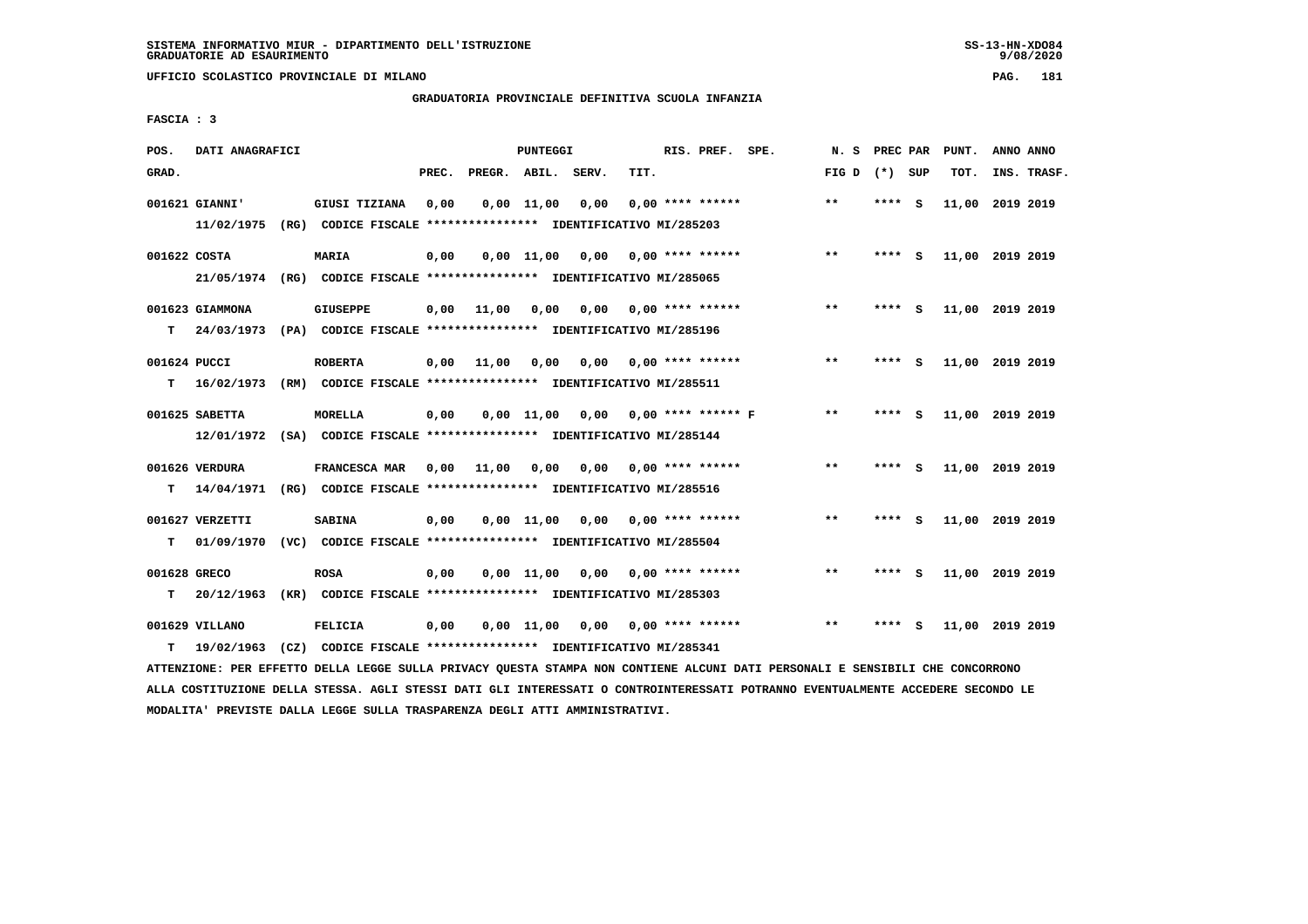**UFFICIO SCOLASTICO PROVINCIALE DI MILANO PAG. 181**

## **GRADUATORIA PROVINCIALE DEFINITIVA SCUOLA INFANZIA**

 **FASCIA : 3**

| POS.               | DATI ANAGRAFICI               |                                                                                         |       | PUNTEGGI           |              |      |      |  |                           | RIS. PREF. SPE.         |       |         | PREC PAR | PUNT.           | ANNO ANNO   |  |
|--------------------|-------------------------------|-----------------------------------------------------------------------------------------|-------|--------------------|--------------|------|------|--|---------------------------|-------------------------|-------|---------|----------|-----------------|-------------|--|
| GRAD.              |                               |                                                                                         | PREC. | PREGR. ABIL. SERV. |              |      | TIT. |  |                           |                         | FIG D | (*) SUP |          | TOT.            | INS. TRASF. |  |
|                    | 001621 GIANNI'<br>11/02/1975  | GIUSI TIZIANA<br>(RG) CODICE FISCALE **************** IDENTIFICATIVO MI/285203          | 0,00  |                    | $0,00$ 11,00 | 0,00 |      |  | $0.00$ **** ******        |                         | $***$ | ****    | <b>S</b> | 11,00           | 2019 2019   |  |
| 001622 COSTA       |                               | <b>MARIA</b><br>21/05/1974 (RG) CODICE FISCALE *************** IDENTIFICATIVO MI/285065 | 0,00  |                    | $0,00$ 11,00 | 0.00 |      |  | $0.00$ **** ******        |                         | $***$ | ****    | - S      | 11,00 2019 2019 |             |  |
| т                  | 001623 GIAMMONA<br>24/03/1973 | <b>GIUSEPPE</b><br>(PA) CODICE FISCALE **************** IDENTIFICATIVO MI/285196        | 0.00  | 11,00              | 0.00         |      |      |  | $0,00$ $0,00$ **** ****** |                         | $**$  | ****    | - S      | 11,00 2019 2019 |             |  |
| 001624 PUCCI<br>т  | 16/02/1973                    | <b>ROBERTA</b><br>(RM) CODICE FISCALE **************** IDENTIFICATIVO MI/285511         | 0.00  | 11,00              | 0.00         | 0.00 |      |  | 0,00 **** ******          |                         | $***$ | ****    | <b>S</b> | 11,00 2019 2019 |             |  |
|                    | 001625 SABETTA<br>12/01/1972  | <b>MORELLA</b><br>(SA) CODICE FISCALE **************** IDENTIFICATIVO MI/285144         | 0,00  |                    | $0.00$ 11,00 |      |      |  |                           | 0,00 0,00 **** ****** F | $***$ | ****    | s.       | 11,00 2019 2019 |             |  |
| т                  | 001626 VERDURA<br>14/04/1971  | FRANCESCA MAR<br>(RG) CODICE FISCALE **************** IDENTIFICATIVO MI/285516          | 0,00  | 11,00              | 0,00         | 0,00 |      |  | 0,00 **** ******          |                         | $***$ | ****    | - 5      | 11,00 2019 2019 |             |  |
| т                  | 001627 VERZETTI<br>01/09/1970 | <b>SABINA</b><br>(VC) CODICE FISCALE *************** IDENTIFICATIVO MI/285504           | 0,00  |                    | $0,00$ 11,00 | 0,00 |      |  | $0.00$ **** ******        |                         | **    | ****    | - S      | 11,00 2019 2019 |             |  |
| 001628 GRECO<br>T. | 20/12/1963                    | <b>ROSA</b><br>(KR) CODICE FISCALE **************** IDENTIFICATIVO MI/285303            | 0,00  |                    | $0,00$ 11,00 | 0,00 |      |  | $0.00$ **** ******        |                         | $***$ | ****    | - 5      | 11,00 2019 2019 |             |  |
| т                  | 001629 VILLANO<br>19/02/1963  | <b>FELICIA</b><br>(CZ) CODICE FISCALE **************** IDENTIFICATIVO MI/285341         | 0,00  |                    | 0.00 11.00   | 0,00 |      |  | $0.00$ **** ******        |                         | $* *$ | ****    | - S      | 11,00 2019 2019 |             |  |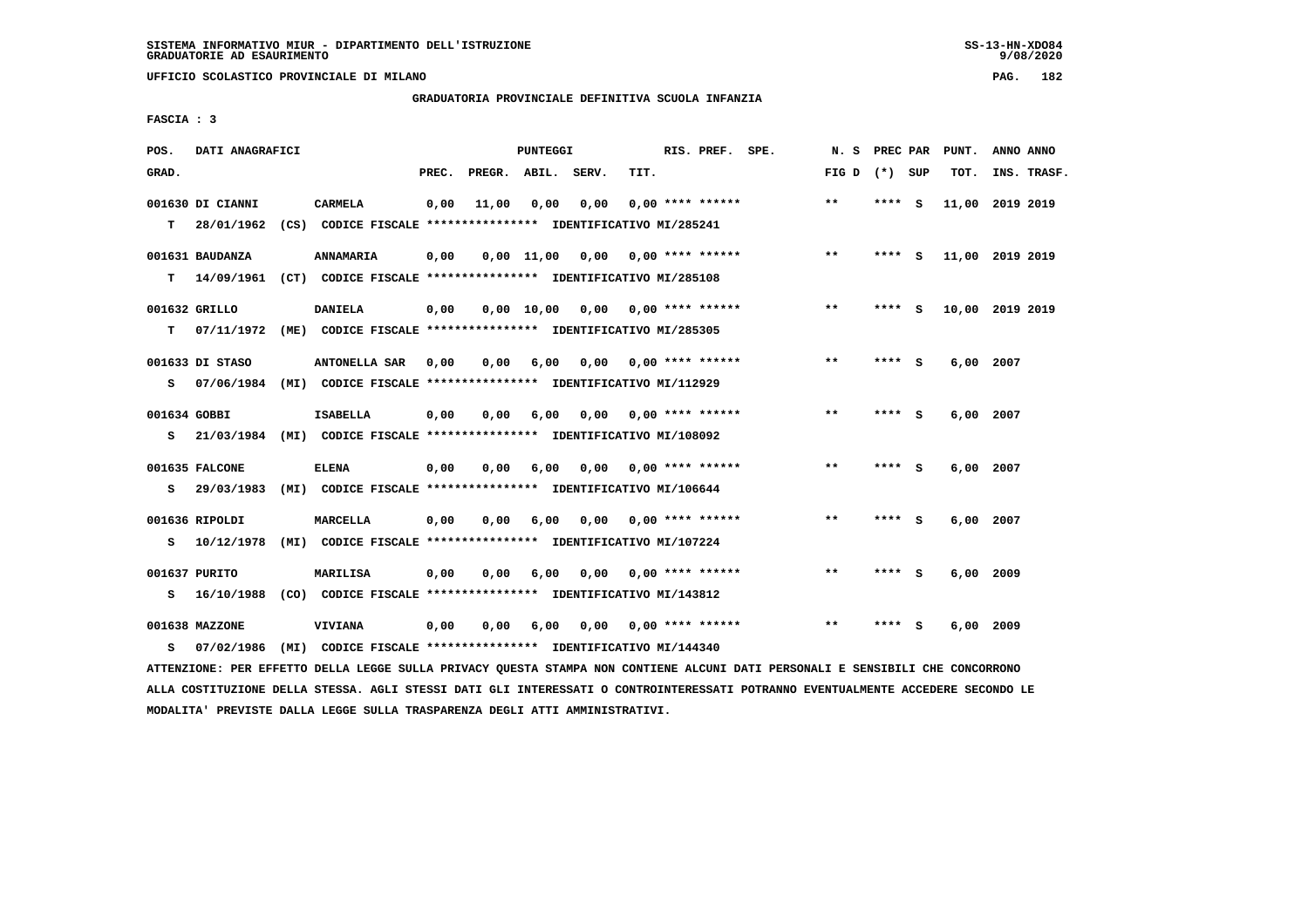**UFFICIO SCOLASTICO PROVINCIALE DI MILANO PAG. 182**

## **GRADUATORIA PROVINCIALE DEFINITIVA SCUOLA INFANZIA**

 **FASCIA : 3**

| POS.         | DATI ANAGRAFICI                |                                                                                 |       |                    | PUNTEGGI     |      |      | RIS. PREF. SPE.           | N.S             | PREC PAR |          | PUNT.           | ANNO ANNO |             |
|--------------|--------------------------------|---------------------------------------------------------------------------------|-------|--------------------|--------------|------|------|---------------------------|-----------------|----------|----------|-----------------|-----------|-------------|
| GRAD.        |                                |                                                                                 | PREC. | PREGR. ABIL. SERV. |              |      | TIT. |                           | FIG D $(*)$ SUP |          |          | TOT.            |           | INS. TRASF. |
| T.           | 001630 DI CIANNI<br>28/01/1962 | <b>CARMELA</b><br>(CS) CODICE FISCALE **************** IDENTIFICATIVO MI/285241 | 0,00  | 11,00              | 0,00         | 0,00 |      | $0.00$ **** ******        | $\star\star$    | **** S   |          | 11,00 2019 2019 |           |             |
|              |                                |                                                                                 |       |                    |              |      |      |                           |                 |          |          |                 |           |             |
|              | 001631 BAUDANZA                | <b>ANNAMARIA</b>                                                                | 0,00  |                    | $0,00$ 11,00 | 0,00 |      | 0,00 **** ******          | $**$            | ****     | - S      | 11,00 2019 2019 |           |             |
| т            | 14/09/1961                     | (CT) CODICE FISCALE **************** IDENTIFICATIVO MI/285108                   |       |                    |              |      |      |                           |                 |          |          |                 |           |             |
|              | 001632 GRILLO                  | <b>DANIELA</b>                                                                  | 0,00  |                    | 0,00 10,00   |      |      | $0,00$ $0,00$ **** ****** | **              | **** S   |          | 10,00 2019 2019 |           |             |
| т            | 07/11/1972                     | (ME) CODICE FISCALE **************** IDENTIFICATIVO MI/285305                   |       |                    |              |      |      |                           |                 |          |          |                 |           |             |
|              | 001633 DI STASO                | <b>ANTONELLA SAR</b>                                                            | 0.00  | 0.00               | 6,00         | 0.00 |      | 0,00 **** ******          | $* *$           | ****     | <b>S</b> | 6,00 2007       |           |             |
| s            |                                | 07/06/1984 (MI) CODICE FISCALE *************** IDENTIFICATIVO MI/112929         |       |                    |              |      |      |                           |                 |          |          |                 |           |             |
| 001634 GOBBI |                                | <b>ISABELLA</b>                                                                 | 0,00  | 0.00               | 6,00         | 0,00 |      | $0.00$ **** ******        | $***$           | ****     | - S      | 6,00 2007       |           |             |
| s            | 21/03/1984                     | (MI) CODICE FISCALE **************** IDENTIFICATIVO MI/108092                   |       |                    |              |      |      |                           |                 |          |          |                 |           |             |
|              |                                |                                                                                 |       |                    |              |      |      |                           |                 |          |          |                 |           |             |
|              | 001635 FALCONE                 | <b>ELENA</b>                                                                    | 0,00  | 0,00               | 6,00         |      |      | $0.00$ $0.00$ **** ****** | $* *$           | **** S   |          | $6,00$ 2007     |           |             |
| s            | 29/03/1983                     | (MI) CODICE FISCALE *************** IDENTIFICATIVO MI/106644                    |       |                    |              |      |      |                           |                 |          |          |                 |           |             |
|              | 001636 RIPOLDI                 | <b>MARCELLA</b>                                                                 | 0,00  | 0.00               | 6,00         |      |      | $0.00$ $0.00$ **** ****** | $* *$           | **** S   |          | 6,00 2007       |           |             |
| s            | 10/12/1978                     | (MI) CODICE FISCALE **************** IDENTIFICATIVO MI/107224                   |       |                    |              |      |      |                           |                 |          |          |                 |           |             |
|              | 001637 PURITO                  | MARILISA                                                                        | 0,00  | 0,00               | 6,00         | 0.00 |      | 0,00 **** ******          | $**$            | ****     | - 5      | 6,00            | 2009      |             |
| s            | 16/10/1988                     | (CO) CODICE FISCALE **************** IDENTIFICATIVO MI/143812                   |       |                    |              |      |      |                           |                 |          |          |                 |           |             |
|              |                                |                                                                                 |       |                    |              |      |      |                           |                 |          |          |                 |           |             |
|              | 001638 MAZZONE                 | <b>VIVIANA</b>                                                                  | 0,00  | 0.00               | 6,00         | 0.00 |      | $0.00$ **** ******        | $* *$           | ****     | - S      | 6,00            | 2009      |             |
| s            | 07/02/1986                     | (MI) CODICE FISCALE **************** IDENTIFICATIVO MI/144340                   |       |                    |              |      |      |                           |                 |          |          |                 |           |             |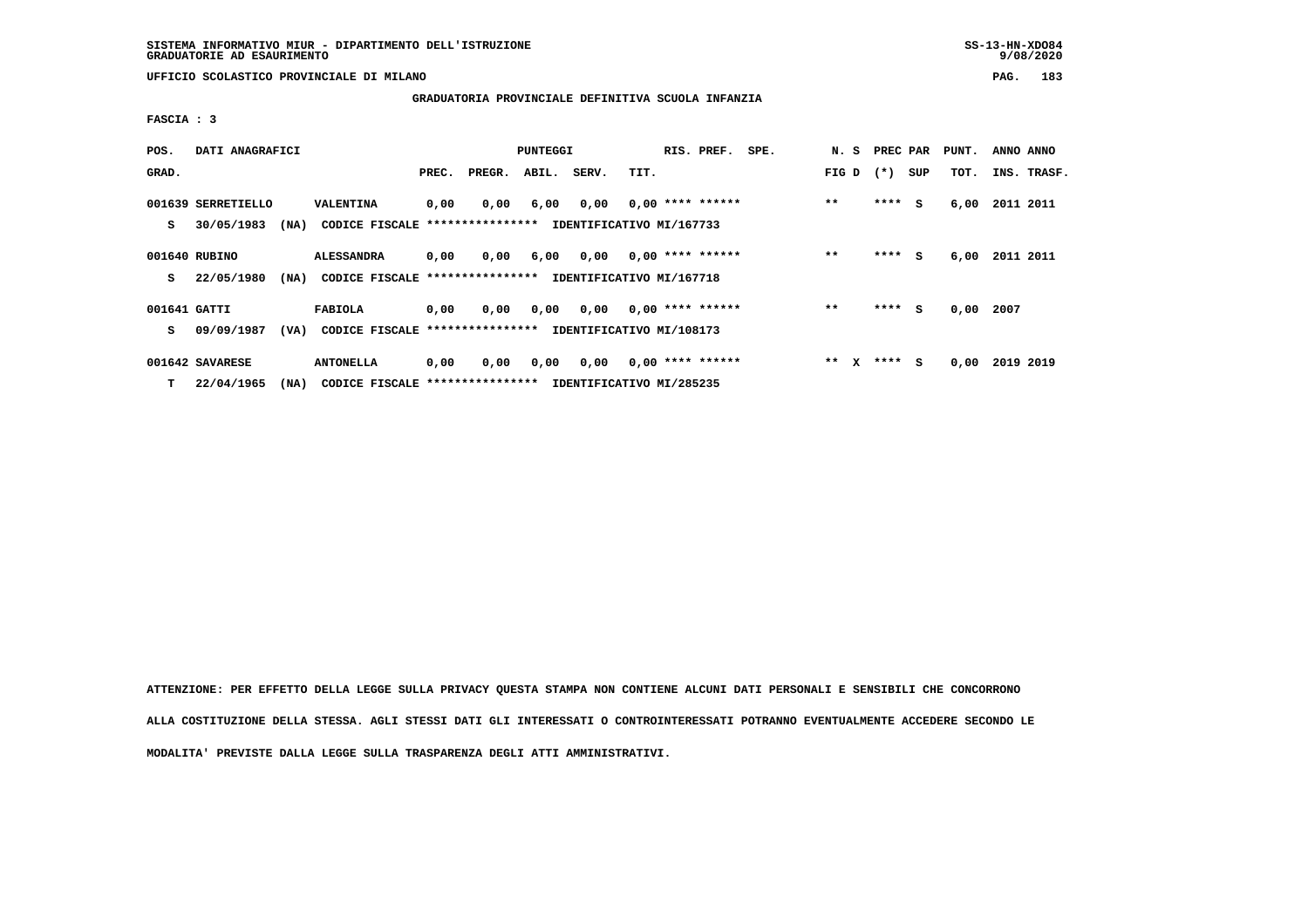**UFFICIO SCOLASTICO PROVINCIALE DI MILANO PAG. 183**

## **GRADUATORIA PROVINCIALE DEFINITIVA SCUOLA INFANZIA**

 **FASCIA : 3**

| POS.              | DATI ANAGRAFICI                          |                                                      |       |        | PUNTEGGI |       | RIS. PREF.                                     | SPE. | N. S                  | PREC PAR |     | PUNT. | ANNO ANNO   |
|-------------------|------------------------------------------|------------------------------------------------------|-------|--------|----------|-------|------------------------------------------------|------|-----------------------|----------|-----|-------|-------------|
| GRAD.             |                                          |                                                      | PREC. | PREGR. | ABIL.    | SERV. | TIT.                                           |      | FIG D                 | $(* )$   | SUP | тот.  | INS. TRASF. |
| s                 | 001639 SERRETIELLO<br>30/05/1983<br>(MA) | VALENTINA<br>CODICE FISCALE ****************         | 0,00  | 0,00   | 6,00     | 0,00  | $0,00$ **** ******<br>IDENTIFICATIVO MI/167733 |      | $* *$                 | $***$ S  |     | 6,00  | 2011 2011   |
| s                 | 001640 RUBINO<br>22/05/1980<br>(MA)      | <b>ALESSANDRA</b><br>CODICE FISCALE **************** | 0,00  | 0,00   | 6,00     | 0,00  | $0,00$ **** ******<br>IDENTIFICATIVO MI/167718 |      | $* *$                 | $***$ S  |     | 6,00  | 2011 2011   |
| 001641 GATTI<br>s | 09/09/1987<br>(VA)                       | <b>FABIOLA</b><br>CODICE FISCALE ****************    | 0,00  | 0,00   | 0,00     | 0,00  | $0,00$ **** ******<br>IDENTIFICATIVO MI/108173 |      | $* *$                 | $***$ S  |     | 0,00  | 2007        |
| т                 | 001642 SAVARESE<br>22/04/1965<br>(NA)    | <b>ANTONELLA</b><br>CODICE FISCALE ****************  | 0,00  | 0,00   | 0,00     | 0,00  | $0,00$ **** ******<br>IDENTIFICATIVO MI/285235 |      | $* *$<br>$\mathbf{x}$ | $***s$   |     | 0,00  | 2019 2019   |